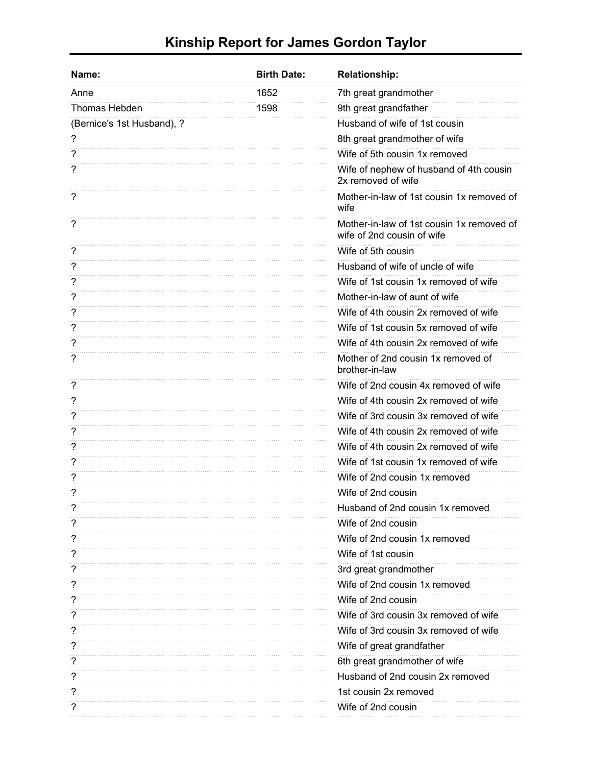## **Kinship Report for James Gordon Taylor**

| Name:                      | <b>Birth Date:</b> | <b>Relationship:</b>                                                    |
|----------------------------|--------------------|-------------------------------------------------------------------------|
| Anne                       | 1652               | 7th great grandmother                                                   |
| Thomas Hebden              | 1598               | 9th great grandfather                                                   |
| (Bernice's 1st Husband), ? |                    | Husband of wife of 1st cousin                                           |
|                            |                    | 8th great grandmother of wife                                           |
| ?                          |                    | Wife of 5th cousin 1x removed                                           |
| ?                          |                    | Wife of nephew of husband of 4th cousin<br>2x removed of wife           |
| ?                          |                    | Mother-in-law of 1st cousin 1x removed of<br>wife                       |
| ?                          |                    | Mother-in-law of 1st cousin 1x removed of<br>wife of 2nd cousin of wife |
| ?                          |                    | Wife of 5th cousin                                                      |
| ?                          |                    | Husband of wife of uncle of wife                                        |
| ?                          |                    | Wife of 1st cousin 1x removed of wife                                   |
| ?                          |                    | Mother-in-law of aunt of wife                                           |
| ?                          |                    | Wife of 4th cousin 2x removed of wife                                   |
| ?                          |                    | Wife of 1st cousin 5x removed of wife                                   |
| ?                          |                    | Wife of 4th cousin 2x removed of wife                                   |
| ?                          |                    | Mother of 2nd cousin 1x removed of<br>brother-in-law                    |
| ?                          |                    | Wife of 2nd cousin 4x removed of wife                                   |
| ?                          |                    | Wife of 4th cousin 2x removed of wife                                   |
| ?                          |                    | Wife of 3rd cousin 3x removed of wife                                   |
| ?                          |                    | Wife of 4th cousin 2x removed of wife                                   |
| ?                          |                    | Wife of 4th cousin 2x removed of wife                                   |
| 7                          |                    | Wife of 1st cousin 1x removed of wife                                   |
| ?                          |                    | Wife of 2nd cousin 1x removed                                           |
| 7                          |                    | Wife of 2nd cousin                                                      |
|                            |                    | Husband of 2nd cousin 1x removed                                        |
| ?                          |                    | Wife of 2nd cousin                                                      |
| ?                          |                    | Wife of 2nd cousin 1x removed                                           |
| ?                          |                    | Wife of 1st cousin                                                      |
| ?                          |                    | 3rd great grandmother                                                   |
|                            |                    | Wife of 2nd cousin 1x removed                                           |
| ?                          |                    | Wife of 2nd cousin                                                      |
| ?                          |                    | Wife of 3rd cousin 3x removed of wife                                   |
|                            |                    | Wife of 3rd cousin 3x removed of wife                                   |
|                            |                    | Wife of great grandfather                                               |
| ?                          |                    | 6th great grandmother of wife                                           |
|                            |                    | Husband of 2nd cousin 2x removed                                        |
|                            |                    | 1st cousin 2x removed                                                   |
| ?                          |                    | Wife of 2nd cousin                                                      |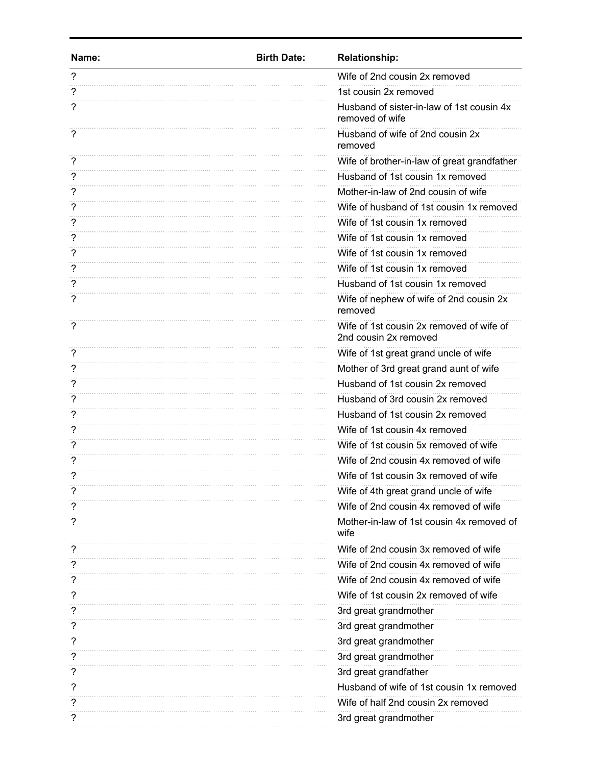| Name: | <b>Birth Date:</b> | <b>Relationship:</b>                                              |
|-------|--------------------|-------------------------------------------------------------------|
| ?     |                    | Wife of 2nd cousin 2x removed                                     |
| ?     |                    | 1st cousin 2x removed                                             |
| 7     |                    | Husband of sister-in-law of 1st cousin 4x<br>removed of wife      |
| 7     |                    | Husband of wife of 2nd cousin 2x<br>removed                       |
| ?     |                    | Wife of brother-in-law of great grandfather                       |
| 7     |                    | Husband of 1st cousin 1x removed                                  |
| 7     |                    | Mother-in-law of 2nd cousin of wife                               |
| ?     |                    | Wife of husband of 1st cousin 1x removed                          |
| ?     |                    | Wife of 1st cousin 1x removed                                     |
| 7     |                    | Wife of 1st cousin 1x removed                                     |
| ?     |                    | Wife of 1st cousin 1x removed                                     |
| ?     |                    | Wife of 1st cousin 1x removed                                     |
|       |                    | Husband of 1st cousin 1x removed                                  |
| ?     |                    | Wife of nephew of wife of 2nd cousin 2x<br>removed                |
| ?     |                    | Wife of 1st cousin 2x removed of wife of<br>2nd cousin 2x removed |
| ?     |                    | Wife of 1st great grand uncle of wife                             |
| 7     |                    | Mother of 3rd great grand aunt of wife                            |
| ?     |                    | Husband of 1st cousin 2x removed                                  |
| ?     |                    | Husband of 3rd cousin 2x removed                                  |
| ?     |                    | Husband of 1st cousin 2x removed                                  |
| 7     |                    | Wife of 1st cousin 4x removed                                     |
|       |                    | Wife of 1st cousin 5x removed of wife                             |
|       |                    | Wife of 2nd cousin 4x removed of wife                             |
|       |                    | Wife of 1st cousin 3x removed of wife                             |
|       |                    | Wife of 4th great grand uncle of wife                             |
| ?     |                    | Wife of 2nd cousin 4x removed of wife                             |
| ?     |                    | Mother-in-law of 1st cousin 4x removed of<br>wife                 |
| ?     |                    | Wife of 2nd cousin 3x removed of wife                             |
| ?     |                    | Wife of 2nd cousin 4x removed of wife                             |
|       |                    | Wife of 2nd cousin 4x removed of wife                             |
|       |                    | Wife of 1st cousin 2x removed of wife                             |
|       |                    | 3rd great grandmother                                             |
|       |                    | 3rd great grandmother                                             |
|       |                    | 3rd great grandmother                                             |
| 7     |                    | 3rd great grandmother                                             |
|       |                    | 3rd great grandfather                                             |
|       |                    | Husband of wife of 1st cousin 1x removed                          |
| 7     |                    | Wife of half 2nd cousin 2x removed                                |
|       |                    | 3rd great grandmother                                             |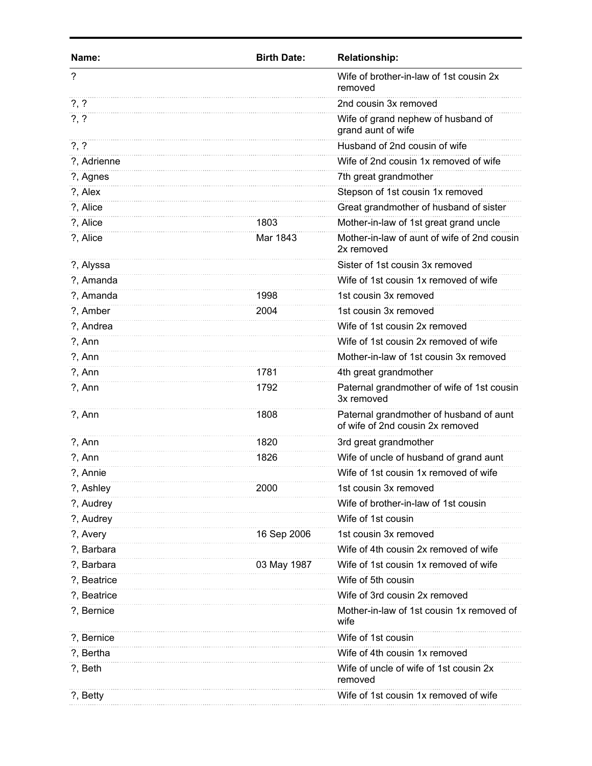| Name:       | <b>Birth Date:</b> | <b>Relationship:</b>                                                        |
|-------------|--------------------|-----------------------------------------------------------------------------|
| ?           |                    | Wife of brother-in-law of 1st cousin 2x<br>removed                          |
| $?$ , $?$   |                    | 2nd cousin 3x removed                                                       |
| $? \, ?$    |                    | Wife of grand nephew of husband of<br>grand aunt of wife                    |
| $?$ , $?$   |                    | Husband of 2nd cousin of wife                                               |
| ?, Adrienne |                    | Wife of 2nd cousin 1x removed of wife                                       |
| ?, Agnes    |                    | 7th great grandmother                                                       |
| ?, Alex     |                    | Stepson of 1st cousin 1x removed                                            |
| ?, Alice    |                    | Great grandmother of husband of sister                                      |
| ?, Alice    | 1803               | Mother-in-law of 1st great grand uncle                                      |
| ?, Alice    | Mar 1843           | Mother-in-law of aunt of wife of 2nd cousin<br>2x removed                   |
| ?, Alyssa   |                    | Sister of 1st cousin 3x removed                                             |
| ?, Amanda   |                    | Wife of 1st cousin 1x removed of wife                                       |
| ?, Amanda   | 1998               | 1st cousin 3x removed                                                       |
| ?, Amber    | 2004               | 1st cousin 3x removed                                                       |
| ?, Andrea   |                    | Wife of 1st cousin 2x removed                                               |
| $?$ , Ann   |                    | Wife of 1st cousin 2x removed of wife                                       |
| $?$ , Ann   |                    | Mother-in-law of 1st cousin 3x removed                                      |
| $?$ , Ann   | 1781               | 4th great grandmother                                                       |
| $?$ , Ann   | 1792               | Paternal grandmother of wife of 1st cousin<br>3x removed                    |
| $?$ , Ann   | 1808               | Paternal grandmother of husband of aunt<br>of wife of 2nd cousin 2x removed |
| $?$ , Ann   | 1820               | 3rd great grandmother                                                       |
| $?$ , Ann   | 1826               | Wife of uncle of husband of grand aunt                                      |
| ?, Annie    |                    | Wife of 1st cousin 1x removed of wife                                       |
| ?, Ashley   | 2000               | 1st cousin 3x removed                                                       |
| ?, Audrey   |                    | Wife of brother-in-law of 1st cousin                                        |
| ?, Audrey   |                    | Wife of 1st cousin                                                          |
| ?, Avery    | 16 Sep 2006        | 1st cousin 3x removed                                                       |
| ?, Barbara  |                    | Wife of 4th cousin 2x removed of wife                                       |
| ?, Barbara  | 03 May 1987        | Wife of 1st cousin 1x removed of wife                                       |
| ?, Beatrice |                    | Wife of 5th cousin                                                          |
| ?, Beatrice |                    | Wife of 3rd cousin 2x removed                                               |
| ?, Bernice  |                    | Mother-in-law of 1st cousin 1x removed of<br>wife                           |
| ?, Bernice  |                    | Wife of 1st cousin                                                          |
| ?, Bertha   |                    | Wife of 4th cousin 1x removed                                               |
| ?, Beth     |                    | Wife of uncle of wife of 1st cousin 2x<br>removed                           |
| ?, Betty    |                    | Wife of 1st cousin 1x removed of wife                                       |
|             |                    |                                                                             |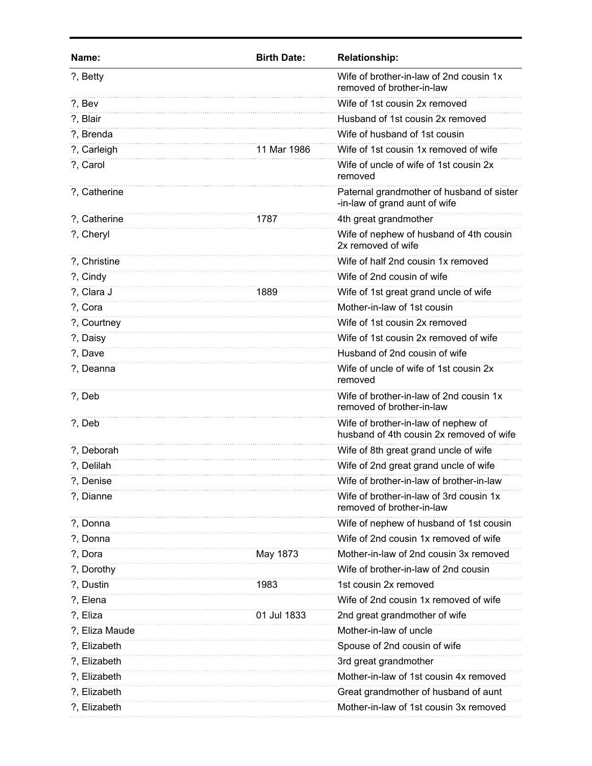| Name:          | <b>Birth Date:</b> | <b>Relationship:</b>                                                            |
|----------------|--------------------|---------------------------------------------------------------------------------|
| ?, Betty       |                    | Wife of brother-in-law of 2nd cousin 1x<br>removed of brother-in-law            |
| ?, Bev         |                    | Wife of 1st cousin 2x removed                                                   |
| ?, Blair       |                    | Husband of 1st cousin 2x removed                                                |
| ?, Brenda      |                    | Wife of husband of 1st cousin                                                   |
| ?, Carleigh    | 11 Mar 1986        | Wife of 1st cousin 1x removed of wife                                           |
| ?, Carol       |                    | Wife of uncle of wife of 1st cousin 2x<br>removed                               |
| ?, Catherine   |                    | Paternal grandmother of husband of sister<br>-in-law of grand aunt of wife      |
| ?, Catherine   | 1787               | 4th great grandmother                                                           |
| ?, Cheryl      |                    | Wife of nephew of husband of 4th cousin<br>2x removed of wife                   |
| ?, Christine   |                    | Wife of half 2nd cousin 1x removed                                              |
| ?, Cindy       |                    | Wife of 2nd cousin of wife                                                      |
| ?, Clara J     | 1889               | Wife of 1st great grand uncle of wife                                           |
| ?, Cora        |                    | Mother-in-law of 1st cousin                                                     |
| ?, Courtney    |                    | Wife of 1st cousin 2x removed                                                   |
| ?, Daisy       |                    | Wife of 1st cousin 2x removed of wife                                           |
| ?, Dave        |                    | Husband of 2nd cousin of wife                                                   |
| ?, Deanna      |                    | Wife of uncle of wife of 1st cousin 2x<br>removed                               |
| ?, Deb         |                    | Wife of brother-in-law of 2nd cousin 1x<br>removed of brother-in-law            |
| ?, Deb         |                    | Wife of brother-in-law of nephew of<br>husband of 4th cousin 2x removed of wife |
| ?, Deborah     |                    | Wife of 8th great grand uncle of wife                                           |
| ?, Delilah     |                    | Wife of 2nd great grand uncle of wife                                           |
| ?, Denise      |                    | Wife of brother-in-law of brother-in-law                                        |
| ?, Dianne      |                    | Wife of brother-in-law of 3rd cousin 1x<br>removed of brother-in-law            |
| ?, Donna       |                    | Wife of nephew of husband of 1st cousin                                         |
| ?, Donna       |                    | Wife of 2nd cousin 1x removed of wife                                           |
| ?, Dora        | May 1873           | Mother-in-law of 2nd cousin 3x removed                                          |
| ?, Dorothy     |                    | Wife of brother-in-law of 2nd cousin                                            |
| ?, Dustin      | 1983               | 1st cousin 2x removed                                                           |
| ?, Elena       |                    | Wife of 2nd cousin 1x removed of wife                                           |
| ?, Eliza       | 01 Jul 1833        | 2nd great grandmother of wife                                                   |
| ?, Eliza Maude |                    | Mother-in-law of uncle                                                          |
| ?, Elizabeth   |                    | Spouse of 2nd cousin of wife                                                    |
| ?, Elizabeth   |                    | 3rd great grandmother                                                           |
| ?, Elizabeth   |                    | Mother-in-law of 1st cousin 4x removed                                          |
| ?, Elizabeth   |                    | Great grandmother of husband of aunt                                            |
| ?, Elizabeth   |                    | Mother-in-law of 1st cousin 3x removed                                          |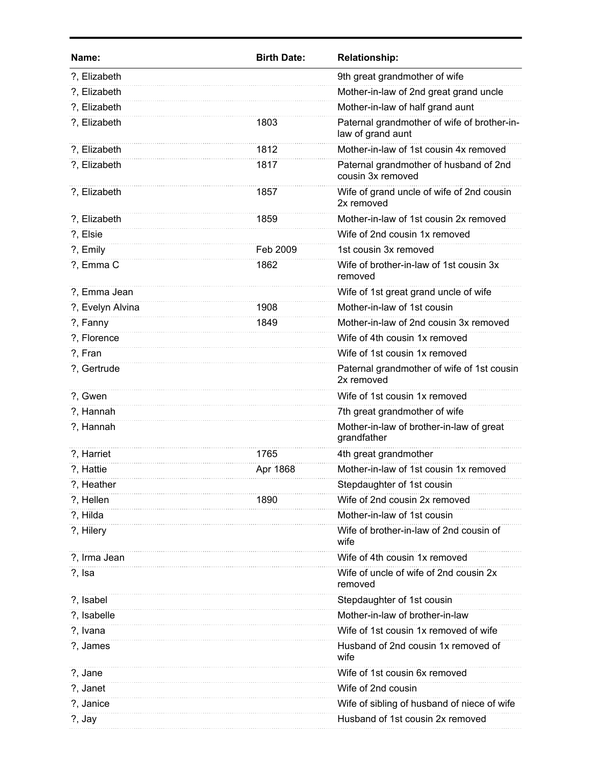| Name:            | <b>Birth Date:</b> | <b>Relationship:</b>                                             |
|------------------|--------------------|------------------------------------------------------------------|
| ?, Elizabeth     |                    | 9th great grandmother of wife                                    |
| ?, Elizabeth     |                    | Mother-in-law of 2nd great grand uncle                           |
| ?, Elizabeth     |                    | Mother-in-law of half grand aunt                                 |
| ?, Elizabeth     | 1803               | Paternal grandmother of wife of brother-in-<br>law of grand aunt |
| ?, Elizabeth     | 1812               | Mother-in-law of 1st cousin 4x removed                           |
| ?, Elizabeth     | 1817               | Paternal grandmother of husband of 2nd<br>cousin 3x removed      |
| ?, Elizabeth     | 1857               | Wife of grand uncle of wife of 2nd cousin<br>2x removed          |
| ?, Elizabeth     | 1859               | Mother-in-law of 1st cousin 2x removed                           |
| ?, Elsie         |                    | Wife of 2nd cousin 1x removed                                    |
| ?, Emily         | Feb 2009           | 1st cousin 3x removed                                            |
| ?, Emma C        | 1862               | Wife of brother-in-law of 1st cousin 3x<br>removed               |
| ?, Emma Jean     |                    | Wife of 1st great grand uncle of wife                            |
| ?, Evelyn Alvina | 1908               | Mother-in-law of 1st cousin                                      |
| ?, Fanny         | 1849               | Mother-in-law of 2nd cousin 3x removed                           |
| ?, Florence      |                    | Wife of 4th cousin 1x removed                                    |
| ?, Fran          |                    | Wife of 1st cousin 1x removed                                    |
| ?, Gertrude      |                    | Paternal grandmother of wife of 1st cousin<br>2x removed         |
| ?, Gwen          |                    | Wife of 1st cousin 1x removed                                    |
| ?, Hannah        |                    | 7th great grandmother of wife                                    |
| ?, Hannah        |                    | Mother-in-law of brother-in-law of great<br>grandfather          |
| ?, Harriet       | 1765               | 4th great grandmother                                            |
| ?, Hattie        | Apr 1868           | Mother-in-law of 1st cousin 1x removed                           |
| ?, Heather       |                    | Stepdaughter of 1st cousin                                       |
| ?, Hellen        | 1890               | Wife of 2nd cousin 2x removed                                    |
| ?, Hilda         |                    | Mother-in-law of 1st cousin                                      |
| ?, Hilery        |                    | Wife of brother-in-law of 2nd cousin of<br>wife                  |
| ?, Irma Jean     |                    | Wife of 4th cousin 1x removed                                    |
| ?, Isa           |                    | Wife of uncle of wife of 2nd cousin 2x<br>removed                |
| ?, Isabel        |                    | Stepdaughter of 1st cousin                                       |
| ?, Isabelle      |                    | Mother-in-law of brother-in-law                                  |
| ?, Ivana         |                    | Wife of 1st cousin 1x removed of wife                            |
| ?, James         |                    | Husband of 2nd cousin 1x removed of<br>wife                      |
| ?, Jane          |                    | Wife of 1st cousin 6x removed                                    |
| ?, Janet         |                    | Wife of 2nd cousin                                               |
| ?, Janice        |                    | Wife of sibling of husband of niece of wife                      |
| ?, Jay           |                    | Husband of 1st cousin 2x removed                                 |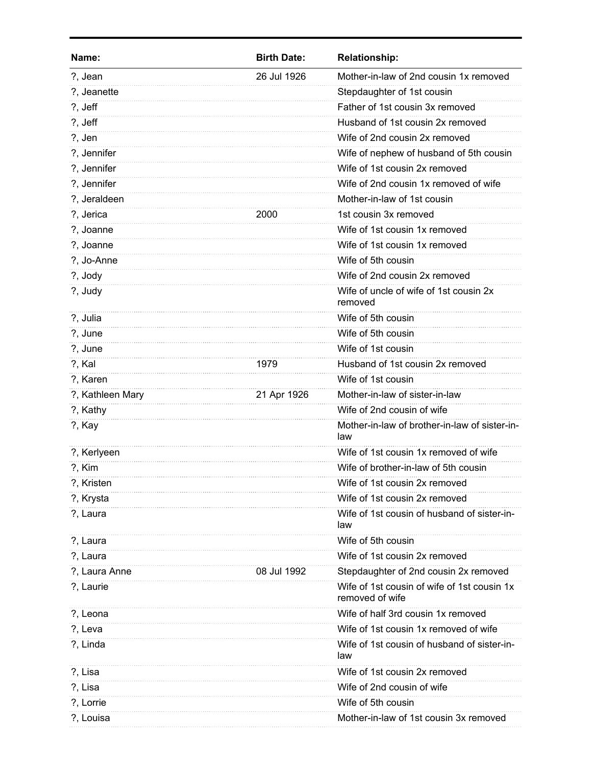| Name:            | <b>Birth Date:</b> | <b>Relationship:</b>                                           |
|------------------|--------------------|----------------------------------------------------------------|
| ?, Jean          | 26 Jul 1926        | Mother-in-law of 2nd cousin 1x removed                         |
| ?, Jeanette      |                    | Stepdaughter of 1st cousin                                     |
| ?, Jeff          |                    | Father of 1st cousin 3x removed                                |
| ?, Jeff          |                    | Husband of 1st cousin 2x removed                               |
| ?, Jen           |                    | Wife of 2nd cousin 2x removed                                  |
| ?, Jennifer      |                    | Wife of nephew of husband of 5th cousin                        |
| ?, Jennifer      |                    | Wife of 1st cousin 2x removed                                  |
| ?, Jennifer      |                    | Wife of 2nd cousin 1x removed of wife                          |
| ?, Jeraldeen     |                    | Mother-in-law of 1st cousin                                    |
| ?, Jerica        | 2000               | 1st cousin 3x removed                                          |
| ?, Joanne        |                    | Wife of 1st cousin 1x removed                                  |
| ?, Joanne        |                    | Wife of 1st cousin 1x removed                                  |
| ?, Jo-Anne       |                    | Wife of 5th cousin                                             |
| ?, Jody          |                    | Wife of 2nd cousin 2x removed                                  |
| ?, Judy          |                    | Wife of uncle of wife of 1st cousin 2x<br>removed              |
| ?, Julia         |                    | Wife of 5th cousin                                             |
| ?, June          |                    | Wife of 5th cousin                                             |
| ?, June          |                    | Wife of 1st cousin                                             |
| ?, Kal           | 1979               | Husband of 1st cousin 2x removed                               |
| ?, Karen         |                    | Wife of 1st cousin                                             |
| ?, Kathleen Mary | 21 Apr 1926        | Mother-in-law of sister-in-law                                 |
| ?, Kathy         |                    | Wife of 2nd cousin of wife                                     |
| ?, Kay           |                    | Mother-in-law of brother-in-law of sister-in-<br>law           |
| ?, Kerlyeen      |                    | Wife of 1st cousin 1x removed of wife                          |
| ?, Kim           |                    | Wife of brother-in-law of 5th cousin                           |
| ?, Kristen       |                    | Wife of 1st cousin 2x removed                                  |
| ?, Krysta        |                    | Wife of 1st cousin 2x removed                                  |
| ?, Laura         |                    | Wife of 1st cousin of husband of sister-in-<br>law             |
| ?, Laura         |                    | Wife of 5th cousin                                             |
| ?, Laura         |                    | Wife of 1st cousin 2x removed                                  |
| ?, Laura Anne    | 08 Jul 1992        | Stepdaughter of 2nd cousin 2x removed                          |
| ?, Laurie        |                    | Wife of 1st cousin of wife of 1st cousin 1x<br>removed of wife |
| ?, Leona         |                    | Wife of half 3rd cousin 1x removed                             |
| ?, Leva          |                    | Wife of 1st cousin 1x removed of wife                          |
| ?, Linda         |                    | Wife of 1st cousin of husband of sister-in-<br>law             |
| ?, Lisa          |                    | Wife of 1st cousin 2x removed                                  |
| ?, Lisa          |                    | Wife of 2nd cousin of wife                                     |
| ?, Lorrie        |                    | Wife of 5th cousin                                             |
| ?, Louisa        |                    | Mother-in-law of 1st cousin 3x removed                         |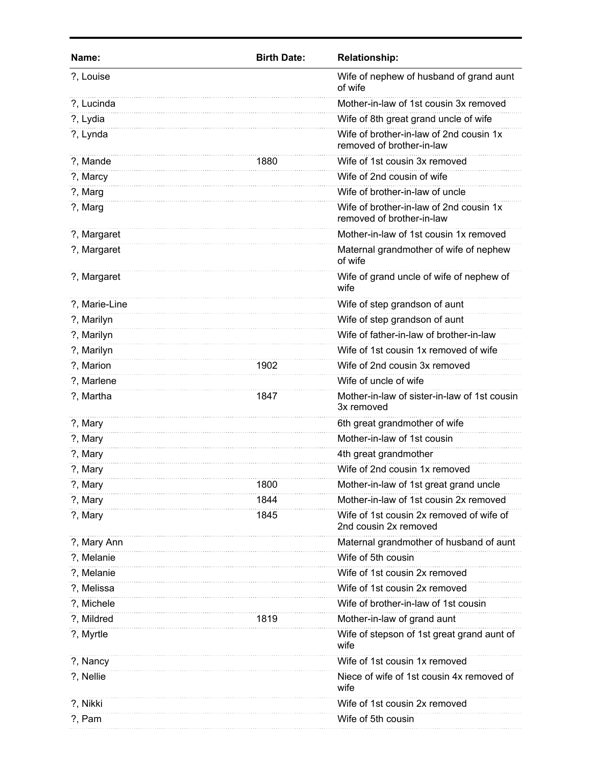| Name:         | <b>Birth Date:</b> | <b>Relationship:</b>                                                 |
|---------------|--------------------|----------------------------------------------------------------------|
| ?, Louise     |                    | Wife of nephew of husband of grand aunt<br>of wife                   |
| ?, Lucinda    |                    | Mother-in-law of 1st cousin 3x removed                               |
| ?, Lydia      |                    | Wife of 8th great grand uncle of wife                                |
| ?, Lynda      |                    | Wife of brother-in-law of 2nd cousin 1x<br>removed of brother-in-law |
| ?, Mande      | 1880               | Wife of 1st cousin 3x removed                                        |
| ?, Marcy      |                    | Wife of 2nd cousin of wife                                           |
| ?, Marg       |                    | Wife of brother-in-law of uncle                                      |
| ?, Marg       |                    | Wife of brother-in-law of 2nd cousin 1x<br>removed of brother-in-law |
| ?, Margaret   |                    | Mother-in-law of 1st cousin 1x removed                               |
| ?, Margaret   |                    | Maternal grandmother of wife of nephew<br>of wife                    |
| ?, Margaret   |                    | Wife of grand uncle of wife of nephew of<br>wife                     |
| ?, Marie-Line |                    | Wife of step grandson of aunt                                        |
| ?, Marilyn    |                    | Wife of step grandson of aunt                                        |
| ?, Marilyn    |                    | Wife of father-in-law of brother-in-law                              |
| ?, Marilyn    |                    | Wife of 1st cousin 1x removed of wife                                |
| ?, Marion     | 1902               | Wife of 2nd cousin 3x removed                                        |
| ?, Marlene    |                    | Wife of uncle of wife                                                |
| ?, Martha     | 1847               | Mother-in-law of sister-in-law of 1st cousin<br>3x removed           |
| ?, Mary       |                    | 6th great grandmother of wife                                        |
| ?, Mary       |                    | Mother-in-law of 1st cousin                                          |
| ?, Mary       |                    | 4th great grandmother                                                |
| ?, Mary       |                    | Wife of 2nd cousin 1x removed                                        |
| ?, Mary       | 1800               | Mother-in-law of 1st great grand uncle                               |
| ?, Mary       | 1844               | Mother-in-law of 1st cousin 2x removed                               |
| ?, Mary       | 1845               | Wife of 1st cousin 2x removed of wife of<br>2nd cousin 2x removed    |
| ?, Mary Ann   |                    | Maternal grandmother of husband of aunt                              |
| ?, Melanie    |                    | Wife of 5th cousin                                                   |
| ?, Melanie    |                    | Wife of 1st cousin 2x removed                                        |
| ?, Melissa    |                    | Wife of 1st cousin 2x removed                                        |
| ?, Michele    |                    | Wife of brother-in-law of 1st cousin                                 |
| ?, Mildred    | 1819               | Mother-in-law of grand aunt                                          |
| ?, Myrtle     |                    | Wife of stepson of 1st great grand aunt of<br>wife                   |
| ?, Nancy      |                    | Wife of 1st cousin 1x removed                                        |
| ?, Nellie     |                    | Niece of wife of 1st cousin 4x removed of<br>wife                    |
| ?, Nikki      |                    | Wife of 1st cousin 2x removed                                        |
| ?, Pam        |                    | Wife of 5th cousin                                                   |
|               |                    |                                                                      |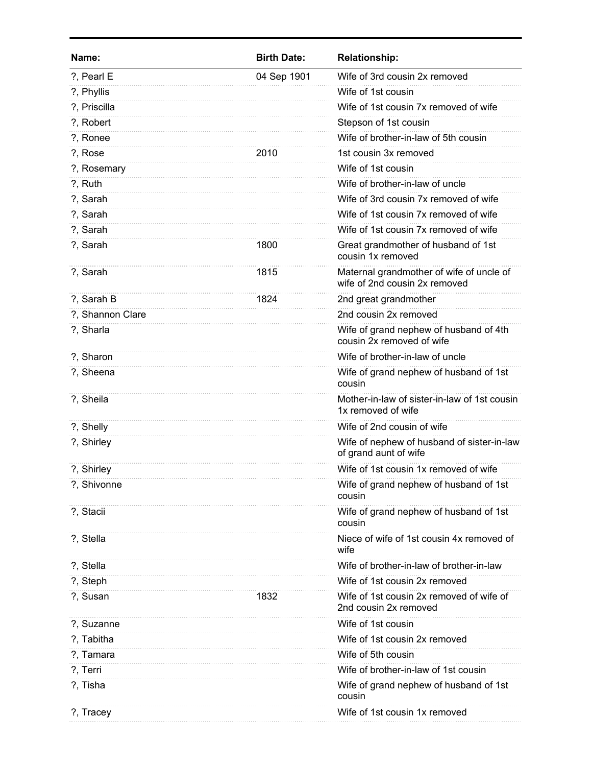| Name:            | <b>Birth Date:</b> | <b>Relationship:</b>                                                      |
|------------------|--------------------|---------------------------------------------------------------------------|
| ?, Pearl E       | 04 Sep 1901        | Wife of 3rd cousin 2x removed                                             |
| ?, Phyllis       |                    | Wife of 1st cousin                                                        |
| ?, Priscilla     |                    | Wife of 1st cousin 7x removed of wife                                     |
| ?, Robert        |                    | Stepson of 1st cousin                                                     |
| ?, Ronee         |                    | Wife of brother-in-law of 5th cousin                                      |
| ?, Rose          | 2010               | 1st cousin 3x removed                                                     |
| ?, Rosemary      |                    | Wife of 1st cousin                                                        |
| ?, Ruth          |                    | Wife of brother-in-law of uncle                                           |
| ?, Sarah         |                    | Wife of 3rd cousin 7x removed of wife                                     |
| ?, Sarah         |                    | Wife of 1st cousin 7x removed of wife                                     |
| ?, Sarah         |                    | Wife of 1st cousin 7x removed of wife                                     |
| ?, Sarah         | 1800               | Great grandmother of husband of 1st<br>cousin 1x removed                  |
| ?, Sarah         | 1815               | Maternal grandmother of wife of uncle of<br>wife of 2nd cousin 2x removed |
| ?, Sarah B       | 1824               | 2nd great grandmother                                                     |
| ?, Shannon Clare |                    | 2nd cousin 2x removed                                                     |
| ?, Sharla        |                    | Wife of grand nephew of husband of 4th<br>cousin 2x removed of wife       |
| ?, Sharon        |                    | Wife of brother-in-law of uncle                                           |
| ?, Sheena        |                    | Wife of grand nephew of husband of 1st<br>cousin                          |
| ?, Sheila        |                    | Mother-in-law of sister-in-law of 1st cousin<br>1x removed of wife        |
| ?, Shelly        |                    | Wife of 2nd cousin of wife                                                |
| ?, Shirley       |                    | Wife of nephew of husband of sister-in-law<br>of grand aunt of wife       |
| ?, Shirley       |                    | Wife of 1st cousin 1x removed of wife                                     |
| ?, Shivonne      |                    | Wife of grand nephew of husband of 1st<br>cousin                          |
| ?, Stacii        |                    | Wife of grand nephew of husband of 1st<br>cousin                          |
| ?, Stella        |                    | Niece of wife of 1st cousin 4x removed of<br>wife                         |
| ?, Stella        |                    | Wife of brother-in-law of brother-in-law                                  |
| ?, Steph         |                    | Wife of 1st cousin 2x removed                                             |
| ?, Susan         | 1832               | Wife of 1st cousin 2x removed of wife of<br>2nd cousin 2x removed         |
| ?, Suzanne       |                    | Wife of 1st cousin                                                        |
| ?, Tabitha       |                    | Wife of 1st cousin 2x removed                                             |
| ?, Tamara        |                    | Wife of 5th cousin                                                        |
| ?, Terri         |                    | Wife of brother-in-law of 1st cousin                                      |
| ?, Tisha         |                    | Wife of grand nephew of husband of 1st<br>cousin                          |
| ?, Tracey        |                    | Wife of 1st cousin 1x removed                                             |
|                  |                    |                                                                           |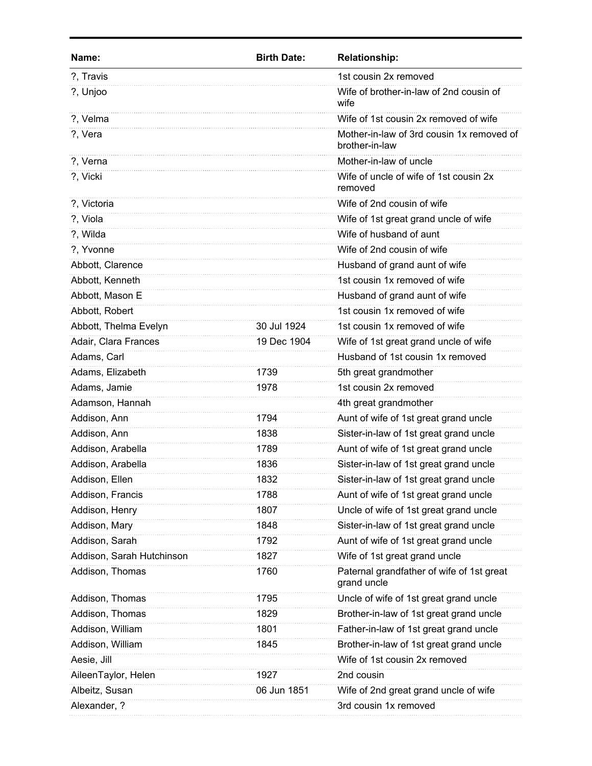| ?, Travis<br>1st cousin 2x removed<br>Wife of brother-in-law of 2nd cousin of<br>?, Unjoo<br>wife<br>Wife of 1st cousin 2x removed of wife<br>?, Velma<br>Mother-in-law of 3rd cousin 1x removed of<br>?, Vera<br>brother-in-law<br>Mother-in-law of uncle<br>?, Verna<br>Wife of uncle of wife of 1st cousin 2x<br>?, Vicki<br>removed<br>Wife of 2nd cousin of wife<br>?, Victoria<br>?, Viola<br>Wife of 1st great grand uncle of wife<br>Wife of husband of aunt<br>?, Wilda<br>?, Yvonne<br>Wife of 2nd cousin of wife<br>Abbott, Clarence<br>Husband of grand aunt of wife<br>Abbott, Kenneth<br>1st cousin 1x removed of wife<br>Abbott, Mason E<br>Husband of grand aunt of wife<br>Abbott, Robert<br>1st cousin 1x removed of wife<br>Abbott, Thelma Evelyn<br>30 Jul 1924<br>1st cousin 1x removed of wife<br>Adair, Clara Frances<br>Wife of 1st great grand uncle of wife<br>19 Dec 1904<br>Husband of 1st cousin 1x removed<br>Adams, Carl<br>Adams, Elizabeth<br>5th great grandmother<br>1739<br>1st cousin 2x removed<br>Adams, Jamie<br>1978<br>Adamson, Hannah<br>4th great grandmother<br>Addison, Ann<br>Aunt of wife of 1st great grand uncle<br>1794<br>Addison, Ann<br>Sister-in-law of 1st great grand uncle<br>1838<br>Aunt of wife of 1st great grand uncle<br>Addison, Arabella<br>1789<br>Addison, Arabella<br>Sister-in-law of 1st great grand uncle<br>1836<br>Addison, Ellen<br>1832<br>Sister-in-law of 1st great grand uncle<br>Aunt of wife of 1st great grand uncle<br>Addison, Francis<br>1788<br>Addison, Henry<br>Uncle of wife of 1st great grand uncle<br>1807<br>1848<br>Sister-in-law of 1st great grand uncle<br>Addison, Mary<br>Addison, Sarah<br>Aunt of wife of 1st great grand uncle<br>1792<br>Addison, Sarah Hutchinson<br>1827<br>Wife of 1st great grand uncle<br>Paternal grandfather of wife of 1st great<br>Addison, Thomas<br>1760<br>grand uncle<br>Uncle of wife of 1st great grand uncle<br>Addison, Thomas<br>1795<br>Addison, Thomas<br>1829<br>Brother-in-law of 1st great grand uncle<br>Addison, William<br>Father-in-law of 1st great grand uncle<br>1801<br>Addison, William<br>Brother-in-law of 1st great grand uncle<br>1845<br>Aesie, Jill<br>Wife of 1st cousin 2x removed<br>AileenTaylor, Helen<br>1927<br>2nd cousin<br>Wife of 2nd great grand uncle of wife<br>Albeitz, Susan<br>06 Jun 1851<br>Alexander, ?<br>3rd cousin 1x removed | Name: | <b>Birth Date:</b> | <b>Relationship:</b> |
|-------------------------------------------------------------------------------------------------------------------------------------------------------------------------------------------------------------------------------------------------------------------------------------------------------------------------------------------------------------------------------------------------------------------------------------------------------------------------------------------------------------------------------------------------------------------------------------------------------------------------------------------------------------------------------------------------------------------------------------------------------------------------------------------------------------------------------------------------------------------------------------------------------------------------------------------------------------------------------------------------------------------------------------------------------------------------------------------------------------------------------------------------------------------------------------------------------------------------------------------------------------------------------------------------------------------------------------------------------------------------------------------------------------------------------------------------------------------------------------------------------------------------------------------------------------------------------------------------------------------------------------------------------------------------------------------------------------------------------------------------------------------------------------------------------------------------------------------------------------------------------------------------------------------------------------------------------------------------------------------------------------------------------------------------------------------------------------------------------------------------------------------------------------------------------------------------------------------------------------------------------------------------------------------------------------------------------------------------------------------------------------------------------------------|-------|--------------------|----------------------|
|                                                                                                                                                                                                                                                                                                                                                                                                                                                                                                                                                                                                                                                                                                                                                                                                                                                                                                                                                                                                                                                                                                                                                                                                                                                                                                                                                                                                                                                                                                                                                                                                                                                                                                                                                                                                                                                                                                                                                                                                                                                                                                                                                                                                                                                                                                                                                                                                                   |       |                    |                      |
|                                                                                                                                                                                                                                                                                                                                                                                                                                                                                                                                                                                                                                                                                                                                                                                                                                                                                                                                                                                                                                                                                                                                                                                                                                                                                                                                                                                                                                                                                                                                                                                                                                                                                                                                                                                                                                                                                                                                                                                                                                                                                                                                                                                                                                                                                                                                                                                                                   |       |                    |                      |
|                                                                                                                                                                                                                                                                                                                                                                                                                                                                                                                                                                                                                                                                                                                                                                                                                                                                                                                                                                                                                                                                                                                                                                                                                                                                                                                                                                                                                                                                                                                                                                                                                                                                                                                                                                                                                                                                                                                                                                                                                                                                                                                                                                                                                                                                                                                                                                                                                   |       |                    |                      |
|                                                                                                                                                                                                                                                                                                                                                                                                                                                                                                                                                                                                                                                                                                                                                                                                                                                                                                                                                                                                                                                                                                                                                                                                                                                                                                                                                                                                                                                                                                                                                                                                                                                                                                                                                                                                                                                                                                                                                                                                                                                                                                                                                                                                                                                                                                                                                                                                                   |       |                    |                      |
|                                                                                                                                                                                                                                                                                                                                                                                                                                                                                                                                                                                                                                                                                                                                                                                                                                                                                                                                                                                                                                                                                                                                                                                                                                                                                                                                                                                                                                                                                                                                                                                                                                                                                                                                                                                                                                                                                                                                                                                                                                                                                                                                                                                                                                                                                                                                                                                                                   |       |                    |                      |
|                                                                                                                                                                                                                                                                                                                                                                                                                                                                                                                                                                                                                                                                                                                                                                                                                                                                                                                                                                                                                                                                                                                                                                                                                                                                                                                                                                                                                                                                                                                                                                                                                                                                                                                                                                                                                                                                                                                                                                                                                                                                                                                                                                                                                                                                                                                                                                                                                   |       |                    |                      |
|                                                                                                                                                                                                                                                                                                                                                                                                                                                                                                                                                                                                                                                                                                                                                                                                                                                                                                                                                                                                                                                                                                                                                                                                                                                                                                                                                                                                                                                                                                                                                                                                                                                                                                                                                                                                                                                                                                                                                                                                                                                                                                                                                                                                                                                                                                                                                                                                                   |       |                    |                      |
|                                                                                                                                                                                                                                                                                                                                                                                                                                                                                                                                                                                                                                                                                                                                                                                                                                                                                                                                                                                                                                                                                                                                                                                                                                                                                                                                                                                                                                                                                                                                                                                                                                                                                                                                                                                                                                                                                                                                                                                                                                                                                                                                                                                                                                                                                                                                                                                                                   |       |                    |                      |
|                                                                                                                                                                                                                                                                                                                                                                                                                                                                                                                                                                                                                                                                                                                                                                                                                                                                                                                                                                                                                                                                                                                                                                                                                                                                                                                                                                                                                                                                                                                                                                                                                                                                                                                                                                                                                                                                                                                                                                                                                                                                                                                                                                                                                                                                                                                                                                                                                   |       |                    |                      |
|                                                                                                                                                                                                                                                                                                                                                                                                                                                                                                                                                                                                                                                                                                                                                                                                                                                                                                                                                                                                                                                                                                                                                                                                                                                                                                                                                                                                                                                                                                                                                                                                                                                                                                                                                                                                                                                                                                                                                                                                                                                                                                                                                                                                                                                                                                                                                                                                                   |       |                    |                      |
|                                                                                                                                                                                                                                                                                                                                                                                                                                                                                                                                                                                                                                                                                                                                                                                                                                                                                                                                                                                                                                                                                                                                                                                                                                                                                                                                                                                                                                                                                                                                                                                                                                                                                                                                                                                                                                                                                                                                                                                                                                                                                                                                                                                                                                                                                                                                                                                                                   |       |                    |                      |
|                                                                                                                                                                                                                                                                                                                                                                                                                                                                                                                                                                                                                                                                                                                                                                                                                                                                                                                                                                                                                                                                                                                                                                                                                                                                                                                                                                                                                                                                                                                                                                                                                                                                                                                                                                                                                                                                                                                                                                                                                                                                                                                                                                                                                                                                                                                                                                                                                   |       |                    |                      |
|                                                                                                                                                                                                                                                                                                                                                                                                                                                                                                                                                                                                                                                                                                                                                                                                                                                                                                                                                                                                                                                                                                                                                                                                                                                                                                                                                                                                                                                                                                                                                                                                                                                                                                                                                                                                                                                                                                                                                                                                                                                                                                                                                                                                                                                                                                                                                                                                                   |       |                    |                      |
|                                                                                                                                                                                                                                                                                                                                                                                                                                                                                                                                                                                                                                                                                                                                                                                                                                                                                                                                                                                                                                                                                                                                                                                                                                                                                                                                                                                                                                                                                                                                                                                                                                                                                                                                                                                                                                                                                                                                                                                                                                                                                                                                                                                                                                                                                                                                                                                                                   |       |                    |                      |
|                                                                                                                                                                                                                                                                                                                                                                                                                                                                                                                                                                                                                                                                                                                                                                                                                                                                                                                                                                                                                                                                                                                                                                                                                                                                                                                                                                                                                                                                                                                                                                                                                                                                                                                                                                                                                                                                                                                                                                                                                                                                                                                                                                                                                                                                                                                                                                                                                   |       |                    |                      |
|                                                                                                                                                                                                                                                                                                                                                                                                                                                                                                                                                                                                                                                                                                                                                                                                                                                                                                                                                                                                                                                                                                                                                                                                                                                                                                                                                                                                                                                                                                                                                                                                                                                                                                                                                                                                                                                                                                                                                                                                                                                                                                                                                                                                                                                                                                                                                                                                                   |       |                    |                      |
|                                                                                                                                                                                                                                                                                                                                                                                                                                                                                                                                                                                                                                                                                                                                                                                                                                                                                                                                                                                                                                                                                                                                                                                                                                                                                                                                                                                                                                                                                                                                                                                                                                                                                                                                                                                                                                                                                                                                                                                                                                                                                                                                                                                                                                                                                                                                                                                                                   |       |                    |                      |
|                                                                                                                                                                                                                                                                                                                                                                                                                                                                                                                                                                                                                                                                                                                                                                                                                                                                                                                                                                                                                                                                                                                                                                                                                                                                                                                                                                                                                                                                                                                                                                                                                                                                                                                                                                                                                                                                                                                                                                                                                                                                                                                                                                                                                                                                                                                                                                                                                   |       |                    |                      |
|                                                                                                                                                                                                                                                                                                                                                                                                                                                                                                                                                                                                                                                                                                                                                                                                                                                                                                                                                                                                                                                                                                                                                                                                                                                                                                                                                                                                                                                                                                                                                                                                                                                                                                                                                                                                                                                                                                                                                                                                                                                                                                                                                                                                                                                                                                                                                                                                                   |       |                    |                      |
|                                                                                                                                                                                                                                                                                                                                                                                                                                                                                                                                                                                                                                                                                                                                                                                                                                                                                                                                                                                                                                                                                                                                                                                                                                                                                                                                                                                                                                                                                                                                                                                                                                                                                                                                                                                                                                                                                                                                                                                                                                                                                                                                                                                                                                                                                                                                                                                                                   |       |                    |                      |
|                                                                                                                                                                                                                                                                                                                                                                                                                                                                                                                                                                                                                                                                                                                                                                                                                                                                                                                                                                                                                                                                                                                                                                                                                                                                                                                                                                                                                                                                                                                                                                                                                                                                                                                                                                                                                                                                                                                                                                                                                                                                                                                                                                                                                                                                                                                                                                                                                   |       |                    |                      |
|                                                                                                                                                                                                                                                                                                                                                                                                                                                                                                                                                                                                                                                                                                                                                                                                                                                                                                                                                                                                                                                                                                                                                                                                                                                                                                                                                                                                                                                                                                                                                                                                                                                                                                                                                                                                                                                                                                                                                                                                                                                                                                                                                                                                                                                                                                                                                                                                                   |       |                    |                      |
|                                                                                                                                                                                                                                                                                                                                                                                                                                                                                                                                                                                                                                                                                                                                                                                                                                                                                                                                                                                                                                                                                                                                                                                                                                                                                                                                                                                                                                                                                                                                                                                                                                                                                                                                                                                                                                                                                                                                                                                                                                                                                                                                                                                                                                                                                                                                                                                                                   |       |                    |                      |
|                                                                                                                                                                                                                                                                                                                                                                                                                                                                                                                                                                                                                                                                                                                                                                                                                                                                                                                                                                                                                                                                                                                                                                                                                                                                                                                                                                                                                                                                                                                                                                                                                                                                                                                                                                                                                                                                                                                                                                                                                                                                                                                                                                                                                                                                                                                                                                                                                   |       |                    |                      |
|                                                                                                                                                                                                                                                                                                                                                                                                                                                                                                                                                                                                                                                                                                                                                                                                                                                                                                                                                                                                                                                                                                                                                                                                                                                                                                                                                                                                                                                                                                                                                                                                                                                                                                                                                                                                                                                                                                                                                                                                                                                                                                                                                                                                                                                                                                                                                                                                                   |       |                    |                      |
|                                                                                                                                                                                                                                                                                                                                                                                                                                                                                                                                                                                                                                                                                                                                                                                                                                                                                                                                                                                                                                                                                                                                                                                                                                                                                                                                                                                                                                                                                                                                                                                                                                                                                                                                                                                                                                                                                                                                                                                                                                                                                                                                                                                                                                                                                                                                                                                                                   |       |                    |                      |
|                                                                                                                                                                                                                                                                                                                                                                                                                                                                                                                                                                                                                                                                                                                                                                                                                                                                                                                                                                                                                                                                                                                                                                                                                                                                                                                                                                                                                                                                                                                                                                                                                                                                                                                                                                                                                                                                                                                                                                                                                                                                                                                                                                                                                                                                                                                                                                                                                   |       |                    |                      |
|                                                                                                                                                                                                                                                                                                                                                                                                                                                                                                                                                                                                                                                                                                                                                                                                                                                                                                                                                                                                                                                                                                                                                                                                                                                                                                                                                                                                                                                                                                                                                                                                                                                                                                                                                                                                                                                                                                                                                                                                                                                                                                                                                                                                                                                                                                                                                                                                                   |       |                    |                      |
|                                                                                                                                                                                                                                                                                                                                                                                                                                                                                                                                                                                                                                                                                                                                                                                                                                                                                                                                                                                                                                                                                                                                                                                                                                                                                                                                                                                                                                                                                                                                                                                                                                                                                                                                                                                                                                                                                                                                                                                                                                                                                                                                                                                                                                                                                                                                                                                                                   |       |                    |                      |
|                                                                                                                                                                                                                                                                                                                                                                                                                                                                                                                                                                                                                                                                                                                                                                                                                                                                                                                                                                                                                                                                                                                                                                                                                                                                                                                                                                                                                                                                                                                                                                                                                                                                                                                                                                                                                                                                                                                                                                                                                                                                                                                                                                                                                                                                                                                                                                                                                   |       |                    |                      |
|                                                                                                                                                                                                                                                                                                                                                                                                                                                                                                                                                                                                                                                                                                                                                                                                                                                                                                                                                                                                                                                                                                                                                                                                                                                                                                                                                                                                                                                                                                                                                                                                                                                                                                                                                                                                                                                                                                                                                                                                                                                                                                                                                                                                                                                                                                                                                                                                                   |       |                    |                      |
|                                                                                                                                                                                                                                                                                                                                                                                                                                                                                                                                                                                                                                                                                                                                                                                                                                                                                                                                                                                                                                                                                                                                                                                                                                                                                                                                                                                                                                                                                                                                                                                                                                                                                                                                                                                                                                                                                                                                                                                                                                                                                                                                                                                                                                                                                                                                                                                                                   |       |                    |                      |
|                                                                                                                                                                                                                                                                                                                                                                                                                                                                                                                                                                                                                                                                                                                                                                                                                                                                                                                                                                                                                                                                                                                                                                                                                                                                                                                                                                                                                                                                                                                                                                                                                                                                                                                                                                                                                                                                                                                                                                                                                                                                                                                                                                                                                                                                                                                                                                                                                   |       |                    |                      |
|                                                                                                                                                                                                                                                                                                                                                                                                                                                                                                                                                                                                                                                                                                                                                                                                                                                                                                                                                                                                                                                                                                                                                                                                                                                                                                                                                                                                                                                                                                                                                                                                                                                                                                                                                                                                                                                                                                                                                                                                                                                                                                                                                                                                                                                                                                                                                                                                                   |       |                    |                      |
|                                                                                                                                                                                                                                                                                                                                                                                                                                                                                                                                                                                                                                                                                                                                                                                                                                                                                                                                                                                                                                                                                                                                                                                                                                                                                                                                                                                                                                                                                                                                                                                                                                                                                                                                                                                                                                                                                                                                                                                                                                                                                                                                                                                                                                                                                                                                                                                                                   |       |                    |                      |
|                                                                                                                                                                                                                                                                                                                                                                                                                                                                                                                                                                                                                                                                                                                                                                                                                                                                                                                                                                                                                                                                                                                                                                                                                                                                                                                                                                                                                                                                                                                                                                                                                                                                                                                                                                                                                                                                                                                                                                                                                                                                                                                                                                                                                                                                                                                                                                                                                   |       |                    |                      |
|                                                                                                                                                                                                                                                                                                                                                                                                                                                                                                                                                                                                                                                                                                                                                                                                                                                                                                                                                                                                                                                                                                                                                                                                                                                                                                                                                                                                                                                                                                                                                                                                                                                                                                                                                                                                                                                                                                                                                                                                                                                                                                                                                                                                                                                                                                                                                                                                                   |       |                    |                      |
|                                                                                                                                                                                                                                                                                                                                                                                                                                                                                                                                                                                                                                                                                                                                                                                                                                                                                                                                                                                                                                                                                                                                                                                                                                                                                                                                                                                                                                                                                                                                                                                                                                                                                                                                                                                                                                                                                                                                                                                                                                                                                                                                                                                                                                                                                                                                                                                                                   |       |                    |                      |
|                                                                                                                                                                                                                                                                                                                                                                                                                                                                                                                                                                                                                                                                                                                                                                                                                                                                                                                                                                                                                                                                                                                                                                                                                                                                                                                                                                                                                                                                                                                                                                                                                                                                                                                                                                                                                                                                                                                                                                                                                                                                                                                                                                                                                                                                                                                                                                                                                   |       |                    |                      |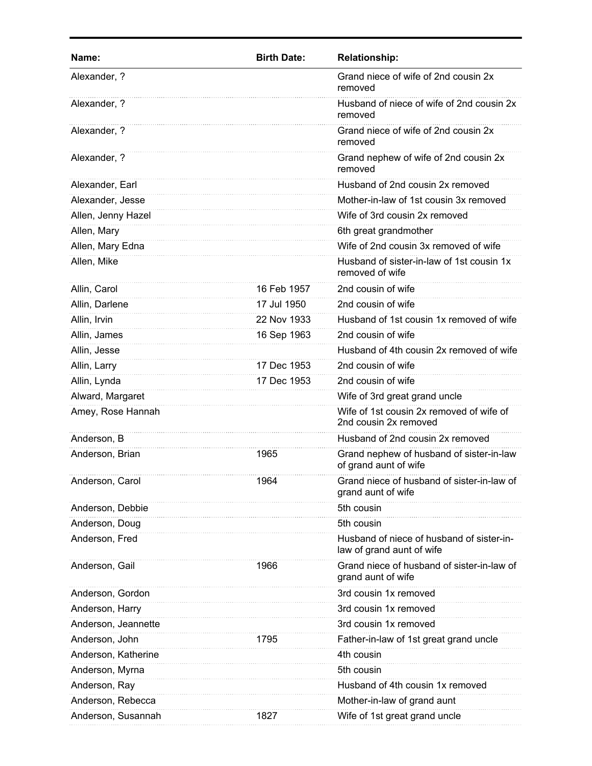| Name:               | <b>Birth Date:</b> | <b>Relationship:</b>                                                   |
|---------------------|--------------------|------------------------------------------------------------------------|
| Alexander, ?        |                    | Grand niece of wife of 2nd cousin 2x<br>removed                        |
| Alexander, ?        |                    | Husband of niece of wife of 2nd cousin 2x<br>removed                   |
| Alexander, ?        |                    | Grand niece of wife of 2nd cousin 2x<br>removed                        |
| Alexander, ?        |                    | Grand nephew of wife of 2nd cousin 2x<br>removed                       |
| Alexander, Earl     |                    | Husband of 2nd cousin 2x removed                                       |
| Alexander, Jesse    |                    | Mother-in-law of 1st cousin 3x removed                                 |
| Allen, Jenny Hazel  |                    | Wife of 3rd cousin 2x removed                                          |
| Allen, Mary         |                    | 6th great grandmother                                                  |
| Allen, Mary Edna    |                    | Wife of 2nd cousin 3x removed of wife                                  |
| Allen, Mike         |                    | Husband of sister-in-law of 1st cousin 1x<br>removed of wife           |
| Allin, Carol        | 16 Feb 1957        | 2nd cousin of wife                                                     |
| Allin, Darlene      | 17 Jul 1950        | 2nd cousin of wife                                                     |
| Allin, Irvin        | 22 Nov 1933        | Husband of 1st cousin 1x removed of wife                               |
| Allin, James        | 16 Sep 1963        | 2nd cousin of wife                                                     |
| Allin, Jesse        |                    | Husband of 4th cousin 2x removed of wife                               |
| Allin, Larry        | 17 Dec 1953        | 2nd cousin of wife                                                     |
| Allin, Lynda        | 17 Dec 1953        | 2nd cousin of wife                                                     |
| Alward, Margaret    |                    | Wife of 3rd great grand uncle                                          |
| Amey, Rose Hannah   |                    | Wife of 1st cousin 2x removed of wife of<br>2nd cousin 2x removed      |
| Anderson, B         |                    | Husband of 2nd cousin 2x removed                                       |
| Anderson, Brian     | 1965               | Grand nephew of husband of sister-in-law<br>of grand aunt of wife      |
| Anderson, Carol     | 1964               | Grand niece of husband of sister-in-law of<br>grand aunt of wife       |
| Anderson, Debbie    |                    | 5th cousin                                                             |
| Anderson, Doug      |                    | 5th cousin                                                             |
| Anderson, Fred      |                    | Husband of niece of husband of sister-in-<br>law of grand aunt of wife |
| Anderson, Gail      | 1966               | Grand niece of husband of sister-in-law of<br>grand aunt of wife       |
| Anderson, Gordon    |                    | 3rd cousin 1x removed                                                  |
| Anderson, Harry     |                    | 3rd cousin 1x removed                                                  |
| Anderson, Jeannette |                    | 3rd cousin 1x removed                                                  |
| Anderson, John      | 1795               | Father-in-law of 1st great grand uncle                                 |
| Anderson, Katherine |                    | 4th cousin                                                             |
| Anderson, Myrna     |                    | 5th cousin                                                             |
| Anderson, Ray       |                    | Husband of 4th cousin 1x removed                                       |
| Anderson, Rebecca   |                    | Mother-in-law of grand aunt                                            |
| Anderson, Susannah  | 1827               | Wife of 1st great grand uncle                                          |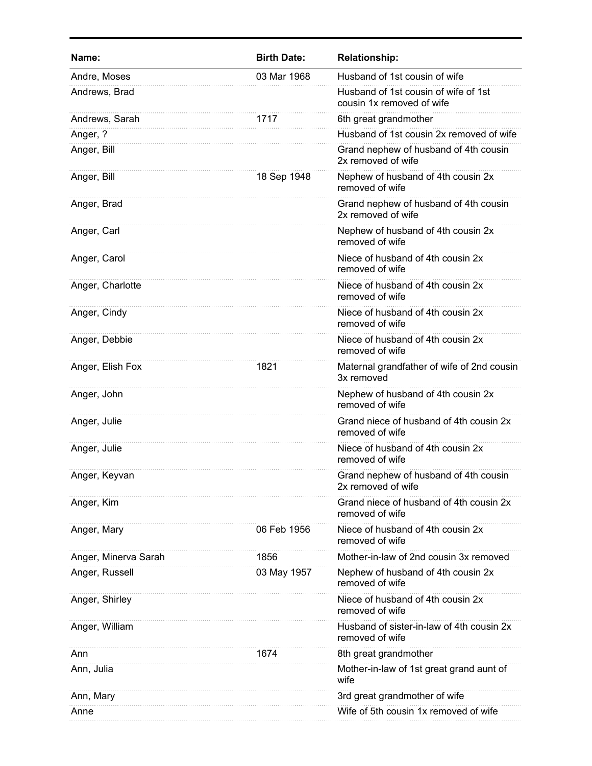| Name:                | <b>Birth Date:</b> | <b>Relationship:</b>                                              |
|----------------------|--------------------|-------------------------------------------------------------------|
| Andre, Moses         | 03 Mar 1968        | Husband of 1st cousin of wife                                     |
| Andrews, Brad        |                    | Husband of 1st cousin of wife of 1st<br>cousin 1x removed of wife |
| Andrews, Sarah       | 1717               | 6th great grandmother                                             |
| Anger, ?             |                    | Husband of 1st cousin 2x removed of wife                          |
| Anger, Bill          |                    | Grand nephew of husband of 4th cousin<br>2x removed of wife       |
| Anger, Bill          | 18 Sep 1948        | Nephew of husband of 4th cousin 2x<br>removed of wife             |
| Anger, Brad          |                    | Grand nephew of husband of 4th cousin<br>2x removed of wife       |
| Anger, Carl          |                    | Nephew of husband of 4th cousin 2x<br>removed of wife             |
| Anger, Carol         |                    | Niece of husband of 4th cousin 2x<br>removed of wife              |
| Anger, Charlotte     |                    | Niece of husband of 4th cousin 2x<br>removed of wife              |
| Anger, Cindy         |                    | Niece of husband of 4th cousin 2x<br>removed of wife              |
| Anger, Debbie        |                    | Niece of husband of 4th cousin 2x<br>removed of wife              |
| Anger, Elish Fox     | 1821               | Maternal grandfather of wife of 2nd cousin<br>3x removed          |
| Anger, John          |                    | Nephew of husband of 4th cousin 2x<br>removed of wife             |
| Anger, Julie         |                    | Grand niece of husband of 4th cousin 2x<br>removed of wife        |
| Anger, Julie         |                    | Niece of husband of 4th cousin 2x<br>removed of wife              |
| Anger, Keyvan        |                    | Grand nephew of husband of 4th cousin<br>2x removed of wife       |
| Anger, Kim           |                    | Grand niece of husband of 4th cousin 2x<br>removed of wife        |
| Anger, Mary          | 06 Feb 1956        | Niece of husband of 4th cousin 2x<br>removed of wife              |
| Anger, Minerva Sarah | 1856               | Mother-in-law of 2nd cousin 3x removed                            |
| Anger, Russell       | 03 May 1957        | Nephew of husband of 4th cousin 2x<br>removed of wife             |
| Anger, Shirley       |                    | Niece of husband of 4th cousin 2x<br>removed of wife              |
| Anger, William       |                    | Husband of sister-in-law of 4th cousin 2x<br>removed of wife      |
| Ann                  | 1674               | 8th great grandmother                                             |
| Ann, Julia           |                    | Mother-in-law of 1st great grand aunt of<br>wife                  |
| Ann, Mary            |                    | 3rd great grandmother of wife                                     |
| Anne                 |                    | Wife of 5th cousin 1x removed of wife                             |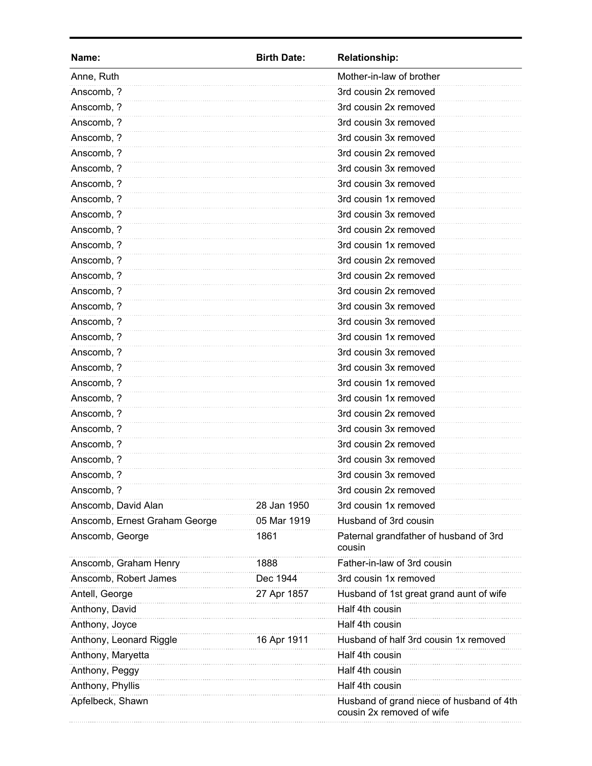| Name:                         | <b>Birth Date:</b> | <b>Relationship:</b>                                                  |
|-------------------------------|--------------------|-----------------------------------------------------------------------|
| Anne, Ruth                    |                    | Mother-in-law of brother                                              |
| Anscomb, ?                    |                    | 3rd cousin 2x removed                                                 |
| Anscomb, ?                    |                    | 3rd cousin 2x removed                                                 |
| Anscomb, ?                    |                    | 3rd cousin 3x removed                                                 |
| Anscomb, ?                    |                    | 3rd cousin 3x removed                                                 |
| Anscomb, ?                    |                    | 3rd cousin 2x removed                                                 |
| Anscomb, ?                    |                    | 3rd cousin 3x removed                                                 |
| Anscomb, ?                    |                    | 3rd cousin 3x removed                                                 |
| Anscomb, ?                    |                    | 3rd cousin 1x removed                                                 |
| Anscomb, ?                    |                    | 3rd cousin 3x removed                                                 |
| Anscomb, ?                    |                    | 3rd cousin 2x removed                                                 |
| Anscomb, ?                    |                    | 3rd cousin 1x removed                                                 |
| Anscomb, ?                    |                    | 3rd cousin 2x removed                                                 |
| Anscomb, ?                    |                    | 3rd cousin 2x removed                                                 |
| Anscomb, ?                    |                    | 3rd cousin 2x removed                                                 |
| Anscomb, ?                    |                    | 3rd cousin 3x removed                                                 |
| Anscomb, ?                    |                    | 3rd cousin 3x removed                                                 |
| Anscomb, ?                    |                    | 3rd cousin 1x removed                                                 |
| Anscomb, ?                    |                    | 3rd cousin 3x removed                                                 |
| Anscomb, ?                    |                    | 3rd cousin 3x removed                                                 |
| Anscomb, ?                    |                    | 3rd cousin 1x removed                                                 |
| Anscomb, ?                    |                    | 3rd cousin 1x removed                                                 |
| Anscomb, ?                    |                    | 3rd cousin 2x removed                                                 |
| Anscomb, ?                    |                    | 3rd cousin 3x removed                                                 |
| Anscomb, ?                    |                    | 3rd cousin 2x removed                                                 |
| Anscomb, ?                    |                    | 3rd cousin 3x removed                                                 |
| Anscomb, ?                    |                    | 3rd cousin 3x removed                                                 |
| Anscomb, ?                    |                    | 3rd cousin 2x removed                                                 |
| Anscomb, David Alan           | 28 Jan 1950        | 3rd cousin 1x removed                                                 |
| Anscomb, Ernest Graham George | 05 Mar 1919        | Husband of 3rd cousin                                                 |
| Anscomb, George               | 1861               | Paternal grandfather of husband of 3rd<br>cousin                      |
| Anscomb, Graham Henry         | 1888               | Father-in-law of 3rd cousin                                           |
| Anscomb, Robert James         | Dec 1944           | 3rd cousin 1x removed                                                 |
| Antell, George                | 27 Apr 1857        | Husband of 1st great grand aunt of wife                               |
| Anthony, David                |                    | Half 4th cousin                                                       |
| Anthony, Joyce                |                    | Half 4th cousin                                                       |
| Anthony, Leonard Riggle       | 16 Apr 1911        | Husband of half 3rd cousin 1x removed                                 |
| Anthony, Maryetta             |                    | Half 4th cousin                                                       |
| Anthony, Peggy                |                    | Half 4th cousin                                                       |
| Anthony, Phyllis              |                    | Half 4th cousin                                                       |
| Apfelbeck, Shawn              |                    | Husband of grand niece of husband of 4th<br>cousin 2x removed of wife |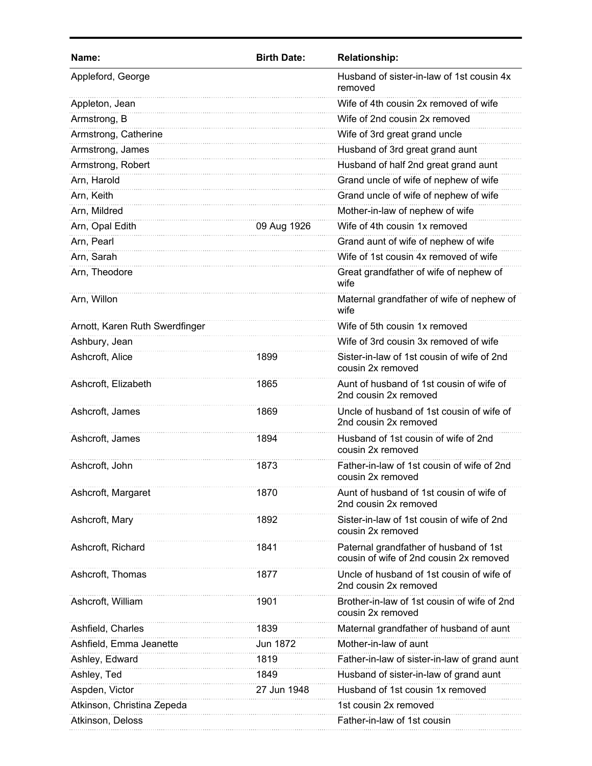| Name:                          | <b>Birth Date:</b> | <b>Relationship:</b>                                                              |
|--------------------------------|--------------------|-----------------------------------------------------------------------------------|
| Appleford, George              |                    | Husband of sister-in-law of 1st cousin 4x<br>removed                              |
| Appleton, Jean                 |                    | Wife of 4th cousin 2x removed of wife                                             |
| Armstrong, B                   |                    | Wife of 2nd cousin 2x removed                                                     |
| Armstrong, Catherine           |                    | Wife of 3rd great grand uncle                                                     |
| Armstrong, James               |                    | Husband of 3rd great grand aunt                                                   |
| Armstrong, Robert              |                    | Husband of half 2nd great grand aunt                                              |
| Arn, Harold                    |                    | Grand uncle of wife of nephew of wife                                             |
| Arn, Keith                     |                    | Grand uncle of wife of nephew of wife                                             |
| Arn, Mildred                   |                    | Mother-in-law of nephew of wife                                                   |
| Arn, Opal Edith                | 09 Aug 1926        | Wife of 4th cousin 1x removed                                                     |
| Arn, Pearl                     |                    | Grand aunt of wife of nephew of wife                                              |
| Arn, Sarah                     |                    | Wife of 1st cousin 4x removed of wife                                             |
| Arn, Theodore                  |                    | Great grandfather of wife of nephew of<br>wife                                    |
| Arn, Willon                    |                    | Maternal grandfather of wife of nephew of<br>wife                                 |
| Arnott, Karen Ruth Swerdfinger |                    | Wife of 5th cousin 1x removed                                                     |
| Ashbury, Jean                  |                    | Wife of 3rd cousin 3x removed of wife                                             |
| Ashcroft, Alice                | 1899               | Sister-in-law of 1st cousin of wife of 2nd<br>cousin 2x removed                   |
| Ashcroft, Elizabeth            | 1865               | Aunt of husband of 1st cousin of wife of<br>2nd cousin 2x removed                 |
| Ashcroft, James                | 1869               | Uncle of husband of 1st cousin of wife of<br>2nd cousin 2x removed                |
| Ashcroft, James                | 1894               | Husband of 1st cousin of wife of 2nd<br>cousin 2x removed                         |
| Ashcroft, John                 | 1873               | Father-in-law of 1st cousin of wife of 2nd<br>cousin 2x removed                   |
| Ashcroft, Margaret             | 1870               | Aunt of husband of 1st cousin of wife of<br>2nd cousin 2x removed                 |
| Ashcroft, Mary                 | 1892               | Sister-in-law of 1st cousin of wife of 2nd<br>cousin 2x removed                   |
| Ashcroft, Richard              | 1841               | Paternal grandfather of husband of 1st<br>cousin of wife of 2nd cousin 2x removed |
| Ashcroft, Thomas               | 1877               | Uncle of husband of 1st cousin of wife of<br>2nd cousin 2x removed                |
| Ashcroft, William              | 1901               | Brother-in-law of 1st cousin of wife of 2nd<br>cousin 2x removed                  |
| Ashfield, Charles              | 1839               | Maternal grandfather of husband of aunt                                           |
| Ashfield, Emma Jeanette        | Jun 1872           | Mother-in-law of aunt                                                             |
| Ashley, Edward                 | 1819               | Father-in-law of sister-in-law of grand aunt                                      |
| Ashley, Ted                    | 1849               | Husband of sister-in-law of grand aunt                                            |
| Aspden, Victor                 | 27 Jun 1948        | Husband of 1st cousin 1x removed                                                  |
| Atkinson, Christina Zepeda     |                    | 1st cousin 2x removed                                                             |
| Atkinson, Deloss               |                    | Father-in-law of 1st cousin                                                       |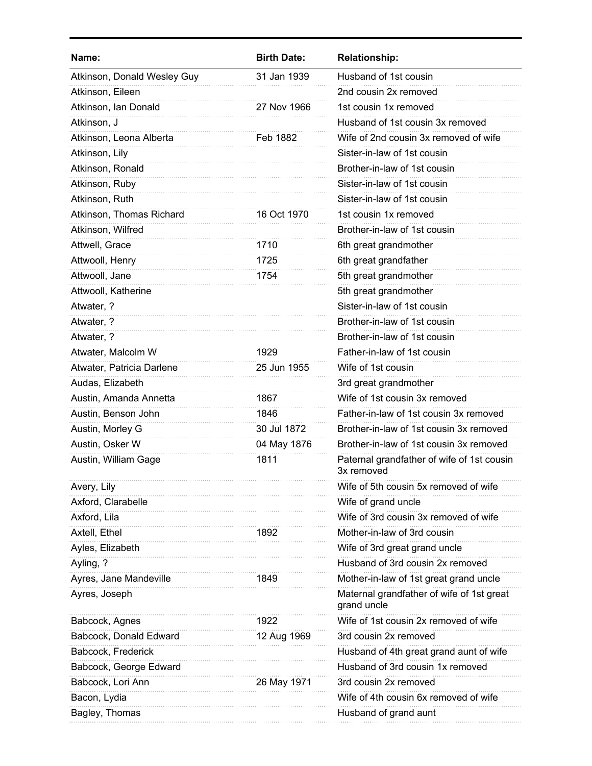| Name:                       | <b>Birth Date:</b> | <b>Relationship:</b>                                     |
|-----------------------------|--------------------|----------------------------------------------------------|
| Atkinson, Donald Wesley Guy | 31 Jan 1939        | Husband of 1st cousin                                    |
| Atkinson, Eileen            |                    | 2nd cousin 2x removed                                    |
| Atkinson, Ian Donald        | 27 Nov 1966        | 1st cousin 1x removed                                    |
| Atkinson, J                 |                    | Husband of 1st cousin 3x removed                         |
| Atkinson, Leona Alberta     | Feb 1882           | Wife of 2nd cousin 3x removed of wife                    |
| Atkinson, Lily              |                    | Sister-in-law of 1st cousin                              |
| Atkinson, Ronald            |                    | Brother-in-law of 1st cousin                             |
| Atkinson, Ruby              |                    | Sister-in-law of 1st cousin                              |
| Atkinson, Ruth              |                    | Sister-in-law of 1st cousin                              |
| Atkinson, Thomas Richard    | 16 Oct 1970        | 1st cousin 1x removed                                    |
| Atkinson, Wilfred           |                    | Brother-in-law of 1st cousin                             |
| Attwell, Grace              | 1710               | 6th great grandmother                                    |
| Attwooll, Henry             | 1725               | 6th great grandfather                                    |
| Attwooll, Jane              | 1754               | 5th great grandmother                                    |
| Attwooll, Katherine         |                    | 5th great grandmother                                    |
| Atwater, ?                  |                    | Sister-in-law of 1st cousin                              |
| Atwater, ?                  |                    | Brother-in-law of 1st cousin                             |
| Atwater, ?                  |                    | Brother-in-law of 1st cousin                             |
| Atwater, Malcolm W          | 1929               | Father-in-law of 1st cousin                              |
| Atwater, Patricia Darlene   | 25 Jun 1955        | Wife of 1st cousin                                       |
| Audas, Elizabeth            |                    | 3rd great grandmother                                    |
| Austin, Amanda Annetta      | 1867               | Wife of 1st cousin 3x removed                            |
| Austin, Benson John         | 1846               | Father-in-law of 1st cousin 3x removed                   |
| Austin, Morley G            | 30 Jul 1872        | Brother-in-law of 1st cousin 3x removed                  |
| Austin, Osker W             | 04 May 1876        | Brother-in-law of 1st cousin 3x removed                  |
| Austin, William Gage        | 1811               | Paternal grandfather of wife of 1st cousin<br>3x removed |
| Avery, Lily                 |                    | Wife of 5th cousin 5x removed of wife                    |
| Axford, Clarabelle          |                    | Wife of grand uncle                                      |
| Axford, Lila                |                    | Wife of 3rd cousin 3x removed of wife                    |
| Axtell, Ethel               | 1892               | Mother-in-law of 3rd cousin                              |
| Ayles, Elizabeth            |                    | Wife of 3rd great grand uncle                            |
| Ayling, ?                   |                    | Husband of 3rd cousin 2x removed                         |
| Ayres, Jane Mandeville      | 1849               | Mother-in-law of 1st great grand uncle                   |
| Ayres, Joseph               |                    | Maternal grandfather of wife of 1st great<br>grand uncle |
| Babcock, Agnes              | 1922               | Wife of 1st cousin 2x removed of wife                    |
| Babcock, Donald Edward      | 12 Aug 1969        | 3rd cousin 2x removed                                    |
| Babcock, Frederick          |                    | Husband of 4th great grand aunt of wife                  |
| Babcock, George Edward      |                    | Husband of 3rd cousin 1x removed                         |
| Babcock, Lori Ann           | 26 May 1971        | 3rd cousin 2x removed                                    |
| Bacon, Lydia                |                    | Wife of 4th cousin 6x removed of wife                    |
| Bagley, Thomas              |                    | Husband of grand aunt                                    |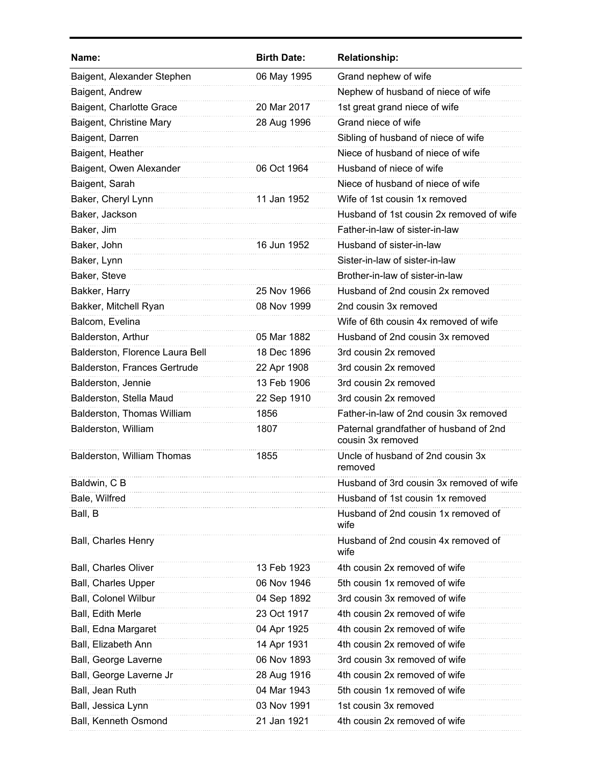| Name:                           | <b>Birth Date:</b> | <b>Relationship:</b>                                        |
|---------------------------------|--------------------|-------------------------------------------------------------|
| Baigent, Alexander Stephen      | 06 May 1995        | Grand nephew of wife                                        |
| Baigent, Andrew                 |                    | Nephew of husband of niece of wife                          |
| Baigent, Charlotte Grace        | 20 Mar 2017        | 1st great grand niece of wife                               |
| Baigent, Christine Mary         | 28 Aug 1996        | Grand niece of wife                                         |
| Baigent, Darren                 |                    | Sibling of husband of niece of wife                         |
| Baigent, Heather                |                    | Niece of husband of niece of wife                           |
| Baigent, Owen Alexander         | 06 Oct 1964        | Husband of niece of wife                                    |
| Baigent, Sarah                  |                    | Niece of husband of niece of wife                           |
| Baker, Cheryl Lynn              | 11 Jan 1952        | Wife of 1st cousin 1x removed                               |
| Baker, Jackson                  |                    | Husband of 1st cousin 2x removed of wife                    |
| Baker, Jim                      |                    | Father-in-law of sister-in-law                              |
| Baker, John                     | 16 Jun 1952        | Husband of sister-in-law                                    |
| Baker, Lynn                     |                    | Sister-in-law of sister-in-law                              |
| Baker, Steve                    |                    | Brother-in-law of sister-in-law                             |
| Bakker, Harry                   | 25 Nov 1966        | Husband of 2nd cousin 2x removed                            |
| Bakker, Mitchell Ryan           | 08 Nov 1999        | 2nd cousin 3x removed                                       |
| Balcom, Evelina                 |                    | Wife of 6th cousin 4x removed of wife                       |
| Balderston, Arthur              | 05 Mar 1882        | Husband of 2nd cousin 3x removed                            |
| Balderston, Florence Laura Bell | 18 Dec 1896        | 3rd cousin 2x removed                                       |
| Balderston, Frances Gertrude    | 22 Apr 1908        | 3rd cousin 2x removed                                       |
| Balderston, Jennie              | 13 Feb 1906        | 3rd cousin 2x removed                                       |
| Balderston, Stella Maud         | 22 Sep 1910        | 3rd cousin 2x removed                                       |
| Balderston, Thomas William      | 1856               | Father-in-law of 2nd cousin 3x removed                      |
| Balderston, William             | 1807               | Paternal grandfather of husband of 2nd<br>cousin 3x removed |
| Balderston, William Thomas      | 1855               | Uncle of husband of 2nd cousin 3x<br>removed                |
| Baldwin, C B                    |                    | Husband of 3rd cousin 3x removed of wife                    |
| Bale, Wilfred                   |                    | Husband of 1st cousin 1x removed                            |
| Ball, B                         |                    | Husband of 2nd cousin 1x removed of<br>wife                 |
| Ball, Charles Henry             |                    | Husband of 2nd cousin 4x removed of<br>wife                 |
| <b>Ball, Charles Oliver</b>     | 13 Feb 1923        | 4th cousin 2x removed of wife                               |
| Ball, Charles Upper             | 06 Nov 1946        | 5th cousin 1x removed of wife                               |
| <b>Ball, Colonel Wilbur</b>     | 04 Sep 1892        | 3rd cousin 3x removed of wife                               |
| Ball, Edith Merle               | 23 Oct 1917        | 4th cousin 2x removed of wife                               |
| Ball, Edna Margaret             | 04 Apr 1925        | 4th cousin 2x removed of wife                               |
| Ball, Elizabeth Ann             | 14 Apr 1931        | 4th cousin 2x removed of wife                               |
| Ball, George Laverne            | 06 Nov 1893        | 3rd cousin 3x removed of wife                               |
| Ball, George Laverne Jr         | 28 Aug 1916        | 4th cousin 2x removed of wife                               |
| Ball, Jean Ruth                 | 04 Mar 1943        | 5th cousin 1x removed of wife                               |
| Ball, Jessica Lynn              | 03 Nov 1991        | 1st cousin 3x removed                                       |
| Ball, Kenneth Osmond            | 21 Jan 1921        | 4th cousin 2x removed of wife                               |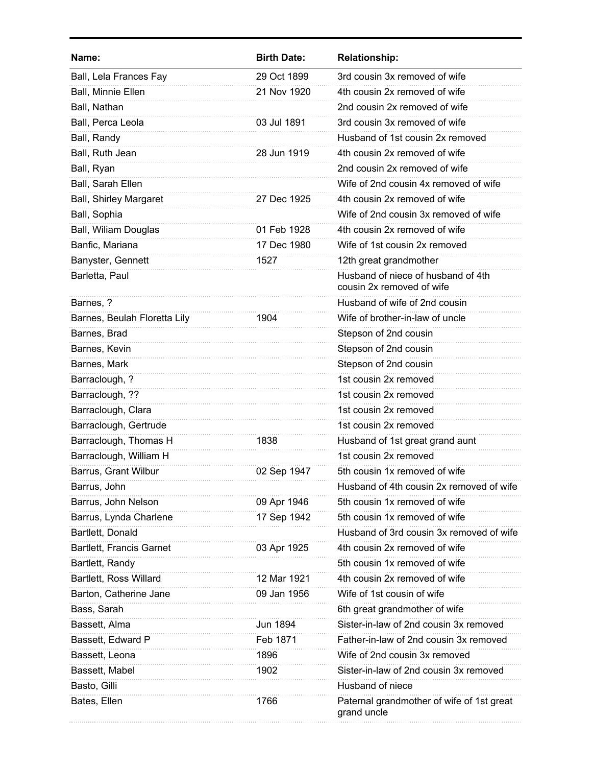| Name:                         | <b>Birth Date:</b> | <b>Relationship:</b>                                            |
|-------------------------------|--------------------|-----------------------------------------------------------------|
| Ball, Lela Frances Fay        | 29 Oct 1899        | 3rd cousin 3x removed of wife                                   |
| Ball, Minnie Ellen            | 21 Nov 1920        | 4th cousin 2x removed of wife                                   |
| Ball, Nathan                  |                    | 2nd cousin 2x removed of wife                                   |
| Ball, Perca Leola             | 03 Jul 1891        | 3rd cousin 3x removed of wife                                   |
| Ball, Randy                   |                    | Husband of 1st cousin 2x removed                                |
| Ball, Ruth Jean               | 28 Jun 1919        | 4th cousin 2x removed of wife                                   |
| Ball, Ryan                    |                    | 2nd cousin 2x removed of wife                                   |
| Ball, Sarah Ellen             |                    | Wife of 2nd cousin 4x removed of wife                           |
| <b>Ball, Shirley Margaret</b> | 27 Dec 1925        | 4th cousin 2x removed of wife                                   |
| Ball, Sophia                  |                    | Wife of 2nd cousin 3x removed of wife                           |
| Ball, Wiliam Douglas          | 01 Feb 1928        | 4th cousin 2x removed of wife                                   |
| Banfic, Mariana               | 17 Dec 1980        | Wife of 1st cousin 2x removed                                   |
| Banyster, Gennett             | 1527               | 12th great grandmother                                          |
| Barletta, Paul                |                    | Husband of niece of husband of 4th<br>cousin 2x removed of wife |
| Barnes, ?                     |                    | Husband of wife of 2nd cousin                                   |
| Barnes, Beulah Floretta Lily  | 1904               | Wife of brother-in-law of uncle                                 |
| Barnes, Brad                  |                    | Stepson of 2nd cousin                                           |
| Barnes, Kevin                 |                    | Stepson of 2nd cousin                                           |
| Barnes, Mark                  |                    | Stepson of 2nd cousin                                           |
| Barraclough, ?                |                    | 1st cousin 2x removed                                           |
| Barraclough, ??               |                    | 1st cousin 2x removed                                           |
| Barraclough, Clara            |                    | 1st cousin 2x removed                                           |
| Barraclough, Gertrude         |                    | 1st cousin 2x removed                                           |
| Barraclough, Thomas H         | 1838               | Husband of 1st great grand aunt                                 |
| Barraclough, William H        |                    | 1st cousin 2x removed                                           |
| Barrus, Grant Wilbur          | 02 Sep 1947        | 5th cousin 1x removed of wife                                   |
| Barrus, John                  |                    | Husband of 4th cousin 2x removed of wife                        |
| Barrus, John Nelson           | 09 Apr 1946        | 5th cousin 1x removed of wife                                   |
| Barrus, Lynda Charlene        | 17 Sep 1942        | 5th cousin 1x removed of wife                                   |
| Bartlett, Donald              |                    | Husband of 3rd cousin 3x removed of wife                        |
| Bartlett, Francis Garnet      | 03 Apr 1925        | 4th cousin 2x removed of wife                                   |
| Bartlett, Randy               |                    | 5th cousin 1x removed of wife                                   |
| Bartlett, Ross Willard        | 12 Mar 1921        | 4th cousin 2x removed of wife                                   |
| Barton, Catherine Jane        | 09 Jan 1956        | Wife of 1st cousin of wife                                      |
| Bass, Sarah                   |                    | 6th great grandmother of wife                                   |
| Bassett, Alma                 | Jun 1894           | Sister-in-law of 2nd cousin 3x removed                          |
| Bassett, Edward P             | Feb 1871           | Father-in-law of 2nd cousin 3x removed                          |
| Bassett, Leona                | 1896               | Wife of 2nd cousin 3x removed                                   |
| Bassett, Mabel                | 1902               | Sister-in-law of 2nd cousin 3x removed                          |
| Basto, Gilli                  |                    | Husband of niece                                                |
| Bates, Ellen                  | 1766               | Paternal grandmother of wife of 1st great<br>grand uncle        |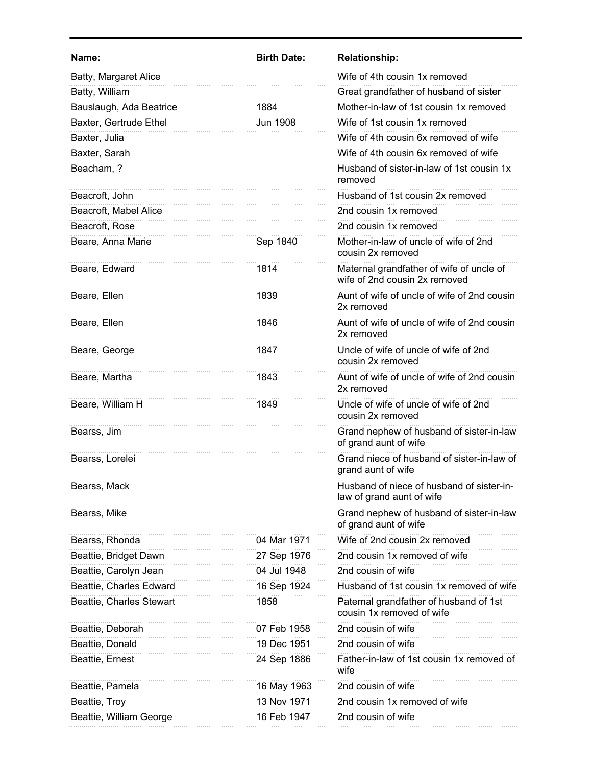| Name:                    | <b>Birth Date:</b> | <b>Relationship:</b>                                                      |
|--------------------------|--------------------|---------------------------------------------------------------------------|
| Batty, Margaret Alice    |                    | Wife of 4th cousin 1x removed                                             |
| Batty, William           |                    | Great grandfather of husband of sister                                    |
| Bauslaugh, Ada Beatrice  | 1884               | Mother-in-law of 1st cousin 1x removed                                    |
| Baxter, Gertrude Ethel   | <b>Jun 1908</b>    | Wife of 1st cousin 1x removed                                             |
| Baxter, Julia            |                    | Wife of 4th cousin 6x removed of wife                                     |
| Baxter, Sarah            |                    | Wife of 4th cousin 6x removed of wife                                     |
| Beacham, ?               |                    | Husband of sister-in-law of 1st cousin 1x<br>removed                      |
| Beacroft, John           |                    | Husband of 1st cousin 2x removed                                          |
| Beacroft, Mabel Alice    |                    | 2nd cousin 1x removed                                                     |
| Beacroft, Rose           |                    | 2nd cousin 1x removed                                                     |
| Beare, Anna Marie        | Sep 1840           | Mother-in-law of uncle of wife of 2nd<br>cousin 2x removed                |
| Beare, Edward            | 1814               | Maternal grandfather of wife of uncle of<br>wife of 2nd cousin 2x removed |
| Beare, Ellen             | 1839               | Aunt of wife of uncle of wife of 2nd cousin<br>2x removed                 |
| Beare, Ellen             | 1846               | Aunt of wife of uncle of wife of 2nd cousin<br>2x removed                 |
| Beare, George            | 1847               | Uncle of wife of uncle of wife of 2nd<br>cousin 2x removed                |
| Beare, Martha            | 1843               | Aunt of wife of uncle of wife of 2nd cousin<br>2x removed                 |
| Beare, William H         | 1849               | Uncle of wife of uncle of wife of 2nd<br>cousin 2x removed                |
| Bearss, Jim              |                    | Grand nephew of husband of sister-in-law<br>of grand aunt of wife         |
| Bearss, Lorelei          |                    | Grand niece of husband of sister-in-law of<br>grand aunt of wife          |
| Bearss, Mack             |                    | Husband of niece of husband of sister-in-<br>law of grand aunt of wife    |
| Bearss, Mike             |                    | Grand nephew of husband of sister-in-law<br>of grand aunt of wife         |
| Bearss, Rhonda           | 04 Mar 1971        | Wife of 2nd cousin 2x removed                                             |
| Beattie, Bridget Dawn    | 27 Sep 1976        | 2nd cousin 1x removed of wife                                             |
| Beattie, Carolyn Jean    | 04 Jul 1948        | 2nd cousin of wife                                                        |
| Beattie, Charles Edward  | 16 Sep 1924        | Husband of 1st cousin 1x removed of wife                                  |
| Beattie, Charles Stewart | 1858               | Paternal grandfather of husband of 1st<br>cousin 1x removed of wife       |
| Beattie, Deborah         | 07 Feb 1958        | 2nd cousin of wife                                                        |
| Beattie, Donald          | 19 Dec 1951        | 2nd cousin of wife                                                        |
| Beattie, Ernest          | 24 Sep 1886        | Father-in-law of 1st cousin 1x removed of<br>wife                         |
| Beattie, Pamela          | 16 May 1963        | 2nd cousin of wife                                                        |
| Beattie, Troy            | 13 Nov 1971        | 2nd cousin 1x removed of wife                                             |
| Beattie, William George  | 16 Feb 1947        | 2nd cousin of wife                                                        |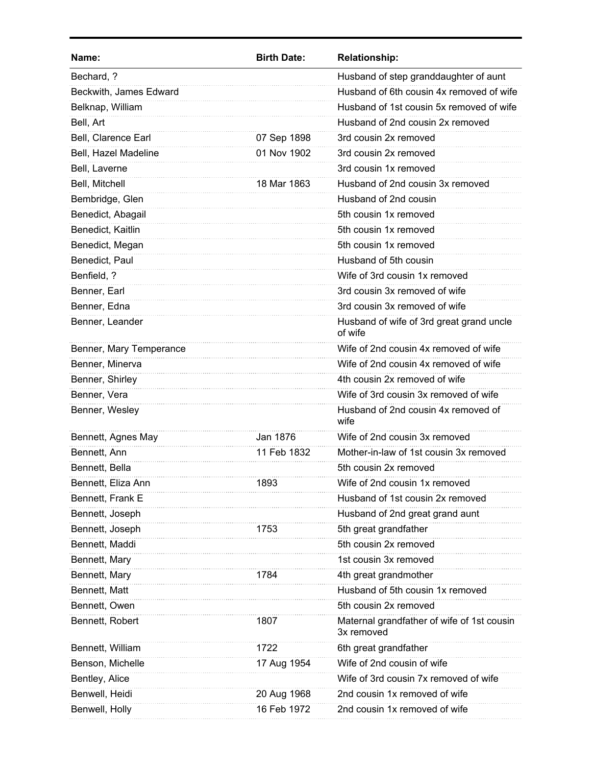| Name:                   | <b>Birth Date:</b> | <b>Relationship:</b>                                     |
|-------------------------|--------------------|----------------------------------------------------------|
| Bechard, ?              |                    | Husband of step granddaughter of aunt                    |
| Beckwith, James Edward  |                    | Husband of 6th cousin 4x removed of wife                 |
| Belknap, William        |                    | Husband of 1st cousin 5x removed of wife                 |
| Bell, Art               |                    | Husband of 2nd cousin 2x removed                         |
| Bell, Clarence Earl     | 07 Sep 1898        | 3rd cousin 2x removed                                    |
| Bell, Hazel Madeline    | 01 Nov 1902        | 3rd cousin 2x removed                                    |
| Bell, Laverne           |                    | 3rd cousin 1x removed                                    |
| Bell, Mitchell          | 18 Mar 1863        | Husband of 2nd cousin 3x removed                         |
| Bembridge, Glen         |                    | Husband of 2nd cousin                                    |
| Benedict, Abagail       |                    | 5th cousin 1x removed                                    |
| Benedict, Kaitlin       |                    | 5th cousin 1x removed                                    |
| Benedict, Megan         |                    | 5th cousin 1x removed                                    |
| Benedict, Paul          |                    | Husband of 5th cousin                                    |
| Benfield, ?             |                    | Wife of 3rd cousin 1x removed                            |
| Benner, Earl            |                    | 3rd cousin 3x removed of wife                            |
| Benner, Edna            |                    | 3rd cousin 3x removed of wife                            |
| Benner, Leander         |                    | Husband of wife of 3rd great grand uncle<br>of wife      |
| Benner, Mary Temperance |                    | Wife of 2nd cousin 4x removed of wife                    |
| Benner, Minerva         |                    | Wife of 2nd cousin 4x removed of wife                    |
| Benner, Shirley         |                    | 4th cousin 2x removed of wife                            |
| Benner, Vera            |                    | Wife of 3rd cousin 3x removed of wife                    |
| Benner, Wesley          |                    | Husband of 2nd cousin 4x removed of<br>wife              |
| Bennett, Agnes May      | Jan 1876           | Wife of 2nd cousin 3x removed                            |
| Bennett, Ann            | 11 Feb 1832        | Mother-in-law of 1st cousin 3x removed                   |
| Bennett, Bella          |                    | 5th cousin 2x removed                                    |
| Bennett, Eliza Ann      | 1893               | Wife of 2nd cousin 1x removed                            |
| Bennett, Frank E        |                    | Husband of 1st cousin 2x removed                         |
| Bennett, Joseph         |                    | Husband of 2nd great grand aunt                          |
| Bennett, Joseph         | 1753               | 5th great grandfather                                    |
| Bennett, Maddi          |                    | 5th cousin 2x removed                                    |
| Bennett, Mary           |                    | 1st cousin 3x removed                                    |
| Bennett, Mary           | 1784               | 4th great grandmother                                    |
| Bennett, Matt           |                    | Husband of 5th cousin 1x removed                         |
| Bennett, Owen           |                    | 5th cousin 2x removed                                    |
| Bennett, Robert         | 1807               | Maternal grandfather of wife of 1st cousin<br>3x removed |
| Bennett, William        | 1722               | 6th great grandfather                                    |
| Benson, Michelle        | 17 Aug 1954        | Wife of 2nd cousin of wife                               |
| Bentley, Alice          |                    | Wife of 3rd cousin 7x removed of wife                    |
| Benwell, Heidi          | 20 Aug 1968        | 2nd cousin 1x removed of wife                            |
| Benwell, Holly          | 16 Feb 1972        | 2nd cousin 1x removed of wife                            |
|                         |                    |                                                          |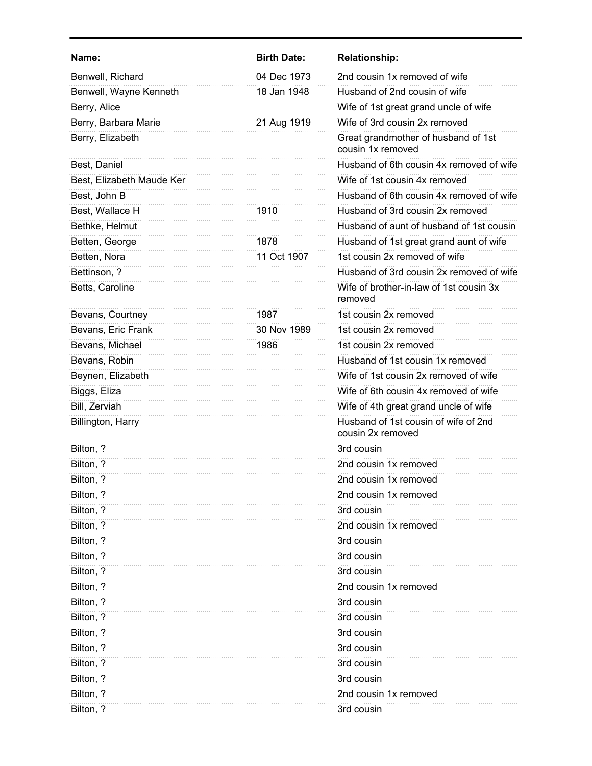| Name:                     | <b>Birth Date:</b> | <b>Relationship:</b>                                      |
|---------------------------|--------------------|-----------------------------------------------------------|
| Benwell, Richard          | 04 Dec 1973        | 2nd cousin 1x removed of wife                             |
| Benwell, Wayne Kenneth    | 18 Jan 1948        | Husband of 2nd cousin of wife                             |
| Berry, Alice              |                    | Wife of 1st great grand uncle of wife                     |
| Berry, Barbara Marie      | 21 Aug 1919        | Wife of 3rd cousin 2x removed                             |
| Berry, Elizabeth          |                    | Great grandmother of husband of 1st<br>cousin 1x removed  |
| Best, Daniel              |                    | Husband of 6th cousin 4x removed of wife                  |
| Best, Elizabeth Maude Ker |                    | Wife of 1st cousin 4x removed                             |
| Best, John B              |                    | Husband of 6th cousin 4x removed of wife                  |
| Best, Wallace H           | 1910               | Husband of 3rd cousin 2x removed                          |
| Bethke, Helmut            |                    | Husband of aunt of husband of 1st cousin                  |
| Betten, George            | 1878               | Husband of 1st great grand aunt of wife                   |
| Betten, Nora              | 11 Oct 1907        | 1st cousin 2x removed of wife                             |
| Bettinson, ?              |                    | Husband of 3rd cousin 2x removed of wife                  |
| Betts, Caroline           |                    | Wife of brother-in-law of 1st cousin 3x<br>removed        |
| Bevans, Courtney          | 1987               | 1st cousin 2x removed                                     |
| Bevans, Eric Frank        | 30 Nov 1989        | 1st cousin 2x removed                                     |
| Bevans, Michael           | 1986               | 1st cousin 2x removed                                     |
| Bevans, Robin             |                    | Husband of 1st cousin 1x removed                          |
| Beynen, Elizabeth         |                    | Wife of 1st cousin 2x removed of wife                     |
| Biggs, Eliza              |                    | Wife of 6th cousin 4x removed of wife                     |
| Bill, Zerviah             |                    | Wife of 4th great grand uncle of wife                     |
| Billington, Harry         |                    | Husband of 1st cousin of wife of 2nd<br>cousin 2x removed |
| Bilton, ?                 |                    | 3rd cousin                                                |
| Bilton, ?                 |                    | 2nd cousin 1x removed                                     |
| Bilton, ?                 |                    | 2nd cousin 1x removed                                     |
| Bilton, ?                 |                    | 2nd cousin 1x removed                                     |
| Bilton, ?                 |                    | 3rd cousin                                                |
| Bilton, ?                 |                    | 2nd cousin 1x removed                                     |
| Bilton, ?                 |                    | 3rd cousin                                                |
| Bilton, ?                 |                    | 3rd cousin                                                |
| Bilton, ?                 |                    | 3rd cousin                                                |
| Bilton, ?                 |                    | 2nd cousin 1x removed                                     |
| Bilton, ?                 |                    | 3rd cousin                                                |
| Bilton, ?                 |                    | 3rd cousin                                                |
| Bilton, ?                 |                    | 3rd cousin                                                |
| Bilton, ?                 |                    | 3rd cousin                                                |
| Bilton, ?                 |                    | 3rd cousin                                                |
| Bilton, ?                 |                    | 3rd cousin                                                |
| Bilton, ?                 |                    | 2nd cousin 1x removed                                     |
| Bilton, ?                 |                    | 3rd cousin                                                |
|                           |                    |                                                           |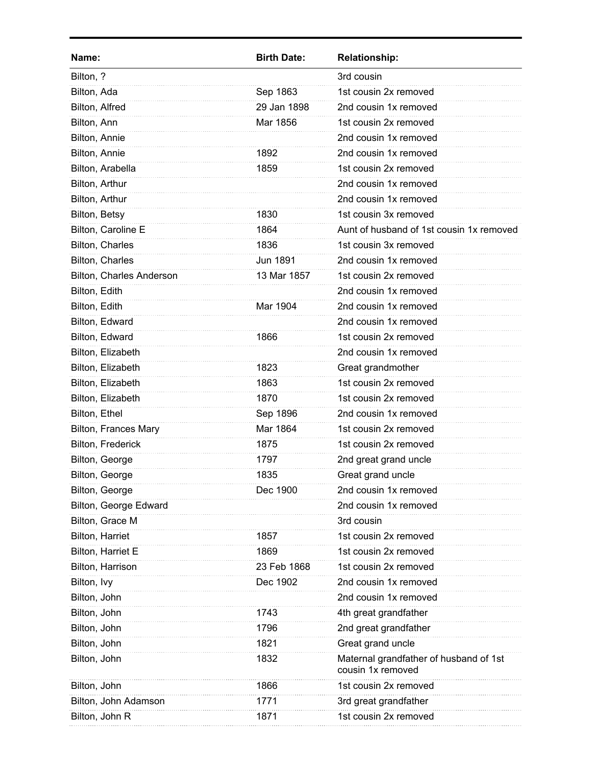| Name:                    | <b>Birth Date:</b> | <b>Relationship:</b>                                        |
|--------------------------|--------------------|-------------------------------------------------------------|
| Bilton, ?                |                    | 3rd cousin                                                  |
| Bilton, Ada              | Sep 1863           | 1st cousin 2x removed                                       |
| Bilton, Alfred           | 29 Jan 1898        | 2nd cousin 1x removed                                       |
| Bilton, Ann              | Mar 1856           | 1st cousin 2x removed                                       |
| Bilton, Annie            |                    | 2nd cousin 1x removed                                       |
| Bilton, Annie            | 1892               | 2nd cousin 1x removed                                       |
| Bilton, Arabella         | 1859               | 1st cousin 2x removed                                       |
| Bilton, Arthur           |                    | 2nd cousin 1x removed                                       |
| Bilton, Arthur           |                    | 2nd cousin 1x removed                                       |
| Bilton, Betsy            | 1830               | 1st cousin 3x removed                                       |
| Bilton, Caroline E       | 1864               | Aunt of husband of 1st cousin 1x removed                    |
| Bilton, Charles          | 1836               | 1st cousin 3x removed                                       |
| Bilton, Charles          | Jun 1891           | 2nd cousin 1x removed                                       |
| Bilton, Charles Anderson | 13 Mar 1857        | 1st cousin 2x removed                                       |
| Bilton, Edith            |                    | 2nd cousin 1x removed                                       |
| Bilton, Edith            | Mar 1904           | 2nd cousin 1x removed                                       |
| Bilton, Edward           |                    | 2nd cousin 1x removed                                       |
| Bilton, Edward           | 1866               | 1st cousin 2x removed                                       |
| Bilton, Elizabeth        |                    | 2nd cousin 1x removed                                       |
| Bilton, Elizabeth        | 1823               | Great grandmother                                           |
| Bilton, Elizabeth        | 1863               | 1st cousin 2x removed                                       |
| Bilton, Elizabeth        | 1870               | 1st cousin 2x removed                                       |
| Bilton, Ethel            | Sep 1896           | 2nd cousin 1x removed                                       |
| Bilton, Frances Mary     | Mar 1864           | 1st cousin 2x removed                                       |
| Bilton, Frederick        | 1875               | 1st cousin 2x removed                                       |
| Bilton, George           | 1797               | 2nd great grand uncle                                       |
| Bilton, George           | 1835               | Great grand uncle                                           |
| Bilton, George           | Dec 1900           | 2nd cousin 1x removed                                       |
| Bilton, George Edward    |                    | 2nd cousin 1x removed                                       |
| Bilton, Grace M          |                    | 3rd cousin                                                  |
| Bilton, Harriet          | 1857               | 1st cousin 2x removed                                       |
| Bilton, Harriet E        | 1869               | 1st cousin 2x removed                                       |
| Bilton, Harrison         | 23 Feb 1868        | 1st cousin 2x removed                                       |
| Bilton, Ivy              | Dec 1902           | 2nd cousin 1x removed                                       |
| Bilton, John             |                    | 2nd cousin 1x removed                                       |
| Bilton, John             | 1743               | 4th great grandfather                                       |
| Bilton, John             | 1796               | 2nd great grandfather                                       |
| Bilton, John             | 1821               | Great grand uncle                                           |
| Bilton, John             | 1832               | Maternal grandfather of husband of 1st<br>cousin 1x removed |
| Bilton, John             | 1866               | 1st cousin 2x removed                                       |
| Bilton, John Adamson     | 1771               | 3rd great grandfather                                       |
| Bilton, John R           | 1871               | 1st cousin 2x removed                                       |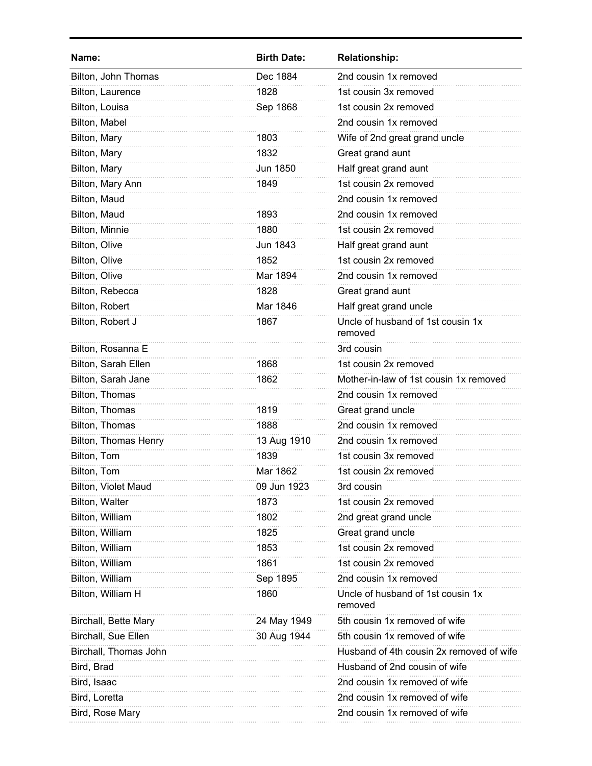| Name:                 | <b>Birth Date:</b> | <b>Relationship:</b>                         |
|-----------------------|--------------------|----------------------------------------------|
| Bilton, John Thomas   | Dec 1884           | 2nd cousin 1x removed                        |
| Bilton, Laurence      | 1828               | 1st cousin 3x removed                        |
| Bilton, Louisa        | Sep 1868           | 1st cousin 2x removed                        |
| Bilton, Mabel         |                    | 2nd cousin 1x removed                        |
| Bilton, Mary          | 1803               | Wife of 2nd great grand uncle                |
| Bilton, Mary          | 1832               | Great grand aunt                             |
| Bilton, Mary          | Jun 1850           | Half great grand aunt                        |
| Bilton, Mary Ann      | 1849               | 1st cousin 2x removed                        |
| Bilton, Maud          |                    | 2nd cousin 1x removed                        |
| Bilton, Maud          | 1893               | 2nd cousin 1x removed                        |
| Bilton, Minnie        | 1880               | 1st cousin 2x removed                        |
| Bilton, Olive         | <b>Jun 1843</b>    | Half great grand aunt                        |
| Bilton, Olive         | 1852               | 1st cousin 2x removed                        |
| Bilton, Olive         | Mar 1894           | 2nd cousin 1x removed                        |
| Bilton, Rebecca       | 1828               | Great grand aunt                             |
| Bilton, Robert        | Mar 1846           | Half great grand uncle                       |
| Bilton, Robert J      | 1867               | Uncle of husband of 1st cousin 1x<br>removed |
| Bilton, Rosanna E     |                    | 3rd cousin                                   |
| Bilton, Sarah Ellen   | 1868               | 1st cousin 2x removed                        |
| Bilton, Sarah Jane    | 1862               | Mother-in-law of 1st cousin 1x removed       |
| Bilton, Thomas        |                    | 2nd cousin 1x removed                        |
| Bilton, Thomas        | 1819               | Great grand uncle                            |
| Bilton, Thomas        | 1888               | 2nd cousin 1x removed                        |
| Bilton, Thomas Henry  | 13 Aug 1910        | 2nd cousin 1x removed                        |
| Bilton, Tom           | 1839               | 1st cousin 3x removed                        |
| Bilton, Tom           | Mar 1862           | 1st cousin 2x removed                        |
| Bilton, Violet Maud   | 09 Jun 1923        | 3rd cousin                                   |
| Bilton, Walter        | 1873               | 1st cousin 2x removed                        |
| Bilton, William       | 1802               | 2nd great grand uncle                        |
| Bilton, William       | 1825               | Great grand uncle                            |
| Bilton, William       | 1853               | 1st cousin 2x removed                        |
| Bilton, William       | 1861               | 1st cousin 2x removed                        |
| Bilton, William       | Sep 1895           | 2nd cousin 1x removed                        |
| Bilton, William H     | 1860               | Uncle of husband of 1st cousin 1x<br>removed |
| Birchall, Bette Mary  | 24 May 1949        | 5th cousin 1x removed of wife                |
| Birchall, Sue Ellen   | 30 Aug 1944        | 5th cousin 1x removed of wife                |
| Birchall, Thomas John |                    | Husband of 4th cousin 2x removed of wife     |
| Bird, Brad            |                    | Husband of 2nd cousin of wife                |
| Bird, Isaac           |                    | 2nd cousin 1x removed of wife                |
| Bird, Loretta         |                    | 2nd cousin 1x removed of wife                |
| Bird, Rose Mary       |                    | 2nd cousin 1x removed of wife                |
|                       |                    |                                              |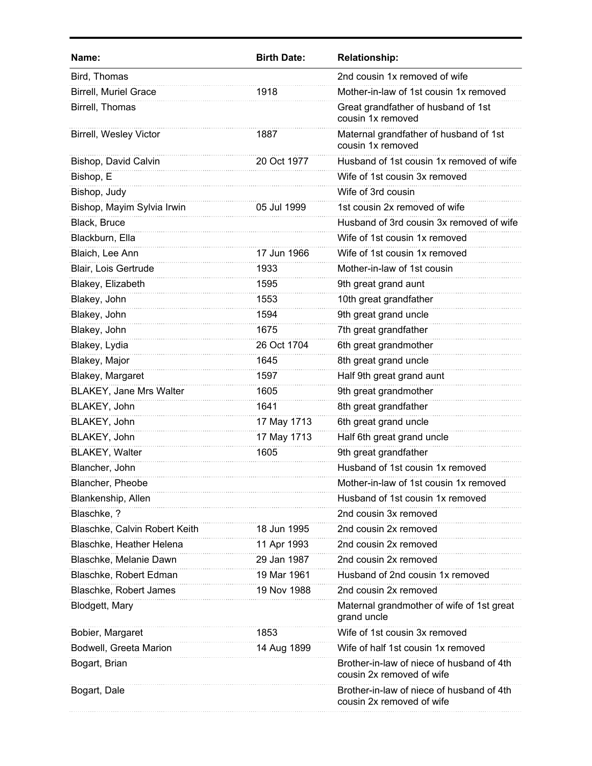| Name:                          | <b>Birth Date:</b> | <b>Relationship:</b>                                                   |
|--------------------------------|--------------------|------------------------------------------------------------------------|
| Bird, Thomas                   |                    | 2nd cousin 1x removed of wife                                          |
| <b>Birrell, Muriel Grace</b>   | 1918               | Mother-in-law of 1st cousin 1x removed                                 |
| Birrell, Thomas                |                    | Great grandfather of husband of 1st<br>cousin 1x removed               |
| <b>Birrell, Wesley Victor</b>  | 1887               | Maternal grandfather of husband of 1st<br>cousin 1x removed            |
| Bishop, David Calvin           | 20 Oct 1977        | Husband of 1st cousin 1x removed of wife                               |
| Bishop, E                      |                    | Wife of 1st cousin 3x removed                                          |
| Bishop, Judy                   |                    | Wife of 3rd cousin                                                     |
| Bishop, Mayim Sylvia Irwin     | 05 Jul 1999        | 1st cousin 2x removed of wife                                          |
| Black, Bruce                   |                    | Husband of 3rd cousin 3x removed of wife                               |
| Blackburn, Ella                |                    | Wife of 1st cousin 1x removed                                          |
| Blaich, Lee Ann                | 17 Jun 1966        | Wife of 1st cousin 1x removed                                          |
| Blair, Lois Gertrude           | 1933               | Mother-in-law of 1st cousin                                            |
| Blakey, Elizabeth              | 1595               | 9th great grand aunt                                                   |
| Blakey, John                   | 1553               | 10th great grandfather                                                 |
| Blakey, John                   | 1594               | 9th great grand uncle                                                  |
| Blakey, John                   | 1675               | 7th great grandfather                                                  |
| Blakey, Lydia                  | 26 Oct 1704        | 6th great grandmother                                                  |
| Blakey, Major                  | 1645               | 8th great grand uncle                                                  |
| Blakey, Margaret               | 1597               | Half 9th great grand aunt                                              |
| <b>BLAKEY, Jane Mrs Walter</b> | 1605               | 9th great grandmother                                                  |
| BLAKEY, John                   | 1641               | 8th great grandfather                                                  |
| BLAKEY, John                   | 17 May 1713        | 6th great grand uncle                                                  |
| BLAKEY, John                   | 17 May 1713        | Half 6th great grand uncle                                             |
| <b>BLAKEY, Walter</b>          | 1605               | 9th great grandfather                                                  |
| Blancher, John                 |                    | Husband of 1st cousin 1x removed                                       |
| Blancher, Pheobe               |                    | Mother-in-law of 1st cousin 1x removed                                 |
| Blankenship, Allen             |                    | Husband of 1st cousin 1x removed                                       |
| Blaschke, ?                    |                    | 2nd cousin 3x removed                                                  |
| Blaschke, Calvin Robert Keith  | 18 Jun 1995        | 2nd cousin 2x removed                                                  |
| Blaschke, Heather Helena       | 11 Apr 1993        | 2nd cousin 2x removed                                                  |
| Blaschke, Melanie Dawn         | 29 Jan 1987        | 2nd cousin 2x removed                                                  |
| Blaschke, Robert Edman         | 19 Mar 1961        | Husband of 2nd cousin 1x removed                                       |
| Blaschke, Robert James         | 19 Nov 1988        | 2nd cousin 2x removed                                                  |
| Blodgett, Mary                 |                    | Maternal grandmother of wife of 1st great<br>grand uncle               |
| Bobier, Margaret               | 1853               | Wife of 1st cousin 3x removed                                          |
| Bodwell, Greeta Marion         | 14 Aug 1899        | Wife of half 1st cousin 1x removed                                     |
| Bogart, Brian                  |                    | Brother-in-law of niece of husband of 4th<br>cousin 2x removed of wife |
| Bogart, Dale                   |                    | Brother-in-law of niece of husband of 4th<br>cousin 2x removed of wife |
|                                |                    |                                                                        |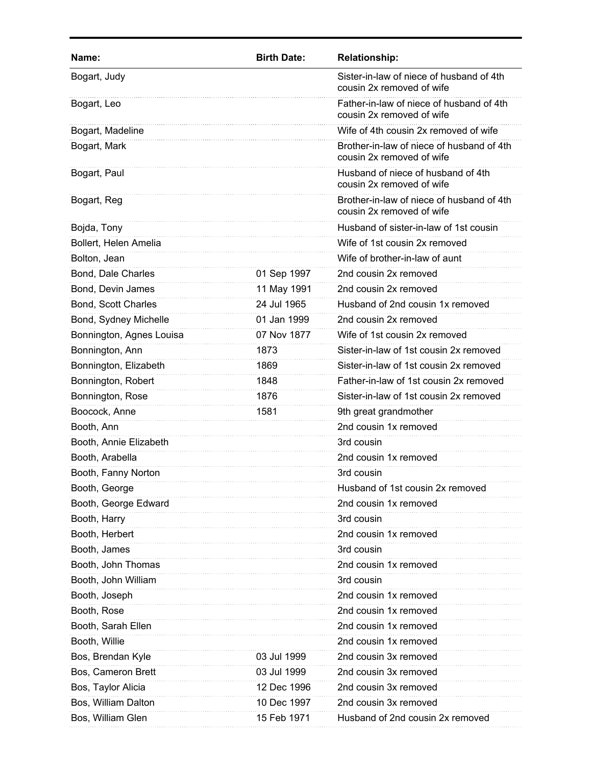| Name:                      | <b>Birth Date:</b> | <b>Relationship:</b>                                                   |
|----------------------------|--------------------|------------------------------------------------------------------------|
| Bogart, Judy               |                    | Sister-in-law of niece of husband of 4th<br>cousin 2x removed of wife  |
| Bogart, Leo                |                    | Father-in-law of niece of husband of 4th<br>cousin 2x removed of wife  |
| Bogart, Madeline           |                    | Wife of 4th cousin 2x removed of wife                                  |
| Bogart, Mark               |                    | Brother-in-law of niece of husband of 4th<br>cousin 2x removed of wife |
| Bogart, Paul               |                    | Husband of niece of husband of 4th<br>cousin 2x removed of wife        |
| Bogart, Reg                |                    | Brother-in-law of niece of husband of 4th<br>cousin 2x removed of wife |
| Bojda, Tony                |                    | Husband of sister-in-law of 1st cousin                                 |
| Bollert, Helen Amelia      |                    | Wife of 1st cousin 2x removed                                          |
| Bolton, Jean               |                    | Wife of brother-in-law of aunt                                         |
| Bond, Dale Charles         | 01 Sep 1997        | 2nd cousin 2x removed                                                  |
| Bond, Devin James          | 11 May 1991        | 2nd cousin 2x removed                                                  |
| <b>Bond, Scott Charles</b> | 24 Jul 1965        | Husband of 2nd cousin 1x removed                                       |
| Bond, Sydney Michelle      | 01 Jan 1999        | 2nd cousin 2x removed                                                  |
| Bonnington, Agnes Louisa   | 07 Nov 1877        | Wife of 1st cousin 2x removed                                          |
| Bonnington, Ann            | 1873               | Sister-in-law of 1st cousin 2x removed                                 |
| Bonnington, Elizabeth      | 1869               | Sister-in-law of 1st cousin 2x removed                                 |
| Bonnington, Robert         | 1848               | Father-in-law of 1st cousin 2x removed                                 |
| Bonnington, Rose           | 1876               | Sister-in-law of 1st cousin 2x removed                                 |
| Boocock, Anne              | 1581               | 9th great grandmother                                                  |
| Booth, Ann                 |                    | 2nd cousin 1x removed                                                  |
| Booth, Annie Elizabeth     |                    | 3rd cousin                                                             |
| Booth, Arabella            |                    | 2nd cousin 1x removed                                                  |
| Booth, Fanny Norton        |                    | 3rd cousin                                                             |
| Booth, George              |                    | Husband of 1st cousin 2x removed                                       |
| Booth, George Edward       |                    | 2nd cousin 1x removed                                                  |
| Booth, Harry               |                    | 3rd cousin                                                             |
| Booth, Herbert             |                    | 2nd cousin 1x removed                                                  |
| Booth, James               |                    | 3rd cousin                                                             |
| Booth, John Thomas         |                    | 2nd cousin 1x removed                                                  |
| Booth, John William        |                    | 3rd cousin                                                             |
| Booth, Joseph              |                    | 2nd cousin 1x removed                                                  |
| Booth, Rose                |                    | 2nd cousin 1x removed                                                  |
| Booth, Sarah Ellen         |                    | 2nd cousin 1x removed                                                  |
| Booth, Willie              |                    | 2nd cousin 1x removed                                                  |
| Bos, Brendan Kyle          | 03 Jul 1999        | 2nd cousin 3x removed                                                  |
| Bos, Cameron Brett         | 03 Jul 1999        | 2nd cousin 3x removed                                                  |
| Bos, Taylor Alicia         | 12 Dec 1996        | 2nd cousin 3x removed                                                  |
| Bos, William Dalton        | 10 Dec 1997        | 2nd cousin 3x removed                                                  |
| Bos, William Glen          | 15 Feb 1971        | Husband of 2nd cousin 2x removed                                       |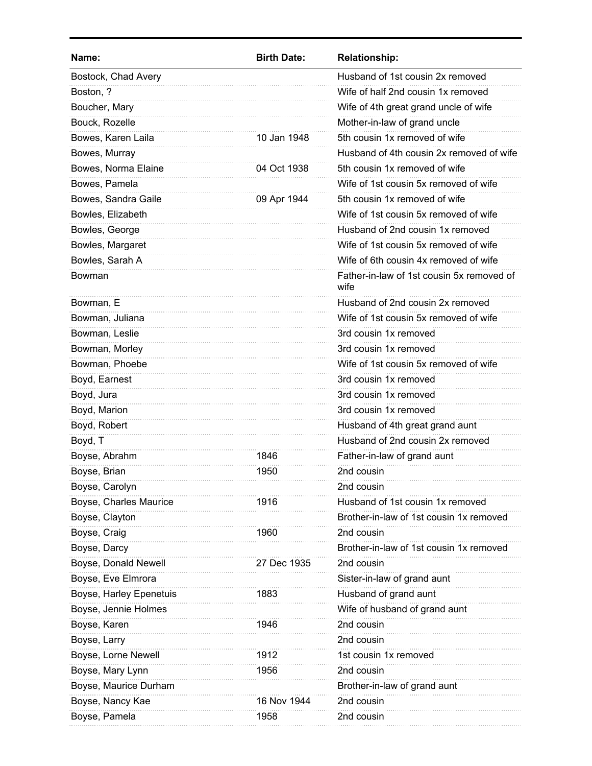| Name:                   | <b>Birth Date:</b> | <b>Relationship:</b>                              |
|-------------------------|--------------------|---------------------------------------------------|
| Bostock, Chad Avery     |                    | Husband of 1st cousin 2x removed                  |
| Boston, ?               |                    | Wife of half 2nd cousin 1x removed                |
| Boucher, Mary           |                    | Wife of 4th great grand uncle of wife             |
| Bouck, Rozelle          |                    | Mother-in-law of grand uncle                      |
| Bowes, Karen Laila      | 10 Jan 1948        | 5th cousin 1x removed of wife                     |
| Bowes, Murray           |                    | Husband of 4th cousin 2x removed of wife          |
| Bowes, Norma Elaine     | 04 Oct 1938        | 5th cousin 1x removed of wife                     |
| Bowes, Pamela           |                    | Wife of 1st cousin 5x removed of wife             |
| Bowes, Sandra Gaile     | 09 Apr 1944        | 5th cousin 1x removed of wife                     |
| Bowles, Elizabeth       |                    | Wife of 1st cousin 5x removed of wife             |
| Bowles, George          |                    | Husband of 2nd cousin 1x removed                  |
| Bowles, Margaret        |                    | Wife of 1st cousin 5x removed of wife             |
| Bowles, Sarah A         |                    | Wife of 6th cousin 4x removed of wife             |
| Bowman                  |                    | Father-in-law of 1st cousin 5x removed of<br>wife |
| Bowman, E               |                    | Husband of 2nd cousin 2x removed                  |
| Bowman, Juliana         |                    | Wife of 1st cousin 5x removed of wife             |
| Bowman, Leslie          |                    | 3rd cousin 1x removed                             |
| Bowman, Morley          |                    | 3rd cousin 1x removed                             |
| Bowman, Phoebe          |                    | Wife of 1st cousin 5x removed of wife             |
| Boyd, Earnest           |                    | 3rd cousin 1x removed                             |
| Boyd, Jura              |                    | 3rd cousin 1x removed                             |
| Boyd, Marion            |                    | 3rd cousin 1x removed                             |
| Boyd, Robert            |                    | Husband of 4th great grand aunt                   |
| Boyd, T                 |                    | Husband of 2nd cousin 2x removed                  |
| Boyse, Abrahm           | 1846               | Father-in-law of grand aunt                       |
| Boyse, Brian            | 1950               | 2nd cousin                                        |
| Boyse, Carolyn          |                    | 2nd cousin                                        |
| Boyse, Charles Maurice  | 1916               | Husband of 1st cousin 1x removed                  |
| Boyse, Clayton          |                    | Brother-in-law of 1st cousin 1x removed           |
| Boyse, Craig            | 1960               | 2nd cousin                                        |
| Boyse, Darcy            |                    | Brother-in-law of 1st cousin 1x removed           |
| Boyse, Donald Newell    | 27 Dec 1935        | 2nd cousin                                        |
| Boyse, Eve Elmrora      |                    | Sister-in-law of grand aunt                       |
| Boyse, Harley Epenetuis | 1883               | Husband of grand aunt                             |
| Boyse, Jennie Holmes    |                    | Wife of husband of grand aunt                     |
| Boyse, Karen            | 1946               | 2nd cousin                                        |
| Boyse, Larry            |                    | 2nd cousin                                        |
| Boyse, Lorne Newell     | 1912               | 1st cousin 1x removed                             |
| Boyse, Mary Lynn        | 1956               | 2nd cousin                                        |
| Boyse, Maurice Durham   |                    | Brother-in-law of grand aunt                      |
| Boyse, Nancy Kae        | 16 Nov 1944        | 2nd cousin                                        |
| Boyse, Pamela           | 1958               | 2nd cousin                                        |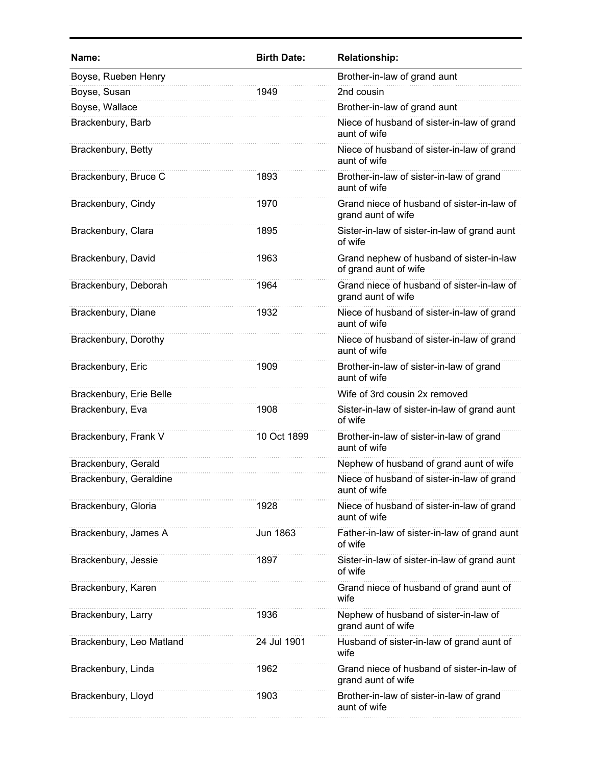| Name:                    | <b>Birth Date:</b> | <b>Relationship:</b>                                              |
|--------------------------|--------------------|-------------------------------------------------------------------|
| Boyse, Rueben Henry      |                    | Brother-in-law of grand aunt                                      |
| Boyse, Susan             | 1949               | 2nd cousin                                                        |
| Boyse, Wallace           |                    | Brother-in-law of grand aunt                                      |
| Brackenbury, Barb        |                    | Niece of husband of sister-in-law of grand<br>aunt of wife        |
| Brackenbury, Betty       |                    | Niece of husband of sister-in-law of grand<br>aunt of wife        |
| Brackenbury, Bruce C     | 1893               | Brother-in-law of sister-in-law of grand<br>aunt of wife          |
| Brackenbury, Cindy       | 1970               | Grand niece of husband of sister-in-law of<br>grand aunt of wife  |
| Brackenbury, Clara       | 1895               | Sister-in-law of sister-in-law of grand aunt<br>of wife           |
| Brackenbury, David       | 1963               | Grand nephew of husband of sister-in-law<br>of grand aunt of wife |
| Brackenbury, Deborah     | 1964               | Grand niece of husband of sister-in-law of<br>grand aunt of wife  |
| Brackenbury, Diane       | 1932               | Niece of husband of sister-in-law of grand<br>aunt of wife        |
| Brackenbury, Dorothy     |                    | Niece of husband of sister-in-law of grand<br>aunt of wife        |
| Brackenbury, Eric        | 1909               | Brother-in-law of sister-in-law of grand<br>aunt of wife          |
| Brackenbury, Erie Belle  |                    | Wife of 3rd cousin 2x removed                                     |
| Brackenbury, Eva         | 1908               | Sister-in-law of sister-in-law of grand aunt<br>of wife           |
| Brackenbury, Frank V     | 10 Oct 1899        | Brother-in-law of sister-in-law of grand<br>aunt of wife          |
| Brackenbury, Gerald      |                    | Nephew of husband of grand aunt of wife                           |
| Brackenbury, Geraldine   |                    | Niece of husband of sister-in-law of grand<br>aunt of wife        |
| Brackenbury, Gloria      | 1928               | Niece of husband of sister-in-law of grand<br>aunt of wife        |
| Brackenbury, James A     | Jun 1863           | Father-in-law of sister-in-law of grand aunt<br>of wife           |
| Brackenbury, Jessie      | 1897               | Sister-in-law of sister-in-law of grand aunt<br>of wife           |
| Brackenbury, Karen       |                    | Grand niece of husband of grand aunt of<br>wife                   |
| Brackenbury, Larry       | 1936               | Nephew of husband of sister-in-law of<br>grand aunt of wife       |
| Brackenbury, Leo Matland | 24 Jul 1901        | Husband of sister-in-law of grand aunt of<br>wife                 |
| Brackenbury, Linda       | 1962               | Grand niece of husband of sister-in-law of<br>grand aunt of wife  |
| Brackenbury, Lloyd       | 1903               | Brother-in-law of sister-in-law of grand<br>aunt of wife          |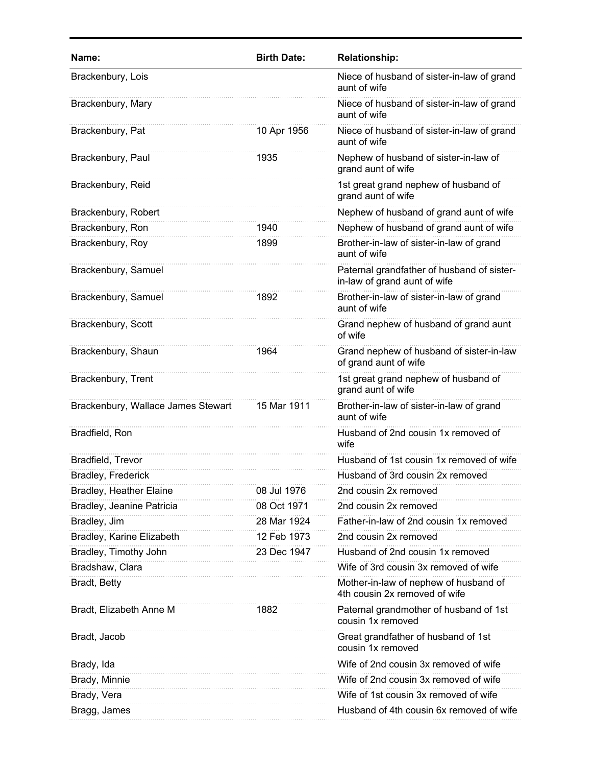| Name:                              | <b>Birth Date:</b> | <b>Relationship:</b>                                                       |
|------------------------------------|--------------------|----------------------------------------------------------------------------|
| Brackenbury, Lois                  |                    | Niece of husband of sister-in-law of grand<br>aunt of wife                 |
| Brackenbury, Mary                  |                    | Niece of husband of sister-in-law of grand<br>aunt of wife                 |
| Brackenbury, Pat                   | 10 Apr 1956        | Niece of husband of sister-in-law of grand<br>aunt of wife                 |
| Brackenbury, Paul                  | 1935               | Nephew of husband of sister-in-law of<br>grand aunt of wife                |
| Brackenbury, Reid                  |                    | 1st great grand nephew of husband of<br>grand aunt of wife                 |
| Brackenbury, Robert                |                    | Nephew of husband of grand aunt of wife                                    |
| Brackenbury, Ron                   | 1940               | Nephew of husband of grand aunt of wife                                    |
| Brackenbury, Roy                   | 1899               | Brother-in-law of sister-in-law of grand<br>aunt of wife                   |
| Brackenbury, Samuel                |                    | Paternal grandfather of husband of sister-<br>in-law of grand aunt of wife |
| Brackenbury, Samuel                | 1892               | Brother-in-law of sister-in-law of grand<br>aunt of wife                   |
| Brackenbury, Scott                 |                    | Grand nephew of husband of grand aunt<br>of wife                           |
| Brackenbury, Shaun                 | 1964               | Grand nephew of husband of sister-in-law<br>of grand aunt of wife          |
| Brackenbury, Trent                 |                    | 1st great grand nephew of husband of<br>grand aunt of wife                 |
| Brackenbury, Wallace James Stewart | 15 Mar 1911        | Brother-in-law of sister-in-law of grand<br>aunt of wife                   |
| Bradfield, Ron                     |                    | Husband of 2nd cousin 1x removed of<br>wife                                |
| Bradfield, Trevor                  |                    | Husband of 1st cousin 1x removed of wife                                   |
| <b>Bradley, Frederick</b>          |                    | Husband of 3rd cousin 2x removed                                           |
| Bradley, Heather Elaine            | 08 Jul 1976        | 2nd cousin 2x removed                                                      |
| Bradley, Jeanine Patricia          | 08 Oct 1971        | 2nd cousin 2x removed                                                      |
| Bradley, Jim                       | 28 Mar 1924        | Father-in-law of 2nd cousin 1x removed                                     |
| Bradley, Karine Elizabeth          | 12 Feb 1973        | 2nd cousin 2x removed                                                      |
| Bradley, Timothy John              | 23 Dec 1947        | Husband of 2nd cousin 1x removed                                           |
| Bradshaw, Clara                    |                    | Wife of 3rd cousin 3x removed of wife                                      |
| Bradt, Betty                       |                    | Mother-in-law of nephew of husband of<br>4th cousin 2x removed of wife     |
| Bradt, Elizabeth Anne M            | 1882               | Paternal grandmother of husband of 1st<br>cousin 1x removed                |
| Bradt, Jacob                       |                    | Great grandfather of husband of 1st<br>cousin 1x removed                   |
| Brady, Ida                         |                    | Wife of 2nd cousin 3x removed of wife                                      |
| Brady, Minnie                      |                    | Wife of 2nd cousin 3x removed of wife                                      |
| Brady, Vera                        |                    | Wife of 1st cousin 3x removed of wife                                      |
| Bragg, James                       |                    | Husband of 4th cousin 6x removed of wife                                   |
|                                    |                    |                                                                            |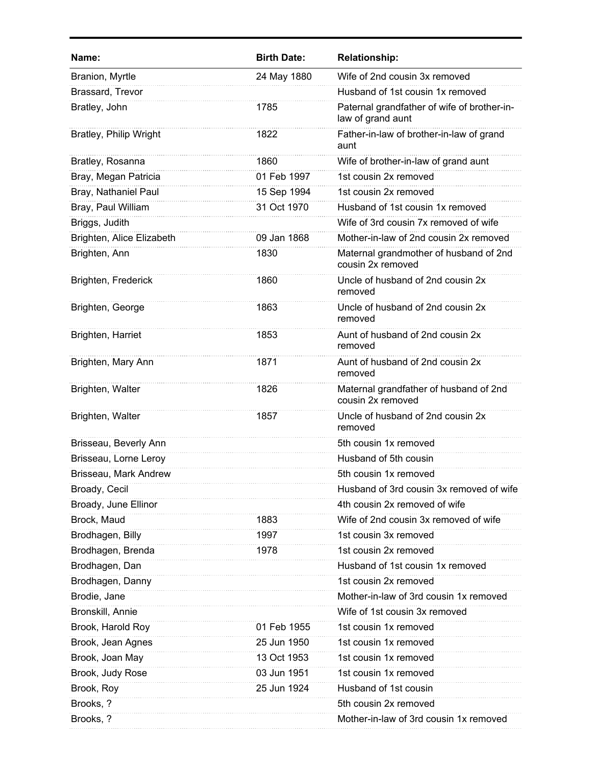| Name:                     | <b>Birth Date:</b> | <b>Relationship:</b>                                             |
|---------------------------|--------------------|------------------------------------------------------------------|
| Branion, Myrtle           | 24 May 1880        | Wife of 2nd cousin 3x removed                                    |
| Brassard, Trevor          |                    | Husband of 1st cousin 1x removed                                 |
| Bratley, John             | 1785               | Paternal grandfather of wife of brother-in-<br>law of grand aunt |
| Bratley, Philip Wright    | 1822               | Father-in-law of brother-in-law of grand<br>aunt                 |
| Bratley, Rosanna          | 1860               | Wife of brother-in-law of grand aunt                             |
| Bray, Megan Patricia      | 01 Feb 1997        | 1st cousin 2x removed                                            |
| Bray, Nathaniel Paul      | 15 Sep 1994        | 1st cousin 2x removed                                            |
| Bray, Paul William        | 31 Oct 1970        | Husband of 1st cousin 1x removed                                 |
| Briggs, Judith            |                    | Wife of 3rd cousin 7x removed of wife                            |
| Brighten, Alice Elizabeth | 09 Jan 1868        | Mother-in-law of 2nd cousin 2x removed                           |
| Brighten, Ann             | 1830               | Maternal grandmother of husband of 2nd<br>cousin 2x removed      |
| Brighten, Frederick       | 1860               | Uncle of husband of 2nd cousin 2x<br>removed                     |
| Brighten, George          | 1863               | Uncle of husband of 2nd cousin 2x<br>removed                     |
| Brighten, Harriet         | 1853               | Aunt of husband of 2nd cousin 2x<br>removed                      |
| Brighten, Mary Ann        | 1871               | Aunt of husband of 2nd cousin 2x<br>removed                      |
| Brighten, Walter          | 1826               | Maternal grandfather of husband of 2nd<br>cousin 2x removed      |
| Brighten, Walter          | 1857               | Uncle of husband of 2nd cousin 2x<br>removed                     |
| Brisseau, Beverly Ann     |                    | 5th cousin 1x removed                                            |
| Brisseau, Lorne Leroy     |                    | Husband of 5th cousin                                            |
| Brisseau, Mark Andrew     |                    | 5th cousin 1x removed                                            |
| Broady, Cecil             |                    | Husband of 3rd cousin 3x removed of wife                         |
| Broady, June Ellinor      |                    | 4th cousin 2x removed of wife                                    |
| Brock, Maud               | 1883               | Wife of 2nd cousin 3x removed of wife                            |
| Brodhagen, Billy          | 1997               | 1st cousin 3x removed                                            |
| Brodhagen, Brenda         | 1978               | 1st cousin 2x removed                                            |
| Brodhagen, Dan            |                    | Husband of 1st cousin 1x removed                                 |
| Brodhagen, Danny          |                    | 1st cousin 2x removed                                            |
| Brodie, Jane              |                    | Mother-in-law of 3rd cousin 1x removed                           |
| Bronskill, Annie          |                    | Wife of 1st cousin 3x removed                                    |
| Brook, Harold Roy         | 01 Feb 1955        | 1st cousin 1x removed                                            |
| Brook, Jean Agnes         | 25 Jun 1950        | 1st cousin 1x removed                                            |
| Brook, Joan May           | 13 Oct 1953        | 1st cousin 1x removed                                            |
| Brook, Judy Rose          | 03 Jun 1951        | 1st cousin 1x removed                                            |
| Brook, Roy                | 25 Jun 1924        | Husband of 1st cousin                                            |
| Brooks, ?                 |                    | 5th cousin 2x removed                                            |
| Brooks, ?                 |                    | Mother-in-law of 3rd cousin 1x removed                           |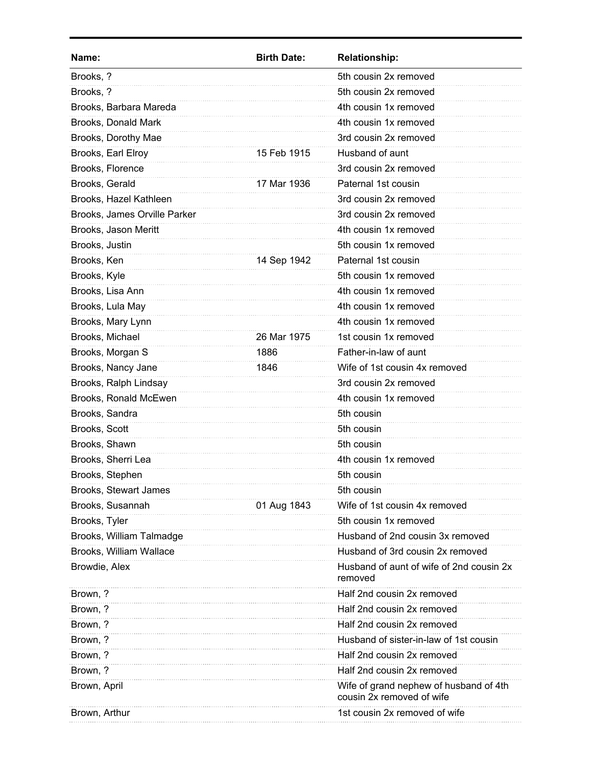| Name:                        | <b>Birth Date:</b> | <b>Relationship:</b>                                                |
|------------------------------|--------------------|---------------------------------------------------------------------|
| Brooks, ?                    |                    | 5th cousin 2x removed                                               |
| Brooks, ?                    |                    | 5th cousin 2x removed                                               |
| Brooks, Barbara Mareda       |                    | 4th cousin 1x removed                                               |
| Brooks, Donald Mark          |                    | 4th cousin 1x removed                                               |
| Brooks, Dorothy Mae          |                    | 3rd cousin 2x removed                                               |
| Brooks, Earl Elroy           | 15 Feb 1915        | Husband of aunt                                                     |
| Brooks, Florence             |                    | 3rd cousin 2x removed                                               |
| Brooks, Gerald               | 17 Mar 1936        | Paternal 1st cousin                                                 |
| Brooks, Hazel Kathleen       |                    | 3rd cousin 2x removed                                               |
| Brooks, James Orville Parker |                    | 3rd cousin 2x removed                                               |
| Brooks, Jason Meritt         |                    | 4th cousin 1x removed                                               |
| Brooks, Justin               |                    | 5th cousin 1x removed                                               |
| Brooks, Ken                  | 14 Sep 1942        | Paternal 1st cousin                                                 |
| Brooks, Kyle                 |                    | 5th cousin 1x removed                                               |
| Brooks, Lisa Ann             |                    | 4th cousin 1x removed                                               |
| Brooks, Lula May             |                    | 4th cousin 1x removed                                               |
| Brooks, Mary Lynn            |                    | 4th cousin 1x removed                                               |
| Brooks, Michael              | 26 Mar 1975        | 1st cousin 1x removed                                               |
| Brooks, Morgan S             | 1886               | Father-in-law of aunt                                               |
| Brooks, Nancy Jane           | 1846               | Wife of 1st cousin 4x removed                                       |
| Brooks, Ralph Lindsay        |                    | 3rd cousin 2x removed                                               |
| Brooks, Ronald McEwen        |                    | 4th cousin 1x removed                                               |
| Brooks, Sandra               |                    | 5th cousin                                                          |
| Brooks, Scott                |                    | 5th cousin                                                          |
| Brooks, Shawn                |                    | 5th cousin                                                          |
| Brooks, Sherri Lea           |                    | 4th cousin 1x removed                                               |
| Brooks, Stephen              |                    | 5th cousin                                                          |
| Brooks, Stewart James        |                    | 5th cousin                                                          |
| Brooks, Susannah             | 01 Aug 1843        | Wife of 1st cousin 4x removed                                       |
| Brooks, Tyler                |                    | 5th cousin 1x removed                                               |
| Brooks, William Talmadge     |                    | Husband of 2nd cousin 3x removed                                    |
| Brooks, William Wallace      |                    | Husband of 3rd cousin 2x removed                                    |
| Browdie, Alex                |                    | Husband of aunt of wife of 2nd cousin 2x<br>removed                 |
| Brown, ?                     |                    | Half 2nd cousin 2x removed                                          |
| Brown, ?                     |                    | Half 2nd cousin 2x removed                                          |
| Brown, ?                     |                    | Half 2nd cousin 2x removed                                          |
| Brown, ?                     |                    | Husband of sister-in-law of 1st cousin                              |
| Brown, ?                     |                    | Half 2nd cousin 2x removed                                          |
| Brown, ?                     |                    | Half 2nd cousin 2x removed                                          |
| Brown, April                 |                    | Wife of grand nephew of husband of 4th<br>cousin 2x removed of wife |
| Brown, Arthur                |                    | 1st cousin 2x removed of wife                                       |
|                              |                    |                                                                     |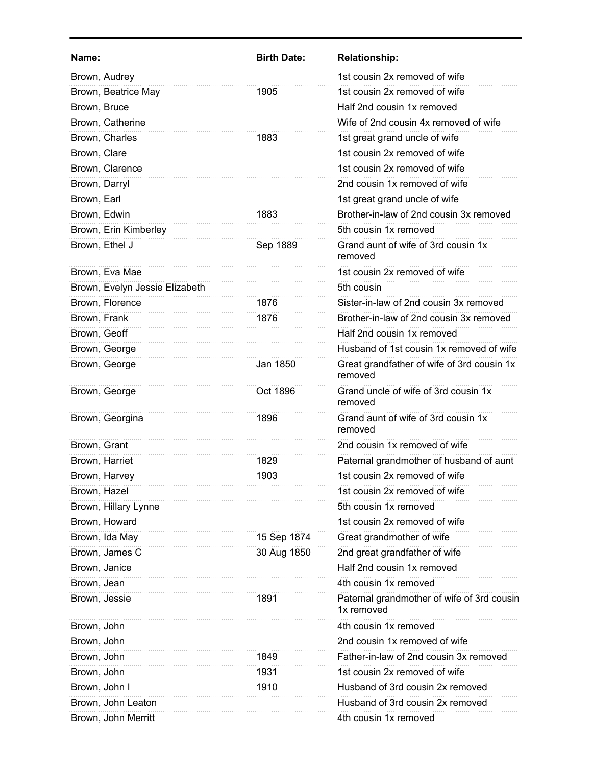| Name:                          | <b>Birth Date:</b> | <b>Relationship:</b>                                     |
|--------------------------------|--------------------|----------------------------------------------------------|
| Brown, Audrey                  |                    | 1st cousin 2x removed of wife                            |
| Brown, Beatrice May            | 1905               | 1st cousin 2x removed of wife                            |
| Brown, Bruce                   |                    | Half 2nd cousin 1x removed                               |
| Brown, Catherine               |                    | Wife of 2nd cousin 4x removed of wife                    |
| Brown, Charles                 | 1883               | 1st great grand uncle of wife                            |
| Brown, Clare                   |                    | 1st cousin 2x removed of wife                            |
| Brown, Clarence                |                    | 1st cousin 2x removed of wife                            |
| Brown, Darryl                  |                    | 2nd cousin 1x removed of wife                            |
| Brown, Earl                    |                    | 1st great grand uncle of wife                            |
| Brown, Edwin                   | 1883               | Brother-in-law of 2nd cousin 3x removed                  |
| Brown, Erin Kimberley          |                    | 5th cousin 1x removed                                    |
| Brown, Ethel J                 | Sep 1889           | Grand aunt of wife of 3rd cousin 1x<br>removed           |
| Brown, Eva Mae                 |                    | 1st cousin 2x removed of wife                            |
| Brown, Evelyn Jessie Elizabeth |                    | 5th cousin                                               |
| Brown, Florence                | 1876               | Sister-in-law of 2nd cousin 3x removed                   |
| Brown, Frank                   | 1876               | Brother-in-law of 2nd cousin 3x removed                  |
| Brown, Geoff                   |                    | Half 2nd cousin 1x removed                               |
| Brown, George                  |                    | Husband of 1st cousin 1x removed of wife                 |
| Brown, George                  | Jan 1850           | Great grandfather of wife of 3rd cousin 1x<br>removed    |
| Brown, George                  | Oct 1896           | Grand uncle of wife of 3rd cousin 1x<br>removed          |
| Brown, Georgina                | 1896               | Grand aunt of wife of 3rd cousin 1x<br>removed           |
| Brown, Grant                   |                    | 2nd cousin 1x removed of wife                            |
| Brown, Harriet                 | 1829               | Paternal grandmother of husband of aunt                  |
| Brown, Harvev                  | 1903               | 1st cousin 2x removed of wife                            |
| Brown, Hazel                   |                    | 1st cousin 2x removed of wife                            |
| Brown, Hillary Lynne           |                    | 5th cousin 1x removed                                    |
| Brown, Howard                  |                    | 1st cousin 2x removed of wife                            |
| Brown, Ida May                 | 15 Sep 1874        | Great grandmother of wife                                |
| Brown, James C                 | 30 Aug 1850        | 2nd great grandfather of wife                            |
| Brown, Janice                  |                    | Half 2nd cousin 1x removed                               |
| Brown, Jean                    |                    | 4th cousin 1x removed                                    |
| Brown, Jessie                  | 1891               | Paternal grandmother of wife of 3rd cousin<br>1x removed |
| Brown, John                    |                    | 4th cousin 1x removed                                    |
| Brown, John                    |                    | 2nd cousin 1x removed of wife                            |
| Brown, John                    | 1849               | Father-in-law of 2nd cousin 3x removed                   |
| Brown, John                    | 1931               | 1st cousin 2x removed of wife                            |
| Brown, John I                  | 1910               | Husband of 3rd cousin 2x removed                         |
| Brown, John Leaton             |                    | Husband of 3rd cousin 2x removed                         |
| Brown, John Merritt            |                    | 4th cousin 1x removed                                    |
|                                |                    |                                                          |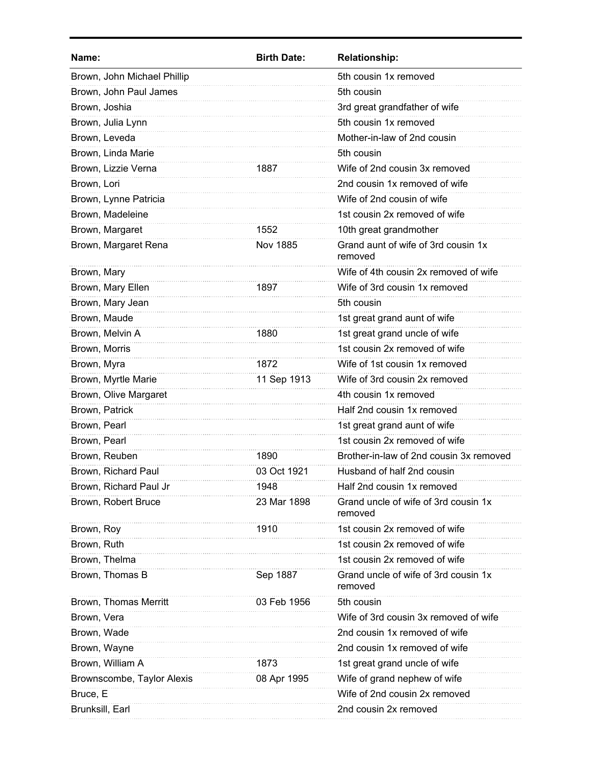| <b>Birth Date:</b> | <b>Relationship:</b>                            |
|--------------------|-------------------------------------------------|
|                    | 5th cousin 1x removed                           |
|                    | 5th cousin                                      |
|                    | 3rd great grandfather of wife                   |
|                    | 5th cousin 1x removed                           |
|                    | Mother-in-law of 2nd cousin                     |
|                    | 5th cousin                                      |
| 1887               | Wife of 2nd cousin 3x removed                   |
|                    | 2nd cousin 1x removed of wife                   |
|                    | Wife of 2nd cousin of wife                      |
|                    | 1st cousin 2x removed of wife                   |
| 1552               | 10th great grandmother                          |
| <b>Nov 1885</b>    | Grand aunt of wife of 3rd cousin 1x<br>removed  |
|                    | Wife of 4th cousin 2x removed of wife           |
| 1897               | Wife of 3rd cousin 1x removed                   |
|                    | 5th cousin                                      |
|                    | 1st great grand aunt of wife                    |
| 1880               | 1st great grand uncle of wife                   |
|                    | 1st cousin 2x removed of wife                   |
| 1872               | Wife of 1st cousin 1x removed                   |
| 11 Sep 1913        | Wife of 3rd cousin 2x removed                   |
|                    | 4th cousin 1x removed                           |
|                    | Half 2nd cousin 1x removed                      |
|                    | 1st great grand aunt of wife                    |
|                    | 1st cousin 2x removed of wife                   |
| 1890               | Brother-in-law of 2nd cousin 3x removed         |
| 03 Oct 1921        | Husband of half 2nd cousin                      |
| 1948               | Half 2nd cousin 1x removed                      |
| 23 Mar 1898        | Grand uncle of wife of 3rd cousin 1x<br>removed |
| 1910               | 1st cousin 2x removed of wife                   |
|                    | 1st cousin 2x removed of wife                   |
|                    | 1st cousin 2x removed of wife                   |
| Sep 1887           | Grand uncle of wife of 3rd cousin 1x<br>removed |
| 03 Feb 1956        | 5th cousin                                      |
|                    | Wife of 3rd cousin 3x removed of wife           |
|                    | 2nd cousin 1x removed of wife                   |
|                    | 2nd cousin 1x removed of wife                   |
| 1873               | 1st great grand uncle of wife                   |
| 08 Apr 1995        | Wife of grand nephew of wife                    |
|                    | Wife of 2nd cousin 2x removed                   |
|                    | 2nd cousin 2x removed                           |
|                    |                                                 |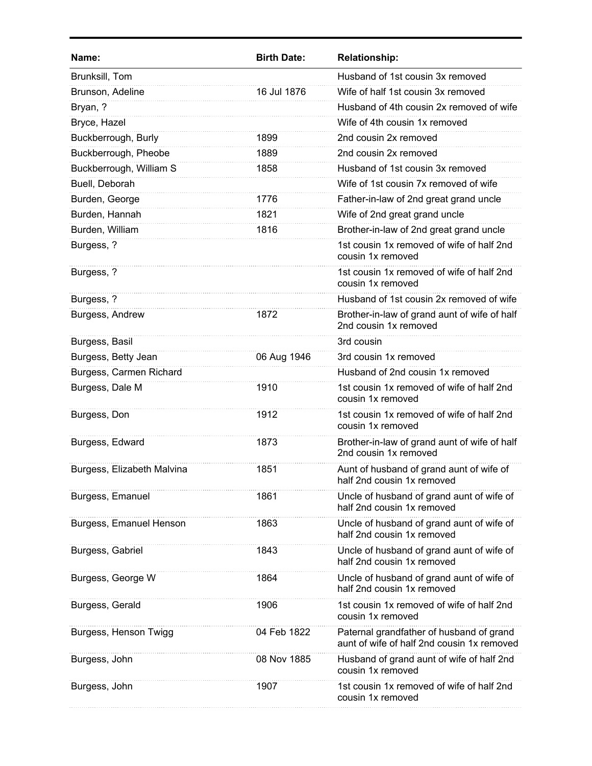| Name:                      | <b>Birth Date:</b> | <b>Relationship:</b>                                                                   |
|----------------------------|--------------------|----------------------------------------------------------------------------------------|
| Brunksill, Tom             |                    | Husband of 1st cousin 3x removed                                                       |
| Brunson, Adeline           | 16 Jul 1876        | Wife of half 1st cousin 3x removed                                                     |
| Bryan, ?                   |                    | Husband of 4th cousin 2x removed of wife                                               |
| Bryce, Hazel               |                    | Wife of 4th cousin 1x removed                                                          |
| Buckberrough, Burly        | 1899               | 2nd cousin 2x removed                                                                  |
| Buckberrough, Pheobe       | 1889               | 2nd cousin 2x removed                                                                  |
| Buckberrough, William S    | 1858               | Husband of 1st cousin 3x removed                                                       |
| Buell, Deborah             |                    | Wife of 1st cousin 7x removed of wife                                                  |
| Burden, George             | 1776               | Father-in-law of 2nd great grand uncle                                                 |
| Burden, Hannah             | 1821               | Wife of 2nd great grand uncle                                                          |
| Burden, William            | 1816               | Brother-in-law of 2nd great grand uncle                                                |
| Burgess, ?                 |                    | 1st cousin 1x removed of wife of half 2nd<br>cousin 1x removed                         |
| Burgess, ?                 |                    | 1st cousin 1x removed of wife of half 2nd<br>cousin 1x removed                         |
| Burgess, ?                 |                    | Husband of 1st cousin 2x removed of wife                                               |
| Burgess, Andrew            | 1872               | Brother-in-law of grand aunt of wife of half<br>2nd cousin 1x removed                  |
| Burgess, Basil             |                    | 3rd cousin                                                                             |
| Burgess, Betty Jean        | 06 Aug 1946        | 3rd cousin 1x removed                                                                  |
| Burgess, Carmen Richard    |                    | Husband of 2nd cousin 1x removed                                                       |
| Burgess, Dale M            | 1910               | 1st cousin 1x removed of wife of half 2nd<br>cousin 1x removed                         |
| Burgess, Don               | 1912               | 1st cousin 1x removed of wife of half 2nd<br>cousin 1x removed                         |
| Burgess, Edward            | 1873               | Brother-in-law of grand aunt of wife of half<br>2nd cousin 1x removed                  |
| Burgess, Elizabeth Malvina | 1851               | Aunt of husband of grand aunt of wife of<br>haif 2nd cousin 1x removed                 |
| Burgess, Emanuel           | 1861               | Uncle of husband of grand aunt of wife of<br>half 2nd cousin 1x removed                |
| Burgess, Emanuel Henson    | 1863               | Uncle of husband of grand aunt of wife of<br>half 2nd cousin 1x removed                |
| Burgess, Gabriel           | 1843               | Uncle of husband of grand aunt of wife of<br>half 2nd cousin 1x removed                |
| Burgess, George W          | 1864               | Uncle of husband of grand aunt of wife of<br>half 2nd cousin 1x removed                |
| Burgess, Gerald            | 1906               | 1st cousin 1x removed of wife of half 2nd<br>cousin 1x removed                         |
| Burgess, Henson Twigg      | 04 Feb 1822        | Paternal grandfather of husband of grand<br>aunt of wife of half 2nd cousin 1x removed |
| Burgess, John              | 08 Nov 1885        | Husband of grand aunt of wife of half 2nd<br>cousin 1x removed                         |
| Burgess, John              | 1907               | 1st cousin 1x removed of wife of half 2nd<br>cousin 1x removed                         |
|                            |                    |                                                                                        |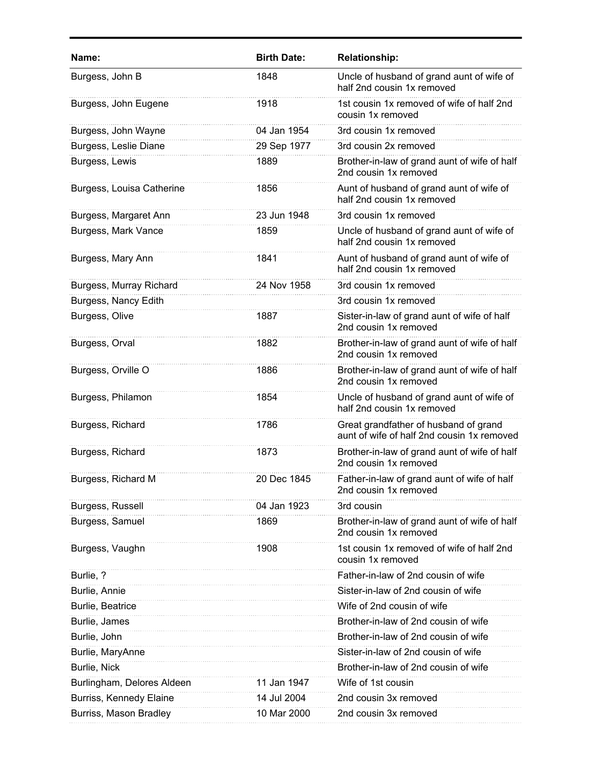| Name:                      | <b>Birth Date:</b> | <b>Relationship:</b>                                                                |
|----------------------------|--------------------|-------------------------------------------------------------------------------------|
| Burgess, John B            | 1848               | Uncle of husband of grand aunt of wife of<br>half 2nd cousin 1x removed             |
| Burgess, John Eugene       | 1918               | 1st cousin 1x removed of wife of half 2nd<br>cousin 1x removed                      |
| Burgess, John Wayne        | 04 Jan 1954        | 3rd cousin 1x removed                                                               |
| Burgess, Leslie Diane      | 29 Sep 1977        | 3rd cousin 2x removed                                                               |
| Burgess, Lewis             | 1889               | Brother-in-law of grand aunt of wife of half<br>2nd cousin 1x removed               |
| Burgess, Louisa Catherine  | 1856               | Aunt of husband of grand aunt of wife of<br>half 2nd cousin 1x removed              |
| Burgess, Margaret Ann      | 23 Jun 1948        | 3rd cousin 1x removed                                                               |
| Burgess, Mark Vance        | 1859               | Uncle of husband of grand aunt of wife of<br>half 2nd cousin 1x removed             |
| Burgess, Mary Ann          | 1841               | Aunt of husband of grand aunt of wife of<br>half 2nd cousin 1x removed              |
| Burgess, Murray Richard    | 24 Nov 1958        | 3rd cousin 1x removed                                                               |
| Burgess, Nancy Edith       |                    | 3rd cousin 1x removed                                                               |
| Burgess, Olive             | 1887               | Sister-in-law of grand aunt of wife of half<br>2nd cousin 1x removed                |
| Burgess, Orval             | 1882               | Brother-in-law of grand aunt of wife of half<br>2nd cousin 1x removed               |
| Burgess, Orville O         | 1886               | Brother-in-law of grand aunt of wife of half<br>2nd cousin 1x removed               |
| Burgess, Philamon          | 1854               | Uncle of husband of grand aunt of wife of<br>half 2nd cousin 1x removed             |
| Burgess, Richard           | 1786               | Great grandfather of husband of grand<br>aunt of wife of half 2nd cousin 1x removed |
| Burgess, Richard           | 1873               | Brother-in-law of grand aunt of wife of half<br>2nd cousin 1x removed               |
| Burgess, Richard M         | 20 Dec 1845        | Father-in-law of grand aunt of wife of half<br>2nd cousin 1x removed                |
| Burgess, Russell           | 04 Jan 1923        | 3rd cousin                                                                          |
| Burgess, Samuel            | 1869               | Brother-in-law of grand aunt of wife of half<br>2nd cousin 1x removed               |
| Burgess, Vaughn            | 1908               | 1st cousin 1x removed of wife of half 2nd<br>cousin 1x removed                      |
| Burlie, ?                  |                    | Father-in-law of 2nd cousin of wife                                                 |
| Burlie, Annie              |                    | Sister-in-law of 2nd cousin of wife                                                 |
| Burlie, Beatrice           |                    | Wife of 2nd cousin of wife                                                          |
| Burlie, James              |                    | Brother-in-law of 2nd cousin of wife                                                |
| Burlie, John               |                    | Brother-in-law of 2nd cousin of wife                                                |
| Burlie, MaryAnne           |                    | Sister-in-law of 2nd cousin of wife                                                 |
| Burlie, Nick               |                    | Brother-in-law of 2nd cousin of wife                                                |
| Burlingham, Delores Aldeen | 11 Jan 1947        | Wife of 1st cousin                                                                  |
| Burriss, Kennedy Elaine    | 14 Jul 2004        | 2nd cousin 3x removed                                                               |
| Burriss, Mason Bradley     | 10 Mar 2000        | 2nd cousin 3x removed                                                               |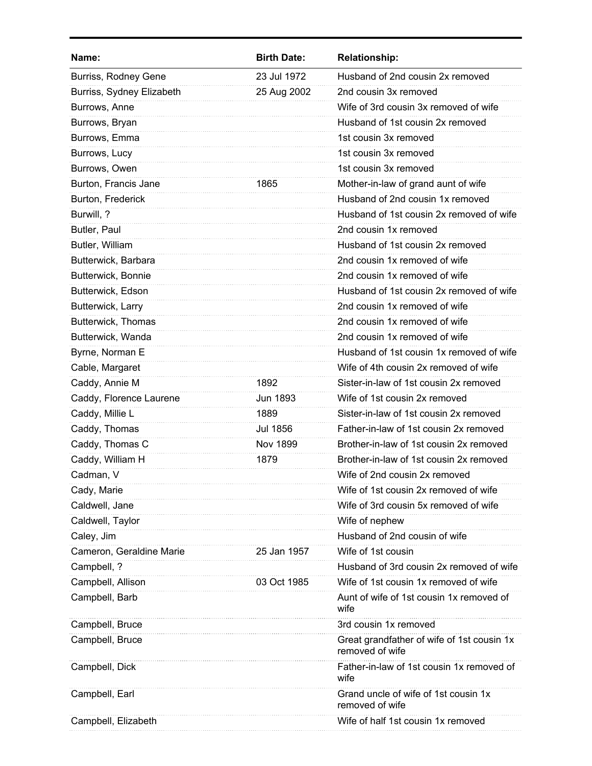| Name:                     | <b>Birth Date:</b> | <b>Relationship:</b>                                          |
|---------------------------|--------------------|---------------------------------------------------------------|
| Burriss, Rodney Gene      | 23 Jul 1972        | Husband of 2nd cousin 2x removed                              |
| Burriss, Sydney Elizabeth | 25 Aug 2002        | 2nd cousin 3x removed                                         |
| Burrows, Anne             |                    | Wife of 3rd cousin 3x removed of wife                         |
| Burrows, Bryan            |                    | Husband of 1st cousin 2x removed                              |
| Burrows, Emma             |                    | 1st cousin 3x removed                                         |
| Burrows, Lucy             |                    | 1st cousin 3x removed                                         |
| Burrows, Owen             |                    | 1st cousin 3x removed                                         |
| Burton, Francis Jane      | 1865               | Mother-in-law of grand aunt of wife                           |
| Burton, Frederick         |                    | Husband of 2nd cousin 1x removed                              |
| Burwill, ?                |                    | Husband of 1st cousin 2x removed of wife                      |
| Butler, Paul              |                    | 2nd cousin 1x removed                                         |
| Butler, William           |                    | Husband of 1st cousin 2x removed                              |
| Butterwick, Barbara       |                    | 2nd cousin 1x removed of wife                                 |
| Butterwick, Bonnie        |                    | 2nd cousin 1x removed of wife                                 |
| Butterwick, Edson         |                    | Husband of 1st cousin 2x removed of wife                      |
| Butterwick, Larry         |                    | 2nd cousin 1x removed of wife                                 |
| Butterwick, Thomas        |                    | 2nd cousin 1x removed of wife                                 |
| Butterwick, Wanda         |                    | 2nd cousin 1x removed of wife                                 |
| Byrne, Norman E           |                    | Husband of 1st cousin 1x removed of wife                      |
| Cable, Margaret           |                    | Wife of 4th cousin 2x removed of wife                         |
| Caddy, Annie M            | 1892               | Sister-in-law of 1st cousin 2x removed                        |
| Caddy, Florence Laurene   | <b>Jun 1893</b>    | Wife of 1st cousin 2x removed                                 |
| Caddy, Millie L           | 1889               | Sister-in-law of 1st cousin 2x removed                        |
| Caddy, Thomas             | Jul 1856           | Father-in-law of 1st cousin 2x removed                        |
| Caddy, Thomas C           | <b>Nov 1899</b>    | Brother-in-law of 1st cousin 2x removed                       |
| Caddy, William H          | 1879               | Brother-in-law of 1st cousin 2x removed                       |
| Cadman, V                 |                    | Wife of 2nd cousin 2x removed                                 |
| Cady, Marie               |                    | Wife of 1st cousin 2x removed of wife                         |
| Caldwell, Jane            |                    | Wife of 3rd cousin 5x removed of wife                         |
| Caldwell, Taylor          |                    | Wife of nephew                                                |
| Caley, Jim                |                    | Husband of 2nd cousin of wife                                 |
| Cameron, Geraldine Marie  | 25 Jan 1957        | Wife of 1st cousin                                            |
| Campbell, ?               |                    | Husband of 3rd cousin 2x removed of wife                      |
| Campbell, Allison         | 03 Oct 1985        | Wife of 1st cousin 1x removed of wife                         |
| Campbell, Barb            |                    | Aunt of wife of 1st cousin 1x removed of<br>wife              |
| Campbell, Bruce           |                    | 3rd cousin 1x removed                                         |
| Campbell, Bruce           |                    | Great grandfather of wife of 1st cousin 1x<br>removed of wife |
| Campbell, Dick            |                    | Father-in-law of 1st cousin 1x removed of<br>wife             |
| Campbell, Earl            |                    | Grand uncle of wife of 1st cousin 1x<br>removed of wife       |
| Campbell, Elizabeth       |                    | Wife of half 1st cousin 1x removed                            |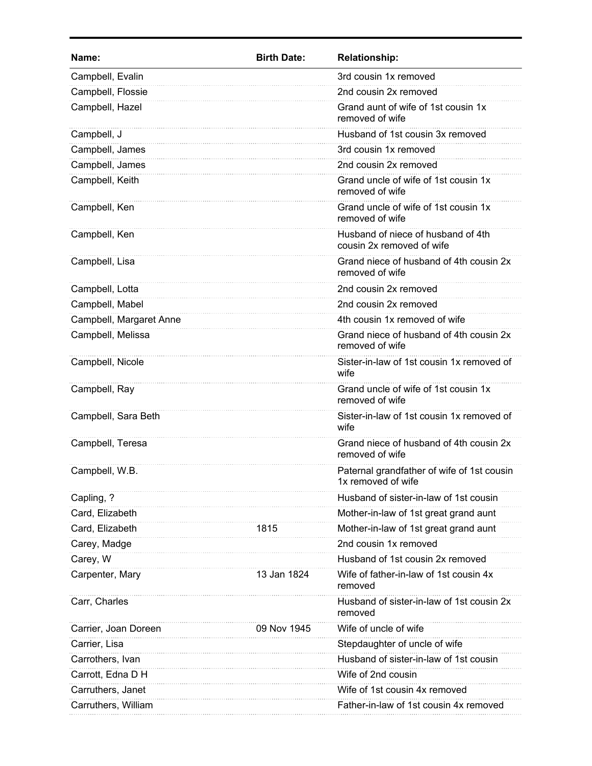| Name:                   | <b>Birth Date:</b> | <b>Relationship:</b>                                             |
|-------------------------|--------------------|------------------------------------------------------------------|
| Campbell, Evalin        |                    | 3rd cousin 1x removed                                            |
| Campbell, Flossie       |                    | 2nd cousin 2x removed                                            |
| Campbell, Hazel         |                    | Grand aunt of wife of 1st cousin 1x<br>removed of wife           |
| Campbell, J             |                    | Husband of 1st cousin 3x removed                                 |
| Campbell, James         |                    | 3rd cousin 1x removed                                            |
| Campbell, James         |                    | 2nd cousin 2x removed                                            |
| Campbell, Keith         |                    | Grand uncle of wife of 1st cousin 1x<br>removed of wife          |
| Campbell, Ken           |                    | Grand uncle of wife of 1st cousin 1x<br>removed of wife          |
| Campbell, Ken           |                    | Husband of niece of husband of 4th<br>cousin 2x removed of wife  |
| Campbell, Lisa          |                    | Grand niece of husband of 4th cousin 2x<br>removed of wife       |
| Campbell, Lotta         |                    | 2nd cousin 2x removed                                            |
| Campbell, Mabel         |                    | 2nd cousin 2x removed                                            |
| Campbell, Margaret Anne |                    | 4th cousin 1x removed of wife                                    |
| Campbell, Melissa       |                    | Grand niece of husband of 4th cousin 2x<br>removed of wife       |
| Campbell, Nicole        |                    | Sister-in-law of 1st cousin 1x removed of<br>wife                |
| Campbell, Ray           |                    | Grand uncle of wife of 1st cousin 1x<br>removed of wife          |
| Campbell, Sara Beth     |                    | Sister-in-law of 1st cousin 1x removed of<br>wife                |
| Campbell, Teresa        |                    | Grand niece of husband of 4th cousin 2x<br>removed of wife       |
| Campbell, W.B.          |                    | Paternal grandfather of wife of 1st cousin<br>1x removed of wife |
| Capling, ?              |                    | Husband of sister-in-law of 1st cousin                           |
| Card, Elizabeth         |                    | Mother-in-law of 1st great grand aunt                            |
| Card, Elizabeth         | 1815               | Mother-in-law of 1st great grand aunt                            |
| Carey, Madge            |                    | 2nd cousin 1x removed                                            |
| Carey, W                |                    | Husband of 1st cousin 2x removed                                 |
| Carpenter, Mary         | 13 Jan 1824        | Wife of father-in-law of 1st cousin 4x<br>removed                |
| Carr, Charles           |                    | Husband of sister-in-law of 1st cousin 2x<br>removed             |
| Carrier, Joan Doreen    | 09 Nov 1945        | Wife of uncle of wife                                            |
| Carrier, Lisa           |                    | Stepdaughter of uncle of wife                                    |
| Carrothers, Ivan        |                    | Husband of sister-in-law of 1st cousin                           |
| Carrott, Edna D H       |                    | Wife of 2nd cousin                                               |
| Carruthers, Janet       |                    | Wife of 1st cousin 4x removed                                    |
| Carruthers, William     |                    | Father-in-law of 1st cousin 4x removed                           |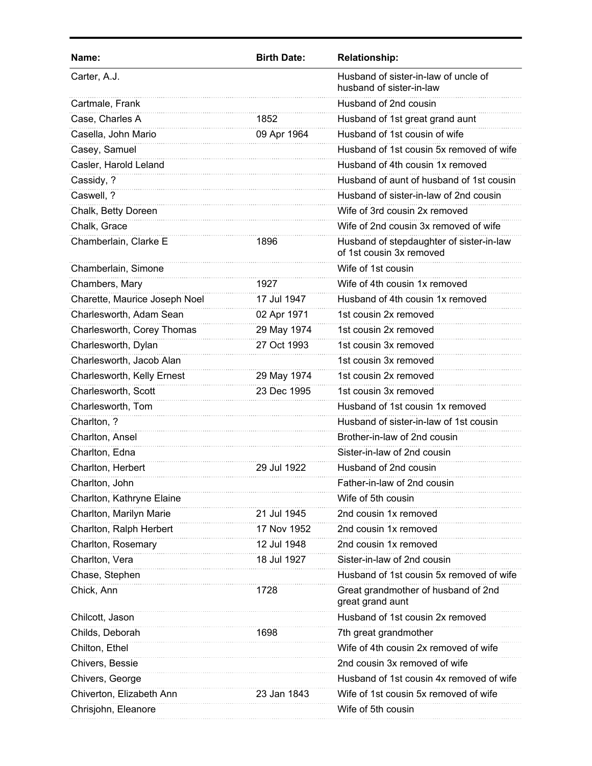| Husband of sister-in-law of uncle of<br>husband of sister-in-law<br>Husband of 2nd cousin<br>1852<br>Husband of 1st great grand aunt<br>Husband of 1st cousin of wife<br>09 Apr 1964<br>Husband of 1st cousin 5x removed of wife<br>Husband of 4th cousin 1x removed<br>Husband of aunt of husband of 1st cousin<br>Husband of sister-in-law of 2nd cousin<br>Wife of 3rd cousin 2x removed<br>Wife of 2nd cousin 3x removed of wife<br>Husband of stepdaughter of sister-in-law<br>1896<br>of 1st cousin 3x removed<br>Wife of 1st cousin<br>Wife of 4th cousin 1x removed<br>1927<br>17 Jul 1947<br>Husband of 4th cousin 1x removed<br>1st cousin 2x removed<br>02 Apr 1971<br>29 May 1974<br>1st cousin 2x removed<br>27 Oct 1993<br>1st cousin 3x removed<br>1st cousin 3x removed<br>1st cousin 2x removed<br>29 May 1974<br>23 Dec 1995<br>1st cousin 3x removed<br>Husband of 1st cousin 1x removed<br>Husband of sister-in-law of 1st cousin<br>Brother-in-law of 2nd cousin<br>Sister-in-law of 2nd cousin<br>Husband of 2nd cousin<br>29 Jul 1922<br>Father-in-law of 2nd cousin<br>Wife of 5th cousin<br>2nd cousin 1x removed<br>21 Jul 1945<br>17 Nov 1952<br>2nd cousin 1x removed<br>12 Jul 1948<br>2nd cousin 1x removed<br>Sister-in-law of 2nd cousin<br>18 Jul 1927 | Name:                         | <b>Birth Date:</b> | <b>Relationship:</b> |
|-----------------------------------------------------------------------------------------------------------------------------------------------------------------------------------------------------------------------------------------------------------------------------------------------------------------------------------------------------------------------------------------------------------------------------------------------------------------------------------------------------------------------------------------------------------------------------------------------------------------------------------------------------------------------------------------------------------------------------------------------------------------------------------------------------------------------------------------------------------------------------------------------------------------------------------------------------------------------------------------------------------------------------------------------------------------------------------------------------------------------------------------------------------------------------------------------------------------------------------------------------------------------------------------|-------------------------------|--------------------|----------------------|
|                                                                                                                                                                                                                                                                                                                                                                                                                                                                                                                                                                                                                                                                                                                                                                                                                                                                                                                                                                                                                                                                                                                                                                                                                                                                                         | Carter, A.J.                  |                    |                      |
|                                                                                                                                                                                                                                                                                                                                                                                                                                                                                                                                                                                                                                                                                                                                                                                                                                                                                                                                                                                                                                                                                                                                                                                                                                                                                         | Cartmale, Frank               |                    |                      |
|                                                                                                                                                                                                                                                                                                                                                                                                                                                                                                                                                                                                                                                                                                                                                                                                                                                                                                                                                                                                                                                                                                                                                                                                                                                                                         | Case, Charles A               |                    |                      |
|                                                                                                                                                                                                                                                                                                                                                                                                                                                                                                                                                                                                                                                                                                                                                                                                                                                                                                                                                                                                                                                                                                                                                                                                                                                                                         | Casella, John Mario           |                    |                      |
|                                                                                                                                                                                                                                                                                                                                                                                                                                                                                                                                                                                                                                                                                                                                                                                                                                                                                                                                                                                                                                                                                                                                                                                                                                                                                         | Casey, Samuel                 |                    |                      |
|                                                                                                                                                                                                                                                                                                                                                                                                                                                                                                                                                                                                                                                                                                                                                                                                                                                                                                                                                                                                                                                                                                                                                                                                                                                                                         | Casler, Harold Leland         |                    |                      |
|                                                                                                                                                                                                                                                                                                                                                                                                                                                                                                                                                                                                                                                                                                                                                                                                                                                                                                                                                                                                                                                                                                                                                                                                                                                                                         | Cassidy, ?                    |                    |                      |
|                                                                                                                                                                                                                                                                                                                                                                                                                                                                                                                                                                                                                                                                                                                                                                                                                                                                                                                                                                                                                                                                                                                                                                                                                                                                                         | Caswell, ?                    |                    |                      |
|                                                                                                                                                                                                                                                                                                                                                                                                                                                                                                                                                                                                                                                                                                                                                                                                                                                                                                                                                                                                                                                                                                                                                                                                                                                                                         | Chalk, Betty Doreen           |                    |                      |
|                                                                                                                                                                                                                                                                                                                                                                                                                                                                                                                                                                                                                                                                                                                                                                                                                                                                                                                                                                                                                                                                                                                                                                                                                                                                                         | Chalk, Grace                  |                    |                      |
|                                                                                                                                                                                                                                                                                                                                                                                                                                                                                                                                                                                                                                                                                                                                                                                                                                                                                                                                                                                                                                                                                                                                                                                                                                                                                         | Chamberlain, Clarke E         |                    |                      |
|                                                                                                                                                                                                                                                                                                                                                                                                                                                                                                                                                                                                                                                                                                                                                                                                                                                                                                                                                                                                                                                                                                                                                                                                                                                                                         | Chamberlain, Simone           |                    |                      |
|                                                                                                                                                                                                                                                                                                                                                                                                                                                                                                                                                                                                                                                                                                                                                                                                                                                                                                                                                                                                                                                                                                                                                                                                                                                                                         | Chambers, Mary                |                    |                      |
|                                                                                                                                                                                                                                                                                                                                                                                                                                                                                                                                                                                                                                                                                                                                                                                                                                                                                                                                                                                                                                                                                                                                                                                                                                                                                         | Charette, Maurice Joseph Noel |                    |                      |
|                                                                                                                                                                                                                                                                                                                                                                                                                                                                                                                                                                                                                                                                                                                                                                                                                                                                                                                                                                                                                                                                                                                                                                                                                                                                                         | Charlesworth, Adam Sean       |                    |                      |
|                                                                                                                                                                                                                                                                                                                                                                                                                                                                                                                                                                                                                                                                                                                                                                                                                                                                                                                                                                                                                                                                                                                                                                                                                                                                                         | Charlesworth, Corey Thomas    |                    |                      |
|                                                                                                                                                                                                                                                                                                                                                                                                                                                                                                                                                                                                                                                                                                                                                                                                                                                                                                                                                                                                                                                                                                                                                                                                                                                                                         | Charlesworth, Dylan           |                    |                      |
|                                                                                                                                                                                                                                                                                                                                                                                                                                                                                                                                                                                                                                                                                                                                                                                                                                                                                                                                                                                                                                                                                                                                                                                                                                                                                         | Charlesworth, Jacob Alan      |                    |                      |
|                                                                                                                                                                                                                                                                                                                                                                                                                                                                                                                                                                                                                                                                                                                                                                                                                                                                                                                                                                                                                                                                                                                                                                                                                                                                                         | Charlesworth, Kelly Ernest    |                    |                      |
|                                                                                                                                                                                                                                                                                                                                                                                                                                                                                                                                                                                                                                                                                                                                                                                                                                                                                                                                                                                                                                                                                                                                                                                                                                                                                         | Charlesworth, Scott           |                    |                      |
|                                                                                                                                                                                                                                                                                                                                                                                                                                                                                                                                                                                                                                                                                                                                                                                                                                                                                                                                                                                                                                                                                                                                                                                                                                                                                         | Charlesworth, Tom             |                    |                      |
|                                                                                                                                                                                                                                                                                                                                                                                                                                                                                                                                                                                                                                                                                                                                                                                                                                                                                                                                                                                                                                                                                                                                                                                                                                                                                         | Charlton, ?                   |                    |                      |
|                                                                                                                                                                                                                                                                                                                                                                                                                                                                                                                                                                                                                                                                                                                                                                                                                                                                                                                                                                                                                                                                                                                                                                                                                                                                                         | Charlton, Ansel               |                    |                      |
|                                                                                                                                                                                                                                                                                                                                                                                                                                                                                                                                                                                                                                                                                                                                                                                                                                                                                                                                                                                                                                                                                                                                                                                                                                                                                         | Charlton, Edna                |                    |                      |
|                                                                                                                                                                                                                                                                                                                                                                                                                                                                                                                                                                                                                                                                                                                                                                                                                                                                                                                                                                                                                                                                                                                                                                                                                                                                                         | Charlton, Herbert             |                    |                      |
|                                                                                                                                                                                                                                                                                                                                                                                                                                                                                                                                                                                                                                                                                                                                                                                                                                                                                                                                                                                                                                                                                                                                                                                                                                                                                         | Charlton, John                |                    |                      |
|                                                                                                                                                                                                                                                                                                                                                                                                                                                                                                                                                                                                                                                                                                                                                                                                                                                                                                                                                                                                                                                                                                                                                                                                                                                                                         | Charlton, Kathryne Elaine     |                    |                      |
|                                                                                                                                                                                                                                                                                                                                                                                                                                                                                                                                                                                                                                                                                                                                                                                                                                                                                                                                                                                                                                                                                                                                                                                                                                                                                         | Charlton, Marilyn Marie       |                    |                      |
|                                                                                                                                                                                                                                                                                                                                                                                                                                                                                                                                                                                                                                                                                                                                                                                                                                                                                                                                                                                                                                                                                                                                                                                                                                                                                         | Charlton, Ralph Herbert       |                    |                      |
|                                                                                                                                                                                                                                                                                                                                                                                                                                                                                                                                                                                                                                                                                                                                                                                                                                                                                                                                                                                                                                                                                                                                                                                                                                                                                         | Charlton, Rosemary            |                    |                      |
|                                                                                                                                                                                                                                                                                                                                                                                                                                                                                                                                                                                                                                                                                                                                                                                                                                                                                                                                                                                                                                                                                                                                                                                                                                                                                         | Charlton, Vera                |                    |                      |
| Husband of 1st cousin 5x removed of wife                                                                                                                                                                                                                                                                                                                                                                                                                                                                                                                                                                                                                                                                                                                                                                                                                                                                                                                                                                                                                                                                                                                                                                                                                                                | Chase, Stephen                |                    |                      |
| Great grandmother of husband of 2nd<br>1728<br>great grand aunt                                                                                                                                                                                                                                                                                                                                                                                                                                                                                                                                                                                                                                                                                                                                                                                                                                                                                                                                                                                                                                                                                                                                                                                                                         | Chick, Ann                    |                    |                      |
| Husband of 1st cousin 2x removed                                                                                                                                                                                                                                                                                                                                                                                                                                                                                                                                                                                                                                                                                                                                                                                                                                                                                                                                                                                                                                                                                                                                                                                                                                                        | Chilcott, Jason               |                    |                      |
| 7th great grandmother<br>1698                                                                                                                                                                                                                                                                                                                                                                                                                                                                                                                                                                                                                                                                                                                                                                                                                                                                                                                                                                                                                                                                                                                                                                                                                                                           | Childs, Deborah               |                    |                      |
| Wife of 4th cousin 2x removed of wife                                                                                                                                                                                                                                                                                                                                                                                                                                                                                                                                                                                                                                                                                                                                                                                                                                                                                                                                                                                                                                                                                                                                                                                                                                                   | Chilton, Ethel                |                    |                      |
| 2nd cousin 3x removed of wife                                                                                                                                                                                                                                                                                                                                                                                                                                                                                                                                                                                                                                                                                                                                                                                                                                                                                                                                                                                                                                                                                                                                                                                                                                                           | Chivers, Bessie               |                    |                      |
| Husband of 1st cousin 4x removed of wife                                                                                                                                                                                                                                                                                                                                                                                                                                                                                                                                                                                                                                                                                                                                                                                                                                                                                                                                                                                                                                                                                                                                                                                                                                                | Chivers, George               |                    |                      |
| Wife of 1st cousin 5x removed of wife<br>23 Jan 1843                                                                                                                                                                                                                                                                                                                                                                                                                                                                                                                                                                                                                                                                                                                                                                                                                                                                                                                                                                                                                                                                                                                                                                                                                                    | Chiverton, Elizabeth Ann      |                    |                      |
| Wife of 5th cousin                                                                                                                                                                                                                                                                                                                                                                                                                                                                                                                                                                                                                                                                                                                                                                                                                                                                                                                                                                                                                                                                                                                                                                                                                                                                      | Chrisjohn, Eleanore           |                    |                      |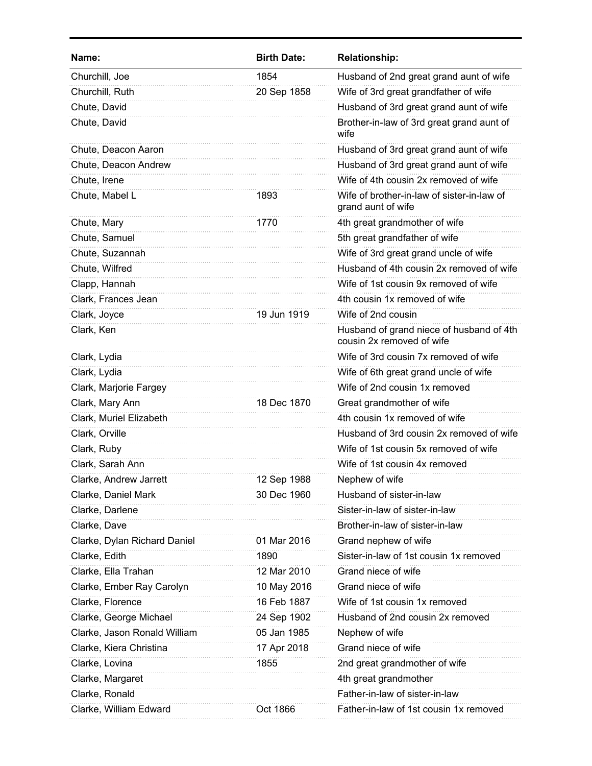| Name:                        | <b>Birth Date:</b> | <b>Relationship:</b>                                                  |
|------------------------------|--------------------|-----------------------------------------------------------------------|
| Churchill, Joe               | 1854               | Husband of 2nd great grand aunt of wife                               |
| Churchill, Ruth              | 20 Sep 1858        | Wife of 3rd great grandfather of wife                                 |
| Chute, David                 |                    | Husband of 3rd great grand aunt of wife                               |
| Chute, David                 |                    | Brother-in-law of 3rd great grand aunt of<br>wife                     |
| Chute, Deacon Aaron          |                    | Husband of 3rd great grand aunt of wife                               |
| Chute, Deacon Andrew         |                    | Husband of 3rd great grand aunt of wife                               |
| Chute, Irene                 |                    | Wife of 4th cousin 2x removed of wife                                 |
| Chute, Mabel L               | 1893               | Wife of brother-in-law of sister-in-law of<br>grand aunt of wife      |
| Chute, Mary                  | 1770               | 4th great grandmother of wife                                         |
| Chute, Samuel                |                    | 5th great grandfather of wife                                         |
| Chute, Suzannah              |                    | Wife of 3rd great grand uncle of wife                                 |
| Chute, Wilfred               |                    | Husband of 4th cousin 2x removed of wife                              |
| Clapp, Hannah                |                    | Wife of 1st cousin 9x removed of wife                                 |
| Clark, Frances Jean          |                    | 4th cousin 1x removed of wife                                         |
| Clark, Joyce                 | 19 Jun 1919        | Wife of 2nd cousin                                                    |
| Clark, Ken                   |                    | Husband of grand niece of husband of 4th<br>cousin 2x removed of wife |
| Clark, Lydia                 |                    | Wife of 3rd cousin 7x removed of wife                                 |
| Clark, Lydia                 |                    | Wife of 6th great grand uncle of wife                                 |
| Clark, Marjorie Fargey       |                    | Wife of 2nd cousin 1x removed                                         |
| Clark, Mary Ann              | 18 Dec 1870        | Great grandmother of wife                                             |
| Clark, Muriel Elizabeth      |                    | 4th cousin 1x removed of wife                                         |
| Clark, Orville               |                    | Husband of 3rd cousin 2x removed of wife                              |
| Clark, Ruby                  |                    | Wife of 1st cousin 5x removed of wife                                 |
| Clark, Sarah Ann             |                    | Wife of 1st cousin 4x removed                                         |
| Clarke, Andrew Jarrett       | 12 Sep 1988        | Nephew of wife                                                        |
| Clarke, Daniel Mark          | 30 Dec 1960        | Husband of sister-in-law                                              |
| Clarke, Darlene              |                    | Sister-in-law of sister-in-law                                        |
| Clarke, Dave                 |                    | Brother-in-law of sister-in-law                                       |
| Clarke, Dylan Richard Daniel | 01 Mar 2016        | Grand nephew of wife                                                  |
| Clarke, Edith                | 1890               | Sister-in-law of 1st cousin 1x removed                                |
| Clarke, Ella Trahan          | 12 Mar 2010        | Grand niece of wife                                                   |
| Clarke, Ember Ray Carolyn    | 10 May 2016        | Grand niece of wife                                                   |
| Clarke, Florence             | 16 Feb 1887        | Wife of 1st cousin 1x removed                                         |
| Clarke, George Michael       | 24 Sep 1902        | Husband of 2nd cousin 2x removed                                      |
| Clarke, Jason Ronald William | 05 Jan 1985        | Nephew of wife                                                        |
| Clarke, Kiera Christina      | 17 Apr 2018        | Grand niece of wife                                                   |
| Clarke, Lovina               | 1855               | 2nd great grandmother of wife                                         |
| Clarke, Margaret             |                    | 4th great grandmother                                                 |
| Clarke, Ronald               |                    | Father-in-law of sister-in-law                                        |
| Clarke, William Edward       | Oct 1866           | Father-in-law of 1st cousin 1x removed                                |
|                              |                    |                                                                       |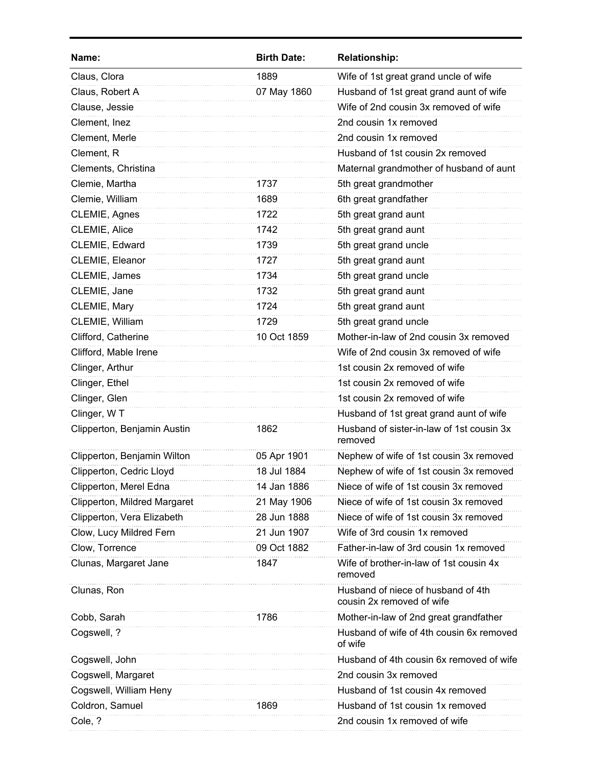| Name:                        | <b>Birth Date:</b> | <b>Relationship:</b>                                            |
|------------------------------|--------------------|-----------------------------------------------------------------|
| Claus, Clora                 | 1889               | Wife of 1st great grand uncle of wife                           |
| Claus, Robert A              | 07 May 1860        | Husband of 1st great grand aunt of wife                         |
| Clause, Jessie               |                    | Wife of 2nd cousin 3x removed of wife                           |
| Clement, Inez                |                    | 2nd cousin 1x removed                                           |
| Clement, Merle               |                    | 2nd cousin 1x removed                                           |
| Clement, R                   |                    | Husband of 1st cousin 2x removed                                |
| Clements, Christina          |                    | Maternal grandmother of husband of aunt                         |
| Clemie, Martha               | 1737               | 5th great grandmother                                           |
| Clemie, William              | 1689               | 6th great grandfather                                           |
| CLEMIE, Agnes                | 1722               | 5th great grand aunt                                            |
| CLEMIE, Alice                | 1742               | 5th great grand aunt                                            |
| CLEMIE, Edward               | 1739               | 5th great grand uncle                                           |
| CLEMIE, Eleanor              | 1727               | 5th great grand aunt                                            |
| CLEMIE, James                | 1734               | 5th great grand uncle                                           |
| CLEMIE, Jane                 | 1732               | 5th great grand aunt                                            |
| CLEMIE, Mary                 | 1724               | 5th great grand aunt                                            |
| CLEMIE, William              | 1729               | 5th great grand uncle                                           |
| Clifford, Catherine          | 10 Oct 1859        | Mother-in-law of 2nd cousin 3x removed                          |
| Clifford, Mable Irene        |                    | Wife of 2nd cousin 3x removed of wife                           |
| Clinger, Arthur              |                    | 1st cousin 2x removed of wife                                   |
| Clinger, Ethel               |                    | 1st cousin 2x removed of wife                                   |
| Clinger, Glen                |                    | 1st cousin 2x removed of wife                                   |
| Clinger, WT                  |                    | Husband of 1st great grand aunt of wife                         |
| Clipperton, Benjamin Austin  | 1862               | Husband of sister-in-law of 1st cousin 3x<br>removed            |
| Clipperton, Benjamin Wilton  | 05 Apr 1901        | Nephew of wife of 1st cousin 3x removed                         |
| Clipperton, Cedric Lloyd     | 18 Jul 1884        | Nephew of wife of 1st cousin 3x removed                         |
| Clipperton, Merel Edna       | 14 Jan 1886        | Niece of wife of 1st cousin 3x removed                          |
| Clipperton, Mildred Margaret | 21 May 1906        | Niece of wife of 1st cousin 3x removed                          |
| Clipperton, Vera Elizabeth   | 28 Jun 1888        | Niece of wife of 1st cousin 3x removed                          |
| Clow, Lucy Mildred Fern      | 21 Jun 1907        | Wife of 3rd cousin 1x removed                                   |
| Clow, Torrence               | 09 Oct 1882        | Father-in-law of 3rd cousin 1x removed                          |
| Clunas, Margaret Jane        | 1847               | Wife of brother-in-law of 1st cousin 4x<br>removed              |
| Clunas, Ron                  |                    | Husband of niece of husband of 4th<br>cousin 2x removed of wife |
| Cobb, Sarah                  | 1786               | Mother-in-law of 2nd great grandfather                          |
| Cogswell, ?                  |                    | Husband of wife of 4th cousin 6x removed<br>of wife             |
| Cogswell, John               |                    | Husband of 4th cousin 6x removed of wife                        |
| Cogswell, Margaret           |                    | 2nd cousin 3x removed                                           |
| Cogswell, William Heny       |                    | Husband of 1st cousin 4x removed                                |
| Coldron, Samuel              | 1869               | Husband of 1st cousin 1x removed                                |
| Cole, ?                      |                    | 2nd cousin 1x removed of wife                                   |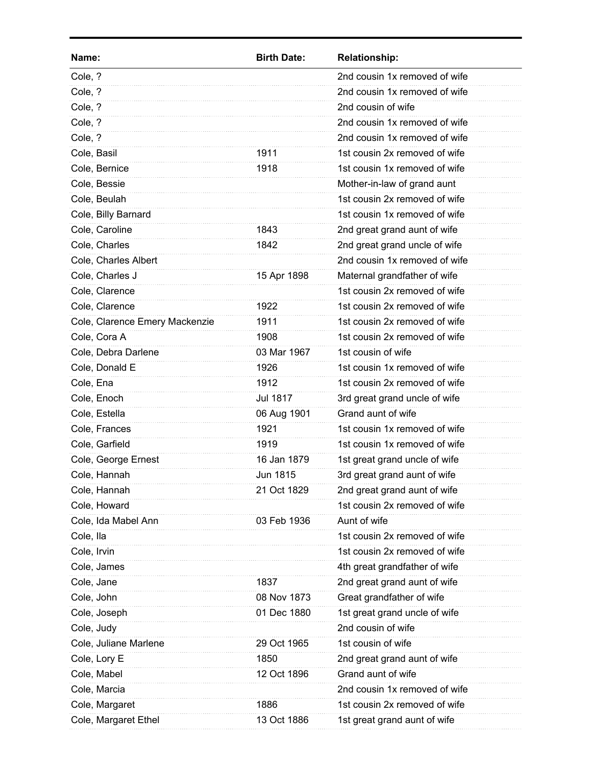| Name:                          | <b>Birth Date:</b> | <b>Relationship:</b>          |
|--------------------------------|--------------------|-------------------------------|
| Cole, ?                        |                    | 2nd cousin 1x removed of wife |
| Cole, ?                        |                    | 2nd cousin 1x removed of wife |
| Cole, ?                        |                    | 2nd cousin of wife            |
| Cole, ?                        |                    | 2nd cousin 1x removed of wife |
| Cole, ?                        |                    | 2nd cousin 1x removed of wife |
| Cole, Basil                    | 1911               | 1st cousin 2x removed of wife |
| Cole, Bernice                  | 1918               | 1st cousin 1x removed of wife |
| Cole, Bessie                   |                    | Mother-in-law of grand aunt   |
| Cole, Beulah                   |                    | 1st cousin 2x removed of wife |
| Cole, Billy Barnard            |                    | 1st cousin 1x removed of wife |
| Cole, Caroline                 | 1843               | 2nd great grand aunt of wife  |
| Cole, Charles                  | 1842               | 2nd great grand uncle of wife |
| Cole, Charles Albert           |                    | 2nd cousin 1x removed of wife |
| Cole, Charles J                | 15 Apr 1898        | Maternal grandfather of wife  |
| Cole, Clarence                 |                    | 1st cousin 2x removed of wife |
| Cole, Clarence                 | 1922               | 1st cousin 2x removed of wife |
| Cole, Clarence Emery Mackenzie | 1911               | 1st cousin 2x removed of wife |
| Cole, Cora A                   | 1908               | 1st cousin 2x removed of wife |
| Cole, Debra Darlene            | 03 Mar 1967        | 1st cousin of wife            |
| Cole, Donald E                 | 1926               | 1st cousin 1x removed of wife |
| Cole, Ena                      | 1912               | 1st cousin 2x removed of wife |
| Cole, Enoch                    | <b>Jul 1817</b>    | 3rd great grand uncle of wife |
| Cole, Estella                  | 06 Aug 1901        | Grand aunt of wife            |
| Cole, Frances                  | 1921               | 1st cousin 1x removed of wife |
| Cole, Garfield                 | 1919               | 1st cousin 1x removed of wife |
| Cole, George Ernest            | 16 Jan 1879        | 1st great grand uncle of wife |
| Cole, Hannah                   | Jun 1815           | 3rd great grand aunt of wife  |
| Cole, Hannah                   | 21 Oct 1829        | 2nd great grand aunt of wife  |
| Cole, Howard                   |                    | 1st cousin 2x removed of wife |
| Cole, Ida Mabel Ann            | 03 Feb 1936        | Aunt of wife                  |
| Cole, Ila                      |                    | 1st cousin 2x removed of wife |
| Cole, Irvin                    |                    | 1st cousin 2x removed of wife |
| Cole, James                    |                    | 4th great grandfather of wife |
| Cole, Jane                     | 1837               | 2nd great grand aunt of wife  |
| Cole, John                     | 08 Nov 1873        | Great grandfather of wife     |
| Cole, Joseph                   | 01 Dec 1880        | 1st great grand uncle of wife |
| Cole, Judy                     |                    | 2nd cousin of wife            |
| Cole, Juliane Marlene          | 29 Oct 1965        | 1st cousin of wife            |
| Cole, Lory E                   | 1850               | 2nd great grand aunt of wife  |
| Cole, Mabel                    | 12 Oct 1896        | Grand aunt of wife            |
| Cole, Marcia                   |                    | 2nd cousin 1x removed of wife |
| Cole, Margaret                 | 1886               | 1st cousin 2x removed of wife |
| Cole, Margaret Ethel           | 13 Oct 1886        | 1st great grand aunt of wife  |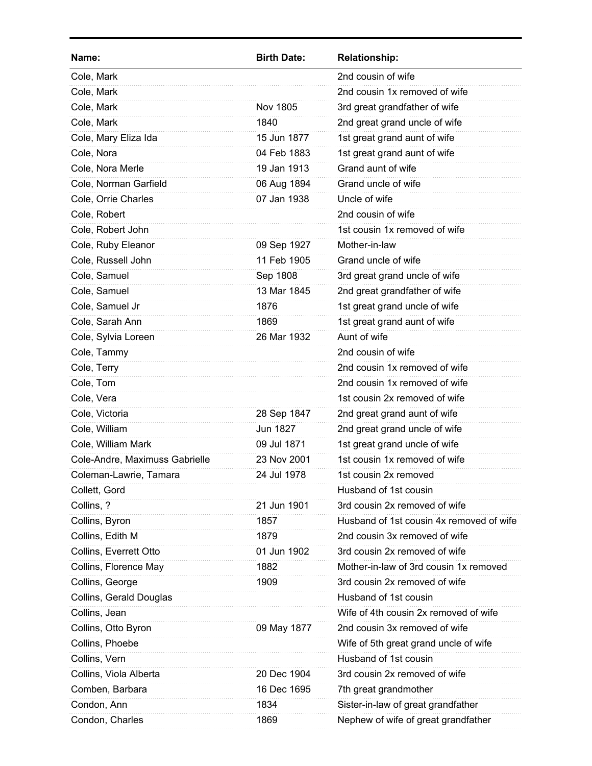| Name:                          | <b>Birth Date:</b> | <b>Relationship:</b>                     |
|--------------------------------|--------------------|------------------------------------------|
| Cole, Mark                     |                    | 2nd cousin of wife                       |
| Cole, Mark                     |                    | 2nd cousin 1x removed of wife            |
| Cole, Mark                     | Nov 1805           | 3rd great grandfather of wife            |
| Cole, Mark                     | 1840               | 2nd great grand uncle of wife            |
| Cole, Mary Eliza Ida           | 15 Jun 1877        | 1st great grand aunt of wife             |
| Cole, Nora                     | 04 Feb 1883        | 1st great grand aunt of wife             |
| Cole, Nora Merle               | 19 Jan 1913        | Grand aunt of wife                       |
| Cole, Norman Garfield          | 06 Aug 1894        | Grand uncle of wife                      |
| Cole, Orrie Charles            | 07 Jan 1938        | Uncle of wife                            |
| Cole, Robert                   |                    | 2nd cousin of wife                       |
| Cole, Robert John              |                    | 1st cousin 1x removed of wife            |
| Cole, Ruby Eleanor             | 09 Sep 1927        | Mother-in-law                            |
| Cole, Russell John             | 11 Feb 1905        | Grand uncle of wife                      |
| Cole, Samuel                   | Sep 1808           | 3rd great grand uncle of wife            |
| Cole, Samuel                   | 13 Mar 1845        | 2nd great grandfather of wife            |
| Cole, Samuel Jr                | 1876               | 1st great grand uncle of wife            |
| Cole, Sarah Ann                | 1869               | 1st great grand aunt of wife             |
| Cole, Sylvia Loreen            | 26 Mar 1932        | Aunt of wife                             |
| Cole, Tammy                    |                    | 2nd cousin of wife                       |
| Cole, Terry                    |                    | 2nd cousin 1x removed of wife            |
| Cole, Tom                      |                    | 2nd cousin 1x removed of wife            |
| Cole, Vera                     |                    | 1st cousin 2x removed of wife            |
| Cole, Victoria                 | 28 Sep 1847        | 2nd great grand aunt of wife             |
| Cole, William                  | Jun 1827           | 2nd great grand uncle of wife            |
| Cole, William Mark             | 09 Jul 1871        | 1st great grand uncle of wife            |
| Cole-Andre, Maximuss Gabrielle | 23 Nov 2001        | 1st cousin 1x removed of wife            |
| Coleman-Lawrie, Tamara         | 24 Jul 1978        | 1st cousin 2x removed                    |
| Collett, Gord                  |                    | Husband of 1st cousin                    |
| Collins, ?                     | 21 Jun 1901        | 3rd cousin 2x removed of wife            |
| Collins, Byron                 | 1857               | Husband of 1st cousin 4x removed of wife |
| Collins, Edith M               | 1879               | 2nd cousin 3x removed of wife            |
| Collins, Everrett Otto         | 01 Jun 1902        | 3rd cousin 2x removed of wife            |
| Collins, Florence May          | 1882               | Mother-in-law of 3rd cousin 1x removed   |
| Collins, George                | 1909               | 3rd cousin 2x removed of wife            |
| Collins, Gerald Douglas        |                    | Husband of 1st cousin                    |
| Collins, Jean                  |                    | Wife of 4th cousin 2x removed of wife    |
| Collins, Otto Byron            | 09 May 1877        | 2nd cousin 3x removed of wife            |
| Collins, Phoebe                |                    | Wife of 5th great grand uncle of wife    |
| Collins, Vern                  |                    | Husband of 1st cousin                    |
| Collins, Viola Alberta         | 20 Dec 1904        | 3rd cousin 2x removed of wife            |
| Comben, Barbara                | 16 Dec 1695        | 7th great grandmother                    |
| Condon, Ann                    | 1834               | Sister-in-law of great grandfather       |
| Condon, Charles                | 1869               | Nephew of wife of great grandfather      |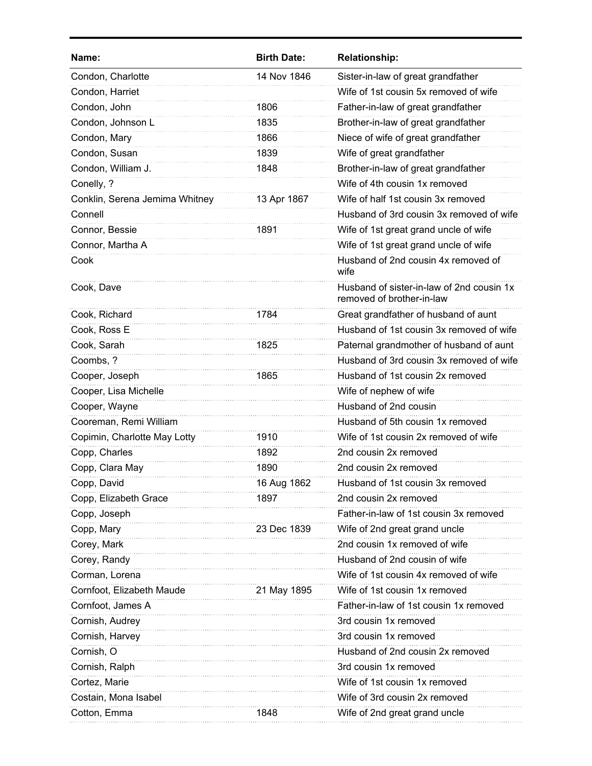| Name:                          | <b>Birth Date:</b> | <b>Relationship:</b>                                                   |
|--------------------------------|--------------------|------------------------------------------------------------------------|
| Condon, Charlotte              | 14 Nov 1846        | Sister-in-law of great grandfather                                     |
| Condon, Harriet                |                    | Wife of 1st cousin 5x removed of wife                                  |
| Condon, John                   | 1806               | Father-in-law of great grandfather                                     |
| Condon, Johnson L              | 1835               | Brother-in-law of great grandfather                                    |
| Condon, Mary                   | 1866               | Niece of wife of great grandfather                                     |
| Condon, Susan                  | 1839               | Wife of great grandfather                                              |
| Condon, William J.             | 1848               | Brother-in-law of great grandfather                                    |
| Conelly, ?                     |                    | Wife of 4th cousin 1x removed                                          |
| Conklin, Serena Jemima Whitney | 13 Apr 1867        | Wife of half 1st cousin 3x removed                                     |
| Connell                        |                    | Husband of 3rd cousin 3x removed of wife                               |
| Connor, Bessie                 | 1891               | Wife of 1st great grand uncle of wife                                  |
| Connor, Martha A               |                    | Wife of 1st great grand uncle of wife                                  |
| Cook                           |                    | Husband of 2nd cousin 4x removed of<br>wife                            |
| Cook, Dave                     |                    | Husband of sister-in-law of 2nd cousin 1x<br>removed of brother-in-law |
| Cook, Richard                  | 1784               | Great grandfather of husband of aunt                                   |
| Cook, Ross E                   |                    | Husband of 1st cousin 3x removed of wife                               |
| Cook, Sarah                    | 1825               | Paternal grandmother of husband of aunt                                |
| Coombs, ?                      |                    | Husband of 3rd cousin 3x removed of wife                               |
| Cooper, Joseph                 | 1865               | Husband of 1st cousin 2x removed                                       |
| Cooper, Lisa Michelle          |                    | Wife of nephew of wife                                                 |
| Cooper, Wayne                  |                    | Husband of 2nd cousin                                                  |
| Cooreman, Remi William         |                    | Husband of 5th cousin 1x removed                                       |
| Copimin, Charlotte May Lotty   | 1910               | Wife of 1st cousin 2x removed of wife                                  |
| Copp, Charles                  | 1892               | 2nd cousin 2x removed                                                  |
| Copp, Clara May                | 1890               | 2nd cousin 2x removed                                                  |
| Copp, David                    | 16 Aug 1862        | Husband of 1st cousin 3x removed                                       |
| Copp, Elizabeth Grace          | 1897               | 2nd cousin 2x removed                                                  |
| Copp, Joseph                   |                    | Father-in-law of 1st cousin 3x removed                                 |
| Copp, Mary                     | 23 Dec 1839        | Wife of 2nd great grand uncle                                          |
| Corey, Mark                    |                    | 2nd cousin 1x removed of wife                                          |
| Corey, Randy                   |                    | Husband of 2nd cousin of wife                                          |
| Corman, Lorena                 |                    | Wife of 1st cousin 4x removed of wife                                  |
| Cornfoot, Elizabeth Maude      | 21 May 1895        | Wife of 1st cousin 1x removed                                          |
| Cornfoot, James A              |                    | Father-in-law of 1st cousin 1x removed                                 |
| Cornish, Audrey                |                    | 3rd cousin 1x removed                                                  |
| Cornish, Harvey                |                    | 3rd cousin 1x removed                                                  |
| Cornish, O                     |                    | Husband of 2nd cousin 2x removed                                       |
| Cornish, Ralph                 |                    | 3rd cousin 1x removed                                                  |
| Cortez, Marie                  |                    | Wife of 1st cousin 1x removed                                          |
| Costain, Mona Isabel           |                    | Wife of 3rd cousin 2x removed                                          |
| Cotton, Emma                   | 1848               | Wife of 2nd great grand uncle                                          |
|                                |                    |                                                                        |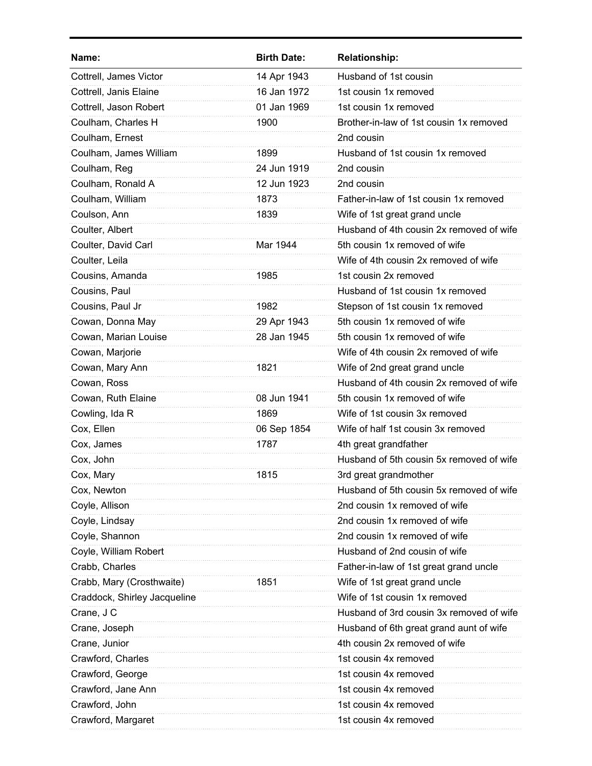| <b>Birth Date:</b><br>Name:           | <b>Relationship:</b>                     |
|---------------------------------------|------------------------------------------|
| Cottrell, James Victor<br>14 Apr 1943 | Husband of 1st cousin                    |
| Cottrell, Janis Elaine<br>16 Jan 1972 | 1st cousin 1x removed                    |
| Cottrell, Jason Robert<br>01 Jan 1969 | 1st cousin 1x removed                    |
| Coulham, Charles H<br>1900            | Brother-in-law of 1st cousin 1x removed  |
| Coulham, Ernest                       | 2nd cousin                               |
| Coulham, James William<br>1899        | Husband of 1st cousin 1x removed         |
| 24 Jun 1919<br>Coulham, Reg           | 2nd cousin                               |
| Coulham, Ronald A<br>12 Jun 1923      | 2nd cousin                               |
| Coulham, William<br>1873              | Father-in-law of 1st cousin 1x removed   |
| Coulson, Ann<br>1839                  | Wife of 1st great grand uncle            |
| Coulter, Albert                       | Husband of 4th cousin 2x removed of wife |
| Coulter, David Carl<br>Mar 1944       | 5th cousin 1x removed of wife            |
| Coulter, Leila                        | Wife of 4th cousin 2x removed of wife    |
| Cousins, Amanda<br>1985               | 1st cousin 2x removed                    |
| Cousins, Paul                         | Husband of 1st cousin 1x removed         |
| Cousins, Paul Jr<br>1982              | Stepson of 1st cousin 1x removed         |
| 29 Apr 1943<br>Cowan, Donna May       | 5th cousin 1x removed of wife            |
| Cowan, Marian Louise<br>28 Jan 1945   | 5th cousin 1x removed of wife            |
| Cowan, Marjorie                       | Wife of 4th cousin 2x removed of wife    |
| Cowan, Mary Ann<br>1821               | Wife of 2nd great grand uncle            |
| Cowan, Ross                           | Husband of 4th cousin 2x removed of wife |
| Cowan, Ruth Elaine<br>08 Jun 1941     | 5th cousin 1x removed of wife            |
| Cowling, Ida R<br>1869                | Wife of 1st cousin 3x removed            |
| Cox, Ellen<br>06 Sep 1854             | Wife of half 1st cousin 3x removed       |
| Cox, James<br>1787                    | 4th great grandfather                    |
| Cox, John                             | Husband of 5th cousin 5x removed of wife |
| 1815<br>Cox. Marv                     | 3rd great grandmother                    |
| Cox, Newton                           | Husband of 5th cousin 5x removed of wife |
| Coyle, Allison                        | 2nd cousin 1x removed of wife            |
| Coyle, Lindsay                        | 2nd cousin 1x removed of wife            |
| Coyle, Shannon                        | 2nd cousin 1x removed of wife            |
| Coyle, William Robert                 | Husband of 2nd cousin of wife            |
| Crabb, Charles                        | Father-in-law of 1st great grand uncle   |
| Crabb, Mary (Crosthwaite)<br>1851     | Wife of 1st great grand uncle            |
| Craddock, Shirley Jacqueline          | Wife of 1st cousin 1x removed            |
| Crane, J C                            | Husband of 3rd cousin 3x removed of wife |
| Crane, Joseph                         | Husband of 6th great grand aunt of wife  |
| Crane, Junior                         | 4th cousin 2x removed of wife            |
| Crawford, Charles                     | 1st cousin 4x removed                    |
| Crawford, George                      | 1st cousin 4x removed                    |
| Crawford, Jane Ann                    | 1st cousin 4x removed                    |
| Crawford, John                        |                                          |
|                                       | 1st cousin 4x removed                    |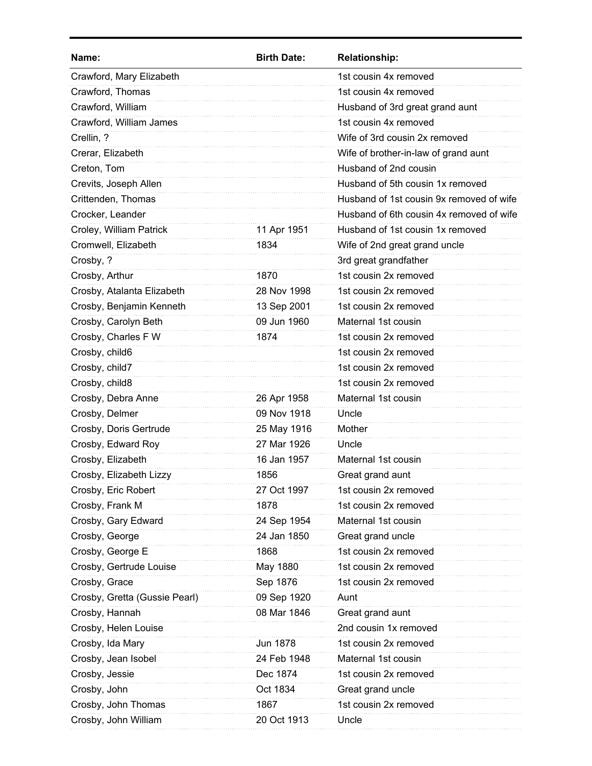| Name:                         | <b>Birth Date:</b> | <b>Relationship:</b>                     |
|-------------------------------|--------------------|------------------------------------------|
| Crawford, Mary Elizabeth      |                    | 1st cousin 4x removed                    |
| Crawford, Thomas              |                    | 1st cousin 4x removed                    |
| Crawford, William             |                    | Husband of 3rd great grand aunt          |
| Crawford, William James       |                    | 1st cousin 4x removed                    |
| Crellin, ?                    |                    | Wife of 3rd cousin 2x removed            |
| Crerar, Elizabeth             |                    | Wife of brother-in-law of grand aunt     |
| Creton, Tom                   |                    | Husband of 2nd cousin                    |
| Crevits, Joseph Allen         |                    | Husband of 5th cousin 1x removed         |
| Crittenden, Thomas            |                    | Husband of 1st cousin 9x removed of wife |
| Crocker, Leander              |                    | Husband of 6th cousin 4x removed of wife |
| Croley, William Patrick       | 11 Apr 1951        | Husband of 1st cousin 1x removed         |
| Cromwell, Elizabeth           | 1834               | Wife of 2nd great grand uncle            |
| Crosby, ?                     |                    | 3rd great grandfather                    |
| Crosby, Arthur                | 1870               | 1st cousin 2x removed                    |
| Crosby, Atalanta Elizabeth    | 28 Nov 1998        | 1st cousin 2x removed                    |
| Crosby, Benjamin Kenneth      | 13 Sep 2001        | 1st cousin 2x removed                    |
| Crosby, Carolyn Beth          | 09 Jun 1960        | Maternal 1st cousin                      |
| Crosby, Charles F W           | 1874               | 1st cousin 2x removed                    |
| Crosby, child6                |                    | 1st cousin 2x removed                    |
| Crosby, child7                |                    | 1st cousin 2x removed                    |
| Crosby, child8                |                    | 1st cousin 2x removed                    |
| Crosby, Debra Anne            | 26 Apr 1958        | Maternal 1st cousin                      |
| Crosby, Delmer                | 09 Nov 1918        | Uncle                                    |
| Crosby, Doris Gertrude        | 25 May 1916        | Mother                                   |
| Crosby, Edward Roy            | 27 Mar 1926        | Uncle                                    |
| Crosby, Elizabeth             | 16 Jan 1957        | Maternal 1st cousin                      |
| Crosby, Elizabeth Lizzy       | 1856               | Great grand aunt                         |
| Crosby, Eric Robert           | 27 Oct 1997        | 1st cousin 2x removed                    |
| Crosby, Frank M               | 1878               | 1st cousin 2x removed                    |
| Crosby, Gary Edward           | 24 Sep 1954        | Maternal 1st cousin                      |
| Crosby, George                | 24 Jan 1850        | Great grand uncle                        |
| Crosby, George E              | 1868               | 1st cousin 2x removed                    |
| Crosby, Gertrude Louise       | May 1880           | 1st cousin 2x removed                    |
| Crosby, Grace                 | Sep 1876           | 1st cousin 2x removed                    |
| Crosby, Gretta (Gussie Pearl) | 09 Sep 1920        | Aunt                                     |
| Crosby, Hannah                | 08 Mar 1846        | Great grand aunt                         |
| Crosby, Helen Louise          |                    | 2nd cousin 1x removed                    |
| Crosby, Ida Mary              | Jun 1878           | 1st cousin 2x removed                    |
| Crosby, Jean Isobel           | 24 Feb 1948        | Maternal 1st cousin                      |
| Crosby, Jessie                | Dec 1874           | 1st cousin 2x removed                    |
| Crosby, John                  | Oct 1834           | Great grand uncle                        |
| Crosby, John Thomas           | 1867               | 1st cousin 2x removed                    |
| Crosby, John William          | 20 Oct 1913        | Uncle                                    |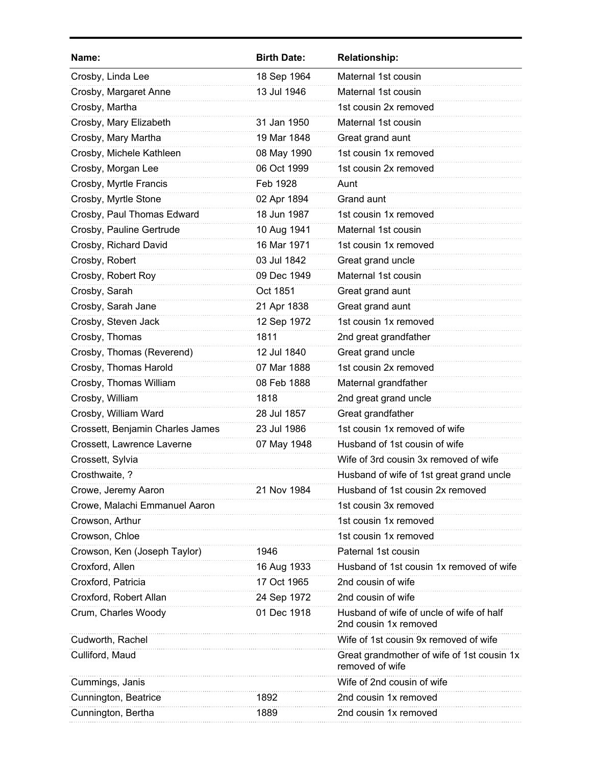| Name:                            | <b>Birth Date:</b> | <b>Relationship:</b>                                              |
|----------------------------------|--------------------|-------------------------------------------------------------------|
| Crosby, Linda Lee                | 18 Sep 1964        | Maternal 1st cousin                                               |
| Crosby, Margaret Anne            | 13 Jul 1946        | Maternal 1st cousin                                               |
| Crosby, Martha                   |                    | 1st cousin 2x removed                                             |
| Crosby, Mary Elizabeth           | 31 Jan 1950        | Maternal 1st cousin                                               |
| Crosby, Mary Martha              | 19 Mar 1848        | Great grand aunt                                                  |
| Crosby, Michele Kathleen         | 08 May 1990        | 1st cousin 1x removed                                             |
| Crosby, Morgan Lee               | 06 Oct 1999        | 1st cousin 2x removed                                             |
| Crosby, Myrtle Francis           | Feb 1928           | Aunt                                                              |
| Crosby, Myrtle Stone             | 02 Apr 1894        | Grand aunt                                                        |
| Crosby, Paul Thomas Edward       | 18 Jun 1987        | 1st cousin 1x removed                                             |
| Crosby, Pauline Gertrude         | 10 Aug 1941        | Maternal 1st cousin                                               |
| Crosby, Richard David            | 16 Mar 1971        | 1st cousin 1x removed                                             |
| Crosby, Robert                   | 03 Jul 1842        | Great grand uncle                                                 |
| Crosby, Robert Roy               | 09 Dec 1949        | Maternal 1st cousin                                               |
| Crosby, Sarah                    | Oct 1851           | Great grand aunt                                                  |
| Crosby, Sarah Jane               | 21 Apr 1838        | Great grand aunt                                                  |
| Crosby, Steven Jack              | 12 Sep 1972        | 1st cousin 1x removed                                             |
| Crosby, Thomas                   | 1811               | 2nd great grandfather                                             |
| Crosby, Thomas (Reverend)        | 12 Jul 1840        | Great grand uncle                                                 |
| Crosby, Thomas Harold            | 07 Mar 1888        | 1st cousin 2x removed                                             |
| Crosby, Thomas William           | 08 Feb 1888        | Maternal grandfather                                              |
| Crosby, William                  | 1818               | 2nd great grand uncle                                             |
| Crosby, William Ward             | 28 Jul 1857        | Great grandfather                                                 |
| Crossett, Benjamin Charles James | 23 Jul 1986        | 1st cousin 1x removed of wife                                     |
| Crossett, Lawrence Laverne       | 07 May 1948        | Husband of 1st cousin of wife                                     |
| Crossett, Sylvia                 |                    | Wife of 3rd cousin 3x removed of wife                             |
| Crosthwaite, ?                   |                    | Husband of wife of 1st great grand uncle                          |
| Crowe, Jeremy Aaron              | 21 Nov 1984        | Husband of 1st cousin 2x removed                                  |
| Crowe, Malachi Emmanuel Aaron    |                    | 1st cousin 3x removed                                             |
| Crowson, Arthur                  |                    | 1st cousin 1x removed                                             |
| Crowson, Chloe                   |                    | 1st cousin 1x removed                                             |
| Crowson, Ken (Joseph Taylor)     | 1946               | Paternal 1st cousin                                               |
| Croxford, Allen                  | 16 Aug 1933        | Husband of 1st cousin 1x removed of wife                          |
| Croxford, Patricia               | 17 Oct 1965        | 2nd cousin of wife                                                |
| Croxford, Robert Allan           | 24 Sep 1972        | 2nd cousin of wife                                                |
| Crum, Charles Woody              | 01 Dec 1918        | Husband of wife of uncle of wife of half<br>2nd cousin 1x removed |
| Cudworth, Rachel                 |                    | Wife of 1st cousin 9x removed of wife                             |
| Culliford, Maud                  |                    | Great grandmother of wife of 1st cousin 1x<br>removed of wife     |
| Cummings, Janis                  |                    | Wife of 2nd cousin of wife                                        |
| Cunnington, Beatrice             | 1892               | 2nd cousin 1x removed                                             |
| Cunnington, Bertha               | 1889               | 2nd cousin 1x removed                                             |
|                                  |                    |                                                                   |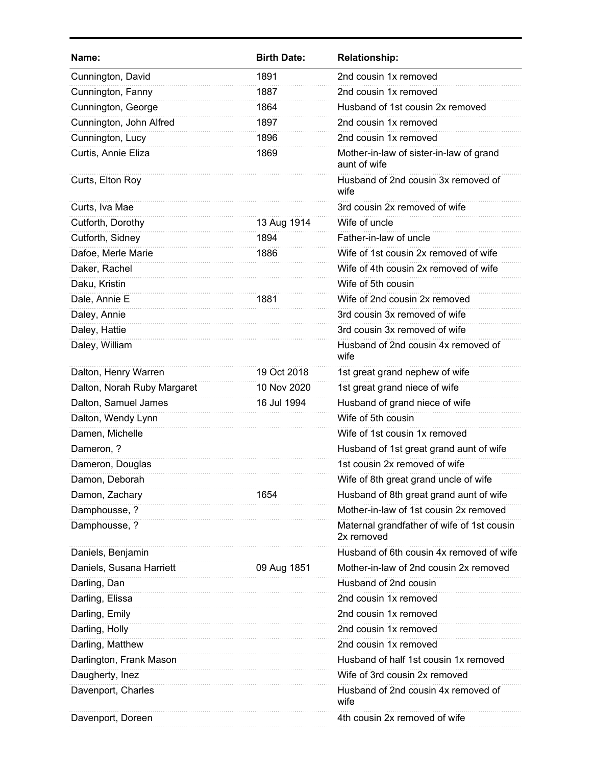| Name:                       | <b>Birth Date:</b> | <b>Relationship:</b>                                     |
|-----------------------------|--------------------|----------------------------------------------------------|
| Cunnington, David           | 1891               | 2nd cousin 1x removed                                    |
| Cunnington, Fanny           | 1887               | 2nd cousin 1x removed                                    |
| Cunnington, George          | 1864               | Husband of 1st cousin 2x removed                         |
| Cunnington, John Alfred     | 1897               | 2nd cousin 1x removed                                    |
| Cunnington, Lucy            | 1896               | 2nd cousin 1x removed                                    |
| Curtis, Annie Eliza         | 1869               | Mother-in-law of sister-in-law of grand<br>aunt of wife  |
| Curts, Elton Roy            |                    | Husband of 2nd cousin 3x removed of<br>wife              |
| Curts, Iva Mae              |                    | 3rd cousin 2x removed of wife                            |
| Cutforth, Dorothy           | 13 Aug 1914        | Wife of uncle                                            |
| Cutforth, Sidney            | 1894               | Father-in-law of uncle                                   |
| Dafoe, Merle Marie          | 1886               | Wife of 1st cousin 2x removed of wife                    |
| Daker, Rachel               |                    | Wife of 4th cousin 2x removed of wife                    |
| Daku, Kristin               |                    | Wife of 5th cousin                                       |
| Dale, Annie E               | 1881               | Wife of 2nd cousin 2x removed                            |
| Daley, Annie                |                    | 3rd cousin 3x removed of wife                            |
| Daley, Hattie               |                    | 3rd cousin 3x removed of wife                            |
| Daley, William              |                    | Husband of 2nd cousin 4x removed of<br>wife              |
| Dalton, Henry Warren        | 19 Oct 2018        | 1st great grand nephew of wife                           |
| Dalton, Norah Ruby Margaret | 10 Nov 2020        | 1st great grand niece of wife                            |
| Dalton, Samuel James        | 16 Jul 1994        | Husband of grand niece of wife                           |
| Dalton, Wendy Lynn          |                    | Wife of 5th cousin                                       |
| Damen, Michelle             |                    | Wife of 1st cousin 1x removed                            |
| Dameron, ?                  |                    | Husband of 1st great grand aunt of wife                  |
| Dameron, Douglas            |                    | 1st cousin 2x removed of wife                            |
| Damon, Deborah              |                    | Wife of 8th great grand uncle of wife                    |
| Damon, Zachary              | 1654               | Husband of 8th great grand aunt of wife                  |
| Damphousse, ?               |                    | Mother-in-law of 1st cousin 2x removed                   |
| Damphousse, ?               |                    | Maternal grandfather of wife of 1st cousin<br>2x removed |
| Daniels, Benjamin           |                    | Husband of 6th cousin 4x removed of wife                 |
| Daniels, Susana Harriett    | 09 Aug 1851        | Mother-in-law of 2nd cousin 2x removed                   |
| Darling, Dan                |                    | Husband of 2nd cousin                                    |
| Darling, Elissa             |                    | 2nd cousin 1x removed                                    |
| Darling, Emily              |                    | 2nd cousin 1x removed                                    |
| Darling, Holly              |                    | 2nd cousin 1x removed                                    |
| Darling, Matthew            |                    | 2nd cousin 1x removed                                    |
| Darlington, Frank Mason     |                    | Husband of half 1st cousin 1x removed                    |
| Daugherty, Inez             |                    | Wife of 3rd cousin 2x removed                            |
| Davenport, Charles          |                    | Husband of 2nd cousin 4x removed of<br>wife              |
| Davenport, Doreen           |                    | 4th cousin 2x removed of wife                            |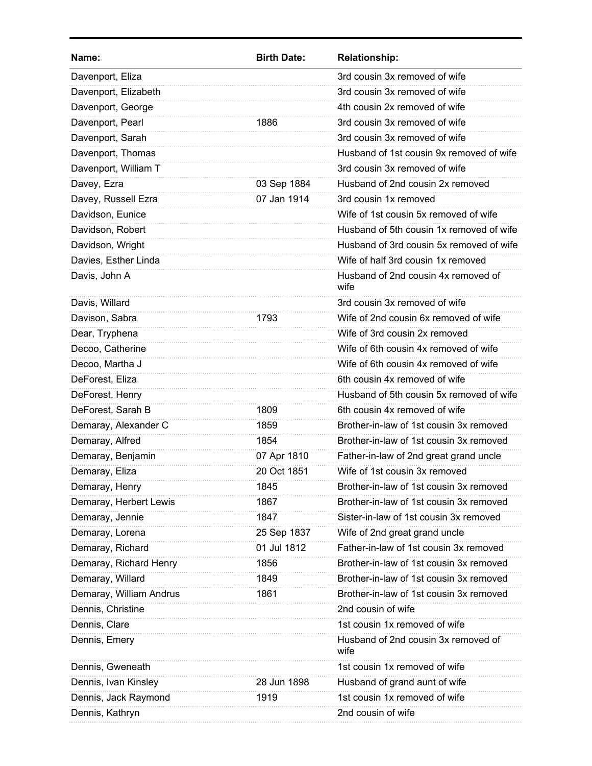| Name:                   | <b>Birth Date:</b> | <b>Relationship:</b>                        |
|-------------------------|--------------------|---------------------------------------------|
| Davenport, Eliza        |                    | 3rd cousin 3x removed of wife               |
| Davenport, Elizabeth    |                    | 3rd cousin 3x removed of wife               |
| Davenport, George       |                    | 4th cousin 2x removed of wife               |
| Davenport, Pearl        | 1886               | 3rd cousin 3x removed of wife               |
| Davenport, Sarah        |                    | 3rd cousin 3x removed of wife               |
| Davenport, Thomas       |                    | Husband of 1st cousin 9x removed of wife    |
| Davenport, William T    |                    | 3rd cousin 3x removed of wife               |
| Davey, Ezra             | 03 Sep 1884        | Husband of 2nd cousin 2x removed            |
| Davey, Russell Ezra     | 07 Jan 1914        | 3rd cousin 1x removed                       |
| Davidson, Eunice        |                    | Wife of 1st cousin 5x removed of wife       |
| Davidson, Robert        |                    | Husband of 5th cousin 1x removed of wife    |
| Davidson, Wright        |                    | Husband of 3rd cousin 5x removed of wife    |
| Davies, Esther Linda    |                    | Wife of half 3rd cousin 1x removed          |
| Davis, John A           |                    | Husband of 2nd cousin 4x removed of<br>wife |
| Davis, Willard          |                    | 3rd cousin 3x removed of wife               |
| Davison, Sabra          | 1793               | Wife of 2nd cousin 6x removed of wife       |
| Dear, Tryphena          |                    | Wife of 3rd cousin 2x removed               |
| Decoo, Catherine        |                    | Wife of 6th cousin 4x removed of wife       |
| Decoo, Martha J         |                    | Wife of 6th cousin 4x removed of wife       |
| DeForest, Eliza         |                    | 6th cousin 4x removed of wife               |
| DeForest, Henry         |                    | Husband of 5th cousin 5x removed of wife    |
| DeForest, Sarah B       | 1809               | 6th cousin 4x removed of wife               |
| Demaray, Alexander C    | 1859               | Brother-in-law of 1st cousin 3x removed     |
| Demaray, Alfred         | 1854               | Brother-in-law of 1st cousin 3x removed     |
| Demaray, Benjamin       | 07 Apr 1810        | Father-in-law of 2nd great grand uncle      |
| Demaray, Eliza          | 20 Oct 1851        | Wife of 1st cousin 3x removed               |
| Demaray, Henry          | 1845               | Brother-in-law of 1st cousin 3x removed     |
| Demaray, Herbert Lewis  | 1867               | Brother-in-law of 1st cousin 3x removed     |
| Demaray, Jennie         | 1847               | Sister-in-law of 1st cousin 3x removed      |
| Demaray, Lorena         | 25 Sep 1837        | Wife of 2nd great grand uncle               |
| Demaray, Richard        | 01 Jul 1812        | Father-in-law of 1st cousin 3x removed      |
| Demaray, Richard Henry  | 1856               | Brother-in-law of 1st cousin 3x removed     |
| Demaray, Willard        | 1849               | Brother-in-law of 1st cousin 3x removed     |
| Demaray, William Andrus | 1861               | Brother-in-law of 1st cousin 3x removed     |
| Dennis, Christine       |                    | 2nd cousin of wife                          |
| Dennis, Clare           |                    | 1st cousin 1x removed of wife               |
| Dennis, Emery           |                    | Husband of 2nd cousin 3x removed of<br>wife |
| Dennis, Gweneath        |                    | 1st cousin 1x removed of wife               |
| Dennis, Ivan Kinsley    | 28 Jun 1898        | Husband of grand aunt of wife               |
| Dennis, Jack Raymond    | 1919               | 1st cousin 1x removed of wife               |
| Dennis, Kathryn         |                    | 2nd cousin of wife                          |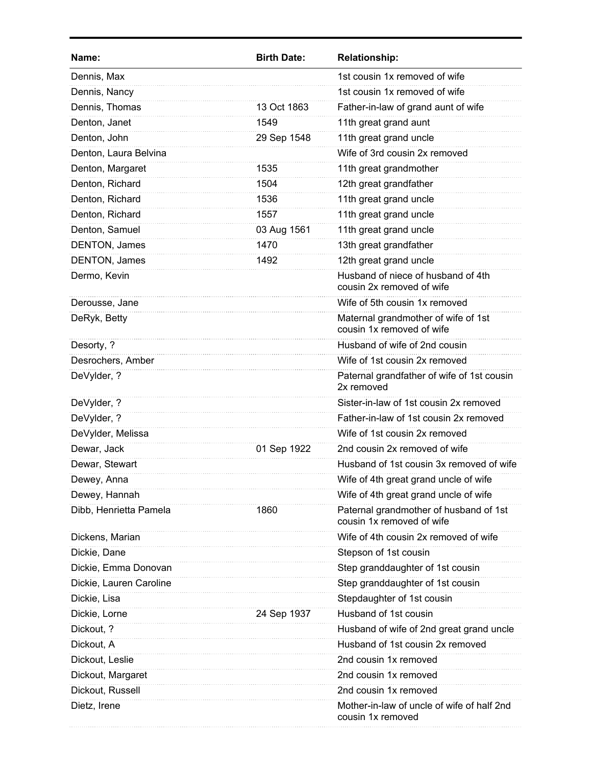| Name:                   | <b>Birth Date:</b> | <b>Relationship:</b>                                                |
|-------------------------|--------------------|---------------------------------------------------------------------|
| Dennis, Max             |                    | 1st cousin 1x removed of wife                                       |
| Dennis, Nancy           |                    | 1st cousin 1x removed of wife                                       |
| Dennis, Thomas          | 13 Oct 1863        | Father-in-law of grand aunt of wife                                 |
| Denton, Janet           | 1549               | 11th great grand aunt                                               |
| Denton, John            | 29 Sep 1548        | 11th great grand uncle                                              |
| Denton, Laura Belvina   |                    | Wife of 3rd cousin 2x removed                                       |
| Denton, Margaret        | 1535               | 11th great grandmother                                              |
| Denton, Richard         | 1504               | 12th great grandfather                                              |
| Denton, Richard         | 1536               | 11th great grand uncle                                              |
| Denton, Richard         | 1557               | 11th great grand uncle                                              |
| Denton, Samuel          | 03 Aug 1561        | 11th great grand uncle                                              |
| DENTON, James           | 1470               | 13th great grandfather                                              |
| DENTON, James           | 1492               | 12th great grand uncle                                              |
| Dermo, Kevin            |                    | Husband of niece of husband of 4th<br>cousin 2x removed of wife     |
| Derousse, Jane          |                    | Wife of 5th cousin 1x removed                                       |
| DeRyk, Betty            |                    | Maternal grandmother of wife of 1st<br>cousin 1x removed of wife    |
| Desorty, ?              |                    | Husband of wife of 2nd cousin                                       |
| Desrochers, Amber       |                    | Wife of 1st cousin 2x removed                                       |
| DeVylder, ?             |                    | Paternal grandfather of wife of 1st cousin<br>2x removed            |
| DeVylder, ?             |                    | Sister-in-law of 1st cousin 2x removed                              |
| DeVylder, ?             |                    | Father-in-law of 1st cousin 2x removed                              |
| DeVylder, Melissa       |                    | Wife of 1st cousin 2x removed                                       |
| Dewar, Jack             | 01 Sep 1922        | 2nd cousin 2x removed of wife                                       |
| Dewar, Stewart          |                    | Husband of 1st cousin 3x removed of wife                            |
| Dewey, Anna             |                    | Wife of 4th great grand uncle of wife                               |
| Dewey, Hannah           |                    | Wife of 4th great grand uncle of wife                               |
| Dibb, Henrietta Pamela  | 1860               | Paternal grandmother of husband of 1st<br>cousin 1x removed of wife |
| Dickens, Marian         |                    | Wife of 4th cousin 2x removed of wife                               |
| Dickie, Dane            |                    | Stepson of 1st cousin                                               |
| Dickie, Emma Donovan    |                    | Step granddaughter of 1st cousin                                    |
| Dickie, Lauren Caroline |                    | Step granddaughter of 1st cousin                                    |
| Dickie, Lisa            |                    | Stepdaughter of 1st cousin                                          |
| Dickie, Lorne           | 24 Sep 1937        | Husband of 1st cousin                                               |
| Dickout, ?              |                    | Husband of wife of 2nd great grand uncle                            |
| Dickout, A              |                    | Husband of 1st cousin 2x removed                                    |
| Dickout, Leslie         |                    | 2nd cousin 1x removed                                               |
| Dickout, Margaret       |                    | 2nd cousin 1x removed                                               |
| Dickout, Russell        |                    | 2nd cousin 1x removed                                               |
| Dietz, Irene            |                    | Mother-in-law of uncle of wife of half 2nd<br>cousin 1x removed     |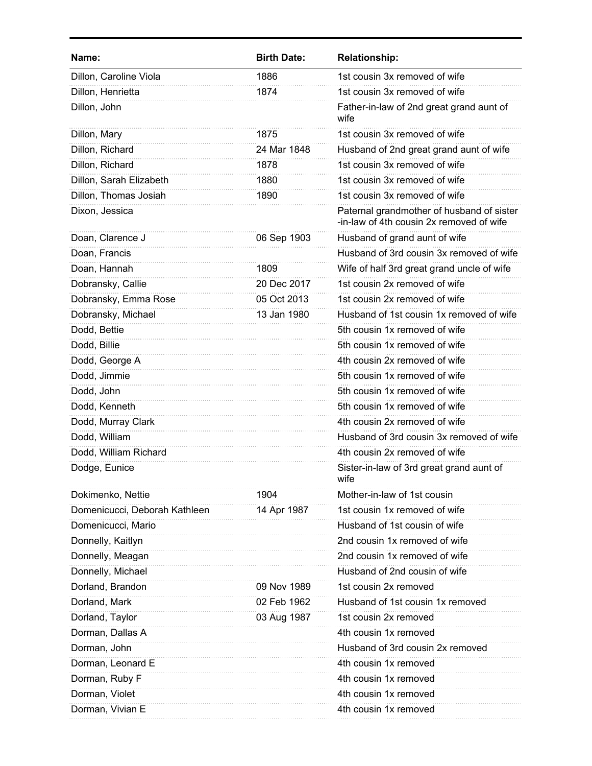| Name:                         | <b>Birth Date:</b> | <b>Relationship:</b>                                                                  |
|-------------------------------|--------------------|---------------------------------------------------------------------------------------|
| Dillon, Caroline Viola        | 1886               | 1st cousin 3x removed of wife                                                         |
| Dillon, Henrietta             | 1874               | 1st cousin 3x removed of wife                                                         |
| Dillon, John                  |                    | Father-in-law of 2nd great grand aunt of<br>wife                                      |
| Dillon, Mary                  | 1875               | 1st cousin 3x removed of wife                                                         |
| Dillon, Richard               | 24 Mar 1848        | Husband of 2nd great grand aunt of wife                                               |
| Dillon, Richard               | 1878               | 1st cousin 3x removed of wife                                                         |
| Dillon, Sarah Elizabeth       | 1880               | 1st cousin 3x removed of wife                                                         |
| Dillon, Thomas Josiah         | 1890               | 1st cousin 3x removed of wife                                                         |
| Dixon, Jessica                |                    | Paternal grandmother of husband of sister<br>-in-law of 4th cousin 2x removed of wife |
| Doan, Clarence J              | 06 Sep 1903        | Husband of grand aunt of wife                                                         |
| Doan, Francis                 |                    | Husband of 3rd cousin 3x removed of wife                                              |
| Doan, Hannah                  | 1809               | Wife of half 3rd great grand uncle of wife                                            |
| Dobransky, Callie             | 20 Dec 2017        | 1st cousin 2x removed of wife                                                         |
| Dobransky, Emma Rose          | 05 Oct 2013        | 1st cousin 2x removed of wife                                                         |
| Dobransky, Michael            | 13 Jan 1980        | Husband of 1st cousin 1x removed of wife                                              |
| Dodd, Bettie                  |                    | 5th cousin 1x removed of wife                                                         |
| Dodd, Billie                  |                    | 5th cousin 1x removed of wife                                                         |
| Dodd, George A                |                    | 4th cousin 2x removed of wife                                                         |
| Dodd, Jimmie                  |                    | 5th cousin 1x removed of wife                                                         |
| Dodd, John                    |                    | 5th cousin 1x removed of wife                                                         |
| Dodd, Kenneth                 |                    | 5th cousin 1x removed of wife                                                         |
| Dodd, Murray Clark            |                    | 4th cousin 2x removed of wife                                                         |
| Dodd, William                 |                    | Husband of 3rd cousin 3x removed of wife                                              |
| Dodd, William Richard         |                    | 4th cousin 2x removed of wife                                                         |
| Dodge, Eunice                 |                    | Sister-in-law of 3rd great grand aunt of<br>wife                                      |
| Dokimenko, Nettie             | 1904               | Mother-in-law of 1st cousin                                                           |
| Domenicucci, Deborah Kathleen | 14 Apr 1987        | 1st cousin 1x removed of wife                                                         |
| Domenicucci, Mario            |                    | Husband of 1st cousin of wife                                                         |
| Donnelly, Kaitlyn             |                    | 2nd cousin 1x removed of wife                                                         |
| Donnelly, Meagan              |                    | 2nd cousin 1x removed of wife                                                         |
| Donnelly, Michael             |                    | Husband of 2nd cousin of wife                                                         |
| Dorland, Brandon              | 09 Nov 1989        | 1st cousin 2x removed                                                                 |
| Dorland, Mark                 | 02 Feb 1962        | Husband of 1st cousin 1x removed                                                      |
| Dorland, Taylor               | 03 Aug 1987        | 1st cousin 2x removed                                                                 |
| Dorman, Dallas A              |                    | 4th cousin 1x removed                                                                 |
| Dorman, John                  |                    | Husband of 3rd cousin 2x removed                                                      |
| Dorman, Leonard E             |                    | 4th cousin 1x removed                                                                 |
| Dorman, Ruby F                |                    | 4th cousin 1x removed                                                                 |
| Dorman, Violet                |                    | 4th cousin 1x removed                                                                 |
| Dorman, Vivian E              |                    | 4th cousin 1x removed                                                                 |
|                               |                    |                                                                                       |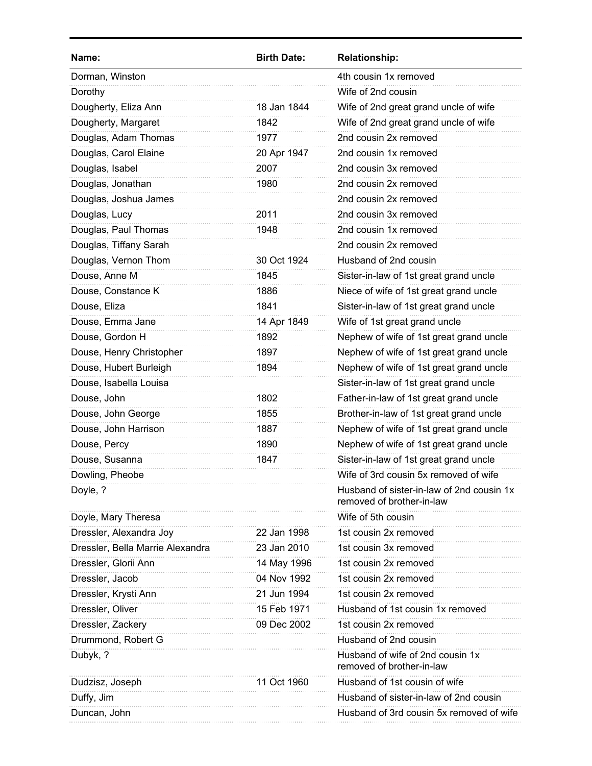| Name:                            | <b>Birth Date:</b> | <b>Relationship:</b>                                                   |
|----------------------------------|--------------------|------------------------------------------------------------------------|
| Dorman, Winston                  |                    | 4th cousin 1x removed                                                  |
| Dorothy                          |                    | Wife of 2nd cousin                                                     |
| Dougherty, Eliza Ann             | 18 Jan 1844        | Wife of 2nd great grand uncle of wife                                  |
| Dougherty, Margaret              | 1842               | Wife of 2nd great grand uncle of wife                                  |
| Douglas, Adam Thomas             | 1977               | 2nd cousin 2x removed                                                  |
| Douglas, Carol Elaine            | 20 Apr 1947        | 2nd cousin 1x removed                                                  |
| Douglas, Isabel                  | 2007               | 2nd cousin 3x removed                                                  |
| Douglas, Jonathan                | 1980               | 2nd cousin 2x removed                                                  |
| Douglas, Joshua James            |                    | 2nd cousin 2x removed                                                  |
| Douglas, Lucy                    | 2011               | 2nd cousin 3x removed                                                  |
| Douglas, Paul Thomas             | 1948               | 2nd cousin 1x removed                                                  |
| Douglas, Tiffany Sarah           |                    | 2nd cousin 2x removed                                                  |
| Douglas, Vernon Thom             | 30 Oct 1924        | Husband of 2nd cousin                                                  |
| Douse, Anne M                    | 1845               | Sister-in-law of 1st great grand uncle                                 |
| Douse, Constance K               | 1886               | Niece of wife of 1st great grand uncle                                 |
| Douse, Eliza                     | 1841               | Sister-in-law of 1st great grand uncle                                 |
| Douse, Emma Jane                 | 14 Apr 1849        | Wife of 1st great grand uncle                                          |
| Douse, Gordon H                  | 1892               | Nephew of wife of 1st great grand uncle                                |
| Douse, Henry Christopher         | 1897               | Nephew of wife of 1st great grand uncle                                |
| Douse, Hubert Burleigh           | 1894               | Nephew of wife of 1st great grand uncle                                |
| Douse, Isabella Louisa           |                    | Sister-in-law of 1st great grand uncle                                 |
| Douse, John                      | 1802               | Father-in-law of 1st great grand uncle                                 |
| Douse, John George               | 1855               | Brother-in-law of 1st great grand uncle                                |
| Douse, John Harrison             | 1887               | Nephew of wife of 1st great grand uncle                                |
| Douse, Percy                     | 1890               | Nephew of wife of 1st great grand uncle                                |
| Douse, Susanna                   | 1847               | Sister-in-law of 1st great grand uncle                                 |
| Dowling, Pheobe                  |                    | Wife of 3rd cousin 5x removed of wife                                  |
| Doyle, ?                         |                    | Husband of sister-in-law of 2nd cousin 1x<br>removed of brother-in-law |
| Doyle, Mary Theresa              |                    | Wife of 5th cousin                                                     |
| Dressler, Alexandra Joy          | 22 Jan 1998        | 1st cousin 2x removed                                                  |
| Dressler, Bella Marrie Alexandra | 23 Jan 2010        | 1st cousin 3x removed                                                  |
| Dressler, Glorii Ann             | 14 May 1996        | 1st cousin 2x removed                                                  |
| Dressler, Jacob                  | 04 Nov 1992        | 1st cousin 2x removed                                                  |
| Dressler, Krysti Ann             | 21 Jun 1994        | 1st cousin 2x removed                                                  |
| Dressler, Oliver                 | 15 Feb 1971        | Husband of 1st cousin 1x removed                                       |
| Dressler, Zackery                | 09 Dec 2002        | 1st cousin 2x removed                                                  |
| Drummond, Robert G               |                    | Husband of 2nd cousin                                                  |
| Dubyk, ?                         |                    | Husband of wife of 2nd cousin 1x<br>removed of brother-in-law          |
| Dudzisz, Joseph                  | 11 Oct 1960        | Husband of 1st cousin of wife                                          |
| Duffy, Jim                       |                    | Husband of sister-in-law of 2nd cousin                                 |
| Duncan, John                     |                    | Husband of 3rd cousin 5x removed of wife                               |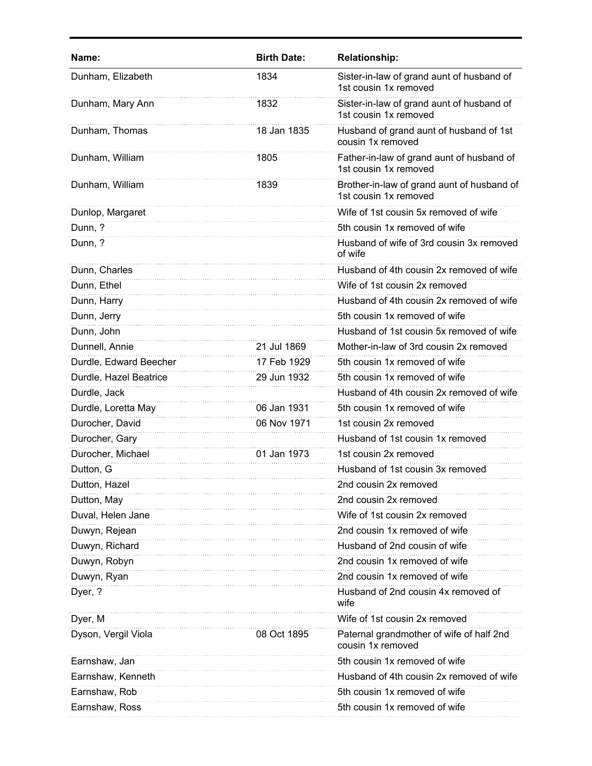| Name:                  | <b>Birth Date:</b> | <b>Relationship:</b>                                                |
|------------------------|--------------------|---------------------------------------------------------------------|
| Dunham, Elizabeth      | 1834               | Sister-in-law of grand aunt of husband of<br>1st cousin 1x removed  |
| Dunham, Mary Ann       | 1832               | Sister-in-law of grand aunt of husband of<br>1st cousin 1x removed  |
| Dunham, Thomas         | 18 Jan 1835        | Husband of grand aunt of husband of 1st<br>cousin 1x removed        |
| Dunham, William        | 1805               | Father-in-law of grand aunt of husband of<br>1st cousin 1x removed  |
| Dunham, William        | 1839               | Brother-in-law of grand aunt of husband of<br>1st cousin 1x removed |
| Dunlop, Margaret       |                    | Wife of 1st cousin 5x removed of wife                               |
| Dunn, ?                |                    | 5th cousin 1x removed of wife                                       |
| Dunn, ?                |                    | Husband of wife of 3rd cousin 3x removed<br>of wife                 |
| Dunn, Charles          |                    | Husband of 4th cousin 2x removed of wife                            |
| Dunn, Ethel            |                    | Wife of 1st cousin 2x removed                                       |
| Dunn, Harry            |                    | Husband of 4th cousin 2x removed of wife                            |
| Dunn, Jerry            |                    | 5th cousin 1x removed of wife                                       |
| Dunn, John             |                    | Husband of 1st cousin 5x removed of wife                            |
| Dunnell, Annie         | 21 Jul 1869        | Mother-in-law of 3rd cousin 2x removed                              |
| Durdle, Edward Beecher | 17 Feb 1929        | 5th cousin 1x removed of wife                                       |
| Durdle, Hazel Beatrice | 29 Jun 1932        | 5th cousin 1x removed of wife                                       |
| Durdle, Jack           |                    | Husband of 4th cousin 2x removed of wife                            |
| Durdle, Loretta May    | 06 Jan 1931        | 5th cousin 1x removed of wife                                       |
| Durocher, David        | 06 Nov 1971        | 1st cousin 2x removed                                               |
| Durocher, Gary         |                    | Husband of 1st cousin 1x removed                                    |
| Durocher, Michael      | 01 Jan 1973        | 1st cousin 2x removed                                               |
| Dutton, G              |                    | Husband of 1st cousin 3x removed                                    |
| Dutton, Hazel          |                    | 2nd cousin 2x removed                                               |
| Dutton, May            |                    | 2nd cousin 2x removed                                               |
| Duval, Helen Jane      |                    | Wife of 1st cousin 2x removed                                       |
| Duwyn, Rejean          |                    | 2nd cousin 1x removed of wife                                       |
| Duwyn, Richard         |                    | Husband of 2nd cousin of wife                                       |
| Duwyn, Robyn           |                    | 2nd cousin 1x removed of wife                                       |
| Duwyn, Ryan            |                    | 2nd cousin 1x removed of wife                                       |
| Dyer, ?                |                    | Husband of 2nd cousin 4x removed of<br>wife                         |
| Dyer, M                |                    | Wife of 1st cousin 2x removed                                       |
| Dyson, Vergil Viola    | 08 Oct 1895        | Paternal grandmother of wife of half 2nd<br>cousin 1x removed       |
| Earnshaw, Jan          |                    | 5th cousin 1x removed of wife                                       |
| Earnshaw, Kenneth      |                    | Husband of 4th cousin 2x removed of wife                            |
| Earnshaw, Rob          |                    | 5th cousin 1x removed of wife                                       |
| Earnshaw, Ross         |                    | 5th cousin 1x removed of wife                                       |
|                        |                    |                                                                     |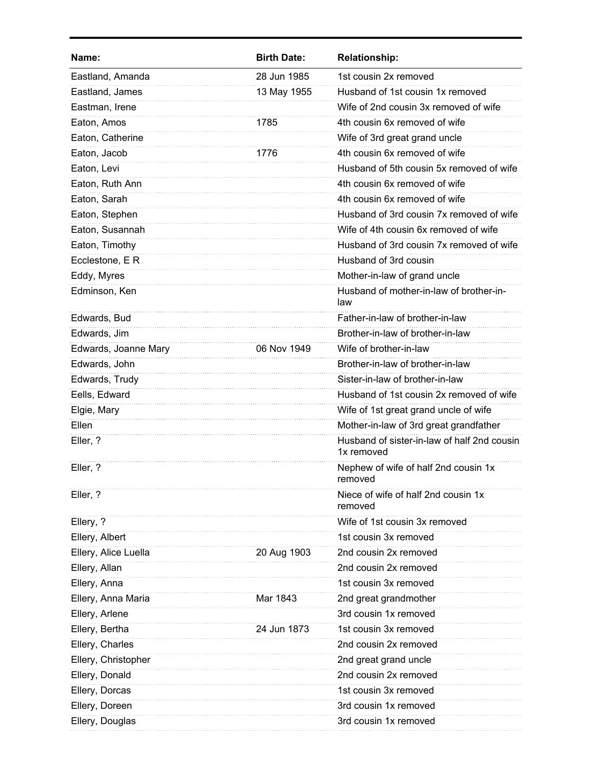| Name:                | <b>Birth Date:</b> | <b>Relationship:</b>                                      |
|----------------------|--------------------|-----------------------------------------------------------|
| Eastland, Amanda     | 28 Jun 1985        | 1st cousin 2x removed                                     |
| Eastland, James      | 13 May 1955        | Husband of 1st cousin 1x removed                          |
| Eastman, Irene       |                    | Wife of 2nd cousin 3x removed of wife                     |
| Eaton, Amos          | 1785               | 4th cousin 6x removed of wife                             |
| Eaton, Catherine     |                    | Wife of 3rd great grand uncle                             |
| Eaton, Jacob         | 1776               | 4th cousin 6x removed of wife                             |
| Eaton, Levi          |                    | Husband of 5th cousin 5x removed of wife                  |
| Eaton, Ruth Ann      |                    | 4th cousin 6x removed of wife                             |
| Eaton, Sarah         |                    | 4th cousin 6x removed of wife                             |
| Eaton, Stephen       |                    | Husband of 3rd cousin 7x removed of wife                  |
| Eaton, Susannah      |                    | Wife of 4th cousin 6x removed of wife                     |
| Eaton, Timothy       |                    | Husband of 3rd cousin 7x removed of wife                  |
| Ecclestone, E R      |                    | Husband of 3rd cousin                                     |
| Eddy, Myres          |                    | Mother-in-law of grand uncle                              |
| Edminson, Ken        |                    | Husband of mother-in-law of brother-in-<br>law            |
| Edwards, Bud         |                    | Father-in-law of brother-in-law                           |
| Edwards, Jim         |                    | Brother-in-law of brother-in-law                          |
| Edwards, Joanne Mary | 06 Nov 1949        | Wife of brother-in-law                                    |
| Edwards, John        |                    | Brother-in-law of brother-in-law                          |
| Edwards, Trudy       |                    | Sister-in-law of brother-in-law                           |
| Eells, Edward        |                    | Husband of 1st cousin 2x removed of wife                  |
| Elgie, Mary          |                    | Wife of 1st great grand uncle of wife                     |
| Ellen                |                    | Mother-in-law of 3rd great grandfather                    |
| Eller, ?             |                    | Husband of sister-in-law of half 2nd cousin<br>1x removed |
| Eller, ?             |                    | Nephew of wife of half 2nd cousin 1x<br>removed           |
| Eller, ?             |                    | Niece of wife of half 2nd cousin 1x<br>removed            |
| Ellery, ?            |                    | Wife of 1st cousin 3x removed                             |
| Ellery, Albert       |                    | 1st cousin 3x removed                                     |
| Ellery, Alice Luella | 20 Aug 1903        | 2nd cousin 2x removed                                     |
| Ellery, Allan        |                    | 2nd cousin 2x removed                                     |
| Ellery, Anna         |                    | 1st cousin 3x removed                                     |
| Ellery, Anna Maria   | Mar 1843           | 2nd great grandmother                                     |
| Ellery, Arlene       |                    | 3rd cousin 1x removed                                     |
| Ellery, Bertha       | 24 Jun 1873        | 1st cousin 3x removed                                     |
| Ellery, Charles      |                    | 2nd cousin 2x removed                                     |
| Ellery, Christopher  |                    | 2nd great grand uncle                                     |
| Ellery, Donald       |                    | 2nd cousin 2x removed                                     |
| Ellery, Dorcas       |                    | 1st cousin 3x removed                                     |
| Ellery, Doreen       |                    | 3rd cousin 1x removed                                     |
| Ellery, Douglas      |                    | 3rd cousin 1x removed                                     |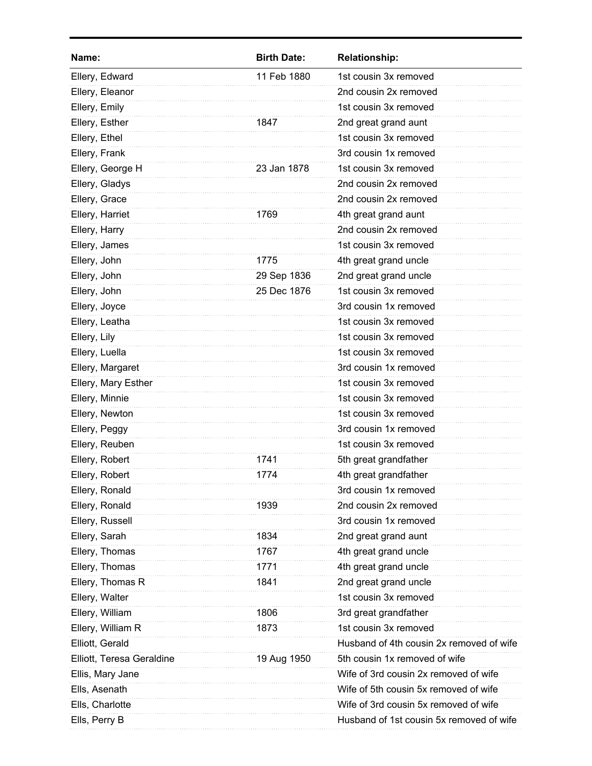| Name:                     | <b>Birth Date:</b> | <b>Relationship:</b>                     |
|---------------------------|--------------------|------------------------------------------|
| Ellery, Edward            | 11 Feb 1880        | 1st cousin 3x removed                    |
| Ellery, Eleanor           |                    | 2nd cousin 2x removed                    |
| Ellery, Emily             |                    | 1st cousin 3x removed                    |
| Ellery, Esther            | 1847               | 2nd great grand aunt                     |
| Ellery, Ethel             |                    | 1st cousin 3x removed                    |
| Ellery, Frank             |                    | 3rd cousin 1x removed                    |
| Ellery, George H          | 23 Jan 1878        | 1st cousin 3x removed                    |
| Ellery, Gladys            |                    | 2nd cousin 2x removed                    |
| Ellery, Grace             |                    | 2nd cousin 2x removed                    |
| Ellery, Harriet           | 1769               | 4th great grand aunt                     |
| Ellery, Harry             |                    | 2nd cousin 2x removed                    |
| Ellery, James             |                    | 1st cousin 3x removed                    |
| Ellery, John              | 1775               | 4th great grand uncle                    |
| Ellery, John              | 29 Sep 1836        | 2nd great grand uncle                    |
| Ellery, John              | 25 Dec 1876        | 1st cousin 3x removed                    |
| Ellery, Joyce             |                    | 3rd cousin 1x removed                    |
| Ellery, Leatha            |                    | 1st cousin 3x removed                    |
| Ellery, Lily              |                    | 1st cousin 3x removed                    |
| Ellery, Luella            |                    | 1st cousin 3x removed                    |
| Ellery, Margaret          |                    | 3rd cousin 1x removed                    |
| Ellery, Mary Esther       |                    | 1st cousin 3x removed                    |
| Ellery, Minnie            |                    | 1st cousin 3x removed                    |
| Ellery, Newton            |                    | 1st cousin 3x removed                    |
| Ellery, Peggy             |                    | 3rd cousin 1x removed                    |
| Ellery, Reuben            |                    | 1st cousin 3x removed                    |
| Ellery, Robert            | 1741               | 5th great grandfather                    |
| Ellery, Robert            | 1774               | 4th great grandfather                    |
| Ellery, Ronald            |                    | 3rd cousin 1x removed                    |
| Ellery, Ronald            | 1939               | 2nd cousin 2x removed                    |
| Ellery, Russell           |                    | 3rd cousin 1x removed                    |
| Ellery, Sarah             | 1834               | 2nd great grand aunt                     |
| Ellery, Thomas            | 1767               | 4th great grand uncle                    |
| Ellery, Thomas            | 1771               | 4th great grand uncle                    |
| Ellery, Thomas R          | 1841               | 2nd great grand uncle                    |
| Ellery, Walter            |                    | 1st cousin 3x removed                    |
| Ellery, William           | 1806               | 3rd great grandfather                    |
| Ellery, William R         | 1873               | 1st cousin 3x removed                    |
| Elliott, Gerald           |                    | Husband of 4th cousin 2x removed of wife |
| Elliott, Teresa Geraldine | 19 Aug 1950        | 5th cousin 1x removed of wife            |
| Ellis, Mary Jane          |                    | Wife of 3rd cousin 2x removed of wife    |
| Ells, Asenath             |                    | Wife of 5th cousin 5x removed of wife    |
| Ells, Charlotte           |                    | Wife of 3rd cousin 5x removed of wife    |
| Ells, Perry B             |                    | Husband of 1st cousin 5x removed of wife |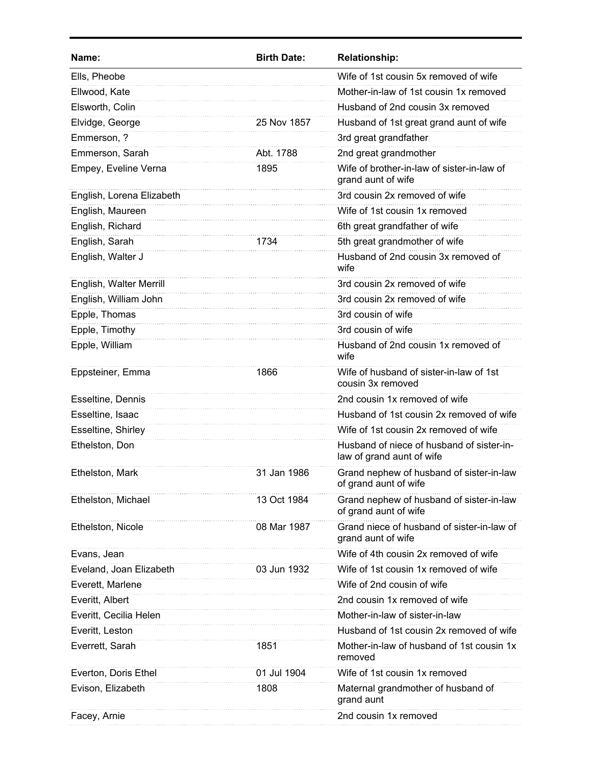| Name:                     | <b>Birth Date:</b> | <b>Relationship:</b>                                                   |
|---------------------------|--------------------|------------------------------------------------------------------------|
| Ells, Pheobe              |                    | Wife of 1st cousin 5x removed of wife                                  |
| Ellwood, Kate             |                    | Mother-in-law of 1st cousin 1x removed                                 |
| Elsworth, Colin           |                    | Husband of 2nd cousin 3x removed                                       |
| Elvidge, George           | 25 Nov 1857        | Husband of 1st great grand aunt of wife                                |
| Emmerson, ?               |                    | 3rd great grandfather                                                  |
| Emmerson, Sarah           | Abt. 1788          | 2nd great grandmother                                                  |
| Empey, Eveline Verna      | 1895               | Wife of brother-in-law of sister-in-law of<br>grand aunt of wife       |
| English, Lorena Elizabeth |                    | 3rd cousin 2x removed of wife                                          |
| English, Maureen          |                    | Wife of 1st cousin 1x removed                                          |
| English, Richard          |                    | 6th great grandfather of wife                                          |
| English, Sarah            | 1734               | 5th great grandmother of wife                                          |
| English, Walter J         |                    | Husband of 2nd cousin 3x removed of<br>wife                            |
| English, Walter Merrill   |                    | 3rd cousin 2x removed of wife                                          |
| English, William John     |                    | 3rd cousin 2x removed of wife                                          |
| Epple, Thomas             |                    | 3rd cousin of wife                                                     |
| Epple, Timothy            |                    | 3rd cousin of wife                                                     |
| Epple, William            |                    | Husband of 2nd cousin 1x removed of<br>wife                            |
| Eppsteiner, Emma          | 1866               | Wife of husband of sister-in-law of 1st<br>cousin 3x removed           |
| Esseltine, Dennis         |                    | 2nd cousin 1x removed of wife                                          |
| Esseltine, Isaac          |                    | Husband of 1st cousin 2x removed of wife                               |
| Esseltine, Shirley        |                    | Wife of 1st cousin 2x removed of wife                                  |
| Ethelston, Don            |                    | Husband of niece of husband of sister-in-<br>law of grand aunt of wife |
| Ethelston, Mark           | 31 Jan 1986        | Grand nephew of husband of sister-in-law<br>of grand aunt of wife      |
| Ethelston, Michael        | 13 Oct 1984        | Grand nephew of husband of sister-in-law<br>of grand aunt of wife      |
| Ethelston, Nicole         | 08 Mar 1987        | Grand niece of husband of sister-in-law of<br>grand aunt of wife       |
| Evans, Jean               |                    | Wife of 4th cousin 2x removed of wife                                  |
| Eveland, Joan Elizabeth   | 03 Jun 1932        | Wife of 1st cousin 1x removed of wife                                  |
| Everett, Marlene          |                    | Wife of 2nd cousin of wife                                             |
| Everitt, Albert           |                    | 2nd cousin 1x removed of wife                                          |
| Everitt, Cecilia Helen    |                    | Mother-in-law of sister-in-law                                         |
| Everitt, Leston           |                    | Husband of 1st cousin 2x removed of wife                               |
| Everrett, Sarah           | 1851               | Mother-in-law of husband of 1st cousin 1x<br>removed                   |
| Everton, Doris Ethel      | 01 Jul 1904        | Wife of 1st cousin 1x removed                                          |
| Evison, Elizabeth         | 1808               | Maternal grandmother of husband of<br>grand aunt                       |
| Facey, Arnie              |                    | 2nd cousin 1x removed                                                  |
|                           |                    |                                                                        |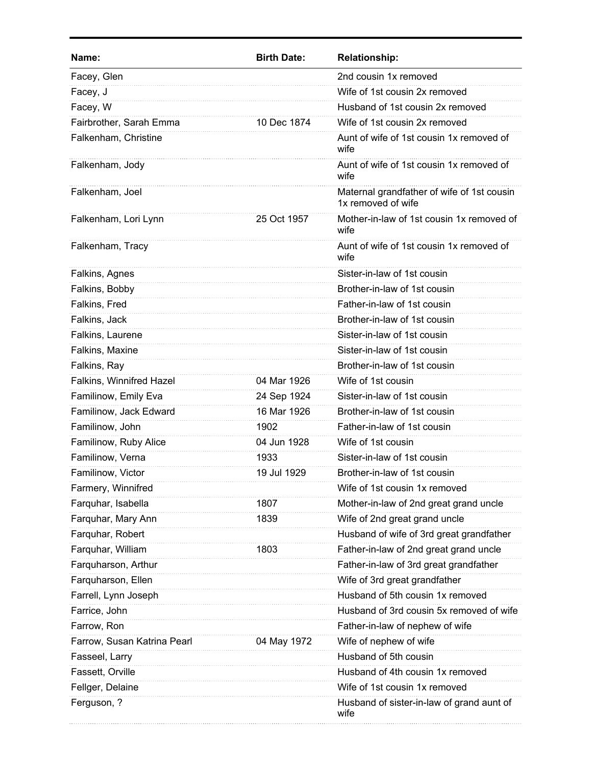| Name:                       | <b>Birth Date:</b> | <b>Relationship:</b>                                             |
|-----------------------------|--------------------|------------------------------------------------------------------|
| Facey, Glen                 |                    | 2nd cousin 1x removed                                            |
| Facey, J                    |                    | Wife of 1st cousin 2x removed                                    |
| Facey, W                    |                    | Husband of 1st cousin 2x removed                                 |
| Fairbrother, Sarah Emma     | 10 Dec 1874        | Wife of 1st cousin 2x removed                                    |
| Falkenham, Christine        |                    | Aunt of wife of 1st cousin 1x removed of<br>wife                 |
| Falkenham, Jody             |                    | Aunt of wife of 1st cousin 1x removed of<br>wife                 |
| Falkenham, Joel             |                    | Maternal grandfather of wife of 1st cousin<br>1x removed of wife |
| Falkenham, Lori Lynn        | 25 Oct 1957        | Mother-in-law of 1st cousin 1x removed of<br>wife                |
| Falkenham, Tracy            |                    | Aunt of wife of 1st cousin 1x removed of<br>wife                 |
| Falkins, Agnes              |                    | Sister-in-law of 1st cousin                                      |
| Falkins, Bobby              |                    | Brother-in-law of 1st cousin                                     |
| Falkins, Fred               |                    | Father-in-law of 1st cousin                                      |
| Falkins, Jack               |                    | Brother-in-law of 1st cousin                                     |
| Falkins, Laurene            |                    | Sister-in-law of 1st cousin                                      |
| Falkins, Maxine             |                    | Sister-in-law of 1st cousin                                      |
| Falkins, Ray                |                    | Brother-in-law of 1st cousin                                     |
| Falkins, Winnifred Hazel    | 04 Mar 1926        | Wife of 1st cousin                                               |
| Familinow, Emily Eva        | 24 Sep 1924        | Sister-in-law of 1st cousin                                      |
| Familinow, Jack Edward      | 16 Mar 1926        | Brother-in-law of 1st cousin                                     |
| Familinow, John             | 1902               | Father-in-law of 1st cousin                                      |
| Familinow, Ruby Alice       | 04 Jun 1928        | Wife of 1st cousin                                               |
| Familinow, Verna            | 1933               | Sister-in-law of 1st cousin                                      |
| Familinow, Victor           | 19 Jul 1929        | Brother-in-law of 1st cousin                                     |
| Farmery, Winnifred          |                    | Wife of 1st cousin 1x removed                                    |
| Farquhar, Isabella          | 1807               | Mother-in-law of 2nd great grand uncle                           |
| Farquhar, Mary Ann          | 1839               | Wife of 2nd great grand uncle                                    |
| Farquhar, Robert            |                    | Husband of wife of 3rd great grandfather                         |
| Farquhar, William           | 1803               | Father-in-law of 2nd great grand uncle                           |
| Farquharson, Arthur         |                    | Father-in-law of 3rd great grandfather                           |
| Farquharson, Ellen          |                    | Wife of 3rd great grandfather                                    |
| Farrell, Lynn Joseph        |                    | Husband of 5th cousin 1x removed                                 |
| Farrice, John               |                    | Husband of 3rd cousin 5x removed of wife                         |
| Farrow, Ron                 |                    | Father-in-law of nephew of wife                                  |
| Farrow, Susan Katrina Pearl | 04 May 1972        | Wife of nephew of wife                                           |
| Fasseel, Larry              |                    | Husband of 5th cousin                                            |
| Fassett, Orville            |                    | Husband of 4th cousin 1x removed                                 |
| Fellger, Delaine            |                    | Wife of 1st cousin 1x removed                                    |
| Ferguson, ?                 |                    | Husband of sister-in-law of grand aunt of<br>wife                |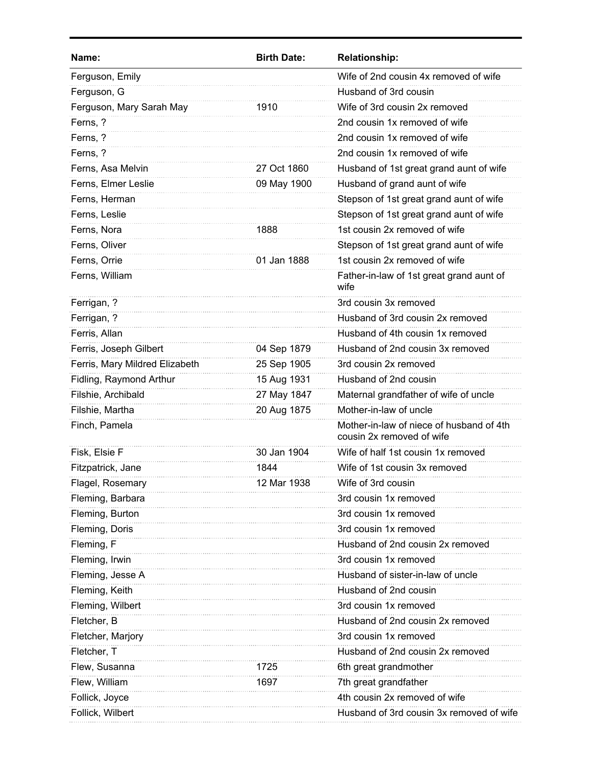| Wife of 2nd cousin 4x removed of wife<br>Ferguson, Emily<br>Ferguson, G<br>Husband of 3rd cousin<br>Wife of 3rd cousin 2x removed<br>Ferguson, Mary Sarah May<br>1910<br>Ferns, ?<br>2nd cousin 1x removed of wife<br>Ferns, ?<br>2nd cousin 1x removed of wife<br>Ferns, ?<br>2nd cousin 1x removed of wife<br>27 Oct 1860<br>Ferns, Asa Melvin<br>Husband of 1st great grand aunt of wife<br>Ferns, Elmer Leslie<br>09 May 1900<br>Husband of grand aunt of wife<br>Ferns, Herman<br>Stepson of 1st great grand aunt of wife<br>Stepson of 1st great grand aunt of wife<br>Ferns, Leslie<br>Ferns, Nora<br>1st cousin 2x removed of wife<br>1888<br>Ferns, Oliver<br>Stepson of 1st great grand aunt of wife<br>1st cousin 2x removed of wife<br>Ferns, Orrie<br>01 Jan 1888<br>Ferns, William<br>Father-in-law of 1st great grand aunt of<br>wife<br>3rd cousin 3x removed<br>Ferrigan, ?<br>Ferrigan, ?<br>Husband of 3rd cousin 2x removed<br>Ferris, Allan<br>Husband of 4th cousin 1x removed<br>Ferris, Joseph Gilbert<br>Husband of 2nd cousin 3x removed<br>04 Sep 1879<br>Ferris, Mary Mildred Elizabeth<br>25 Sep 1905<br>3rd cousin 2x removed<br>Fidling, Raymond Arthur<br>15 Aug 1931<br>Husband of 2nd cousin<br>27 May 1847<br>Maternal grandfather of wife of uncle<br>Filshie, Archibald<br>Mother-in-law of uncle<br>Filshie, Martha<br>20 Aug 1875<br>Finch, Pamela<br>Mother-in-law of niece of husband of 4th<br>cousin 2x removed of wife<br>30 Jan 1904<br>Wife of half 1st cousin 1x removed<br>Fisk, Elsie F<br>Wife of 1st cousin 3x removed<br>Fitzpatrick, Jane<br>1844<br>Flagel, Rosemary<br>12 Mar 1938<br>Wife of 3rd cousin<br>Fleming, Barbara<br>3rd cousin 1x removed<br>Fleming, Burton<br>3rd cousin 1x removed<br>Fleming, Doris<br>3rd cousin 1x removed<br>Fleming, F<br>Husband of 2nd cousin 2x removed<br>Fleming, Irwin<br>3rd cousin 1x removed<br>Husband of sister-in-law of uncle<br>Fleming, Jesse A<br>Fleming, Keith<br>Husband of 2nd cousin<br>Fleming, Wilbert<br>3rd cousin 1x removed<br>Fletcher, B<br>Husband of 2nd cousin 2x removed<br>Fletcher, Marjory<br>3rd cousin 1x removed<br>Husband of 2nd cousin 2x removed<br>Fletcher, T<br>Flew, Susanna<br>1725<br>6th great grandmother<br>Flew, William<br>7th great grandfather<br>1697<br>4th cousin 2x removed of wife<br>Follick, Joyce<br>Follick, Wilbert<br>Husband of 3rd cousin 3x removed of wife | Name: | <b>Birth Date:</b> | <b>Relationship:</b> |
|------------------------------------------------------------------------------------------------------------------------------------------------------------------------------------------------------------------------------------------------------------------------------------------------------------------------------------------------------------------------------------------------------------------------------------------------------------------------------------------------------------------------------------------------------------------------------------------------------------------------------------------------------------------------------------------------------------------------------------------------------------------------------------------------------------------------------------------------------------------------------------------------------------------------------------------------------------------------------------------------------------------------------------------------------------------------------------------------------------------------------------------------------------------------------------------------------------------------------------------------------------------------------------------------------------------------------------------------------------------------------------------------------------------------------------------------------------------------------------------------------------------------------------------------------------------------------------------------------------------------------------------------------------------------------------------------------------------------------------------------------------------------------------------------------------------------------------------------------------------------------------------------------------------------------------------------------------------------------------------------------------------------------------------------------------------------------------------------------------------------------------------------------------------------------------------------------------------------------------------------------------------------------------------------------------------------------------------------------------------------------------------------------------------------------|-------|--------------------|----------------------|
|                                                                                                                                                                                                                                                                                                                                                                                                                                                                                                                                                                                                                                                                                                                                                                                                                                                                                                                                                                                                                                                                                                                                                                                                                                                                                                                                                                                                                                                                                                                                                                                                                                                                                                                                                                                                                                                                                                                                                                                                                                                                                                                                                                                                                                                                                                                                                                                                                              |       |                    |                      |
|                                                                                                                                                                                                                                                                                                                                                                                                                                                                                                                                                                                                                                                                                                                                                                                                                                                                                                                                                                                                                                                                                                                                                                                                                                                                                                                                                                                                                                                                                                                                                                                                                                                                                                                                                                                                                                                                                                                                                                                                                                                                                                                                                                                                                                                                                                                                                                                                                              |       |                    |                      |
|                                                                                                                                                                                                                                                                                                                                                                                                                                                                                                                                                                                                                                                                                                                                                                                                                                                                                                                                                                                                                                                                                                                                                                                                                                                                                                                                                                                                                                                                                                                                                                                                                                                                                                                                                                                                                                                                                                                                                                                                                                                                                                                                                                                                                                                                                                                                                                                                                              |       |                    |                      |
|                                                                                                                                                                                                                                                                                                                                                                                                                                                                                                                                                                                                                                                                                                                                                                                                                                                                                                                                                                                                                                                                                                                                                                                                                                                                                                                                                                                                                                                                                                                                                                                                                                                                                                                                                                                                                                                                                                                                                                                                                                                                                                                                                                                                                                                                                                                                                                                                                              |       |                    |                      |
|                                                                                                                                                                                                                                                                                                                                                                                                                                                                                                                                                                                                                                                                                                                                                                                                                                                                                                                                                                                                                                                                                                                                                                                                                                                                                                                                                                                                                                                                                                                                                                                                                                                                                                                                                                                                                                                                                                                                                                                                                                                                                                                                                                                                                                                                                                                                                                                                                              |       |                    |                      |
|                                                                                                                                                                                                                                                                                                                                                                                                                                                                                                                                                                                                                                                                                                                                                                                                                                                                                                                                                                                                                                                                                                                                                                                                                                                                                                                                                                                                                                                                                                                                                                                                                                                                                                                                                                                                                                                                                                                                                                                                                                                                                                                                                                                                                                                                                                                                                                                                                              |       |                    |                      |
|                                                                                                                                                                                                                                                                                                                                                                                                                                                                                                                                                                                                                                                                                                                                                                                                                                                                                                                                                                                                                                                                                                                                                                                                                                                                                                                                                                                                                                                                                                                                                                                                                                                                                                                                                                                                                                                                                                                                                                                                                                                                                                                                                                                                                                                                                                                                                                                                                              |       |                    |                      |
|                                                                                                                                                                                                                                                                                                                                                                                                                                                                                                                                                                                                                                                                                                                                                                                                                                                                                                                                                                                                                                                                                                                                                                                                                                                                                                                                                                                                                                                                                                                                                                                                                                                                                                                                                                                                                                                                                                                                                                                                                                                                                                                                                                                                                                                                                                                                                                                                                              |       |                    |                      |
|                                                                                                                                                                                                                                                                                                                                                                                                                                                                                                                                                                                                                                                                                                                                                                                                                                                                                                                                                                                                                                                                                                                                                                                                                                                                                                                                                                                                                                                                                                                                                                                                                                                                                                                                                                                                                                                                                                                                                                                                                                                                                                                                                                                                                                                                                                                                                                                                                              |       |                    |                      |
|                                                                                                                                                                                                                                                                                                                                                                                                                                                                                                                                                                                                                                                                                                                                                                                                                                                                                                                                                                                                                                                                                                                                                                                                                                                                                                                                                                                                                                                                                                                                                                                                                                                                                                                                                                                                                                                                                                                                                                                                                                                                                                                                                                                                                                                                                                                                                                                                                              |       |                    |                      |
|                                                                                                                                                                                                                                                                                                                                                                                                                                                                                                                                                                                                                                                                                                                                                                                                                                                                                                                                                                                                                                                                                                                                                                                                                                                                                                                                                                                                                                                                                                                                                                                                                                                                                                                                                                                                                                                                                                                                                                                                                                                                                                                                                                                                                                                                                                                                                                                                                              |       |                    |                      |
|                                                                                                                                                                                                                                                                                                                                                                                                                                                                                                                                                                                                                                                                                                                                                                                                                                                                                                                                                                                                                                                                                                                                                                                                                                                                                                                                                                                                                                                                                                                                                                                                                                                                                                                                                                                                                                                                                                                                                                                                                                                                                                                                                                                                                                                                                                                                                                                                                              |       |                    |                      |
|                                                                                                                                                                                                                                                                                                                                                                                                                                                                                                                                                                                                                                                                                                                                                                                                                                                                                                                                                                                                                                                                                                                                                                                                                                                                                                                                                                                                                                                                                                                                                                                                                                                                                                                                                                                                                                                                                                                                                                                                                                                                                                                                                                                                                                                                                                                                                                                                                              |       |                    |                      |
|                                                                                                                                                                                                                                                                                                                                                                                                                                                                                                                                                                                                                                                                                                                                                                                                                                                                                                                                                                                                                                                                                                                                                                                                                                                                                                                                                                                                                                                                                                                                                                                                                                                                                                                                                                                                                                                                                                                                                                                                                                                                                                                                                                                                                                                                                                                                                                                                                              |       |                    |                      |
|                                                                                                                                                                                                                                                                                                                                                                                                                                                                                                                                                                                                                                                                                                                                                                                                                                                                                                                                                                                                                                                                                                                                                                                                                                                                                                                                                                                                                                                                                                                                                                                                                                                                                                                                                                                                                                                                                                                                                                                                                                                                                                                                                                                                                                                                                                                                                                                                                              |       |                    |                      |
|                                                                                                                                                                                                                                                                                                                                                                                                                                                                                                                                                                                                                                                                                                                                                                                                                                                                                                                                                                                                                                                                                                                                                                                                                                                                                                                                                                                                                                                                                                                                                                                                                                                                                                                                                                                                                                                                                                                                                                                                                                                                                                                                                                                                                                                                                                                                                                                                                              |       |                    |                      |
|                                                                                                                                                                                                                                                                                                                                                                                                                                                                                                                                                                                                                                                                                                                                                                                                                                                                                                                                                                                                                                                                                                                                                                                                                                                                                                                                                                                                                                                                                                                                                                                                                                                                                                                                                                                                                                                                                                                                                                                                                                                                                                                                                                                                                                                                                                                                                                                                                              |       |                    |                      |
|                                                                                                                                                                                                                                                                                                                                                                                                                                                                                                                                                                                                                                                                                                                                                                                                                                                                                                                                                                                                                                                                                                                                                                                                                                                                                                                                                                                                                                                                                                                                                                                                                                                                                                                                                                                                                                                                                                                                                                                                                                                                                                                                                                                                                                                                                                                                                                                                                              |       |                    |                      |
|                                                                                                                                                                                                                                                                                                                                                                                                                                                                                                                                                                                                                                                                                                                                                                                                                                                                                                                                                                                                                                                                                                                                                                                                                                                                                                                                                                                                                                                                                                                                                                                                                                                                                                                                                                                                                                                                                                                                                                                                                                                                                                                                                                                                                                                                                                                                                                                                                              |       |                    |                      |
|                                                                                                                                                                                                                                                                                                                                                                                                                                                                                                                                                                                                                                                                                                                                                                                                                                                                                                                                                                                                                                                                                                                                                                                                                                                                                                                                                                                                                                                                                                                                                                                                                                                                                                                                                                                                                                                                                                                                                                                                                                                                                                                                                                                                                                                                                                                                                                                                                              |       |                    |                      |
|                                                                                                                                                                                                                                                                                                                                                                                                                                                                                                                                                                                                                                                                                                                                                                                                                                                                                                                                                                                                                                                                                                                                                                                                                                                                                                                                                                                                                                                                                                                                                                                                                                                                                                                                                                                                                                                                                                                                                                                                                                                                                                                                                                                                                                                                                                                                                                                                                              |       |                    |                      |
|                                                                                                                                                                                                                                                                                                                                                                                                                                                                                                                                                                                                                                                                                                                                                                                                                                                                                                                                                                                                                                                                                                                                                                                                                                                                                                                                                                                                                                                                                                                                                                                                                                                                                                                                                                                                                                                                                                                                                                                                                                                                                                                                                                                                                                                                                                                                                                                                                              |       |                    |                      |
|                                                                                                                                                                                                                                                                                                                                                                                                                                                                                                                                                                                                                                                                                                                                                                                                                                                                                                                                                                                                                                                                                                                                                                                                                                                                                                                                                                                                                                                                                                                                                                                                                                                                                                                                                                                                                                                                                                                                                                                                                                                                                                                                                                                                                                                                                                                                                                                                                              |       |                    |                      |
|                                                                                                                                                                                                                                                                                                                                                                                                                                                                                                                                                                                                                                                                                                                                                                                                                                                                                                                                                                                                                                                                                                                                                                                                                                                                                                                                                                                                                                                                                                                                                                                                                                                                                                                                                                                                                                                                                                                                                                                                                                                                                                                                                                                                                                                                                                                                                                                                                              |       |                    |                      |
|                                                                                                                                                                                                                                                                                                                                                                                                                                                                                                                                                                                                                                                                                                                                                                                                                                                                                                                                                                                                                                                                                                                                                                                                                                                                                                                                                                                                                                                                                                                                                                                                                                                                                                                                                                                                                                                                                                                                                                                                                                                                                                                                                                                                                                                                                                                                                                                                                              |       |                    |                      |
|                                                                                                                                                                                                                                                                                                                                                                                                                                                                                                                                                                                                                                                                                                                                                                                                                                                                                                                                                                                                                                                                                                                                                                                                                                                                                                                                                                                                                                                                                                                                                                                                                                                                                                                                                                                                                                                                                                                                                                                                                                                                                                                                                                                                                                                                                                                                                                                                                              |       |                    |                      |
|                                                                                                                                                                                                                                                                                                                                                                                                                                                                                                                                                                                                                                                                                                                                                                                                                                                                                                                                                                                                                                                                                                                                                                                                                                                                                                                                                                                                                                                                                                                                                                                                                                                                                                                                                                                                                                                                                                                                                                                                                                                                                                                                                                                                                                                                                                                                                                                                                              |       |                    |                      |
|                                                                                                                                                                                                                                                                                                                                                                                                                                                                                                                                                                                                                                                                                                                                                                                                                                                                                                                                                                                                                                                                                                                                                                                                                                                                                                                                                                                                                                                                                                                                                                                                                                                                                                                                                                                                                                                                                                                                                                                                                                                                                                                                                                                                                                                                                                                                                                                                                              |       |                    |                      |
|                                                                                                                                                                                                                                                                                                                                                                                                                                                                                                                                                                                                                                                                                                                                                                                                                                                                                                                                                                                                                                                                                                                                                                                                                                                                                                                                                                                                                                                                                                                                                                                                                                                                                                                                                                                                                                                                                                                                                                                                                                                                                                                                                                                                                                                                                                                                                                                                                              |       |                    |                      |
|                                                                                                                                                                                                                                                                                                                                                                                                                                                                                                                                                                                                                                                                                                                                                                                                                                                                                                                                                                                                                                                                                                                                                                                                                                                                                                                                                                                                                                                                                                                                                                                                                                                                                                                                                                                                                                                                                                                                                                                                                                                                                                                                                                                                                                                                                                                                                                                                                              |       |                    |                      |
|                                                                                                                                                                                                                                                                                                                                                                                                                                                                                                                                                                                                                                                                                                                                                                                                                                                                                                                                                                                                                                                                                                                                                                                                                                                                                                                                                                                                                                                                                                                                                                                                                                                                                                                                                                                                                                                                                                                                                                                                                                                                                                                                                                                                                                                                                                                                                                                                                              |       |                    |                      |
|                                                                                                                                                                                                                                                                                                                                                                                                                                                                                                                                                                                                                                                                                                                                                                                                                                                                                                                                                                                                                                                                                                                                                                                                                                                                                                                                                                                                                                                                                                                                                                                                                                                                                                                                                                                                                                                                                                                                                                                                                                                                                                                                                                                                                                                                                                                                                                                                                              |       |                    |                      |
|                                                                                                                                                                                                                                                                                                                                                                                                                                                                                                                                                                                                                                                                                                                                                                                                                                                                                                                                                                                                                                                                                                                                                                                                                                                                                                                                                                                                                                                                                                                                                                                                                                                                                                                                                                                                                                                                                                                                                                                                                                                                                                                                                                                                                                                                                                                                                                                                                              |       |                    |                      |
|                                                                                                                                                                                                                                                                                                                                                                                                                                                                                                                                                                                                                                                                                                                                                                                                                                                                                                                                                                                                                                                                                                                                                                                                                                                                                                                                                                                                                                                                                                                                                                                                                                                                                                                                                                                                                                                                                                                                                                                                                                                                                                                                                                                                                                                                                                                                                                                                                              |       |                    |                      |
|                                                                                                                                                                                                                                                                                                                                                                                                                                                                                                                                                                                                                                                                                                                                                                                                                                                                                                                                                                                                                                                                                                                                                                                                                                                                                                                                                                                                                                                                                                                                                                                                                                                                                                                                                                                                                                                                                                                                                                                                                                                                                                                                                                                                                                                                                                                                                                                                                              |       |                    |                      |
|                                                                                                                                                                                                                                                                                                                                                                                                                                                                                                                                                                                                                                                                                                                                                                                                                                                                                                                                                                                                                                                                                                                                                                                                                                                                                                                                                                                                                                                                                                                                                                                                                                                                                                                                                                                                                                                                                                                                                                                                                                                                                                                                                                                                                                                                                                                                                                                                                              |       |                    |                      |
|                                                                                                                                                                                                                                                                                                                                                                                                                                                                                                                                                                                                                                                                                                                                                                                                                                                                                                                                                                                                                                                                                                                                                                                                                                                                                                                                                                                                                                                                                                                                                                                                                                                                                                                                                                                                                                                                                                                                                                                                                                                                                                                                                                                                                                                                                                                                                                                                                              |       |                    |                      |
|                                                                                                                                                                                                                                                                                                                                                                                                                                                                                                                                                                                                                                                                                                                                                                                                                                                                                                                                                                                                                                                                                                                                                                                                                                                                                                                                                                                                                                                                                                                                                                                                                                                                                                                                                                                                                                                                                                                                                                                                                                                                                                                                                                                                                                                                                                                                                                                                                              |       |                    |                      |
|                                                                                                                                                                                                                                                                                                                                                                                                                                                                                                                                                                                                                                                                                                                                                                                                                                                                                                                                                                                                                                                                                                                                                                                                                                                                                                                                                                                                                                                                                                                                                                                                                                                                                                                                                                                                                                                                                                                                                                                                                                                                                                                                                                                                                                                                                                                                                                                                                              |       |                    |                      |
|                                                                                                                                                                                                                                                                                                                                                                                                                                                                                                                                                                                                                                                                                                                                                                                                                                                                                                                                                                                                                                                                                                                                                                                                                                                                                                                                                                                                                                                                                                                                                                                                                                                                                                                                                                                                                                                                                                                                                                                                                                                                                                                                                                                                                                                                                                                                                                                                                              |       |                    |                      |
|                                                                                                                                                                                                                                                                                                                                                                                                                                                                                                                                                                                                                                                                                                                                                                                                                                                                                                                                                                                                                                                                                                                                                                                                                                                                                                                                                                                                                                                                                                                                                                                                                                                                                                                                                                                                                                                                                                                                                                                                                                                                                                                                                                                                                                                                                                                                                                                                                              |       |                    |                      |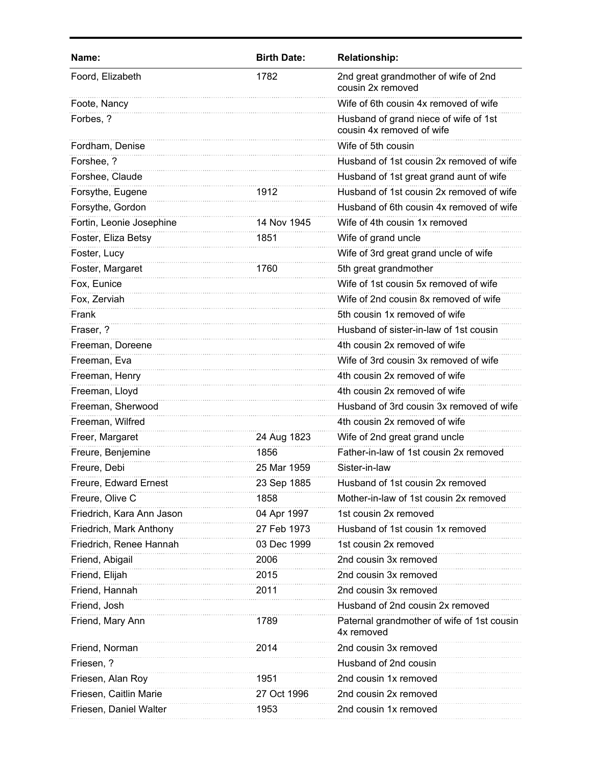| Name:                     | <b>Birth Date:</b> | <b>Relationship:</b>                                               |
|---------------------------|--------------------|--------------------------------------------------------------------|
| Foord, Elizabeth          | 1782               | 2nd great grandmother of wife of 2nd<br>cousin 2x removed          |
| Foote, Nancy              |                    | Wife of 6th cousin 4x removed of wife                              |
| Forbes, ?                 |                    | Husband of grand niece of wife of 1st<br>cousin 4x removed of wife |
| Fordham, Denise           |                    | Wife of 5th cousin                                                 |
| Forshee, ?                |                    | Husband of 1st cousin 2x removed of wife                           |
| Forshee, Claude           |                    | Husband of 1st great grand aunt of wife                            |
| Forsythe, Eugene          | 1912               | Husband of 1st cousin 2x removed of wife                           |
| Forsythe, Gordon          |                    | Husband of 6th cousin 4x removed of wife                           |
| Fortin, Leonie Josephine  | 14 Nov 1945        | Wife of 4th cousin 1x removed                                      |
| Foster, Eliza Betsy       | 1851               | Wife of grand uncle                                                |
| Foster, Lucy              |                    | Wife of 3rd great grand uncle of wife                              |
| Foster, Margaret          | 1760               | 5th great grandmother                                              |
| Fox, Eunice               |                    | Wife of 1st cousin 5x removed of wife                              |
| Fox, Zerviah              |                    | Wife of 2nd cousin 8x removed of wife                              |
| Frank                     |                    | 5th cousin 1x removed of wife                                      |
| Fraser, ?                 |                    | Husband of sister-in-law of 1st cousin                             |
| Freeman, Doreene          |                    | 4th cousin 2x removed of wife                                      |
| Freeman, Eva              |                    | Wife of 3rd cousin 3x removed of wife                              |
| Freeman, Henry            |                    | 4th cousin 2x removed of wife                                      |
| Freeman, Lloyd            |                    | 4th cousin 2x removed of wife                                      |
| Freeman, Sherwood         |                    | Husband of 3rd cousin 3x removed of wife                           |
| Freeman, Wilfred          |                    | 4th cousin 2x removed of wife                                      |
| Freer, Margaret           | 24 Aug 1823        | Wife of 2nd great grand uncle                                      |
| Freure, Benjemine         | 1856               | Father-in-law of 1st cousin 2x removed                             |
| Freure, Debi              | 25 Mar 1959        | Sister-in-law                                                      |
| Freure, Edward Ernest     | 23 Sep 1885        | Husband of 1st cousin 2x removed                                   |
| Freure, Olive C           | 1858               | Mother-in-law of 1st cousin 2x removed                             |
| Friedrich, Kara Ann Jason | 04 Apr 1997        | 1st cousin 2x removed                                              |
| Friedrich, Mark Anthony   | 27 Feb 1973        | Husband of 1st cousin 1x removed                                   |
| Friedrich, Renee Hannah   | 03 Dec 1999        | 1st cousin 2x removed                                              |
| Friend, Abigail           | 2006               | 2nd cousin 3x removed                                              |
| Friend, Elijah            | 2015               | 2nd cousin 3x removed                                              |
| Friend, Hannah            | 2011               | 2nd cousin 3x removed                                              |
| Friend, Josh              |                    | Husband of 2nd cousin 2x removed                                   |
| Friend, Mary Ann          | 1789               | Paternal grandmother of wife of 1st cousin<br>4x removed           |
| Friend, Norman            | 2014               | 2nd cousin 3x removed                                              |
| Friesen, ?                |                    | Husband of 2nd cousin                                              |
| Friesen, Alan Roy         | 1951               | 2nd cousin 1x removed                                              |
| Friesen, Caitlin Marie    | 27 Oct 1996        | 2nd cousin 2x removed                                              |
| Friesen, Daniel Walter    | 1953               | 2nd cousin 1x removed                                              |
|                           |                    |                                                                    |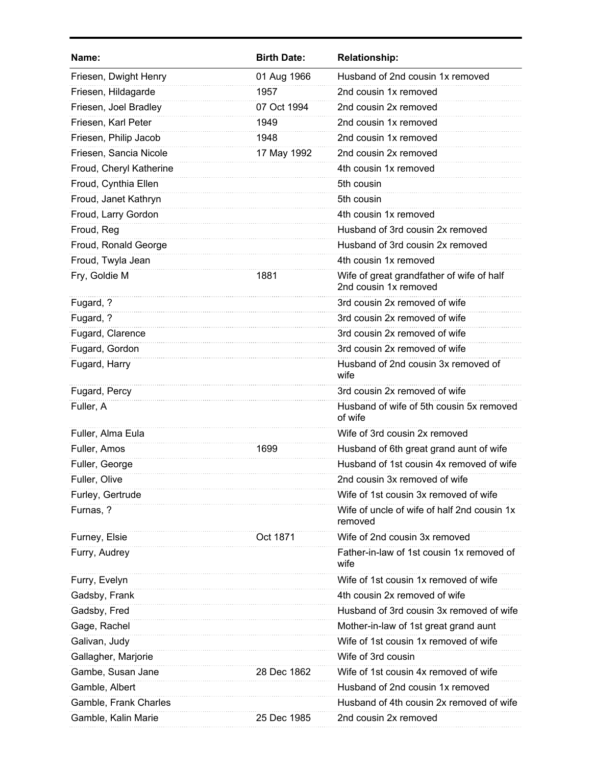| Name:                   | <b>Birth Date:</b> | <b>Relationship:</b>                                               |
|-------------------------|--------------------|--------------------------------------------------------------------|
| Friesen, Dwight Henry   | 01 Aug 1966        | Husband of 2nd cousin 1x removed                                   |
| Friesen, Hildagarde     | 1957               | 2nd cousin 1x removed                                              |
| Friesen, Joel Bradley   | 07 Oct 1994        | 2nd cousin 2x removed                                              |
| Friesen, Karl Peter     | 1949               | 2nd cousin 1x removed                                              |
| Friesen, Philip Jacob   | 1948               | 2nd cousin 1x removed                                              |
| Friesen, Sancia Nicole  | 17 May 1992        | 2nd cousin 2x removed                                              |
| Froud, Cheryl Katherine |                    | 4th cousin 1x removed                                              |
| Froud, Cynthia Ellen    |                    | 5th cousin                                                         |
| Froud, Janet Kathryn    |                    | 5th cousin                                                         |
| Froud, Larry Gordon     |                    | 4th cousin 1x removed                                              |
| Froud, Reg              |                    | Husband of 3rd cousin 2x removed                                   |
| Froud, Ronald George    |                    | Husband of 3rd cousin 2x removed                                   |
| Froud, Twyla Jean       |                    | 4th cousin 1x removed                                              |
| Fry, Goldie M           | 1881               | Wife of great grandfather of wife of half<br>2nd cousin 1x removed |
| Fugard, ?               |                    | 3rd cousin 2x removed of wife                                      |
| Fugard, ?               |                    | 3rd cousin 2x removed of wife                                      |
| Fugard, Clarence        |                    | 3rd cousin 2x removed of wife                                      |
| Fugard, Gordon          |                    | 3rd cousin 2x removed of wife                                      |
| Fugard, Harry           |                    | Husband of 2nd cousin 3x removed of<br>wife                        |
| Fugard, Percy           |                    | 3rd cousin 2x removed of wife                                      |
| Fuller, A               |                    | Husband of wife of 5th cousin 5x removed<br>of wife                |
| Fuller, Alma Eula       |                    | Wife of 3rd cousin 2x removed                                      |
| Fuller, Amos            | 1699               | Husband of 6th great grand aunt of wife                            |
| Fuller, George          |                    | Husband of 1st cousin 4x removed of wife                           |
| Fuller, Olive           |                    | 2nd cousin 3x removed of wife                                      |
| Furley, Gertrude        |                    | Wife of 1st cousin 3x removed of wife                              |
| Furnas, ?               |                    | Wife of uncle of wife of half 2nd cousin 1x<br>removed             |
| Furney, Elsie           | Oct 1871           | Wife of 2nd cousin 3x removed                                      |
| Furry, Audrey           |                    | Father-in-law of 1st cousin 1x removed of<br>wife                  |
| Furry, Evelyn           |                    | Wife of 1st cousin 1x removed of wife                              |
| Gadsby, Frank           |                    | 4th cousin 2x removed of wife                                      |
| Gadsby, Fred            |                    | Husband of 3rd cousin 3x removed of wife                           |
| Gage, Rachel            |                    | Mother-in-law of 1st great grand aunt                              |
| Galivan, Judy           |                    | Wife of 1st cousin 1x removed of wife                              |
| Gallagher, Marjorie     |                    | Wife of 3rd cousin                                                 |
| Gambe, Susan Jane       | 28 Dec 1862        | Wife of 1st cousin 4x removed of wife                              |
| Gamble, Albert          |                    | Husband of 2nd cousin 1x removed                                   |
| Gamble, Frank Charles   |                    | Husband of 4th cousin 2x removed of wife                           |
| Gamble, Kalin Marie     | 25 Dec 1985        | 2nd cousin 2x removed                                              |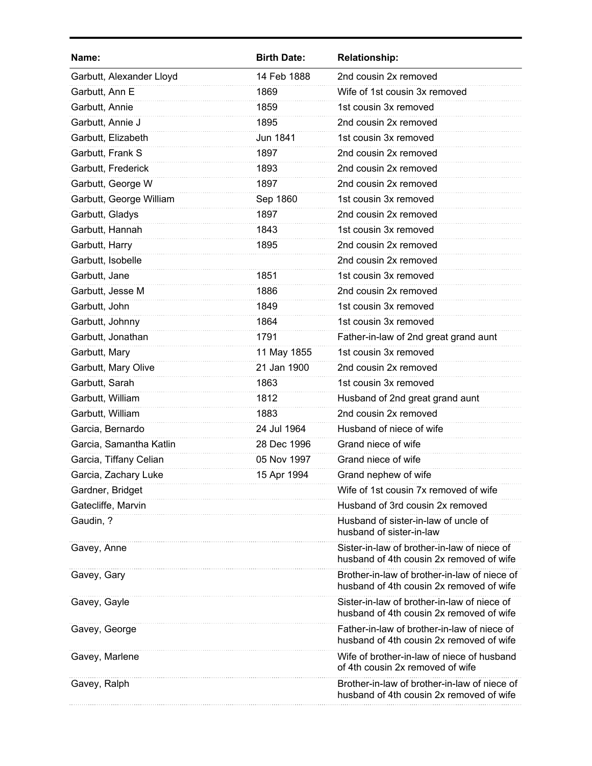| Name:                    | <b>Birth Date:</b> | <b>Relationship:</b>                                                                     |
|--------------------------|--------------------|------------------------------------------------------------------------------------------|
| Garbutt, Alexander Lloyd | 14 Feb 1888        | 2nd cousin 2x removed                                                                    |
| Garbutt, Ann E           | 1869               | Wife of 1st cousin 3x removed                                                            |
| Garbutt, Annie           | 1859               | 1st cousin 3x removed                                                                    |
| Garbutt, Annie J         | 1895               | 2nd cousin 2x removed                                                                    |
| Garbutt, Elizabeth       | Jun 1841           | 1st cousin 3x removed                                                                    |
| Garbutt, Frank S         | 1897               | 2nd cousin 2x removed                                                                    |
| Garbutt, Frederick       | 1893               | 2nd cousin 2x removed                                                                    |
| Garbutt, George W        | 1897               | 2nd cousin 2x removed                                                                    |
| Garbutt, George William  | Sep 1860           | 1st cousin 3x removed                                                                    |
| Garbutt, Gladys          | 1897               | 2nd cousin 2x removed                                                                    |
| Garbutt, Hannah          | 1843               | 1st cousin 3x removed                                                                    |
| Garbutt, Harry           | 1895               | 2nd cousin 2x removed                                                                    |
| Garbutt, Isobelle        |                    | 2nd cousin 2x removed                                                                    |
| Garbutt, Jane            | 1851               | 1st cousin 3x removed                                                                    |
| Garbutt, Jesse M         | 1886               | 2nd cousin 2x removed                                                                    |
| Garbutt, John            | 1849               | 1st cousin 3x removed                                                                    |
| Garbutt, Johnny          | 1864               | 1st cousin 3x removed                                                                    |
| Garbutt, Jonathan        | 1791               | Father-in-law of 2nd great grand aunt                                                    |
| Garbutt, Mary            | 11 May 1855        | 1st cousin 3x removed                                                                    |
| Garbutt, Mary Olive      | 21 Jan 1900        | 2nd cousin 2x removed                                                                    |
| Garbutt, Sarah           | 1863               | 1st cousin 3x removed                                                                    |
| Garbutt, William         | 1812               | Husband of 2nd great grand aunt                                                          |
| Garbutt, William         | 1883               | 2nd cousin 2x removed                                                                    |
| Garcia, Bernardo         | 24 Jul 1964        | Husband of niece of wife                                                                 |
| Garcia, Samantha Katlin  | 28 Dec 1996        | Grand niece of wife                                                                      |
| Garcia, Tiffany Celian   | 05 Nov 1997        | Grand niece of wife                                                                      |
| Garcia, Zachary Luke     | 15 Apr 1994        | Grand nephew of wife                                                                     |
| Gardner, Bridget         |                    | Wife of 1st cousin 7x removed of wife                                                    |
| Gatecliffe, Marvin       |                    | Husband of 3rd cousin 2x removed                                                         |
| Gaudin, ?                |                    | Husband of sister-in-law of uncle of<br>husband of sister-in-law                         |
| Gavey, Anne              |                    | Sister-in-law of brother-in-law of niece of<br>husband of 4th cousin 2x removed of wife  |
| Gavey, Gary              |                    | Brother-in-law of brother-in-law of niece of<br>husband of 4th cousin 2x removed of wife |
| Gavey, Gayle             |                    | Sister-in-law of brother-in-law of niece of<br>husband of 4th cousin 2x removed of wife  |
| Gavey, George            |                    | Father-in-law of brother-in-law of niece of<br>husband of 4th cousin 2x removed of wife  |
| Gavey, Marlene           |                    | Wife of brother-in-law of niece of husband<br>of 4th cousin 2x removed of wife           |
| Gavey, Ralph             |                    | Brother-in-law of brother-in-law of niece of<br>husband of 4th cousin 2x removed of wife |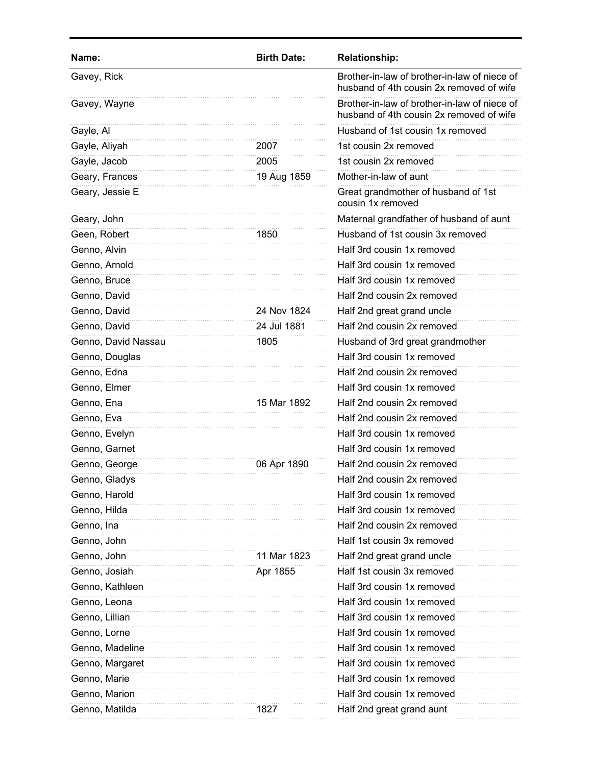| Name:               | <b>Birth Date:</b> | <b>Relationship:</b>                                                                     |
|---------------------|--------------------|------------------------------------------------------------------------------------------|
| Gavey, Rick         |                    | Brother-in-law of brother-in-law of niece of<br>husband of 4th cousin 2x removed of wife |
| Gavey, Wayne        |                    | Brother-in-law of brother-in-law of niece of<br>husband of 4th cousin 2x removed of wife |
| Gayle, Al           |                    | Husband of 1st cousin 1x removed                                                         |
| Gayle, Aliyah       | 2007               | 1st cousin 2x removed                                                                    |
| Gayle, Jacob        | 2005               | 1st cousin 2x removed                                                                    |
| Geary, Frances      | 19 Aug 1859        | Mother-in-law of aunt                                                                    |
| Geary, Jessie E     |                    | Great grandmother of husband of 1st<br>cousin 1x removed                                 |
| Geary, John         |                    | Maternal grandfather of husband of aunt                                                  |
| Geen, Robert        | 1850               | Husband of 1st cousin 3x removed                                                         |
| Genno, Alvin        |                    | Half 3rd cousin 1x removed                                                               |
| Genno, Arnold       |                    | Half 3rd cousin 1x removed                                                               |
| Genno, Bruce        |                    | Half 3rd cousin 1x removed                                                               |
| Genno, David        |                    | Half 2nd cousin 2x removed                                                               |
| Genno, David        | 24 Nov 1824        | Half 2nd great grand uncle                                                               |
| Genno, David        | 24 Jul 1881        | Half 2nd cousin 2x removed                                                               |
| Genno, David Nassau | 1805               | Husband of 3rd great grandmother                                                         |
| Genno, Douglas      |                    | Half 3rd cousin 1x removed                                                               |
| Genno, Edna         |                    | Half 2nd cousin 2x removed                                                               |
| Genno, Elmer        |                    | Half 3rd cousin 1x removed                                                               |
| Genno, Ena          | 15 Mar 1892        | Half 2nd cousin 2x removed                                                               |
| Genno, Eva          |                    | Half 2nd cousin 2x removed                                                               |
| Genno, Evelyn       |                    | Half 3rd cousin 1x removed                                                               |
| Genno, Garnet       |                    | Half 3rd cousin 1x removed                                                               |
| Genno, George       | 06 Apr 1890        | Half 2nd cousin 2x removed                                                               |
| Genno, Gladys       |                    | Half 2nd cousin 2x removed                                                               |
| Genno, Harold       |                    | Half 3rd cousin 1x removed                                                               |
| Genno, Hilda        |                    | Half 3rd cousin 1x removed                                                               |
| Genno, Ina          |                    | Half 2nd cousin 2x removed                                                               |
| Genno, John         |                    | Half 1st cousin 3x removed                                                               |
| Genno, John         | 11 Mar 1823        | Half 2nd great grand uncle                                                               |
| Genno, Josiah       | Apr 1855           | Half 1st cousin 3x removed                                                               |
| Genno, Kathleen     |                    | Half 3rd cousin 1x removed                                                               |
| Genno, Leona        |                    | Half 3rd cousin 1x removed                                                               |
| Genno, Lillian      |                    | Half 3rd cousin 1x removed                                                               |
| Genno, Lorne        |                    | Half 3rd cousin 1x removed                                                               |
| Genno, Madeline     |                    | Half 3rd cousin 1x removed                                                               |
| Genno, Margaret     |                    | Half 3rd cousin 1x removed                                                               |
| Genno, Marie        |                    | Half 3rd cousin 1x removed                                                               |
| Genno, Marion       |                    | Half 3rd cousin 1x removed                                                               |
| Genno, Matilda      | 1827               | Half 2nd great grand aunt                                                                |
|                     |                    |                                                                                          |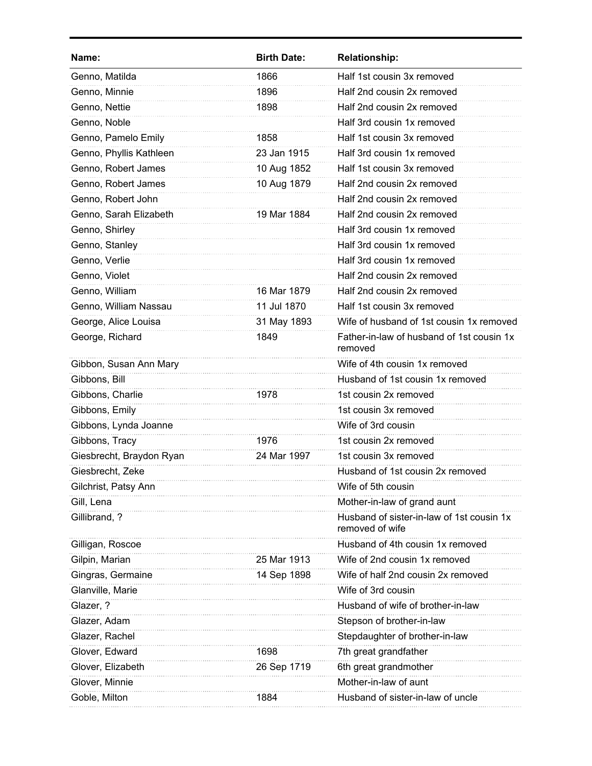| Name:                    | <b>Birth Date:</b> | <b>Relationship:</b>                                         |
|--------------------------|--------------------|--------------------------------------------------------------|
| Genno, Matilda           | 1866               | Half 1st cousin 3x removed                                   |
| Genno, Minnie            | 1896               | Half 2nd cousin 2x removed                                   |
| Genno, Nettie            | 1898               | Half 2nd cousin 2x removed                                   |
| Genno, Noble             |                    | Half 3rd cousin 1x removed                                   |
| Genno, Pamelo Emily      | 1858               | Half 1st cousin 3x removed                                   |
| Genno, Phyllis Kathleen  | 23 Jan 1915        | Half 3rd cousin 1x removed                                   |
| Genno, Robert James      | 10 Aug 1852        | Half 1st cousin 3x removed                                   |
| Genno, Robert James      | 10 Aug 1879        | Half 2nd cousin 2x removed                                   |
| Genno, Robert John       |                    | Half 2nd cousin 2x removed                                   |
| Genno, Sarah Elizabeth   | 19 Mar 1884        | Half 2nd cousin 2x removed                                   |
| Genno, Shirley           |                    | Half 3rd cousin 1x removed                                   |
| Genno, Stanley           |                    | Half 3rd cousin 1x removed                                   |
| Genno, Verlie            |                    | Half 3rd cousin 1x removed                                   |
| Genno, Violet            |                    | Half 2nd cousin 2x removed                                   |
| Genno, William           | 16 Mar 1879        | Half 2nd cousin 2x removed                                   |
| Genno, William Nassau    | 11 Jul 1870        | Half 1st cousin 3x removed                                   |
| George, Alice Louisa     | 31 May 1893        | Wife of husband of 1st cousin 1x removed                     |
| George, Richard          | 1849               | Father-in-law of husband of 1st cousin 1x<br>removed         |
| Gibbon, Susan Ann Mary   |                    | Wife of 4th cousin 1x removed                                |
| Gibbons, Bill            |                    | Husband of 1st cousin 1x removed                             |
| Gibbons, Charlie         | 1978               | 1st cousin 2x removed                                        |
| Gibbons, Emily           |                    | 1st cousin 3x removed                                        |
| Gibbons, Lynda Joanne    |                    | Wife of 3rd cousin                                           |
| Gibbons, Tracy           | 1976               | 1st cousin 2x removed                                        |
| Giesbrecht, Braydon Ryan | 24 Mar 1997        | 1st cousin 3x removed                                        |
| Giesbrecht, Zeke         |                    | Husband of 1st cousin 2x removed                             |
| Gilchrist, Patsy Ann     |                    | Wife of 5th cousin                                           |
| Gill, Lena               |                    | Mother-in-law of grand aunt                                  |
| Gillibrand, ?            |                    | Husband of sister-in-law of 1st cousin 1x<br>removed of wife |
| Gilligan, Roscoe         |                    | Husband of 4th cousin 1x removed                             |
| Gilpin, Marian           | 25 Mar 1913        | Wife of 2nd cousin 1x removed                                |
| Gingras, Germaine        | 14 Sep 1898        | Wife of half 2nd cousin 2x removed                           |
| Glanville, Marie         |                    | Wife of 3rd cousin                                           |
| Glazer, ?                |                    | Husband of wife of brother-in-law                            |
| Glazer, Adam             |                    | Stepson of brother-in-law                                    |
| Glazer, Rachel           |                    | Stepdaughter of brother-in-law                               |
| Glover, Edward           | 1698               | 7th great grandfather                                        |
| Glover, Elizabeth        | 26 Sep 1719        | 6th great grandmother                                        |
| Glover, Minnie           |                    | Mother-in-law of aunt                                        |
| Goble, Milton            | 1884               | Husband of sister-in-law of uncle                            |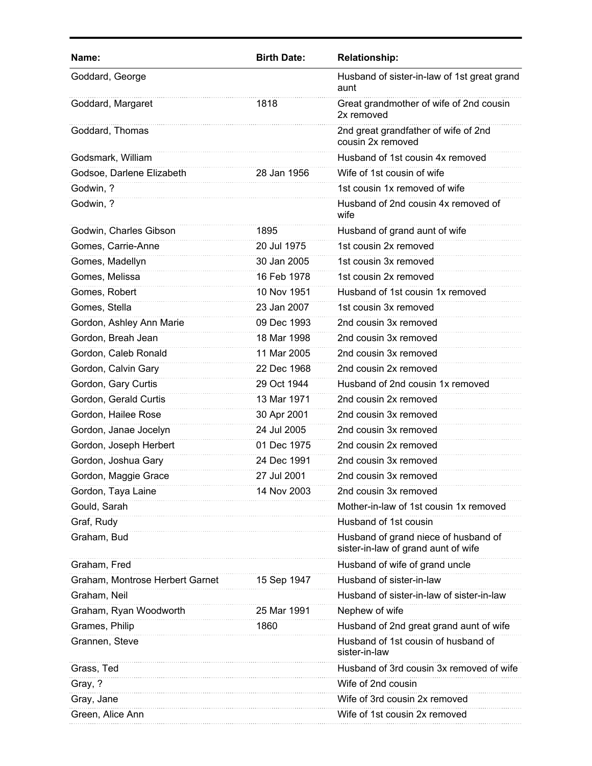| Name:                           | <b>Birth Date:</b> | <b>Relationship:</b>                                                        |
|---------------------------------|--------------------|-----------------------------------------------------------------------------|
| Goddard, George                 |                    | Husband of sister-in-law of 1st great grand<br>aunt                         |
| Goddard, Margaret               | 1818               | Great grandmother of wife of 2nd cousin<br>2x removed                       |
| Goddard, Thomas                 |                    | 2nd great grandfather of wife of 2nd<br>cousin 2x removed                   |
| Godsmark, William               |                    | Husband of 1st cousin 4x removed                                            |
| Godsoe, Darlene Elizabeth       | 28 Jan 1956        | Wife of 1st cousin of wife                                                  |
| Godwin, ?                       |                    | 1st cousin 1x removed of wife                                               |
| Godwin, ?                       |                    | Husband of 2nd cousin 4x removed of<br>wife                                 |
| Godwin, Charles Gibson          | 1895               | Husband of grand aunt of wife                                               |
| Gomes, Carrie-Anne              | 20 Jul 1975        | 1st cousin 2x removed                                                       |
| Gomes, Madellyn                 | 30 Jan 2005        | 1st cousin 3x removed                                                       |
| Gomes, Melissa                  | 16 Feb 1978        | 1st cousin 2x removed                                                       |
| Gomes, Robert                   | 10 Nov 1951        | Husband of 1st cousin 1x removed                                            |
| Gomes, Stella                   | 23 Jan 2007        | 1st cousin 3x removed                                                       |
| Gordon, Ashley Ann Marie        | 09 Dec 1993        | 2nd cousin 3x removed                                                       |
| Gordon, Breah Jean              | 18 Mar 1998        | 2nd cousin 3x removed                                                       |
| Gordon, Caleb Ronald            | 11 Mar 2005        | 2nd cousin 3x removed                                                       |
| Gordon, Calvin Gary             | 22 Dec 1968        | 2nd cousin 2x removed                                                       |
| Gordon, Gary Curtis             | 29 Oct 1944        | Husband of 2nd cousin 1x removed                                            |
| Gordon, Gerald Curtis           | 13 Mar 1971        | 2nd cousin 2x removed                                                       |
| Gordon, Hailee Rose             | 30 Apr 2001        | 2nd cousin 3x removed                                                       |
| Gordon, Janae Jocelyn           | 24 Jul 2005        | 2nd cousin 3x removed                                                       |
| Gordon, Joseph Herbert          | 01 Dec 1975        | 2nd cousin 2x removed                                                       |
| Gordon, Joshua Gary             | 24 Dec 1991        | 2nd cousin 3x removed                                                       |
| Gordon, Maggie Grace            | 27 Jul 2001        | 2nd cousin 3x removed                                                       |
| Gordon, Taya Laine              | 14 Nov 2003        | 2nd cousin 3x removed                                                       |
| Gould, Sarah                    |                    | Mother-in-law of 1st cousin 1x removed                                      |
| Graf, Rudy                      |                    | Husband of 1st cousin                                                       |
| Graham, Bud                     |                    | Husband of grand niece of husband of<br>sister-in-law of grand aunt of wife |
| Graham, Fred                    |                    | Husband of wife of grand uncle                                              |
| Graham, Montrose Herbert Garnet | 15 Sep 1947        | Husband of sister-in-law                                                    |
| Graham, Neil                    |                    | Husband of sister-in-law of sister-in-law                                   |
| Graham, Ryan Woodworth          | 25 Mar 1991        | Nephew of wife                                                              |
| Grames, Philip                  | 1860               | Husband of 2nd great grand aunt of wife                                     |
| Grannen, Steve                  |                    | Husband of 1st cousin of husband of<br>sister-in-law                        |
| Grass, Ted                      |                    | Husband of 3rd cousin 3x removed of wife                                    |
| Gray, ?                         |                    | Wife of 2nd cousin                                                          |
| Gray, Jane                      |                    | Wife of 3rd cousin 2x removed                                               |
| Green, Alice Ann                |                    | Wife of 1st cousin 2x removed                                               |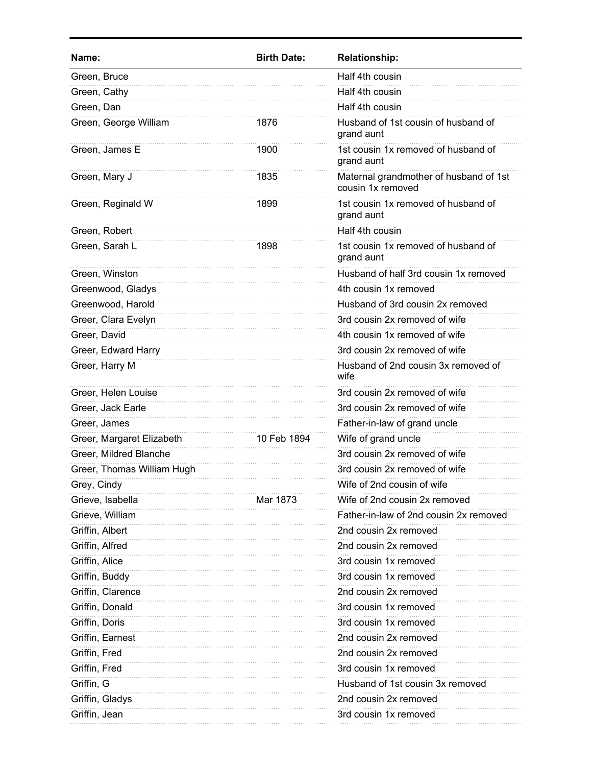| Name:                      | <b>Birth Date:</b> | <b>Relationship:</b>                                        |
|----------------------------|--------------------|-------------------------------------------------------------|
| Green, Bruce               |                    | Half 4th cousin                                             |
| Green, Cathy               |                    | Half 4th cousin                                             |
| Green, Dan                 |                    | Half 4th cousin                                             |
| Green, George William      | 1876               | Husband of 1st cousin of husband of<br>grand aunt           |
| Green, James E             | 1900               | 1st cousin 1x removed of husband of<br>grand aunt           |
| Green, Mary J              | 1835               | Maternal grandmother of husband of 1st<br>cousin 1x removed |
| Green, Reginald W          | 1899               | 1st cousin 1x removed of husband of<br>grand aunt           |
| Green, Robert              |                    | Half 4th cousin                                             |
| Green, Sarah L             | 1898               | 1st cousin 1x removed of husband of<br>grand aunt           |
| Green, Winston             |                    | Husband of half 3rd cousin 1x removed                       |
| Greenwood, Gladys          |                    | 4th cousin 1x removed                                       |
| Greenwood, Harold          |                    | Husband of 3rd cousin 2x removed                            |
| Greer, Clara Evelyn        |                    | 3rd cousin 2x removed of wife                               |
| Greer, David               |                    | 4th cousin 1x removed of wife                               |
| Greer, Edward Harry        |                    | 3rd cousin 2x removed of wife                               |
| Greer, Harry M             |                    | Husband of 2nd cousin 3x removed of<br>wife                 |
| Greer, Helen Louise        |                    | 3rd cousin 2x removed of wife                               |
| Greer, Jack Earle          |                    | 3rd cousin 2x removed of wife                               |
| Greer, James               |                    | Father-in-law of grand uncle                                |
| Greer, Margaret Elizabeth  | 10 Feb 1894        | Wife of grand uncle                                         |
| Greer, Mildred Blanche     |                    | 3rd cousin 2x removed of wife                               |
| Greer, Thomas William Hugh |                    | 3rd cousin 2x removed of wife                               |
| Grey, Cindy                |                    | Wife of 2nd cousin of wife                                  |
| Grieve, Isabella           | Mar 1873           | Wife of 2nd cousin 2x removed                               |
| Grieve, William            |                    | Father-in-law of 2nd cousin 2x removed                      |
| Griffin, Albert            |                    | 2nd cousin 2x removed                                       |
| Griffin, Alfred            |                    | 2nd cousin 2x removed                                       |
| Griffin, Alice             |                    | 3rd cousin 1x removed                                       |
| Griffin, Buddy             |                    | 3rd cousin 1x removed                                       |
| Griffin, Clarence          |                    | 2nd cousin 2x removed                                       |
| Griffin, Donald            |                    | 3rd cousin 1x removed                                       |
| Griffin, Doris             |                    | 3rd cousin 1x removed                                       |
| Griffin, Earnest           |                    | 2nd cousin 2x removed                                       |
| Griffin, Fred              |                    | 2nd cousin 2x removed                                       |
| Griffin, Fred              |                    | 3rd cousin 1x removed                                       |
| Griffin, G                 |                    | Husband of 1st cousin 3x removed                            |
| Griffin, Gladys            |                    | 2nd cousin 2x removed                                       |
| Griffin, Jean              |                    | 3rd cousin 1x removed                                       |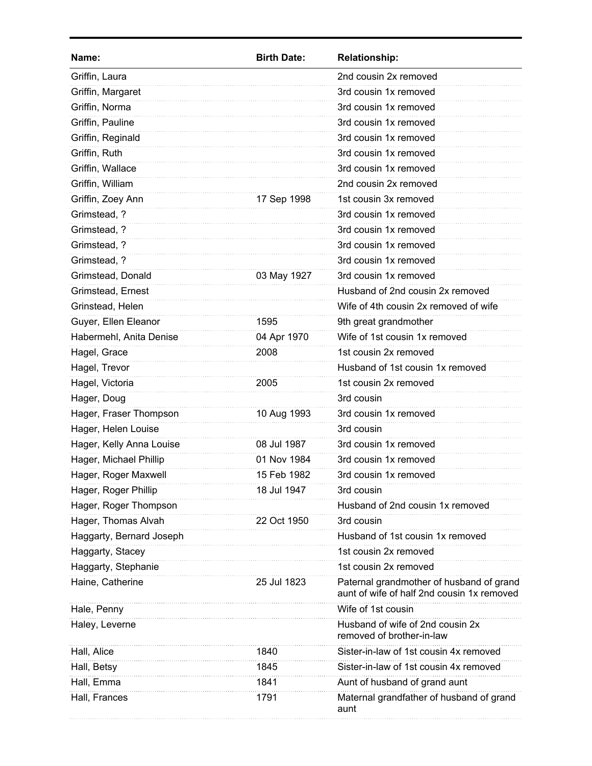| Name:                    | <b>Birth Date:</b> | <b>Relationship:</b>                                                                   |
|--------------------------|--------------------|----------------------------------------------------------------------------------------|
| Griffin, Laura           |                    | 2nd cousin 2x removed                                                                  |
| Griffin, Margaret        |                    | 3rd cousin 1x removed                                                                  |
| Griffin, Norma           |                    | 3rd cousin 1x removed                                                                  |
| Griffin, Pauline         |                    | 3rd cousin 1x removed                                                                  |
| Griffin, Reginald        |                    | 3rd cousin 1x removed                                                                  |
| Griffin, Ruth            |                    | 3rd cousin 1x removed                                                                  |
| Griffin, Wallace         |                    | 3rd cousin 1x removed                                                                  |
| Griffin, William         |                    | 2nd cousin 2x removed                                                                  |
| Griffin, Zoey Ann        | 17 Sep 1998        | 1st cousin 3x removed                                                                  |
| Grimstead, ?             |                    | 3rd cousin 1x removed                                                                  |
| Grimstead, ?             |                    | 3rd cousin 1x removed                                                                  |
| Grimstead, ?             |                    | 3rd cousin 1x removed                                                                  |
| Grimstead, ?             |                    | 3rd cousin 1x removed                                                                  |
| Grimstead, Donald        | 03 May 1927        | 3rd cousin 1x removed                                                                  |
| Grimstead, Ernest        |                    | Husband of 2nd cousin 2x removed                                                       |
| Grinstead, Helen         |                    | Wife of 4th cousin 2x removed of wife                                                  |
| Guyer, Ellen Eleanor     | 1595               | 9th great grandmother                                                                  |
| Habermehl, Anita Denise  | 04 Apr 1970        | Wife of 1st cousin 1x removed                                                          |
| Hagel, Grace             | 2008               | 1st cousin 2x removed                                                                  |
| Hagel, Trevor            |                    | Husband of 1st cousin 1x removed                                                       |
| Hagel, Victoria          | 2005               | 1st cousin 2x removed                                                                  |
| Hager, Doug              |                    | 3rd cousin                                                                             |
| Hager, Fraser Thompson   | 10 Aug 1993        | 3rd cousin 1x removed                                                                  |
| Hager, Helen Louise      |                    | 3rd cousin                                                                             |
| Hager, Kelly Anna Louise | 08 Jul 1987        | 3rd cousin 1x removed                                                                  |
| Hager, Michael Phillip   | 01 Nov 1984        | 3rd cousin 1x removed                                                                  |
| Hager, Roger Maxwell     | 15 Feb 1982        | 3rd cousin 1x removed                                                                  |
| Hager, Roger Phillip     | 18 Jul 1947        | 3rd cousin                                                                             |
| Hager, Roger Thompson    |                    | Husband of 2nd cousin 1x removed                                                       |
| Hager, Thomas Alvah      | 22 Oct 1950        | 3rd cousin                                                                             |
| Haggarty, Bernard Joseph |                    | Husband of 1st cousin 1x removed                                                       |
| Haggarty, Stacey         |                    | 1st cousin 2x removed                                                                  |
| Haggarty, Stephanie      |                    | 1st cousin 2x removed                                                                  |
| Haine, Catherine         | 25 Jul 1823        | Paternal grandmother of husband of grand<br>aunt of wife of half 2nd cousin 1x removed |
| Hale, Penny              |                    | Wife of 1st cousin                                                                     |
| Haley, Leverne           |                    | Husband of wife of 2nd cousin 2x<br>removed of brother-in-law                          |
| Hall, Alice              | 1840               | Sister-in-law of 1st cousin 4x removed                                                 |
| Hall, Betsy              | 1845               | Sister-in-law of 1st cousin 4x removed                                                 |
| Hall, Emma               | 1841               | Aunt of husband of grand aunt                                                          |
| Hall, Frances            | 1791               | Maternal grandfather of husband of grand<br>aunt                                       |
|                          |                    |                                                                                        |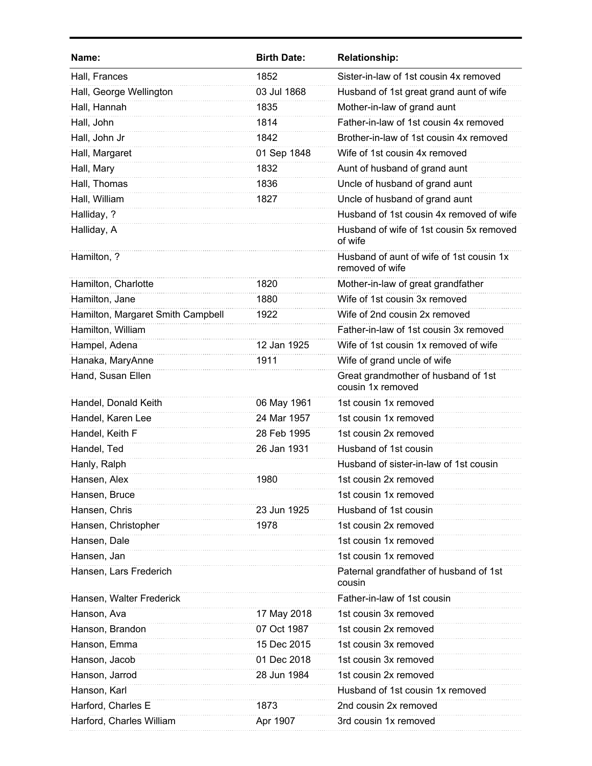| Name:                             | <b>Birth Date:</b> | <b>Relationship:</b>                                        |
|-----------------------------------|--------------------|-------------------------------------------------------------|
| Hall, Frances                     | 1852               | Sister-in-law of 1st cousin 4x removed                      |
| Hall, George Wellington           | 03 Jul 1868        | Husband of 1st great grand aunt of wife                     |
| Hall, Hannah                      | 1835               | Mother-in-law of grand aunt                                 |
| Hall, John                        | 1814               | Father-in-law of 1st cousin 4x removed                      |
| Hall, John Jr                     | 1842               | Brother-in-law of 1st cousin 4x removed                     |
| Hall, Margaret                    | 01 Sep 1848        | Wife of 1st cousin 4x removed                               |
| Hall, Mary                        | 1832               | Aunt of husband of grand aunt                               |
| Hall, Thomas                      | 1836               | Uncle of husband of grand aunt                              |
| Hall, William                     | 1827               | Uncle of husband of grand aunt                              |
| Halliday, ?                       |                    | Husband of 1st cousin 4x removed of wife                    |
| Halliday, A                       |                    | Husband of wife of 1st cousin 5x removed<br>of wife         |
| Hamilton, ?                       |                    | Husband of aunt of wife of 1st cousin 1x<br>removed of wife |
| Hamilton, Charlotte               | 1820               | Mother-in-law of great grandfather                          |
| Hamilton, Jane                    | 1880               | Wife of 1st cousin 3x removed                               |
| Hamilton, Margaret Smith Campbell | 1922               | Wife of 2nd cousin 2x removed                               |
| Hamilton, William                 |                    | Father-in-law of 1st cousin 3x removed                      |
| Hampel, Adena                     | 12 Jan 1925        | Wife of 1st cousin 1x removed of wife                       |
| Hanaka, MaryAnne                  | 1911               | Wife of grand uncle of wife                                 |
| Hand, Susan Ellen                 |                    | Great grandmother of husband of 1st<br>cousin 1x removed    |
| Handel, Donald Keith              | 06 May 1961        | 1st cousin 1x removed                                       |
| Handel, Karen Lee                 | 24 Mar 1957        | 1st cousin 1x removed                                       |
| Handel, Keith F                   | 28 Feb 1995        | 1st cousin 2x removed                                       |
| Handel, Ted                       | 26 Jan 1931        | Husband of 1st cousin                                       |
| Hanly, Ralph                      |                    | Husband of sister-in-law of 1st cousin                      |
| Hansen, Alex                      | 1980               | 1st cousin 2x removed                                       |
| Hansen, Bruce                     |                    | 1st cousin 1x removed                                       |
| Hansen, Chris                     | 23 Jun 1925        | Husband of 1st cousin                                       |
| Hansen, Christopher               | 1978               | 1st cousin 2x removed                                       |
| Hansen, Dale                      |                    | 1st cousin 1x removed                                       |
| Hansen, Jan                       |                    | 1st cousin 1x removed                                       |
| Hansen, Lars Frederich            |                    | Paternal grandfather of husband of 1st<br>cousin            |
| Hansen, Walter Frederick          |                    | Father-in-law of 1st cousin                                 |
| Hanson, Ava                       | 17 May 2018        | 1st cousin 3x removed                                       |
| Hanson, Brandon                   | 07 Oct 1987        | 1st cousin 2x removed                                       |
| Hanson, Emma                      | 15 Dec 2015        | 1st cousin 3x removed                                       |
| Hanson, Jacob                     | 01 Dec 2018        | 1st cousin 3x removed                                       |
| Hanson, Jarrod                    | 28 Jun 1984        | 1st cousin 2x removed                                       |
| Hanson, Karl                      |                    | Husband of 1st cousin 1x removed                            |
| Harford, Charles E                | 1873               | 2nd cousin 2x removed                                       |
| Harford, Charles William          | Apr 1907           | 3rd cousin 1x removed                                       |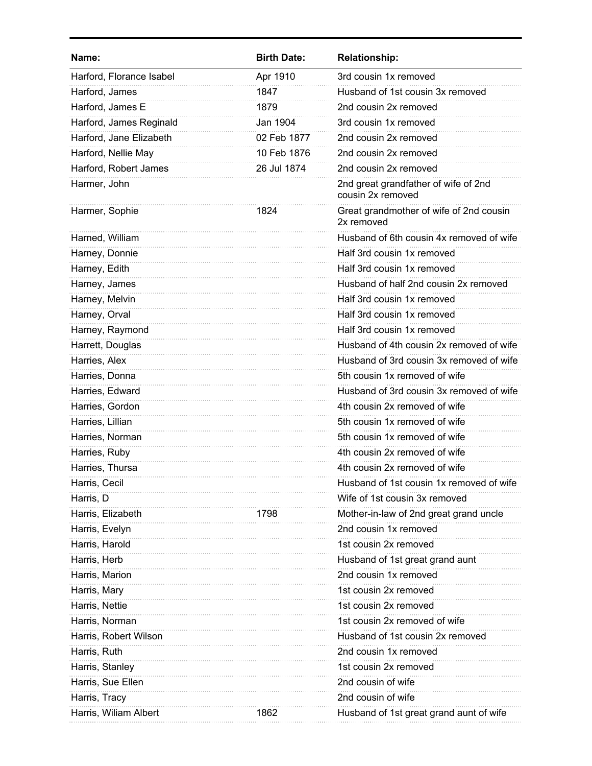| Name:                    | <b>Birth Date:</b> | <b>Relationship:</b>                                      |
|--------------------------|--------------------|-----------------------------------------------------------|
| Harford, Florance Isabel | Apr 1910           | 3rd cousin 1x removed                                     |
| Harford, James           | 1847               | Husband of 1st cousin 3x removed                          |
| Harford, James E         | 1879               | 2nd cousin 2x removed                                     |
| Harford, James Reginald  | Jan 1904           | 3rd cousin 1x removed                                     |
| Harford, Jane Elizabeth  | 02 Feb 1877        | 2nd cousin 2x removed                                     |
| Harford, Nellie May      | 10 Feb 1876        | 2nd cousin 2x removed                                     |
| Harford, Robert James    | 26 Jul 1874        | 2nd cousin 2x removed                                     |
| Harmer, John             |                    | 2nd great grandfather of wife of 2nd<br>cousin 2x removed |
| Harmer, Sophie           | 1824               | Great grandmother of wife of 2nd cousin<br>2x removed     |
| Harned, William          |                    | Husband of 6th cousin 4x removed of wife                  |
| Harney, Donnie           |                    | Half 3rd cousin 1x removed                                |
| Harney, Edith            |                    | Half 3rd cousin 1x removed                                |
| Harney, James            |                    | Husband of half 2nd cousin 2x removed                     |
| Harney, Melvin           |                    | Half 3rd cousin 1x removed                                |
| Harney, Orval            |                    | Half 3rd cousin 1x removed                                |
| Harney, Raymond          |                    | Half 3rd cousin 1x removed                                |
| Harrett, Douglas         |                    | Husband of 4th cousin 2x removed of wife                  |
| Harries, Alex            |                    | Husband of 3rd cousin 3x removed of wife                  |
| Harries, Donna           |                    | 5th cousin 1x removed of wife                             |
| Harries, Edward          |                    | Husband of 3rd cousin 3x removed of wife                  |
| Harries, Gordon          |                    | 4th cousin 2x removed of wife                             |
| Harries, Lillian         |                    | 5th cousin 1x removed of wife                             |
| Harries, Norman          |                    | 5th cousin 1x removed of wife                             |
| Harries, Ruby            |                    | 4th cousin 2x removed of wife                             |
| Harries, Thursa          |                    | 4th cousin 2x removed of wife                             |
| Harris, Cecil            |                    | Husband of 1st cousin 1x removed of wife                  |
| Harris, D                |                    | Wife of 1st cousin 3x removed                             |
| Harris, Elizabeth        | 1798               | Mother-in-law of 2nd great grand uncle                    |
| Harris, Evelyn           |                    | 2nd cousin 1x removed                                     |
| Harris, Harold           |                    | 1st cousin 2x removed                                     |
| Harris, Herb             |                    | Husband of 1st great grand aunt                           |
| Harris, Marion           |                    | 2nd cousin 1x removed                                     |
| Harris, Mary             |                    | 1st cousin 2x removed                                     |
| Harris, Nettie           |                    | 1st cousin 2x removed                                     |
| Harris, Norman           |                    | 1st cousin 2x removed of wife                             |
| Harris, Robert Wilson    |                    | Husband of 1st cousin 2x removed                          |
| Harris, Ruth             |                    | 2nd cousin 1x removed                                     |
| Harris, Stanley          |                    | 1st cousin 2x removed                                     |
| Harris, Sue Ellen        |                    | 2nd cousin of wife                                        |
| Harris, Tracy            |                    | 2nd cousin of wife                                        |
| Harris, Wiliam Albert    | 1862               | Husband of 1st great grand aunt of wife                   |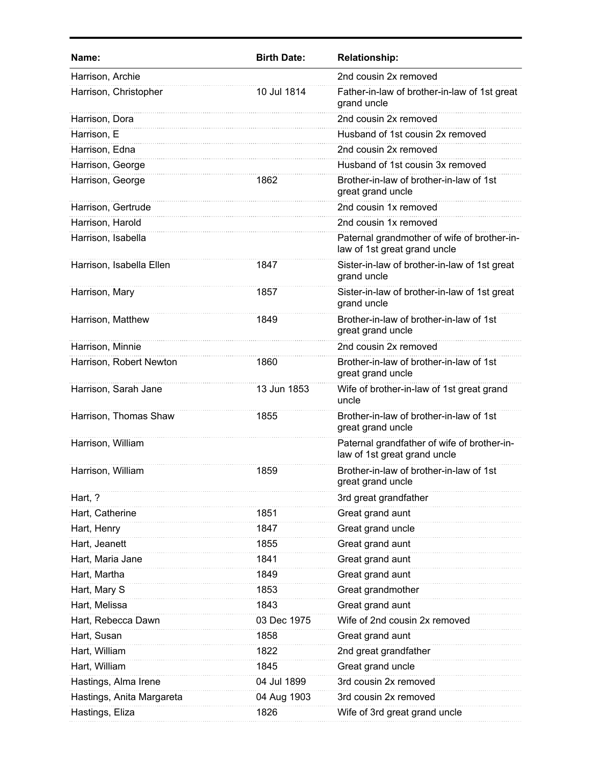| Name:                     | <b>Birth Date:</b> | <b>Relationship:</b>                                                        |
|---------------------------|--------------------|-----------------------------------------------------------------------------|
| Harrison, Archie          |                    | 2nd cousin 2x removed                                                       |
| Harrison, Christopher     | 10 Jul 1814        | Father-in-law of brother-in-law of 1st great<br>grand uncle                 |
| Harrison, Dora            |                    | 2nd cousin 2x removed                                                       |
| Harrison, E               |                    | Husband of 1st cousin 2x removed                                            |
| Harrison, Edna            |                    | 2nd cousin 2x removed                                                       |
| Harrison, George          |                    | Husband of 1st cousin 3x removed                                            |
| Harrison, George          | 1862               | Brother-in-law of brother-in-law of 1st<br>great grand uncle                |
| Harrison, Gertrude        |                    | 2nd cousin 1x removed                                                       |
| Harrison, Harold          |                    | 2nd cousin 1x removed                                                       |
| Harrison, Isabella        |                    | Paternal grandmother of wife of brother-in-<br>law of 1st great grand uncle |
| Harrison, Isabella Ellen  | 1847               | Sister-in-law of brother-in-law of 1st great<br>grand uncle                 |
| Harrison, Mary            | 1857               | Sister-in-law of brother-in-law of 1st great<br>grand uncle                 |
| Harrison, Matthew         | 1849               | Brother-in-law of brother-in-law of 1st<br>great grand uncle                |
| Harrison, Minnie          |                    | 2nd cousin 2x removed                                                       |
| Harrison, Robert Newton   | 1860               | Brother-in-law of brother-in-law of 1st<br>great grand uncle                |
| Harrison, Sarah Jane      | 13 Jun 1853        | Wife of brother-in-law of 1st great grand<br>uncle                          |
| Harrison, Thomas Shaw     | 1855               | Brother-in-law of brother-in-law of 1st<br>great grand uncle                |
| Harrison, William         |                    | Paternal grandfather of wife of brother-in-<br>law of 1st great grand uncle |
| Harrison, William         | 1859               | Brother-in-law of brother-in-law of 1st<br>great grand uncle                |
| Hart, ?                   |                    | 3rd great grandfather                                                       |
| Hart, Catherine           | 1851               | Great grand aunt                                                            |
| Hart, Henry               | 1847               | Great grand uncle                                                           |
| Hart, Jeanett             | 1855               | Great grand aunt                                                            |
| Hart, Maria Jane          | 1841               | Great grand aunt                                                            |
| Hart, Martha              | 1849               | Great grand aunt                                                            |
| Hart, Mary S              | 1853               | Great grandmother                                                           |
| Hart, Melissa             | 1843               | Great grand aunt                                                            |
| Hart, Rebecca Dawn        | 03 Dec 1975        | Wife of 2nd cousin 2x removed                                               |
| Hart, Susan               | 1858               | Great grand aunt                                                            |
| Hart, William             | 1822               | 2nd great grandfather                                                       |
| Hart, William             | 1845               | Great grand uncle                                                           |
| Hastings, Alma Irene      | 04 Jul 1899        | 3rd cousin 2x removed                                                       |
| Hastings, Anita Margareta | 04 Aug 1903        | 3rd cousin 2x removed                                                       |
| Hastings, Eliza           | 1826               | Wife of 3rd great grand uncle                                               |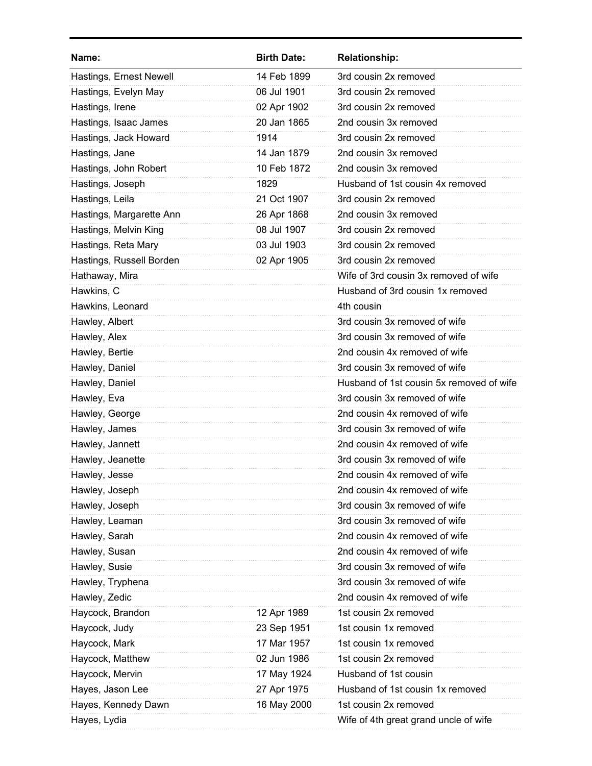| Name:                    | <b>Birth Date:</b> | <b>Relationship:</b>                     |
|--------------------------|--------------------|------------------------------------------|
| Hastings, Ernest Newell  | 14 Feb 1899        | 3rd cousin 2x removed                    |
| Hastings, Evelyn May     | 06 Jul 1901        | 3rd cousin 2x removed                    |
| Hastings, Irene          | 02 Apr 1902        | 3rd cousin 2x removed                    |
| Hastings, Isaac James    | 20 Jan 1865        | 2nd cousin 3x removed                    |
| Hastings, Jack Howard    | 1914               | 3rd cousin 2x removed                    |
| Hastings, Jane           | 14 Jan 1879        | 2nd cousin 3x removed                    |
| Hastings, John Robert    | 10 Feb 1872        | 2nd cousin 3x removed                    |
| Hastings, Joseph         | 1829               | Husband of 1st cousin 4x removed         |
| Hastings, Leila          | 21 Oct 1907        | 3rd cousin 2x removed                    |
| Hastings, Margarette Ann | 26 Apr 1868        | 2nd cousin 3x removed                    |
| Hastings, Melvin King    | 08 Jul 1907        | 3rd cousin 2x removed                    |
| Hastings, Reta Mary      | 03 Jul 1903        | 3rd cousin 2x removed                    |
| Hastings, Russell Borden | 02 Apr 1905        | 3rd cousin 2x removed                    |
| Hathaway, Mira           |                    | Wife of 3rd cousin 3x removed of wife    |
| Hawkins, C               |                    | Husband of 3rd cousin 1x removed         |
| Hawkins, Leonard         |                    | 4th cousin                               |
| Hawley, Albert           |                    | 3rd cousin 3x removed of wife            |
| Hawley, Alex             |                    | 3rd cousin 3x removed of wife            |
| Hawley, Bertie           |                    | 2nd cousin 4x removed of wife            |
| Hawley, Daniel           |                    | 3rd cousin 3x removed of wife            |
| Hawley, Daniel           |                    | Husband of 1st cousin 5x removed of wife |
| Hawley, Eva              |                    | 3rd cousin 3x removed of wife            |
| Hawley, George           |                    | 2nd cousin 4x removed of wife            |
| Hawley, James            |                    | 3rd cousin 3x removed of wife            |
| Hawley, Jannett          |                    | 2nd cousin 4x removed of wife            |
| Hawley, Jeanette         |                    | 3rd cousin 3x removed of wife            |
| Hawley, Jesse            |                    | 2nd cousin 4x removed of wife            |
| Hawley, Joseph           |                    | 2nd cousin 4x removed of wife            |
| Hawley, Joseph           |                    | 3rd cousin 3x removed of wife            |
| Hawley, Leaman           |                    | 3rd cousin 3x removed of wife            |
| Hawley, Sarah            |                    | 2nd cousin 4x removed of wife            |
| Hawley, Susan            |                    | 2nd cousin 4x removed of wife            |
| Hawley, Susie            |                    | 3rd cousin 3x removed of wife            |
| Hawley, Tryphena         |                    | 3rd cousin 3x removed of wife            |
| Hawley, Zedic            |                    | 2nd cousin 4x removed of wife            |
| Haycock, Brandon         | 12 Apr 1989        | 1st cousin 2x removed                    |
| Haycock, Judy            | 23 Sep 1951        | 1st cousin 1x removed                    |
| Haycock, Mark            | 17 Mar 1957        | 1st cousin 1x removed                    |
| Haycock, Matthew         | 02 Jun 1986        | 1st cousin 2x removed                    |
| Haycock, Mervin          | 17 May 1924        | Husband of 1st cousin                    |
| Hayes, Jason Lee         | 27 Apr 1975        | Husband of 1st cousin 1x removed         |
| Hayes, Kennedy Dawn      | 16 May 2000        | 1st cousin 2x removed                    |
| Hayes, Lydia             |                    | Wife of 4th great grand uncle of wife    |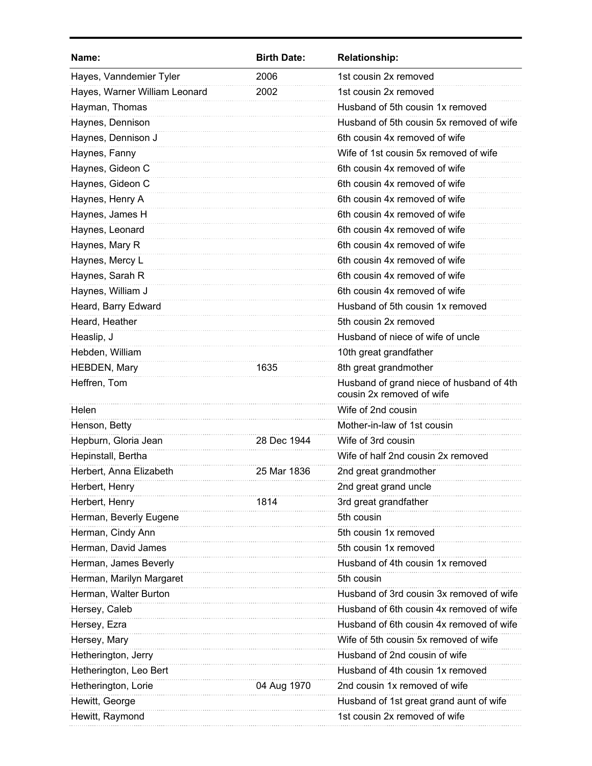| Name:                         | <b>Birth Date:</b> | <b>Relationship:</b>                                                  |
|-------------------------------|--------------------|-----------------------------------------------------------------------|
| Hayes, Vanndemier Tyler       | 2006               | 1st cousin 2x removed                                                 |
| Hayes, Warner William Leonard | 2002               | 1st cousin 2x removed                                                 |
| Hayman, Thomas                |                    | Husband of 5th cousin 1x removed                                      |
| Haynes, Dennison              |                    | Husband of 5th cousin 5x removed of wife                              |
| Haynes, Dennison J            |                    | 6th cousin 4x removed of wife                                         |
| Haynes, Fanny                 |                    | Wife of 1st cousin 5x removed of wife                                 |
| Haynes, Gideon C              |                    | 6th cousin 4x removed of wife                                         |
| Haynes, Gideon C              |                    | 6th cousin 4x removed of wife                                         |
| Haynes, Henry A               |                    | 6th cousin 4x removed of wife                                         |
| Haynes, James H               |                    | 6th cousin 4x removed of wife                                         |
| Haynes, Leonard               |                    | 6th cousin 4x removed of wife                                         |
| Haynes, Mary R                |                    | 6th cousin 4x removed of wife                                         |
| Haynes, Mercy L               |                    | 6th cousin 4x removed of wife                                         |
| Haynes, Sarah R               |                    | 6th cousin 4x removed of wife                                         |
| Haynes, William J             |                    | 6th cousin 4x removed of wife                                         |
| Heard, Barry Edward           |                    | Husband of 5th cousin 1x removed                                      |
| Heard, Heather                |                    | 5th cousin 2x removed                                                 |
| Heaslip, J                    |                    | Husband of niece of wife of uncle                                     |
| Hebden, William               |                    | 10th great grandfather                                                |
| HEBDEN, Mary                  | 1635               | 8th great grandmother                                                 |
| Heffren, Tom                  |                    | Husband of grand niece of husband of 4th<br>cousin 2x removed of wife |
| Helen                         |                    | Wife of 2nd cousin                                                    |
| Henson, Betty                 |                    | Mother-in-law of 1st cousin                                           |
| Hepburn, Gloria Jean          | 28 Dec 1944        | Wife of 3rd cousin                                                    |
| Hepinstall, Bertha            |                    | Wife of half 2nd cousin 2x removed                                    |
| Herbert, Anna Elizabeth       | 25 Mar 1836        | 2nd great grandmother                                                 |
| Herbert, Henry                |                    | 2nd great grand uncle                                                 |
| Herbert, Henry                | 1814               | 3rd great grandfather                                                 |
| Herman, Beverly Eugene        |                    | 5th cousin                                                            |
| Herman, Cindy Ann             |                    | 5th cousin 1x removed                                                 |
| Herman, David James           |                    | 5th cousin 1x removed                                                 |
| Herman, James Beverly         |                    | Husband of 4th cousin 1x removed                                      |
| Herman, Marilyn Margaret      |                    | 5th cousin                                                            |
| Herman, Walter Burton         |                    | Husband of 3rd cousin 3x removed of wife                              |
| Hersey, Caleb                 |                    | Husband of 6th cousin 4x removed of wife                              |
| Hersey, Ezra                  |                    | Husband of 6th cousin 4x removed of wife                              |
| Hersey, Mary                  |                    | Wife of 5th cousin 5x removed of wife                                 |
| Hetherington, Jerry           |                    | Husband of 2nd cousin of wife                                         |
| Hetherington, Leo Bert        |                    | Husband of 4th cousin 1x removed                                      |
| Hetherington, Lorie           | 04 Aug 1970        | 2nd cousin 1x removed of wife                                         |
| Hewitt, George                |                    | Husband of 1st great grand aunt of wife                               |
| Hewitt, Raymond               |                    | 1st cousin 2x removed of wife                                         |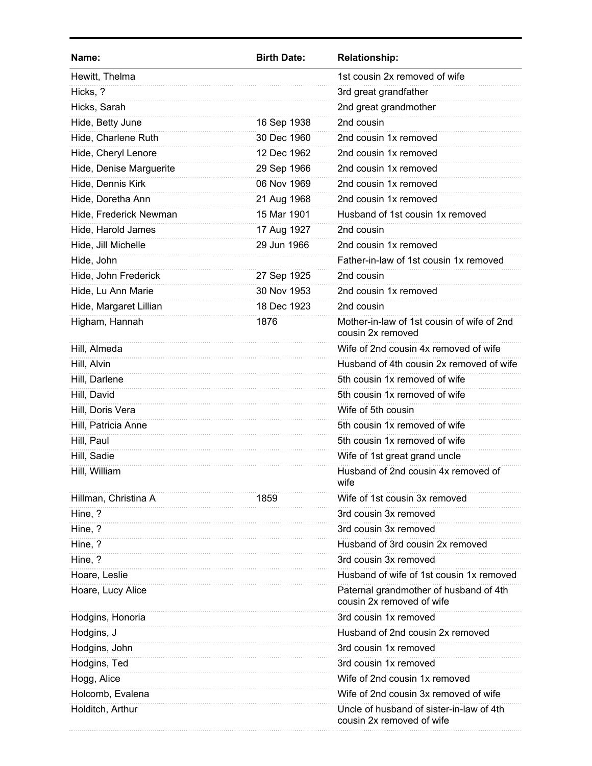| Name:                   | <b>Birth Date:</b> | <b>Relationship:</b>                                                  |
|-------------------------|--------------------|-----------------------------------------------------------------------|
| Hewitt, Thelma          |                    | 1st cousin 2x removed of wife                                         |
| Hicks, ?                |                    | 3rd great grandfather                                                 |
| Hicks, Sarah            |                    | 2nd great grandmother                                                 |
| Hide, Betty June        | 16 Sep 1938        | 2nd cousin                                                            |
| Hide, Charlene Ruth     | 30 Dec 1960        | 2nd cousin 1x removed                                                 |
| Hide, Cheryl Lenore     | 12 Dec 1962        | 2nd cousin 1x removed                                                 |
| Hide, Denise Marguerite | 29 Sep 1966        | 2nd cousin 1x removed                                                 |
| Hide, Dennis Kirk       | 06 Nov 1969        | 2nd cousin 1x removed                                                 |
| Hide, Doretha Ann       | 21 Aug 1968        | 2nd cousin 1x removed                                                 |
| Hide, Frederick Newman  | 15 Mar 1901        | Husband of 1st cousin 1x removed                                      |
| Hide, Harold James      | 17 Aug 1927        | 2nd cousin                                                            |
| Hide, Jill Michelle     | 29 Jun 1966        | 2nd cousin 1x removed                                                 |
| Hide, John              |                    | Father-in-law of 1st cousin 1x removed                                |
| Hide, John Frederick    | 27 Sep 1925        | 2nd cousin                                                            |
| Hide, Lu Ann Marie      | 30 Nov 1953        | 2nd cousin 1x removed                                                 |
| Hide, Margaret Lillian  | 18 Dec 1923        | 2nd cousin                                                            |
| Higham, Hannah          | 1876               | Mother-in-law of 1st cousin of wife of 2nd<br>cousin 2x removed       |
| Hill, Almeda            |                    | Wife of 2nd cousin 4x removed of wife                                 |
| Hill, Alvin             |                    | Husband of 4th cousin 2x removed of wife                              |
| Hill, Darlene           |                    | 5th cousin 1x removed of wife                                         |
| Hill, David             |                    | 5th cousin 1x removed of wife                                         |
| Hill, Doris Vera        |                    | Wife of 5th cousin                                                    |
| Hill, Patricia Anne     |                    | 5th cousin 1x removed of wife                                         |
| Hill, Paul              |                    | 5th cousin 1x removed of wife                                         |
| Hill, Sadie             |                    | Wife of 1st great grand uncle                                         |
| Hill, William           |                    | Husband of 2nd cousin 4x removed of<br>wife                           |
| Hillman, Christina A    | 1859               | Wife of 1st cousin 3x removed                                         |
| Hine, ?                 |                    | 3rd cousin 3x removed                                                 |
| Hine, ?                 |                    | 3rd cousin 3x removed                                                 |
| Hine, ?                 |                    | Husband of 3rd cousin 2x removed                                      |
| Hine, ?                 |                    | 3rd cousin 3x removed                                                 |
| Hoare, Leslie           |                    | Husband of wife of 1st cousin 1x removed                              |
| Hoare, Lucy Alice       |                    | Paternal grandmother of husband of 4th<br>cousin 2x removed of wife   |
| Hodgins, Honoria        |                    | 3rd cousin 1x removed                                                 |
| Hodgins, J              |                    | Husband of 2nd cousin 2x removed                                      |
| Hodgins, John           |                    | 3rd cousin 1x removed                                                 |
| Hodgins, Ted            |                    | 3rd cousin 1x removed                                                 |
| Hogg, Alice             |                    | Wife of 2nd cousin 1x removed                                         |
| Holcomb, Evalena        |                    | Wife of 2nd cousin 3x removed of wife                                 |
| Holditch, Arthur        |                    | Uncle of husband of sister-in-law of 4th<br>cousin 2x removed of wife |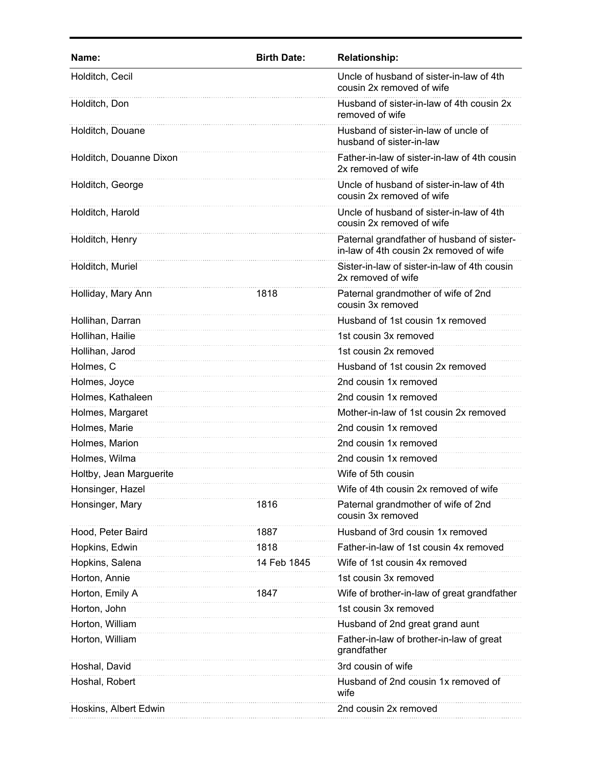| Name:                   | <b>Birth Date:</b> | <b>Relationship:</b>                                                                  |
|-------------------------|--------------------|---------------------------------------------------------------------------------------|
| Holditch, Cecil         |                    | Uncle of husband of sister-in-law of 4th<br>cousin 2x removed of wife                 |
| Holditch, Don           |                    | Husband of sister-in-law of 4th cousin 2x<br>removed of wife                          |
| Holditch, Douane        |                    | Husband of sister-in-law of uncle of<br>husband of sister-in-law                      |
| Holditch, Douanne Dixon |                    | Father-in-law of sister-in-law of 4th cousin<br>2x removed of wife                    |
| Holditch, George        |                    | Uncle of husband of sister-in-law of 4th<br>cousin 2x removed of wife                 |
| Holditch, Harold        |                    | Uncle of husband of sister-in-law of 4th<br>cousin 2x removed of wife                 |
| Holditch, Henry         |                    | Paternal grandfather of husband of sister-<br>in-law of 4th cousin 2x removed of wife |
| Holditch, Muriel        |                    | Sister-in-law of sister-in-law of 4th cousin<br>2x removed of wife                    |
| Holliday, Mary Ann      | 1818               | Paternal grandmother of wife of 2nd<br>cousin 3x removed                              |
| Hollihan, Darran        |                    | Husband of 1st cousin 1x removed                                                      |
| Hollihan, Hailie        |                    | 1st cousin 3x removed                                                                 |
| Hollihan, Jarod         |                    | 1st cousin 2x removed                                                                 |
| Holmes, C               |                    | Husband of 1st cousin 2x removed                                                      |
| Holmes, Joyce           |                    | 2nd cousin 1x removed                                                                 |
| Holmes, Kathaleen       |                    | 2nd cousin 1x removed                                                                 |
| Holmes, Margaret        |                    | Mother-in-law of 1st cousin 2x removed                                                |
| Holmes, Marie           |                    | 2nd cousin 1x removed                                                                 |
| Holmes, Marion          |                    | 2nd cousin 1x removed                                                                 |
| Holmes, Wilma           |                    | 2nd cousin 1x removed                                                                 |
| Holtby, Jean Marguerite |                    | Wife of 5th cousin                                                                    |
| Honsinger, Hazel        |                    | Wife of 4th cousin 2x removed of wife                                                 |
| Honsinger, Mary         | 1816               | Paternal grandmother of wife of 2nd<br>cousin 3x removed                              |
| Hood, Peter Baird       | 1887               | Husband of 3rd cousin 1x removed                                                      |
| Hopkins, Edwin          | 1818               | Father-in-law of 1st cousin 4x removed                                                |
| Hopkins, Salena         | 14 Feb 1845        | Wife of 1st cousin 4x removed                                                         |
| Horton, Annie           |                    | 1st cousin 3x removed                                                                 |
| Horton, Emily A         | 1847               | Wife of brother-in-law of great grandfather                                           |
| Horton, John            |                    | 1st cousin 3x removed                                                                 |
| Horton, William         |                    | Husband of 2nd great grand aunt                                                       |
| Horton, William         |                    | Father-in-law of brother-in-law of great<br>grandfather                               |
| Hoshal, David           |                    | 3rd cousin of wife                                                                    |
| Hoshal, Robert          |                    | Husband of 2nd cousin 1x removed of<br>wife                                           |
| Hoskins, Albert Edwin   |                    | 2nd cousin 2x removed                                                                 |
|                         |                    |                                                                                       |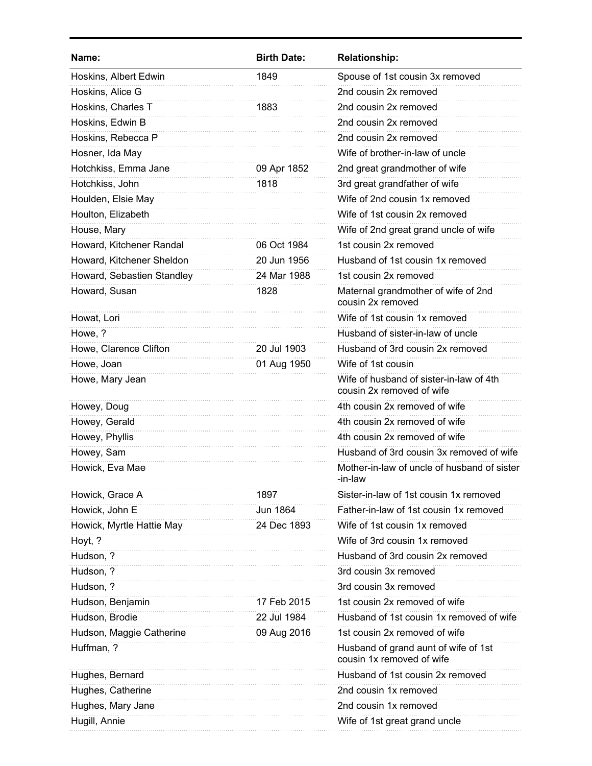| Name:                      | <b>Birth Date:</b> | <b>Relationship:</b>                                                 |
|----------------------------|--------------------|----------------------------------------------------------------------|
| Hoskins, Albert Edwin      | 1849               | Spouse of 1st cousin 3x removed                                      |
| Hoskins, Alice G           |                    | 2nd cousin 2x removed                                                |
| Hoskins, Charles T         | 1883               | 2nd cousin 2x removed                                                |
| Hoskins, Edwin B           |                    | 2nd cousin 2x removed                                                |
| Hoskins, Rebecca P         |                    | 2nd cousin 2x removed                                                |
| Hosner, Ida May            |                    | Wife of brother-in-law of uncle                                      |
| Hotchkiss, Emma Jane       | 09 Apr 1852        | 2nd great grandmother of wife                                        |
| Hotchkiss, John            | 1818               | 3rd great grandfather of wife                                        |
| Houlden, Elsie May         |                    | Wife of 2nd cousin 1x removed                                        |
| Houlton, Elizabeth         |                    | Wife of 1st cousin 2x removed                                        |
| House, Mary                |                    | Wife of 2nd great grand uncle of wife                                |
| Howard, Kitchener Randal   | 06 Oct 1984        | 1st cousin 2x removed                                                |
| Howard, Kitchener Sheldon  | 20 Jun 1956        | Husband of 1st cousin 1x removed                                     |
| Howard, Sebastien Standley | 24 Mar 1988        | 1st cousin 2x removed                                                |
| Howard, Susan              | 1828               | Maternal grandmother of wife of 2nd<br>cousin 2x removed             |
| Howat, Lori                |                    | Wife of 1st cousin 1x removed                                        |
| Howe, ?                    |                    | Husband of sister-in-law of uncle                                    |
| Howe, Clarence Clifton     | 20 Jul 1903        | Husband of 3rd cousin 2x removed                                     |
| Howe, Joan                 | 01 Aug 1950        | Wife of 1st cousin                                                   |
| Howe, Mary Jean            |                    | Wife of husband of sister-in-law of 4th<br>cousin 2x removed of wife |
| Howey, Doug                |                    | 4th cousin 2x removed of wife                                        |
| Howey, Gerald              |                    | 4th cousin 2x removed of wife                                        |
| Howey, Phyllis             |                    | 4th cousin 2x removed of wife                                        |
| Howey, Sam                 |                    | Husband of 3rd cousin 3x removed of wife                             |
| Howick, Eva Mae            |                    | Mother-in-law of uncle of husband of sister<br>-in-law               |
| Howick, Grace A            | 1897               | Sister-in-law of 1st cousin 1x removed                               |
| Howick, John E             | Jun 1864           | Father-in-law of 1st cousin 1x removed                               |
| Howick, Myrtle Hattie May  | 24 Dec 1893        | Wife of 1st cousin 1x removed                                        |
| Hoyt, ?                    |                    | Wife of 3rd cousin 1x removed                                        |
| Hudson, ?                  |                    | Husband of 3rd cousin 2x removed                                     |
| Hudson, ?                  |                    | 3rd cousin 3x removed                                                |
| Hudson, ?                  |                    | 3rd cousin 3x removed                                                |
| Hudson, Benjamin           | 17 Feb 2015        | 1st cousin 2x removed of wife                                        |
| Hudson, Brodie             | 22 Jul 1984        | Husband of 1st cousin 1x removed of wife                             |
| Hudson, Maggie Catherine   | 09 Aug 2016        | 1st cousin 2x removed of wife                                        |
| Huffman, ?                 |                    | Husband of grand aunt of wife of 1st<br>cousin 1x removed of wife    |
| Hughes, Bernard            |                    | Husband of 1st cousin 2x removed                                     |
| Hughes, Catherine          |                    | 2nd cousin 1x removed                                                |
| Hughes, Mary Jane          |                    | 2nd cousin 1x removed                                                |
| Hugill, Annie              |                    | Wife of 1st great grand uncle                                        |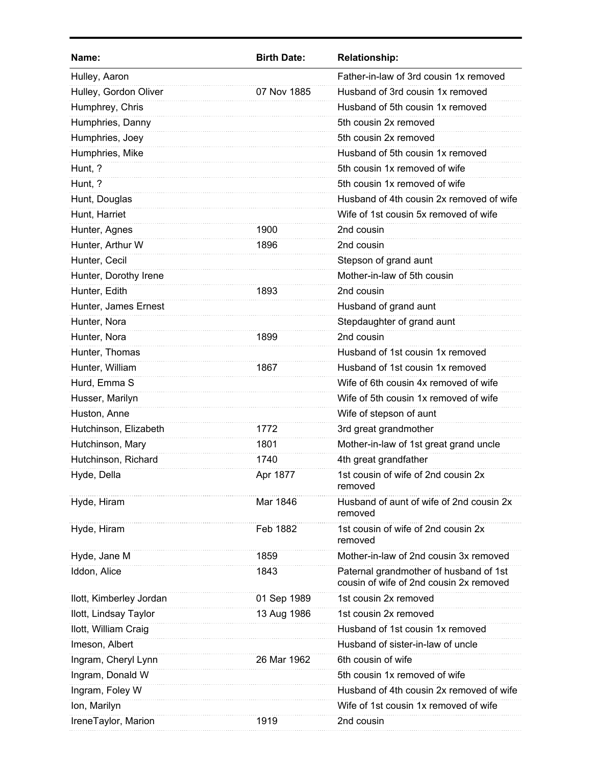| Name:                   | <b>Birth Date:</b> | <b>Relationship:</b>                                                              |
|-------------------------|--------------------|-----------------------------------------------------------------------------------|
| Hulley, Aaron           |                    | Father-in-law of 3rd cousin 1x removed                                            |
| Hulley, Gordon Oliver   | 07 Nov 1885        | Husband of 3rd cousin 1x removed                                                  |
| Humphrey, Chris         |                    | Husband of 5th cousin 1x removed                                                  |
| Humphries, Danny        |                    | 5th cousin 2x removed                                                             |
| Humphries, Joey         |                    | 5th cousin 2x removed                                                             |
| Humphries, Mike         |                    | Husband of 5th cousin 1x removed                                                  |
| Hunt, ?                 |                    | 5th cousin 1x removed of wife                                                     |
| Hunt, ?                 |                    | 5th cousin 1x removed of wife                                                     |
| Hunt, Douglas           |                    | Husband of 4th cousin 2x removed of wife                                          |
| Hunt, Harriet           |                    | Wife of 1st cousin 5x removed of wife                                             |
| Hunter, Agnes           | 1900               | 2nd cousin                                                                        |
| Hunter, Arthur W        | 1896               | 2nd cousin                                                                        |
| Hunter, Cecil           |                    | Stepson of grand aunt                                                             |
| Hunter, Dorothy Irene   |                    | Mother-in-law of 5th cousin                                                       |
| Hunter, Edith           | 1893               | 2nd cousin                                                                        |
| Hunter, James Ernest    |                    | Husband of grand aunt                                                             |
| Hunter, Nora            |                    | Stepdaughter of grand aunt                                                        |
| Hunter, Nora            | 1899               | 2nd cousin                                                                        |
| Hunter, Thomas          |                    | Husband of 1st cousin 1x removed                                                  |
| Hunter, William         | 1867               | Husband of 1st cousin 1x removed                                                  |
| Hurd, Emma S            |                    | Wife of 6th cousin 4x removed of wife                                             |
| Husser, Marilyn         |                    | Wife of 5th cousin 1x removed of wife                                             |
| Huston, Anne            |                    | Wife of stepson of aunt                                                           |
| Hutchinson, Elizabeth   | 1772               | 3rd great grandmother                                                             |
| Hutchinson, Mary        | 1801               | Mother-in-law of 1st great grand uncle                                            |
| Hutchinson, Richard     | 1740               | 4th great grandfather                                                             |
| Hyde, Della             | Apr 1877           | 1st cousin of wife of 2nd cousin 2x<br>removed                                    |
| Hyde, Hiram             | Mar 1846           | Husband of aunt of wife of 2nd cousin 2x<br>removed                               |
| Hyde, Hiram             | Feb 1882           | 1st cousin of wife of 2nd cousin 2x<br>removed                                    |
| Hyde, Jane M            | 1859               | Mother-in-law of 2nd cousin 3x removed                                            |
| Iddon, Alice            | 1843               | Paternal grandmother of husband of 1st<br>cousin of wife of 2nd cousin 2x removed |
| Ilott, Kimberley Jordan | 01 Sep 1989        | 1st cousin 2x removed                                                             |
| Ilott, Lindsay Taylor   | 13 Aug 1986        | 1st cousin 2x removed                                                             |
| Ilott, William Craig    |                    | Husband of 1st cousin 1x removed                                                  |
| Imeson, Albert          |                    | Husband of sister-in-law of uncle                                                 |
| Ingram, Cheryl Lynn     | 26 Mar 1962        | 6th cousin of wife                                                                |
| Ingram, Donald W        |                    | 5th cousin 1x removed of wife                                                     |
| Ingram, Foley W         |                    | Husband of 4th cousin 2x removed of wife                                          |
| Ion, Marilyn            |                    | Wife of 1st cousin 1x removed of wife                                             |
| IreneTaylor, Marion     | 1919               | 2nd cousin                                                                        |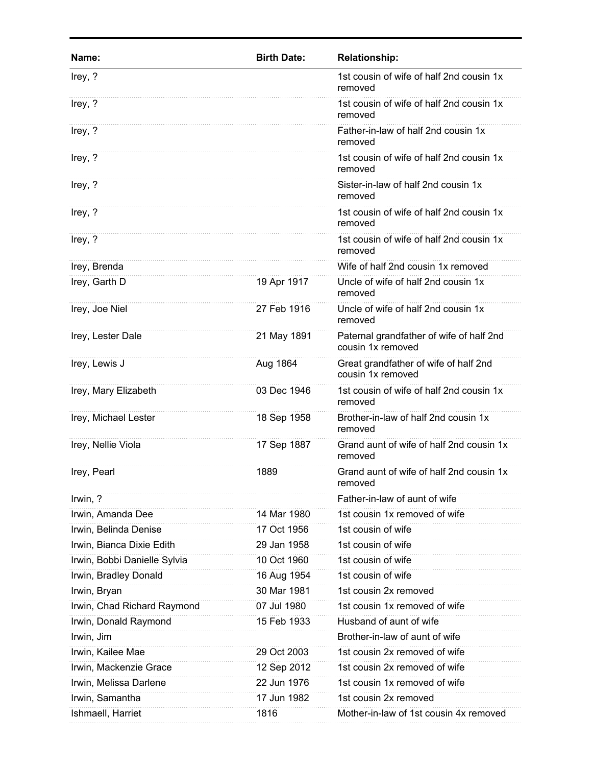| Name:                        | <b>Birth Date:</b> | <b>Relationship:</b>                                          |
|------------------------------|--------------------|---------------------------------------------------------------|
| Irey, ?                      |                    | 1st cousin of wife of half 2nd cousin 1x<br>removed           |
| Irey, ?                      |                    | 1st cousin of wife of half 2nd cousin 1x<br>removed           |
| Irey, ?                      |                    | Father-in-law of half 2nd cousin 1x<br>removed                |
| Irey, ?                      |                    | 1st cousin of wife of half 2nd cousin 1x<br>removed           |
| Irey, ?                      |                    | Sister-in-law of half 2nd cousin 1x<br>removed                |
| Irey, ?                      |                    | 1st cousin of wife of half 2nd cousin 1x<br>removed           |
| Irey, ?                      |                    | 1st cousin of wife of half 2nd cousin 1x<br>removed           |
| Irey, Brenda                 |                    | Wife of half 2nd cousin 1x removed                            |
| Irey, Garth D                | 19 Apr 1917        | Uncle of wife of half 2nd cousin 1x<br>removed                |
| Irey, Joe Niel               | 27 Feb 1916        | Uncle of wife of half 2nd cousin 1x<br>removed                |
| Irey, Lester Dale            | 21 May 1891        | Paternal grandfather of wife of half 2nd<br>cousin 1x removed |
| Irey, Lewis J                | Aug 1864           | Great grandfather of wife of half 2nd<br>cousin 1x removed    |
| Irey, Mary Elizabeth         | 03 Dec 1946        | 1st cousin of wife of half 2nd cousin 1x<br>removed           |
| Irey, Michael Lester         | 18 Sep 1958        | Brother-in-law of half 2nd cousin 1x<br>removed               |
| Irey, Nellie Viola           | 17 Sep 1887        | Grand aunt of wife of half 2nd cousin 1x<br>removed           |
| Irey, Pearl                  | 1889               | Grand aunt of wife of half 2nd cousin 1x<br>removed           |
| Irwin, ?                     |                    | Father-in-law of aunt of wife                                 |
| Irwin, Amanda Dee            | 14 Mar 1980        | 1st cousin 1x removed of wife                                 |
| Irwin, Belinda Denise        | 17 Oct 1956        | 1st cousin of wife                                            |
| Irwin, Bianca Dixie Edith    | 29 Jan 1958        | 1st cousin of wife                                            |
| Irwin, Bobbi Danielle Sylvia | 10 Oct 1960        | 1st cousin of wife                                            |
| Irwin, Bradley Donald        | 16 Aug 1954        | 1st cousin of wife                                            |
| Irwin, Bryan                 | 30 Mar 1981        | 1st cousin 2x removed                                         |
| Irwin, Chad Richard Raymond  | 07 Jul 1980        | 1st cousin 1x removed of wife                                 |
| Irwin, Donald Raymond        | 15 Feb 1933        | Husband of aunt of wife                                       |
| Irwin, Jim                   |                    | Brother-in-law of aunt of wife                                |
| Irwin, Kailee Mae            | 29 Oct 2003        | 1st cousin 2x removed of wife                                 |
| Irwin, Mackenzie Grace       | 12 Sep 2012        | 1st cousin 2x removed of wife                                 |
| Irwin, Melissa Darlene       | 22 Jun 1976        | 1st cousin 1x removed of wife                                 |
| Irwin, Samantha              | 17 Jun 1982        | 1st cousin 2x removed                                         |
| Ishmaell, Harriet            | 1816               | Mother-in-law of 1st cousin 4x removed                        |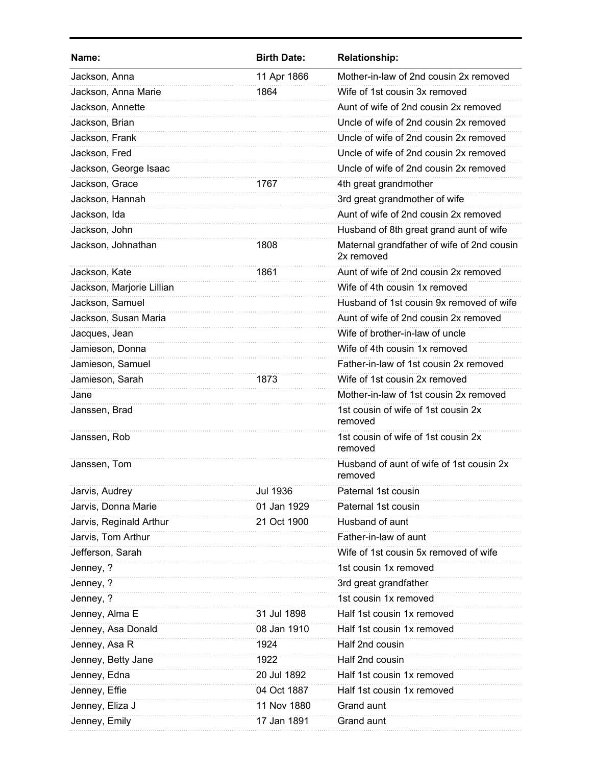| Name:                     | <b>Birth Date:</b> | <b>Relationship:</b>                                     |
|---------------------------|--------------------|----------------------------------------------------------|
| Jackson, Anna             | 11 Apr 1866        | Mother-in-law of 2nd cousin 2x removed                   |
| Jackson, Anna Marie       | 1864               | Wife of 1st cousin 3x removed                            |
| Jackson, Annette          |                    | Aunt of wife of 2nd cousin 2x removed                    |
| Jackson, Brian            |                    | Uncle of wife of 2nd cousin 2x removed                   |
| Jackson, Frank            |                    | Uncle of wife of 2nd cousin 2x removed                   |
| Jackson, Fred             |                    | Uncle of wife of 2nd cousin 2x removed                   |
| Jackson, George Isaac     |                    | Uncle of wife of 2nd cousin 2x removed                   |
| Jackson, Grace            | 1767               | 4th great grandmother                                    |
| Jackson, Hannah           |                    | 3rd great grandmother of wife                            |
| Jackson, Ida              |                    | Aunt of wife of 2nd cousin 2x removed                    |
| Jackson, John             |                    | Husband of 8th great grand aunt of wife                  |
| Jackson, Johnathan        | 1808               | Maternal grandfather of wife of 2nd cousin<br>2x removed |
| Jackson, Kate             | 1861               | Aunt of wife of 2nd cousin 2x removed                    |
| Jackson, Marjorie Lillian |                    | Wife of 4th cousin 1x removed                            |
| Jackson, Samuel           |                    | Husband of 1st cousin 9x removed of wife                 |
| Jackson, Susan Maria      |                    | Aunt of wife of 2nd cousin 2x removed                    |
| Jacques, Jean             |                    | Wife of brother-in-law of uncle                          |
| Jamieson, Donna           |                    | Wife of 4th cousin 1x removed                            |
| Jamieson, Samuel          |                    | Father-in-law of 1st cousin 2x removed                   |
| Jamieson, Sarah           | 1873               | Wife of 1st cousin 2x removed                            |
| Jane                      |                    | Mother-in-law of 1st cousin 2x removed                   |
| Janssen, Brad             |                    | 1st cousin of wife of 1st cousin 2x<br>removed           |
| Janssen, Rob              |                    | 1st cousin of wife of 1st cousin 2x<br>removed           |
| Janssen, Tom              |                    | Husband of aunt of wife of 1st cousin 2x<br>removed      |
| Jarvis, Audrey            | <b>Jul 1936</b>    | Paternal 1st cousin                                      |
| Jarvis, Donna Marie       | 01 Jan 1929        | Paternal 1st cousin                                      |
| Jarvis, Reginald Arthur   | 21 Oct 1900        | Husband of aunt                                          |
| Jarvis, Tom Arthur        |                    | Father-in-law of aunt                                    |
| Jefferson, Sarah          |                    | Wife of 1st cousin 5x removed of wife                    |
| Jenney, ?                 |                    | 1st cousin 1x removed                                    |
| Jenney, ?                 |                    | 3rd great grandfather                                    |
| Jenney, ?                 |                    | 1st cousin 1x removed                                    |
| Jenney, Alma E            | 31 Jul 1898        | Half 1st cousin 1x removed                               |
| Jenney, Asa Donald        | 08 Jan 1910        | Half 1st cousin 1x removed                               |
| Jenney, Asa R             | 1924               | Half 2nd cousin                                          |
| Jenney, Betty Jane        | 1922               | Half 2nd cousin                                          |
| Jenney, Edna              | 20 Jul 1892        | Half 1st cousin 1x removed                               |
| Jenney, Effie             | 04 Oct 1887        | Half 1st cousin 1x removed                               |
| Jenney, Eliza J           | 11 Nov 1880        | Grand aunt                                               |
| Jenney, Emily             | 17 Jan 1891        | Grand aunt                                               |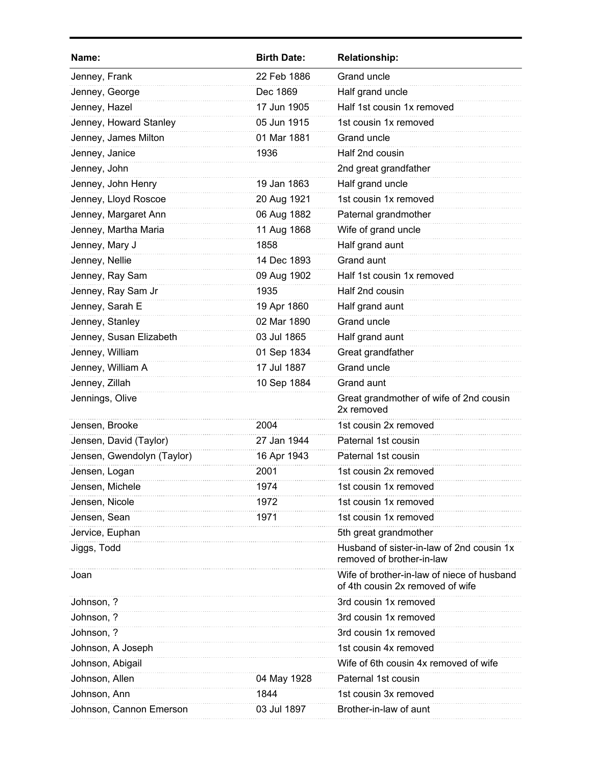| Name:                      | <b>Birth Date:</b> | <b>Relationship:</b>                                                           |
|----------------------------|--------------------|--------------------------------------------------------------------------------|
| Jenney, Frank              | 22 Feb 1886        | Grand uncle                                                                    |
| Jenney, George             | Dec 1869           | Half grand uncle                                                               |
| Jenney, Hazel              | 17 Jun 1905        | Half 1st cousin 1x removed                                                     |
| Jenney, Howard Stanley     | 05 Jun 1915        | 1st cousin 1x removed                                                          |
| Jenney, James Milton       | 01 Mar 1881        | Grand uncle                                                                    |
| Jenney, Janice             | 1936               | Half 2nd cousin                                                                |
| Jenney, John               |                    | 2nd great grandfather                                                          |
| Jenney, John Henry         | 19 Jan 1863        | Half grand uncle                                                               |
| Jenney, Lloyd Roscoe       | 20 Aug 1921        | 1st cousin 1x removed                                                          |
| Jenney, Margaret Ann       | 06 Aug 1882        | Paternal grandmother                                                           |
| Jenney, Martha Maria       | 11 Aug 1868        | Wife of grand uncle                                                            |
| Jenney, Mary J             | 1858               | Half grand aunt                                                                |
| Jenney, Nellie             | 14 Dec 1893        | Grand aunt                                                                     |
| Jenney, Ray Sam            | 09 Aug 1902        | Half 1st cousin 1x removed                                                     |
| Jenney, Ray Sam Jr         | 1935               | Half 2nd cousin                                                                |
| Jenney, Sarah E            | 19 Apr 1860        | Half grand aunt                                                                |
| Jenney, Stanley            | 02 Mar 1890        | Grand uncle                                                                    |
| Jenney, Susan Elizabeth    | 03 Jul 1865        | Half grand aunt                                                                |
| Jenney, William            | 01 Sep 1834        | Great grandfather                                                              |
| Jenney, William A          | 17 Jul 1887        | <b>Grand uncle</b>                                                             |
| Jenney, Zillah             | 10 Sep 1884        | Grand aunt                                                                     |
| Jennings, Olive            |                    | Great grandmother of wife of 2nd cousin<br>2x removed                          |
| Jensen, Brooke             | 2004               | 1st cousin 2x removed                                                          |
| Jensen, David (Taylor)     | 27 Jan 1944        | Paternal 1st cousin                                                            |
| Jensen, Gwendolyn (Taylor) | 16 Apr 1943        | Paternal 1st cousin                                                            |
| Jensen, Logan              | 2001               | 1st cousin 2x removed                                                          |
| Jensen, Michele            | 1974               | 1st cousin 1x removed                                                          |
| Jensen, Nicole             | 1972               | 1st cousin 1x removed                                                          |
| Jensen, Sean               | 1971               | 1st cousin 1x removed                                                          |
| Jervice, Euphan            |                    | 5th great grandmother                                                          |
| Jiggs, Todd                |                    | Husband of sister-in-law of 2nd cousin 1x<br>removed of brother-in-law         |
| Joan                       |                    | Wife of brother-in-law of niece of husband<br>of 4th cousin 2x removed of wife |
| Johnson, ?                 |                    | 3rd cousin 1x removed                                                          |
| Johnson, ?                 |                    | 3rd cousin 1x removed                                                          |
| Johnson, ?                 |                    | 3rd cousin 1x removed                                                          |
| Johnson, A Joseph          |                    | 1st cousin 4x removed                                                          |
| Johnson, Abigail           |                    | Wife of 6th cousin 4x removed of wife                                          |
| Johnson, Allen             | 04 May 1928        | Paternal 1st cousin                                                            |
| Johnson, Ann               | 1844               | 1st cousin 3x removed                                                          |
| Johnson, Cannon Emerson    | 03 Jul 1897        | Brother-in-law of aunt                                                         |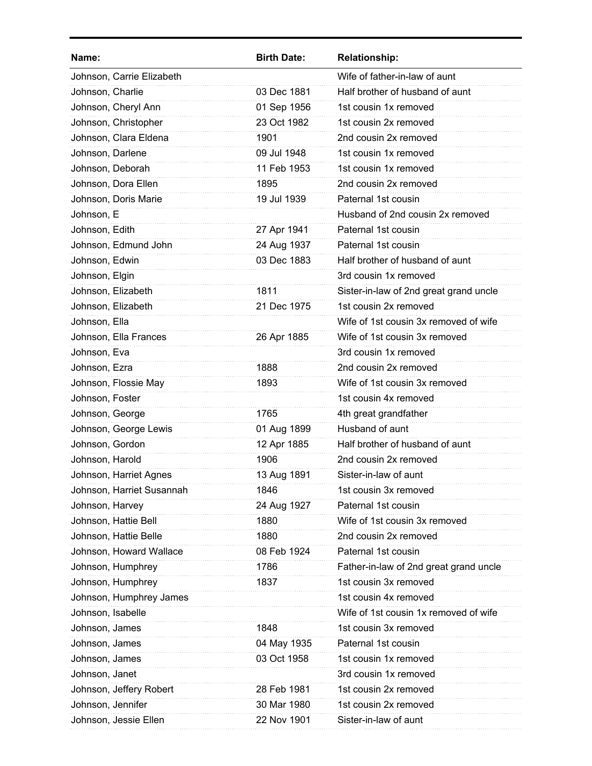| Name:                     | <b>Birth Date:</b> | <b>Relationship:</b>                   |
|---------------------------|--------------------|----------------------------------------|
| Johnson, Carrie Elizabeth |                    | Wife of father-in-law of aunt          |
| Johnson, Charlie          | 03 Dec 1881        | Half brother of husband of aunt        |
| Johnson, Cheryl Ann       | 01 Sep 1956        | 1st cousin 1x removed                  |
| Johnson, Christopher      | 23 Oct 1982        | 1st cousin 2x removed                  |
| Johnson, Clara Eldena     | 1901               | 2nd cousin 2x removed                  |
| Johnson, Darlene          | 09 Jul 1948        | 1st cousin 1x removed                  |
| Johnson, Deborah          | 11 Feb 1953        | 1st cousin 1x removed                  |
| Johnson, Dora Ellen       | 1895               | 2nd cousin 2x removed                  |
| Johnson, Doris Marie      | 19 Jul 1939        | Paternal 1st cousin                    |
| Johnson, E                |                    | Husband of 2nd cousin 2x removed       |
| Johnson, Edith            | 27 Apr 1941        | Paternal 1st cousin                    |
| Johnson, Edmund John      | 24 Aug 1937        | Paternal 1st cousin                    |
| Johnson, Edwin            | 03 Dec 1883        | Half brother of husband of aunt        |
| Johnson, Elgin            |                    | 3rd cousin 1x removed                  |
| Johnson, Elizabeth        | 1811               | Sister-in-law of 2nd great grand uncle |
| Johnson, Elizabeth        | 21 Dec 1975        | 1st cousin 2x removed                  |
| Johnson, Ella             |                    | Wife of 1st cousin 3x removed of wife  |
| Johnson, Ella Frances     | 26 Apr 1885        | Wife of 1st cousin 3x removed          |
| Johnson, Eva              |                    | 3rd cousin 1x removed                  |
| Johnson, Ezra             | 1888               | 2nd cousin 2x removed                  |
| Johnson, Flossie May      | 1893               | Wife of 1st cousin 3x removed          |
| Johnson, Foster           |                    | 1st cousin 4x removed                  |
| Johnson, George           | 1765               | 4th great grandfather                  |
| Johnson, George Lewis     | 01 Aug 1899        | Husband of aunt                        |
| Johnson, Gordon           | 12 Apr 1885        | Half brother of husband of aunt        |
| Johnson, Harold           | 1906               | 2nd cousin 2x removed                  |
| Johnson, Harriet Agnes    | 13 Aug 1891        | Sister-in-law of aunt                  |
| Johnson, Harriet Susannah | 1846               | 1st cousin 3x removed                  |
| Johnson, Harvey           | 24 Aug 1927        | Paternal 1st cousin                    |
| Johnson, Hattie Bell      | 1880               | Wife of 1st cousin 3x removed          |
| Johnson, Hattie Belle     | 1880               | 2nd cousin 2x removed                  |
| Johnson, Howard Wallace   | 08 Feb 1924        | Paternal 1st cousin                    |
| Johnson, Humphrey         | 1786               | Father-in-law of 2nd great grand uncle |
| Johnson, Humphrey         | 1837               | 1st cousin 3x removed                  |
| Johnson, Humphrey James   |                    | 1st cousin 4x removed                  |
| Johnson, Isabelle         |                    | Wife of 1st cousin 1x removed of wife  |
| Johnson, James            | 1848               | 1st cousin 3x removed                  |
| Johnson, James            | 04 May 1935        | Paternal 1st cousin                    |
| Johnson, James            | 03 Oct 1958        | 1st cousin 1x removed                  |
| Johnson, Janet            |                    | 3rd cousin 1x removed                  |
| Johnson, Jeffery Robert   | 28 Feb 1981        | 1st cousin 2x removed                  |
| Johnson, Jennifer         | 30 Mar 1980        | 1st cousin 2x removed                  |
| Johnson, Jessie Ellen     | 22 Nov 1901        | Sister-in-law of aunt                  |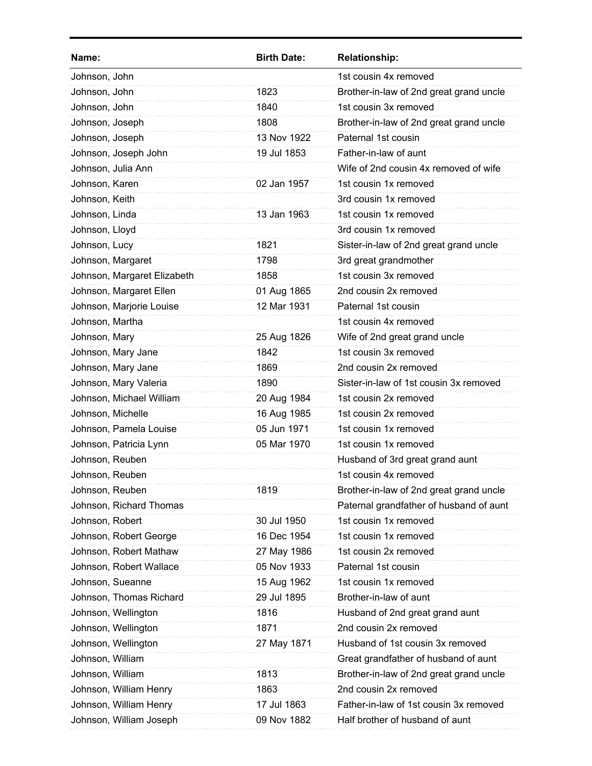| Name:                       | <b>Birth Date:</b> | <b>Relationship:</b>                    |
|-----------------------------|--------------------|-----------------------------------------|
| Johnson, John               |                    | 1st cousin 4x removed                   |
| Johnson, John               | 1823               | Brother-in-law of 2nd great grand uncle |
| Johnson, John               | 1840               | 1st cousin 3x removed                   |
| Johnson, Joseph             | 1808               | Brother-in-law of 2nd great grand uncle |
| Johnson, Joseph             | 13 Nov 1922        | Paternal 1st cousin                     |
| Johnson, Joseph John        | 19 Jul 1853        | Father-in-law of aunt                   |
| Johnson, Julia Ann          |                    | Wife of 2nd cousin 4x removed of wife   |
| Johnson, Karen              | 02 Jan 1957        | 1st cousin 1x removed                   |
| Johnson, Keith              |                    | 3rd cousin 1x removed                   |
| Johnson, Linda              | 13 Jan 1963        | 1st cousin 1x removed                   |
| Johnson, Lloyd              |                    | 3rd cousin 1x removed                   |
| Johnson, Lucy               | 1821               | Sister-in-law of 2nd great grand uncle  |
| Johnson, Margaret           | 1798               | 3rd great grandmother                   |
| Johnson, Margaret Elizabeth | 1858               | 1st cousin 3x removed                   |
| Johnson, Margaret Ellen     | 01 Aug 1865        | 2nd cousin 2x removed                   |
| Johnson, Marjorie Louise    | 12 Mar 1931        | Paternal 1st cousin                     |
| Johnson, Martha             |                    | 1st cousin 4x removed                   |
| Johnson, Mary               | 25 Aug 1826        | Wife of 2nd great grand uncle           |
| Johnson, Mary Jane          | 1842               | 1st cousin 3x removed                   |
| Johnson, Mary Jane          | 1869               | 2nd cousin 2x removed                   |
| Johnson, Mary Valeria       | 1890               | Sister-in-law of 1st cousin 3x removed  |
| Johnson, Michael William    | 20 Aug 1984        | 1st cousin 2x removed                   |
| Johnson, Michelle           | 16 Aug 1985        | 1st cousin 2x removed                   |
| Johnson, Pamela Louise      | 05 Jun 1971        | 1st cousin 1x removed                   |
| Johnson, Patricia Lynn      | 05 Mar 1970        | 1st cousin 1x removed                   |
| Johnson, Reuben             |                    | Husband of 3rd great grand aunt         |
| Johnson, Reuben             |                    | 1st cousin 4x removed                   |
| Johnson, Reuben             | 1819               | Brother-in-law of 2nd great grand uncle |
| Johnson, Richard Thomas     |                    | Paternal grandfather of husband of aunt |
| Johnson, Robert             | 30 Jul 1950        | 1st cousin 1x removed                   |
| Johnson, Robert George      | 16 Dec 1954        | 1st cousin 1x removed                   |
| Johnson, Robert Mathaw      | 27 May 1986        | 1st cousin 2x removed                   |
| Johnson, Robert Wallace     | 05 Nov 1933        | Paternal 1st cousin                     |
| Johnson, Sueanne            | 15 Aug 1962        | 1st cousin 1x removed                   |
| Johnson, Thomas Richard     | 29 Jul 1895        | Brother-in-law of aunt                  |
| Johnson, Wellington         | 1816               | Husband of 2nd great grand aunt         |
| Johnson, Wellington         | 1871               | 2nd cousin 2x removed                   |
| Johnson, Wellington         | 27 May 1871        | Husband of 1st cousin 3x removed        |
| Johnson, William            |                    | Great grandfather of husband of aunt    |
| Johnson, William            | 1813               | Brother-in-law of 2nd great grand uncle |
| Johnson, William Henry      | 1863               | 2nd cousin 2x removed                   |
| Johnson, William Henry      | 17 Jul 1863        | Father-in-law of 1st cousin 3x removed  |
| Johnson, William Joseph     | 09 Nov 1882        | Half brother of husband of aunt         |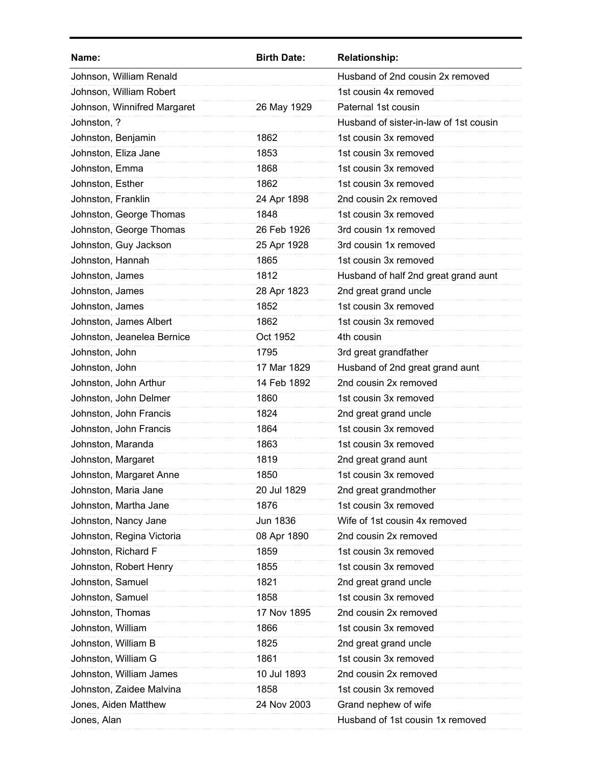| Name:                       | <b>Birth Date:</b> | <b>Relationship:</b>                   |
|-----------------------------|--------------------|----------------------------------------|
| Johnson, William Renald     |                    | Husband of 2nd cousin 2x removed       |
| Johnson, William Robert     |                    | 1st cousin 4x removed                  |
| Johnson, Winnifred Margaret | 26 May 1929        | Paternal 1st cousin                    |
| Johnston, ?                 |                    | Husband of sister-in-law of 1st cousin |
| Johnston, Benjamin          | 1862               | 1st cousin 3x removed                  |
| Johnston, Eliza Jane        | 1853               | 1st cousin 3x removed                  |
| Johnston, Emma              | 1868               | 1st cousin 3x removed                  |
| Johnston, Esther            | 1862               | 1st cousin 3x removed                  |
| Johnston, Franklin          | 24 Apr 1898        | 2nd cousin 2x removed                  |
| Johnston, George Thomas     | 1848               | 1st cousin 3x removed                  |
| Johnston, George Thomas     | 26 Feb 1926        | 3rd cousin 1x removed                  |
| Johnston, Guy Jackson       | 25 Apr 1928        | 3rd cousin 1x removed                  |
| Johnston, Hannah            | 1865               | 1st cousin 3x removed                  |
| Johnston, James             | 1812               | Husband of half 2nd great grand aunt   |
| Johnston, James             | 28 Apr 1823        | 2nd great grand uncle                  |
| Johnston, James             | 1852               | 1st cousin 3x removed                  |
| Johnston, James Albert      | 1862               | 1st cousin 3x removed                  |
| Johnston, Jeanelea Bernice  | Oct 1952           | 4th cousin                             |
| Johnston, John              | 1795               | 3rd great grandfather                  |
| Johnston, John              | 17 Mar 1829        | Husband of 2nd great grand aunt        |
| Johnston, John Arthur       | 14 Feb 1892        | 2nd cousin 2x removed                  |
| Johnston, John Delmer       | 1860               | 1st cousin 3x removed                  |
| Johnston, John Francis      | 1824               | 2nd great grand uncle                  |
| Johnston, John Francis      | 1864               | 1st cousin 3x removed                  |
| Johnston, Maranda           | 1863               | 1st cousin 3x removed                  |
| Johnston, Margaret          | 1819               | 2nd great grand aunt                   |
| Johnston, Margaret Anne     | 1850               | 1st cousin 3x removed                  |
| Johnston, Maria Jane        | 20 Jul 1829        | 2nd great grandmother                  |
| Johnston, Martha Jane       | 1876               | 1st cousin 3x removed                  |
| Johnston, Nancy Jane        | <b>Jun 1836</b>    | Wife of 1st cousin 4x removed          |
| Johnston, Regina Victoria   | 08 Apr 1890        | 2nd cousin 2x removed                  |
| Johnston, Richard F         | 1859               | 1st cousin 3x removed                  |
| Johnston, Robert Henry      | 1855               | 1st cousin 3x removed                  |
| Johnston, Samuel            | 1821               | 2nd great grand uncle                  |
| Johnston, Samuel            | 1858               | 1st cousin 3x removed                  |
| Johnston, Thomas            | 17 Nov 1895        | 2nd cousin 2x removed                  |
| Johnston, William           | 1866               | 1st cousin 3x removed                  |
| Johnston, William B         | 1825               | 2nd great grand uncle                  |
| Johnston, William G         | 1861               | 1st cousin 3x removed                  |
| Johnston, William James     | 10 Jul 1893        | 2nd cousin 2x removed                  |
| Johnston, Zaidee Malvina    | 1858               | 1st cousin 3x removed                  |
| Jones, Aiden Matthew        | 24 Nov 2003        | Grand nephew of wife                   |
| Jones, Alan                 |                    | Husband of 1st cousin 1x removed       |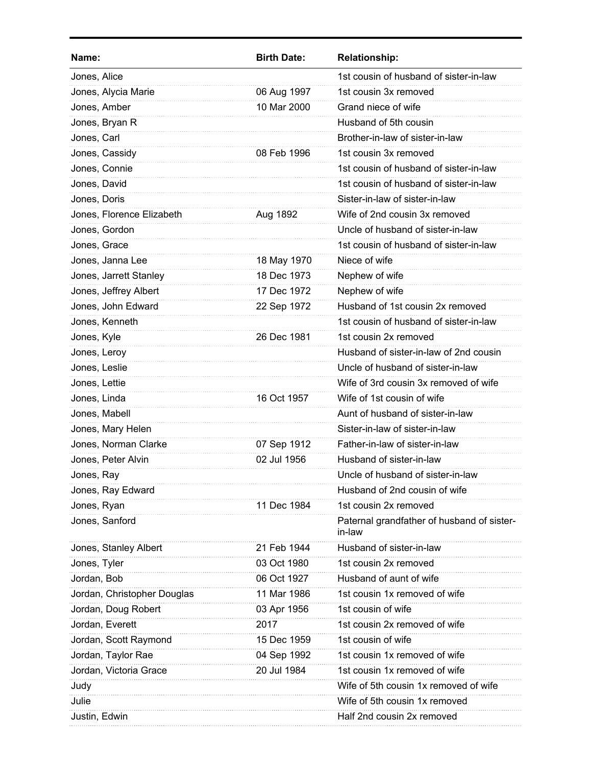| Name:                       | <b>Birth Date:</b> | <b>Relationship:</b>                                 |
|-----------------------------|--------------------|------------------------------------------------------|
| Jones, Alice                |                    | 1st cousin of husband of sister-in-law               |
| Jones, Alycia Marie         | 06 Aug 1997        | 1st cousin 3x removed                                |
| Jones, Amber                | 10 Mar 2000        | Grand niece of wife                                  |
| Jones, Bryan R              |                    | Husband of 5th cousin                                |
| Jones, Carl                 |                    | Brother-in-law of sister-in-law                      |
| Jones, Cassidy              | 08 Feb 1996        | 1st cousin 3x removed                                |
| Jones, Connie               |                    | 1st cousin of husband of sister-in-law               |
| Jones, David                |                    | 1st cousin of husband of sister-in-law               |
| Jones, Doris                |                    | Sister-in-law of sister-in-law                       |
| Jones, Florence Elizabeth   | Aug 1892           | Wife of 2nd cousin 3x removed                        |
| Jones, Gordon               |                    | Uncle of husband of sister-in-law                    |
| Jones, Grace                |                    | 1st cousin of husband of sister-in-law               |
| Jones, Janna Lee            | 18 May 1970        | Niece of wife                                        |
| Jones, Jarrett Stanley      | 18 Dec 1973        | Nephew of wife                                       |
| Jones, Jeffrey Albert       | 17 Dec 1972        | Nephew of wife                                       |
| Jones, John Edward          | 22 Sep 1972        | Husband of 1st cousin 2x removed                     |
| Jones, Kenneth              |                    | 1st cousin of husband of sister-in-law               |
| Jones, Kyle                 | 26 Dec 1981        | 1st cousin 2x removed                                |
| Jones, Leroy                |                    | Husband of sister-in-law of 2nd cousin               |
| Jones, Leslie               |                    | Uncle of husband of sister-in-law                    |
| Jones, Lettie               |                    | Wife of 3rd cousin 3x removed of wife                |
| Jones, Linda                | 16 Oct 1957        | Wife of 1st cousin of wife                           |
| Jones, Mabell               |                    | Aunt of husband of sister-in-law                     |
| Jones, Mary Helen           |                    | Sister-in-law of sister-in-law                       |
| Jones, Norman Clarke        | 07 Sep 1912        | Father-in-law of sister-in-law                       |
| Jones, Peter Alvin          | 02 Jul 1956        | Husband of sister-in-law                             |
| Jones, Ray                  |                    | Uncle of husband of sister-in-law                    |
| Jones, Ray Edward           |                    | Husband of 2nd cousin of wife                        |
| Jones, Ryan                 | 11 Dec 1984        | 1st cousin 2x removed                                |
| Jones, Sanford              |                    | Paternal grandfather of husband of sister-<br>in-law |
| Jones, Stanley Albert       | 21 Feb 1944        | Husband of sister-in-law                             |
| Jones, Tyler                | 03 Oct 1980        | 1st cousin 2x removed                                |
| Jordan, Bob                 | 06 Oct 1927        | Husband of aunt of wife                              |
| Jordan, Christopher Douglas | 11 Mar 1986        | 1st cousin 1x removed of wife                        |
| Jordan, Doug Robert         | 03 Apr 1956        | 1st cousin of wife                                   |
| Jordan, Everett             | 2017               | 1st cousin 2x removed of wife                        |
| Jordan, Scott Raymond       | 15 Dec 1959        | 1st cousin of wife                                   |
| Jordan, Taylor Rae          | 04 Sep 1992        | 1st cousin 1x removed of wife                        |
| Jordan, Victoria Grace      | 20 Jul 1984        | 1st cousin 1x removed of wife                        |
| Judy                        |                    | Wife of 5th cousin 1x removed of wife                |
| Julie                       |                    | Wife of 5th cousin 1x removed                        |
| Justin, Edwin               |                    | Half 2nd cousin 2x removed                           |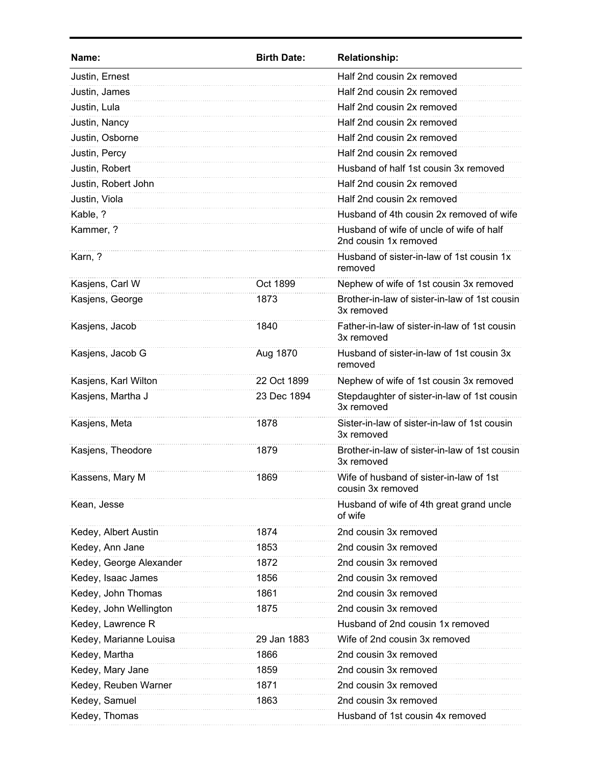| Name:                   | <b>Birth Date:</b> | <b>Relationship:</b>                                              |
|-------------------------|--------------------|-------------------------------------------------------------------|
| Justin, Ernest          |                    | Half 2nd cousin 2x removed                                        |
| Justin, James           |                    | Half 2nd cousin 2x removed                                        |
| Justin, Lula            |                    | Half 2nd cousin 2x removed                                        |
| Justin, Nancy           |                    | Half 2nd cousin 2x removed                                        |
| Justin, Osborne         |                    | Half 2nd cousin 2x removed                                        |
| Justin, Percy           |                    | Half 2nd cousin 2x removed                                        |
| Justin, Robert          |                    | Husband of half 1st cousin 3x removed                             |
| Justin, Robert John     |                    | Half 2nd cousin 2x removed                                        |
| Justin, Viola           |                    | Half 2nd cousin 2x removed                                        |
| Kable, ?                |                    | Husband of 4th cousin 2x removed of wife                          |
| Kammer, ?               |                    | Husband of wife of uncle of wife of half<br>2nd cousin 1x removed |
| Karn, ?                 |                    | Husband of sister-in-law of 1st cousin 1x<br>removed              |
| Kasjens, Carl W         | Oct 1899           | Nephew of wife of 1st cousin 3x removed                           |
| Kasjens, George         | 1873               | Brother-in-law of sister-in-law of 1st cousin<br>3x removed       |
| Kasjens, Jacob          | 1840               | Father-in-law of sister-in-law of 1st cousin<br>3x removed        |
| Kasjens, Jacob G        | Aug 1870           | Husband of sister-in-law of 1st cousin 3x<br>removed              |
| Kasjens, Karl Wilton    | 22 Oct 1899        | Nephew of wife of 1st cousin 3x removed                           |
| Kasjens, Martha J       | 23 Dec 1894        | Stepdaughter of sister-in-law of 1st cousin<br>3x removed         |
| Kasjens, Meta           | 1878               | Sister-in-law of sister-in-law of 1st cousin<br>3x removed        |
| Kasjens, Theodore       | 1879               | Brother-in-law of sister-in-law of 1st cousin<br>3x removed       |
| Kassens, Mary M         | 1869               | Wife of husband of sister-in-law of 1st<br>cousin 3x removed      |
| Kean, Jesse             |                    | Husband of wife of 4th great grand uncle<br>of wife               |
| Kedey, Albert Austin    | 1874               | 2nd cousin 3x removed                                             |
| Kedey, Ann Jane         | 1853               | 2nd cousin 3x removed                                             |
| Kedey, George Alexander | 1872               | 2nd cousin 3x removed                                             |
| Kedey, Isaac James      | 1856               | 2nd cousin 3x removed                                             |
| Kedey, John Thomas      | 1861               | 2nd cousin 3x removed                                             |
| Kedey, John Wellington  | 1875               | 2nd cousin 3x removed                                             |
| Kedey, Lawrence R       |                    | Husband of 2nd cousin 1x removed                                  |
| Kedey, Marianne Louisa  | 29 Jan 1883        | Wife of 2nd cousin 3x removed                                     |
| Kedey, Martha           | 1866               | 2nd cousin 3x removed                                             |
| Kedey, Mary Jane        | 1859               | 2nd cousin 3x removed                                             |
| Kedey, Reuben Warner    | 1871               | 2nd cousin 3x removed                                             |
| Kedey, Samuel           | 1863               | 2nd cousin 3x removed                                             |
| Kedey, Thomas           |                    | Husband of 1st cousin 4x removed                                  |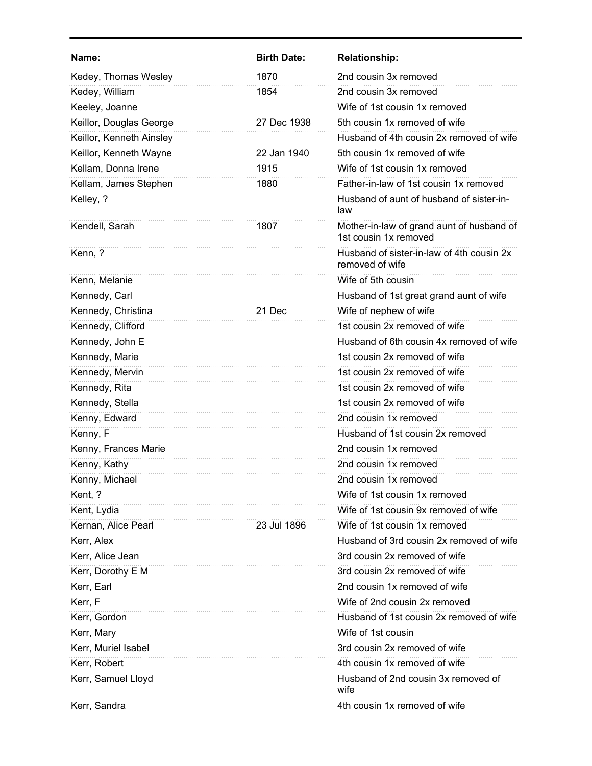| Name:                    | <b>Birth Date:</b> | <b>Relationship:</b>                                               |
|--------------------------|--------------------|--------------------------------------------------------------------|
| Kedey, Thomas Wesley     | 1870               | 2nd cousin 3x removed                                              |
| Kedey, William           | 1854               | 2nd cousin 3x removed                                              |
| Keeley, Joanne           |                    | Wife of 1st cousin 1x removed                                      |
| Keillor, Douglas George  | 27 Dec 1938        | 5th cousin 1x removed of wife                                      |
| Keillor, Kenneth Ainsley |                    | Husband of 4th cousin 2x removed of wife                           |
| Keillor, Kenneth Wayne   | 22 Jan 1940        | 5th cousin 1x removed of wife                                      |
| Kellam, Donna Irene      | 1915               | Wife of 1st cousin 1x removed                                      |
| Kellam, James Stephen    | 1880               | Father-in-law of 1st cousin 1x removed                             |
| Kelley, ?                |                    | Husband of aunt of husband of sister-in-<br>law                    |
| Kendell, Sarah           | 1807               | Mother-in-law of grand aunt of husband of<br>1st cousin 1x removed |
| Kenn, ?                  |                    | Husband of sister-in-law of 4th cousin 2x<br>removed of wife       |
| Kenn, Melanie            |                    | Wife of 5th cousin                                                 |
| Kennedy, Carl            |                    | Husband of 1st great grand aunt of wife                            |
| Kennedy, Christina       | 21 Dec             | Wife of nephew of wife                                             |
| Kennedy, Clifford        |                    | 1st cousin 2x removed of wife                                      |
| Kennedy, John E          |                    | Husband of 6th cousin 4x removed of wife                           |
| Kennedy, Marie           |                    | 1st cousin 2x removed of wife                                      |
| Kennedy, Mervin          |                    | 1st cousin 2x removed of wife                                      |
| Kennedy, Rita            |                    | 1st cousin 2x removed of wife                                      |
| Kennedy, Stella          |                    | 1st cousin 2x removed of wife                                      |
| Kenny, Edward            |                    | 2nd cousin 1x removed                                              |
| Kenny, F                 |                    | Husband of 1st cousin 2x removed                                   |
| Kenny, Frances Marie     |                    | 2nd cousin 1x removed                                              |
| Kenny, Kathy             |                    | 2nd cousin 1x removed                                              |
| Kenny, Michael           |                    | 2nd cousin 1x removed                                              |
| Kent, ?                  |                    | Wife of 1st cousin 1x removed                                      |
| Kent, Lydia              |                    | Wife of 1st cousin 9x removed of wife                              |
| Kernan, Alice Pearl      | 23 Jul 1896        | Wife of 1st cousin 1x removed                                      |
| Kerr, Alex               |                    | Husband of 3rd cousin 2x removed of wife                           |
| Kerr, Alice Jean         |                    | 3rd cousin 2x removed of wife                                      |
| Kerr, Dorothy E M        |                    | 3rd cousin 2x removed of wife                                      |
| Kerr, Earl               |                    | 2nd cousin 1x removed of wife                                      |
| Kerr, F                  |                    | Wife of 2nd cousin 2x removed                                      |
| Kerr, Gordon             |                    | Husband of 1st cousin 2x removed of wife                           |
| Kerr, Mary               |                    | Wife of 1st cousin                                                 |
| Kerr, Muriel Isabel      |                    | 3rd cousin 2x removed of wife                                      |
| Kerr, Robert             |                    | 4th cousin 1x removed of wife                                      |
| Kerr, Samuel Lloyd       |                    | Husband of 2nd cousin 3x removed of<br>wife                        |
| Kerr, Sandra             |                    | 4th cousin 1x removed of wife                                      |
|                          |                    |                                                                    |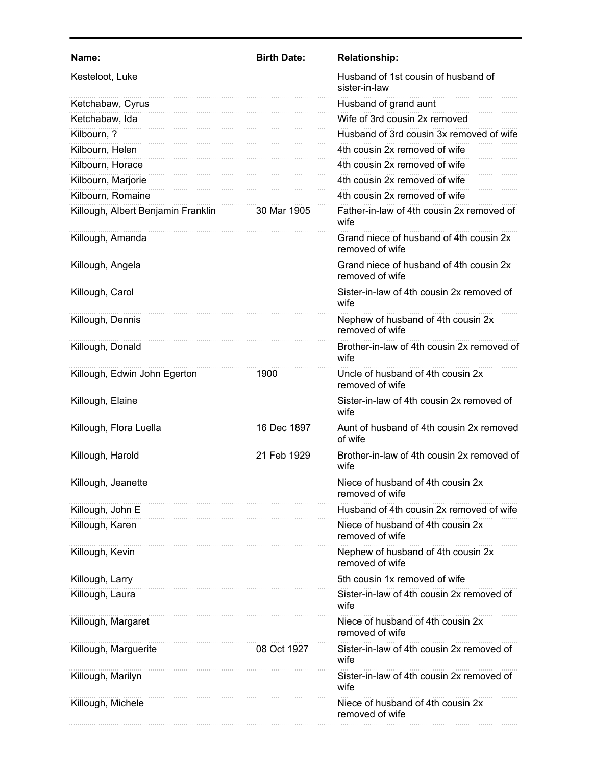| Name:                              | <b>Birth Date:</b> | <b>Relationship:</b>                                       |
|------------------------------------|--------------------|------------------------------------------------------------|
| Kesteloot, Luke                    |                    | Husband of 1st cousin of husband of<br>sister-in-law       |
| Ketchabaw, Cyrus                   |                    | Husband of grand aunt                                      |
| Ketchabaw, Ida                     |                    | Wife of 3rd cousin 2x removed                              |
| Kilbourn, ?                        |                    | Husband of 3rd cousin 3x removed of wife                   |
| Kilbourn, Helen                    |                    | 4th cousin 2x removed of wife                              |
| Kilbourn, Horace                   |                    | 4th cousin 2x removed of wife                              |
| Kilbourn, Marjorie                 |                    | 4th cousin 2x removed of wife                              |
| Kilbourn, Romaine                  |                    | 4th cousin 2x removed of wife                              |
| Killough, Albert Benjamin Franklin | 30 Mar 1905        | Father-in-law of 4th cousin 2x removed of<br>wife          |
| Killough, Amanda                   |                    | Grand niece of husband of 4th cousin 2x<br>removed of wife |
| Killough, Angela                   |                    | Grand niece of husband of 4th cousin 2x<br>removed of wife |
| Killough, Carol                    |                    | Sister-in-law of 4th cousin 2x removed of<br>wife          |
| Killough, Dennis                   |                    | Nephew of husband of 4th cousin 2x<br>removed of wife      |
| Killough, Donald                   |                    | Brother-in-law of 4th cousin 2x removed of<br>wife         |
| Killough, Edwin John Egerton       | 1900               | Uncle of husband of 4th cousin 2x<br>removed of wife       |
| Killough, Elaine                   |                    | Sister-in-law of 4th cousin 2x removed of<br>wife          |
| Killough, Flora Luella             | 16 Dec 1897        | Aunt of husband of 4th cousin 2x removed<br>of wife        |
| Killough, Harold                   | 21 Feb 1929        | Brother-in-law of 4th cousin 2x removed of<br>wife         |
| Killough, Jeanette                 |                    | Niece of husband of 4th cousin 2x<br>removed of wife       |
| Killough, John E                   |                    | Husband of 4th cousin 2x removed of wife                   |
| Killough, Karen                    |                    | Niece of husband of 4th cousin 2x<br>removed of wife       |
| Killough, Kevin                    |                    | Nephew of husband of 4th cousin 2x<br>removed of wife      |
| Killough, Larry                    |                    | 5th cousin 1x removed of wife                              |
| Killough, Laura                    |                    | Sister-in-law of 4th cousin 2x removed of<br>wife          |
| Killough, Margaret                 |                    | Niece of husband of 4th cousin 2x<br>removed of wife       |
| Killough, Marguerite               | 08 Oct 1927        | Sister-in-law of 4th cousin 2x removed of<br>wife          |
| Killough, Marilyn                  |                    | Sister-in-law of 4th cousin 2x removed of<br>wife          |
| Killough, Michele                  |                    | Niece of husband of 4th cousin 2x<br>removed of wife       |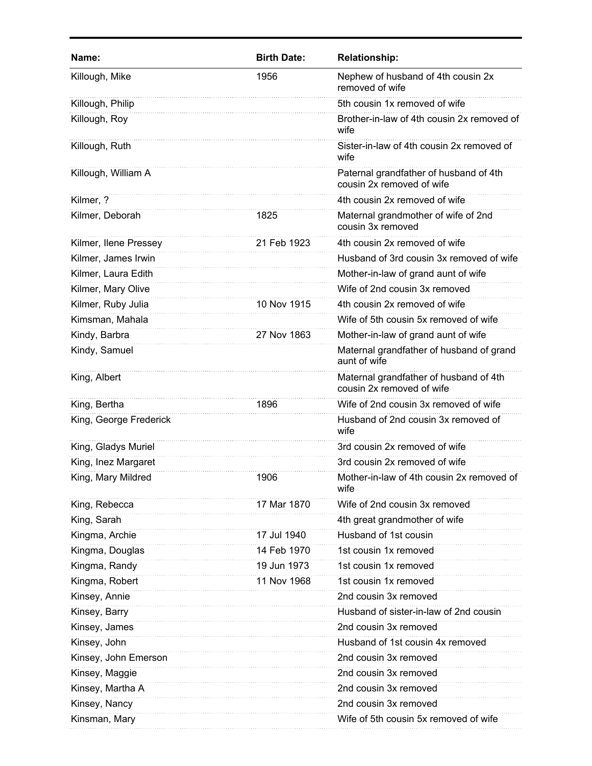| Name:                  | <b>Birth Date:</b> | <b>Relationship:</b>                                                |
|------------------------|--------------------|---------------------------------------------------------------------|
| Killough, Mike         | 1956               | Nephew of husband of 4th cousin 2x<br>removed of wife               |
| Killough, Philip       |                    | 5th cousin 1x removed of wife                                       |
| Killough, Roy          |                    | Brother-in-law of 4th cousin 2x removed of<br>wife                  |
| Killough, Ruth         |                    | Sister-in-law of 4th cousin 2x removed of<br>wife                   |
| Killough, William A    |                    | Paternal grandfather of husband of 4th<br>cousin 2x removed of wife |
| Kilmer, ?              |                    | 4th cousin 2x removed of wife                                       |
| Kilmer, Deborah        | 1825               | Maternal grandmother of wife of 2nd<br>cousin 3x removed            |
| Kilmer, Ilene Pressey  | 21 Feb 1923        | 4th cousin 2x removed of wife                                       |
| Kilmer, James Irwin    |                    | Husband of 3rd cousin 3x removed of wife                            |
| Kilmer, Laura Edith    |                    | Mother-in-law of grand aunt of wife                                 |
| Kilmer, Mary Olive     |                    | Wife of 2nd cousin 3x removed                                       |
| Kilmer, Ruby Julia     | 10 Nov 1915        | 4th cousin 2x removed of wife                                       |
| Kimsman, Mahala        |                    | Wife of 5th cousin 5x removed of wife                               |
| Kindy, Barbra          | 27 Nov 1863        | Mother-in-law of grand aunt of wife                                 |
| Kindy, Samuel          |                    | Maternal grandfather of husband of grand<br>aunt of wife            |
| King, Albert           |                    | Maternal grandfather of husband of 4th<br>cousin 2x removed of wife |
| King, Bertha           | 1896               | Wife of 2nd cousin 3x removed of wife                               |
| King, George Frederick |                    | Husband of 2nd cousin 3x removed of<br>wife                         |
| King, Gladys Muriel    |                    | 3rd cousin 2x removed of wife                                       |
| King, Inez Margaret    |                    | 3rd cousin 2x removed of wife                                       |
| King, Mary Mildred     | 1906               | Mother-in-law of 4th cousin 2x removed of<br>wife                   |
| King, Rebecca          | 17 Mar 1870        | Wife of 2nd cousin 3x removed                                       |
| King, Sarah            |                    | 4th great grandmother of wife                                       |
| Kingma, Archie         | 17 Jul 1940        | Husband of 1st cousin                                               |
| Kingma, Douglas        | 14 Feb 1970        | 1st cousin 1x removed                                               |
| Kingma, Randy          | 19 Jun 1973        | 1st cousin 1x removed                                               |
| Kingma, Robert         | 11 Nov 1968        | 1st cousin 1x removed                                               |
| Kinsey, Annie          |                    | 2nd cousin 3x removed                                               |
| Kinsey, Barry          |                    | Husband of sister-in-law of 2nd cousin                              |
| Kinsey, James          |                    | 2nd cousin 3x removed                                               |
| Kinsey, John           |                    | Husband of 1st cousin 4x removed                                    |
| Kinsey, John Emerson   |                    | 2nd cousin 3x removed                                               |
| Kinsey, Maggie         |                    | 2nd cousin 3x removed                                               |
| Kinsey, Martha A       |                    | 2nd cousin 3x removed                                               |
| Kinsey, Nancy          |                    | 2nd cousin 3x removed                                               |
| Kinsman, Mary          |                    | Wife of 5th cousin 5x removed of wife                               |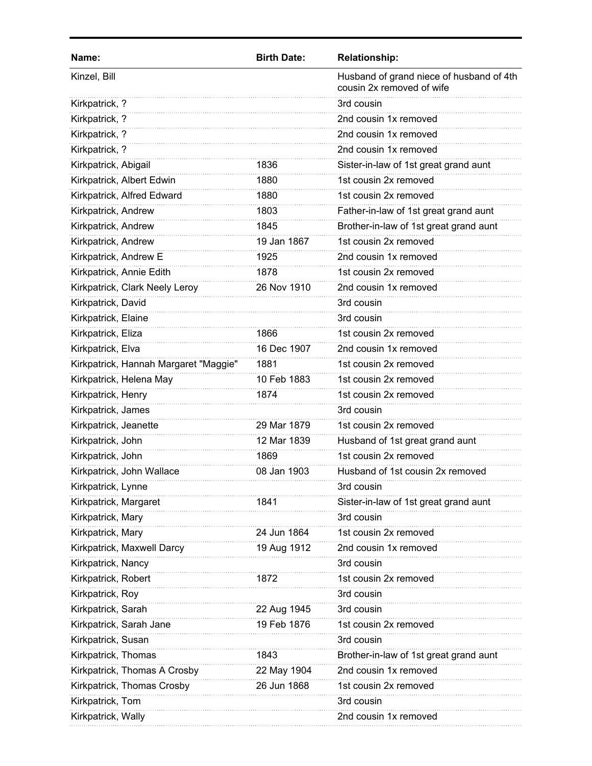| Name:                                 | <b>Birth Date:</b> | <b>Relationship:</b>                                                  |
|---------------------------------------|--------------------|-----------------------------------------------------------------------|
| Kinzel, Bill                          |                    | Husband of grand niece of husband of 4th<br>cousin 2x removed of wife |
| Kirkpatrick, ?                        |                    | 3rd cousin                                                            |
| Kirkpatrick, ?                        |                    | 2nd cousin 1x removed                                                 |
| Kirkpatrick, ?                        |                    | 2nd cousin 1x removed                                                 |
| Kirkpatrick, ?                        |                    | 2nd cousin 1x removed                                                 |
| Kirkpatrick, Abigail                  | 1836               | Sister-in-law of 1st great grand aunt                                 |
| Kirkpatrick, Albert Edwin             | 1880               | 1st cousin 2x removed                                                 |
| Kirkpatrick, Alfred Edward            | 1880               | 1st cousin 2x removed                                                 |
| Kirkpatrick, Andrew                   | 1803               | Father-in-law of 1st great grand aunt                                 |
| Kirkpatrick, Andrew                   | 1845               | Brother-in-law of 1st great grand aunt                                |
| Kirkpatrick, Andrew                   | 19 Jan 1867        | 1st cousin 2x removed                                                 |
| Kirkpatrick, Andrew E                 | 1925               | 2nd cousin 1x removed                                                 |
| Kirkpatrick, Annie Edith              | 1878               | 1st cousin 2x removed                                                 |
| Kirkpatrick, Clark Neely Leroy        | 26 Nov 1910        | 2nd cousin 1x removed                                                 |
| Kirkpatrick, David                    |                    | 3rd cousin                                                            |
| Kirkpatrick, Elaine                   |                    | 3rd cousin                                                            |
| Kirkpatrick, Eliza                    | 1866               | 1st cousin 2x removed                                                 |
| Kirkpatrick, Elva                     | 16 Dec 1907        | 2nd cousin 1x removed                                                 |
| Kirkpatrick, Hannah Margaret "Maggie" | 1881               | 1st cousin 2x removed                                                 |
| Kirkpatrick, Helena May               | 10 Feb 1883        | 1st cousin 2x removed                                                 |
| Kirkpatrick, Henry                    | 1874               | 1st cousin 2x removed                                                 |
| Kirkpatrick, James                    |                    | 3rd cousin                                                            |
| Kirkpatrick, Jeanette                 | 29 Mar 1879        | 1st cousin 2x removed                                                 |
| Kirkpatrick, John                     | 12 Mar 1839        | Husband of 1st great grand aunt                                       |
| Kirkpatrick, John                     | 1869               | 1st cousin 2x removed                                                 |
| Kirkpatrick, John Wallace             | 08 Jan 1903        | Husband of 1st cousin 2x removed                                      |
| Kirkpatrick, Lynne                    |                    | 3rd cousin                                                            |
| Kirkpatrick, Margaret                 | 1841               | Sister-in-law of 1st great grand aunt                                 |
| Kirkpatrick, Mary                     |                    | 3rd cousin                                                            |
| Kirkpatrick, Mary                     | 24 Jun 1864        | 1st cousin 2x removed                                                 |
| Kirkpatrick, Maxwell Darcy            | 19 Aug 1912        | 2nd cousin 1x removed                                                 |
| Kirkpatrick, Nancy                    |                    | 3rd cousin                                                            |
| Kirkpatrick, Robert                   | 1872               | 1st cousin 2x removed                                                 |
| Kirkpatrick, Roy                      |                    | 3rd cousin                                                            |
| Kirkpatrick, Sarah                    | 22 Aug 1945        | 3rd cousin                                                            |
| Kirkpatrick, Sarah Jane               | 19 Feb 1876        | 1st cousin 2x removed                                                 |
| Kirkpatrick, Susan                    |                    | 3rd cousin                                                            |
| Kirkpatrick, Thomas                   | 1843               | Brother-in-law of 1st great grand aunt                                |
| Kirkpatrick, Thomas A Crosby          | 22 May 1904        | 2nd cousin 1x removed                                                 |
| Kirkpatrick, Thomas Crosby            | 26 Jun 1868        | 1st cousin 2x removed                                                 |
| Kirkpatrick, Tom                      |                    | 3rd cousin                                                            |
| Kirkpatrick, Wally                    |                    | 2nd cousin 1x removed                                                 |
|                                       |                    |                                                                       |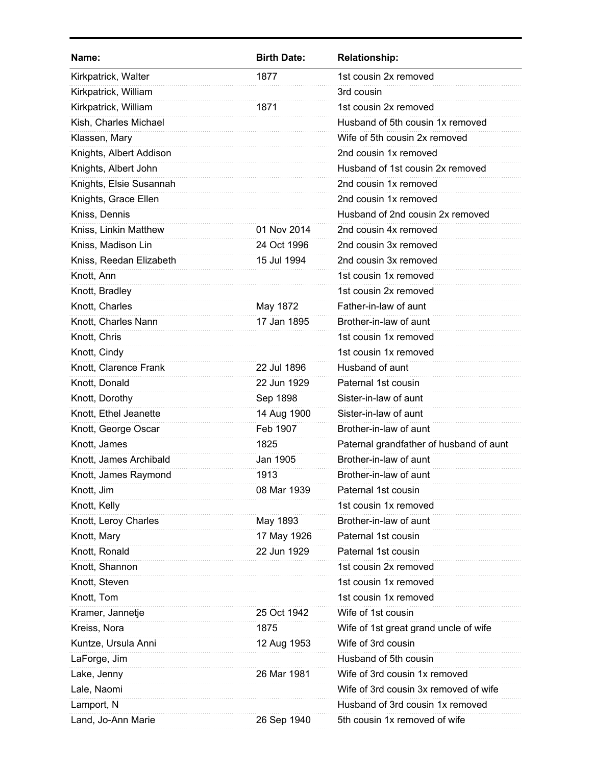| Name:                   | <b>Birth Date:</b> | <b>Relationship:</b>                    |
|-------------------------|--------------------|-----------------------------------------|
| Kirkpatrick, Walter     | 1877               | 1st cousin 2x removed                   |
| Kirkpatrick, William    |                    | 3rd cousin                              |
| Kirkpatrick, William    | 1871               | 1st cousin 2x removed                   |
| Kish, Charles Michael   |                    | Husband of 5th cousin 1x removed        |
| Klassen, Mary           |                    | Wife of 5th cousin 2x removed           |
| Knights, Albert Addison |                    | 2nd cousin 1x removed                   |
| Knights, Albert John    |                    | Husband of 1st cousin 2x removed        |
| Knights, Elsie Susannah |                    | 2nd cousin 1x removed                   |
| Knights, Grace Ellen    |                    | 2nd cousin 1x removed                   |
| Kniss, Dennis           |                    | Husband of 2nd cousin 2x removed        |
| Kniss, Linkin Matthew   | 01 Nov 2014        | 2nd cousin 4x removed                   |
| Kniss, Madison Lin      | 24 Oct 1996        | 2nd cousin 3x removed                   |
| Kniss, Reedan Elizabeth | 15 Jul 1994        | 2nd cousin 3x removed                   |
| Knott, Ann              |                    | 1st cousin 1x removed                   |
| Knott, Bradley          |                    | 1st cousin 2x removed                   |
| Knott, Charles          | May 1872           | Father-in-law of aunt                   |
| Knott, Charles Nann     | 17 Jan 1895        | Brother-in-law of aunt                  |
| Knott, Chris            |                    | 1st cousin 1x removed                   |
| Knott, Cindy            |                    | 1st cousin 1x removed                   |
| Knott, Clarence Frank   | 22 Jul 1896        | Husband of aunt                         |
| Knott, Donald           | 22 Jun 1929        | Paternal 1st cousin                     |
| Knott, Dorothy          | Sep 1898           | Sister-in-law of aunt                   |
| Knott, Ethel Jeanette   | 14 Aug 1900        | Sister-in-law of aunt                   |
| Knott, George Oscar     | Feb 1907           | Brother-in-law of aunt                  |
| Knott, James            | 1825               | Paternal grandfather of husband of aunt |
| Knott, James Archibald  | Jan 1905           | Brother-in-law of aunt                  |
| Knott, James Raymond    | 1913               | Brother-in-law of aunt                  |
| Knott, Jim              | 08 Mar 1939        | Paternal 1st cousin                     |
| Knott, Kelly            |                    | 1st cousin 1x removed                   |
| Knott, Leroy Charles    | May 1893           | Brother-in-law of aunt                  |
| Knott, Mary             | 17 May 1926        | Paternal 1st cousin                     |
| Knott, Ronald           | 22 Jun 1929        | Paternal 1st cousin                     |
| Knott, Shannon          |                    | 1st cousin 2x removed                   |
| Knott, Steven           |                    | 1st cousin 1x removed                   |
| Knott, Tom              |                    | 1st cousin 1x removed                   |
| Kramer, Jannetje        | 25 Oct 1942        | Wife of 1st cousin                      |
| Kreiss, Nora            | 1875               | Wife of 1st great grand uncle of wife   |
| Kuntze, Ursula Anni     | 12 Aug 1953        | Wife of 3rd cousin                      |
| LaForge, Jim            |                    | Husband of 5th cousin                   |
| Lake, Jenny             | 26 Mar 1981        | Wife of 3rd cousin 1x removed           |
| Lale, Naomi             |                    | Wife of 3rd cousin 3x removed of wife   |
| Lamport, N              |                    | Husband of 3rd cousin 1x removed        |
| Land, Jo-Ann Marie      | 26 Sep 1940        | 5th cousin 1x removed of wife           |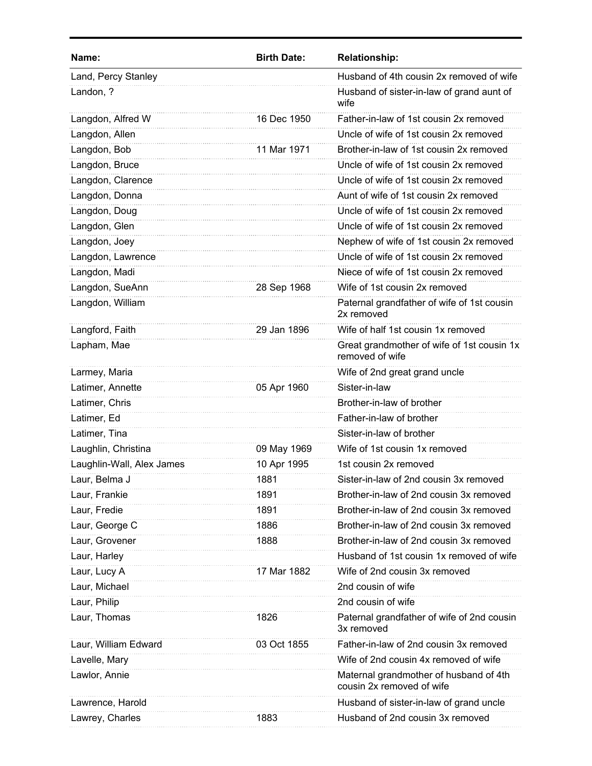| Name:                     | <b>Birth Date:</b> | <b>Relationship:</b>                                                |
|---------------------------|--------------------|---------------------------------------------------------------------|
| Land, Percy Stanley       |                    | Husband of 4th cousin 2x removed of wife                            |
| Landon, ?                 |                    | Husband of sister-in-law of grand aunt of<br>wife                   |
| Langdon, Alfred W         | 16 Dec 1950        | Father-in-law of 1st cousin 2x removed                              |
| Langdon, Allen            |                    | Uncle of wife of 1st cousin 2x removed                              |
| Langdon, Bob              | 11 Mar 1971        | Brother-in-law of 1st cousin 2x removed                             |
| Langdon, Bruce            |                    | Uncle of wife of 1st cousin 2x removed                              |
| Langdon, Clarence         |                    | Uncle of wife of 1st cousin 2x removed                              |
| Langdon, Donna            |                    | Aunt of wife of 1st cousin 2x removed                               |
| Langdon, Doug             |                    | Uncle of wife of 1st cousin 2x removed                              |
| Langdon, Glen             |                    | Uncle of wife of 1st cousin 2x removed                              |
| Langdon, Joey             |                    | Nephew of wife of 1st cousin 2x removed                             |
| Langdon, Lawrence         |                    | Uncle of wife of 1st cousin 2x removed                              |
| Langdon, Madi             |                    | Niece of wife of 1st cousin 2x removed                              |
| Langdon, SueAnn           | 28 Sep 1968        | Wife of 1st cousin 2x removed                                       |
| Langdon, William          |                    | Paternal grandfather of wife of 1st cousin<br>2x removed            |
| Langford, Faith           | 29 Jan 1896        | Wife of half 1st cousin 1x removed                                  |
| Lapham, Mae               |                    | Great grandmother of wife of 1st cousin 1x<br>removed of wife       |
| Larmey, Maria             |                    | Wife of 2nd great grand uncle                                       |
| Latimer, Annette          | 05 Apr 1960        | Sister-in-law                                                       |
| Latimer, Chris            |                    | Brother-in-law of brother                                           |
| Latimer, Ed               |                    | Father-in-law of brother                                            |
| Latimer, Tina             |                    | Sister-in-law of brother                                            |
| Laughlin, Christina       | 09 May 1969        | Wife of 1st cousin 1x removed                                       |
| Laughlin-Wall, Alex James | 10 Apr 1995        | 1st cousin 2x removed                                               |
| Laur, Belma J             | 1881               | Sister-in-law of 2nd cousin 3x removed                              |
| Laur, Frankie             | 1891               | Brother-in-law of 2nd cousin 3x removed                             |
| Laur, Fredie              | 1891               | Brother-in-law of 2nd cousin 3x removed                             |
| Laur, George C            | 1886               | Brother-in-law of 2nd cousin 3x removed                             |
| Laur, Grovener            | 1888               | Brother-in-law of 2nd cousin 3x removed                             |
| Laur, Harley              |                    | Husband of 1st cousin 1x removed of wife                            |
| Laur, Lucy A              | 17 Mar 1882        | Wife of 2nd cousin 3x removed                                       |
| Laur, Michael             |                    | 2nd cousin of wife                                                  |
| Laur, Philip              |                    | 2nd cousin of wife                                                  |
| Laur, Thomas              | 1826               | Paternal grandfather of wife of 2nd cousin<br>3x removed            |
| Laur, William Edward      | 03 Oct 1855        | Father-in-law of 2nd cousin 3x removed                              |
| Lavelle, Mary             |                    | Wife of 2nd cousin 4x removed of wife                               |
| Lawlor, Annie             |                    | Maternal grandmother of husband of 4th<br>cousin 2x removed of wife |
| Lawrence, Harold          |                    | Husband of sister-in-law of grand uncle                             |
| Lawrey, Charles           | 1883               | Husband of 2nd cousin 3x removed                                    |
|                           |                    |                                                                     |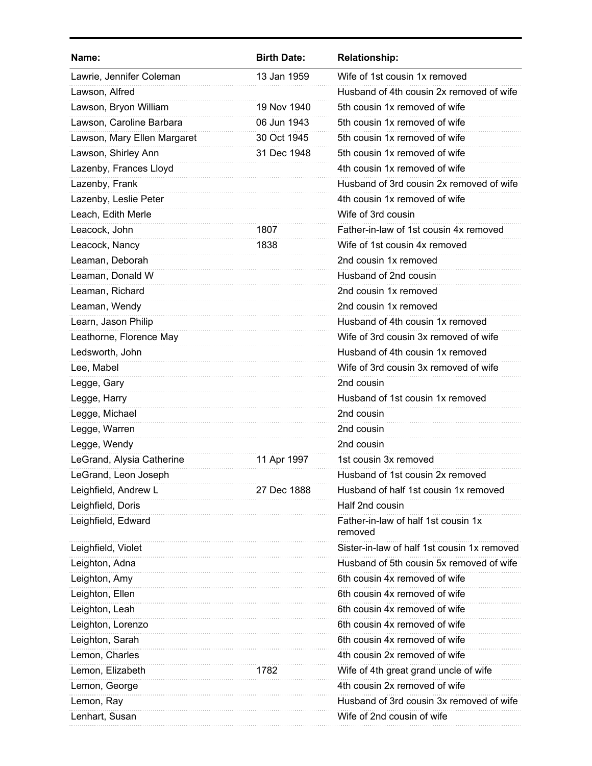| Name:                       | <b>Birth Date:</b> | <b>Relationship:</b>                           |
|-----------------------------|--------------------|------------------------------------------------|
| Lawrie, Jennifer Coleman    | 13 Jan 1959        | Wife of 1st cousin 1x removed                  |
| Lawson, Alfred              |                    | Husband of 4th cousin 2x removed of wife       |
| Lawson, Bryon William       | 19 Nov 1940        | 5th cousin 1x removed of wife                  |
| Lawson, Caroline Barbara    | 06 Jun 1943        | 5th cousin 1x removed of wife                  |
| Lawson, Mary Ellen Margaret | 30 Oct 1945        | 5th cousin 1x removed of wife                  |
| Lawson, Shirley Ann         | 31 Dec 1948        | 5th cousin 1x removed of wife                  |
| Lazenby, Frances Lloyd      |                    | 4th cousin 1x removed of wife                  |
| Lazenby, Frank              |                    | Husband of 3rd cousin 2x removed of wife       |
| Lazenby, Leslie Peter       |                    | 4th cousin 1x removed of wife                  |
| Leach, Edith Merle          |                    | Wife of 3rd cousin                             |
| Leacock, John               | 1807               | Father-in-law of 1st cousin 4x removed         |
| Leacock, Nancy              | 1838               | Wife of 1st cousin 4x removed                  |
| Leaman, Deborah             |                    | 2nd cousin 1x removed                          |
| Leaman, Donald W            |                    | Husband of 2nd cousin                          |
| Leaman, Richard             |                    | 2nd cousin 1x removed                          |
| Leaman, Wendy               |                    | 2nd cousin 1x removed                          |
| Learn, Jason Philip         |                    | Husband of 4th cousin 1x removed               |
| Leathorne, Florence May     |                    | Wife of 3rd cousin 3x removed of wife          |
| Ledsworth, John             |                    | Husband of 4th cousin 1x removed               |
| Lee, Mabel                  |                    | Wife of 3rd cousin 3x removed of wife          |
| Legge, Gary                 |                    | 2nd cousin                                     |
| Legge, Harry                |                    | Husband of 1st cousin 1x removed               |
| Legge, Michael              |                    | 2nd cousin                                     |
| Legge, Warren               |                    | 2nd cousin                                     |
| Legge, Wendy                |                    | 2nd cousin                                     |
| LeGrand, Alysia Catherine   | 11 Apr 1997        | 1st cousin 3x removed                          |
| LeGrand, Leon Joseph        |                    | Husband of 1st cousin 2x removed               |
| Leighfield, Andrew L        | 27 Dec 1888        | Husband of half 1st cousin 1x removed          |
| Leighfield, Doris           |                    | Half 2nd cousin                                |
| Leighfield, Edward          |                    | Father-in-law of half 1st cousin 1x<br>removed |
| Leighfield, Violet          |                    | Sister-in-law of half 1st cousin 1x removed    |
| Leighton, Adna              |                    | Husband of 5th cousin 5x removed of wife       |
| Leighton, Amy               |                    | 6th cousin 4x removed of wife                  |
| Leighton, Ellen             |                    | 6th cousin 4x removed of wife                  |
| Leighton, Leah              |                    | 6th cousin 4x removed of wife                  |
| Leighton, Lorenzo           |                    | 6th cousin 4x removed of wife                  |
| Leighton, Sarah             |                    | 6th cousin 4x removed of wife                  |
| Lemon, Charles              |                    | 4th cousin 2x removed of wife                  |
| Lemon, Elizabeth            | 1782               | Wife of 4th great grand uncle of wife          |
| Lemon, George               |                    | 4th cousin 2x removed of wife                  |
| Lemon, Ray                  |                    | Husband of 3rd cousin 3x removed of wife       |
| Lenhart, Susan              |                    | Wife of 2nd cousin of wife                     |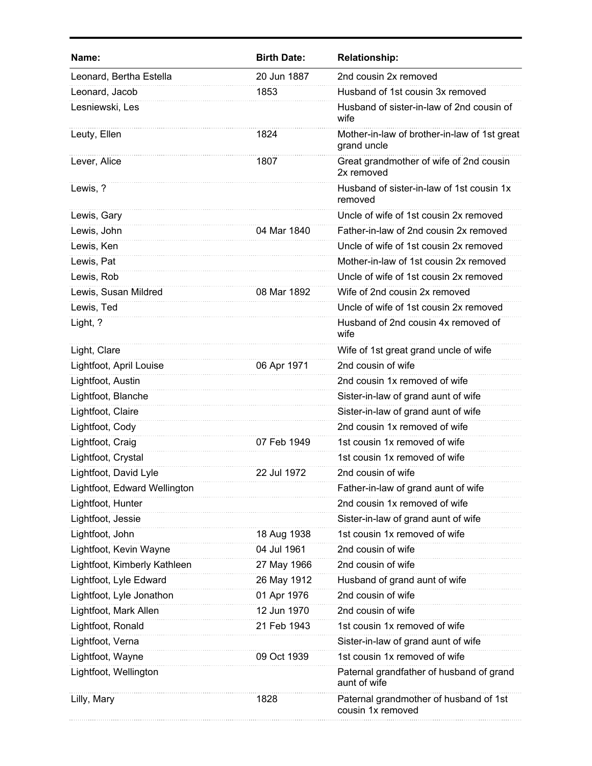| Name:                        | <b>Birth Date:</b> | <b>Relationship:</b>                                        |
|------------------------------|--------------------|-------------------------------------------------------------|
| Leonard, Bertha Estella      | 20 Jun 1887        | 2nd cousin 2x removed                                       |
| Leonard, Jacob               | 1853               | Husband of 1st cousin 3x removed                            |
| Lesniewski, Les              |                    | Husband of sister-in-law of 2nd cousin of<br>wife           |
| Leuty, Ellen                 | 1824               | Mother-in-law of brother-in-law of 1st great<br>grand uncle |
| Lever, Alice                 | 1807               | Great grandmother of wife of 2nd cousin<br>2x removed       |
| Lewis, ?                     |                    | Husband of sister-in-law of 1st cousin 1x<br>removed        |
| Lewis, Gary                  |                    | Uncle of wife of 1st cousin 2x removed                      |
| Lewis, John                  | 04 Mar 1840        | Father-in-law of 2nd cousin 2x removed                      |
| Lewis, Ken                   |                    | Uncle of wife of 1st cousin 2x removed                      |
| Lewis, Pat                   |                    | Mother-in-law of 1st cousin 2x removed                      |
| Lewis, Rob                   |                    | Uncle of wife of 1st cousin 2x removed                      |
| Lewis, Susan Mildred         | 08 Mar 1892        | Wife of 2nd cousin 2x removed                               |
| Lewis, Ted                   |                    | Uncle of wife of 1st cousin 2x removed                      |
| Light, ?                     |                    | Husband of 2nd cousin 4x removed of<br>wife                 |
| Light, Clare                 |                    | Wife of 1st great grand uncle of wife                       |
| Lightfoot, April Louise      | 06 Apr 1971        | 2nd cousin of wife                                          |
| Lightfoot, Austin            |                    | 2nd cousin 1x removed of wife                               |
| Lightfoot, Blanche           |                    | Sister-in-law of grand aunt of wife                         |
| Lightfoot, Claire            |                    | Sister-in-law of grand aunt of wife                         |
| Lightfoot, Cody              |                    | 2nd cousin 1x removed of wife                               |
| Lightfoot, Craig             | 07 Feb 1949        | 1st cousin 1x removed of wife                               |
| Lightfoot, Crystal           |                    | 1st cousin 1x removed of wife                               |
| Lightfoot, David Lyle        | 22 Jul 1972        | 2nd cousin of wife                                          |
| Lightfoot, Edward Wellington |                    | Father-in-law of grand aunt of wife                         |
| Lightfoot, Hunter            |                    | 2nd cousin 1x removed of wife                               |
| Lightfoot, Jessie            |                    | Sister-in-law of grand aunt of wife                         |
| Lightfoot, John              | 18 Aug 1938        | 1st cousin 1x removed of wife                               |
| Lightfoot, Kevin Wayne       | 04 Jul 1961        | 2nd cousin of wife                                          |
| Lightfoot, Kimberly Kathleen | 27 May 1966        | 2nd cousin of wife                                          |
| Lightfoot, Lyle Edward       | 26 May 1912        | Husband of grand aunt of wife                               |
| Lightfoot, Lyle Jonathon     | 01 Apr 1976        | 2nd cousin of wife                                          |
| Lightfoot, Mark Allen        | 12 Jun 1970        | 2nd cousin of wife                                          |
| Lightfoot, Ronald            | 21 Feb 1943        | 1st cousin 1x removed of wife                               |
| Lightfoot, Verna             |                    | Sister-in-law of grand aunt of wife                         |
| Lightfoot, Wayne             | 09 Oct 1939        | 1st cousin 1x removed of wife                               |
| Lightfoot, Wellington        |                    | Paternal grandfather of husband of grand<br>aunt of wife    |
| Lilly, Mary                  | 1828               | Paternal grandmother of husband of 1st<br>cousin 1x removed |
|                              |                    |                                                             |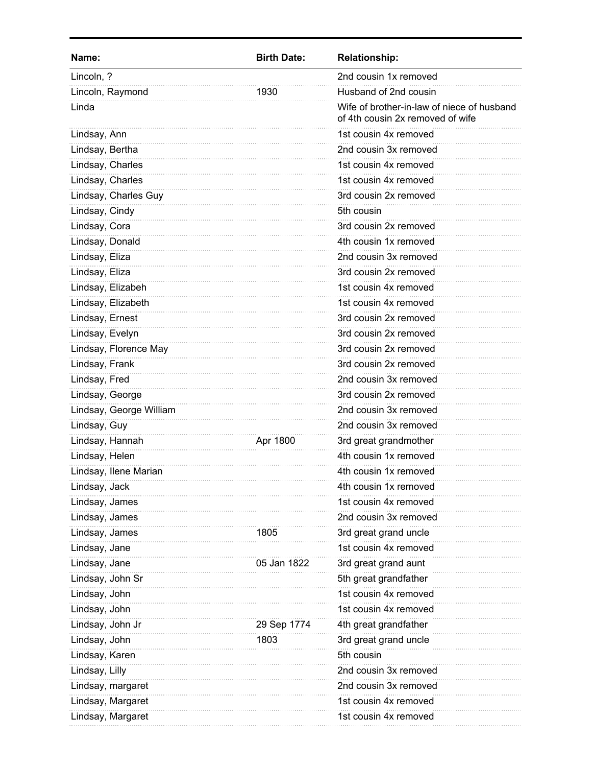| Name:                   | <b>Birth Date:</b> | <b>Relationship:</b>                                                           |
|-------------------------|--------------------|--------------------------------------------------------------------------------|
| Lincoln, ?              |                    | 2nd cousin 1x removed                                                          |
| Lincoln, Raymond        | 1930               | Husband of 2nd cousin                                                          |
| Linda                   |                    | Wife of brother-in-law of niece of husband<br>of 4th cousin 2x removed of wife |
| Lindsay, Ann            |                    | 1st cousin 4x removed                                                          |
| Lindsay, Bertha         |                    | 2nd cousin 3x removed                                                          |
| Lindsay, Charles        |                    | 1st cousin 4x removed                                                          |
| Lindsay, Charles        |                    | 1st cousin 4x removed                                                          |
| Lindsay, Charles Guy    |                    | 3rd cousin 2x removed                                                          |
| Lindsay, Cindy          |                    | 5th cousin                                                                     |
| Lindsay, Cora           |                    | 3rd cousin 2x removed                                                          |
| Lindsay, Donald         |                    | 4th cousin 1x removed                                                          |
| Lindsay, Eliza          |                    | 2nd cousin 3x removed                                                          |
| Lindsay, Eliza          |                    | 3rd cousin 2x removed                                                          |
| Lindsay, Elizabeh       |                    | 1st cousin 4x removed                                                          |
| Lindsay, Elizabeth      |                    | 1st cousin 4x removed                                                          |
| Lindsay, Ernest         |                    | 3rd cousin 2x removed                                                          |
| Lindsay, Evelyn         |                    | 3rd cousin 2x removed                                                          |
| Lindsay, Florence May   |                    | 3rd cousin 2x removed                                                          |
| Lindsay, Frank          |                    | 3rd cousin 2x removed                                                          |
| Lindsay, Fred           |                    | 2nd cousin 3x removed                                                          |
| Lindsay, George         |                    | 3rd cousin 2x removed                                                          |
| Lindsay, George William |                    | 2nd cousin 3x removed                                                          |
| Lindsay, Guy            |                    | 2nd cousin 3x removed                                                          |
| Lindsay, Hannah         | Apr 1800           | 3rd great grandmother                                                          |
| Lindsay, Helen          |                    | 4th cousin 1x removed                                                          |
| Lindsay, Ilene Marian   |                    | 4th cousin 1x removed                                                          |
| Lindsay, Jack           |                    | 4th cousin 1x removed                                                          |
| Lindsay, James          |                    | 1st cousin 4x removed                                                          |
| Lindsay, James          |                    | 2nd cousin 3x removed                                                          |
| Lindsay, James          | 1805               | 3rd great grand uncle                                                          |
| Lindsay, Jane           |                    | 1st cousin 4x removed                                                          |
| Lindsay, Jane           | 05 Jan 1822        | 3rd great grand aunt                                                           |
| Lindsay, John Sr        |                    | 5th great grandfather                                                          |
| Lindsay, John           |                    | 1st cousin 4x removed                                                          |
| Lindsay, John           |                    | 1st cousin 4x removed                                                          |
| Lindsay, John Jr        | 29 Sep 1774        | 4th great grandfather                                                          |
| Lindsay, John           | 1803               | 3rd great grand uncle                                                          |
| Lindsay, Karen          |                    | 5th cousin                                                                     |
| Lindsay, Lilly          |                    | 2nd cousin 3x removed                                                          |
| Lindsay, margaret       |                    | 2nd cousin 3x removed                                                          |
| Lindsay, Margaret       |                    | 1st cousin 4x removed                                                          |
| Lindsay, Margaret       |                    | 1st cousin 4x removed                                                          |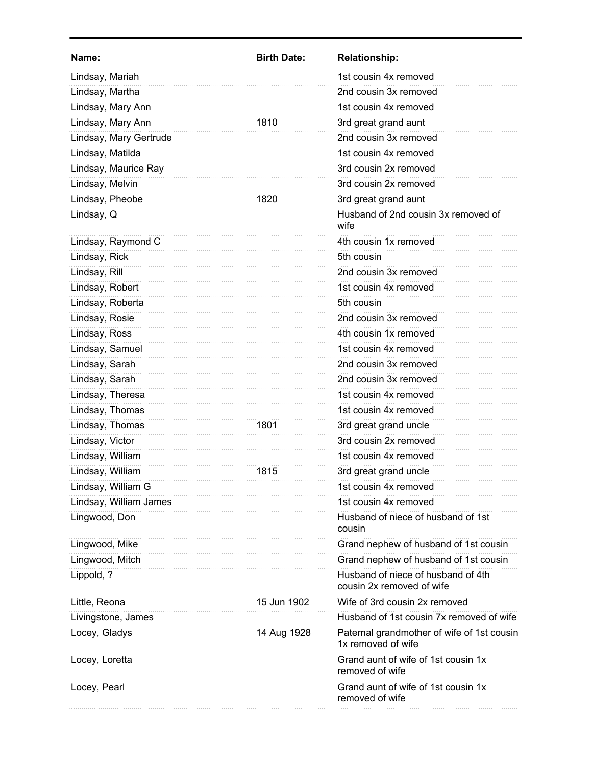| Name:                  | <b>Birth Date:</b> | <b>Relationship:</b>                                             |
|------------------------|--------------------|------------------------------------------------------------------|
| Lindsay, Mariah        |                    | 1st cousin 4x removed                                            |
| Lindsay, Martha        |                    | 2nd cousin 3x removed                                            |
| Lindsay, Mary Ann      |                    | 1st cousin 4x removed                                            |
| Lindsay, Mary Ann      | 1810               | 3rd great grand aunt                                             |
| Lindsay, Mary Gertrude |                    | 2nd cousin 3x removed                                            |
| Lindsay, Matilda       |                    | 1st cousin 4x removed                                            |
| Lindsay, Maurice Ray   |                    | 3rd cousin 2x removed                                            |
| Lindsay, Melvin        |                    | 3rd cousin 2x removed                                            |
| Lindsay, Pheobe        | 1820               | 3rd great grand aunt                                             |
| Lindsay, Q             |                    | Husband of 2nd cousin 3x removed of<br>wife                      |
| Lindsay, Raymond C     |                    | 4th cousin 1x removed                                            |
| Lindsay, Rick          |                    | 5th cousin                                                       |
| Lindsay, Rill          |                    | 2nd cousin 3x removed                                            |
| Lindsay, Robert        |                    | 1st cousin 4x removed                                            |
| Lindsay, Roberta       |                    | 5th cousin                                                       |
| Lindsay, Rosie         |                    | 2nd cousin 3x removed                                            |
| Lindsay, Ross          |                    | 4th cousin 1x removed                                            |
| Lindsay, Samuel        |                    | 1st cousin 4x removed                                            |
| Lindsay, Sarah         |                    | 2nd cousin 3x removed                                            |
| Lindsay, Sarah         |                    | 2nd cousin 3x removed                                            |
| Lindsay, Theresa       |                    | 1st cousin 4x removed                                            |
| Lindsay, Thomas        |                    | 1st cousin 4x removed                                            |
| Lindsay, Thomas        | 1801               | 3rd great grand uncle                                            |
| Lindsay, Victor        |                    | 3rd cousin 2x removed                                            |
| Lindsay, William       |                    | 1st cousin 4x removed                                            |
| Lindsay, William       | 1815               | 3rd great grand uncle                                            |
| Lindsay, William G     |                    | 1st cousin 4x removed                                            |
| Lindsay, William James |                    | 1st cousin 4x removed                                            |
| Lingwood, Don          |                    | Husband of niece of husband of 1st<br>cousin                     |
| Lingwood, Mike         |                    | Grand nephew of husband of 1st cousin                            |
| Lingwood, Mitch        |                    | Grand nephew of husband of 1st cousin                            |
| Lippold, ?             |                    | Husband of niece of husband of 4th<br>cousin 2x removed of wife  |
| Little, Reona          | 15 Jun 1902        | Wife of 3rd cousin 2x removed                                    |
| Livingstone, James     |                    | Husband of 1st cousin 7x removed of wife                         |
| Locey, Gladys          | 14 Aug 1928        | Paternal grandmother of wife of 1st cousin<br>1x removed of wife |
| Locey, Loretta         |                    | Grand aunt of wife of 1st cousin 1x<br>removed of wife           |
| Locey, Pearl           |                    | Grand aunt of wife of 1st cousin 1x<br>removed of wife           |
|                        |                    |                                                                  |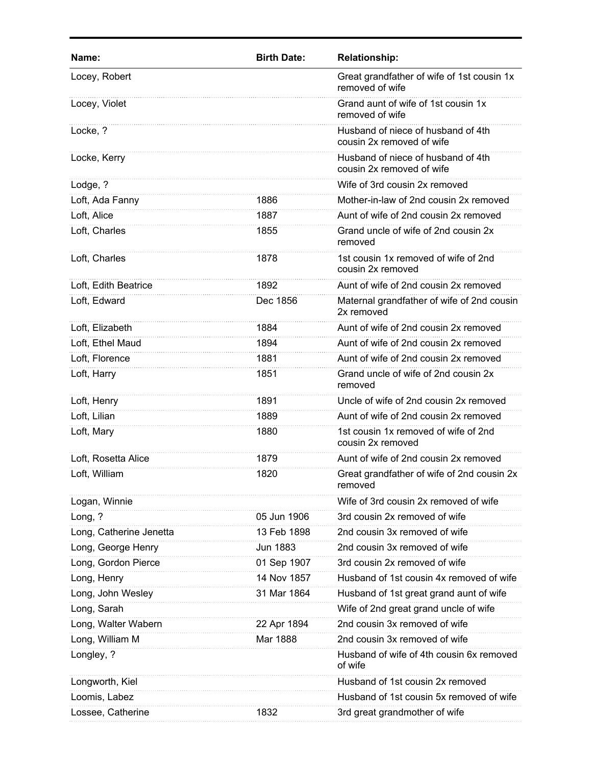| Name:                   | <b>Birth Date:</b> | <b>Relationship:</b>                                            |
|-------------------------|--------------------|-----------------------------------------------------------------|
| Locey, Robert           |                    | Great grandfather of wife of 1st cousin 1x<br>removed of wife   |
| Locey, Violet           |                    | Grand aunt of wife of 1st cousin 1x<br>removed of wife          |
| Locke, ?                |                    | Husband of niece of husband of 4th<br>cousin 2x removed of wife |
| Locke, Kerry            |                    | Husband of niece of husband of 4th<br>cousin 2x removed of wife |
| Lodge, ?                |                    | Wife of 3rd cousin 2x removed                                   |
| Loft, Ada Fanny         | 1886               | Mother-in-law of 2nd cousin 2x removed                          |
| Loft, Alice             | 1887               | Aunt of wife of 2nd cousin 2x removed                           |
| Loft, Charles           | 1855               | Grand uncle of wife of 2nd cousin 2x<br>removed                 |
| Loft, Charles           | 1878               | 1st cousin 1x removed of wife of 2nd<br>cousin 2x removed       |
| Loft, Edith Beatrice    | 1892               | Aunt of wife of 2nd cousin 2x removed                           |
| Loft, Edward            | Dec 1856           | Maternal grandfather of wife of 2nd cousin<br>2x removed        |
| Loft, Elizabeth         | 1884               | Aunt of wife of 2nd cousin 2x removed                           |
| Loft, Ethel Maud        | 1894               | Aunt of wife of 2nd cousin 2x removed                           |
| Loft, Florence          | 1881               | Aunt of wife of 2nd cousin 2x removed                           |
| Loft, Harry             | 1851               | Grand uncle of wife of 2nd cousin 2x<br>removed                 |
| Loft, Henry             | 1891               | Uncle of wife of 2nd cousin 2x removed                          |
| Loft, Lilian            | 1889               | Aunt of wife of 2nd cousin 2x removed                           |
| Loft, Mary              | 1880               | 1st cousin 1x removed of wife of 2nd<br>cousin 2x removed       |
| Loft, Rosetta Alice     | 1879               | Aunt of wife of 2nd cousin 2x removed                           |
| Loft, William           | 1820               | Great grandfather of wife of 2nd cousin 2x<br>removed           |
| Logan, Winnie           |                    | Wife of 3rd cousin 2x removed of wife                           |
| Long, ?                 | 05 Jun 1906        | 3rd cousin 2x removed of wife                                   |
| Long, Catherine Jenetta | 13 Feb 1898        | 2nd cousin 3x removed of wife                                   |
| Long, George Henry      | Jun 1883           | 2nd cousin 3x removed of wife                                   |
| Long, Gordon Pierce     | 01 Sep 1907        | 3rd cousin 2x removed of wife                                   |
| Long, Henry             | 14 Nov 1857        | Husband of 1st cousin 4x removed of wife                        |
| Long, John Wesley       | 31 Mar 1864        | Husband of 1st great grand aunt of wife                         |
| Long, Sarah             |                    | Wife of 2nd great grand uncle of wife                           |
| Long, Walter Wabern     | 22 Apr 1894        | 2nd cousin 3x removed of wife                                   |
| Long, William M         | Mar 1888           | 2nd cousin 3x removed of wife                                   |
| Longley, ?              |                    | Husband of wife of 4th cousin 6x removed<br>of wife             |
| Longworth, Kiel         |                    | Husband of 1st cousin 2x removed                                |
| Loomis, Labez           |                    | Husband of 1st cousin 5x removed of wife                        |
| Lossee, Catherine       | 1832               | 3rd great grandmother of wife                                   |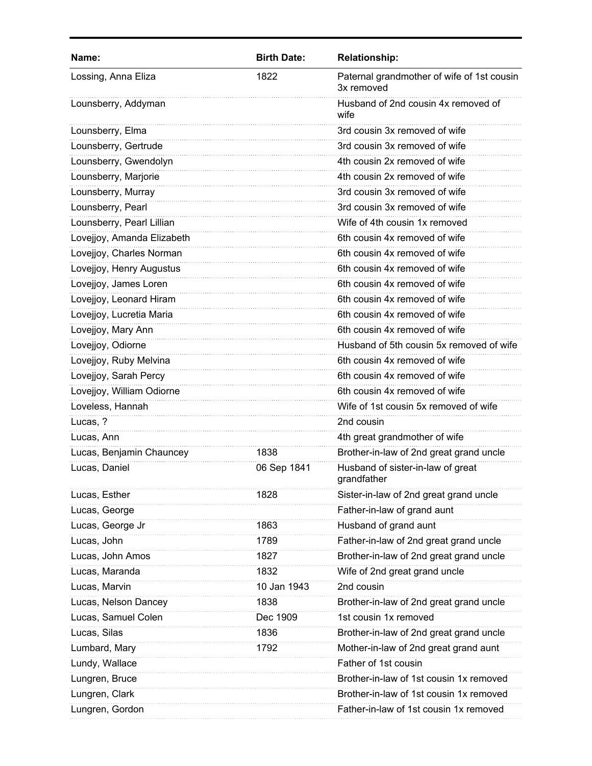| Name:                      | <b>Birth Date:</b> | <b>Relationship:</b>                                     |
|----------------------------|--------------------|----------------------------------------------------------|
| Lossing, Anna Eliza        | 1822               | Paternal grandmother of wife of 1st cousin<br>3x removed |
| Lounsberry, Addyman        |                    | Husband of 2nd cousin 4x removed of<br>wife              |
| Lounsberry, Elma           |                    | 3rd cousin 3x removed of wife                            |
| Lounsberry, Gertrude       |                    | 3rd cousin 3x removed of wife                            |
| Lounsberry, Gwendolyn      |                    | 4th cousin 2x removed of wife                            |
| Lounsberry, Marjorie       |                    | 4th cousin 2x removed of wife                            |
| Lounsberry, Murray         |                    | 3rd cousin 3x removed of wife                            |
| Lounsberry, Pearl          |                    | 3rd cousin 3x removed of wife                            |
| Lounsberry, Pearl Lillian  |                    | Wife of 4th cousin 1x removed                            |
| Lovejjoy, Amanda Elizabeth |                    | 6th cousin 4x removed of wife                            |
| Lovejjoy, Charles Norman   |                    | 6th cousin 4x removed of wife                            |
| Lovejjoy, Henry Augustus   |                    | 6th cousin 4x removed of wife                            |
| Lovejjoy, James Loren      |                    | 6th cousin 4x removed of wife                            |
| Lovejjoy, Leonard Hiram    |                    | 6th cousin 4x removed of wife                            |
| Lovejjoy, Lucretia Maria   |                    | 6th cousin 4x removed of wife                            |
| Lovejjoy, Mary Ann         |                    | 6th cousin 4x removed of wife                            |
| Lovejjoy, Odiorne          |                    | Husband of 5th cousin 5x removed of wife                 |
| Lovejjoy, Ruby Melvina     |                    | 6th cousin 4x removed of wife                            |
| Lovejjoy, Sarah Percy      |                    | 6th cousin 4x removed of wife                            |
| Lovejjoy, William Odiorne  |                    | 6th cousin 4x removed of wife                            |
| Loveless, Hannah           |                    | Wife of 1st cousin 5x removed of wife                    |
| Lucas, ?                   |                    | 2nd cousin                                               |
| Lucas, Ann                 |                    | 4th great grandmother of wife                            |
| Lucas, Benjamin Chauncey   | 1838               | Brother-in-law of 2nd great grand uncle                  |
| Lucas, Daniel              | 06 Sep 1841        | Husband of sister-in-law of great<br>grandfather         |
| Lucas, Esther              | 1828               | Sister-in-law of 2nd great grand uncle                   |
| Lucas, George              |                    | Father-in-law of grand aunt                              |
| Lucas, George Jr           | 1863               | Husband of grand aunt                                    |
| Lucas, John                | 1789               | Father-in-law of 2nd great grand uncle                   |
| Lucas, John Amos           | 1827               | Brother-in-law of 2nd great grand uncle                  |
| Lucas, Maranda             | 1832               | Wife of 2nd great grand uncle                            |
| Lucas, Marvin              | 10 Jan 1943        | 2nd cousin                                               |
| Lucas, Nelson Dancey       | 1838               | Brother-in-law of 2nd great grand uncle                  |
| Lucas, Samuel Colen        | Dec 1909           | 1st cousin 1x removed                                    |
| Lucas, Silas               | 1836               | Brother-in-law of 2nd great grand uncle                  |
| Lumbard, Mary              | 1792               | Mother-in-law of 2nd great grand aunt                    |
| Lundy, Wallace             |                    | Father of 1st cousin                                     |
| Lungren, Bruce             |                    | Brother-in-law of 1st cousin 1x removed                  |
| Lungren, Clark             |                    | Brother-in-law of 1st cousin 1x removed                  |
| Lungren, Gordon            |                    | Father-in-law of 1st cousin 1x removed                   |
|                            |                    |                                                          |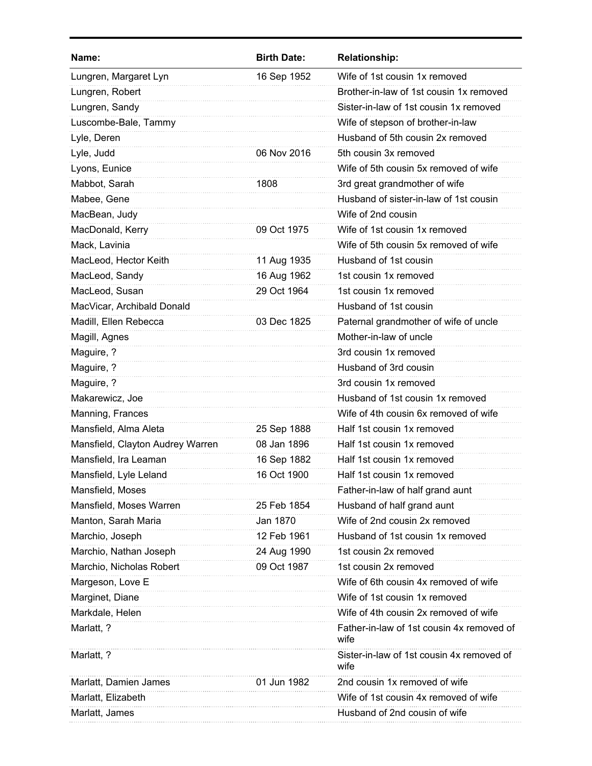| Name:                            | <b>Birth Date:</b> | <b>Relationship:</b>                              |
|----------------------------------|--------------------|---------------------------------------------------|
| Lungren, Margaret Lyn            | 16 Sep 1952        | Wife of 1st cousin 1x removed                     |
| Lungren, Robert                  |                    | Brother-in-law of 1st cousin 1x removed           |
| Lungren, Sandy                   |                    | Sister-in-law of 1st cousin 1x removed            |
| Luscombe-Bale, Tammy             |                    | Wife of stepson of brother-in-law                 |
| Lyle, Deren                      |                    | Husband of 5th cousin 2x removed                  |
| Lyle, Judd                       | 06 Nov 2016        | 5th cousin 3x removed                             |
| Lyons, Eunice                    |                    | Wife of 5th cousin 5x removed of wife             |
| Mabbot, Sarah                    | 1808               | 3rd great grandmother of wife                     |
| Mabee, Gene                      |                    | Husband of sister-in-law of 1st cousin            |
| MacBean, Judy                    |                    | Wife of 2nd cousin                                |
| MacDonald, Kerry                 | 09 Oct 1975        | Wife of 1st cousin 1x removed                     |
| Mack, Lavinia                    |                    | Wife of 5th cousin 5x removed of wife             |
| MacLeod, Hector Keith            | 11 Aug 1935        | Husband of 1st cousin                             |
| MacLeod, Sandy                   | 16 Aug 1962        | 1st cousin 1x removed                             |
| MacLeod, Susan                   | 29 Oct 1964        | 1st cousin 1x removed                             |
| MacVicar, Archibald Donald       |                    | Husband of 1st cousin                             |
| Madill, Ellen Rebecca            | 03 Dec 1825        | Paternal grandmother of wife of uncle             |
| Magill, Agnes                    |                    | Mother-in-law of uncle                            |
| Maguire, ?                       |                    | 3rd cousin 1x removed                             |
| Maguire, ?                       |                    | Husband of 3rd cousin                             |
| Maguire, ?                       |                    | 3rd cousin 1x removed                             |
| Makarewicz, Joe                  |                    | Husband of 1st cousin 1x removed                  |
| Manning, Frances                 |                    | Wife of 4th cousin 6x removed of wife             |
| Mansfield, Alma Aleta            | 25 Sep 1888        | Half 1st cousin 1x removed                        |
| Mansfield, Clayton Audrey Warren | 08 Jan 1896        | Half 1st cousin 1x removed                        |
| Mansfield, Ira Leaman            | 16 Sep 1882        | Half 1st cousin 1x removed                        |
| Mansfield, Lyle Leland           | 16 Oct 1900        | Half 1st cousin 1x removed                        |
| Mansfield, Moses                 |                    | Father-in-law of half grand aunt                  |
| Mansfield, Moses Warren          | 25 Feb 1854        | Husband of half grand aunt                        |
| Manton, Sarah Maria              | Jan 1870           | Wife of 2nd cousin 2x removed                     |
| Marchio, Joseph                  | 12 Feb 1961        | Husband of 1st cousin 1x removed                  |
| Marchio, Nathan Joseph           | 24 Aug 1990        | 1st cousin 2x removed                             |
| Marchio, Nicholas Robert         | 09 Oct 1987        | 1st cousin 2x removed                             |
| Margeson, Love E                 |                    | Wife of 6th cousin 4x removed of wife             |
| Marginet, Diane                  |                    | Wife of 1st cousin 1x removed                     |
| Markdale, Helen                  |                    | Wife of 4th cousin 2x removed of wife             |
| Marlatt, ?                       |                    | Father-in-law of 1st cousin 4x removed of<br>wife |
| Marlatt, ?                       |                    | Sister-in-law of 1st cousin 4x removed of<br>wife |
| Marlatt, Damien James            | 01 Jun 1982        | 2nd cousin 1x removed of wife                     |
| Marlatt, Elizabeth               |                    | Wife of 1st cousin 4x removed of wife             |
| Marlatt, James                   |                    | Husband of 2nd cousin of wife                     |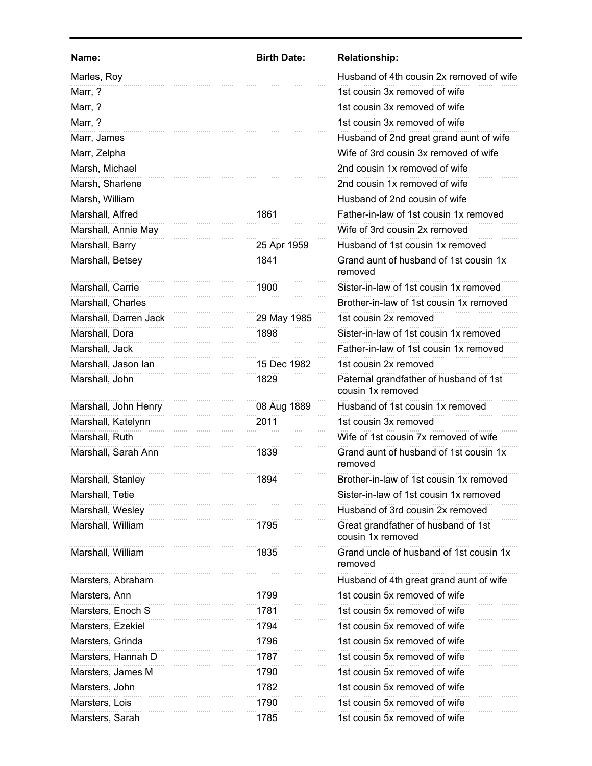| Name:                 | <b>Birth Date:</b> | <b>Relationship:</b>                                        |
|-----------------------|--------------------|-------------------------------------------------------------|
| Marles, Roy           |                    | Husband of 4th cousin 2x removed of wife                    |
| Marr, ?               |                    | 1st cousin 3x removed of wife                               |
| Marr, ?               |                    | 1st cousin 3x removed of wife                               |
| Marr, ?               |                    | 1st cousin 3x removed of wife                               |
| Marr, James           |                    | Husband of 2nd great grand aunt of wife                     |
| Marr, Zelpha          |                    | Wife of 3rd cousin 3x removed of wife                       |
| Marsh, Michael        |                    | 2nd cousin 1x removed of wife                               |
| Marsh, Sharlene       |                    | 2nd cousin 1x removed of wife                               |
| Marsh, William        |                    | Husband of 2nd cousin of wife                               |
| Marshall, Alfred      | 1861               | Father-in-law of 1st cousin 1x removed                      |
| Marshall, Annie May   |                    | Wife of 3rd cousin 2x removed                               |
| Marshall, Barry       | 25 Apr 1959        | Husband of 1st cousin 1x removed                            |
| Marshall, Betsey      | 1841               | Grand aunt of husband of 1st cousin 1x<br>removed           |
| Marshall, Carrie      | 1900               | Sister-in-law of 1st cousin 1x removed                      |
| Marshall, Charles     |                    | Brother-in-law of 1st cousin 1x removed                     |
| Marshall, Darren Jack | 29 May 1985        | 1st cousin 2x removed                                       |
| Marshall, Dora        | 1898               | Sister-in-law of 1st cousin 1x removed                      |
| Marshall, Jack        |                    | Father-in-law of 1st cousin 1x removed                      |
| Marshall, Jason lan   | 15 Dec 1982        | 1st cousin 2x removed                                       |
| Marshall, John        | 1829               | Paternal grandfather of husband of 1st<br>cousin 1x removed |
| Marshall, John Henry  | 08 Aug 1889        | Husband of 1st cousin 1x removed                            |
| Marshall, Katelynn    | 2011               | 1st cousin 3x removed                                       |
| Marshall, Ruth        |                    | Wife of 1st cousin 7x removed of wife                       |
| Marshall, Sarah Ann   | 1839               | Grand aunt of husband of 1st cousin 1x<br>removed           |
| Marshall, Stanley     | 1894               | Brother-in-law of 1st cousin 1x removed                     |
| Marshall, Tetie       |                    | Sister-in-law of 1st cousin 1x removed                      |
| Marshall, Wesley      |                    | Husband of 3rd cousin 2x removed                            |
| Marshall, William     | 1795               | Great grandfather of husband of 1st<br>cousin 1x removed    |
| Marshall, William     | 1835               | Grand uncle of husband of 1st cousin 1x<br>removed          |
| Marsters, Abraham     |                    | Husband of 4th great grand aunt of wife                     |
| Marsters, Ann         | 1799               | 1st cousin 5x removed of wife                               |
| Marsters, Enoch S     | 1781               | 1st cousin 5x removed of wife                               |
| Marsters, Ezekiel     | 1794               | 1st cousin 5x removed of wife                               |
| Marsters, Grinda      | 1796               | 1st cousin 5x removed of wife                               |
| Marsters, Hannah D    | 1787               | 1st cousin 5x removed of wife                               |
| Marsters, James M     | 1790               | 1st cousin 5x removed of wife                               |
| Marsters, John        | 1782               | 1st cousin 5x removed of wife                               |
| Marsters, Lois        | 1790               | 1st cousin 5x removed of wife                               |
| Marsters, Sarah       | 1785               | 1st cousin 5x removed of wife                               |
|                       |                    |                                                             |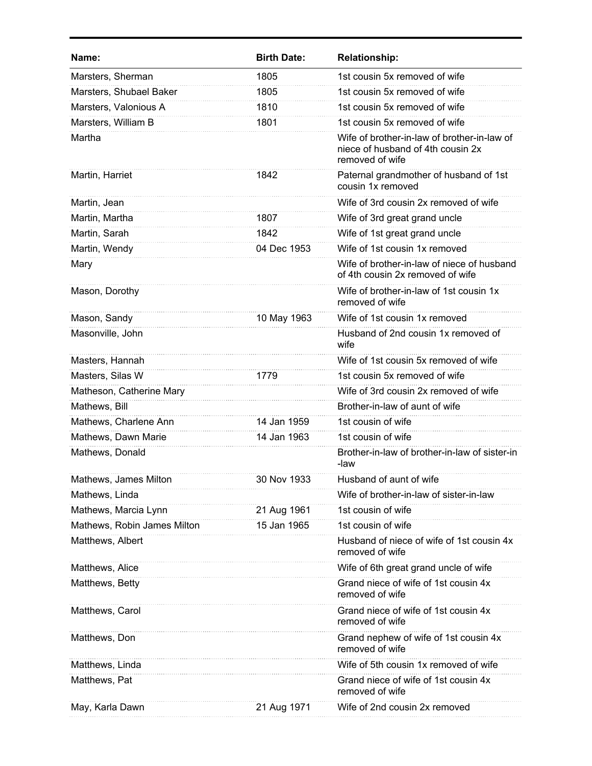| <b>Birth Date:</b> | <b>Relationship:</b>                                                                                |
|--------------------|-----------------------------------------------------------------------------------------------------|
| 1805               | 1st cousin 5x removed of wife                                                                       |
| 1805               | 1st cousin 5x removed of wife                                                                       |
| 1810               | 1st cousin 5x removed of wife                                                                       |
| 1801               | 1st cousin 5x removed of wife                                                                       |
|                    | Wife of brother-in-law of brother-in-law of<br>niece of husband of 4th cousin 2x<br>removed of wife |
| 1842               | Paternal grandmother of husband of 1st<br>cousin 1x removed                                         |
|                    | Wife of 3rd cousin 2x removed of wife                                                               |
| 1807               | Wife of 3rd great grand uncle                                                                       |
| 1842               | Wife of 1st great grand uncle                                                                       |
| 04 Dec 1953        | Wife of 1st cousin 1x removed                                                                       |
|                    | Wife of brother-in-law of niece of husband<br>of 4th cousin 2x removed of wife                      |
|                    | Wife of brother-in-law of 1st cousin 1x<br>removed of wife                                          |
| 10 May 1963        | Wife of 1st cousin 1x removed                                                                       |
|                    | Husband of 2nd cousin 1x removed of<br>wife                                                         |
|                    | Wife of 1st cousin 5x removed of wife                                                               |
| 1779               | 1st cousin 5x removed of wife                                                                       |
|                    | Wife of 3rd cousin 2x removed of wife                                                               |
|                    | Brother-in-law of aunt of wife                                                                      |
| 14 Jan 1959        | 1st cousin of wife                                                                                  |
| 14 Jan 1963        | 1st cousin of wife                                                                                  |
|                    | Brother-in-law of brother-in-law of sister-in<br>-law                                               |
| 30 Nov 1933        | Husband of aunt of wife                                                                             |
|                    | Wife of brother-in-law of sister-in-law                                                             |
| 21 Aug 1961        | 1st cousin of wife                                                                                  |
| 15 Jan 1965        | 1st cousin of wife                                                                                  |
|                    | Husband of niece of wife of 1st cousin 4x<br>removed of wife                                        |
|                    | Wife of 6th great grand uncle of wife                                                               |
|                    | Grand niece of wife of 1st cousin 4x<br>removed of wife                                             |
|                    | Grand niece of wife of 1st cousin 4x<br>removed of wife                                             |
|                    | Grand nephew of wife of 1st cousin 4x<br>removed of wife                                            |
|                    | Wife of 5th cousin 1x removed of wife                                                               |
|                    | Grand niece of wife of 1st cousin 4x<br>removed of wife                                             |
| 21 Aug 1971        | Wife of 2nd cousin 2x removed                                                                       |
|                    |                                                                                                     |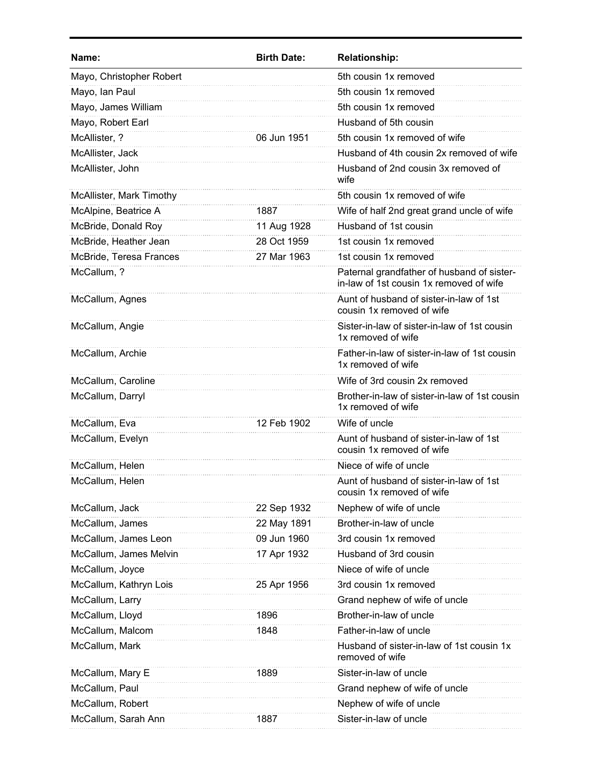| Name:                    | <b>Birth Date:</b> | <b>Relationship:</b>                                                                  |
|--------------------------|--------------------|---------------------------------------------------------------------------------------|
| Mayo, Christopher Robert |                    | 5th cousin 1x removed                                                                 |
| Mayo, Ian Paul           |                    | 5th cousin 1x removed                                                                 |
| Mayo, James William      |                    | 5th cousin 1x removed                                                                 |
| Mayo, Robert Earl        |                    | Husband of 5th cousin                                                                 |
| McAllister, ?            | 06 Jun 1951        | 5th cousin 1x removed of wife                                                         |
| McAllister, Jack         |                    | Husband of 4th cousin 2x removed of wife                                              |
| McAllister, John         |                    | Husband of 2nd cousin 3x removed of<br>wife                                           |
| McAllister, Mark Timothy |                    | 5th cousin 1x removed of wife                                                         |
| McAlpine, Beatrice A     | 1887               | Wife of half 2nd great grand uncle of wife                                            |
| McBride, Donald Roy      | 11 Aug 1928        | Husband of 1st cousin                                                                 |
| McBride, Heather Jean    | 28 Oct 1959        | 1st cousin 1x removed                                                                 |
| McBride, Teresa Frances  | 27 Mar 1963        | 1st cousin 1x removed                                                                 |
| McCallum, ?              |                    | Paternal grandfather of husband of sister-<br>in-law of 1st cousin 1x removed of wife |
| McCallum, Agnes          |                    | Aunt of husband of sister-in-law of 1st<br>cousin 1x removed of wife                  |
| McCallum, Angie          |                    | Sister-in-law of sister-in-law of 1st cousin<br>1x removed of wife                    |
| McCallum, Archie         |                    | Father-in-law of sister-in-law of 1st cousin<br>1x removed of wife                    |
| McCallum, Caroline       |                    | Wife of 3rd cousin 2x removed                                                         |
| McCallum, Darryl         |                    | Brother-in-law of sister-in-law of 1st cousin<br>1x removed of wife                   |
| McCallum, Eva            | 12 Feb 1902        | Wife of uncle                                                                         |
| McCallum, Evelyn         |                    | Aunt of husband of sister-in-law of 1st<br>cousin 1x removed of wife                  |
| McCallum, Helen          |                    | Niece of wife of uncle                                                                |
| McCallum, Helen          |                    | Aunt of husband of sister-in-law of 1st<br>cousin 1x removed of wife                  |
| McCallum, Jack           | 22 Sep 1932        | Nephew of wife of uncle                                                               |
| McCallum, James          | 22 May 1891        | Brother-in-law of uncle                                                               |
| McCallum, James Leon     | 09 Jun 1960        | 3rd cousin 1x removed                                                                 |
| McCallum, James Melvin   | 17 Apr 1932        | Husband of 3rd cousin                                                                 |
| McCallum, Joyce          |                    | Niece of wife of uncle                                                                |
| McCallum, Kathryn Lois   | 25 Apr 1956        | 3rd cousin 1x removed                                                                 |
| McCallum, Larry          |                    | Grand nephew of wife of uncle                                                         |
| McCallum, Lloyd          | 1896               | Brother-in-law of uncle                                                               |
| McCallum, Malcom         | 1848               | Father-in-law of uncle                                                                |
| McCallum, Mark           |                    | Husband of sister-in-law of 1st cousin 1x<br>removed of wife                          |
| McCallum, Mary E         | 1889               | Sister-in-law of uncle                                                                |
| McCallum, Paul           |                    | Grand nephew of wife of uncle                                                         |
| McCallum, Robert         |                    | Nephew of wife of uncle                                                               |
| McCallum, Sarah Ann      | 1887               | Sister-in-law of uncle                                                                |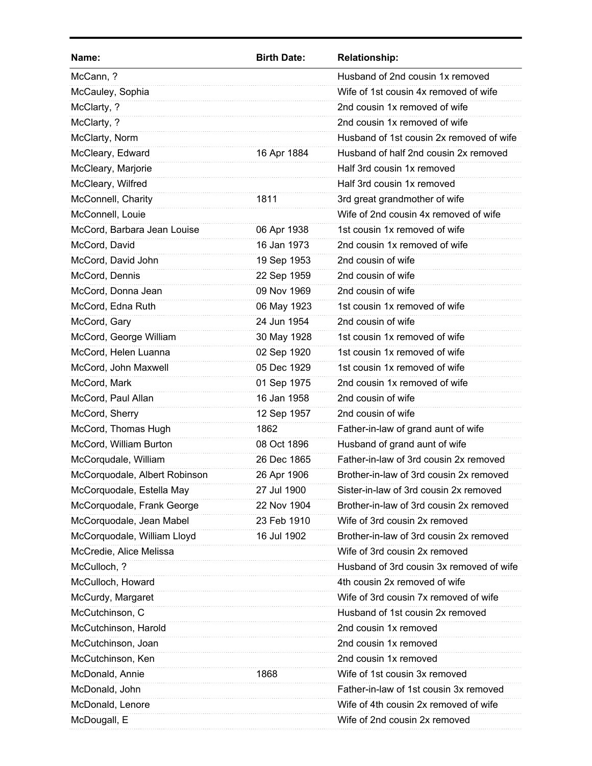| Name:                         | <b>Birth Date:</b> | <b>Relationship:</b>                     |
|-------------------------------|--------------------|------------------------------------------|
| McCann, ?                     |                    | Husband of 2nd cousin 1x removed         |
| McCauley, Sophia              |                    | Wife of 1st cousin 4x removed of wife    |
| McClarty, ?                   |                    | 2nd cousin 1x removed of wife            |
| McClarty, ?                   |                    | 2nd cousin 1x removed of wife            |
| McClarty, Norm                |                    | Husband of 1st cousin 2x removed of wife |
| McCleary, Edward              | 16 Apr 1884        | Husband of half 2nd cousin 2x removed    |
| McCleary, Marjorie            |                    | Half 3rd cousin 1x removed               |
| McCleary, Wilfred             |                    | Half 3rd cousin 1x removed               |
| McConnell, Charity            | 1811               | 3rd great grandmother of wife            |
| McConnell, Louie              |                    | Wife of 2nd cousin 4x removed of wife    |
| McCord, Barbara Jean Louise   | 06 Apr 1938        | 1st cousin 1x removed of wife            |
| McCord, David                 | 16 Jan 1973        | 2nd cousin 1x removed of wife            |
| McCord, David John            | 19 Sep 1953        | 2nd cousin of wife                       |
| McCord, Dennis                | 22 Sep 1959        | 2nd cousin of wife                       |
| McCord, Donna Jean            | 09 Nov 1969        | 2nd cousin of wife                       |
| McCord, Edna Ruth             | 06 May 1923        | 1st cousin 1x removed of wife            |
| McCord, Gary                  | 24 Jun 1954        | 2nd cousin of wife                       |
| McCord, George William        | 30 May 1928        | 1st cousin 1x removed of wife            |
| McCord, Helen Luanna          | 02 Sep 1920        | 1st cousin 1x removed of wife            |
| McCord, John Maxwell          | 05 Dec 1929        | 1st cousin 1x removed of wife            |
| McCord, Mark                  | 01 Sep 1975        | 2nd cousin 1x removed of wife            |
| McCord, Paul Allan            | 16 Jan 1958        | 2nd cousin of wife                       |
| McCord, Sherry                | 12 Sep 1957        | 2nd cousin of wife                       |
| McCord, Thomas Hugh           | 1862               | Father-in-law of grand aunt of wife      |
| McCord, William Burton        | 08 Oct 1896        | Husband of grand aunt of wife            |
| McCorqudale, William          | 26 Dec 1865        | Father-in-law of 3rd cousin 2x removed   |
| McCorquodale, Albert Robinson | 26 Apr 1906        | Brother-in-law of 3rd cousin 2x removed  |
| McCorquodale, Estella May     | 27 Jul 1900        | Sister-in-law of 3rd cousin 2x removed   |
| McCorquodale, Frank George    | 22 Nov 1904        | Brother-in-law of 3rd cousin 2x removed  |
| McCorquodale, Jean Mabel      | 23 Feb 1910        | Wife of 3rd cousin 2x removed            |
| McCorquodale, William Lloyd   | 16 Jul 1902        | Brother-in-law of 3rd cousin 2x removed  |
| McCredie, Alice Melissa       |                    | Wife of 3rd cousin 2x removed            |
| McCulloch, ?                  |                    | Husband of 3rd cousin 3x removed of wife |
| McCulloch, Howard             |                    | 4th cousin 2x removed of wife            |
| McCurdy, Margaret             |                    | Wife of 3rd cousin 7x removed of wife    |
| McCutchinson, C               |                    | Husband of 1st cousin 2x removed         |
| McCutchinson, Harold          |                    | 2nd cousin 1x removed                    |
| McCutchinson, Joan            |                    | 2nd cousin 1x removed                    |
| McCutchinson, Ken             |                    | 2nd cousin 1x removed                    |
| McDonald, Annie               | 1868               | Wife of 1st cousin 3x removed            |
| McDonald, John                |                    | Father-in-law of 1st cousin 3x removed   |
| McDonald, Lenore              |                    | Wife of 4th cousin 2x removed of wife    |
| McDougall, E                  |                    | Wife of 2nd cousin 2x removed            |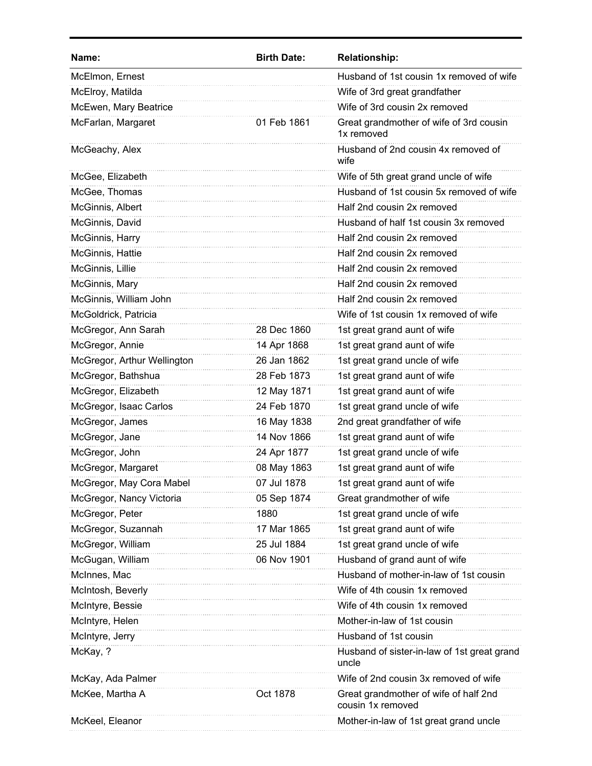| Name:                       | <b>Birth Date:</b> | <b>Relationship:</b>                                       |
|-----------------------------|--------------------|------------------------------------------------------------|
| McElmon, Ernest             |                    | Husband of 1st cousin 1x removed of wife                   |
| McElroy, Matilda            |                    | Wife of 3rd great grandfather                              |
| McEwen, Mary Beatrice       |                    | Wife of 3rd cousin 2x removed                              |
| McFarlan, Margaret          | 01 Feb 1861        | Great grandmother of wife of 3rd cousin<br>1x removed      |
| McGeachy, Alex              |                    | Husband of 2nd cousin 4x removed of<br>wife                |
| McGee, Elizabeth            |                    | Wife of 5th great grand uncle of wife                      |
| McGee, Thomas               |                    | Husband of 1st cousin 5x removed of wife                   |
| McGinnis, Albert            |                    | Half 2nd cousin 2x removed                                 |
| McGinnis, David             |                    | Husband of half 1st cousin 3x removed                      |
| McGinnis, Harry             |                    | Half 2nd cousin 2x removed                                 |
| McGinnis, Hattie            |                    | Half 2nd cousin 2x removed                                 |
| McGinnis, Lillie            |                    | Half 2nd cousin 2x removed                                 |
| McGinnis, Mary              |                    | Half 2nd cousin 2x removed                                 |
| McGinnis, William John      |                    | Half 2nd cousin 2x removed                                 |
| McGoldrick, Patricia        |                    | Wife of 1st cousin 1x removed of wife                      |
| McGregor, Ann Sarah         | 28 Dec 1860        | 1st great grand aunt of wife                               |
| McGregor, Annie             | 14 Apr 1868        | 1st great grand aunt of wife                               |
| McGregor, Arthur Wellington | 26 Jan 1862        | 1st great grand uncle of wife                              |
| McGregor, Bathshua          | 28 Feb 1873        | 1st great grand aunt of wife                               |
| McGregor, Elizabeth         | 12 May 1871        | 1st great grand aunt of wife                               |
| McGregor, Isaac Carlos      | 24 Feb 1870        | 1st great grand uncle of wife                              |
| McGregor, James             | 16 May 1838        | 2nd great grandfather of wife                              |
| McGregor, Jane              | 14 Nov 1866        | 1st great grand aunt of wife                               |
| McGregor, John              | 24 Apr 1877        | 1st great grand uncle of wife                              |
| McGregor, Margaret          | 08 May 1863        | 1st great grand aunt of wife                               |
| McGregor, May Cora Mabel    | 07 Jul 1878        | 1st great grand aunt of wife                               |
| McGregor, Nancy Victoria    | 05 Sep 1874        | Great grandmother of wife                                  |
| McGregor, Peter             | 1880               | 1st great grand uncle of wife                              |
| McGregor, Suzannah          | 17 Mar 1865        | 1st great grand aunt of wife                               |
| McGregor, William           | 25 Jul 1884        | 1st great grand uncle of wife                              |
| McGugan, William            | 06 Nov 1901        | Husband of grand aunt of wife                              |
| McInnes, Mac                |                    | Husband of mother-in-law of 1st cousin                     |
| McIntosh, Beverly           |                    | Wife of 4th cousin 1x removed                              |
| McIntyre, Bessie            |                    | Wife of 4th cousin 1x removed                              |
| McIntyre, Helen             |                    | Mother-in-law of 1st cousin                                |
| McIntyre, Jerry             |                    | Husband of 1st cousin                                      |
| McKay, ?                    |                    | Husband of sister-in-law of 1st great grand<br>uncle       |
| McKay, Ada Palmer           |                    | Wife of 2nd cousin 3x removed of wife                      |
| McKee, Martha A             | Oct 1878           | Great grandmother of wife of half 2nd<br>cousin 1x removed |
| McKeel, Eleanor             |                    | Mother-in-law of 1st great grand uncle                     |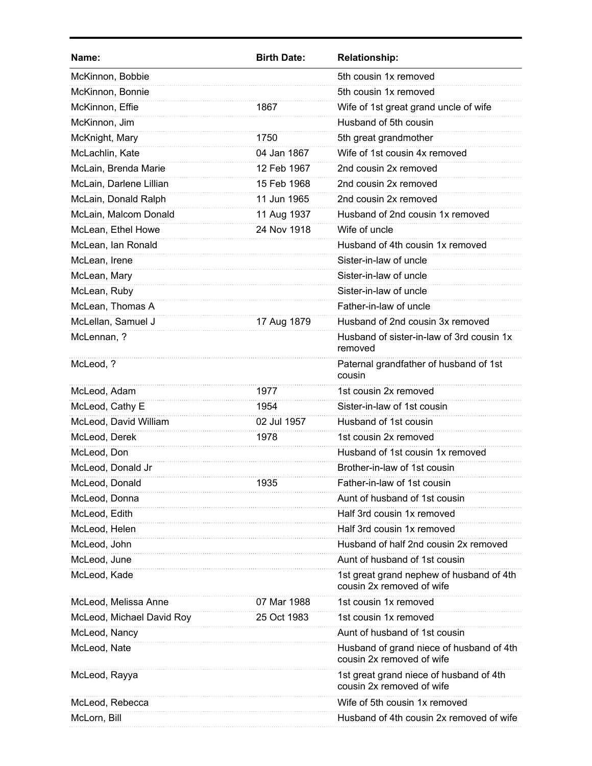| 5th cousin 1x removed<br>McKinnon, Bobbie<br>McKinnon, Bonnie<br>5th cousin 1x removed<br>McKinnon, Effie<br>Wife of 1st great grand uncle of wife<br>1867<br>Husband of 5th cousin<br>McKinnon, Jim<br>McKnight, Mary<br>5th great grandmother<br>1750<br>Wife of 1st cousin 4x removed<br>McLachlin, Kate<br>04 Jan 1867<br>McLain, Brenda Marie<br>2nd cousin 2x removed<br>12 Feb 1967<br>McLain, Darlene Lillian<br>15 Feb 1968<br>2nd cousin 2x removed<br>McLain, Donald Ralph<br>11 Jun 1965<br>2nd cousin 2x removed<br>McLain, Malcom Donald<br>Husband of 2nd cousin 1x removed<br>11 Aug 1937<br>McLean, Ethel Howe<br>24 Nov 1918<br>Wife of uncle<br>McLean, Ian Ronald<br>Husband of 4th cousin 1x removed<br>Sister-in-law of uncle<br>McLean, Irene<br>Sister-in-law of uncle<br>McLean, Mary<br>McLean, Ruby<br>Sister-in-law of uncle<br>McLean, Thomas A<br>Father-in-law of uncle<br>Husband of 2nd cousin 3x removed<br>McLellan, Samuel J<br>17 Aug 1879<br>McLennan, ?<br>Husband of sister-in-law of 3rd cousin 1x<br>removed<br>McLeod, ?<br>Paternal grandfather of husband of 1st<br>cousin<br>1st cousin 2x removed<br>McLeod, Adam<br>1977<br>Sister-in-law of 1st cousin<br>McLeod, Cathy E<br>1954<br>McLeod, David William<br>02 Jul 1957<br>Husband of 1st cousin<br>McLeod, Derek<br>1978<br>1st cousin 2x removed<br>McLeod, Don<br>Husband of 1st cousin 1x removed<br>McLeod, Donald Jr<br>Brother-in-law of 1st cousin<br>McLeod, Donald<br>1935<br>Father-in-law of 1st cousin<br>Aunt of husband of 1st cousin<br>McLeod, Donna<br>McLeod, Edith<br>Half 3rd cousin 1x removed<br>Half 3rd cousin 1x removed<br>McLeod, Helen<br>McLeod, John<br>Husband of half 2nd cousin 2x removed<br>McLeod, June<br>Aunt of husband of 1st cousin<br>McLeod, Kade<br>1st great grand nephew of husband of 4th<br>cousin 2x removed of wife<br>McLeod, Melissa Anne<br>07 Mar 1988<br>1st cousin 1x removed<br>1st cousin 1x removed<br>McLeod, Michael David Roy<br>25 Oct 1983<br>Aunt of husband of 1st cousin<br>McLeod, Nancy<br>McLeod, Nate<br>Husband of grand niece of husband of 4th<br>cousin 2x removed of wife<br>McLeod, Rayya<br>1st great grand niece of husband of 4th<br>cousin 2x removed of wife<br>Wife of 5th cousin 1x removed<br>McLeod, Rebecca<br>McLorn, Bill<br>Husband of 4th cousin 2x removed of wife | Name: | <b>Birth Date:</b> | <b>Relationship:</b> |
|--------------------------------------------------------------------------------------------------------------------------------------------------------------------------------------------------------------------------------------------------------------------------------------------------------------------------------------------------------------------------------------------------------------------------------------------------------------------------------------------------------------------------------------------------------------------------------------------------------------------------------------------------------------------------------------------------------------------------------------------------------------------------------------------------------------------------------------------------------------------------------------------------------------------------------------------------------------------------------------------------------------------------------------------------------------------------------------------------------------------------------------------------------------------------------------------------------------------------------------------------------------------------------------------------------------------------------------------------------------------------------------------------------------------------------------------------------------------------------------------------------------------------------------------------------------------------------------------------------------------------------------------------------------------------------------------------------------------------------------------------------------------------------------------------------------------------------------------------------------------------------------------------------------------------------------------------------------------------------------------------------------------------------------------------------------------------------------------------------------------------------------------------------------------------------------------------------------------------------------------------------------------------------------------------------------------------------------------------------------------|-------|--------------------|----------------------|
|                                                                                                                                                                                                                                                                                                                                                                                                                                                                                                                                                                                                                                                                                                                                                                                                                                                                                                                                                                                                                                                                                                                                                                                                                                                                                                                                                                                                                                                                                                                                                                                                                                                                                                                                                                                                                                                                                                                                                                                                                                                                                                                                                                                                                                                                                                                                                                    |       |                    |                      |
|                                                                                                                                                                                                                                                                                                                                                                                                                                                                                                                                                                                                                                                                                                                                                                                                                                                                                                                                                                                                                                                                                                                                                                                                                                                                                                                                                                                                                                                                                                                                                                                                                                                                                                                                                                                                                                                                                                                                                                                                                                                                                                                                                                                                                                                                                                                                                                    |       |                    |                      |
|                                                                                                                                                                                                                                                                                                                                                                                                                                                                                                                                                                                                                                                                                                                                                                                                                                                                                                                                                                                                                                                                                                                                                                                                                                                                                                                                                                                                                                                                                                                                                                                                                                                                                                                                                                                                                                                                                                                                                                                                                                                                                                                                                                                                                                                                                                                                                                    |       |                    |                      |
|                                                                                                                                                                                                                                                                                                                                                                                                                                                                                                                                                                                                                                                                                                                                                                                                                                                                                                                                                                                                                                                                                                                                                                                                                                                                                                                                                                                                                                                                                                                                                                                                                                                                                                                                                                                                                                                                                                                                                                                                                                                                                                                                                                                                                                                                                                                                                                    |       |                    |                      |
|                                                                                                                                                                                                                                                                                                                                                                                                                                                                                                                                                                                                                                                                                                                                                                                                                                                                                                                                                                                                                                                                                                                                                                                                                                                                                                                                                                                                                                                                                                                                                                                                                                                                                                                                                                                                                                                                                                                                                                                                                                                                                                                                                                                                                                                                                                                                                                    |       |                    |                      |
|                                                                                                                                                                                                                                                                                                                                                                                                                                                                                                                                                                                                                                                                                                                                                                                                                                                                                                                                                                                                                                                                                                                                                                                                                                                                                                                                                                                                                                                                                                                                                                                                                                                                                                                                                                                                                                                                                                                                                                                                                                                                                                                                                                                                                                                                                                                                                                    |       |                    |                      |
|                                                                                                                                                                                                                                                                                                                                                                                                                                                                                                                                                                                                                                                                                                                                                                                                                                                                                                                                                                                                                                                                                                                                                                                                                                                                                                                                                                                                                                                                                                                                                                                                                                                                                                                                                                                                                                                                                                                                                                                                                                                                                                                                                                                                                                                                                                                                                                    |       |                    |                      |
|                                                                                                                                                                                                                                                                                                                                                                                                                                                                                                                                                                                                                                                                                                                                                                                                                                                                                                                                                                                                                                                                                                                                                                                                                                                                                                                                                                                                                                                                                                                                                                                                                                                                                                                                                                                                                                                                                                                                                                                                                                                                                                                                                                                                                                                                                                                                                                    |       |                    |                      |
|                                                                                                                                                                                                                                                                                                                                                                                                                                                                                                                                                                                                                                                                                                                                                                                                                                                                                                                                                                                                                                                                                                                                                                                                                                                                                                                                                                                                                                                                                                                                                                                                                                                                                                                                                                                                                                                                                                                                                                                                                                                                                                                                                                                                                                                                                                                                                                    |       |                    |                      |
|                                                                                                                                                                                                                                                                                                                                                                                                                                                                                                                                                                                                                                                                                                                                                                                                                                                                                                                                                                                                                                                                                                                                                                                                                                                                                                                                                                                                                                                                                                                                                                                                                                                                                                                                                                                                                                                                                                                                                                                                                                                                                                                                                                                                                                                                                                                                                                    |       |                    |                      |
|                                                                                                                                                                                                                                                                                                                                                                                                                                                                                                                                                                                                                                                                                                                                                                                                                                                                                                                                                                                                                                                                                                                                                                                                                                                                                                                                                                                                                                                                                                                                                                                                                                                                                                                                                                                                                                                                                                                                                                                                                                                                                                                                                                                                                                                                                                                                                                    |       |                    |                      |
|                                                                                                                                                                                                                                                                                                                                                                                                                                                                                                                                                                                                                                                                                                                                                                                                                                                                                                                                                                                                                                                                                                                                                                                                                                                                                                                                                                                                                                                                                                                                                                                                                                                                                                                                                                                                                                                                                                                                                                                                                                                                                                                                                                                                                                                                                                                                                                    |       |                    |                      |
|                                                                                                                                                                                                                                                                                                                                                                                                                                                                                                                                                                                                                                                                                                                                                                                                                                                                                                                                                                                                                                                                                                                                                                                                                                                                                                                                                                                                                                                                                                                                                                                                                                                                                                                                                                                                                                                                                                                                                                                                                                                                                                                                                                                                                                                                                                                                                                    |       |                    |                      |
|                                                                                                                                                                                                                                                                                                                                                                                                                                                                                                                                                                                                                                                                                                                                                                                                                                                                                                                                                                                                                                                                                                                                                                                                                                                                                                                                                                                                                                                                                                                                                                                                                                                                                                                                                                                                                                                                                                                                                                                                                                                                                                                                                                                                                                                                                                                                                                    |       |                    |                      |
|                                                                                                                                                                                                                                                                                                                                                                                                                                                                                                                                                                                                                                                                                                                                                                                                                                                                                                                                                                                                                                                                                                                                                                                                                                                                                                                                                                                                                                                                                                                                                                                                                                                                                                                                                                                                                                                                                                                                                                                                                                                                                                                                                                                                                                                                                                                                                                    |       |                    |                      |
|                                                                                                                                                                                                                                                                                                                                                                                                                                                                                                                                                                                                                                                                                                                                                                                                                                                                                                                                                                                                                                                                                                                                                                                                                                                                                                                                                                                                                                                                                                                                                                                                                                                                                                                                                                                                                                                                                                                                                                                                                                                                                                                                                                                                                                                                                                                                                                    |       |                    |                      |
|                                                                                                                                                                                                                                                                                                                                                                                                                                                                                                                                                                                                                                                                                                                                                                                                                                                                                                                                                                                                                                                                                                                                                                                                                                                                                                                                                                                                                                                                                                                                                                                                                                                                                                                                                                                                                                                                                                                                                                                                                                                                                                                                                                                                                                                                                                                                                                    |       |                    |                      |
|                                                                                                                                                                                                                                                                                                                                                                                                                                                                                                                                                                                                                                                                                                                                                                                                                                                                                                                                                                                                                                                                                                                                                                                                                                                                                                                                                                                                                                                                                                                                                                                                                                                                                                                                                                                                                                                                                                                                                                                                                                                                                                                                                                                                                                                                                                                                                                    |       |                    |                      |
|                                                                                                                                                                                                                                                                                                                                                                                                                                                                                                                                                                                                                                                                                                                                                                                                                                                                                                                                                                                                                                                                                                                                                                                                                                                                                                                                                                                                                                                                                                                                                                                                                                                                                                                                                                                                                                                                                                                                                                                                                                                                                                                                                                                                                                                                                                                                                                    |       |                    |                      |
|                                                                                                                                                                                                                                                                                                                                                                                                                                                                                                                                                                                                                                                                                                                                                                                                                                                                                                                                                                                                                                                                                                                                                                                                                                                                                                                                                                                                                                                                                                                                                                                                                                                                                                                                                                                                                                                                                                                                                                                                                                                                                                                                                                                                                                                                                                                                                                    |       |                    |                      |
|                                                                                                                                                                                                                                                                                                                                                                                                                                                                                                                                                                                                                                                                                                                                                                                                                                                                                                                                                                                                                                                                                                                                                                                                                                                                                                                                                                                                                                                                                                                                                                                                                                                                                                                                                                                                                                                                                                                                                                                                                                                                                                                                                                                                                                                                                                                                                                    |       |                    |                      |
|                                                                                                                                                                                                                                                                                                                                                                                                                                                                                                                                                                                                                                                                                                                                                                                                                                                                                                                                                                                                                                                                                                                                                                                                                                                                                                                                                                                                                                                                                                                                                                                                                                                                                                                                                                                                                                                                                                                                                                                                                                                                                                                                                                                                                                                                                                                                                                    |       |                    |                      |
|                                                                                                                                                                                                                                                                                                                                                                                                                                                                                                                                                                                                                                                                                                                                                                                                                                                                                                                                                                                                                                                                                                                                                                                                                                                                                                                                                                                                                                                                                                                                                                                                                                                                                                                                                                                                                                                                                                                                                                                                                                                                                                                                                                                                                                                                                                                                                                    |       |                    |                      |
|                                                                                                                                                                                                                                                                                                                                                                                                                                                                                                                                                                                                                                                                                                                                                                                                                                                                                                                                                                                                                                                                                                                                                                                                                                                                                                                                                                                                                                                                                                                                                                                                                                                                                                                                                                                                                                                                                                                                                                                                                                                                                                                                                                                                                                                                                                                                                                    |       |                    |                      |
|                                                                                                                                                                                                                                                                                                                                                                                                                                                                                                                                                                                                                                                                                                                                                                                                                                                                                                                                                                                                                                                                                                                                                                                                                                                                                                                                                                                                                                                                                                                                                                                                                                                                                                                                                                                                                                                                                                                                                                                                                                                                                                                                                                                                                                                                                                                                                                    |       |                    |                      |
|                                                                                                                                                                                                                                                                                                                                                                                                                                                                                                                                                                                                                                                                                                                                                                                                                                                                                                                                                                                                                                                                                                                                                                                                                                                                                                                                                                                                                                                                                                                                                                                                                                                                                                                                                                                                                                                                                                                                                                                                                                                                                                                                                                                                                                                                                                                                                                    |       |                    |                      |
|                                                                                                                                                                                                                                                                                                                                                                                                                                                                                                                                                                                                                                                                                                                                                                                                                                                                                                                                                                                                                                                                                                                                                                                                                                                                                                                                                                                                                                                                                                                                                                                                                                                                                                                                                                                                                                                                                                                                                                                                                                                                                                                                                                                                                                                                                                                                                                    |       |                    |                      |
|                                                                                                                                                                                                                                                                                                                                                                                                                                                                                                                                                                                                                                                                                                                                                                                                                                                                                                                                                                                                                                                                                                                                                                                                                                                                                                                                                                                                                                                                                                                                                                                                                                                                                                                                                                                                                                                                                                                                                                                                                                                                                                                                                                                                                                                                                                                                                                    |       |                    |                      |
|                                                                                                                                                                                                                                                                                                                                                                                                                                                                                                                                                                                                                                                                                                                                                                                                                                                                                                                                                                                                                                                                                                                                                                                                                                                                                                                                                                                                                                                                                                                                                                                                                                                                                                                                                                                                                                                                                                                                                                                                                                                                                                                                                                                                                                                                                                                                                                    |       |                    |                      |
|                                                                                                                                                                                                                                                                                                                                                                                                                                                                                                                                                                                                                                                                                                                                                                                                                                                                                                                                                                                                                                                                                                                                                                                                                                                                                                                                                                                                                                                                                                                                                                                                                                                                                                                                                                                                                                                                                                                                                                                                                                                                                                                                                                                                                                                                                                                                                                    |       |                    |                      |
|                                                                                                                                                                                                                                                                                                                                                                                                                                                                                                                                                                                                                                                                                                                                                                                                                                                                                                                                                                                                                                                                                                                                                                                                                                                                                                                                                                                                                                                                                                                                                                                                                                                                                                                                                                                                                                                                                                                                                                                                                                                                                                                                                                                                                                                                                                                                                                    |       |                    |                      |
|                                                                                                                                                                                                                                                                                                                                                                                                                                                                                                                                                                                                                                                                                                                                                                                                                                                                                                                                                                                                                                                                                                                                                                                                                                                                                                                                                                                                                                                                                                                                                                                                                                                                                                                                                                                                                                                                                                                                                                                                                                                                                                                                                                                                                                                                                                                                                                    |       |                    |                      |
|                                                                                                                                                                                                                                                                                                                                                                                                                                                                                                                                                                                                                                                                                                                                                                                                                                                                                                                                                                                                                                                                                                                                                                                                                                                                                                                                                                                                                                                                                                                                                                                                                                                                                                                                                                                                                                                                                                                                                                                                                                                                                                                                                                                                                                                                                                                                                                    |       |                    |                      |
|                                                                                                                                                                                                                                                                                                                                                                                                                                                                                                                                                                                                                                                                                                                                                                                                                                                                                                                                                                                                                                                                                                                                                                                                                                                                                                                                                                                                                                                                                                                                                                                                                                                                                                                                                                                                                                                                                                                                                                                                                                                                                                                                                                                                                                                                                                                                                                    |       |                    |                      |
|                                                                                                                                                                                                                                                                                                                                                                                                                                                                                                                                                                                                                                                                                                                                                                                                                                                                                                                                                                                                                                                                                                                                                                                                                                                                                                                                                                                                                                                                                                                                                                                                                                                                                                                                                                                                                                                                                                                                                                                                                                                                                                                                                                                                                                                                                                                                                                    |       |                    |                      |
|                                                                                                                                                                                                                                                                                                                                                                                                                                                                                                                                                                                                                                                                                                                                                                                                                                                                                                                                                                                                                                                                                                                                                                                                                                                                                                                                                                                                                                                                                                                                                                                                                                                                                                                                                                                                                                                                                                                                                                                                                                                                                                                                                                                                                                                                                                                                                                    |       |                    |                      |
|                                                                                                                                                                                                                                                                                                                                                                                                                                                                                                                                                                                                                                                                                                                                                                                                                                                                                                                                                                                                                                                                                                                                                                                                                                                                                                                                                                                                                                                                                                                                                                                                                                                                                                                                                                                                                                                                                                                                                                                                                                                                                                                                                                                                                                                                                                                                                                    |       |                    |                      |
|                                                                                                                                                                                                                                                                                                                                                                                                                                                                                                                                                                                                                                                                                                                                                                                                                                                                                                                                                                                                                                                                                                                                                                                                                                                                                                                                                                                                                                                                                                                                                                                                                                                                                                                                                                                                                                                                                                                                                                                                                                                                                                                                                                                                                                                                                                                                                                    |       |                    |                      |
|                                                                                                                                                                                                                                                                                                                                                                                                                                                                                                                                                                                                                                                                                                                                                                                                                                                                                                                                                                                                                                                                                                                                                                                                                                                                                                                                                                                                                                                                                                                                                                                                                                                                                                                                                                                                                                                                                                                                                                                                                                                                                                                                                                                                                                                                                                                                                                    |       |                    |                      |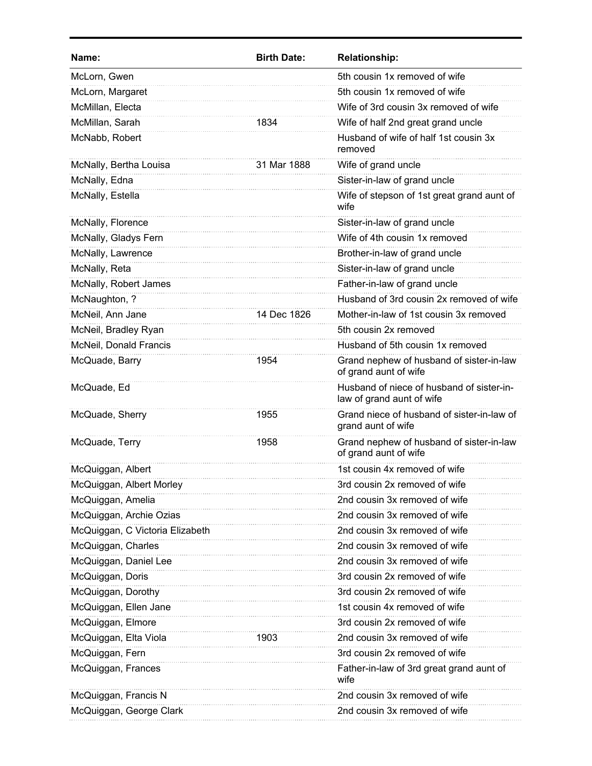| Name:                           | <b>Birth Date:</b> | <b>Relationship:</b>                                                   |
|---------------------------------|--------------------|------------------------------------------------------------------------|
| McLorn, Gwen                    |                    | 5th cousin 1x removed of wife                                          |
| McLorn, Margaret                |                    | 5th cousin 1x removed of wife                                          |
| McMillan, Electa                |                    | Wife of 3rd cousin 3x removed of wife                                  |
| McMillan, Sarah                 | 1834               | Wife of half 2nd great grand uncle                                     |
| McNabb, Robert                  |                    | Husband of wife of half 1st cousin 3x<br>removed                       |
| McNally, Bertha Louisa          | 31 Mar 1888        | Wife of grand uncle                                                    |
| McNally, Edna                   |                    | Sister-in-law of grand uncle                                           |
| McNally, Estella                |                    | Wife of stepson of 1st great grand aunt of<br>wife                     |
| McNally, Florence               |                    | Sister-in-law of grand uncle                                           |
| McNally, Gladys Fern            |                    | Wife of 4th cousin 1x removed                                          |
| McNally, Lawrence               |                    | Brother-in-law of grand uncle                                          |
| McNally, Reta                   |                    | Sister-in-law of grand uncle                                           |
| McNally, Robert James           |                    | Father-in-law of grand uncle                                           |
| McNaughton, ?                   |                    | Husband of 3rd cousin 2x removed of wife                               |
| McNeil, Ann Jane                | 14 Dec 1826        | Mother-in-law of 1st cousin 3x removed                                 |
| McNeil, Bradley Ryan            |                    | 5th cousin 2x removed                                                  |
| McNeil, Donald Francis          |                    | Husband of 5th cousin 1x removed                                       |
| McQuade, Barry                  | 1954               | Grand nephew of husband of sister-in-law<br>of grand aunt of wife      |
| McQuade, Ed                     |                    | Husband of niece of husband of sister-in-<br>law of grand aunt of wife |
| McQuade, Sherry                 | 1955               | Grand niece of husband of sister-in-law of<br>grand aunt of wife       |
| McQuade, Terry                  | 1958               | Grand nephew of husband of sister-in-law<br>of grand aunt of wife      |
| McQuiggan, Albert               |                    | 1st cousin 4x removed of wife                                          |
| McQuiggan, Albert Morley        |                    | 3rd cousin 2x removed of wife                                          |
| McQuiggan, Amelia               |                    | 2nd cousin 3x removed of wife                                          |
| McQuiggan, Archie Ozias         |                    | 2nd cousin 3x removed of wife                                          |
| McQuiggan, C Victoria Elizabeth |                    | 2nd cousin 3x removed of wife                                          |
| McQuiggan, Charles              |                    | 2nd cousin 3x removed of wife                                          |
| McQuiggan, Daniel Lee           |                    | 2nd cousin 3x removed of wife                                          |
| McQuiggan, Doris                |                    | 3rd cousin 2x removed of wife                                          |
| McQuiggan, Dorothy              |                    | 3rd cousin 2x removed of wife                                          |
| McQuiggan, Ellen Jane           |                    | 1st cousin 4x removed of wife                                          |
| McQuiggan, Elmore               |                    | 3rd cousin 2x removed of wife                                          |
| McQuiggan, Elta Viola           | 1903               | 2nd cousin 3x removed of wife                                          |
| McQuiggan, Fern                 |                    | 3rd cousin 2x removed of wife                                          |
| McQuiggan, Frances              |                    | Father-in-law of 3rd great grand aunt of<br>wife                       |
| McQuiggan, Francis N            |                    | 2nd cousin 3x removed of wife                                          |
| McQuiggan, George Clark         |                    | 2nd cousin 3x removed of wife                                          |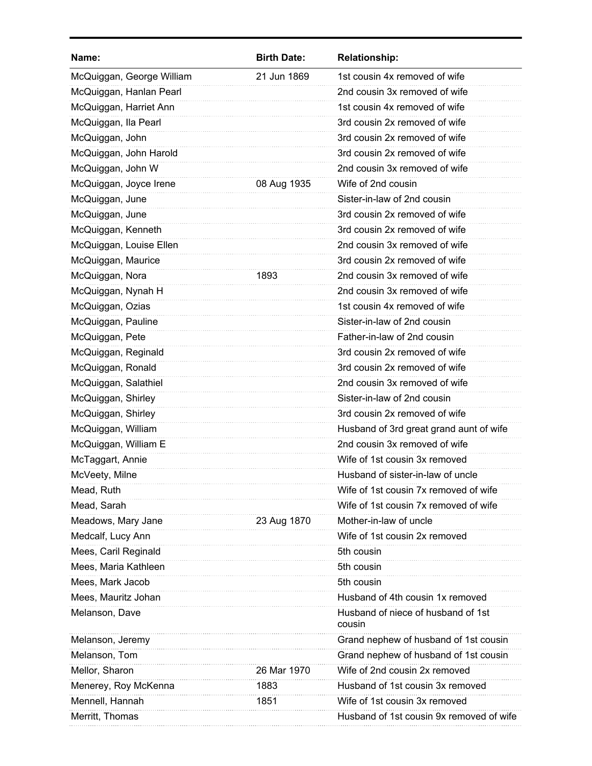| Name:                     | <b>Birth Date:</b> | <b>Relationship:</b>                         |
|---------------------------|--------------------|----------------------------------------------|
| McQuiggan, George William | 21 Jun 1869        | 1st cousin 4x removed of wife                |
| McQuiggan, Hanlan Pearl   |                    | 2nd cousin 3x removed of wife                |
| McQuiggan, Harriet Ann    |                    | 1st cousin 4x removed of wife                |
| McQuiggan, Ila Pearl      |                    | 3rd cousin 2x removed of wife                |
| McQuiggan, John           |                    | 3rd cousin 2x removed of wife                |
| McQuiggan, John Harold    |                    | 3rd cousin 2x removed of wife                |
| McQuiggan, John W         |                    | 2nd cousin 3x removed of wife                |
| McQuiggan, Joyce Irene    | 08 Aug 1935        | Wife of 2nd cousin                           |
| McQuiggan, June           |                    | Sister-in-law of 2nd cousin                  |
| McQuiggan, June           |                    | 3rd cousin 2x removed of wife                |
| McQuiggan, Kenneth        |                    | 3rd cousin 2x removed of wife                |
| McQuiggan, Louise Ellen   |                    | 2nd cousin 3x removed of wife                |
| McQuiggan, Maurice        |                    | 3rd cousin 2x removed of wife                |
| McQuiggan, Nora           | 1893               | 2nd cousin 3x removed of wife                |
| McQuiggan, Nynah H        |                    | 2nd cousin 3x removed of wife                |
| McQuiggan, Ozias          |                    | 1st cousin 4x removed of wife                |
| McQuiggan, Pauline        |                    | Sister-in-law of 2nd cousin                  |
| McQuiggan, Pete           |                    | Father-in-law of 2nd cousin                  |
| McQuiggan, Reginald       |                    | 3rd cousin 2x removed of wife                |
| McQuiggan, Ronald         |                    | 3rd cousin 2x removed of wife                |
| McQuiggan, Salathiel      |                    | 2nd cousin 3x removed of wife                |
| McQuiggan, Shirley        |                    | Sister-in-law of 2nd cousin                  |
| McQuiggan, Shirley        |                    | 3rd cousin 2x removed of wife                |
| McQuiggan, William        |                    | Husband of 3rd great grand aunt of wife      |
| McQuiggan, William E      |                    | 2nd cousin 3x removed of wife                |
| McTaggart, Annie          |                    | Wife of 1st cousin 3x removed                |
| McVeety, Milne            |                    | Husband of sister-in-law of uncle            |
| Mead, Ruth                |                    | Wife of 1st cousin 7x removed of wife        |
| Mead, Sarah               |                    | Wife of 1st cousin 7x removed of wife        |
| Meadows, Mary Jane        | 23 Aug 1870        | Mother-in-law of uncle                       |
| Medcalf, Lucy Ann         |                    | Wife of 1st cousin 2x removed                |
| Mees, Caril Reginald      |                    | 5th cousin                                   |
| Mees, Maria Kathleen      |                    | 5th cousin                                   |
| Mees, Mark Jacob          |                    | 5th cousin                                   |
| Mees, Mauritz Johan       |                    | Husband of 4th cousin 1x removed             |
| Melanson, Dave            |                    | Husband of niece of husband of 1st<br>cousin |
| Melanson, Jeremy          |                    | Grand nephew of husband of 1st cousin        |
| Melanson, Tom             |                    | Grand nephew of husband of 1st cousin        |
| Mellor, Sharon            | 26 Mar 1970        | Wife of 2nd cousin 2x removed                |
| Menerey, Roy McKenna      | 1883               | Husband of 1st cousin 3x removed             |
| Mennell, Hannah           | 1851               | Wife of 1st cousin 3x removed                |
| Merritt, Thomas           |                    | Husband of 1st cousin 9x removed of wife     |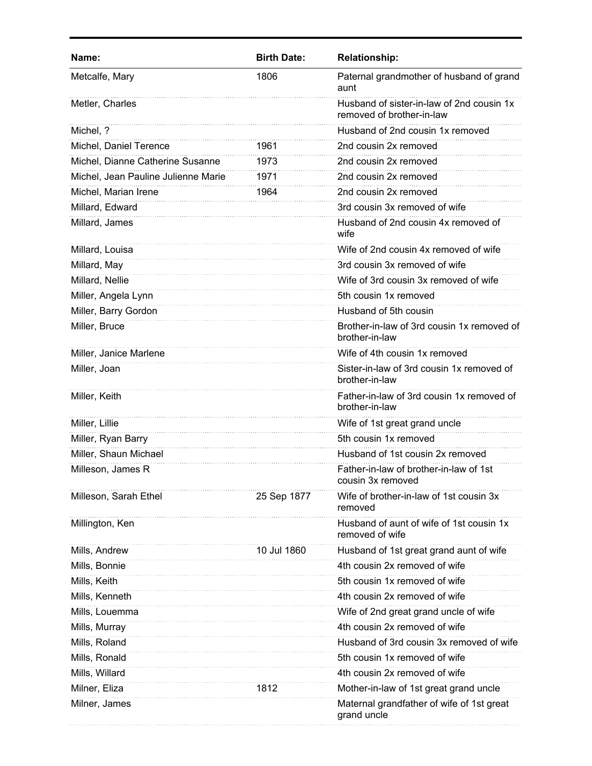| Name:                               | <b>Birth Date:</b> | <b>Relationship:</b>                                                   |
|-------------------------------------|--------------------|------------------------------------------------------------------------|
| Metcalfe, Mary                      | 1806               | Paternal grandmother of husband of grand<br>aunt                       |
| Metler, Charles                     |                    | Husband of sister-in-law of 2nd cousin 1x<br>removed of brother-in-law |
| Michel, ?                           |                    | Husband of 2nd cousin 1x removed                                       |
| Michel, Daniel Terence              | 1961               | 2nd cousin 2x removed                                                  |
| Michel, Dianne Catherine Susanne    | 1973               | 2nd cousin 2x removed                                                  |
| Michel, Jean Pauline Julienne Marie | 1971               | 2nd cousin 2x removed                                                  |
| Michel, Marian Irene                | 1964               | 2nd cousin 2x removed                                                  |
| Millard, Edward                     |                    | 3rd cousin 3x removed of wife                                          |
| Millard, James                      |                    | Husband of 2nd cousin 4x removed of<br>wife                            |
| Millard, Louisa                     |                    | Wife of 2nd cousin 4x removed of wife                                  |
| Millard, May                        |                    | 3rd cousin 3x removed of wife                                          |
| Millard, Nellie                     |                    | Wife of 3rd cousin 3x removed of wife                                  |
| Miller, Angela Lynn                 |                    | 5th cousin 1x removed                                                  |
| Miller, Barry Gordon                |                    | Husband of 5th cousin                                                  |
| Miller, Bruce                       |                    | Brother-in-law of 3rd cousin 1x removed of<br>brother-in-law           |
| Miller, Janice Marlene              |                    | Wife of 4th cousin 1x removed                                          |
| Miller, Joan                        |                    | Sister-in-law of 3rd cousin 1x removed of<br>brother-in-law            |
| Miller, Keith                       |                    | Father-in-law of 3rd cousin 1x removed of<br>brother-in-law            |
| Miller, Lillie                      |                    | Wife of 1st great grand uncle                                          |
| Miller, Ryan Barry                  |                    | 5th cousin 1x removed                                                  |
| Miller, Shaun Michael               |                    | Husband of 1st cousin 2x removed                                       |
| Milleson, James R                   |                    | Father-in-law of brother-in-law of 1st<br>cousin 3x removed            |
| Milleson, Sarah Ethel               | 25 Sep 1877        | Wife of brother-in-law of 1st cousin 3x<br>removed                     |
| Millington, Ken                     |                    | Husband of aunt of wife of 1st cousin 1x<br>removed of wife            |
| Mills, Andrew                       | 10 Jul 1860        | Husband of 1st great grand aunt of wife                                |
| Mills, Bonnie                       |                    | 4th cousin 2x removed of wife                                          |
| Mills, Keith                        |                    | 5th cousin 1x removed of wife                                          |
| Mills, Kenneth                      |                    | 4th cousin 2x removed of wife                                          |
| Mills, Louemma                      |                    | Wife of 2nd great grand uncle of wife                                  |
| Mills, Murray                       |                    | 4th cousin 2x removed of wife                                          |
| Mills, Roland                       |                    | Husband of 3rd cousin 3x removed of wife                               |
| Mills, Ronald                       |                    | 5th cousin 1x removed of wife                                          |
| Mills, Willard                      |                    | 4th cousin 2x removed of wife                                          |
| Milner, Eliza                       | 1812               | Mother-in-law of 1st great grand uncle                                 |
| Milner, James                       |                    | Maternal grandfather of wife of 1st great<br>grand uncle               |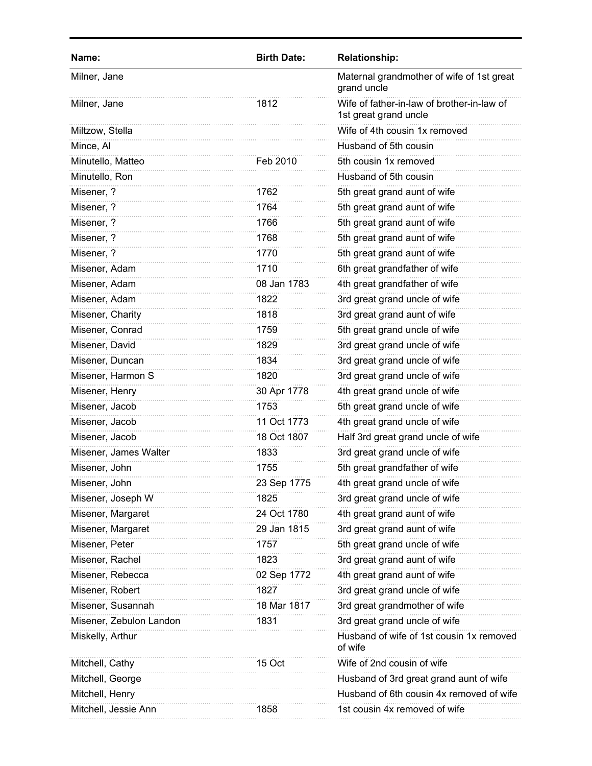| Name:                   | <b>Birth Date:</b> | <b>Relationship:</b>                                                |
|-------------------------|--------------------|---------------------------------------------------------------------|
| Milner, Jane            |                    | Maternal grandmother of wife of 1st great<br>grand uncle            |
| Milner, Jane            | 1812               | Wife of father-in-law of brother-in-law of<br>1st great grand uncle |
| Miltzow, Stella         |                    | Wife of 4th cousin 1x removed                                       |
| Mince, Al               |                    | Husband of 5th cousin                                               |
| Minutello, Matteo       | Feb 2010           | 5th cousin 1x removed                                               |
| Minutello, Ron          |                    | Husband of 5th cousin                                               |
| Misener, ?              | 1762               | 5th great grand aunt of wife                                        |
| Misener, ?              | 1764               | 5th great grand aunt of wife                                        |
| Misener, ?              | 1766               | 5th great grand aunt of wife                                        |
| Misener, ?              | 1768               | 5th great grand aunt of wife                                        |
| Misener, ?              | 1770               | 5th great grand aunt of wife                                        |
| Misener, Adam           | 1710               | 6th great grandfather of wife                                       |
| Misener, Adam           | 08 Jan 1783        | 4th great grandfather of wife                                       |
| Misener, Adam           | 1822               | 3rd great grand uncle of wife                                       |
| Misener, Charity        | 1818               | 3rd great grand aunt of wife                                        |
| Misener, Conrad         | 1759               | 5th great grand uncle of wife                                       |
| Misener, David          | 1829               | 3rd great grand uncle of wife                                       |
| Misener, Duncan         | 1834               | 3rd great grand uncle of wife                                       |
| Misener, Harmon S       | 1820               | 3rd great grand uncle of wife                                       |
| Misener, Henry          | 30 Apr 1778        | 4th great grand uncle of wife                                       |
| Misener, Jacob          | 1753               | 5th great grand uncle of wife                                       |
| Misener, Jacob          | 11 Oct 1773        | 4th great grand uncle of wife                                       |
| Misener, Jacob          | 18 Oct 1807        | Half 3rd great grand uncle of wife                                  |
| Misener, James Walter   | 1833               | 3rd great grand uncle of wife                                       |
| Misener, John           | 1755               | 5th great grandfather of wife                                       |
| Misener, John           | 23 Sep 1775        | 4th great grand uncle of wife                                       |
| Misener, Joseph W       | 1825               | 3rd great grand uncle of wife                                       |
| Misener, Margaret       | 24 Oct 1780        | 4th great grand aunt of wife                                        |
| Misener, Margaret       | 29 Jan 1815        | 3rd great grand aunt of wife                                        |
| Misener, Peter          | 1757               | 5th great grand uncle of wife                                       |
| Misener, Rachel         | 1823               | 3rd great grand aunt of wife                                        |
| Misener, Rebecca        | 02 Sep 1772        | 4th great grand aunt of wife                                        |
| Misener, Robert         | 1827               | 3rd great grand uncle of wife                                       |
| Misener, Susannah       | 18 Mar 1817        | 3rd great grandmother of wife                                       |
| Misener, Zebulon Landon | 1831               | 3rd great grand uncle of wife                                       |
| Miskelly, Arthur        |                    | Husband of wife of 1st cousin 1x removed<br>of wife                 |
| Mitchell, Cathy         | 15 Oct             | Wife of 2nd cousin of wife                                          |
| Mitchell, George        |                    | Husband of 3rd great grand aunt of wife                             |
| Mitchell, Henry         |                    | Husband of 6th cousin 4x removed of wife                            |
| Mitchell, Jessie Ann    | 1858               | 1st cousin 4x removed of wife                                       |
|                         |                    |                                                                     |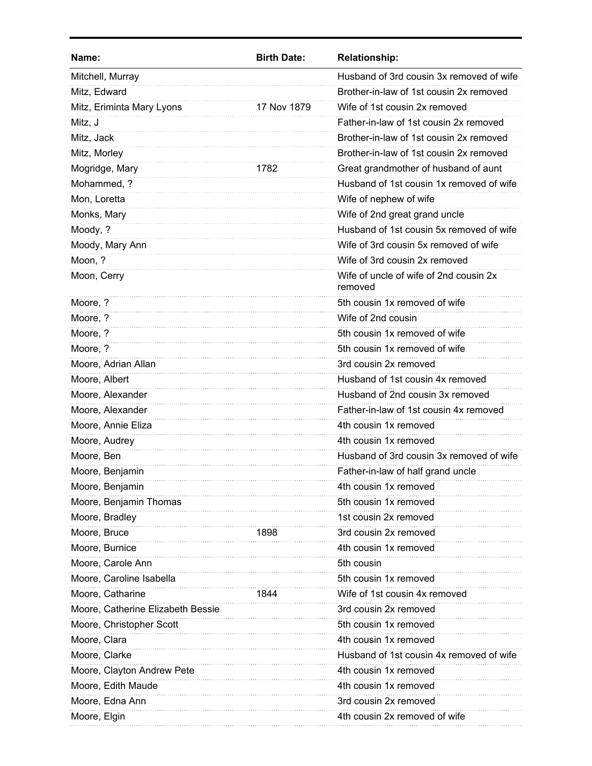| Name:                             | <b>Birth Date:</b> | <b>Relationship:</b>                              |
|-----------------------------------|--------------------|---------------------------------------------------|
| Mitchell, Murray                  |                    | Husband of 3rd cousin 3x removed of wife          |
| Mitz, Edward                      |                    | Brother-in-law of 1st cousin 2x removed           |
| Mitz, Eriminta Mary Lyons         | 17 Nov 1879        | Wife of 1st cousin 2x removed                     |
| Mitz, J                           |                    | Father-in-law of 1st cousin 2x removed            |
| Mitz, Jack                        |                    | Brother-in-law of 1st cousin 2x removed           |
| Mitz, Morley                      |                    | Brother-in-law of 1st cousin 2x removed           |
| Mogridge, Mary                    | 1782               | Great grandmother of husband of aunt              |
| Mohammed, ?                       |                    | Husband of 1st cousin 1x removed of wife          |
| Mon, Loretta                      |                    | Wife of nephew of wife                            |
| Monks, Mary                       |                    | Wife of 2nd great grand uncle                     |
| Moody, ?                          |                    | Husband of 1st cousin 5x removed of wife          |
| Moody, Mary Ann                   |                    | Wife of 3rd cousin 5x removed of wife             |
| Moon, ?                           |                    | Wife of 3rd cousin 2x removed                     |
| Moon, Cerry                       |                    | Wife of uncle of wife of 2nd cousin 2x<br>removed |
| Moore, ?                          |                    | 5th cousin 1x removed of wife                     |
| Moore, ?                          |                    | Wife of 2nd cousin                                |
| Moore, ?                          |                    | 5th cousin 1x removed of wife                     |
| Moore, ?                          |                    | 5th cousin 1x removed of wife                     |
| Moore, Adrian Allan               |                    | 3rd cousin 2x removed                             |
| Moore, Albert                     |                    | Husband of 1st cousin 4x removed                  |
| Moore, Alexander                  |                    | Husband of 2nd cousin 3x removed                  |
| Moore, Alexander                  |                    | Father-in-law of 1st cousin 4x removed            |
| Moore, Annie Eliza                |                    | 4th cousin 1x removed                             |
| Moore, Audrey                     |                    | 4th cousin 1x removed                             |
| Moore, Ben                        |                    | Husband of 3rd cousin 3x removed of wife          |
| Moore, Benjamin                   |                    | Father-in-law of half grand uncle                 |
| Moore, Benjamin                   |                    | 4th cousin 1x removed                             |
| Moore, Benjamin Thomas            |                    | 5th cousin 1x removed                             |
| Moore, Bradley                    |                    | 1st cousin 2x removed                             |
| Moore, Bruce                      | 1898               | 3rd cousin 2x removed                             |
| Moore, Burnice                    |                    | 4th cousin 1x removed                             |
| Moore, Carole Ann                 |                    | 5th cousin                                        |
| Moore, Caroline Isabella          |                    | 5th cousin 1x removed                             |
| Moore, Catharine                  | 1844               | Wife of 1st cousin 4x removed                     |
| Moore, Catherine Elizabeth Bessie |                    | 3rd cousin 2x removed                             |
| Moore, Christopher Scott          |                    | 5th cousin 1x removed                             |
| Moore, Clara                      |                    | 4th cousin 1x removed                             |
| Moore, Clarke                     |                    | Husband of 1st cousin 4x removed of wife          |
| Moore, Clayton Andrew Pete        |                    | 4th cousin 1x removed                             |
| Moore, Edith Maude                |                    | 4th cousin 1x removed                             |
| Moore, Edna Ann                   |                    | 3rd cousin 2x removed                             |
| Moore, Elgin                      |                    | 4th cousin 2x removed of wife                     |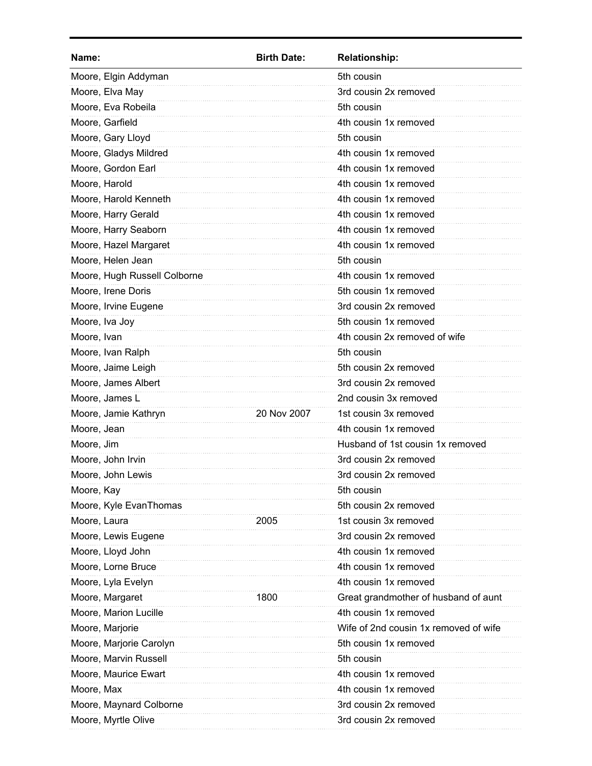| Name:                        | <b>Birth Date:</b> | <b>Relationship:</b>                  |
|------------------------------|--------------------|---------------------------------------|
| Moore, Elgin Addyman         |                    | 5th cousin                            |
| Moore, Elva May              |                    | 3rd cousin 2x removed                 |
| Moore, Eva Robeila           |                    | 5th cousin                            |
| Moore, Garfield              |                    | 4th cousin 1x removed                 |
| Moore, Gary Lloyd            |                    | 5th cousin                            |
| Moore, Gladys Mildred        |                    | 4th cousin 1x removed                 |
| Moore, Gordon Earl           |                    | 4th cousin 1x removed                 |
| Moore, Harold                |                    | 4th cousin 1x removed                 |
| Moore, Harold Kenneth        |                    | 4th cousin 1x removed                 |
| Moore, Harry Gerald          |                    | 4th cousin 1x removed                 |
| Moore, Harry Seaborn         |                    | 4th cousin 1x removed                 |
| Moore, Hazel Margaret        |                    | 4th cousin 1x removed                 |
| Moore, Helen Jean            |                    | 5th cousin                            |
| Moore, Hugh Russell Colborne |                    | 4th cousin 1x removed                 |
| Moore, Irene Doris           |                    | 5th cousin 1x removed                 |
| Moore, Irvine Eugene         |                    | 3rd cousin 2x removed                 |
| Moore, Iva Joy               |                    | 5th cousin 1x removed                 |
| Moore, Ivan                  |                    | 4th cousin 2x removed of wife         |
| Moore, Ivan Ralph            |                    | 5th cousin                            |
| Moore, Jaime Leigh           |                    | 5th cousin 2x removed                 |
| Moore, James Albert          |                    | 3rd cousin 2x removed                 |
| Moore, James L               |                    | 2nd cousin 3x removed                 |
| Moore, Jamie Kathryn         | 20 Nov 2007        | 1st cousin 3x removed                 |
| Moore, Jean                  |                    | 4th cousin 1x removed                 |
| Moore, Jim                   |                    | Husband of 1st cousin 1x removed      |
| Moore, John Irvin            |                    | 3rd cousin 2x removed                 |
| Moore, John Lewis            |                    | 3rd cousin 2x removed                 |
| Moore, Kay                   |                    | 5th cousin                            |
| Moore, Kyle EvanThomas       |                    | 5th cousin 2x removed                 |
| Moore, Laura                 | 2005               | 1st cousin 3x removed                 |
| Moore, Lewis Eugene          |                    | 3rd cousin 2x removed                 |
| Moore, Lloyd John            |                    | 4th cousin 1x removed                 |
| Moore, Lorne Bruce           |                    | 4th cousin 1x removed                 |
| Moore, Lyla Evelyn           |                    | 4th cousin 1x removed                 |
| Moore, Margaret              | 1800               | Great grandmother of husband of aunt  |
| Moore, Marion Lucille        |                    | 4th cousin 1x removed                 |
| Moore, Marjorie              |                    | Wife of 2nd cousin 1x removed of wife |
| Moore, Marjorie Carolyn      |                    | 5th cousin 1x removed                 |
| Moore, Marvin Russell        |                    | 5th cousin                            |
| Moore, Maurice Ewart         |                    | 4th cousin 1x removed                 |
| Moore, Max                   |                    | 4th cousin 1x removed                 |
| Moore, Maynard Colborne      |                    | 3rd cousin 2x removed                 |
| Moore, Myrtle Olive          |                    | 3rd cousin 2x removed                 |
|                              |                    |                                       |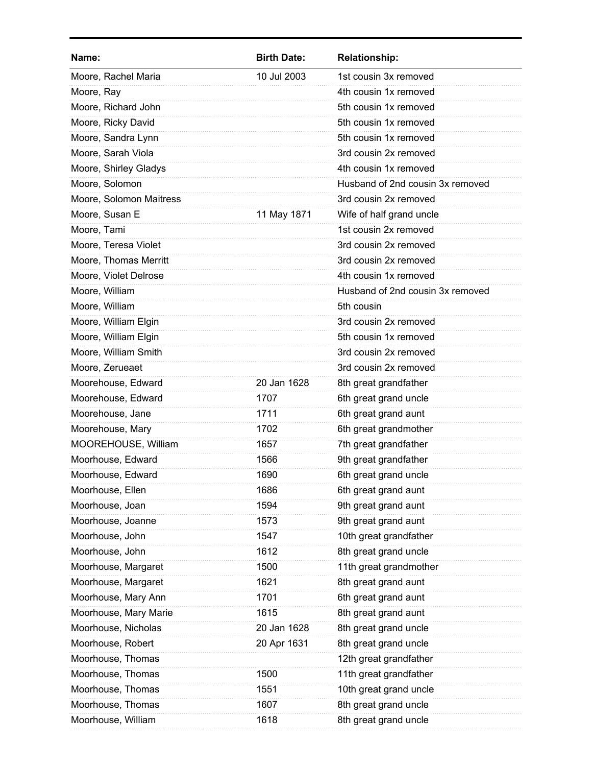| Name:                   | <b>Birth Date:</b> | <b>Relationship:</b>             |
|-------------------------|--------------------|----------------------------------|
| Moore, Rachel Maria     | 10 Jul 2003        | 1st cousin 3x removed            |
| Moore, Ray              |                    | 4th cousin 1x removed            |
| Moore, Richard John     |                    | 5th cousin 1x removed            |
| Moore, Ricky David      |                    | 5th cousin 1x removed            |
| Moore, Sandra Lynn      |                    | 5th cousin 1x removed            |
| Moore, Sarah Viola      |                    | 3rd cousin 2x removed            |
| Moore, Shirley Gladys   |                    | 4th cousin 1x removed            |
| Moore, Solomon          |                    | Husband of 2nd cousin 3x removed |
| Moore, Solomon Maitress |                    | 3rd cousin 2x removed            |
| Moore, Susan E          | 11 May 1871        | Wife of half grand uncle         |
| Moore, Tami             |                    | 1st cousin 2x removed            |
| Moore, Teresa Violet    |                    | 3rd cousin 2x removed            |
| Moore, Thomas Merritt   |                    | 3rd cousin 2x removed            |
| Moore, Violet Delrose   |                    | 4th cousin 1x removed            |
| Moore, William          |                    | Husband of 2nd cousin 3x removed |
| Moore, William          |                    | 5th cousin                       |
| Moore, William Elgin    |                    | 3rd cousin 2x removed            |
| Moore, William Elgin    |                    | 5th cousin 1x removed            |
| Moore, William Smith    |                    | 3rd cousin 2x removed            |
| Moore, Zerueaet         |                    | 3rd cousin 2x removed            |
| Moorehouse, Edward      | 20 Jan 1628        | 8th great grandfather            |
| Moorehouse, Edward      | 1707               | 6th great grand uncle            |
| Moorehouse, Jane        | 1711               | 6th great grand aunt             |
| Moorehouse, Mary        | 1702               | 6th great grandmother            |
| MOOREHOUSE, William     | 1657               | 7th great grandfather            |
| Moorhouse, Edward       | 1566               | 9th great grandfather            |
| Moorhouse, Edward       | 1690               | 6th great grand uncle            |
| Moorhouse, Ellen        | 1686               | 6th great grand aunt             |
| Moorhouse, Joan         | 1594               | 9th great grand aunt             |
| Moorhouse, Joanne       | 1573               | 9th great grand aunt             |
| Moorhouse, John         | 1547               | 10th great grandfather           |
| Moorhouse, John         | 1612               | 8th great grand uncle            |
| Moorhouse, Margaret     | 1500               | 11th great grandmother           |
| Moorhouse, Margaret     | 1621               | 8th great grand aunt             |
| Moorhouse, Mary Ann     | 1701               | 6th great grand aunt             |
| Moorhouse, Mary Marie   | 1615               | 8th great grand aunt             |
| Moorhouse, Nicholas     | 20 Jan 1628        | 8th great grand uncle            |
| Moorhouse, Robert       | 20 Apr 1631        | 8th great grand uncle            |
| Moorhouse, Thomas       |                    | 12th great grandfather           |
| Moorhouse, Thomas       | 1500               | 11th great grandfather           |
| Moorhouse, Thomas       | 1551               | 10th great grand uncle           |
| Moorhouse, Thomas       | 1607               | 8th great grand uncle            |
| Moorhouse, William      | 1618               | 8th great grand uncle            |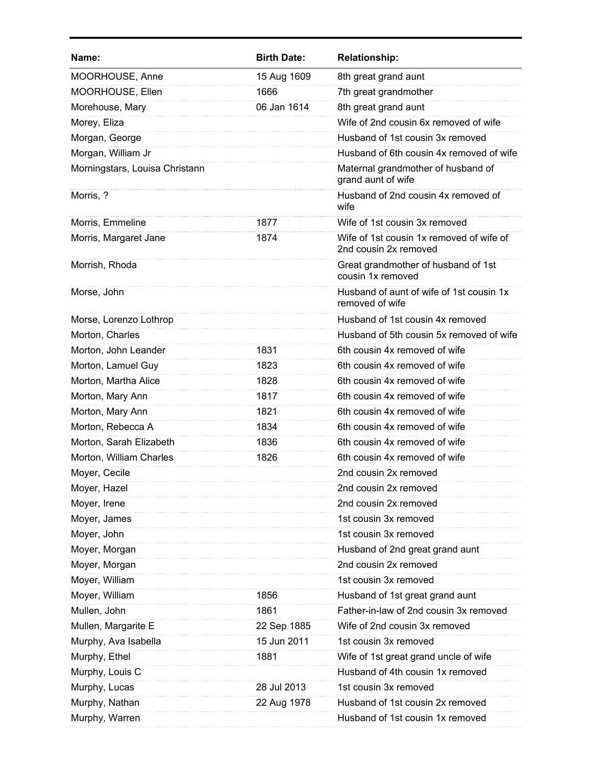| Name:                          | <b>Birth Date:</b> | <b>Relationship:</b>                                              |
|--------------------------------|--------------------|-------------------------------------------------------------------|
| MOORHOUSE, Anne                | 15 Aug 1609        | 8th great grand aunt                                              |
| MOORHOUSE, Ellen               | 1666               | 7th great grandmother                                             |
| Morehouse, Mary                | 06 Jan 1614        | 8th great grand aunt                                              |
| Morey, Eliza                   |                    | Wife of 2nd cousin 6x removed of wife                             |
| Morgan, George                 |                    | Husband of 1st cousin 3x removed                                  |
| Morgan, William Jr             |                    | Husband of 6th cousin 4x removed of wife                          |
| Morningstars, Louisa Christann |                    | Maternal grandmother of husband of<br>grand aunt of wife          |
| Morris, ?                      |                    | Husband of 2nd cousin 4x removed of<br>wife                       |
| Morris, Emmeline               | 1877               | Wife of 1st cousin 3x removed                                     |
| Morris, Margaret Jane          | 1874               | Wife of 1st cousin 1x removed of wife of<br>2nd cousin 2x removed |
| Morrish, Rhoda                 |                    | Great grandmother of husband of 1st<br>cousin 1x removed          |
| Morse, John                    |                    | Husband of aunt of wife of 1st cousin 1x<br>removed of wife       |
| Morse, Lorenzo Lothrop         |                    | Husband of 1st cousin 4x removed                                  |
| Morton, Charles                |                    | Husband of 5th cousin 5x removed of wife                          |
| Morton, John Leander           | 1831               | 6th cousin 4x removed of wife                                     |
| Morton, Lamuel Guy             | 1823               | 6th cousin 4x removed of wife                                     |
| Morton, Martha Alice           | 1828               | 6th cousin 4x removed of wife                                     |
| Morton, Mary Ann               | 1817               | 6th cousin 4x removed of wife                                     |
| Morton, Mary Ann               | 1821               | 6th cousin 4x removed of wife                                     |
| Morton, Rebecca A              | 1834               | 6th cousin 4x removed of wife                                     |
| Morton, Sarah Elizabeth        | 1836               | 6th cousin 4x removed of wife                                     |
| Morton, William Charles        | 1826               | 6th cousin 4x removed of wife                                     |
| Moyer, Cecile                  |                    | 2nd cousin 2x removed                                             |
| Moyer, Hazel                   |                    | 2nd cousin 2x removed                                             |
| Moyer, Irene                   |                    | 2nd cousin 2x removed                                             |
| Moyer, James                   |                    | 1st cousin 3x removed                                             |
| Moyer, John                    |                    | 1st cousin 3x removed                                             |
| Moyer, Morgan                  |                    | Husband of 2nd great grand aunt                                   |
| Moyer, Morgan                  |                    | 2nd cousin 2x removed                                             |
| Moyer, William                 |                    | 1st cousin 3x removed                                             |
| Moyer, William                 | 1856               | Husband of 1st great grand aunt                                   |
| Mullen, John                   | 1861               | Father-in-law of 2nd cousin 3x removed                            |
| Mullen, Margarite E            | 22 Sep 1885        | Wife of 2nd cousin 3x removed                                     |
| Murphy, Ava Isabella           | 15 Jun 2011        | 1st cousin 3x removed                                             |
| Murphy, Ethel                  | 1881               | Wife of 1st great grand uncle of wife                             |
| Murphy, Louis C                |                    | Husband of 4th cousin 1x removed                                  |
| Murphy, Lucas                  | 28 Jul 2013        | 1st cousin 3x removed                                             |
| Murphy, Nathan                 | 22 Aug 1978        | Husband of 1st cousin 2x removed                                  |
| Murphy, Warren                 |                    | Husband of 1st cousin 1x removed                                  |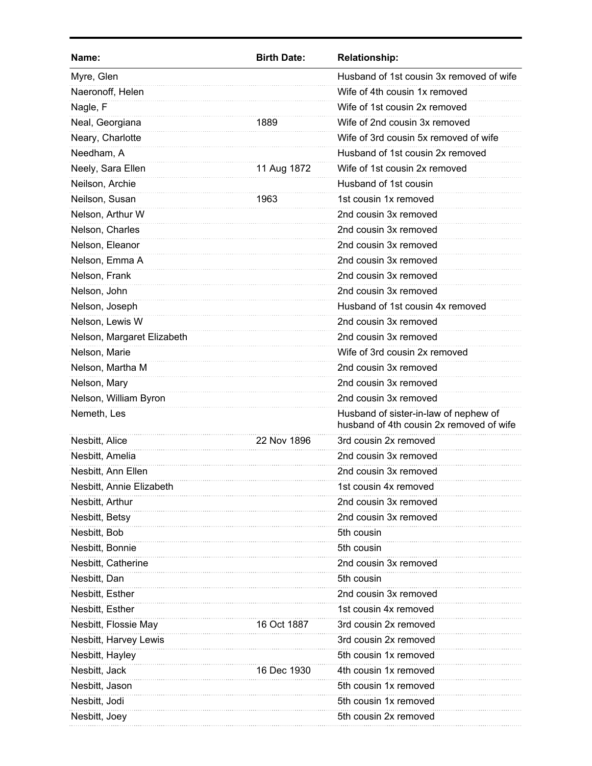| Name:                      | <b>Birth Date:</b> | <b>Relationship:</b>                                                              |
|----------------------------|--------------------|-----------------------------------------------------------------------------------|
| Myre, Glen                 |                    | Husband of 1st cousin 3x removed of wife                                          |
| Naeronoff, Helen           |                    | Wife of 4th cousin 1x removed                                                     |
| Nagle, F                   |                    | Wife of 1st cousin 2x removed                                                     |
| Neal, Georgiana            | 1889               | Wife of 2nd cousin 3x removed                                                     |
| Neary, Charlotte           |                    | Wife of 3rd cousin 5x removed of wife                                             |
| Needham, A                 |                    | Husband of 1st cousin 2x removed                                                  |
| Neely, Sara Ellen          | 11 Aug 1872        | Wife of 1st cousin 2x removed                                                     |
| Neilson, Archie            |                    | Husband of 1st cousin                                                             |
| Neilson, Susan             | 1963               | 1st cousin 1x removed                                                             |
| Nelson, Arthur W           |                    | 2nd cousin 3x removed                                                             |
| Nelson, Charles            |                    | 2nd cousin 3x removed                                                             |
| Nelson, Eleanor            |                    | 2nd cousin 3x removed                                                             |
| Nelson, Emma A             |                    | 2nd cousin 3x removed                                                             |
| Nelson, Frank              |                    | 2nd cousin 3x removed                                                             |
| Nelson, John               |                    | 2nd cousin 3x removed                                                             |
| Nelson, Joseph             |                    | Husband of 1st cousin 4x removed                                                  |
| Nelson, Lewis W            |                    | 2nd cousin 3x removed                                                             |
| Nelson, Margaret Elizabeth |                    | 2nd cousin 3x removed                                                             |
| Nelson, Marie              |                    | Wife of 3rd cousin 2x removed                                                     |
| Nelson, Martha M           |                    | 2nd cousin 3x removed                                                             |
| Nelson, Mary               |                    | 2nd cousin 3x removed                                                             |
| Nelson, William Byron      |                    | 2nd cousin 3x removed                                                             |
| Nemeth, Les                |                    | Husband of sister-in-law of nephew of<br>husband of 4th cousin 2x removed of wife |
| Nesbitt, Alice             | 22 Nov 1896        | 3rd cousin 2x removed                                                             |
| Nesbitt, Amelia            |                    | 2nd cousin 3x removed                                                             |
| Nesbitt, Ann Ellen         |                    | 2nd cousin 3x removed                                                             |
| Nesbitt, Annie Elizabeth   |                    | 1st cousin 4x removed                                                             |
| Nesbitt, Arthur            |                    | 2nd cousin 3x removed                                                             |
| Nesbitt, Betsy             |                    | 2nd cousin 3x removed                                                             |
| Nesbitt, Bob               |                    | 5th cousin                                                                        |
| Nesbitt, Bonnie            |                    | 5th cousin                                                                        |
| Nesbitt, Catherine         |                    | 2nd cousin 3x removed                                                             |
| Nesbitt, Dan               |                    | 5th cousin                                                                        |
| Nesbitt, Esther            |                    | 2nd cousin 3x removed                                                             |
| Nesbitt, Esther            |                    | 1st cousin 4x removed                                                             |
| Nesbitt, Flossie May       | 16 Oct 1887        | 3rd cousin 2x removed                                                             |
| Nesbitt, Harvey Lewis      |                    | 3rd cousin 2x removed                                                             |
| Nesbitt, Hayley            |                    | 5th cousin 1x removed                                                             |
| Nesbitt, Jack              | 16 Dec 1930        | 4th cousin 1x removed                                                             |
| Nesbitt, Jason             |                    | 5th cousin 1x removed                                                             |
| Nesbitt, Jodi              |                    | 5th cousin 1x removed                                                             |
| Nesbitt, Joey              |                    | 5th cousin 2x removed                                                             |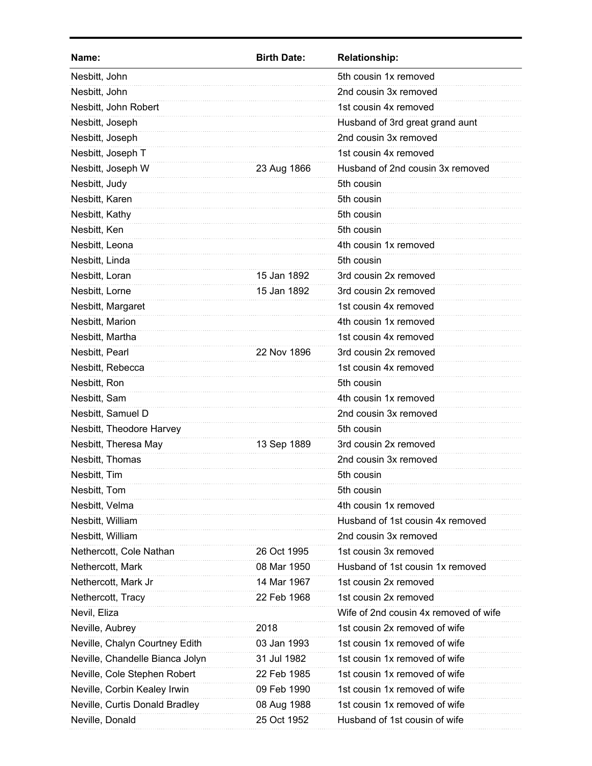| Name:                           | <b>Birth Date:</b> | <b>Relationship:</b>                  |
|---------------------------------|--------------------|---------------------------------------|
| Nesbitt, John                   |                    | 5th cousin 1x removed                 |
| Nesbitt, John                   |                    | 2nd cousin 3x removed                 |
| Nesbitt, John Robert            |                    | 1st cousin 4x removed                 |
| Nesbitt, Joseph                 |                    | Husband of 3rd great grand aunt       |
| Nesbitt, Joseph                 |                    | 2nd cousin 3x removed                 |
| Nesbitt, Joseph T               |                    | 1st cousin 4x removed                 |
| Nesbitt, Joseph W               | 23 Aug 1866        | Husband of 2nd cousin 3x removed      |
| Nesbitt, Judy                   |                    | 5th cousin                            |
| Nesbitt, Karen                  |                    | 5th cousin                            |
| Nesbitt, Kathy                  |                    | 5th cousin                            |
| Nesbitt, Ken                    |                    | 5th cousin                            |
| Nesbitt, Leona                  |                    | 4th cousin 1x removed                 |
| Nesbitt, Linda                  |                    | 5th cousin                            |
| Nesbitt, Loran                  | 15 Jan 1892        | 3rd cousin 2x removed                 |
| Nesbitt, Lorne                  | 15 Jan 1892        | 3rd cousin 2x removed                 |
| Nesbitt, Margaret               |                    | 1st cousin 4x removed                 |
| Nesbitt, Marion                 |                    | 4th cousin 1x removed                 |
| Nesbitt, Martha                 |                    | 1st cousin 4x removed                 |
| Nesbitt, Pearl                  | 22 Nov 1896        | 3rd cousin 2x removed                 |
| Nesbitt, Rebecca                |                    | 1st cousin 4x removed                 |
| Nesbitt, Ron                    |                    | 5th cousin                            |
| Nesbitt, Sam                    |                    | 4th cousin 1x removed                 |
| Nesbitt, Samuel D               |                    | 2nd cousin 3x removed                 |
| Nesbitt, Theodore Harvey        |                    | 5th cousin                            |
| Nesbitt, Theresa May            | 13 Sep 1889        | 3rd cousin 2x removed                 |
| Nesbitt, Thomas                 |                    | 2nd cousin 3x removed                 |
| Nesbitt, Tim                    |                    | 5th cousin                            |
| Nesbitt, Tom                    |                    | 5th cousin                            |
| Nesbitt, Velma                  |                    | 4th cousin 1x removed                 |
| Nesbitt, William                |                    | Husband of 1st cousin 4x removed      |
| Nesbitt, William                |                    | 2nd cousin 3x removed                 |
| Nethercott, Cole Nathan         | 26 Oct 1995        | 1st cousin 3x removed                 |
| Nethercott, Mark                | 08 Mar 1950        | Husband of 1st cousin 1x removed      |
| Nethercott, Mark Jr             | 14 Mar 1967        | 1st cousin 2x removed                 |
| Nethercott, Tracy               | 22 Feb 1968        | 1st cousin 2x removed                 |
| Nevil, Eliza                    |                    | Wife of 2nd cousin 4x removed of wife |
| Neville, Aubrey                 | 2018               | 1st cousin 2x removed of wife         |
| Neville, Chalyn Courtney Edith  | 03 Jan 1993        | 1st cousin 1x removed of wife         |
| Neville, Chandelle Bianca Jolyn | 31 Jul 1982        | 1st cousin 1x removed of wife         |
| Neville, Cole Stephen Robert    | 22 Feb 1985        | 1st cousin 1x removed of wife         |
| Neville, Corbin Kealey Irwin    | 09 Feb 1990        | 1st cousin 1x removed of wife         |
| Neville, Curtis Donald Bradley  | 08 Aug 1988        | 1st cousin 1x removed of wife         |
| Neville, Donald                 | 25 Oct 1952        | Husband of 1st cousin of wife         |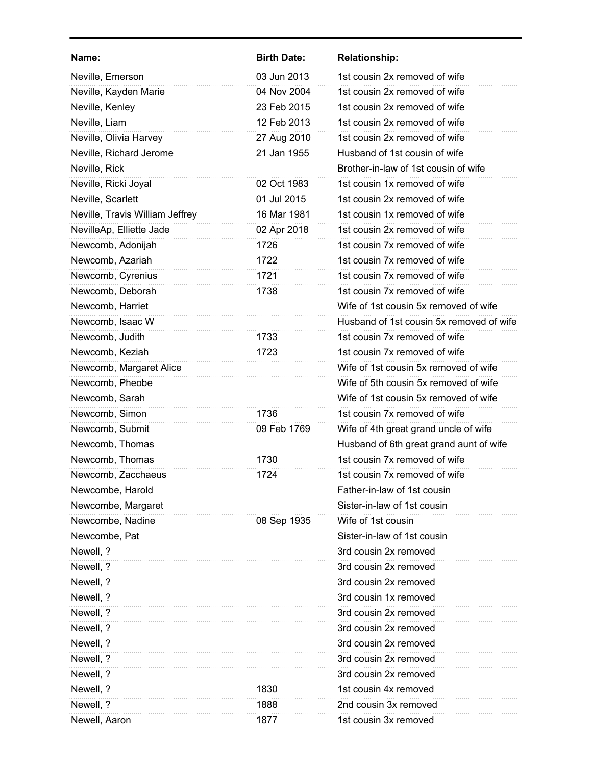| Name:                           | <b>Birth Date:</b> | <b>Relationship:</b>                     |
|---------------------------------|--------------------|------------------------------------------|
| Neville, Emerson                | 03 Jun 2013        | 1st cousin 2x removed of wife            |
| Neville, Kayden Marie           | 04 Nov 2004        | 1st cousin 2x removed of wife            |
| Neville, Kenley                 | 23 Feb 2015        | 1st cousin 2x removed of wife            |
| Neville, Liam                   | 12 Feb 2013        | 1st cousin 2x removed of wife            |
| Neville, Olivia Harvey          | 27 Aug 2010        | 1st cousin 2x removed of wife            |
| Neville, Richard Jerome         | 21 Jan 1955        | Husband of 1st cousin of wife            |
| Neville, Rick                   |                    | Brother-in-law of 1st cousin of wife     |
| Neville, Ricki Joyal            | 02 Oct 1983        | 1st cousin 1x removed of wife            |
| Neville, Scarlett               | 01 Jul 2015        | 1st cousin 2x removed of wife            |
| Neville, Travis William Jeffrey | 16 Mar 1981        | 1st cousin 1x removed of wife            |
| NevilleAp, Elliette Jade        | 02 Apr 2018        | 1st cousin 2x removed of wife            |
| Newcomb, Adonijah               | 1726               | 1st cousin 7x removed of wife            |
| Newcomb, Azariah                | 1722               | 1st cousin 7x removed of wife            |
| Newcomb, Cyrenius               | 1721               | 1st cousin 7x removed of wife            |
| Newcomb, Deborah                | 1738               | 1st cousin 7x removed of wife            |
| Newcomb, Harriet                |                    | Wife of 1st cousin 5x removed of wife    |
| Newcomb, Isaac W                |                    | Husband of 1st cousin 5x removed of wife |
| Newcomb, Judith                 | 1733               | 1st cousin 7x removed of wife            |
| Newcomb, Keziah                 | 1723               | 1st cousin 7x removed of wife            |
| Newcomb, Margaret Alice         |                    | Wife of 1st cousin 5x removed of wife    |
| Newcomb, Pheobe                 |                    | Wife of 5th cousin 5x removed of wife    |
| Newcomb, Sarah                  |                    | Wife of 1st cousin 5x removed of wife    |
| Newcomb, Simon                  | 1736               | 1st cousin 7x removed of wife            |
| Newcomb, Submit                 | 09 Feb 1769        | Wife of 4th great grand uncle of wife    |
| Newcomb, Thomas                 |                    | Husband of 6th great grand aunt of wife  |
| Newcomb, Thomas                 | 1730               | 1st cousin 7x removed of wife            |
| Newcomb, Zacchaeus              | 1724               | 1st cousin 7x removed of wife            |
| Newcombe, Harold                |                    | Father-in-law of 1st cousin              |
| Newcombe, Margaret              |                    | Sister-in-law of 1st cousin              |
| Newcombe, Nadine                | 08 Sep 1935        | Wife of 1st cousin                       |
| Newcombe, Pat                   |                    | Sister-in-law of 1st cousin              |
| Newell, ?                       |                    | 3rd cousin 2x removed                    |
| Newell, ?                       |                    | 3rd cousin 2x removed                    |
| Newell, ?                       |                    | 3rd cousin 2x removed                    |
| Newell, ?                       |                    | 3rd cousin 1x removed                    |
| Newell, ?                       |                    | 3rd cousin 2x removed                    |
| Newell, ?                       |                    | 3rd cousin 2x removed                    |
| Newell, ?                       |                    | 3rd cousin 2x removed                    |
| Newell, ?                       |                    | 3rd cousin 2x removed                    |
| Newell, ?                       |                    | 3rd cousin 2x removed                    |
| Newell, ?                       | 1830               | 1st cousin 4x removed                    |
| Newell, ?                       | 1888               | 2nd cousin 3x removed                    |
| Newell, Aaron                   | 1877               | 1st cousin 3x removed                    |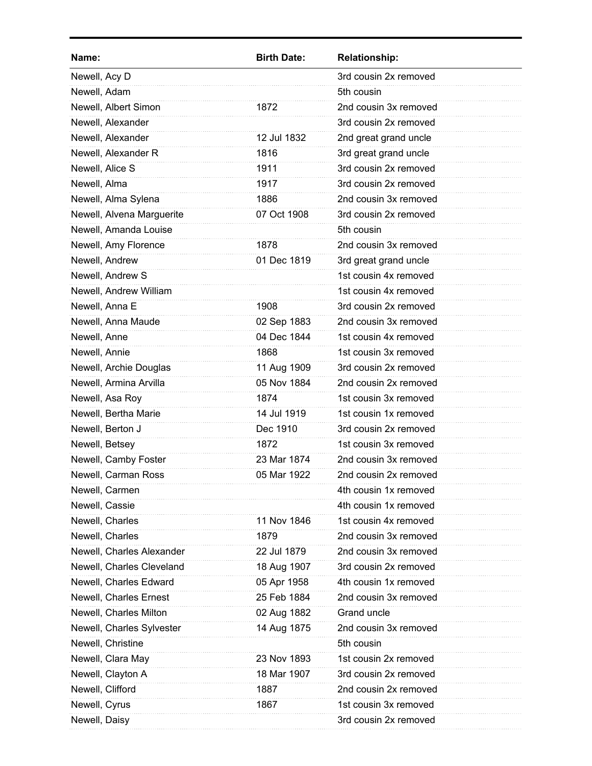| Name:                     | <b>Birth Date:</b> | <b>Relationship:</b>  |
|---------------------------|--------------------|-----------------------|
| Newell, Acy D             |                    | 3rd cousin 2x removed |
| Newell, Adam              |                    | 5th cousin            |
| Newell, Albert Simon      | 1872               | 2nd cousin 3x removed |
| Newell, Alexander         |                    | 3rd cousin 2x removed |
| Newell, Alexander         | 12 Jul 1832        | 2nd great grand uncle |
| Newell, Alexander R       | 1816               | 3rd great grand uncle |
| Newell, Alice S           | 1911               | 3rd cousin 2x removed |
| Newell, Alma              | 1917               | 3rd cousin 2x removed |
| Newell, Alma Sylena       | 1886               | 2nd cousin 3x removed |
| Newell, Alvena Marguerite | 07 Oct 1908        | 3rd cousin 2x removed |
| Newell, Amanda Louise     |                    | 5th cousin            |
| Newell, Amy Florence      | 1878               | 2nd cousin 3x removed |
| Newell, Andrew            | 01 Dec 1819        | 3rd great grand uncle |
| Newell, Andrew S          |                    | 1st cousin 4x removed |
| Newell, Andrew William    |                    | 1st cousin 4x removed |
| Newell, Anna E            | 1908               | 3rd cousin 2x removed |
| Newell, Anna Maude        | 02 Sep 1883        | 2nd cousin 3x removed |
| Newell, Anne              | 04 Dec 1844        | 1st cousin 4x removed |
| Newell, Annie             | 1868               | 1st cousin 3x removed |
| Newell, Archie Douglas    | 11 Aug 1909        | 3rd cousin 2x removed |
| Newell, Armina Arvilla    | 05 Nov 1884        | 2nd cousin 2x removed |
| Newell, Asa Roy           | 1874               | 1st cousin 3x removed |
| Newell, Bertha Marie      | 14 Jul 1919        | 1st cousin 1x removed |
| Newell, Berton J          | Dec 1910           | 3rd cousin 2x removed |
| Newell, Betsey            | 1872               | 1st cousin 3x removed |
| Newell, Camby Foster      | 23 Mar 1874        | 2nd cousin 3x removed |
| Newell, Carman Ross       | 05 Mar 1922        | 2nd cousin 2x removed |
| Newell, Carmen            |                    | 4th cousin 1x removed |
| Newell, Cassie            |                    | 4th cousin 1x removed |
| Newell, Charles           | 11 Nov 1846        | 1st cousin 4x removed |
| Newell, Charles           | 1879               | 2nd cousin 3x removed |
| Newell, Charles Alexander | 22 Jul 1879        | 2nd cousin 3x removed |
| Newell, Charles Cleveland | 18 Aug 1907        | 3rd cousin 2x removed |
| Newell, Charles Edward    | 05 Apr 1958        | 4th cousin 1x removed |
| Newell, Charles Ernest    | 25 Feb 1884        | 2nd cousin 3x removed |
| Newell, Charles Milton    | 02 Aug 1882        | Grand uncle           |
| Newell, Charles Sylvester | 14 Aug 1875        | 2nd cousin 3x removed |
| Newell, Christine         |                    | 5th cousin            |
| Newell, Clara May         | 23 Nov 1893        | 1st cousin 2x removed |
| Newell, Clayton A         | 18 Mar 1907        | 3rd cousin 2x removed |
| Newell, Clifford          | 1887               | 2nd cousin 2x removed |
| Newell, Cyrus             | 1867               | 1st cousin 3x removed |
| Newell, Daisy             |                    | 3rd cousin 2x removed |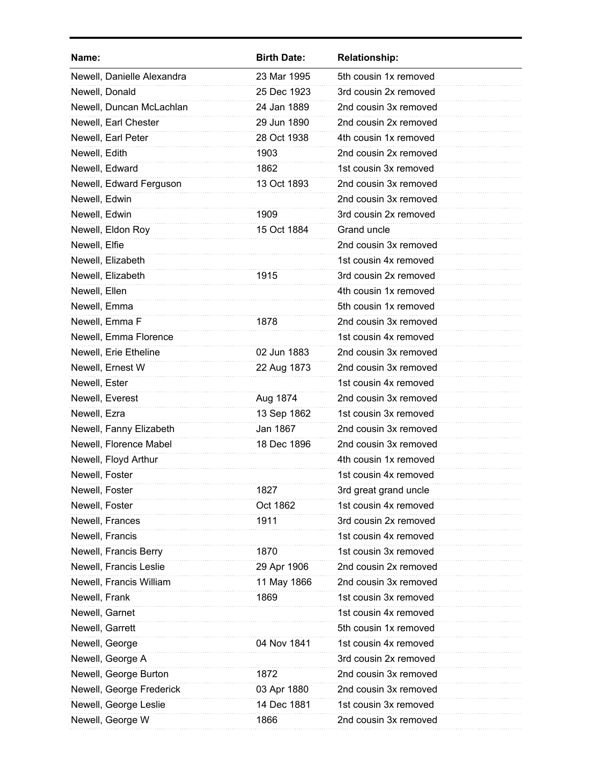| Name:                      | <b>Birth Date:</b> | <b>Relationship:</b>  |
|----------------------------|--------------------|-----------------------|
| Newell, Danielle Alexandra | 23 Mar 1995        | 5th cousin 1x removed |
| Newell, Donald             | 25 Dec 1923        | 3rd cousin 2x removed |
| Newell, Duncan McLachlan   | 24 Jan 1889        | 2nd cousin 3x removed |
| Newell, Earl Chester       | 29 Jun 1890        | 2nd cousin 2x removed |
| Newell, Earl Peter         | 28 Oct 1938        | 4th cousin 1x removed |
| Newell, Edith              | 1903               | 2nd cousin 2x removed |
| Newell, Edward             | 1862               | 1st cousin 3x removed |
| Newell, Edward Ferguson    | 13 Oct 1893        | 2nd cousin 3x removed |
| Newell, Edwin              |                    | 2nd cousin 3x removed |
| Newell, Edwin              | 1909               | 3rd cousin 2x removed |
| Newell, Eldon Roy          | 15 Oct 1884        | Grand uncle           |
| Newell, Elfie              |                    | 2nd cousin 3x removed |
| Newell, Elizabeth          |                    | 1st cousin 4x removed |
| Newell, Elizabeth          | 1915               | 3rd cousin 2x removed |
| Newell, Ellen              |                    | 4th cousin 1x removed |
| Newell, Emma               |                    | 5th cousin 1x removed |
| Newell, Emma F             | 1878               | 2nd cousin 3x removed |
| Newell, Emma Florence      |                    | 1st cousin 4x removed |
| Newell, Erie Etheline      | 02 Jun 1883        | 2nd cousin 3x removed |
| Newell, Ernest W           | 22 Aug 1873        | 2nd cousin 3x removed |
| Newell, Ester              |                    | 1st cousin 4x removed |
| Newell, Everest            | Aug 1874           | 2nd cousin 3x removed |
| Newell, Ezra               | 13 Sep 1862        | 1st cousin 3x removed |
| Newell, Fanny Elizabeth    | Jan 1867           | 2nd cousin 3x removed |
| Newell, Florence Mabel     | 18 Dec 1896        | 2nd cousin 3x removed |
| Newell, Floyd Arthur       |                    | 4th cousin 1x removed |
| Newell, Foster             |                    | 1st cousin 4x removed |
| Newell, Foster             | 1827               | 3rd great grand uncle |
| Newell, Foster             | Oct 1862           | 1st cousin 4x removed |
| Newell, Frances            | 1911               | 3rd cousin 2x removed |
| Newell, Francis            |                    | 1st cousin 4x removed |
| Newell, Francis Berry      | 1870               | 1st cousin 3x removed |
| Newell, Francis Leslie     | 29 Apr 1906        | 2nd cousin 2x removed |
| Newell, Francis William    | 11 May 1866        | 2nd cousin 3x removed |
| Newell, Frank              | 1869               | 1st cousin 3x removed |
| Newell, Garnet             |                    | 1st cousin 4x removed |
| Newell, Garrett            |                    | 5th cousin 1x removed |
| Newell, George             | 04 Nov 1841        | 1st cousin 4x removed |
| Newell, George A           |                    | 3rd cousin 2x removed |
| Newell, George Burton      | 1872               | 2nd cousin 3x removed |
| Newell, George Frederick   | 03 Apr 1880        | 2nd cousin 3x removed |
| Newell, George Leslie      | 14 Dec 1881        | 1st cousin 3x removed |
| Newell, George W           | 1866               | 2nd cousin 3x removed |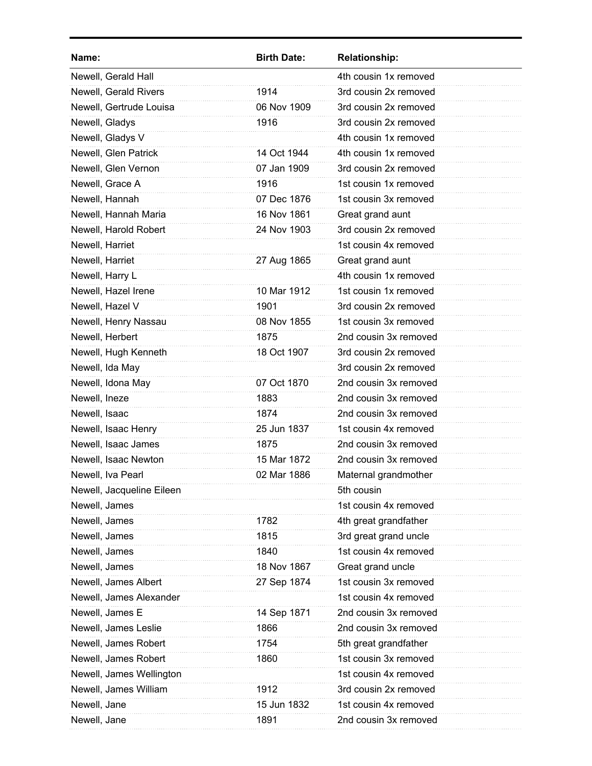| Name:                     | <b>Birth Date:</b> | <b>Relationship:</b>  |
|---------------------------|--------------------|-----------------------|
| Newell, Gerald Hall       |                    | 4th cousin 1x removed |
| Newell, Gerald Rivers     | 1914               | 3rd cousin 2x removed |
| Newell, Gertrude Louisa   | 06 Nov 1909        | 3rd cousin 2x removed |
| Newell, Gladys            | 1916               | 3rd cousin 2x removed |
| Newell, Gladys V          |                    | 4th cousin 1x removed |
| Newell, Glen Patrick      | 14 Oct 1944        | 4th cousin 1x removed |
| Newell, Glen Vernon       | 07 Jan 1909        | 3rd cousin 2x removed |
| Newell, Grace A           | 1916               | 1st cousin 1x removed |
| Newell, Hannah            | 07 Dec 1876        | 1st cousin 3x removed |
| Newell, Hannah Maria      | 16 Nov 1861        | Great grand aunt      |
| Newell, Harold Robert     | 24 Nov 1903        | 3rd cousin 2x removed |
| Newell, Harriet           |                    | 1st cousin 4x removed |
| Newell, Harriet           | 27 Aug 1865        | Great grand aunt      |
| Newell, Harry L           |                    | 4th cousin 1x removed |
| Newell, Hazel Irene       | 10 Mar 1912        | 1st cousin 1x removed |
| Newell, Hazel V           | 1901               | 3rd cousin 2x removed |
| Newell, Henry Nassau      | 08 Nov 1855        | 1st cousin 3x removed |
| Newell, Herbert           | 1875               | 2nd cousin 3x removed |
| Newell, Hugh Kenneth      | 18 Oct 1907        | 3rd cousin 2x removed |
| Newell, Ida May           |                    | 3rd cousin 2x removed |
| Newell, Idona May         | 07 Oct 1870        | 2nd cousin 3x removed |
| Newell, Ineze             | 1883               | 2nd cousin 3x removed |
| Newell, Isaac             | 1874               | 2nd cousin 3x removed |
| Newell, Isaac Henry       | 25 Jun 1837        | 1st cousin 4x removed |
| Newell, Isaac James       | 1875               | 2nd cousin 3x removed |
| Newell, Isaac Newton      | 15 Mar 1872        | 2nd cousin 3x removed |
| Newell, Iva Pearl         | 02 Mar 1886        | Maternal grandmother  |
| Newell, Jacqueline Eileen |                    | 5th cousin            |
| Newell, James             |                    | 1st cousin 4x removed |
| Newell, James             | 1782               | 4th great grandfather |
| Newell, James             | 1815               | 3rd great grand uncle |
| Newell, James             | 1840               | 1st cousin 4x removed |
| Newell, James             | 18 Nov 1867        | Great grand uncle     |
| Newell, James Albert      | 27 Sep 1874        | 1st cousin 3x removed |
| Newell, James Alexander   |                    | 1st cousin 4x removed |
| Newell, James E           | 14 Sep 1871        | 2nd cousin 3x removed |
| Newell, James Leslie      | 1866               | 2nd cousin 3x removed |
| Newell, James Robert      | 1754               | 5th great grandfather |
| Newell, James Robert      | 1860               | 1st cousin 3x removed |
| Newell, James Wellington  |                    | 1st cousin 4x removed |
| Newell, James William     | 1912               | 3rd cousin 2x removed |
| Newell, Jane              | 15 Jun 1832        | 1st cousin 4x removed |
| Newell, Jane              | 1891               | 2nd cousin 3x removed |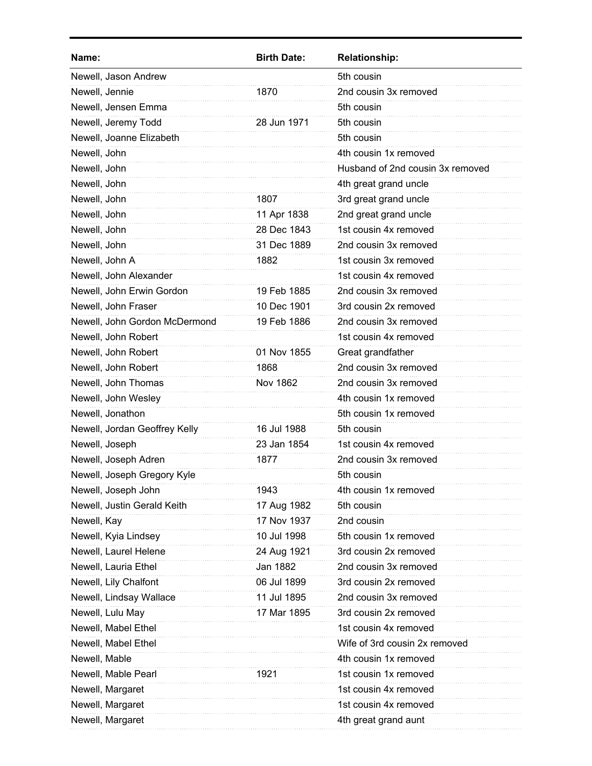| Name:                         | <b>Birth Date:</b> | <b>Relationship:</b>             |
|-------------------------------|--------------------|----------------------------------|
| Newell, Jason Andrew          |                    | 5th cousin                       |
| Newell, Jennie                | 1870               | 2nd cousin 3x removed            |
| Newell, Jensen Emma           |                    | 5th cousin                       |
| Newell, Jeremy Todd           | 28 Jun 1971        | 5th cousin                       |
| Newell, Joanne Elizabeth      |                    | 5th cousin                       |
| Newell, John                  |                    | 4th cousin 1x removed            |
| Newell, John                  |                    | Husband of 2nd cousin 3x removed |
| Newell, John                  |                    | 4th great grand uncle            |
| Newell, John                  | 1807               | 3rd great grand uncle            |
| Newell, John                  | 11 Apr 1838        | 2nd great grand uncle            |
| Newell, John                  | 28 Dec 1843        | 1st cousin 4x removed            |
| Newell, John                  | 31 Dec 1889        | 2nd cousin 3x removed            |
| Newell, John A                | 1882               | 1st cousin 3x removed            |
| Newell, John Alexander        |                    | 1st cousin 4x removed            |
| Newell, John Erwin Gordon     | 19 Feb 1885        | 2nd cousin 3x removed            |
| Newell, John Fraser           | 10 Dec 1901        | 3rd cousin 2x removed            |
| Newell, John Gordon McDermond | 19 Feb 1886        | 2nd cousin 3x removed            |
| Newell, John Robert           |                    | 1st cousin 4x removed            |
| Newell, John Robert           | 01 Nov 1855        | Great grandfather                |
| Newell, John Robert           | 1868               | 2nd cousin 3x removed            |
| Newell, John Thomas           | <b>Nov 1862</b>    | 2nd cousin 3x removed            |
| Newell, John Wesley           |                    | 4th cousin 1x removed            |
| Newell, Jonathon              |                    | 5th cousin 1x removed            |
| Newell, Jordan Geoffrey Kelly | 16 Jul 1988        | 5th cousin                       |
| Newell, Joseph                | 23 Jan 1854        | 1st cousin 4x removed            |
| Newell, Joseph Adren          | 1877               | 2nd cousin 3x removed            |
| Newell, Joseph Gregory Kyle   |                    | 5th cousin                       |
| Newell, Joseph John           | 1943               | 4th cousin 1x removed            |
| Newell, Justin Gerald Keith   | 17 Aug 1982        | 5th cousin                       |
| Newell, Kay                   | 17 Nov 1937        | 2nd cousin                       |
| Newell, Kyia Lindsey          | 10 Jul 1998        | 5th cousin 1x removed            |
| Newell, Laurel Helene         | 24 Aug 1921        | 3rd cousin 2x removed            |
| Newell, Lauria Ethel          | Jan 1882           | 2nd cousin 3x removed            |
| Newell, Lily Chalfont         | 06 Jul 1899        | 3rd cousin 2x removed            |
| Newell, Lindsay Wallace       | 11 Jul 1895        | 2nd cousin 3x removed            |
| Newell, Lulu May              | 17 Mar 1895        | 3rd cousin 2x removed            |
| Newell, Mabel Ethel           |                    | 1st cousin 4x removed            |
| Newell, Mabel Ethel           |                    | Wife of 3rd cousin 2x removed    |
| Newell, Mable                 |                    | 4th cousin 1x removed            |
| Newell, Mable Pearl           | 1921               | 1st cousin 1x removed            |
| Newell, Margaret              |                    | 1st cousin 4x removed            |
| Newell, Margaret              |                    | 1st cousin 4x removed            |
| Newell, Margaret              |                    | 4th great grand aunt             |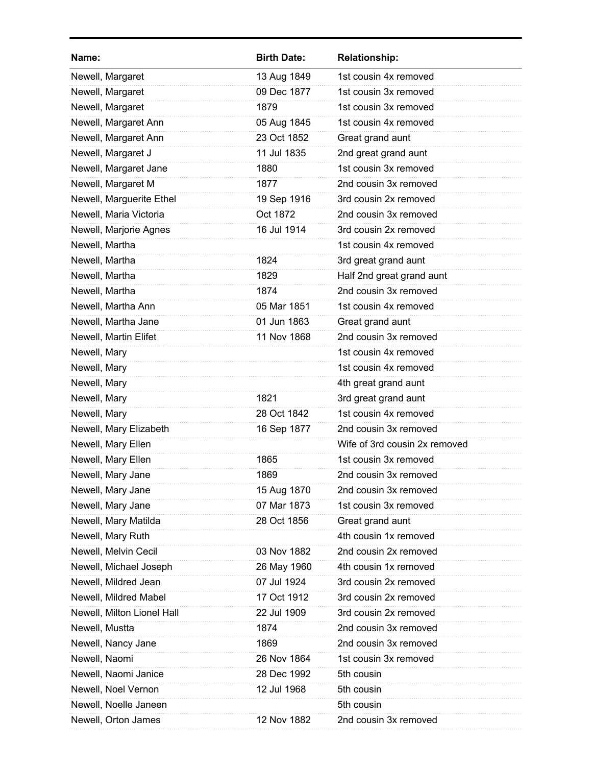| Name:                      | <b>Birth Date:</b> | <b>Relationship:</b>          |
|----------------------------|--------------------|-------------------------------|
| Newell, Margaret           | 13 Aug 1849        | 1st cousin 4x removed         |
| Newell, Margaret           | 09 Dec 1877        | 1st cousin 3x removed         |
| Newell, Margaret           | 1879               | 1st cousin 3x removed         |
| Newell, Margaret Ann       | 05 Aug 1845        | 1st cousin 4x removed         |
| Newell, Margaret Ann       | 23 Oct 1852        | Great grand aunt              |
| Newell, Margaret J         | 11 Jul 1835        | 2nd great grand aunt          |
| Newell, Margaret Jane      | 1880               | 1st cousin 3x removed         |
| Newell, Margaret M         | 1877               | 2nd cousin 3x removed         |
| Newell, Marguerite Ethel   | 19 Sep 1916        | 3rd cousin 2x removed         |
| Newell, Maria Victoria     | Oct 1872           | 2nd cousin 3x removed         |
| Newell, Marjorie Agnes     | 16 Jul 1914        | 3rd cousin 2x removed         |
| Newell, Martha             |                    | 1st cousin 4x removed         |
| Newell, Martha             | 1824               | 3rd great grand aunt          |
| Newell, Martha             | 1829               | Half 2nd great grand aunt     |
| Newell, Martha             | 1874               | 2nd cousin 3x removed         |
| Newell, Martha Ann         | 05 Mar 1851        | 1st cousin 4x removed         |
| Newell, Martha Jane        | 01 Jun 1863        | Great grand aunt              |
| Newell, Martin Elifet      | 11 Nov 1868        | 2nd cousin 3x removed         |
| Newell, Mary               |                    | 1st cousin 4x removed         |
| Newell, Mary               |                    | 1st cousin 4x removed         |
| Newell, Mary               |                    | 4th great grand aunt          |
| Newell, Mary               | 1821               | 3rd great grand aunt          |
| Newell, Mary               | 28 Oct 1842        | 1st cousin 4x removed         |
| Newell, Mary Elizabeth     | 16 Sep 1877        | 2nd cousin 3x removed         |
| Newell, Mary Ellen         |                    | Wife of 3rd cousin 2x removed |
| Newell, Mary Ellen         | 1865               | 1st cousin 3x removed         |
| Newell, Mary Jane          | 1869               | 2nd cousin 3x removed         |
| Newell, Mary Jane          | 15 Aug 1870        | 2nd cousin 3x removed         |
| Newell, Mary Jane          | 07 Mar 1873        | 1st cousin 3x removed         |
| Newell, Mary Matilda       | 28 Oct 1856        | Great grand aunt              |
| Newell, Mary Ruth          |                    | 4th cousin 1x removed         |
| Newell, Melvin Cecil       | 03 Nov 1882        | 2nd cousin 2x removed         |
| Newell, Michael Joseph     | 26 May 1960        | 4th cousin 1x removed         |
| Newell, Mildred Jean       | 07 Jul 1924        | 3rd cousin 2x removed         |
| Newell, Mildred Mabel      | 17 Oct 1912        | 3rd cousin 2x removed         |
| Newell, Milton Lionel Hall | 22 Jul 1909        | 3rd cousin 2x removed         |
| Newell, Mustta             | 1874               | 2nd cousin 3x removed         |
| Newell, Nancy Jane         | 1869               | 2nd cousin 3x removed         |
| Newell, Naomi              | 26 Nov 1864        | 1st cousin 3x removed         |
| Newell, Naomi Janice       | 28 Dec 1992        | 5th cousin                    |
| Newell, Noel Vernon        | 12 Jul 1968        | 5th cousin                    |
| Newell, Noelle Janeen      |                    | 5th cousin                    |
| Newell, Orton James        | 12 Nov 1882        | 2nd cousin 3x removed         |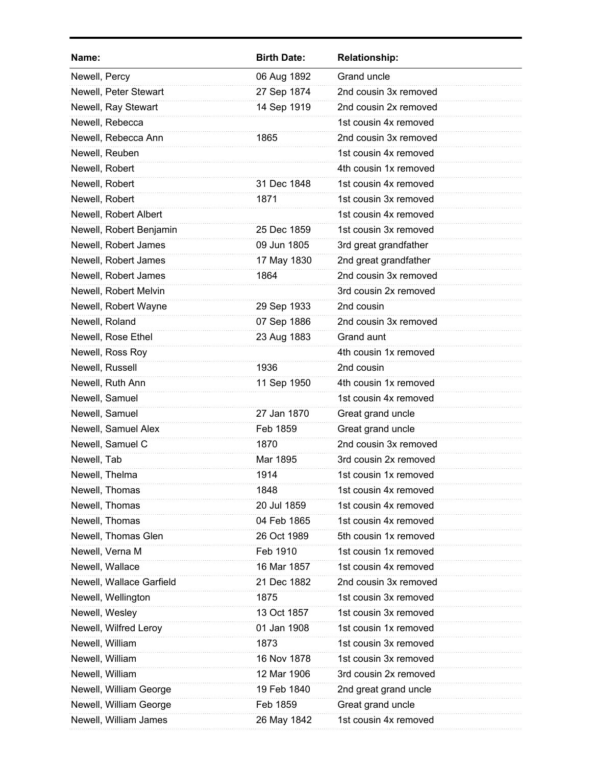| Name:                    | <b>Birth Date:</b> | <b>Relationship:</b>  |
|--------------------------|--------------------|-----------------------|
| Newell, Percy            | 06 Aug 1892        | <b>Grand uncle</b>    |
| Newell, Peter Stewart    | 27 Sep 1874        | 2nd cousin 3x removed |
| Newell, Ray Stewart      | 14 Sep 1919        | 2nd cousin 2x removed |
| Newell, Rebecca          |                    | 1st cousin 4x removed |
| Newell, Rebecca Ann      | 1865               | 2nd cousin 3x removed |
| Newell, Reuben           |                    | 1st cousin 4x removed |
| Newell, Robert           |                    | 4th cousin 1x removed |
| Newell, Robert           | 31 Dec 1848        | 1st cousin 4x removed |
| Newell, Robert           | 1871               | 1st cousin 3x removed |
| Newell, Robert Albert    |                    | 1st cousin 4x removed |
| Newell, Robert Benjamin  | 25 Dec 1859        | 1st cousin 3x removed |
| Newell, Robert James     | 09 Jun 1805        | 3rd great grandfather |
| Newell, Robert James     | 17 May 1830        | 2nd great grandfather |
| Newell, Robert James     | 1864               | 2nd cousin 3x removed |
| Newell, Robert Melvin    |                    | 3rd cousin 2x removed |
| Newell, Robert Wayne     | 29 Sep 1933        | 2nd cousin            |
| Newell, Roland           | 07 Sep 1886        | 2nd cousin 3x removed |
| Newell, Rose Ethel       | 23 Aug 1883        | Grand aunt            |
| Newell, Ross Roy         |                    | 4th cousin 1x removed |
| Newell, Russell          | 1936               | 2nd cousin            |
| Newell, Ruth Ann         | 11 Sep 1950        | 4th cousin 1x removed |
| Newell, Samuel           |                    | 1st cousin 4x removed |
| Newell, Samuel           | 27 Jan 1870        | Great grand uncle     |
| Newell, Samuel Alex      | Feb 1859           | Great grand uncle     |
| Newell, Samuel C         | 1870               | 2nd cousin 3x removed |
| Newell, Tab              | Mar 1895           | 3rd cousin 2x removed |
| Newell, Thelma           | 1914               | 1st cousin 1x removed |
| Newell, Thomas           | 1848               | 1st cousin 4x removed |
| Newell, Thomas           | 20 Jul 1859        | 1st cousin 4x removed |
| Newell, Thomas           | 04 Feb 1865        | 1st cousin 4x removed |
| Newell, Thomas Glen      | 26 Oct 1989        | 5th cousin 1x removed |
| Newell, Verna M          | Feb 1910           | 1st cousin 1x removed |
| Newell, Wallace          | 16 Mar 1857        | 1st cousin 4x removed |
| Newell, Wallace Garfield | 21 Dec 1882        | 2nd cousin 3x removed |
| Newell, Wellington       | 1875               | 1st cousin 3x removed |
| Newell, Wesley           | 13 Oct 1857        | 1st cousin 3x removed |
| Newell, Wilfred Leroy    | 01 Jan 1908        | 1st cousin 1x removed |
| Newell, William          | 1873               | 1st cousin 3x removed |
| Newell, William          | 16 Nov 1878        | 1st cousin 3x removed |
| Newell, William          | 12 Mar 1906        | 3rd cousin 2x removed |
| Newell, William George   | 19 Feb 1840        | 2nd great grand uncle |
| Newell, William George   | Feb 1859           | Great grand uncle     |
| Newell, William James    | 26 May 1842        | 1st cousin 4x removed |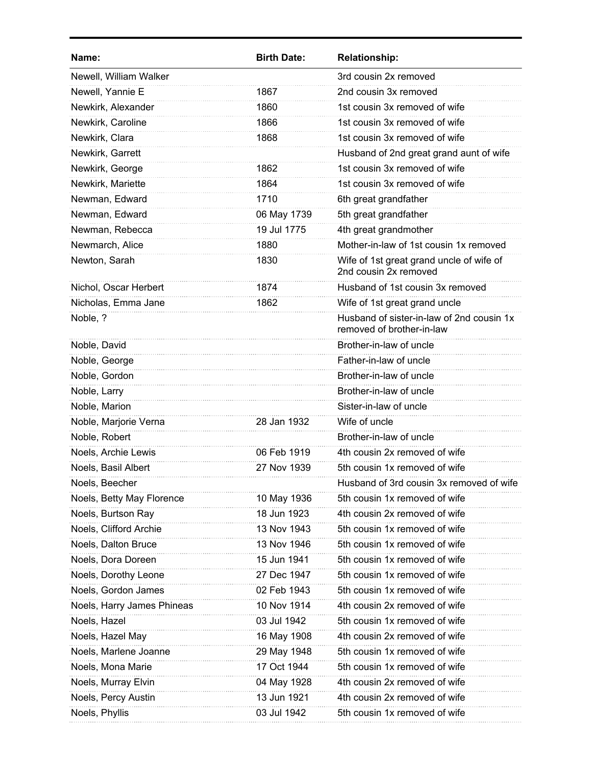| Name:                      | <b>Birth Date:</b> | <b>Relationship:</b>                                                   |
|----------------------------|--------------------|------------------------------------------------------------------------|
| Newell, William Walker     |                    | 3rd cousin 2x removed                                                  |
| Newell, Yannie E           | 1867               | 2nd cousin 3x removed                                                  |
| Newkirk, Alexander         | 1860               | 1st cousin 3x removed of wife                                          |
| Newkirk, Caroline          | 1866               | 1st cousin 3x removed of wife                                          |
| Newkirk, Clara             | 1868               | 1st cousin 3x removed of wife                                          |
| Newkirk, Garrett           |                    | Husband of 2nd great grand aunt of wife                                |
| Newkirk, George            | 1862               | 1st cousin 3x removed of wife                                          |
| Newkirk, Mariette          | 1864               | 1st cousin 3x removed of wife                                          |
| Newman, Edward             | 1710               | 6th great grandfather                                                  |
| Newman, Edward             | 06 May 1739        | 5th great grandfather                                                  |
| Newman, Rebecca            | 19 Jul 1775        | 4th great grandmother                                                  |
| Newmarch, Alice            | 1880               | Mother-in-law of 1st cousin 1x removed                                 |
| Newton, Sarah              | 1830               | Wife of 1st great grand uncle of wife of<br>2nd cousin 2x removed      |
| Nichol, Oscar Herbert      | 1874               | Husband of 1st cousin 3x removed                                       |
| Nicholas, Emma Jane        | 1862               | Wife of 1st great grand uncle                                          |
| Noble, ?                   |                    | Husband of sister-in-law of 2nd cousin 1x<br>removed of brother-in-law |
| Noble, David               |                    | Brother-in-law of uncle                                                |
| Noble, George              |                    | Father-in-law of uncle                                                 |
| Noble, Gordon              |                    | Brother-in-law of uncle                                                |
| Noble, Larry               |                    | Brother-in-law of uncle                                                |
| Noble, Marion              |                    | Sister-in-law of uncle                                                 |
| Noble, Marjorie Verna      | 28 Jan 1932        | Wife of uncle                                                          |
| Noble, Robert              |                    | Brother-in-law of uncle                                                |
| Noels, Archie Lewis        | 06 Feb 1919        | 4th cousin 2x removed of wife                                          |
| Noels, Basil Albert        | 27 Nov 1939        | 5th cousin 1x removed of wife                                          |
| Noels, Beecher             |                    | Husband of 3rd cousin 3x removed of wife                               |
| Noels, Betty May Florence  | 10 May 1936        | 5th cousin 1x removed of wife                                          |
| Noels, Burtson Ray         | 18 Jun 1923        | 4th cousin 2x removed of wife                                          |
| Noels, Clifford Archie     | 13 Nov 1943        | 5th cousin 1x removed of wife                                          |
| Noels, Dalton Bruce        | 13 Nov 1946        | 5th cousin 1x removed of wife                                          |
| Noels, Dora Doreen         | 15 Jun 1941        | 5th cousin 1x removed of wife                                          |
| Noels, Dorothy Leone       | 27 Dec 1947        | 5th cousin 1x removed of wife                                          |
| Noels, Gordon James        | 02 Feb 1943        | 5th cousin 1x removed of wife                                          |
| Noels, Harry James Phineas | 10 Nov 1914        | 4th cousin 2x removed of wife                                          |
| Noels, Hazel               | 03 Jul 1942        | 5th cousin 1x removed of wife                                          |
| Noels, Hazel May           | 16 May 1908        | 4th cousin 2x removed of wife                                          |
| Noels, Marlene Joanne      | 29 May 1948        | 5th cousin 1x removed of wife                                          |
| Noels, Mona Marie          | 17 Oct 1944        | 5th cousin 1x removed of wife                                          |
| Noels, Murray Elvin        | 04 May 1928        | 4th cousin 2x removed of wife                                          |
| Noels, Percy Austin        | 13 Jun 1921        | 4th cousin 2x removed of wife                                          |
| Noels, Phyllis             | 03 Jul 1942        | 5th cousin 1x removed of wife                                          |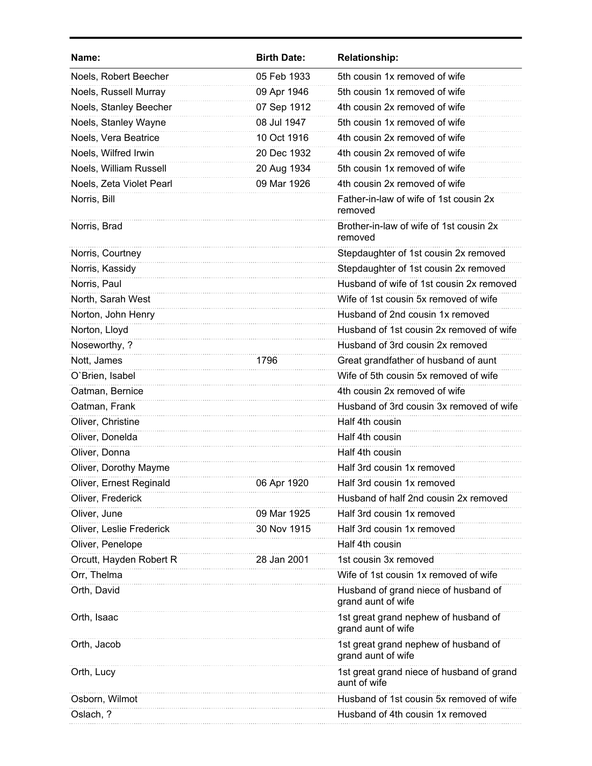| Name:                    | <b>Birth Date:</b> | <b>Relationship:</b>                                       |
|--------------------------|--------------------|------------------------------------------------------------|
| Noels, Robert Beecher    | 05 Feb 1933        | 5th cousin 1x removed of wife                              |
| Noels, Russell Murray    | 09 Apr 1946        | 5th cousin 1x removed of wife                              |
| Noels, Stanley Beecher   | 07 Sep 1912        | 4th cousin 2x removed of wife                              |
| Noels, Stanley Wayne     | 08 Jul 1947        | 5th cousin 1x removed of wife                              |
| Noels, Vera Beatrice     | 10 Oct 1916        | 4th cousin 2x removed of wife                              |
| Noels, Wilfred Irwin     | 20 Dec 1932        | 4th cousin 2x removed of wife                              |
| Noels, William Russell   | 20 Aug 1934        | 5th cousin 1x removed of wife                              |
| Noels, Zeta Violet Pearl | 09 Mar 1926        | 4th cousin 2x removed of wife                              |
| Norris, Bill             |                    | Father-in-law of wife of 1st cousin 2x<br>removed          |
| Norris, Brad             |                    | Brother-in-law of wife of 1st cousin 2x<br>removed         |
| Norris, Courtney         |                    | Stepdaughter of 1st cousin 2x removed                      |
| Norris, Kassidy          |                    | Stepdaughter of 1st cousin 2x removed                      |
| Norris, Paul             |                    | Husband of wife of 1st cousin 2x removed                   |
| North, Sarah West        |                    | Wife of 1st cousin 5x removed of wife                      |
| Norton, John Henry       |                    | Husband of 2nd cousin 1x removed                           |
| Norton, Lloyd            |                    | Husband of 1st cousin 2x removed of wife                   |
| Noseworthy, ?            |                    | Husband of 3rd cousin 2x removed                           |
| Nott, James              | 1796               | Great grandfather of husband of aunt                       |
| O'Brien, Isabel          |                    | Wife of 5th cousin 5x removed of wife                      |
| Oatman, Bernice          |                    | 4th cousin 2x removed of wife                              |
| Oatman, Frank            |                    | Husband of 3rd cousin 3x removed of wife                   |
| Oliver, Christine        |                    | Half 4th cousin                                            |
| Oliver, Donelda          |                    | Half 4th cousin                                            |
| Oliver, Donna            |                    | Half 4th cousin                                            |
| Oliver, Dorothy Mayme    |                    | Half 3rd cousin 1x removed                                 |
| Oliver, Ernest Reginald  | 06 Apr 1920        | Half 3rd cousin 1x removed                                 |
| Oliver, Frederick        |                    | Husband of half 2nd cousin 2x removed                      |
| Oliver, June             | 09 Mar 1925        | Half 3rd cousin 1x removed                                 |
| Oliver, Leslie Frederick | 30 Nov 1915        | Half 3rd cousin 1x removed                                 |
| Oliver, Penelope         |                    | Half 4th cousin                                            |
| Orcutt, Hayden Robert R  | 28 Jan 2001        | 1st cousin 3x removed                                      |
| Orr, Thelma              |                    | Wife of 1st cousin 1x removed of wife                      |
| Orth, David              |                    | Husband of grand niece of husband of<br>grand aunt of wife |
| Orth, Isaac              |                    | 1st great grand nephew of husband of<br>grand aunt of wife |
| Orth, Jacob              |                    | 1st great grand nephew of husband of<br>grand aunt of wife |
| Orth, Lucy               |                    | 1st great grand niece of husband of grand<br>aunt of wife  |
| Osborn, Wilmot           |                    | Husband of 1st cousin 5x removed of wife                   |
| Oslach, ?                |                    | Husband of 4th cousin 1x removed                           |
|                          |                    |                                                            |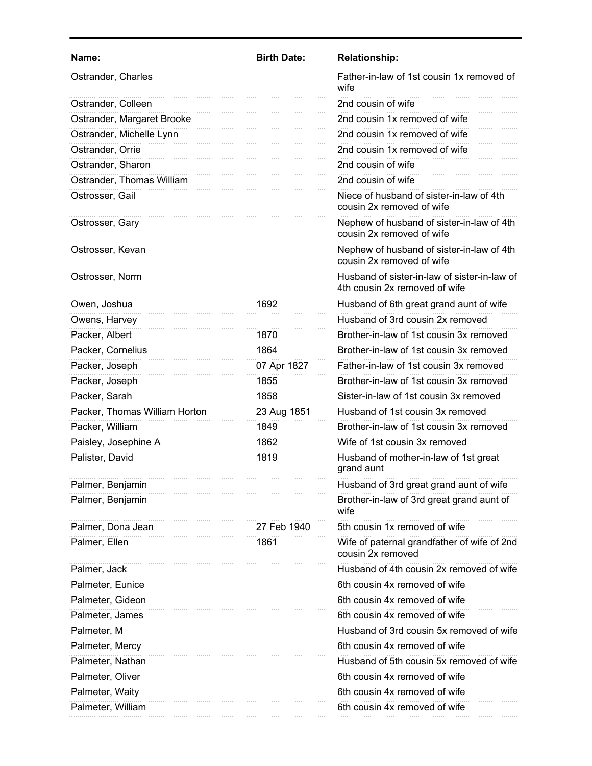| Name:                         | <b>Birth Date:</b> | <b>Relationship:</b>                                                          |
|-------------------------------|--------------------|-------------------------------------------------------------------------------|
| Ostrander, Charles            |                    | Father-in-law of 1st cousin 1x removed of<br>wife                             |
| Ostrander, Colleen            |                    | 2nd cousin of wife                                                            |
| Ostrander, Margaret Brooke    |                    | 2nd cousin 1x removed of wife                                                 |
| Ostrander, Michelle Lynn      |                    | 2nd cousin 1x removed of wife                                                 |
| Ostrander, Orrie              |                    | 2nd cousin 1x removed of wife                                                 |
| Ostrander, Sharon             |                    | 2nd cousin of wife                                                            |
| Ostrander, Thomas William     |                    | 2nd cousin of wife                                                            |
| Ostrosser, Gail               |                    | Niece of husband of sister-in-law of 4th<br>cousin 2x removed of wife         |
| Ostrosser, Gary               |                    | Nephew of husband of sister-in-law of 4th<br>cousin 2x removed of wife        |
| Ostrosser, Kevan              |                    | Nephew of husband of sister-in-law of 4th<br>cousin 2x removed of wife        |
| Ostrosser, Norm               |                    | Husband of sister-in-law of sister-in-law of<br>4th cousin 2x removed of wife |
| Owen, Joshua                  | 1692               | Husband of 6th great grand aunt of wife                                       |
| Owens, Harvey                 |                    | Husband of 3rd cousin 2x removed                                              |
| Packer, Albert                | 1870               | Brother-in-law of 1st cousin 3x removed                                       |
| Packer, Cornelius             | 1864               | Brother-in-law of 1st cousin 3x removed                                       |
| Packer, Joseph                | 07 Apr 1827        | Father-in-law of 1st cousin 3x removed                                        |
| Packer, Joseph                | 1855               | Brother-in-law of 1st cousin 3x removed                                       |
| Packer, Sarah                 | 1858               | Sister-in-law of 1st cousin 3x removed                                        |
| Packer, Thomas William Horton | 23 Aug 1851        | Husband of 1st cousin 3x removed                                              |
| Packer, William               | 1849               | Brother-in-law of 1st cousin 3x removed                                       |
| Paisley, Josephine A          | 1862               | Wife of 1st cousin 3x removed                                                 |
| Palister, David               | 1819               | Husband of mother-in-law of 1st great<br>grand aunt                           |
| Palmer, Benjamin              |                    | Husband of 3rd great grand aunt of wife                                       |
| Palmer, Benjamin              |                    | Brother-in-law of 3rd great grand aunt of<br>wife                             |
| Palmer, Dona Jean             | 27 Feb 1940        | 5th cousin 1x removed of wife                                                 |
| Palmer, Ellen                 | 1861               | Wife of paternal grandfather of wife of 2nd<br>cousin 2x removed              |
| Palmer, Jack                  |                    | Husband of 4th cousin 2x removed of wife                                      |
| Palmeter, Eunice              |                    | 6th cousin 4x removed of wife                                                 |
| Palmeter, Gideon              |                    | 6th cousin 4x removed of wife                                                 |
| Palmeter, James               |                    | 6th cousin 4x removed of wife                                                 |
| Palmeter, M                   |                    | Husband of 3rd cousin 5x removed of wife                                      |
| Palmeter, Mercy               |                    | 6th cousin 4x removed of wife                                                 |
| Palmeter, Nathan              |                    | Husband of 5th cousin 5x removed of wife                                      |
| Palmeter, Oliver              |                    | 6th cousin 4x removed of wife                                                 |
| Palmeter, Waity               |                    | 6th cousin 4x removed of wife                                                 |
| Palmeter, William             |                    | 6th cousin 4x removed of wife                                                 |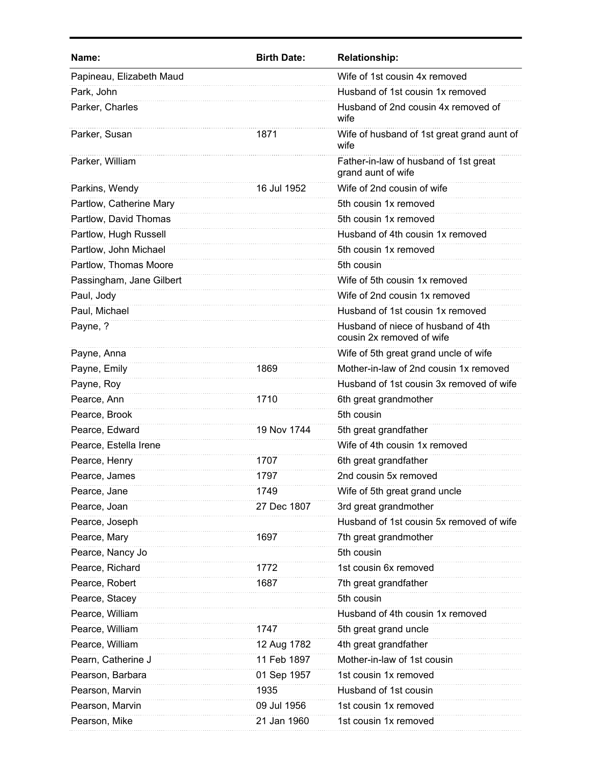| Name:                    | <b>Birth Date:</b> | <b>Relationship:</b>                                            |
|--------------------------|--------------------|-----------------------------------------------------------------|
| Papineau, Elizabeth Maud |                    | Wife of 1st cousin 4x removed                                   |
| Park, John               |                    | Husband of 1st cousin 1x removed                                |
| Parker, Charles          |                    | Husband of 2nd cousin 4x removed of<br>wife                     |
| Parker, Susan            | 1871               | Wife of husband of 1st great grand aunt of<br>wife              |
| Parker, William          |                    | Father-in-law of husband of 1st great<br>grand aunt of wife     |
| Parkins, Wendy           | 16 Jul 1952        | Wife of 2nd cousin of wife                                      |
| Partlow, Catherine Mary  |                    | 5th cousin 1x removed                                           |
| Partlow, David Thomas    |                    | 5th cousin 1x removed                                           |
| Partlow, Hugh Russell    |                    | Husband of 4th cousin 1x removed                                |
| Partlow, John Michael    |                    | 5th cousin 1x removed                                           |
| Partlow, Thomas Moore    |                    | 5th cousin                                                      |
| Passingham, Jane Gilbert |                    | Wife of 5th cousin 1x removed                                   |
| Paul, Jody               |                    | Wife of 2nd cousin 1x removed                                   |
| Paul, Michael            |                    | Husband of 1st cousin 1x removed                                |
| Payne, ?                 |                    | Husband of niece of husband of 4th<br>cousin 2x removed of wife |
| Payne, Anna              |                    | Wife of 5th great grand uncle of wife                           |
| Payne, Emily             | 1869               | Mother-in-law of 2nd cousin 1x removed                          |
| Payne, Roy               |                    | Husband of 1st cousin 3x removed of wife                        |
| Pearce, Ann              | 1710               | 6th great grandmother                                           |
| Pearce, Brook            |                    | 5th cousin                                                      |
| Pearce, Edward           | 19 Nov 1744        | 5th great grandfather                                           |
| Pearce, Estella Irene    |                    | Wife of 4th cousin 1x removed                                   |
| Pearce, Henry            | 1707               | 6th great grandfather                                           |
| Pearce, James            | 1797               | 2nd cousin 5x removed                                           |
| Pearce, Jane             | 1749               | Wife of 5th great grand uncle                                   |
| Pearce, Joan             | 27 Dec 1807        | 3rd great grandmother                                           |
| Pearce, Joseph           |                    | Husband of 1st cousin 5x removed of wife                        |
| Pearce, Mary             | 1697               | 7th great grandmother                                           |
| Pearce, Nancy Jo         |                    | 5th cousin                                                      |
| Pearce, Richard          | 1772               | 1st cousin 6x removed                                           |
| Pearce, Robert           | 1687               | 7th great grandfather                                           |
| Pearce, Stacey           |                    | 5th cousin                                                      |
| Pearce, William          |                    | Husband of 4th cousin 1x removed                                |
| Pearce, William          | 1747               | 5th great grand uncle                                           |
| Pearce, William          | 12 Aug 1782        | 4th great grandfather                                           |
| Pearn, Catherine J       | 11 Feb 1897        | Mother-in-law of 1st cousin                                     |
| Pearson, Barbara         | 01 Sep 1957        | 1st cousin 1x removed                                           |
| Pearson, Marvin          | 1935               | Husband of 1st cousin                                           |
| Pearson, Marvin          | 09 Jul 1956        | 1st cousin 1x removed                                           |
| Pearson, Mike            | 21 Jan 1960        | 1st cousin 1x removed                                           |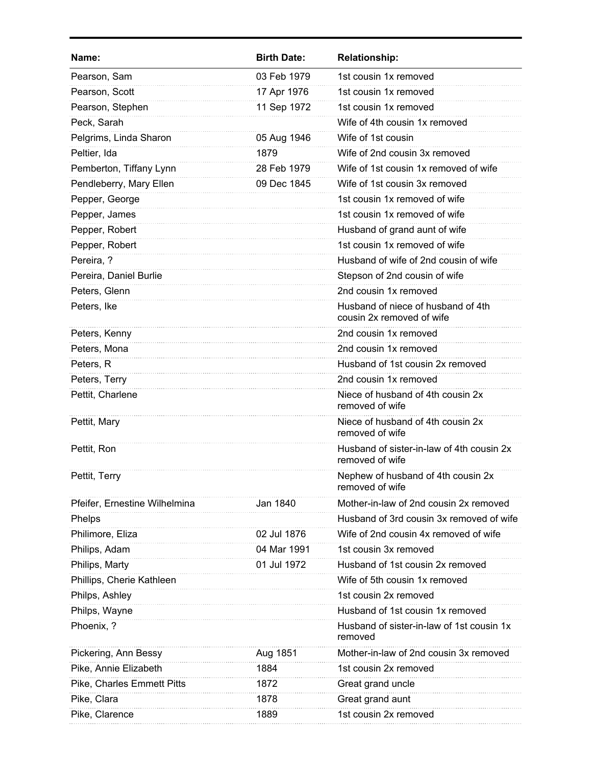| Name:                         | <b>Birth Date:</b> | <b>Relationship:</b>                                            |
|-------------------------------|--------------------|-----------------------------------------------------------------|
| Pearson, Sam                  | 03 Feb 1979        | 1st cousin 1x removed                                           |
| Pearson, Scott                | 17 Apr 1976        | 1st cousin 1x removed                                           |
| Pearson, Stephen              | 11 Sep 1972        | 1st cousin 1x removed                                           |
| Peck, Sarah                   |                    | Wife of 4th cousin 1x removed                                   |
| Pelgrims, Linda Sharon        | 05 Aug 1946        | Wife of 1st cousin                                              |
| Peltier, Ida                  | 1879               | Wife of 2nd cousin 3x removed                                   |
| Pemberton, Tiffany Lynn       | 28 Feb 1979        | Wife of 1st cousin 1x removed of wife                           |
| Pendleberry, Mary Ellen       | 09 Dec 1845        | Wife of 1st cousin 3x removed                                   |
| Pepper, George                |                    | 1st cousin 1x removed of wife                                   |
| Pepper, James                 |                    | 1st cousin 1x removed of wife                                   |
| Pepper, Robert                |                    | Husband of grand aunt of wife                                   |
| Pepper, Robert                |                    | 1st cousin 1x removed of wife                                   |
| Pereira, ?                    |                    | Husband of wife of 2nd cousin of wife                           |
| Pereira, Daniel Burlie        |                    | Stepson of 2nd cousin of wife                                   |
| Peters, Glenn                 |                    | 2nd cousin 1x removed                                           |
| Peters, Ike                   |                    | Husband of niece of husband of 4th<br>cousin 2x removed of wife |
| Peters, Kenny                 |                    | 2nd cousin 1x removed                                           |
| Peters, Mona                  |                    | 2nd cousin 1x removed                                           |
| Peters, R                     |                    | Husband of 1st cousin 2x removed                                |
| Peters, Terry                 |                    | 2nd cousin 1x removed                                           |
| Pettit, Charlene              |                    | Niece of husband of 4th cousin 2x<br>removed of wife            |
| Pettit, Mary                  |                    | Niece of husband of 4th cousin 2x<br>removed of wife            |
| Pettit, Ron                   |                    | Husband of sister-in-law of 4th cousin 2x<br>removed of wife    |
| Pettit, Terry                 |                    | Nephew of husband of 4th cousin 2x<br>removed of wife           |
| Pfeifer, Ernestine Wilhelmina | Jan 1840           | Mother-in-law of 2nd cousin 2x removed                          |
| Phelps                        |                    | Husband of 3rd cousin 3x removed of wife                        |
| Philimore, Eliza              | 02 Jul 1876        | Wife of 2nd cousin 4x removed of wife                           |
| Philips, Adam                 | 04 Mar 1991        | 1st cousin 3x removed                                           |
| Philips, Marty                | 01 Jul 1972        | Husband of 1st cousin 2x removed                                |
| Phillips, Cherie Kathleen     |                    | Wife of 5th cousin 1x removed                                   |
| Philps, Ashley                |                    | 1st cousin 2x removed                                           |
| Philps, Wayne                 |                    | Husband of 1st cousin 1x removed                                |
| Phoenix, ?                    |                    | Husband of sister-in-law of 1st cousin 1x<br>removed            |
| Pickering, Ann Bessy          | Aug 1851           | Mother-in-law of 2nd cousin 3x removed                          |
| Pike, Annie Elizabeth         | 1884               | 1st cousin 2x removed                                           |
| Pike, Charles Emmett Pitts    | 1872               | Great grand uncle                                               |
| Pike, Clara                   | 1878               | Great grand aunt                                                |
| Pike, Clarence                | 1889               | 1st cousin 2x removed                                           |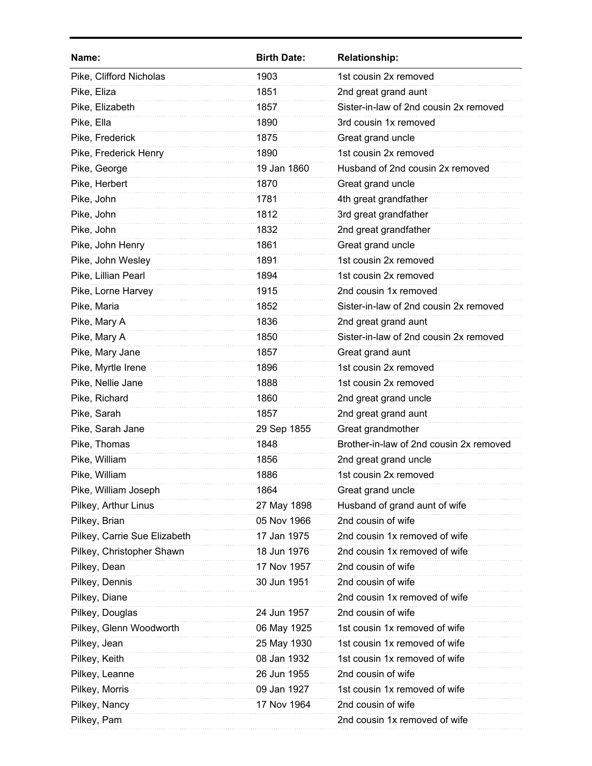| Name:                        | <b>Birth Date:</b> | <b>Relationship:</b>                    |
|------------------------------|--------------------|-----------------------------------------|
| Pike, Clifford Nicholas      | 1903               | 1st cousin 2x removed                   |
| Pike, Eliza                  | 1851               | 2nd great grand aunt                    |
| Pike, Elizabeth              | 1857               | Sister-in-law of 2nd cousin 2x removed  |
| Pike, Ella                   | 1890               | 3rd cousin 1x removed                   |
| Pike, Frederick              | 1875               | Great grand uncle                       |
| Pike, Frederick Henry        | 1890               | 1st cousin 2x removed                   |
| Pike, George                 | 19 Jan 1860        | Husband of 2nd cousin 2x removed        |
| Pike, Herbert                | 1870               | Great grand uncle                       |
| Pike, John                   | 1781               | 4th great grandfather                   |
| Pike, John                   | 1812               | 3rd great grandfather                   |
| Pike, John                   | 1832               | 2nd great grandfather                   |
| Pike, John Henry             | 1861               | Great grand uncle                       |
| Pike, John Wesley            | 1891               | 1st cousin 2x removed                   |
| Pike, Lillian Pearl          | 1894               | 1st cousin 2x removed                   |
| Pike, Lorne Harvey           | 1915               | 2nd cousin 1x removed                   |
| Pike, Maria                  | 1852               | Sister-in-law of 2nd cousin 2x removed  |
| Pike, Mary A                 | 1836               | 2nd great grand aunt                    |
| Pike, Mary A                 | 1850               | Sister-in-law of 2nd cousin 2x removed  |
| Pike, Mary Jane              | 1857               | Great grand aunt                        |
| Pike, Myrtle Irene           | 1896               | 1st cousin 2x removed                   |
| Pike, Nellie Jane            | 1888               | 1st cousin 2x removed                   |
| Pike, Richard                | 1860               | 2nd great grand uncle                   |
| Pike, Sarah                  | 1857               | 2nd great grand aunt                    |
| Pike, Sarah Jane             | 29 Sep 1855        | Great grandmother                       |
| Pike, Thomas                 | 1848               | Brother-in-law of 2nd cousin 2x removed |
| Pike, William                | 1856               | 2nd great grand uncle                   |
| Pike, William                | 1886               | 1st cousin 2x removed                   |
| Pike, William Joseph         | 1864               | Great grand uncle                       |
| Pilkey, Arthur Linus         | 27 May 1898        | Husband of grand aunt of wife           |
| Pilkey, Brian                | 05 Nov 1966        | 2nd cousin of wife                      |
| Pilkey, Carrie Sue Elizabeth | 17 Jan 1975        | 2nd cousin 1x removed of wife           |
| Pilkey, Christopher Shawn    | 18 Jun 1976        | 2nd cousin 1x removed of wife           |
| Pilkey, Dean                 | 17 Nov 1957        | 2nd cousin of wife                      |
| Pilkey, Dennis               | 30 Jun 1951        | 2nd cousin of wife                      |
| Pilkey, Diane                |                    | 2nd cousin 1x removed of wife           |
| Pilkey, Douglas              | 24 Jun 1957        | 2nd cousin of wife                      |
| Pilkey, Glenn Woodworth      | 06 May 1925        | 1st cousin 1x removed of wife           |
| Pilkey, Jean                 | 25 May 1930        | 1st cousin 1x removed of wife           |
| Pilkey, Keith                | 08 Jan 1932        | 1st cousin 1x removed of wife           |
| Pilkey, Leanne               | 26 Jun 1955        | 2nd cousin of wife                      |
| Pilkey, Morris               | 09 Jan 1927        | 1st cousin 1x removed of wife           |
| Pilkey, Nancy                | 17 Nov 1964        | 2nd cousin of wife                      |
| Pilkey, Pam                  |                    | 2nd cousin 1x removed of wife           |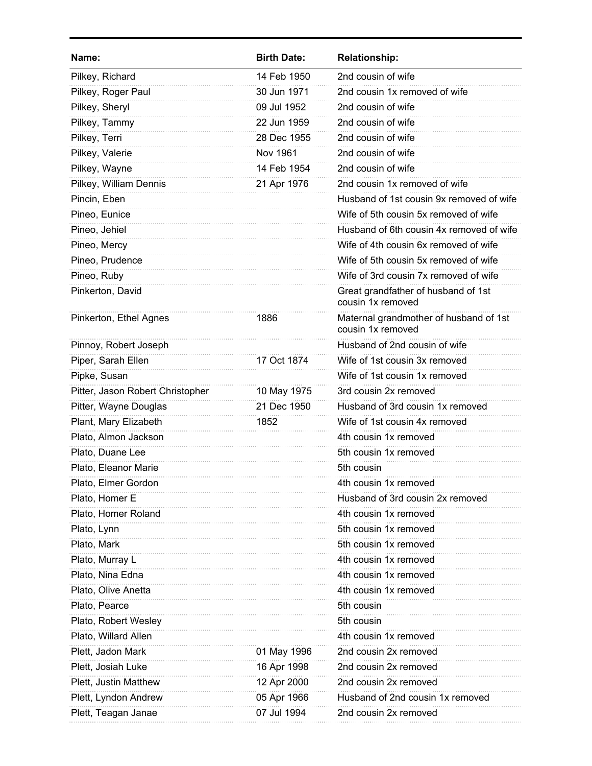| Name:                            | <b>Birth Date:</b> | <b>Relationship:</b>                                        |
|----------------------------------|--------------------|-------------------------------------------------------------|
| Pilkey, Richard                  | 14 Feb 1950        | 2nd cousin of wife                                          |
| Pilkey, Roger Paul               | 30 Jun 1971        | 2nd cousin 1x removed of wife                               |
| Pilkey, Sheryl                   | 09 Jul 1952        | 2nd cousin of wife                                          |
| Pilkey, Tammy                    | 22 Jun 1959        | 2nd cousin of wife                                          |
| Pilkey, Terri                    | 28 Dec 1955        | 2nd cousin of wife                                          |
| Pilkey, Valerie                  | Nov 1961           | 2nd cousin of wife                                          |
| Pilkey, Wayne                    | 14 Feb 1954        | 2nd cousin of wife                                          |
| Pilkey, William Dennis           | 21 Apr 1976        | 2nd cousin 1x removed of wife                               |
| Pincin, Eben                     |                    | Husband of 1st cousin 9x removed of wife                    |
| Pineo, Eunice                    |                    | Wife of 5th cousin 5x removed of wife                       |
| Pineo, Jehiel                    |                    | Husband of 6th cousin 4x removed of wife                    |
| Pineo, Mercy                     |                    | Wife of 4th cousin 6x removed of wife                       |
| Pineo, Prudence                  |                    | Wife of 5th cousin 5x removed of wife                       |
| Pineo, Ruby                      |                    | Wife of 3rd cousin 7x removed of wife                       |
| Pinkerton, David                 |                    | Great grandfather of husband of 1st<br>cousin 1x removed    |
| Pinkerton, Ethel Agnes           | 1886               | Maternal grandmother of husband of 1st<br>cousin 1x removed |
| Pinnoy, Robert Joseph            |                    | Husband of 2nd cousin of wife                               |
| Piper, Sarah Ellen               | 17 Oct 1874        | Wife of 1st cousin 3x removed                               |
| Pipke, Susan                     |                    | Wife of 1st cousin 1x removed                               |
| Pitter, Jason Robert Christopher | 10 May 1975        | 3rd cousin 2x removed                                       |
| Pitter, Wayne Douglas            | 21 Dec 1950        | Husband of 3rd cousin 1x removed                            |
| Plant, Mary Elizabeth            | 1852               | Wife of 1st cousin 4x removed                               |
| Plato, Almon Jackson             |                    | 4th cousin 1x removed                                       |
| Plato, Duane Lee                 |                    | 5th cousin 1x removed                                       |
| Plato, Eleanor Marie             |                    | 5th cousin                                                  |
| Plato, Elmer Gordon              |                    | 4th cousin 1x removed                                       |
| Plato, Homer E                   |                    | Husband of 3rd cousin 2x removed                            |
| Plato, Homer Roland              |                    | 4th cousin 1x removed                                       |
| Plato, Lynn                      |                    | 5th cousin 1x removed                                       |
| Plato, Mark                      |                    | 5th cousin 1x removed                                       |
| Plato, Murray L                  |                    | 4th cousin 1x removed                                       |
| Plato, Nina Edna                 |                    | 4th cousin 1x removed                                       |
| Plato, Olive Anetta              |                    | 4th cousin 1x removed                                       |
| Plato, Pearce                    |                    | 5th cousin                                                  |
| Plato, Robert Wesley             |                    | 5th cousin                                                  |
| Plato, Willard Allen             |                    | 4th cousin 1x removed                                       |
| Plett, Jadon Mark                | 01 May 1996        | 2nd cousin 2x removed                                       |
| Plett, Josiah Luke               | 16 Apr 1998        | 2nd cousin 2x removed                                       |
| Plett, Justin Matthew            | 12 Apr 2000        | 2nd cousin 2x removed                                       |
| Plett, Lyndon Andrew             | 05 Apr 1966        | Husband of 2nd cousin 1x removed                            |
| Plett, Teagan Janae              | 07 Jul 1994        | 2nd cousin 2x removed                                       |
|                                  |                    |                                                             |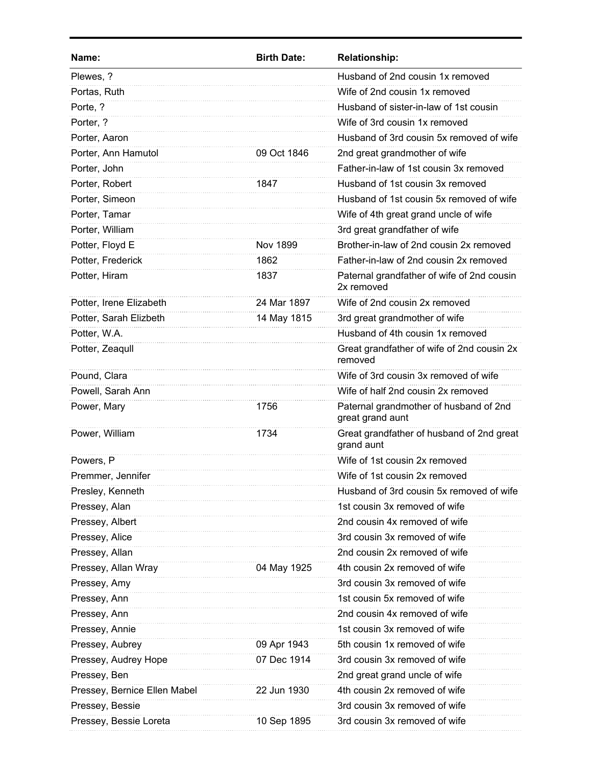| Name:                        | <b>Birth Date:</b> | <b>Relationship:</b>                                       |
|------------------------------|--------------------|------------------------------------------------------------|
| Plewes, ?                    |                    | Husband of 2nd cousin 1x removed                           |
| Portas, Ruth                 |                    | Wife of 2nd cousin 1x removed                              |
| Porte, ?                     |                    | Husband of sister-in-law of 1st cousin                     |
| Porter, ?                    |                    | Wife of 3rd cousin 1x removed                              |
| Porter, Aaron                |                    | Husband of 3rd cousin 5x removed of wife                   |
| Porter, Ann Hamutol          | 09 Oct 1846        | 2nd great grandmother of wife                              |
| Porter, John                 |                    | Father-in-law of 1st cousin 3x removed                     |
| Porter, Robert               | 1847               | Husband of 1st cousin 3x removed                           |
| Porter, Simeon               |                    | Husband of 1st cousin 5x removed of wife                   |
| Porter, Tamar                |                    | Wife of 4th great grand uncle of wife                      |
| Porter, William              |                    | 3rd great grandfather of wife                              |
| Potter, Floyd E              | <b>Nov 1899</b>    | Brother-in-law of 2nd cousin 2x removed                    |
| Potter, Frederick            | 1862               | Father-in-law of 2nd cousin 2x removed                     |
| Potter, Hiram                | 1837               | Paternal grandfather of wife of 2nd cousin<br>2x removed   |
| Potter, Irene Elizabeth      | 24 Mar 1897        | Wife of 2nd cousin 2x removed                              |
| Potter, Sarah Elizbeth       | 14 May 1815        | 3rd great grandmother of wife                              |
| Potter, W.A.                 |                    | Husband of 4th cousin 1x removed                           |
| Potter, Zeaqull              |                    | Great grandfather of wife of 2nd cousin 2x<br>removed      |
| Pound, Clara                 |                    | Wife of 3rd cousin 3x removed of wife                      |
| Powell, Sarah Ann            |                    | Wife of half 2nd cousin 2x removed                         |
| Power, Mary                  | 1756               | Paternal grandmother of husband of 2nd<br>great grand aunt |
| Power, William               | 1734               | Great grandfather of husband of 2nd great<br>grand aunt    |
| Powers, P                    |                    | Wife of 1st cousin 2x removed                              |
| Premmer, Jennifer            |                    | Wife of 1st cousin 2x removed                              |
| Presley, Kenneth             |                    | Husband of 3rd cousin 5x removed of wife                   |
| Pressey, Alan                |                    | 1st cousin 3x removed of wife                              |
| Pressey, Albert              |                    | 2nd cousin 4x removed of wife                              |
| Pressey, Alice               |                    | 3rd cousin 3x removed of wife                              |
| Pressey, Allan               |                    | 2nd cousin 2x removed of wife                              |
| Pressey, Allan Wray          | 04 May 1925        | 4th cousin 2x removed of wife                              |
| Pressey, Amy                 |                    | 3rd cousin 3x removed of wife                              |
| Pressey, Ann                 |                    | 1st cousin 5x removed of wife                              |
| Pressey, Ann                 |                    | 2nd cousin 4x removed of wife                              |
| Pressey, Annie               |                    | 1st cousin 3x removed of wife                              |
| Pressey, Aubrey              | 09 Apr 1943        | 5th cousin 1x removed of wife                              |
| Pressey, Audrey Hope         | 07 Dec 1914        | 3rd cousin 3x removed of wife                              |
| Pressey, Ben                 |                    | 2nd great grand uncle of wife                              |
| Pressey, Bernice Ellen Mabel | 22 Jun 1930        | 4th cousin 2x removed of wife                              |
| Pressey, Bessie              |                    | 3rd cousin 3x removed of wife                              |
| Pressey, Bessie Loreta       | 10 Sep 1895        | 3rd cousin 3x removed of wife                              |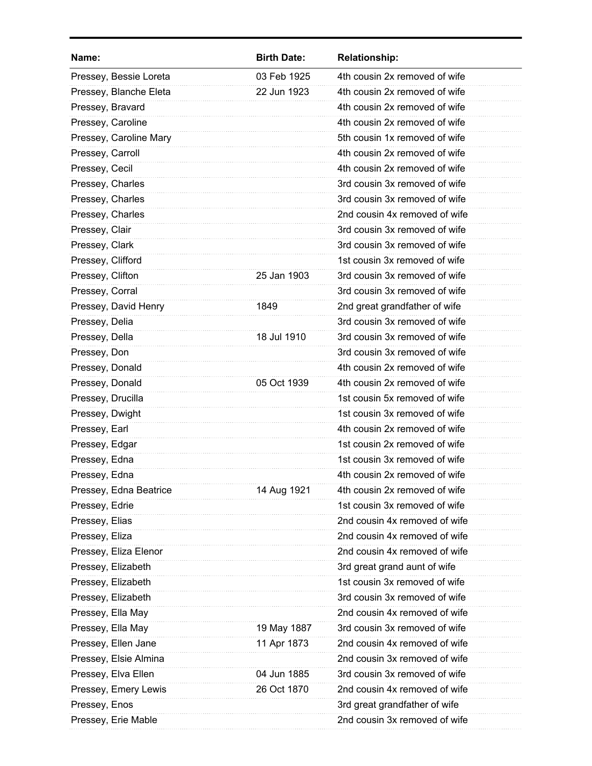| Name:                  | <b>Birth Date:</b> | <b>Relationship:</b>          |
|------------------------|--------------------|-------------------------------|
| Pressey, Bessie Loreta | 03 Feb 1925        | 4th cousin 2x removed of wife |
| Pressey, Blanche Eleta | 22 Jun 1923        | 4th cousin 2x removed of wife |
| Pressey, Bravard       |                    | 4th cousin 2x removed of wife |
| Pressey, Caroline      |                    | 4th cousin 2x removed of wife |
| Pressey, Caroline Mary |                    | 5th cousin 1x removed of wife |
| Pressey, Carroll       |                    | 4th cousin 2x removed of wife |
| Pressey, Cecil         |                    | 4th cousin 2x removed of wife |
| Pressey, Charles       |                    | 3rd cousin 3x removed of wife |
| Pressey, Charles       |                    | 3rd cousin 3x removed of wife |
| Pressey, Charles       |                    | 2nd cousin 4x removed of wife |
| Pressey, Clair         |                    | 3rd cousin 3x removed of wife |
| Pressey, Clark         |                    | 3rd cousin 3x removed of wife |
| Pressey, Clifford      |                    | 1st cousin 3x removed of wife |
| Pressey, Clifton       | 25 Jan 1903        | 3rd cousin 3x removed of wife |
| Pressey, Corral        |                    | 3rd cousin 3x removed of wife |
| Pressey, David Henry   | 1849               | 2nd great grandfather of wife |
| Pressey, Delia         |                    | 3rd cousin 3x removed of wife |
| Pressey, Della         | 18 Jul 1910        | 3rd cousin 3x removed of wife |
| Pressey, Don           |                    | 3rd cousin 3x removed of wife |
| Pressey, Donald        |                    | 4th cousin 2x removed of wife |
| Pressey, Donald        | 05 Oct 1939        | 4th cousin 2x removed of wife |
| Pressey, Drucilla      |                    | 1st cousin 5x removed of wife |
| Pressey, Dwight        |                    | 1st cousin 3x removed of wife |
| Pressey, Earl          |                    | 4th cousin 2x removed of wife |
| Pressey, Edgar         |                    | 1st cousin 2x removed of wife |
| Pressey, Edna          |                    | 1st cousin 3x removed of wife |
| Pressey, Edna          |                    | 4th cousin 2x removed of wife |
| Pressey, Edna Beatrice | 14 Aug 1921        | 4th cousin 2x removed of wife |
| Pressey, Edrie         |                    | 1st cousin 3x removed of wife |
| Pressey, Elias         |                    | 2nd cousin 4x removed of wife |
| Pressey, Eliza         |                    | 2nd cousin 4x removed of wife |
| Pressey, Eliza Elenor  |                    | 2nd cousin 4x removed of wife |
| Pressey, Elizabeth     |                    | 3rd great grand aunt of wife  |
| Pressey, Elizabeth     |                    | 1st cousin 3x removed of wife |
| Pressey, Elizabeth     |                    | 3rd cousin 3x removed of wife |
| Pressey, Ella May      |                    | 2nd cousin 4x removed of wife |
| Pressey, Ella May      | 19 May 1887        | 3rd cousin 3x removed of wife |
| Pressey, Ellen Jane    | 11 Apr 1873        | 2nd cousin 4x removed of wife |
| Pressey, Elsie Almina  |                    | 2nd cousin 3x removed of wife |
| Pressey, Elva Ellen    | 04 Jun 1885        | 3rd cousin 3x removed of wife |
| Pressey, Emery Lewis   | 26 Oct 1870        | 2nd cousin 4x removed of wife |
| Pressey, Enos          |                    | 3rd great grandfather of wife |
| Pressey, Erie Mable    |                    | 2nd cousin 3x removed of wife |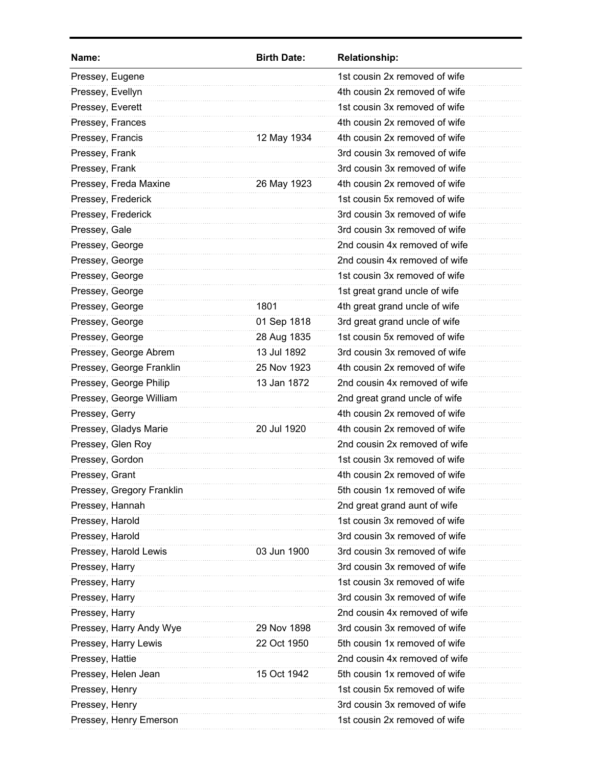| Name:                     | <b>Birth Date:</b> | <b>Relationship:</b>          |
|---------------------------|--------------------|-------------------------------|
| Pressey, Eugene           |                    | 1st cousin 2x removed of wife |
| Pressey, Evellyn          |                    | 4th cousin 2x removed of wife |
| Pressey, Everett          |                    | 1st cousin 3x removed of wife |
| Pressey, Frances          |                    | 4th cousin 2x removed of wife |
| Pressey, Francis          | 12 May 1934        | 4th cousin 2x removed of wife |
| Pressey, Frank            |                    | 3rd cousin 3x removed of wife |
| Pressey, Frank            |                    | 3rd cousin 3x removed of wife |
| Pressey, Freda Maxine     | 26 May 1923        | 4th cousin 2x removed of wife |
| Pressey, Frederick        |                    | 1st cousin 5x removed of wife |
| Pressey, Frederick        |                    | 3rd cousin 3x removed of wife |
| Pressey, Gale             |                    | 3rd cousin 3x removed of wife |
| Pressey, George           |                    | 2nd cousin 4x removed of wife |
| Pressey, George           |                    | 2nd cousin 4x removed of wife |
| Pressey, George           |                    | 1st cousin 3x removed of wife |
| Pressey, George           |                    | 1st great grand uncle of wife |
| Pressey, George           | 1801               | 4th great grand uncle of wife |
| Pressey, George           | 01 Sep 1818        | 3rd great grand uncle of wife |
| Pressey, George           | 28 Aug 1835        | 1st cousin 5x removed of wife |
| Pressey, George Abrem     | 13 Jul 1892        | 3rd cousin 3x removed of wife |
| Pressey, George Franklin  | 25 Nov 1923        | 4th cousin 2x removed of wife |
| Pressey, George Philip    | 13 Jan 1872        | 2nd cousin 4x removed of wife |
| Pressey, George William   |                    | 2nd great grand uncle of wife |
| Pressey, Gerry            |                    | 4th cousin 2x removed of wife |
| Pressey, Gladys Marie     | 20 Jul 1920        | 4th cousin 2x removed of wife |
| Pressey, Glen Roy         |                    | 2nd cousin 2x removed of wife |
| Pressey, Gordon           |                    | 1st cousin 3x removed of wife |
| Pressey, Grant            |                    | 4th cousin 2x removed of wife |
| Pressey, Gregory Franklin |                    | 5th cousin 1x removed of wife |
| Pressey, Hannah           |                    | 2nd great grand aunt of wife  |
| Pressey, Harold           |                    | 1st cousin 3x removed of wife |
| Pressey, Harold           |                    | 3rd cousin 3x removed of wife |
| Pressey, Harold Lewis     | 03 Jun 1900        | 3rd cousin 3x removed of wife |
| Pressey, Harry            |                    | 3rd cousin 3x removed of wife |
| Pressey, Harry            |                    | 1st cousin 3x removed of wife |
| Pressey, Harry            |                    | 3rd cousin 3x removed of wife |
| Pressey, Harry            |                    | 2nd cousin 4x removed of wife |
| Pressey, Harry Andy Wye   | 29 Nov 1898        | 3rd cousin 3x removed of wife |
| Pressey, Harry Lewis      | 22 Oct 1950        | 5th cousin 1x removed of wife |
| Pressey, Hattie           |                    | 2nd cousin 4x removed of wife |
| Pressey, Helen Jean       | 15 Oct 1942        | 5th cousin 1x removed of wife |
| Pressey, Henry            |                    | 1st cousin 5x removed of wife |
| Pressey, Henry            |                    | 3rd cousin 3x removed of wife |
| Pressey, Henry Emerson    |                    | 1st cousin 2x removed of wife |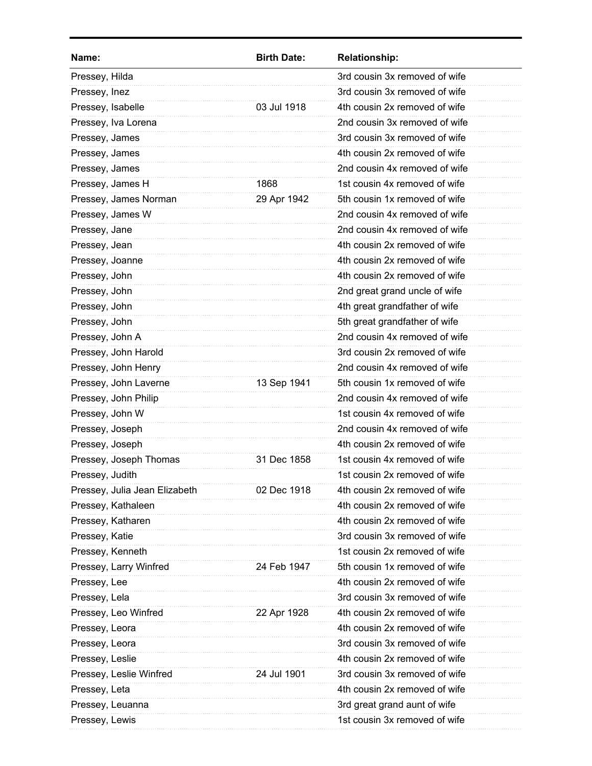| Name:                         | <b>Birth Date:</b> | <b>Relationship:</b>          |
|-------------------------------|--------------------|-------------------------------|
| Pressey, Hilda                |                    | 3rd cousin 3x removed of wife |
| Pressey, Inez                 |                    | 3rd cousin 3x removed of wife |
| Pressey, Isabelle             | 03 Jul 1918        | 4th cousin 2x removed of wife |
| Pressey, Iva Lorena           |                    | 2nd cousin 3x removed of wife |
| Pressey, James                |                    | 3rd cousin 3x removed of wife |
| Pressey, James                |                    | 4th cousin 2x removed of wife |
| Pressey, James                |                    | 2nd cousin 4x removed of wife |
| Pressey, James H              | 1868               | 1st cousin 4x removed of wife |
| Pressey, James Norman         | 29 Apr 1942        | 5th cousin 1x removed of wife |
| Pressey, James W              |                    | 2nd cousin 4x removed of wife |
| Pressey, Jane                 |                    | 2nd cousin 4x removed of wife |
| Pressey, Jean                 |                    | 4th cousin 2x removed of wife |
| Pressey, Joanne               |                    | 4th cousin 2x removed of wife |
| Pressey, John                 |                    | 4th cousin 2x removed of wife |
| Pressey, John                 |                    | 2nd great grand uncle of wife |
| Pressey, John                 |                    | 4th great grandfather of wife |
| Pressey, John                 |                    | 5th great grandfather of wife |
| Pressey, John A               |                    | 2nd cousin 4x removed of wife |
| Pressey, John Harold          |                    | 3rd cousin 2x removed of wife |
| Pressey, John Henry           |                    | 2nd cousin 4x removed of wife |
| Pressey, John Laverne         | 13 Sep 1941        | 5th cousin 1x removed of wife |
| Pressey, John Philip          |                    | 2nd cousin 4x removed of wife |
| Pressey, John W               |                    | 1st cousin 4x removed of wife |
| Pressey, Joseph               |                    | 2nd cousin 4x removed of wife |
| Pressey, Joseph               |                    | 4th cousin 2x removed of wife |
| Pressey, Joseph Thomas        | 31 Dec 1858        | 1st cousin 4x removed of wife |
| Pressey, Judith               |                    | 1st cousin 2x removed of wife |
| Pressey, Julia Jean Elizabeth | 02 Dec 1918        | 4th cousin 2x removed of wife |
| Pressey, Kathaleen            |                    | 4th cousin 2x removed of wife |
| Pressey, Katharen             |                    | 4th cousin 2x removed of wife |
| Pressey, Katie                |                    | 3rd cousin 3x removed of wife |
| Pressey, Kenneth              |                    | 1st cousin 2x removed of wife |
| Pressey, Larry Winfred        | 24 Feb 1947        | 5th cousin 1x removed of wife |
| Pressey, Lee                  |                    | 4th cousin 2x removed of wife |
| Pressey, Lela                 |                    | 3rd cousin 3x removed of wife |
| Pressey, Leo Winfred          | 22 Apr 1928        | 4th cousin 2x removed of wife |
| Pressey, Leora                |                    | 4th cousin 2x removed of wife |
| Pressey, Leora                |                    | 3rd cousin 3x removed of wife |
| Pressey, Leslie               |                    | 4th cousin 2x removed of wife |
| Pressey, Leslie Winfred       | 24 Jul 1901        | 3rd cousin 3x removed of wife |
| Pressey, Leta                 |                    | 4th cousin 2x removed of wife |
| Pressey, Leuanna              |                    | 3rd great grand aunt of wife  |
| Pressey, Lewis                |                    | 1st cousin 3x removed of wife |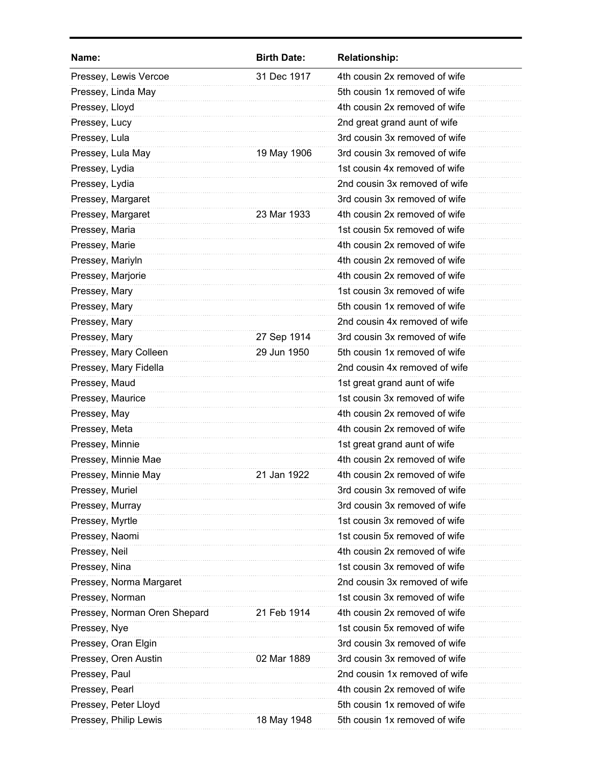| Name:                        | <b>Birth Date:</b> | <b>Relationship:</b>          |
|------------------------------|--------------------|-------------------------------|
| Pressey, Lewis Vercoe        | 31 Dec 1917        | 4th cousin 2x removed of wife |
| Pressey, Linda May           |                    | 5th cousin 1x removed of wife |
| Pressey, Lloyd               |                    | 4th cousin 2x removed of wife |
| Pressey, Lucy                |                    | 2nd great grand aunt of wife  |
| Pressey, Lula                |                    | 3rd cousin 3x removed of wife |
| Pressey, Lula May            | 19 May 1906        | 3rd cousin 3x removed of wife |
| Pressey, Lydia               |                    | 1st cousin 4x removed of wife |
| Pressey, Lydia               |                    | 2nd cousin 3x removed of wife |
| Pressey, Margaret            |                    | 3rd cousin 3x removed of wife |
| Pressey, Margaret            | 23 Mar 1933        | 4th cousin 2x removed of wife |
| Pressey, Maria               |                    | 1st cousin 5x removed of wife |
| Pressey, Marie               |                    | 4th cousin 2x removed of wife |
| Pressey, Mariyln             |                    | 4th cousin 2x removed of wife |
| Pressey, Marjorie            |                    | 4th cousin 2x removed of wife |
| Pressey, Mary                |                    | 1st cousin 3x removed of wife |
| Pressey, Mary                |                    | 5th cousin 1x removed of wife |
| Pressey, Mary                |                    | 2nd cousin 4x removed of wife |
| Pressey, Mary                | 27 Sep 1914        | 3rd cousin 3x removed of wife |
| Pressey, Mary Colleen        | 29 Jun 1950        | 5th cousin 1x removed of wife |
| Pressey, Mary Fidella        |                    | 2nd cousin 4x removed of wife |
| Pressey, Maud                |                    | 1st great grand aunt of wife  |
| Pressey, Maurice             |                    | 1st cousin 3x removed of wife |
| Pressey, May                 |                    | 4th cousin 2x removed of wife |
| Pressey, Meta                |                    | 4th cousin 2x removed of wife |
| Pressey, Minnie              |                    | 1st great grand aunt of wife  |
| Pressey, Minnie Mae          |                    | 4th cousin 2x removed of wife |
| Pressey, Minnie May          | 21 Jan 1922        | 4th cousin 2x removed of wife |
| Pressey, Muriel              |                    | 3rd cousin 3x removed of wife |
| Pressey, Murray              |                    | 3rd cousin 3x removed of wife |
| Pressey, Myrtle              |                    | 1st cousin 3x removed of wife |
| Pressey, Naomi               |                    | 1st cousin 5x removed of wife |
| Pressey, Neil                |                    | 4th cousin 2x removed of wife |
| Pressey, Nina                |                    | 1st cousin 3x removed of wife |
| Pressey, Norma Margaret      |                    | 2nd cousin 3x removed of wife |
| Pressey, Norman              |                    | 1st cousin 3x removed of wife |
| Pressey, Norman Oren Shepard | 21 Feb 1914        | 4th cousin 2x removed of wife |
| Pressey, Nye                 |                    | 1st cousin 5x removed of wife |
| Pressey, Oran Elgin          |                    | 3rd cousin 3x removed of wife |
| Pressey, Oren Austin         | 02 Mar 1889        | 3rd cousin 3x removed of wife |
| Pressey, Paul                |                    | 2nd cousin 1x removed of wife |
| Pressey, Pearl               |                    | 4th cousin 2x removed of wife |
| Pressey, Peter Lloyd         |                    | 5th cousin 1x removed of wife |
| Pressey, Philip Lewis        | 18 May 1948        | 5th cousin 1x removed of wife |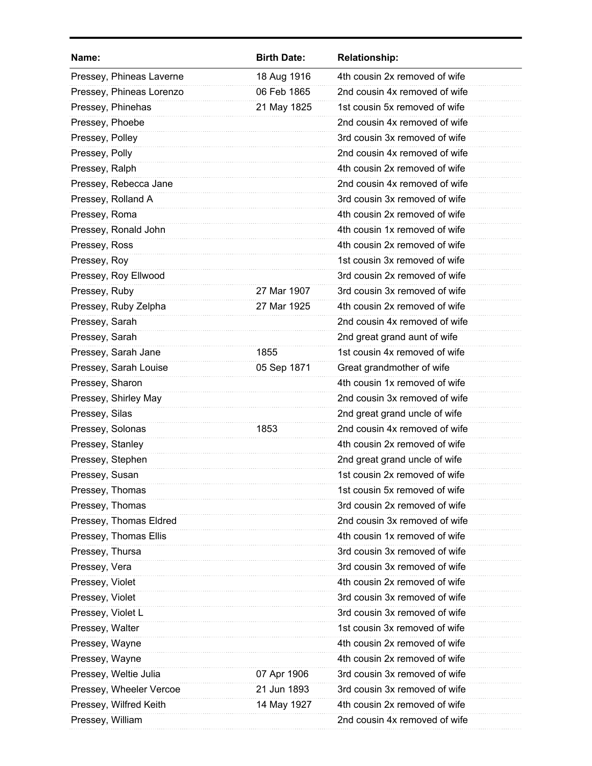| Name:                    | <b>Birth Date:</b> | <b>Relationship:</b>          |
|--------------------------|--------------------|-------------------------------|
| Pressey, Phineas Laverne | 18 Aug 1916        | 4th cousin 2x removed of wife |
| Pressey, Phineas Lorenzo | 06 Feb 1865        | 2nd cousin 4x removed of wife |
| Pressey, Phinehas        | 21 May 1825        | 1st cousin 5x removed of wife |
| Pressey, Phoebe          |                    | 2nd cousin 4x removed of wife |
| Pressey, Polley          |                    | 3rd cousin 3x removed of wife |
| Pressey, Polly           |                    | 2nd cousin 4x removed of wife |
| Pressey, Ralph           |                    | 4th cousin 2x removed of wife |
| Pressey, Rebecca Jane    |                    | 2nd cousin 4x removed of wife |
| Pressey, Rolland A       |                    | 3rd cousin 3x removed of wife |
| Pressey, Roma            |                    | 4th cousin 2x removed of wife |
| Pressey, Ronald John     |                    | 4th cousin 1x removed of wife |
| Pressey, Ross            |                    | 4th cousin 2x removed of wife |
| Pressey, Roy             |                    | 1st cousin 3x removed of wife |
| Pressey, Roy Ellwood     |                    | 3rd cousin 2x removed of wife |
| Pressey, Ruby            | 27 Mar 1907        | 3rd cousin 3x removed of wife |
| Pressey, Ruby Zelpha     | 27 Mar 1925        | 4th cousin 2x removed of wife |
| Pressey, Sarah           |                    | 2nd cousin 4x removed of wife |
| Pressey, Sarah           |                    | 2nd great grand aunt of wife  |
| Pressey, Sarah Jane      | 1855               | 1st cousin 4x removed of wife |
| Pressey, Sarah Louise    | 05 Sep 1871        | Great grandmother of wife     |
| Pressey, Sharon          |                    | 4th cousin 1x removed of wife |
| Pressey, Shirley May     |                    | 2nd cousin 3x removed of wife |
| Pressey, Silas           |                    | 2nd great grand uncle of wife |
| Pressey, Solonas         | 1853               | 2nd cousin 4x removed of wife |
| Pressey, Stanley         |                    | 4th cousin 2x removed of wife |
| Pressey, Stephen         |                    | 2nd great grand uncle of wife |
| Pressey, Susan           |                    | 1st cousin 2x removed of wife |
| Pressey, Thomas          |                    | 1st cousin 5x removed of wife |
| Pressey, Thomas          |                    | 3rd cousin 2x removed of wife |
| Pressey, Thomas Eldred   |                    | 2nd cousin 3x removed of wife |
| Pressey, Thomas Ellis    |                    | 4th cousin 1x removed of wife |
| Pressey, Thursa          |                    | 3rd cousin 3x removed of wife |
| Pressey, Vera            |                    | 3rd cousin 3x removed of wife |
| Pressey, Violet          |                    | 4th cousin 2x removed of wife |
| Pressey, Violet          |                    | 3rd cousin 3x removed of wife |
| Pressey, Violet L        |                    | 3rd cousin 3x removed of wife |
| Pressey, Walter          |                    | 1st cousin 3x removed of wife |
| Pressey, Wayne           |                    | 4th cousin 2x removed of wife |
| Pressey, Wayne           |                    | 4th cousin 2x removed of wife |
| Pressey, Weltie Julia    | 07 Apr 1906        | 3rd cousin 3x removed of wife |
| Pressey, Wheeler Vercoe  | 21 Jun 1893        | 3rd cousin 3x removed of wife |
| Pressey, Wilfred Keith   | 14 May 1927        | 4th cousin 2x removed of wife |
| Pressey, William         |                    | 2nd cousin 4x removed of wife |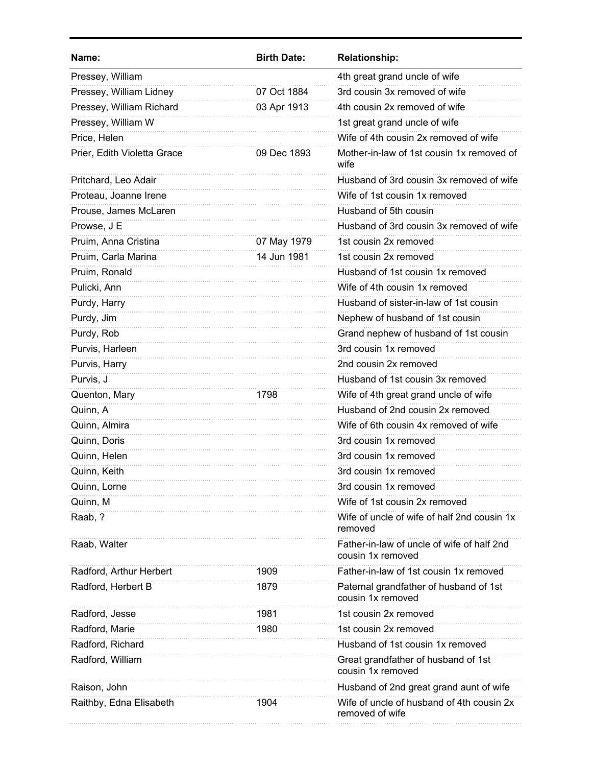| Name:                       | <b>Birth Date:</b> | <b>Relationship:</b>                                            |
|-----------------------------|--------------------|-----------------------------------------------------------------|
| Pressey, William            |                    | 4th great grand uncle of wife                                   |
| Pressey, William Lidney     | 07 Oct 1884        | 3rd cousin 3x removed of wife                                   |
| Pressey, William Richard    | 03 Apr 1913        | 4th cousin 2x removed of wife                                   |
| Pressey, William W          |                    | 1st great grand uncle of wife                                   |
| Price, Helen                |                    | Wife of 4th cousin 2x removed of wife                           |
| Prier, Edith Violetta Grace | 09 Dec 1893        | Mother-in-law of 1st cousin 1x removed of<br>wife               |
| Pritchard, Leo Adair        |                    | Husband of 3rd cousin 3x removed of wife                        |
| Proteau, Joanne Irene       |                    | Wife of 1st cousin 1x removed                                   |
| Prouse, James McLaren       |                    | Husband of 5th cousin                                           |
| Prowse, J E                 |                    | Husband of 3rd cousin 3x removed of wife                        |
| Pruim, Anna Cristina        | 07 May 1979        | 1st cousin 2x removed                                           |
| Pruim, Carla Marina         | 14 Jun 1981        | 1st cousin 2x removed                                           |
| Pruim, Ronald               |                    | Husband of 1st cousin 1x removed                                |
| Pulicki, Ann                |                    | Wife of 4th cousin 1x removed                                   |
| Purdy, Harry                |                    | Husband of sister-in-law of 1st cousin                          |
| Purdy, Jim                  |                    | Nephew of husband of 1st cousin                                 |
| Purdy, Rob                  |                    | Grand nephew of husband of 1st cousin                           |
| Purvis, Harleen             |                    | 3rd cousin 1x removed                                           |
| Purvis, Harry               |                    | 2nd cousin 2x removed                                           |
| Purvis, J                   |                    | Husband of 1st cousin 3x removed                                |
| Quenton, Mary               | 1798               | Wife of 4th great grand uncle of wife                           |
| Quinn, A                    |                    | Husband of 2nd cousin 2x removed                                |
| Quinn, Almira               |                    | Wife of 6th cousin 4x removed of wife                           |
| Quinn, Doris                |                    | 3rd cousin 1x removed                                           |
| Quinn, Helen                |                    | 3rd cousin 1x removed                                           |
| Quinn, Keith                |                    | 3rd cousin 1x removed                                           |
| Quinn, Lorne                |                    | 3rd cousin 1x removed                                           |
| Quinn, M                    |                    | Wife of 1st cousin 2x removed                                   |
| Raab, ?                     |                    | Wife of uncle of wife of half 2nd cousin 1x<br>removed          |
| Raab, Walter                |                    | Father-in-law of uncle of wife of half 2nd<br>cousin 1x removed |
| Radford, Arthur Herbert     | 1909               | Father-in-law of 1st cousin 1x removed                          |
| Radford, Herbert B          | 1879               | Paternal grandfather of husband of 1st<br>cousin 1x removed     |
| Radford, Jesse              | 1981               | 1st cousin 2x removed                                           |
| Radford, Marie              | 1980               | 1st cousin 2x removed                                           |
| Radford, Richard            |                    | Husband of 1st cousin 1x removed                                |
| Radford, William            |                    | Great grandfather of husband of 1st<br>cousin 1x removed        |
| Raison, John                |                    | Husband of 2nd great grand aunt of wife                         |
| Raithby, Edna Elisabeth     | 1904               | Wife of uncle of husband of 4th cousin 2x<br>removed of wife    |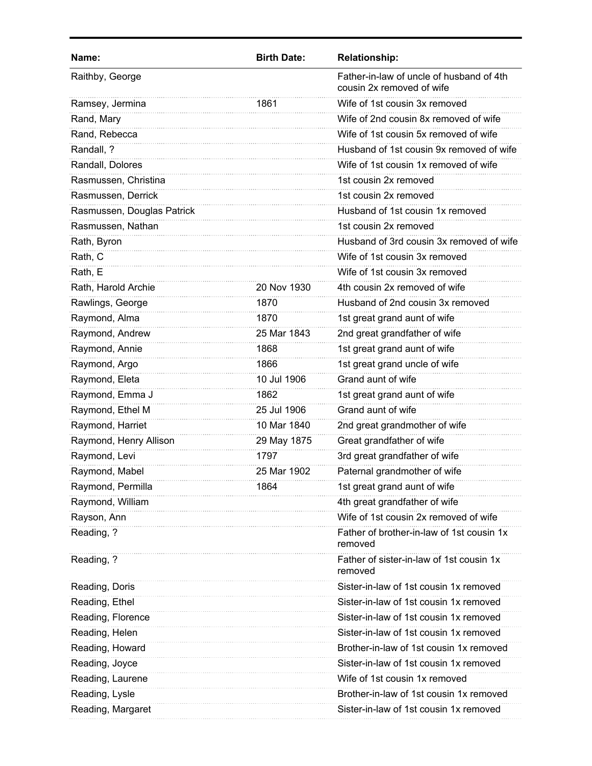| Name:                      | <b>Birth Date:</b> | <b>Relationship:</b>                                                  |
|----------------------------|--------------------|-----------------------------------------------------------------------|
| Raithby, George            |                    | Father-in-law of uncle of husband of 4th<br>cousin 2x removed of wife |
| Ramsey, Jermina            | 1861               | Wife of 1st cousin 3x removed                                         |
| Rand, Mary                 |                    | Wife of 2nd cousin 8x removed of wife                                 |
| Rand, Rebecca              |                    | Wife of 1st cousin 5x removed of wife                                 |
| Randall, ?                 |                    | Husband of 1st cousin 9x removed of wife                              |
| Randall, Dolores           |                    | Wife of 1st cousin 1x removed of wife                                 |
| Rasmussen, Christina       |                    | 1st cousin 2x removed                                                 |
| Rasmussen, Derrick         |                    | 1st cousin 2x removed                                                 |
| Rasmussen, Douglas Patrick |                    | Husband of 1st cousin 1x removed                                      |
| Rasmussen, Nathan          |                    | 1st cousin 2x removed                                                 |
| Rath, Byron                |                    | Husband of 3rd cousin 3x removed of wife                              |
| Rath, C                    |                    | Wife of 1st cousin 3x removed                                         |
| Rath, E                    |                    | Wife of 1st cousin 3x removed                                         |
| Rath, Harold Archie        | 20 Nov 1930        | 4th cousin 2x removed of wife                                         |
| Rawlings, George           | 1870               | Husband of 2nd cousin 3x removed                                      |
| Raymond, Alma              | 1870               | 1st great grand aunt of wife                                          |
| Raymond, Andrew            | 25 Mar 1843        | 2nd great grandfather of wife                                         |
| Raymond, Annie             | 1868               | 1st great grand aunt of wife                                          |
| Raymond, Argo              | 1866               | 1st great grand uncle of wife                                         |
| Raymond, Eleta             | 10 Jul 1906        | Grand aunt of wife                                                    |
| Raymond, Emma J            | 1862               | 1st great grand aunt of wife                                          |
| Raymond, Ethel M           | 25 Jul 1906        | Grand aunt of wife                                                    |
| Raymond, Harriet           | 10 Mar 1840        | 2nd great grandmother of wife                                         |
| Raymond, Henry Allison     | 29 May 1875        | Great grandfather of wife                                             |
| Raymond, Levi              | 1797               | 3rd great grandfather of wife                                         |
| Raymond, Mabel             | 25 Mar 1902        | Paternal grandmother of wife                                          |
| Raymond, Permilla          | 1864               | 1st great grand aunt of wife                                          |
| Raymond, William           |                    | 4th great grandfather of wife                                         |
| Rayson, Ann                |                    | Wife of 1st cousin 2x removed of wife                                 |
| Reading, ?                 |                    | Father of brother-in-law of 1st cousin 1x<br>removed                  |
| Reading, ?                 |                    | Father of sister-in-law of 1st cousin 1x<br>removed                   |
| Reading, Doris             |                    | Sister-in-law of 1st cousin 1x removed                                |
| Reading, Ethel             |                    | Sister-in-law of 1st cousin 1x removed                                |
| Reading, Florence          |                    | Sister-in-law of 1st cousin 1x removed                                |
| Reading, Helen             |                    | Sister-in-law of 1st cousin 1x removed                                |
| Reading, Howard            |                    | Brother-in-law of 1st cousin 1x removed                               |
| Reading, Joyce             |                    | Sister-in-law of 1st cousin 1x removed                                |
| Reading, Laurene           |                    | Wife of 1st cousin 1x removed                                         |
| Reading, Lysle             |                    | Brother-in-law of 1st cousin 1x removed                               |
| Reading, Margaret          |                    | Sister-in-law of 1st cousin 1x removed                                |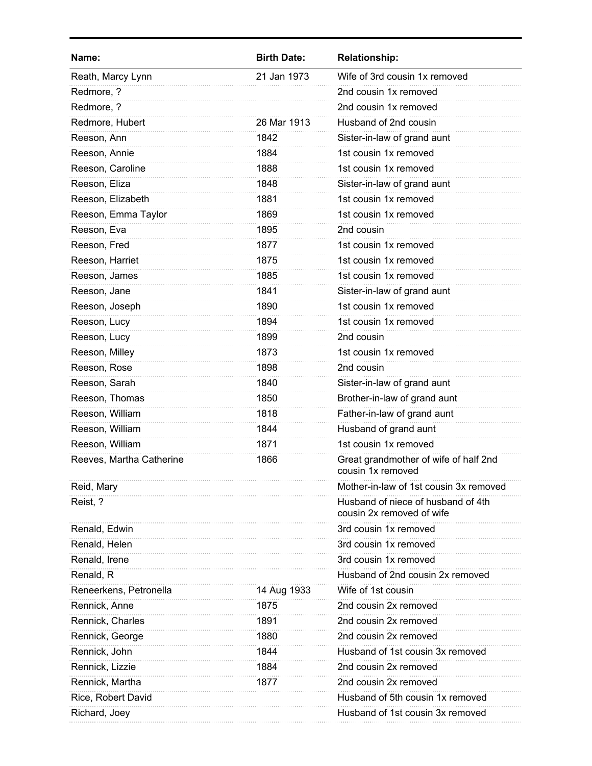| Name:                    | <b>Birth Date:</b> | <b>Relationship:</b>                                            |
|--------------------------|--------------------|-----------------------------------------------------------------|
| Reath, Marcy Lynn        | 21 Jan 1973        | Wife of 3rd cousin 1x removed                                   |
| Redmore, ?               |                    | 2nd cousin 1x removed                                           |
| Redmore, ?               |                    | 2nd cousin 1x removed                                           |
| Redmore, Hubert          | 26 Mar 1913        | Husband of 2nd cousin                                           |
| Reeson, Ann              | 1842               | Sister-in-law of grand aunt                                     |
| Reeson, Annie            | 1884               | 1st cousin 1x removed                                           |
| Reeson, Caroline         | 1888               | 1st cousin 1x removed                                           |
| Reeson, Eliza            | 1848               | Sister-in-law of grand aunt                                     |
| Reeson, Elizabeth        | 1881               | 1st cousin 1x removed                                           |
| Reeson, Emma Taylor      | 1869               | 1st cousin 1x removed                                           |
| Reeson, Eva              | 1895               | 2nd cousin                                                      |
| Reeson, Fred             | 1877               | 1st cousin 1x removed                                           |
| Reeson, Harriet          | 1875               | 1st cousin 1x removed                                           |
| Reeson, James            | 1885               | 1st cousin 1x removed                                           |
| Reeson, Jane             | 1841               | Sister-in-law of grand aunt                                     |
| Reeson, Joseph           | 1890               | 1st cousin 1x removed                                           |
| Reeson, Lucy             | 1894               | 1st cousin 1x removed                                           |
| Reeson, Lucy             | 1899               | 2nd cousin                                                      |
| Reeson, Milley           | 1873               | 1st cousin 1x removed                                           |
| Reeson, Rose             | 1898               | 2nd cousin                                                      |
| Reeson, Sarah            | 1840               | Sister-in-law of grand aunt                                     |
| Reeson, Thomas           | 1850               | Brother-in-law of grand aunt                                    |
| Reeson, William          | 1818               | Father-in-law of grand aunt                                     |
| Reeson, William          | 1844               | Husband of grand aunt                                           |
| Reeson, William          | 1871               | 1st cousin 1x removed                                           |
| Reeves, Martha Catherine | 1866               | Great grandmother of wife of half 2nd<br>cousin 1x removed      |
| Reid, Mary               |                    | Mother-in-law of 1st cousin 3x removed                          |
| Reist, ?                 |                    | Husband of niece of husband of 4th<br>cousin 2x removed of wife |
| Renald, Edwin            |                    | 3rd cousin 1x removed                                           |
| Renald, Helen            |                    | 3rd cousin 1x removed                                           |
| Renald, Irene            |                    | 3rd cousin 1x removed                                           |
| Renald, R                |                    | Husband of 2nd cousin 2x removed                                |
| Reneerkens, Petronella   | 14 Aug 1933        | Wife of 1st cousin                                              |
| Rennick, Anne            | 1875               | 2nd cousin 2x removed                                           |
| Rennick, Charles         | 1891               | 2nd cousin 2x removed                                           |
| Rennick, George          | 1880               | 2nd cousin 2x removed                                           |
| Rennick, John            | 1844               | Husband of 1st cousin 3x removed                                |
| Rennick, Lizzie          | 1884               | 2nd cousin 2x removed                                           |
| Rennick, Martha          | 1877               | 2nd cousin 2x removed                                           |
| Rice, Robert David       |                    | Husband of 5th cousin 1x removed                                |
| Richard, Joey            |                    | Husband of 1st cousin 3x removed                                |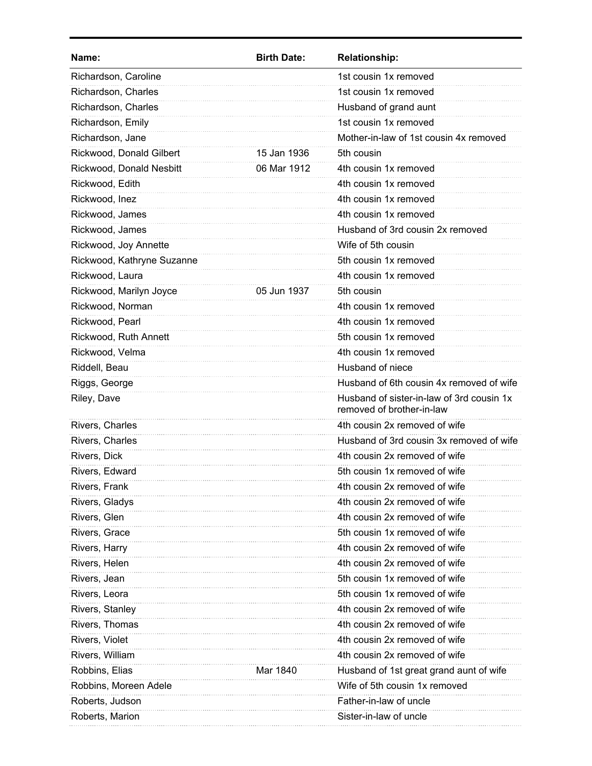| Name:                      | <b>Birth Date:</b> | <b>Relationship:</b>                                                   |
|----------------------------|--------------------|------------------------------------------------------------------------|
| Richardson, Caroline       |                    | 1st cousin 1x removed                                                  |
| Richardson, Charles        |                    | 1st cousin 1x removed                                                  |
| Richardson, Charles        |                    | Husband of grand aunt                                                  |
| Richardson, Emily          |                    | 1st cousin 1x removed                                                  |
| Richardson, Jane           |                    | Mother-in-law of 1st cousin 4x removed                                 |
| Rickwood, Donald Gilbert   | 15 Jan 1936        | 5th cousin                                                             |
| Rickwood, Donald Nesbitt   | 06 Mar 1912        | 4th cousin 1x removed                                                  |
| Rickwood, Edith            |                    | 4th cousin 1x removed                                                  |
| Rickwood, Inez             |                    | 4th cousin 1x removed                                                  |
| Rickwood, James            |                    | 4th cousin 1x removed                                                  |
| Rickwood, James            |                    | Husband of 3rd cousin 2x removed                                       |
| Rickwood, Joy Annette      |                    | Wife of 5th cousin                                                     |
| Rickwood, Kathryne Suzanne |                    | 5th cousin 1x removed                                                  |
| Rickwood, Laura            |                    | 4th cousin 1x removed                                                  |
| Rickwood, Marilyn Joyce    | 05 Jun 1937        | 5th cousin                                                             |
| Rickwood, Norman           |                    | 4th cousin 1x removed                                                  |
| Rickwood, Pearl            |                    | 4th cousin 1x removed                                                  |
| Rickwood, Ruth Annett      |                    | 5th cousin 1x removed                                                  |
| Rickwood, Velma            |                    | 4th cousin 1x removed                                                  |
| Riddell, Beau              |                    | Husband of niece                                                       |
| Riggs, George              |                    | Husband of 6th cousin 4x removed of wife                               |
| Riley, Dave                |                    | Husband of sister-in-law of 3rd cousin 1x<br>removed of brother-in-law |
| Rivers, Charles            |                    | 4th cousin 2x removed of wife                                          |
| Rivers, Charles            |                    | Husband of 3rd cousin 3x removed of wife                               |
| Rivers, Dick               |                    | 4th cousin 2x removed of wife                                          |
| Rivers, Edward             |                    | 5th cousin 1x removed of wife                                          |
| Rivers, Frank              |                    | 4th cousin 2x removed of wife                                          |
| Rivers, Gladys             |                    | 4th cousin 2x removed of wife                                          |
| Rivers, Glen               |                    | 4th cousin 2x removed of wife                                          |
| Rivers, Grace              |                    | 5th cousin 1x removed of wife                                          |
| Rivers, Harry              |                    | 4th cousin 2x removed of wife                                          |
| Rivers, Helen              |                    | 4th cousin 2x removed of wife                                          |
| Rivers, Jean               |                    | 5th cousin 1x removed of wife                                          |
| Rivers, Leora              |                    | 5th cousin 1x removed of wife                                          |
| Rivers, Stanley            |                    | 4th cousin 2x removed of wife                                          |
| Rivers, Thomas             |                    | 4th cousin 2x removed of wife                                          |
| Rivers, Violet             |                    | 4th cousin 2x removed of wife                                          |
| Rivers, William            |                    | 4th cousin 2x removed of wife                                          |
| Robbins, Elias             | Mar 1840           | Husband of 1st great grand aunt of wife                                |
| Robbins, Moreen Adele      |                    | Wife of 5th cousin 1x removed                                          |
| Roberts, Judson            |                    | Father-in-law of uncle                                                 |
| Roberts, Marion            |                    | Sister-in-law of uncle                                                 |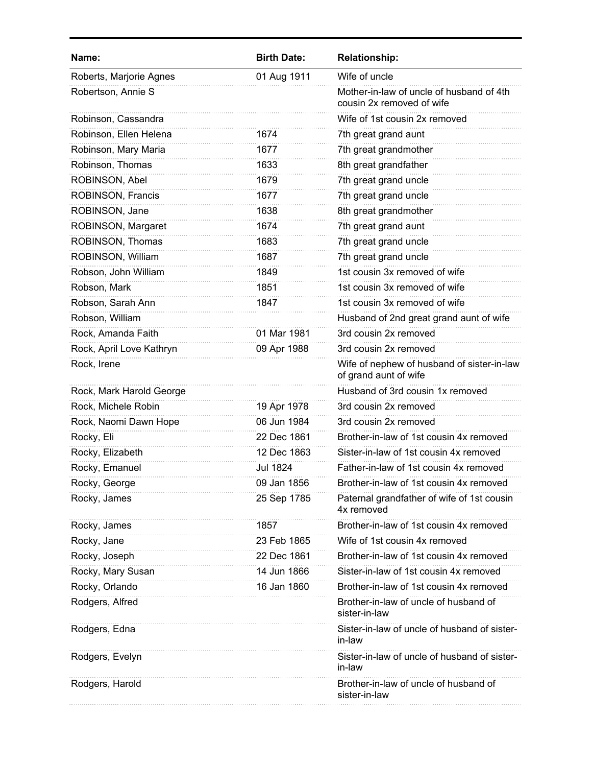| <b>Birth Date:</b> | <b>Relationship:</b>                                                  |
|--------------------|-----------------------------------------------------------------------|
| 01 Aug 1911        | Wife of uncle                                                         |
|                    | Mother-in-law of uncle of husband of 4th<br>cousin 2x removed of wife |
|                    | Wife of 1st cousin 2x removed                                         |
| 1674               | 7th great grand aunt                                                  |
| 1677               | 7th great grandmother                                                 |
| 1633               | 8th great grandfather                                                 |
| 1679               | 7th great grand uncle                                                 |
| 1677               | 7th great grand uncle                                                 |
| 1638               | 8th great grandmother                                                 |
| 1674               | 7th great grand aunt                                                  |
| 1683               | 7th great grand uncle                                                 |
| 1687               | 7th great grand uncle                                                 |
| 1849               | 1st cousin 3x removed of wife                                         |
| 1851               | 1st cousin 3x removed of wife                                         |
| 1847               | 1st cousin 3x removed of wife                                         |
|                    | Husband of 2nd great grand aunt of wife                               |
| 01 Mar 1981        | 3rd cousin 2x removed                                                 |
| 09 Apr 1988        | 3rd cousin 2x removed                                                 |
|                    | Wife of nephew of husband of sister-in-law<br>of grand aunt of wife   |
|                    | Husband of 3rd cousin 1x removed                                      |
| 19 Apr 1978        | 3rd cousin 2x removed                                                 |
| 06 Jun 1984        | 3rd cousin 2x removed                                                 |
| 22 Dec 1861        | Brother-in-law of 1st cousin 4x removed                               |
| 12 Dec 1863        | Sister-in-law of 1st cousin 4x removed                                |
| <b>Jul 1824</b>    | Father-in-law of 1st cousin 4x removed                                |
| 09 Jan 1856        | Brother-in-law of 1st cousin 4x removed                               |
| 25 Sep 1785        | Paternal grandfather of wife of 1st cousin<br>4x removed              |
| 1857               | Brother-in-law of 1st cousin 4x removed                               |
| 23 Feb 1865        | Wife of 1st cousin 4x removed                                         |
| 22 Dec 1861        | Brother-in-law of 1st cousin 4x removed                               |
| 14 Jun 1866        | Sister-in-law of 1st cousin 4x removed                                |
| 16 Jan 1860        | Brother-in-law of 1st cousin 4x removed                               |
|                    | Brother-in-law of uncle of husband of<br>sister-in-law                |
|                    | Sister-in-law of uncle of husband of sister-<br>in-law                |
|                    | Sister-in-law of uncle of husband of sister-<br>in-law                |
|                    | Brother-in-law of uncle of husband of<br>sister-in-law                |
|                    |                                                                       |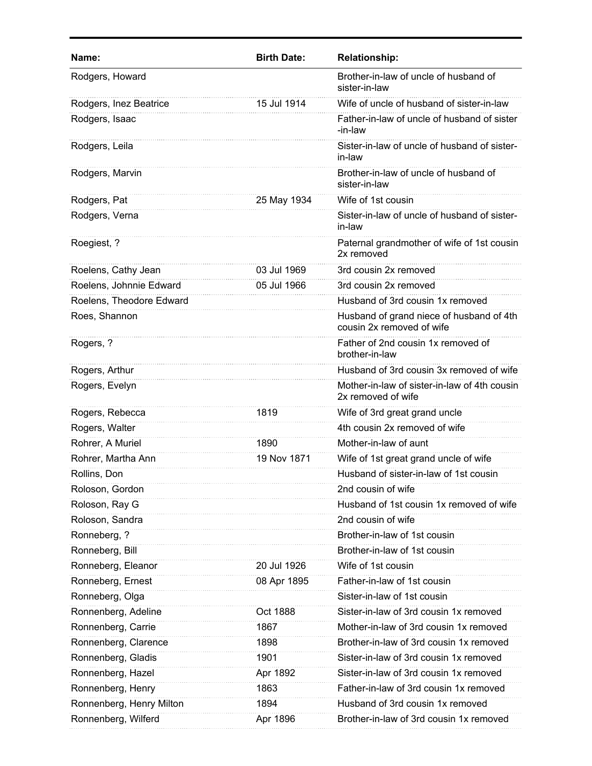| Name:                    | <b>Birth Date:</b> | <b>Relationship:</b>                                                  |
|--------------------------|--------------------|-----------------------------------------------------------------------|
| Rodgers, Howard          |                    | Brother-in-law of uncle of husband of<br>sister-in-law                |
| Rodgers, Inez Beatrice   | 15 Jul 1914        | Wife of uncle of husband of sister-in-law                             |
| Rodgers, Isaac           |                    | Father-in-law of uncle of husband of sister<br>-in-law                |
| Rodgers, Leila           |                    | Sister-in-law of uncle of husband of sister-<br>in-law                |
| Rodgers, Marvin          |                    | Brother-in-law of uncle of husband of<br>sister-in-law                |
| Rodgers, Pat             | 25 May 1934        | Wife of 1st cousin                                                    |
| Rodgers, Verna           |                    | Sister-in-law of uncle of husband of sister-<br>in-law                |
| Roegiest, ?              |                    | Paternal grandmother of wife of 1st cousin<br>2x removed              |
| Roelens, Cathy Jean      | 03 Jul 1969        | 3rd cousin 2x removed                                                 |
| Roelens, Johnnie Edward  | 05 Jul 1966        | 3rd cousin 2x removed                                                 |
| Roelens, Theodore Edward |                    | Husband of 3rd cousin 1x removed                                      |
| Roes, Shannon            |                    | Husband of grand niece of husband of 4th<br>cousin 2x removed of wife |
| Rogers, ?                |                    | Father of 2nd cousin 1x removed of<br>brother-in-law                  |
| Rogers, Arthur           |                    | Husband of 3rd cousin 3x removed of wife                              |
| Rogers, Evelyn           |                    | Mother-in-law of sister-in-law of 4th cousin<br>2x removed of wife    |
| Rogers, Rebecca          | 1819               | Wife of 3rd great grand uncle                                         |
| Rogers, Walter           |                    | 4th cousin 2x removed of wife                                         |
| Rohrer, A Muriel         | 1890               | Mother-in-law of aunt                                                 |
| Rohrer, Martha Ann       | 19 Nov 1871        | Wife of 1st great grand uncle of wife                                 |
| Rollins, Don             |                    | Husband of sister-in-law of 1st cousin                                |
| Roloson, Gordon          |                    | 2nd cousin of wife                                                    |
| Roloson, Ray G           |                    | Husband of 1st cousin 1x removed of wife                              |
| Roloson, Sandra          |                    | 2nd cousin of wife                                                    |
| Ronneberg, ?             |                    | Brother-in-law of 1st cousin                                          |
| Ronneberg, Bill          |                    | Brother-in-law of 1st cousin                                          |
| Ronneberg, Eleanor       | 20 Jul 1926        | Wife of 1st cousin                                                    |
| Ronneberg, Ernest        | 08 Apr 1895        | Father-in-law of 1st cousin                                           |
| Ronneberg, Olga          |                    | Sister-in-law of 1st cousin                                           |
| Ronnenberg, Adeline      | Oct 1888           | Sister-in-law of 3rd cousin 1x removed                                |
| Ronnenberg, Carrie       | 1867               | Mother-in-law of 3rd cousin 1x removed                                |
| Ronnenberg, Clarence     | 1898               | Brother-in-law of 3rd cousin 1x removed                               |
| Ronnenberg, Gladis       | 1901               | Sister-in-law of 3rd cousin 1x removed                                |
| Ronnenberg, Hazel        | Apr 1892           | Sister-in-law of 3rd cousin 1x removed                                |
| Ronnenberg, Henry        | 1863               | Father-in-law of 3rd cousin 1x removed                                |
| Ronnenberg, Henry Milton | 1894               | Husband of 3rd cousin 1x removed                                      |
| Ronnenberg, Wilferd      | Apr 1896           | Brother-in-law of 3rd cousin 1x removed                               |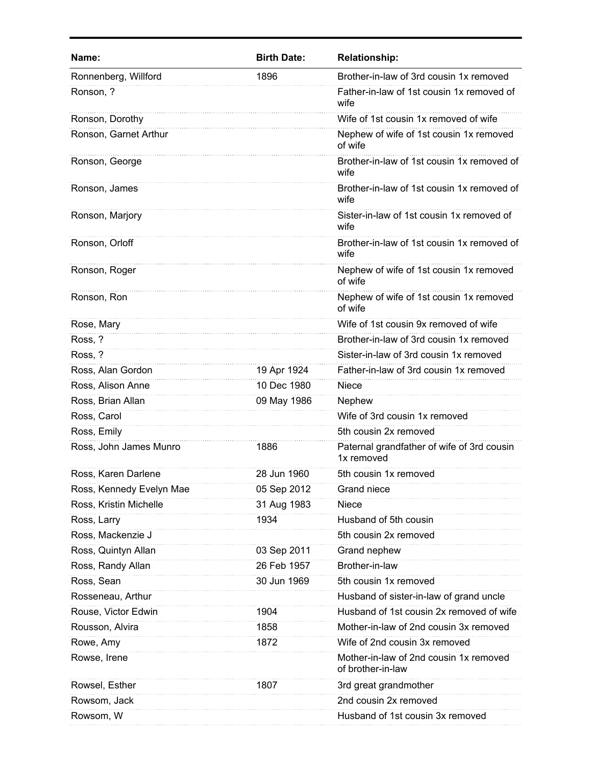| Brother-in-law of 3rd cousin 1x removed<br>Ronnenberg, Willford<br>1896<br>Ronson, ?<br>Father-in-law of 1st cousin 1x removed of<br>wife<br>Wife of 1st cousin 1x removed of wife<br>Ronson, Dorothy<br>Ronson, Garnet Arthur<br>Nephew of wife of 1st cousin 1x removed<br>of wife<br>Ronson, George<br>Brother-in-law of 1st cousin 1x removed of<br>wife<br>Brother-in-law of 1st cousin 1x removed of<br>Ronson, James<br>wife<br>Ronson, Marjory<br>Sister-in-law of 1st cousin 1x removed of<br>wife<br>Ronson, Orloff<br>Brother-in-law of 1st cousin 1x removed of<br>wife<br>Nephew of wife of 1st cousin 1x removed<br>Ronson, Roger<br>of wife<br>Ronson, Ron<br>Nephew of wife of 1st cousin 1x removed<br>of wife<br>Wife of 1st cousin 9x removed of wife<br>Rose, Mary<br>Ross, ?<br>Brother-in-law of 3rd cousin 1x removed<br>Ross, ?<br>Sister-in-law of 3rd cousin 1x removed<br>Ross, Alan Gordon<br>19 Apr 1924<br>Father-in-law of 3rd cousin 1x removed<br>Ross, Alison Anne<br>10 Dec 1980<br><b>Niece</b><br>Ross, Brian Allan<br>Nephew<br>09 May 1986<br>Wife of 3rd cousin 1x removed<br>Ross, Carol<br>Ross, Emily<br>5th cousin 2x removed<br>Ross, John James Munro<br>Paternal grandfather of wife of 3rd cousin<br>1886<br>1x removed<br>28 Jun 1960<br>Ross, Karen Darlene<br>5th cousin 1x removed<br>Ross, Kennedy Evelyn Mae<br>05 Sep 2012<br>Grand niece<br>Ross, Kristin Michelle<br>31 Aug 1983<br>Niece<br>Husband of 5th cousin<br>Ross, Larry<br>1934<br>Ross, Mackenzie J<br>5th cousin 2x removed<br>Ross, Quintyn Allan<br>Grand nephew<br>03 Sep 2011<br>Brother-in-law<br>Ross, Randy Allan<br>26 Feb 1957<br>Ross, Sean<br>30 Jun 1969<br>5th cousin 1x removed<br>Rosseneau, Arthur<br>Husband of sister-in-law of grand uncle<br>Rouse, Victor Edwin<br>Husband of 1st cousin 2x removed of wife<br>1904<br>Rousson, Alvira<br>Mother-in-law of 2nd cousin 3x removed<br>1858<br>Rowe, Amy<br>Wife of 2nd cousin 3x removed<br>1872<br>Rowse, Irene<br>Mother-in-law of 2nd cousin 1x removed<br>of brother-in-law<br>3rd great grandmother<br>Rowsel, Esther<br>1807<br>2nd cousin 2x removed<br>Rowsom, Jack<br>Rowsom, W<br>Husband of 1st cousin 3x removed | Name: | <b>Birth Date:</b> | <b>Relationship:</b> |
|----------------------------------------------------------------------------------------------------------------------------------------------------------------------------------------------------------------------------------------------------------------------------------------------------------------------------------------------------------------------------------------------------------------------------------------------------------------------------------------------------------------------------------------------------------------------------------------------------------------------------------------------------------------------------------------------------------------------------------------------------------------------------------------------------------------------------------------------------------------------------------------------------------------------------------------------------------------------------------------------------------------------------------------------------------------------------------------------------------------------------------------------------------------------------------------------------------------------------------------------------------------------------------------------------------------------------------------------------------------------------------------------------------------------------------------------------------------------------------------------------------------------------------------------------------------------------------------------------------------------------------------------------------------------------------------------------------------------------------------------------------------------------------------------------------------------------------------------------------------------------------------------------------------------------------------------------------------------------------------------------------------------------------------------------------------------------------------------------------------------------------------------------------------------------------------------------------------------|-------|--------------------|----------------------|
|                                                                                                                                                                                                                                                                                                                                                                                                                                                                                                                                                                                                                                                                                                                                                                                                                                                                                                                                                                                                                                                                                                                                                                                                                                                                                                                                                                                                                                                                                                                                                                                                                                                                                                                                                                                                                                                                                                                                                                                                                                                                                                                                                                                                                      |       |                    |                      |
|                                                                                                                                                                                                                                                                                                                                                                                                                                                                                                                                                                                                                                                                                                                                                                                                                                                                                                                                                                                                                                                                                                                                                                                                                                                                                                                                                                                                                                                                                                                                                                                                                                                                                                                                                                                                                                                                                                                                                                                                                                                                                                                                                                                                                      |       |                    |                      |
|                                                                                                                                                                                                                                                                                                                                                                                                                                                                                                                                                                                                                                                                                                                                                                                                                                                                                                                                                                                                                                                                                                                                                                                                                                                                                                                                                                                                                                                                                                                                                                                                                                                                                                                                                                                                                                                                                                                                                                                                                                                                                                                                                                                                                      |       |                    |                      |
|                                                                                                                                                                                                                                                                                                                                                                                                                                                                                                                                                                                                                                                                                                                                                                                                                                                                                                                                                                                                                                                                                                                                                                                                                                                                                                                                                                                                                                                                                                                                                                                                                                                                                                                                                                                                                                                                                                                                                                                                                                                                                                                                                                                                                      |       |                    |                      |
|                                                                                                                                                                                                                                                                                                                                                                                                                                                                                                                                                                                                                                                                                                                                                                                                                                                                                                                                                                                                                                                                                                                                                                                                                                                                                                                                                                                                                                                                                                                                                                                                                                                                                                                                                                                                                                                                                                                                                                                                                                                                                                                                                                                                                      |       |                    |                      |
|                                                                                                                                                                                                                                                                                                                                                                                                                                                                                                                                                                                                                                                                                                                                                                                                                                                                                                                                                                                                                                                                                                                                                                                                                                                                                                                                                                                                                                                                                                                                                                                                                                                                                                                                                                                                                                                                                                                                                                                                                                                                                                                                                                                                                      |       |                    |                      |
|                                                                                                                                                                                                                                                                                                                                                                                                                                                                                                                                                                                                                                                                                                                                                                                                                                                                                                                                                                                                                                                                                                                                                                                                                                                                                                                                                                                                                                                                                                                                                                                                                                                                                                                                                                                                                                                                                                                                                                                                                                                                                                                                                                                                                      |       |                    |                      |
|                                                                                                                                                                                                                                                                                                                                                                                                                                                                                                                                                                                                                                                                                                                                                                                                                                                                                                                                                                                                                                                                                                                                                                                                                                                                                                                                                                                                                                                                                                                                                                                                                                                                                                                                                                                                                                                                                                                                                                                                                                                                                                                                                                                                                      |       |                    |                      |
|                                                                                                                                                                                                                                                                                                                                                                                                                                                                                                                                                                                                                                                                                                                                                                                                                                                                                                                                                                                                                                                                                                                                                                                                                                                                                                                                                                                                                                                                                                                                                                                                                                                                                                                                                                                                                                                                                                                                                                                                                                                                                                                                                                                                                      |       |                    |                      |
|                                                                                                                                                                                                                                                                                                                                                                                                                                                                                                                                                                                                                                                                                                                                                                                                                                                                                                                                                                                                                                                                                                                                                                                                                                                                                                                                                                                                                                                                                                                                                                                                                                                                                                                                                                                                                                                                                                                                                                                                                                                                                                                                                                                                                      |       |                    |                      |
|                                                                                                                                                                                                                                                                                                                                                                                                                                                                                                                                                                                                                                                                                                                                                                                                                                                                                                                                                                                                                                                                                                                                                                                                                                                                                                                                                                                                                                                                                                                                                                                                                                                                                                                                                                                                                                                                                                                                                                                                                                                                                                                                                                                                                      |       |                    |                      |
|                                                                                                                                                                                                                                                                                                                                                                                                                                                                                                                                                                                                                                                                                                                                                                                                                                                                                                                                                                                                                                                                                                                                                                                                                                                                                                                                                                                                                                                                                                                                                                                                                                                                                                                                                                                                                                                                                                                                                                                                                                                                                                                                                                                                                      |       |                    |                      |
|                                                                                                                                                                                                                                                                                                                                                                                                                                                                                                                                                                                                                                                                                                                                                                                                                                                                                                                                                                                                                                                                                                                                                                                                                                                                                                                                                                                                                                                                                                                                                                                                                                                                                                                                                                                                                                                                                                                                                                                                                                                                                                                                                                                                                      |       |                    |                      |
|                                                                                                                                                                                                                                                                                                                                                                                                                                                                                                                                                                                                                                                                                                                                                                                                                                                                                                                                                                                                                                                                                                                                                                                                                                                                                                                                                                                                                                                                                                                                                                                                                                                                                                                                                                                                                                                                                                                                                                                                                                                                                                                                                                                                                      |       |                    |                      |
|                                                                                                                                                                                                                                                                                                                                                                                                                                                                                                                                                                                                                                                                                                                                                                                                                                                                                                                                                                                                                                                                                                                                                                                                                                                                                                                                                                                                                                                                                                                                                                                                                                                                                                                                                                                                                                                                                                                                                                                                                                                                                                                                                                                                                      |       |                    |                      |
|                                                                                                                                                                                                                                                                                                                                                                                                                                                                                                                                                                                                                                                                                                                                                                                                                                                                                                                                                                                                                                                                                                                                                                                                                                                                                                                                                                                                                                                                                                                                                                                                                                                                                                                                                                                                                                                                                                                                                                                                                                                                                                                                                                                                                      |       |                    |                      |
|                                                                                                                                                                                                                                                                                                                                                                                                                                                                                                                                                                                                                                                                                                                                                                                                                                                                                                                                                                                                                                                                                                                                                                                                                                                                                                                                                                                                                                                                                                                                                                                                                                                                                                                                                                                                                                                                                                                                                                                                                                                                                                                                                                                                                      |       |                    |                      |
|                                                                                                                                                                                                                                                                                                                                                                                                                                                                                                                                                                                                                                                                                                                                                                                                                                                                                                                                                                                                                                                                                                                                                                                                                                                                                                                                                                                                                                                                                                                                                                                                                                                                                                                                                                                                                                                                                                                                                                                                                                                                                                                                                                                                                      |       |                    |                      |
|                                                                                                                                                                                                                                                                                                                                                                                                                                                                                                                                                                                                                                                                                                                                                                                                                                                                                                                                                                                                                                                                                                                                                                                                                                                                                                                                                                                                                                                                                                                                                                                                                                                                                                                                                                                                                                                                                                                                                                                                                                                                                                                                                                                                                      |       |                    |                      |
|                                                                                                                                                                                                                                                                                                                                                                                                                                                                                                                                                                                                                                                                                                                                                                                                                                                                                                                                                                                                                                                                                                                                                                                                                                                                                                                                                                                                                                                                                                                                                                                                                                                                                                                                                                                                                                                                                                                                                                                                                                                                                                                                                                                                                      |       |                    |                      |
|                                                                                                                                                                                                                                                                                                                                                                                                                                                                                                                                                                                                                                                                                                                                                                                                                                                                                                                                                                                                                                                                                                                                                                                                                                                                                                                                                                                                                                                                                                                                                                                                                                                                                                                                                                                                                                                                                                                                                                                                                                                                                                                                                                                                                      |       |                    |                      |
|                                                                                                                                                                                                                                                                                                                                                                                                                                                                                                                                                                                                                                                                                                                                                                                                                                                                                                                                                                                                                                                                                                                                                                                                                                                                                                                                                                                                                                                                                                                                                                                                                                                                                                                                                                                                                                                                                                                                                                                                                                                                                                                                                                                                                      |       |                    |                      |
|                                                                                                                                                                                                                                                                                                                                                                                                                                                                                                                                                                                                                                                                                                                                                                                                                                                                                                                                                                                                                                                                                                                                                                                                                                                                                                                                                                                                                                                                                                                                                                                                                                                                                                                                                                                                                                                                                                                                                                                                                                                                                                                                                                                                                      |       |                    |                      |
|                                                                                                                                                                                                                                                                                                                                                                                                                                                                                                                                                                                                                                                                                                                                                                                                                                                                                                                                                                                                                                                                                                                                                                                                                                                                                                                                                                                                                                                                                                                                                                                                                                                                                                                                                                                                                                                                                                                                                                                                                                                                                                                                                                                                                      |       |                    |                      |
|                                                                                                                                                                                                                                                                                                                                                                                                                                                                                                                                                                                                                                                                                                                                                                                                                                                                                                                                                                                                                                                                                                                                                                                                                                                                                                                                                                                                                                                                                                                                                                                                                                                                                                                                                                                                                                                                                                                                                                                                                                                                                                                                                                                                                      |       |                    |                      |
|                                                                                                                                                                                                                                                                                                                                                                                                                                                                                                                                                                                                                                                                                                                                                                                                                                                                                                                                                                                                                                                                                                                                                                                                                                                                                                                                                                                                                                                                                                                                                                                                                                                                                                                                                                                                                                                                                                                                                                                                                                                                                                                                                                                                                      |       |                    |                      |
|                                                                                                                                                                                                                                                                                                                                                                                                                                                                                                                                                                                                                                                                                                                                                                                                                                                                                                                                                                                                                                                                                                                                                                                                                                                                                                                                                                                                                                                                                                                                                                                                                                                                                                                                                                                                                                                                                                                                                                                                                                                                                                                                                                                                                      |       |                    |                      |
|                                                                                                                                                                                                                                                                                                                                                                                                                                                                                                                                                                                                                                                                                                                                                                                                                                                                                                                                                                                                                                                                                                                                                                                                                                                                                                                                                                                                                                                                                                                                                                                                                                                                                                                                                                                                                                                                                                                                                                                                                                                                                                                                                                                                                      |       |                    |                      |
|                                                                                                                                                                                                                                                                                                                                                                                                                                                                                                                                                                                                                                                                                                                                                                                                                                                                                                                                                                                                                                                                                                                                                                                                                                                                                                                                                                                                                                                                                                                                                                                                                                                                                                                                                                                                                                                                                                                                                                                                                                                                                                                                                                                                                      |       |                    |                      |
|                                                                                                                                                                                                                                                                                                                                                                                                                                                                                                                                                                                                                                                                                                                                                                                                                                                                                                                                                                                                                                                                                                                                                                                                                                                                                                                                                                                                                                                                                                                                                                                                                                                                                                                                                                                                                                                                                                                                                                                                                                                                                                                                                                                                                      |       |                    |                      |
|                                                                                                                                                                                                                                                                                                                                                                                                                                                                                                                                                                                                                                                                                                                                                                                                                                                                                                                                                                                                                                                                                                                                                                                                                                                                                                                                                                                                                                                                                                                                                                                                                                                                                                                                                                                                                                                                                                                                                                                                                                                                                                                                                                                                                      |       |                    |                      |
|                                                                                                                                                                                                                                                                                                                                                                                                                                                                                                                                                                                                                                                                                                                                                                                                                                                                                                                                                                                                                                                                                                                                                                                                                                                                                                                                                                                                                                                                                                                                                                                                                                                                                                                                                                                                                                                                                                                                                                                                                                                                                                                                                                                                                      |       |                    |                      |
|                                                                                                                                                                                                                                                                                                                                                                                                                                                                                                                                                                                                                                                                                                                                                                                                                                                                                                                                                                                                                                                                                                                                                                                                                                                                                                                                                                                                                                                                                                                                                                                                                                                                                                                                                                                                                                                                                                                                                                                                                                                                                                                                                                                                                      |       |                    |                      |
|                                                                                                                                                                                                                                                                                                                                                                                                                                                                                                                                                                                                                                                                                                                                                                                                                                                                                                                                                                                                                                                                                                                                                                                                                                                                                                                                                                                                                                                                                                                                                                                                                                                                                                                                                                                                                                                                                                                                                                                                                                                                                                                                                                                                                      |       |                    |                      |
|                                                                                                                                                                                                                                                                                                                                                                                                                                                                                                                                                                                                                                                                                                                                                                                                                                                                                                                                                                                                                                                                                                                                                                                                                                                                                                                                                                                                                                                                                                                                                                                                                                                                                                                                                                                                                                                                                                                                                                                                                                                                                                                                                                                                                      |       |                    |                      |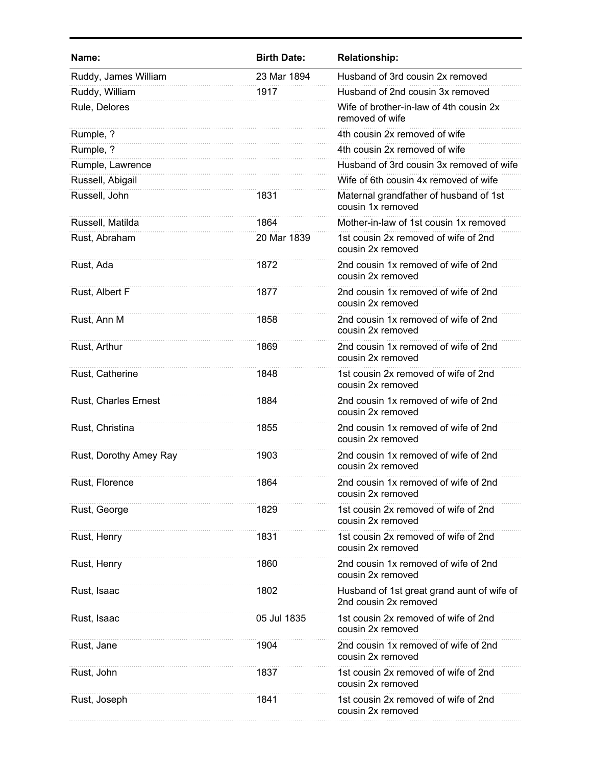| Name:                  | <b>Birth Date:</b> | <b>Relationship:</b>                                                |
|------------------------|--------------------|---------------------------------------------------------------------|
| Ruddy, James William   | 23 Mar 1894        | Husband of 3rd cousin 2x removed                                    |
| Ruddy, William         | 1917               | Husband of 2nd cousin 3x removed                                    |
| Rule, Delores          |                    | Wife of brother-in-law of 4th cousin 2x<br>removed of wife          |
| Rumple, ?              |                    | 4th cousin 2x removed of wife                                       |
| Rumple, ?              |                    | 4th cousin 2x removed of wife                                       |
| Rumple, Lawrence       |                    | Husband of 3rd cousin 3x removed of wife                            |
| Russell, Abigail       |                    | Wife of 6th cousin 4x removed of wife                               |
| Russell, John          | 1831               | Maternal grandfather of husband of 1st<br>cousin 1x removed         |
| Russell, Matilda       | 1864               | Mother-in-law of 1st cousin 1x removed                              |
| Rust, Abraham          | 20 Mar 1839        | 1st cousin 2x removed of wife of 2nd<br>cousin 2x removed           |
| Rust, Ada              | 1872               | 2nd cousin 1x removed of wife of 2nd<br>cousin 2x removed           |
| Rust, Albert F         | 1877               | 2nd cousin 1x removed of wife of 2nd<br>cousin 2x removed           |
| Rust, Ann M            | 1858               | 2nd cousin 1x removed of wife of 2nd<br>cousin 2x removed           |
| Rust, Arthur           | 1869               | 2nd cousin 1x removed of wife of 2nd<br>cousin 2x removed           |
| Rust, Catherine        | 1848               | 1st cousin 2x removed of wife of 2nd<br>cousin 2x removed           |
| Rust, Charles Ernest   | 1884               | 2nd cousin 1x removed of wife of 2nd<br>cousin 2x removed           |
| Rust, Christina        | 1855               | 2nd cousin 1x removed of wife of 2nd<br>cousin 2x removed           |
| Rust, Dorothy Amey Ray | 1903               | 2nd cousin 1x removed of wife of 2nd<br>cousin 2x removed           |
| Rust, Florence         | 1864               | 2nd cousin 1x removed of wife of 2nd<br>cousin 2x removed           |
| Rust, George           | 1829               | 1st cousin 2x removed of wife of 2nd<br>cousin 2x removed           |
| Rust, Henry            | 1831               | 1st cousin 2x removed of wife of 2nd<br>cousin 2x removed           |
| Rust, Henry            | 1860               | 2nd cousin 1x removed of wife of 2nd<br>cousin 2x removed           |
| Rust, Isaac            | 1802               | Husband of 1st great grand aunt of wife of<br>2nd cousin 2x removed |
| Rust, Isaac            | 05 Jul 1835        | 1st cousin 2x removed of wife of 2nd<br>cousin 2x removed           |
| Rust, Jane             | 1904               | 2nd cousin 1x removed of wife of 2nd<br>cousin 2x removed           |
| Rust, John             | 1837               | 1st cousin 2x removed of wife of 2nd<br>cousin 2x removed           |
| Rust, Joseph           | 1841               | 1st cousin 2x removed of wife of 2nd<br>cousin 2x removed           |
|                        |                    |                                                                     |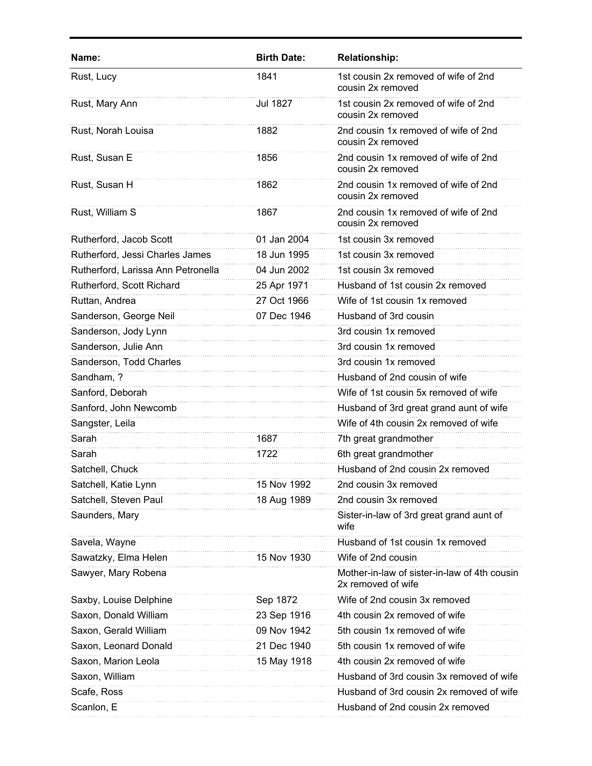| Name:                              | <b>Birth Date:</b> | <b>Relationship:</b>                                               |
|------------------------------------|--------------------|--------------------------------------------------------------------|
| Rust, Lucy                         | 1841               | 1st cousin 2x removed of wife of 2nd<br>cousin 2x removed          |
| Rust, Mary Ann                     | <b>Jul 1827</b>    | 1st cousin 2x removed of wife of 2nd<br>cousin 2x removed          |
| Rust, Norah Louisa                 | 1882               | 2nd cousin 1x removed of wife of 2nd<br>cousin 2x removed          |
| Rust, Susan E                      | 1856               | 2nd cousin 1x removed of wife of 2nd<br>cousin 2x removed          |
| Rust, Susan H                      | 1862               | 2nd cousin 1x removed of wife of 2nd<br>cousin 2x removed          |
| Rust, William S                    | 1867               | 2nd cousin 1x removed of wife of 2nd<br>cousin 2x removed          |
| Rutherford, Jacob Scott            | 01 Jan 2004        | 1st cousin 3x removed                                              |
| Rutherford, Jessi Charles James    | 18 Jun 1995        | 1st cousin 3x removed                                              |
| Rutherford, Larissa Ann Petronella | 04 Jun 2002        | 1st cousin 3x removed                                              |
| Rutherford, Scott Richard          | 25 Apr 1971        | Husband of 1st cousin 2x removed                                   |
| Ruttan, Andrea                     | 27 Oct 1966        | Wife of 1st cousin 1x removed                                      |
| Sanderson, George Neil             | 07 Dec 1946        | Husband of 3rd cousin                                              |
| Sanderson, Jody Lynn               |                    | 3rd cousin 1x removed                                              |
| Sanderson, Julie Ann               |                    | 3rd cousin 1x removed                                              |
| Sanderson, Todd Charles            |                    | 3rd cousin 1x removed                                              |
| Sandham, ?                         |                    | Husband of 2nd cousin of wife                                      |
| Sanford, Deborah                   |                    | Wife of 1st cousin 5x removed of wife                              |
| Sanford, John Newcomb              |                    | Husband of 3rd great grand aunt of wife                            |
| Sangster, Leila                    |                    | Wife of 4th cousin 2x removed of wife                              |
| Sarah                              | 1687               | 7th great grandmother                                              |
| Sarah                              | 1722               | 6th great grandmother                                              |
| Satchell, Chuck                    |                    | Husband of 2nd cousin 2x removed                                   |
| Satchell, Katie Lynn               | 15 Nov 1992        | 2nd cousin 3x removed                                              |
| Satchell, Steven Paul              | 18 Aug 1989        | 2nd cousin 3x removed                                              |
| Saunders, Mary                     |                    | Sister-in-law of 3rd great grand aunt of<br>wife                   |
| Savela, Wayne                      |                    | Husband of 1st cousin 1x removed                                   |
| Sawatzky, Elma Helen               | 15 Nov 1930        | Wife of 2nd cousin                                                 |
| Sawyer, Mary Robena                |                    | Mother-in-law of sister-in-law of 4th cousin<br>2x removed of wife |
| Saxby, Louise Delphine             | Sep 1872           | Wife of 2nd cousin 3x removed                                      |
| Saxon, Donald William              | 23 Sep 1916        | 4th cousin 2x removed of wife                                      |
| Saxon, Gerald William              | 09 Nov 1942        | 5th cousin 1x removed of wife                                      |
| Saxon, Leonard Donald              | 21 Dec 1940        | 5th cousin 1x removed of wife                                      |
| Saxon, Marion Leola                | 15 May 1918        | 4th cousin 2x removed of wife                                      |
| Saxon, William                     |                    | Husband of 3rd cousin 3x removed of wife                           |
| Scafe, Ross                        |                    | Husband of 3rd cousin 2x removed of wife                           |
| Scanlon, E                         |                    | Husband of 2nd cousin 2x removed                                   |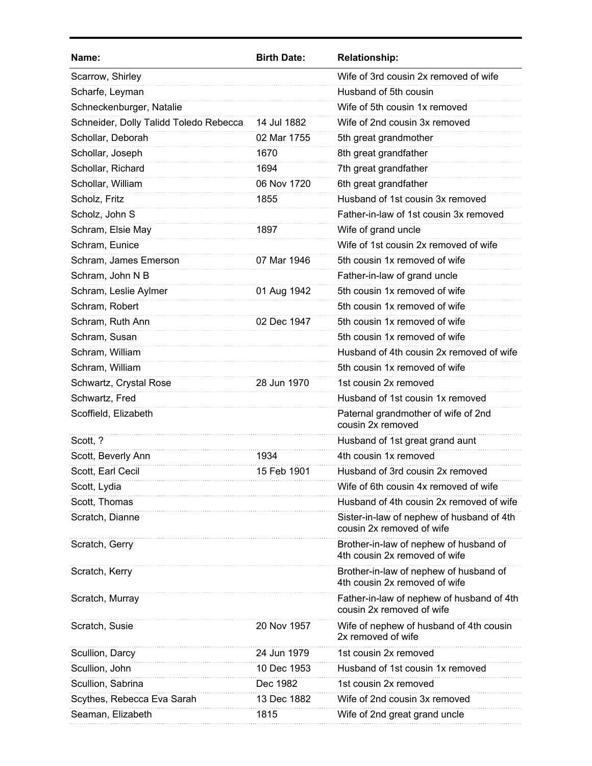| Name:                                  | <b>Birth Date:</b> | <b>Relationship:</b>                                                    |
|----------------------------------------|--------------------|-------------------------------------------------------------------------|
| Scarrow, Shirley                       |                    | Wife of 3rd cousin 2x removed of wife                                   |
| Scharfe, Leyman                        |                    | Husband of 5th cousin                                                   |
| Schneckenburger, Natalie               |                    | Wife of 5th cousin 1x removed                                           |
| Schneider, Dolly Talidd Toledo Rebecca | 14 Jul 1882        | Wife of 2nd cousin 3x removed                                           |
| Schollar, Deborah                      | 02 Mar 1755        | 5th great grandmother                                                   |
| Schollar, Joseph                       | 1670               | 8th great grandfather                                                   |
| Schollar, Richard                      | 1694               | 7th great grandfather                                                   |
| Schollar, William                      | 06 Nov 1720        | 6th great grandfather                                                   |
| Scholz, Fritz                          | 1855               | Husband of 1st cousin 3x removed                                        |
| Scholz, John S                         |                    | Father-in-law of 1st cousin 3x removed                                  |
| Schram, Elsie May                      | 1897               | Wife of grand uncle                                                     |
| Schram, Eunice                         |                    | Wife of 1st cousin 2x removed of wife                                   |
| Schram, James Emerson                  | 07 Mar 1946        | 5th cousin 1x removed of wife                                           |
| Schram, John N B                       |                    | Father-in-law of grand uncle                                            |
| Schram, Leslie Aylmer                  | 01 Aug 1942        | 5th cousin 1x removed of wife                                           |
| Schram, Robert                         |                    | 5th cousin 1x removed of wife                                           |
| Schram, Ruth Ann                       | 02 Dec 1947        | 5th cousin 1x removed of wife                                           |
| Schram, Susan                          |                    | 5th cousin 1x removed of wife                                           |
| Schram, William                        |                    | Husband of 4th cousin 2x removed of wife                                |
| Schram, William                        |                    | 5th cousin 1x removed of wife                                           |
| Schwartz, Crystal Rose                 | 28 Jun 1970        | 1st cousin 2x removed                                                   |
| Schwartz, Fred                         |                    | Husband of 1st cousin 1x removed                                        |
| Scoffield, Elizabeth                   |                    | Paternal grandmother of wife of 2nd<br>cousin 2x removed                |
| Scott, ?                               |                    | Husband of 1st great grand aunt                                         |
| Scott, Beverly Ann                     | 1934               | 4th cousin 1x removed                                                   |
| Scott, Earl Cecil                      | 15 Feb 1901        | Husband of 3rd cousin 2x removed                                        |
| Scott, Lydia                           |                    | Wife of 6th cousin 4x removed of wife                                   |
| Scott, Thomas                          |                    | Husband of 4th cousin 2x removed of wife                                |
| Scratch, Dianne                        |                    | Sister-in-law of nephew of husband of 4th<br>cousin 2x removed of wife  |
| Scratch, Gerry                         |                    | Brother-in-law of nephew of husband of<br>4th cousin 2x removed of wife |
| Scratch, Kerry                         |                    | Brother-in-law of nephew of husband of<br>4th cousin 2x removed of wife |
| Scratch, Murray                        |                    | Father-in-law of nephew of husband of 4th<br>cousin 2x removed of wife  |
| Scratch, Susie                         | 20 Nov 1957        | Wife of nephew of husband of 4th cousin<br>2x removed of wife           |
| Scullion, Darcy                        | 24 Jun 1979        | 1st cousin 2x removed                                                   |
| Scullion, John                         | 10 Dec 1953        | Husband of 1st cousin 1x removed                                        |
| Scullion, Sabrina                      | Dec 1982           | 1st cousin 2x removed                                                   |
| Scythes, Rebecca Eva Sarah             | 13 Dec 1882        | Wife of 2nd cousin 3x removed                                           |
| Seaman, Elizabeth                      | 1815               | Wife of 2nd great grand uncle                                           |
|                                        |                    |                                                                         |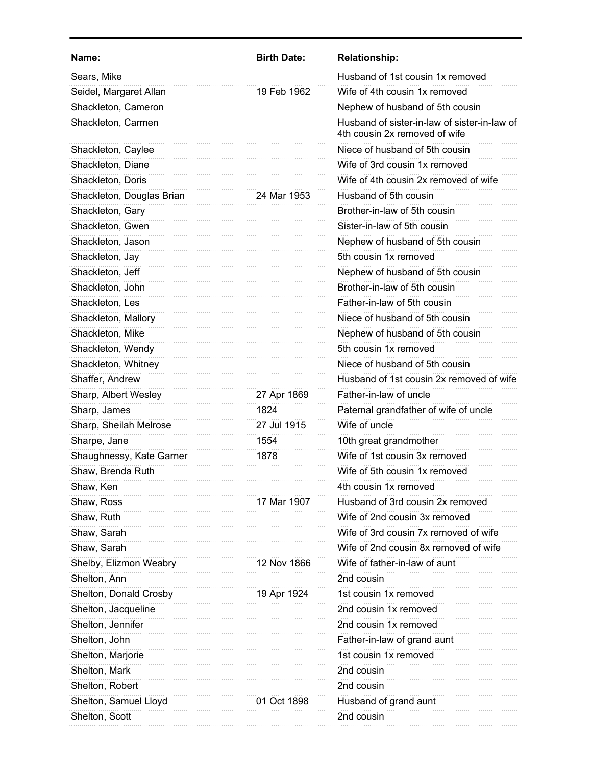| Name:                     | <b>Birth Date:</b> | <b>Relationship:</b>                                                          |
|---------------------------|--------------------|-------------------------------------------------------------------------------|
| Sears, Mike               |                    | Husband of 1st cousin 1x removed                                              |
| Seidel, Margaret Allan    | 19 Feb 1962        | Wife of 4th cousin 1x removed                                                 |
| Shackleton, Cameron       |                    | Nephew of husband of 5th cousin                                               |
| Shackleton, Carmen        |                    | Husband of sister-in-law of sister-in-law of<br>4th cousin 2x removed of wife |
| Shackleton, Caylee        |                    | Niece of husband of 5th cousin                                                |
| Shackleton, Diane         |                    | Wife of 3rd cousin 1x removed                                                 |
| Shackleton, Doris         |                    | Wife of 4th cousin 2x removed of wife                                         |
| Shackleton, Douglas Brian | 24 Mar 1953        | Husband of 5th cousin                                                         |
| Shackleton, Gary          |                    | Brother-in-law of 5th cousin                                                  |
| Shackleton, Gwen          |                    | Sister-in-law of 5th cousin                                                   |
| Shackleton, Jason         |                    | Nephew of husband of 5th cousin                                               |
| Shackleton, Jay           |                    | 5th cousin 1x removed                                                         |
| Shackleton, Jeff          |                    | Nephew of husband of 5th cousin                                               |
| Shackleton, John          |                    | Brother-in-law of 5th cousin                                                  |
| Shackleton, Les           |                    | Father-in-law of 5th cousin                                                   |
| Shackleton, Mallory       |                    | Niece of husband of 5th cousin                                                |
| Shackleton, Mike          |                    | Nephew of husband of 5th cousin                                               |
| Shackleton, Wendy         |                    | 5th cousin 1x removed                                                         |
| Shackleton, Whitney       |                    | Niece of husband of 5th cousin                                                |
| Shaffer, Andrew           |                    | Husband of 1st cousin 2x removed of wife                                      |
| Sharp, Albert Wesley      | 27 Apr 1869        | Father-in-law of uncle                                                        |
| Sharp, James              | 1824               | Paternal grandfather of wife of uncle                                         |
| Sharp, Sheilah Melrose    | 27 Jul 1915        | Wife of uncle                                                                 |
| Sharpe, Jane              | 1554               | 10th great grandmother                                                        |
| Shaughnessy, Kate Garner  | 1878               | Wife of 1st cousin 3x removed                                                 |
| Shaw, Brenda Ruth         |                    | Wife of 5th cousin 1x removed                                                 |
| Shaw, Ken                 |                    | 4th cousin 1x removed                                                         |
| Shaw, Ross                | 17 Mar 1907        | Husband of 3rd cousin 2x removed                                              |
| Shaw, Ruth                |                    | Wife of 2nd cousin 3x removed                                                 |
| Shaw, Sarah               |                    | Wife of 3rd cousin 7x removed of wife                                         |
| Shaw, Sarah               |                    | Wife of 2nd cousin 8x removed of wife                                         |
| Shelby, Elizmon Weabry    | 12 Nov 1866        | Wife of father-in-law of aunt                                                 |
| Shelton, Ann              |                    | 2nd cousin                                                                    |
| Shelton, Donald Crosby    | 19 Apr 1924        | 1st cousin 1x removed                                                         |
| Shelton, Jacqueline       |                    | 2nd cousin 1x removed                                                         |
| Shelton, Jennifer         |                    | 2nd cousin 1x removed                                                         |
| Shelton, John             |                    | Father-in-law of grand aunt                                                   |
| Shelton, Marjorie         |                    | 1st cousin 1x removed                                                         |
| Shelton, Mark             |                    | 2nd cousin                                                                    |
| Shelton, Robert           |                    | 2nd cousin                                                                    |
| Shelton, Samuel Lloyd     | 01 Oct 1898        | Husband of grand aunt                                                         |
| Shelton, Scott            |                    | 2nd cousin                                                                    |
|                           |                    |                                                                               |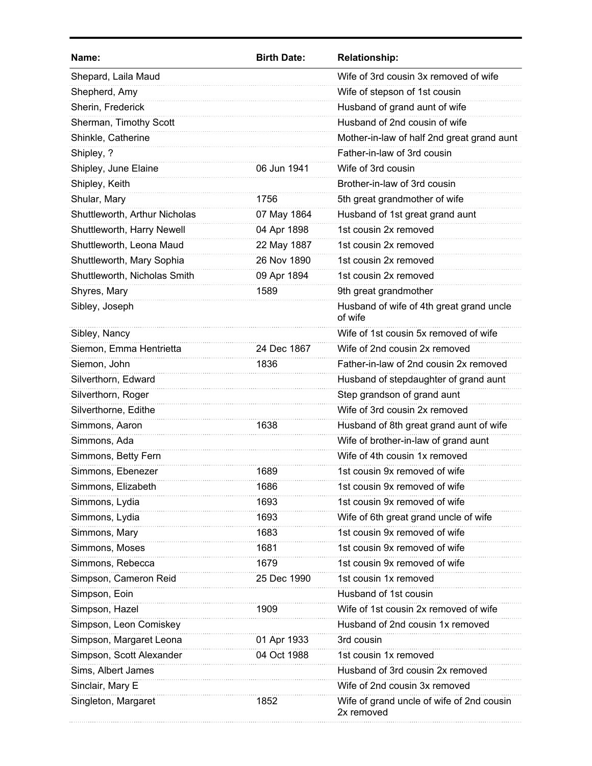| Name:                         | <b>Birth Date:</b> | <b>Relationship:</b>                                    |
|-------------------------------|--------------------|---------------------------------------------------------|
| Shepard, Laila Maud           |                    | Wife of 3rd cousin 3x removed of wife                   |
| Shepherd, Amy                 |                    | Wife of stepson of 1st cousin                           |
| Sherin, Frederick             |                    | Husband of grand aunt of wife                           |
| Sherman, Timothy Scott        |                    | Husband of 2nd cousin of wife                           |
| Shinkle, Catherine            |                    | Mother-in-law of half 2nd great grand aunt              |
| Shipley, ?                    |                    | Father-in-law of 3rd cousin                             |
| Shipley, June Elaine          | 06 Jun 1941        | Wife of 3rd cousin                                      |
| Shipley, Keith                |                    | Brother-in-law of 3rd cousin                            |
| Shular, Mary                  | 1756               | 5th great grandmother of wife                           |
| Shuttleworth, Arthur Nicholas | 07 May 1864        | Husband of 1st great grand aunt                         |
| Shuttleworth, Harry Newell    | 04 Apr 1898        | 1st cousin 2x removed                                   |
| Shuttleworth, Leona Maud      | 22 May 1887        | 1st cousin 2x removed                                   |
| Shuttleworth, Mary Sophia     | 26 Nov 1890        | 1st cousin 2x removed                                   |
| Shuttleworth, Nicholas Smith  | 09 Apr 1894        | 1st cousin 2x removed                                   |
| Shyres, Mary                  | 1589               | 9th great grandmother                                   |
| Sibley, Joseph                |                    | Husband of wife of 4th great grand uncle<br>of wife     |
| Sibley, Nancy                 |                    | Wife of 1st cousin 5x removed of wife                   |
| Siemon, Emma Hentrietta       | 24 Dec 1867        | Wife of 2nd cousin 2x removed                           |
| Siemon, John                  | 1836               | Father-in-law of 2nd cousin 2x removed                  |
| Silverthorn, Edward           |                    | Husband of stepdaughter of grand aunt                   |
| Silverthorn, Roger            |                    | Step grandson of grand aunt                             |
| Silverthorne, Edithe          |                    | Wife of 3rd cousin 2x removed                           |
| Simmons, Aaron                | 1638               | Husband of 8th great grand aunt of wife                 |
| Simmons, Ada                  |                    | Wife of brother-in-law of grand aunt                    |
| Simmons, Betty Fern           |                    | Wife of 4th cousin 1x removed                           |
| Simmons, Ebenezer             | 1689               | 1st cousin 9x removed of wife                           |
| Simmons, Elizabeth            | 1686               | 1st cousin 9x removed of wife                           |
| Simmons, Lydia                | 1693               | 1st cousin 9x removed of wife                           |
| Simmons, Lydia                | 1693               | Wife of 6th great grand uncle of wife                   |
| Simmons, Mary                 | 1683               | 1st cousin 9x removed of wife                           |
| Simmons, Moses                | 1681               | 1st cousin 9x removed of wife                           |
| Simmons, Rebecca              | 1679               | 1st cousin 9x removed of wife                           |
| Simpson, Cameron Reid         | 25 Dec 1990        | 1st cousin 1x removed                                   |
| Simpson, Eoin                 |                    | Husband of 1st cousin                                   |
| Simpson, Hazel                | 1909               | Wife of 1st cousin 2x removed of wife                   |
| Simpson, Leon Comiskey        |                    | Husband of 2nd cousin 1x removed                        |
| Simpson, Margaret Leona       | 01 Apr 1933        | 3rd cousin                                              |
| Simpson, Scott Alexander      | 04 Oct 1988        | 1st cousin 1x removed                                   |
| Sims, Albert James            |                    | Husband of 3rd cousin 2x removed                        |
| Sinclair, Mary E              |                    | Wife of 2nd cousin 3x removed                           |
| Singleton, Margaret           | 1852               | Wife of grand uncle of wife of 2nd cousin<br>2x removed |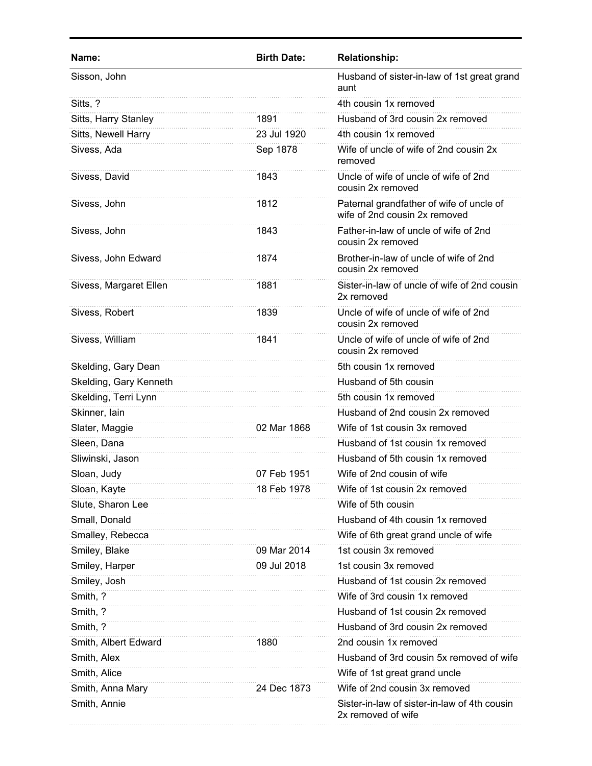| Name:                  | <b>Birth Date:</b> | <b>Relationship:</b>                                                      |
|------------------------|--------------------|---------------------------------------------------------------------------|
| Sisson, John           |                    | Husband of sister-in-law of 1st great grand<br>aunt                       |
| Sitts, ?               |                    | 4th cousin 1x removed                                                     |
| Sitts, Harry Stanley   | 1891               | Husband of 3rd cousin 2x removed                                          |
| Sitts, Newell Harry    | 23 Jul 1920        | 4th cousin 1x removed                                                     |
| Sivess, Ada            | Sep 1878           | Wife of uncle of wife of 2nd cousin 2x<br>removed                         |
| Sivess, David          | 1843               | Uncle of wife of uncle of wife of 2nd<br>cousin 2x removed                |
| Sivess, John           | 1812               | Paternal grandfather of wife of uncle of<br>wife of 2nd cousin 2x removed |
| Sivess, John           | 1843               | Father-in-law of uncle of wife of 2nd<br>cousin 2x removed                |
| Sivess, John Edward    | 1874               | Brother-in-law of uncle of wife of 2nd<br>cousin 2x removed               |
| Sivess, Margaret Ellen | 1881               | Sister-in-law of uncle of wife of 2nd cousin<br>2x removed                |
| Sivess, Robert         | 1839               | Uncle of wife of uncle of wife of 2nd<br>cousin 2x removed                |
| Sivess, William        | 1841               | Uncle of wife of uncle of wife of 2nd<br>cousin 2x removed                |
| Skelding, Gary Dean    |                    | 5th cousin 1x removed                                                     |
| Skelding, Gary Kenneth |                    | Husband of 5th cousin                                                     |
| Skelding, Terri Lynn   |                    | 5th cousin 1x removed                                                     |
| Skinner, lain          |                    | Husband of 2nd cousin 2x removed                                          |
| Slater, Maggie         | 02 Mar 1868        | Wife of 1st cousin 3x removed                                             |
| Sleen, Dana            |                    | Husband of 1st cousin 1x removed                                          |
| Sliwinski, Jason       |                    | Husband of 5th cousin 1x removed                                          |
| Sloan, Judy            | 07 Feb 1951        | Wife of 2nd cousin of wife                                                |
| Sloan, Kayte           | 18 Feb 1978        | Wife of 1st cousin 2x removed                                             |
| Slute, Sharon Lee      |                    | Wife of 5th cousin                                                        |
| Small, Donald          |                    | Husband of 4th cousin 1x removed                                          |
| Smalley, Rebecca       |                    | Wife of 6th great grand uncle of wife                                     |
| Smiley, Blake          | 09 Mar 2014        | 1st cousin 3x removed                                                     |
| Smiley, Harper         | 09 Jul 2018        | 1st cousin 3x removed                                                     |
| Smiley, Josh           |                    | Husband of 1st cousin 2x removed                                          |
| Smith, ?               |                    | Wife of 3rd cousin 1x removed                                             |
| Smith, ?               |                    | Husband of 1st cousin 2x removed                                          |
| Smith, ?               |                    | Husband of 3rd cousin 2x removed                                          |
| Smith, Albert Edward   | 1880               | 2nd cousin 1x removed                                                     |
| Smith, Alex            |                    | Husband of 3rd cousin 5x removed of wife                                  |
| Smith, Alice           |                    | Wife of 1st great grand uncle                                             |
| Smith, Anna Mary       | 24 Dec 1873        | Wife of 2nd cousin 3x removed                                             |
| Smith, Annie           |                    | Sister-in-law of sister-in-law of 4th cousin<br>2x removed of wife        |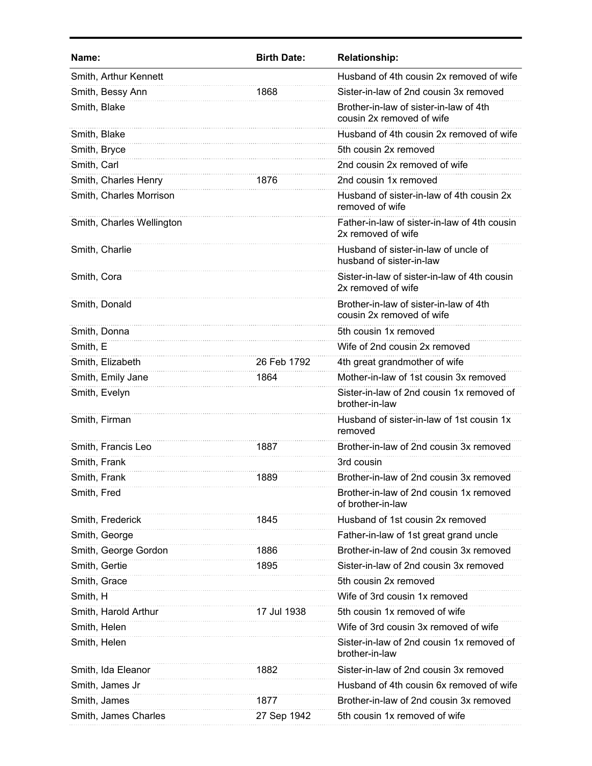| Name:                     | <b>Birth Date:</b> | <b>Relationship:</b>                                                |
|---------------------------|--------------------|---------------------------------------------------------------------|
| Smith, Arthur Kennett     |                    | Husband of 4th cousin 2x removed of wife                            |
| Smith, Bessy Ann          | 1868               | Sister-in-law of 2nd cousin 3x removed                              |
| Smith, Blake              |                    | Brother-in-law of sister-in-law of 4th<br>cousin 2x removed of wife |
| Smith, Blake              |                    | Husband of 4th cousin 2x removed of wife                            |
| Smith, Bryce              |                    | 5th cousin 2x removed                                               |
| Smith, Carl               |                    | 2nd cousin 2x removed of wife                                       |
| Smith, Charles Henry      | 1876               | 2nd cousin 1x removed                                               |
| Smith, Charles Morrison   |                    | Husband of sister-in-law of 4th cousin 2x<br>removed of wife        |
| Smith, Charles Wellington |                    | Father-in-law of sister-in-law of 4th cousin<br>2x removed of wife  |
| Smith, Charlie            |                    | Husband of sister-in-law of uncle of<br>husband of sister-in-law    |
| Smith, Cora               |                    | Sister-in-law of sister-in-law of 4th cousin<br>2x removed of wife  |
| Smith, Donald             |                    | Brother-in-law of sister-in-law of 4th<br>cousin 2x removed of wife |
| Smith, Donna              |                    | 5th cousin 1x removed                                               |
| Smith, E                  |                    | Wife of 2nd cousin 2x removed                                       |
| Smith, Elizabeth          | 26 Feb 1792        | 4th great grandmother of wife                                       |
| Smith, Emily Jane         | 1864               | Mother-in-law of 1st cousin 3x removed                              |
| Smith, Evelyn             |                    | Sister-in-law of 2nd cousin 1x removed of<br>brother-in-law         |
| Smith, Firman             |                    | Husband of sister-in-law of 1st cousin 1x<br>removed                |
| Smith, Francis Leo        | 1887               | Brother-in-law of 2nd cousin 3x removed                             |
| Smith, Frank              |                    | 3rd cousin                                                          |
| Smith. Frank              | 1889               | Brother-in-law of 2nd cousin 3x removed                             |
| Smith, Fred               |                    | Brother-in-law of 2nd cousin 1x removed<br>of brother-in-law        |
| Smith, Frederick          | 1845               | Husband of 1st cousin 2x removed                                    |
| Smith, George             |                    | Father-in-law of 1st great grand uncle                              |
| Smith, George Gordon      | 1886               | Brother-in-law of 2nd cousin 3x removed                             |
| Smith, Gertie             | 1895               | Sister-in-law of 2nd cousin 3x removed                              |
| Smith, Grace              |                    | 5th cousin 2x removed                                               |
| Smith, H                  |                    | Wife of 3rd cousin 1x removed                                       |
| Smith, Harold Arthur      | 17 Jul 1938        | 5th cousin 1x removed of wife                                       |
| Smith, Helen              |                    | Wife of 3rd cousin 3x removed of wife                               |
| Smith, Helen              |                    | Sister-in-law of 2nd cousin 1x removed of<br>brother-in-law         |
| Smith, Ida Eleanor        | 1882               | Sister-in-law of 2nd cousin 3x removed                              |
| Smith, James Jr           |                    | Husband of 4th cousin 6x removed of wife                            |
| Smith, James              | 1877               | Brother-in-law of 2nd cousin 3x removed                             |
| Smith, James Charles      | 27 Sep 1942        | 5th cousin 1x removed of wife                                       |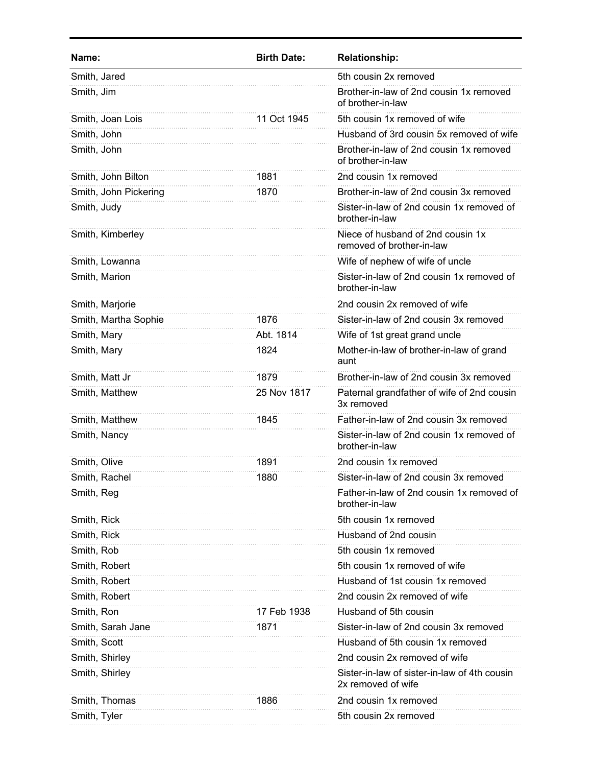| Smith, Jared<br>5th cousin 2x removed<br>Brother-in-law of 2nd cousin 1x removed<br>Smith, Jim<br>of brother-in-law<br>Smith, Joan Lois<br>5th cousin 1x removed of wife<br>11 Oct 1945<br>Husband of 3rd cousin 5x removed of wife<br>Smith, John<br>Smith, John<br>Brother-in-law of 2nd cousin 1x removed<br>of brother-in-law<br>Smith, John Bilton<br>2nd cousin 1x removed<br>1881<br>Brother-in-law of 2nd cousin 3x removed<br>Smith, John Pickering<br>1870<br>Sister-in-law of 2nd cousin 1x removed of<br>Smith, Judy<br>brother-in-law<br>Niece of husband of 2nd cousin 1x<br>Smith, Kimberley<br>removed of brother-in-law<br>Wife of nephew of wife of uncle<br>Smith, Lowanna<br>Sister-in-law of 2nd cousin 1x removed of<br>Smith, Marion<br>brother-in-law<br>2nd cousin 2x removed of wife<br>Smith, Marjorie<br>Smith, Martha Sophie<br>1876<br>Sister-in-law of 2nd cousin 3x removed<br>Smith, Mary<br>Abt. 1814<br>Wife of 1st great grand uncle<br>Smith, Mary<br>1824<br>Mother-in-law of brother-in-law of grand<br>aunt<br>Smith, Matt Jr<br>Brother-in-law of 2nd cousin 3x removed<br>1879<br>Smith, Matthew<br>25 Nov 1817<br>Paternal grandfather of wife of 2nd cousin<br>3x removed<br>Father-in-law of 2nd cousin 3x removed<br>Smith, Matthew<br>1845<br>Smith, Nancy<br>Sister-in-law of 2nd cousin 1x removed of<br>brother-in-law<br>Smith, Olive<br>1891<br>2nd cousin 1x removed<br>1880<br>Smith, Rachel<br>Sister-in-law of 2nd cousin 3x removed<br>Father-in-law of 2nd cousin 1x removed of<br>Smith, Reg<br>brother-in-law<br>5th cousin 1x removed<br>Smith, Rick<br>Husband of 2nd cousin<br>Smith, Rick<br>Smith, Rob<br>5th cousin 1x removed<br>Smith, Robert<br>5th cousin 1x removed of wife<br>Husband of 1st cousin 1x removed<br>Smith, Robert<br>Smith, Robert<br>2nd cousin 2x removed of wife<br>Smith, Ron<br>Husband of 5th cousin<br>17 Feb 1938<br>Sister-in-law of 2nd cousin 3x removed<br>Smith, Sarah Jane<br>1871<br>Smith, Scott<br>Husband of 5th cousin 1x removed<br>Smith, Shirley<br>2nd cousin 2x removed of wife<br>Smith, Shirley<br>Sister-in-law of sister-in-law of 4th cousin<br>2x removed of wife<br>Smith, Thomas<br>1886<br>2nd cousin 1x removed<br>Smith, Tyler<br>5th cousin 2x removed | Name: | <b>Birth Date:</b> | <b>Relationship:</b> |
|----------------------------------------------------------------------------------------------------------------------------------------------------------------------------------------------------------------------------------------------------------------------------------------------------------------------------------------------------------------------------------------------------------------------------------------------------------------------------------------------------------------------------------------------------------------------------------------------------------------------------------------------------------------------------------------------------------------------------------------------------------------------------------------------------------------------------------------------------------------------------------------------------------------------------------------------------------------------------------------------------------------------------------------------------------------------------------------------------------------------------------------------------------------------------------------------------------------------------------------------------------------------------------------------------------------------------------------------------------------------------------------------------------------------------------------------------------------------------------------------------------------------------------------------------------------------------------------------------------------------------------------------------------------------------------------------------------------------------------------------------------------------------------------------------------------------------------------------------------------------------------------------------------------------------------------------------------------------------------------------------------------------------------------------------------------------------------------------------------------------------------------------------------------------------------------------------------------------------------------------------------------------------------|-------|--------------------|----------------------|
|                                                                                                                                                                                                                                                                                                                                                                                                                                                                                                                                                                                                                                                                                                                                                                                                                                                                                                                                                                                                                                                                                                                                                                                                                                                                                                                                                                                                                                                                                                                                                                                                                                                                                                                                                                                                                                                                                                                                                                                                                                                                                                                                                                                                                                                                                  |       |                    |                      |
|                                                                                                                                                                                                                                                                                                                                                                                                                                                                                                                                                                                                                                                                                                                                                                                                                                                                                                                                                                                                                                                                                                                                                                                                                                                                                                                                                                                                                                                                                                                                                                                                                                                                                                                                                                                                                                                                                                                                                                                                                                                                                                                                                                                                                                                                                  |       |                    |                      |
|                                                                                                                                                                                                                                                                                                                                                                                                                                                                                                                                                                                                                                                                                                                                                                                                                                                                                                                                                                                                                                                                                                                                                                                                                                                                                                                                                                                                                                                                                                                                                                                                                                                                                                                                                                                                                                                                                                                                                                                                                                                                                                                                                                                                                                                                                  |       |                    |                      |
|                                                                                                                                                                                                                                                                                                                                                                                                                                                                                                                                                                                                                                                                                                                                                                                                                                                                                                                                                                                                                                                                                                                                                                                                                                                                                                                                                                                                                                                                                                                                                                                                                                                                                                                                                                                                                                                                                                                                                                                                                                                                                                                                                                                                                                                                                  |       |                    |                      |
|                                                                                                                                                                                                                                                                                                                                                                                                                                                                                                                                                                                                                                                                                                                                                                                                                                                                                                                                                                                                                                                                                                                                                                                                                                                                                                                                                                                                                                                                                                                                                                                                                                                                                                                                                                                                                                                                                                                                                                                                                                                                                                                                                                                                                                                                                  |       |                    |                      |
|                                                                                                                                                                                                                                                                                                                                                                                                                                                                                                                                                                                                                                                                                                                                                                                                                                                                                                                                                                                                                                                                                                                                                                                                                                                                                                                                                                                                                                                                                                                                                                                                                                                                                                                                                                                                                                                                                                                                                                                                                                                                                                                                                                                                                                                                                  |       |                    |                      |
|                                                                                                                                                                                                                                                                                                                                                                                                                                                                                                                                                                                                                                                                                                                                                                                                                                                                                                                                                                                                                                                                                                                                                                                                                                                                                                                                                                                                                                                                                                                                                                                                                                                                                                                                                                                                                                                                                                                                                                                                                                                                                                                                                                                                                                                                                  |       |                    |                      |
|                                                                                                                                                                                                                                                                                                                                                                                                                                                                                                                                                                                                                                                                                                                                                                                                                                                                                                                                                                                                                                                                                                                                                                                                                                                                                                                                                                                                                                                                                                                                                                                                                                                                                                                                                                                                                                                                                                                                                                                                                                                                                                                                                                                                                                                                                  |       |                    |                      |
|                                                                                                                                                                                                                                                                                                                                                                                                                                                                                                                                                                                                                                                                                                                                                                                                                                                                                                                                                                                                                                                                                                                                                                                                                                                                                                                                                                                                                                                                                                                                                                                                                                                                                                                                                                                                                                                                                                                                                                                                                                                                                                                                                                                                                                                                                  |       |                    |                      |
|                                                                                                                                                                                                                                                                                                                                                                                                                                                                                                                                                                                                                                                                                                                                                                                                                                                                                                                                                                                                                                                                                                                                                                                                                                                                                                                                                                                                                                                                                                                                                                                                                                                                                                                                                                                                                                                                                                                                                                                                                                                                                                                                                                                                                                                                                  |       |                    |                      |
|                                                                                                                                                                                                                                                                                                                                                                                                                                                                                                                                                                                                                                                                                                                                                                                                                                                                                                                                                                                                                                                                                                                                                                                                                                                                                                                                                                                                                                                                                                                                                                                                                                                                                                                                                                                                                                                                                                                                                                                                                                                                                                                                                                                                                                                                                  |       |                    |                      |
|                                                                                                                                                                                                                                                                                                                                                                                                                                                                                                                                                                                                                                                                                                                                                                                                                                                                                                                                                                                                                                                                                                                                                                                                                                                                                                                                                                                                                                                                                                                                                                                                                                                                                                                                                                                                                                                                                                                                                                                                                                                                                                                                                                                                                                                                                  |       |                    |                      |
|                                                                                                                                                                                                                                                                                                                                                                                                                                                                                                                                                                                                                                                                                                                                                                                                                                                                                                                                                                                                                                                                                                                                                                                                                                                                                                                                                                                                                                                                                                                                                                                                                                                                                                                                                                                                                                                                                                                                                                                                                                                                                                                                                                                                                                                                                  |       |                    |                      |
|                                                                                                                                                                                                                                                                                                                                                                                                                                                                                                                                                                                                                                                                                                                                                                                                                                                                                                                                                                                                                                                                                                                                                                                                                                                                                                                                                                                                                                                                                                                                                                                                                                                                                                                                                                                                                                                                                                                                                                                                                                                                                                                                                                                                                                                                                  |       |                    |                      |
|                                                                                                                                                                                                                                                                                                                                                                                                                                                                                                                                                                                                                                                                                                                                                                                                                                                                                                                                                                                                                                                                                                                                                                                                                                                                                                                                                                                                                                                                                                                                                                                                                                                                                                                                                                                                                                                                                                                                                                                                                                                                                                                                                                                                                                                                                  |       |                    |                      |
|                                                                                                                                                                                                                                                                                                                                                                                                                                                                                                                                                                                                                                                                                                                                                                                                                                                                                                                                                                                                                                                                                                                                                                                                                                                                                                                                                                                                                                                                                                                                                                                                                                                                                                                                                                                                                                                                                                                                                                                                                                                                                                                                                                                                                                                                                  |       |                    |                      |
|                                                                                                                                                                                                                                                                                                                                                                                                                                                                                                                                                                                                                                                                                                                                                                                                                                                                                                                                                                                                                                                                                                                                                                                                                                                                                                                                                                                                                                                                                                                                                                                                                                                                                                                                                                                                                                                                                                                                                                                                                                                                                                                                                                                                                                                                                  |       |                    |                      |
|                                                                                                                                                                                                                                                                                                                                                                                                                                                                                                                                                                                                                                                                                                                                                                                                                                                                                                                                                                                                                                                                                                                                                                                                                                                                                                                                                                                                                                                                                                                                                                                                                                                                                                                                                                                                                                                                                                                                                                                                                                                                                                                                                                                                                                                                                  |       |                    |                      |
|                                                                                                                                                                                                                                                                                                                                                                                                                                                                                                                                                                                                                                                                                                                                                                                                                                                                                                                                                                                                                                                                                                                                                                                                                                                                                                                                                                                                                                                                                                                                                                                                                                                                                                                                                                                                                                                                                                                                                                                                                                                                                                                                                                                                                                                                                  |       |                    |                      |
|                                                                                                                                                                                                                                                                                                                                                                                                                                                                                                                                                                                                                                                                                                                                                                                                                                                                                                                                                                                                                                                                                                                                                                                                                                                                                                                                                                                                                                                                                                                                                                                                                                                                                                                                                                                                                                                                                                                                                                                                                                                                                                                                                                                                                                                                                  |       |                    |                      |
|                                                                                                                                                                                                                                                                                                                                                                                                                                                                                                                                                                                                                                                                                                                                                                                                                                                                                                                                                                                                                                                                                                                                                                                                                                                                                                                                                                                                                                                                                                                                                                                                                                                                                                                                                                                                                                                                                                                                                                                                                                                                                                                                                                                                                                                                                  |       |                    |                      |
|                                                                                                                                                                                                                                                                                                                                                                                                                                                                                                                                                                                                                                                                                                                                                                                                                                                                                                                                                                                                                                                                                                                                                                                                                                                                                                                                                                                                                                                                                                                                                                                                                                                                                                                                                                                                                                                                                                                                                                                                                                                                                                                                                                                                                                                                                  |       |                    |                      |
|                                                                                                                                                                                                                                                                                                                                                                                                                                                                                                                                                                                                                                                                                                                                                                                                                                                                                                                                                                                                                                                                                                                                                                                                                                                                                                                                                                                                                                                                                                                                                                                                                                                                                                                                                                                                                                                                                                                                                                                                                                                                                                                                                                                                                                                                                  |       |                    |                      |
|                                                                                                                                                                                                                                                                                                                                                                                                                                                                                                                                                                                                                                                                                                                                                                                                                                                                                                                                                                                                                                                                                                                                                                                                                                                                                                                                                                                                                                                                                                                                                                                                                                                                                                                                                                                                                                                                                                                                                                                                                                                                                                                                                                                                                                                                                  |       |                    |                      |
|                                                                                                                                                                                                                                                                                                                                                                                                                                                                                                                                                                                                                                                                                                                                                                                                                                                                                                                                                                                                                                                                                                                                                                                                                                                                                                                                                                                                                                                                                                                                                                                                                                                                                                                                                                                                                                                                                                                                                                                                                                                                                                                                                                                                                                                                                  |       |                    |                      |
|                                                                                                                                                                                                                                                                                                                                                                                                                                                                                                                                                                                                                                                                                                                                                                                                                                                                                                                                                                                                                                                                                                                                                                                                                                                                                                                                                                                                                                                                                                                                                                                                                                                                                                                                                                                                                                                                                                                                                                                                                                                                                                                                                                                                                                                                                  |       |                    |                      |
|                                                                                                                                                                                                                                                                                                                                                                                                                                                                                                                                                                                                                                                                                                                                                                                                                                                                                                                                                                                                                                                                                                                                                                                                                                                                                                                                                                                                                                                                                                                                                                                                                                                                                                                                                                                                                                                                                                                                                                                                                                                                                                                                                                                                                                                                                  |       |                    |                      |
|                                                                                                                                                                                                                                                                                                                                                                                                                                                                                                                                                                                                                                                                                                                                                                                                                                                                                                                                                                                                                                                                                                                                                                                                                                                                                                                                                                                                                                                                                                                                                                                                                                                                                                                                                                                                                                                                                                                                                                                                                                                                                                                                                                                                                                                                                  |       |                    |                      |
|                                                                                                                                                                                                                                                                                                                                                                                                                                                                                                                                                                                                                                                                                                                                                                                                                                                                                                                                                                                                                                                                                                                                                                                                                                                                                                                                                                                                                                                                                                                                                                                                                                                                                                                                                                                                                                                                                                                                                                                                                                                                                                                                                                                                                                                                                  |       |                    |                      |
|                                                                                                                                                                                                                                                                                                                                                                                                                                                                                                                                                                                                                                                                                                                                                                                                                                                                                                                                                                                                                                                                                                                                                                                                                                                                                                                                                                                                                                                                                                                                                                                                                                                                                                                                                                                                                                                                                                                                                                                                                                                                                                                                                                                                                                                                                  |       |                    |                      |
|                                                                                                                                                                                                                                                                                                                                                                                                                                                                                                                                                                                                                                                                                                                                                                                                                                                                                                                                                                                                                                                                                                                                                                                                                                                                                                                                                                                                                                                                                                                                                                                                                                                                                                                                                                                                                                                                                                                                                                                                                                                                                                                                                                                                                                                                                  |       |                    |                      |
|                                                                                                                                                                                                                                                                                                                                                                                                                                                                                                                                                                                                                                                                                                                                                                                                                                                                                                                                                                                                                                                                                                                                                                                                                                                                                                                                                                                                                                                                                                                                                                                                                                                                                                                                                                                                                                                                                                                                                                                                                                                                                                                                                                                                                                                                                  |       |                    |                      |
|                                                                                                                                                                                                                                                                                                                                                                                                                                                                                                                                                                                                                                                                                                                                                                                                                                                                                                                                                                                                                                                                                                                                                                                                                                                                                                                                                                                                                                                                                                                                                                                                                                                                                                                                                                                                                                                                                                                                                                                                                                                                                                                                                                                                                                                                                  |       |                    |                      |
|                                                                                                                                                                                                                                                                                                                                                                                                                                                                                                                                                                                                                                                                                                                                                                                                                                                                                                                                                                                                                                                                                                                                                                                                                                                                                                                                                                                                                                                                                                                                                                                                                                                                                                                                                                                                                                                                                                                                                                                                                                                                                                                                                                                                                                                                                  |       |                    |                      |
|                                                                                                                                                                                                                                                                                                                                                                                                                                                                                                                                                                                                                                                                                                                                                                                                                                                                                                                                                                                                                                                                                                                                                                                                                                                                                                                                                                                                                                                                                                                                                                                                                                                                                                                                                                                                                                                                                                                                                                                                                                                                                                                                                                                                                                                                                  |       |                    |                      |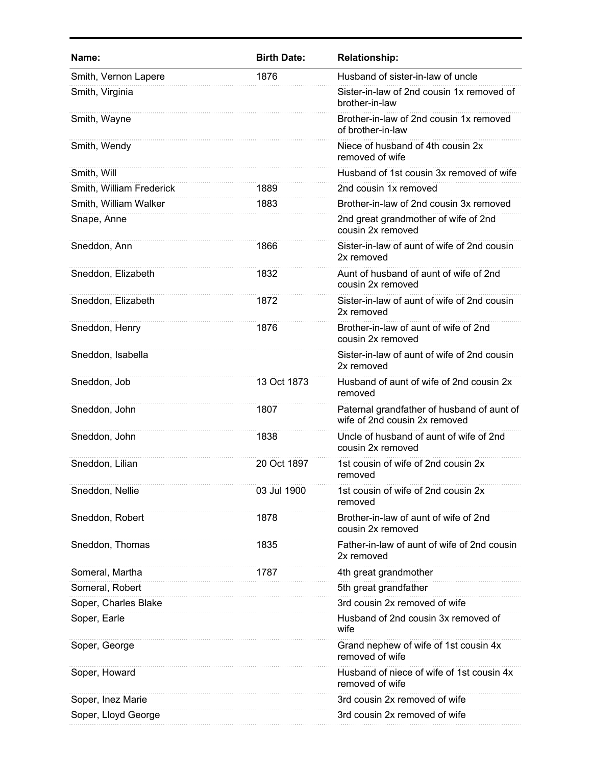| Name:                    | <b>Birth Date:</b> | <b>Relationship:</b>                                                        |
|--------------------------|--------------------|-----------------------------------------------------------------------------|
| Smith, Vernon Lapere     | 1876               | Husband of sister-in-law of uncle                                           |
| Smith, Virginia          |                    | Sister-in-law of 2nd cousin 1x removed of<br>brother-in-law                 |
| Smith, Wayne             |                    | Brother-in-law of 2nd cousin 1x removed<br>of brother-in-law                |
| Smith, Wendy             |                    | Niece of husband of 4th cousin 2x<br>removed of wife                        |
| Smith, Will              |                    | Husband of 1st cousin 3x removed of wife                                    |
| Smith, William Frederick | 1889               | 2nd cousin 1x removed                                                       |
| Smith, William Walker    | 1883               | Brother-in-law of 2nd cousin 3x removed                                     |
| Snape, Anne              |                    | 2nd great grandmother of wife of 2nd<br>cousin 2x removed                   |
| Sneddon, Ann             | 1866               | Sister-in-law of aunt of wife of 2nd cousin<br>2x removed                   |
| Sneddon, Elizabeth       | 1832               | Aunt of husband of aunt of wife of 2nd<br>cousin 2x removed                 |
| Sneddon, Elizabeth       | 1872               | Sister-in-law of aunt of wife of 2nd cousin<br>2x removed                   |
| Sneddon, Henry           | 1876               | Brother-in-law of aunt of wife of 2nd<br>cousin 2x removed                  |
| Sneddon, Isabella        |                    | Sister-in-law of aunt of wife of 2nd cousin<br>2x removed                   |
| Sneddon, Job             | 13 Oct 1873        | Husband of aunt of wife of 2nd cousin 2x<br>removed                         |
| Sneddon, John            | 1807               | Paternal grandfather of husband of aunt of<br>wife of 2nd cousin 2x removed |
| Sneddon, John            | 1838               | Uncle of husband of aunt of wife of 2nd<br>cousin 2x removed                |
| Sneddon, Lilian          | 20 Oct 1897        | 1st cousin of wife of 2nd cousin 2x<br>removed                              |
| Sneddon, Nellie          | 03 Jul 1900        | 1st cousin of wife of 2nd cousin 2x<br>removed                              |
| Sneddon, Robert          | 1878               | Brother-in-law of aunt of wife of 2nd<br>cousin 2x removed                  |
| Sneddon, Thomas          | 1835               | Father-in-law of aunt of wife of 2nd cousin<br>2x removed                   |
| Someral, Martha          | 1787               | 4th great grandmother                                                       |
| Someral, Robert          |                    | 5th great grandfather                                                       |
| Soper, Charles Blake     |                    | 3rd cousin 2x removed of wife                                               |
| Soper, Earle             |                    | Husband of 2nd cousin 3x removed of<br>wife                                 |
| Soper, George            |                    | Grand nephew of wife of 1st cousin 4x<br>removed of wife                    |
| Soper, Howard            |                    | Husband of niece of wife of 1st cousin 4x<br>removed of wife                |
| Soper, Inez Marie        |                    | 3rd cousin 2x removed of wife                                               |
| Soper, Lloyd George      |                    | 3rd cousin 2x removed of wife                                               |
|                          |                    |                                                                             |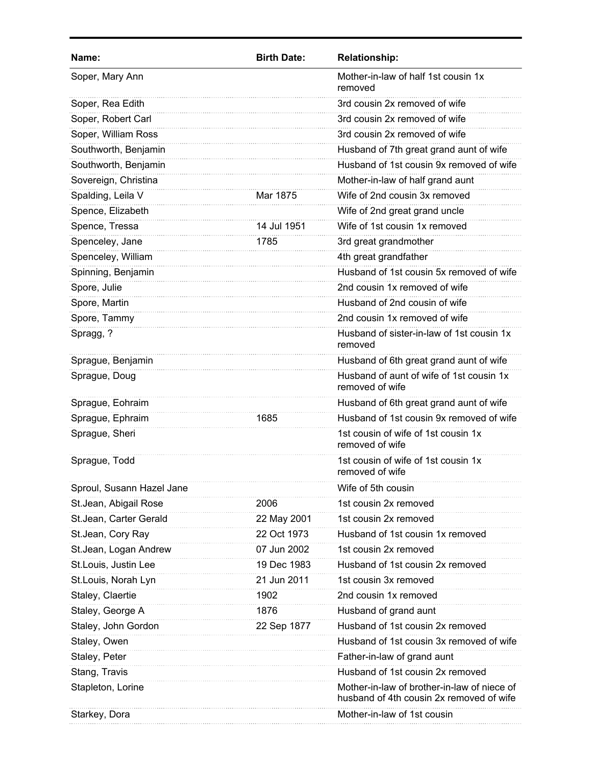| Name:                     | <b>Birth Date:</b> | <b>Relationship:</b>                                                                    |
|---------------------------|--------------------|-----------------------------------------------------------------------------------------|
| Soper, Mary Ann           |                    | Mother-in-law of half 1st cousin 1x<br>removed                                          |
| Soper, Rea Edith          |                    | 3rd cousin 2x removed of wife                                                           |
| Soper, Robert Carl        |                    | 3rd cousin 2x removed of wife                                                           |
| Soper, William Ross       |                    | 3rd cousin 2x removed of wife                                                           |
| Southworth, Benjamin      |                    | Husband of 7th great grand aunt of wife                                                 |
| Southworth, Benjamin      |                    | Husband of 1st cousin 9x removed of wife                                                |
| Sovereign, Christina      |                    | Mother-in-law of half grand aunt                                                        |
| Spalding, Leila V         | Mar 1875           | Wife of 2nd cousin 3x removed                                                           |
| Spence, Elizabeth         |                    | Wife of 2nd great grand uncle                                                           |
| Spence, Tressa            | 14 Jul 1951        | Wife of 1st cousin 1x removed                                                           |
| Spenceley, Jane           | 1785               | 3rd great grandmother                                                                   |
| Spenceley, William        |                    | 4th great grandfather                                                                   |
| Spinning, Benjamin        |                    | Husband of 1st cousin 5x removed of wife                                                |
| Spore, Julie              |                    | 2nd cousin 1x removed of wife                                                           |
| Spore, Martin             |                    | Husband of 2nd cousin of wife                                                           |
| Spore, Tammy              |                    | 2nd cousin 1x removed of wife                                                           |
| Spragg, ?                 |                    | Husband of sister-in-law of 1st cousin 1x<br>removed                                    |
| Sprague, Benjamin         |                    | Husband of 6th great grand aunt of wife                                                 |
| Sprague, Doug             |                    | Husband of aunt of wife of 1st cousin 1x<br>removed of wife                             |
| Sprague, Eohraim          |                    | Husband of 6th great grand aunt of wife                                                 |
| Sprague, Ephraim          | 1685               | Husband of 1st cousin 9x removed of wife                                                |
| Sprague, Sheri            |                    | 1st cousin of wife of 1st cousin 1x<br>removed of wife                                  |
| Sprague, Todd             |                    | 1st cousin of wife of 1st cousin 1x<br>removed of wife                                  |
| Sproul, Susann Hazel Jane |                    | Wife of 5th cousin                                                                      |
| St.Jean, Abigail Rose     | 2006               | 1st cousin 2x removed                                                                   |
| St.Jean, Carter Gerald    | 22 May 2001        | 1st cousin 2x removed                                                                   |
| St.Jean, Cory Ray         | 22 Oct 1973        | Husband of 1st cousin 1x removed                                                        |
| St.Jean, Logan Andrew     | 07 Jun 2002        | 1st cousin 2x removed                                                                   |
| St.Louis, Justin Lee      | 19 Dec 1983        | Husband of 1st cousin 2x removed                                                        |
| St.Louis, Norah Lyn       | 21 Jun 2011        | 1st cousin 3x removed                                                                   |
| Staley, Claertie          | 1902               | 2nd cousin 1x removed                                                                   |
| Staley, George A          | 1876               | Husband of grand aunt                                                                   |
| Staley, John Gordon       | 22 Sep 1877        | Husband of 1st cousin 2x removed                                                        |
| Staley, Owen              |                    | Husband of 1st cousin 3x removed of wife                                                |
| Staley, Peter             |                    | Father-in-law of grand aunt                                                             |
| Stang, Travis             |                    | Husband of 1st cousin 2x removed                                                        |
| Stapleton, Lorine         |                    | Mother-in-law of brother-in-law of niece of<br>husband of 4th cousin 2x removed of wife |
| Starkey, Dora             |                    | Mother-in-law of 1st cousin                                                             |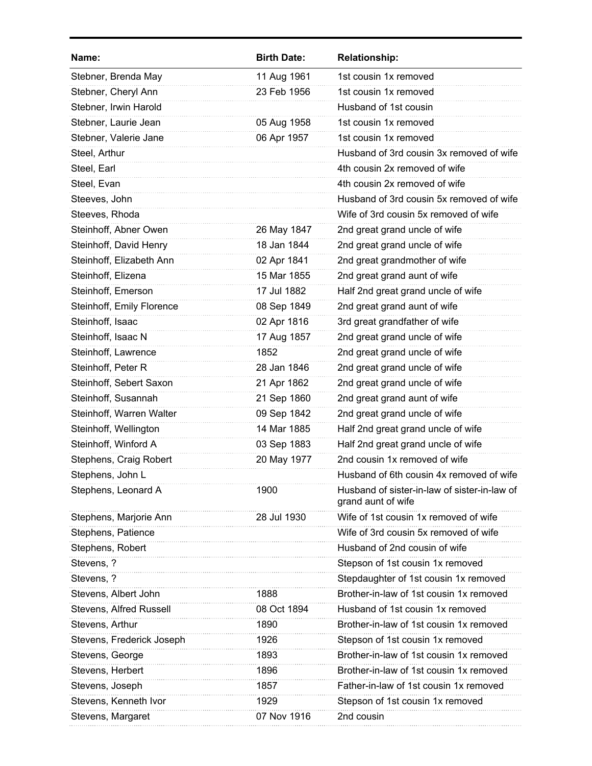| Name:                     | <b>Birth Date:</b> | <b>Relationship:</b>                                               |
|---------------------------|--------------------|--------------------------------------------------------------------|
| Stebner, Brenda May       | 11 Aug 1961        | 1st cousin 1x removed                                              |
| Stebner, Cheryl Ann       | 23 Feb 1956        | 1st cousin 1x removed                                              |
| Stebner, Irwin Harold     |                    | Husband of 1st cousin                                              |
| Stebner, Laurie Jean      | 05 Aug 1958        | 1st cousin 1x removed                                              |
| Stebner, Valerie Jane     | 06 Apr 1957        | 1st cousin 1x removed                                              |
| Steel, Arthur             |                    | Husband of 3rd cousin 3x removed of wife                           |
| Steel, Earl               |                    | 4th cousin 2x removed of wife                                      |
| Steel, Evan               |                    | 4th cousin 2x removed of wife                                      |
| Steeves, John             |                    | Husband of 3rd cousin 5x removed of wife                           |
| Steeves, Rhoda            |                    | Wife of 3rd cousin 5x removed of wife                              |
| Steinhoff, Abner Owen     | 26 May 1847        | 2nd great grand uncle of wife                                      |
| Steinhoff, David Henry    | 18 Jan 1844        | 2nd great grand uncle of wife                                      |
| Steinhoff, Elizabeth Ann  | 02 Apr 1841        | 2nd great grandmother of wife                                      |
| Steinhoff, Elizena        | 15 Mar 1855        | 2nd great grand aunt of wife                                       |
| Steinhoff, Emerson        | 17 Jul 1882        | Half 2nd great grand uncle of wife                                 |
| Steinhoff, Emily Florence | 08 Sep 1849        | 2nd great grand aunt of wife                                       |
| Steinhoff, Isaac          | 02 Apr 1816        | 3rd great grandfather of wife                                      |
| Steinhoff, Isaac N        | 17 Aug 1857        | 2nd great grand uncle of wife                                      |
| Steinhoff, Lawrence       | 1852               | 2nd great grand uncle of wife                                      |
| Steinhoff, Peter R        | 28 Jan 1846        | 2nd great grand uncle of wife                                      |
| Steinhoff, Sebert Saxon   | 21 Apr 1862        | 2nd great grand uncle of wife                                      |
| Steinhoff, Susannah       | 21 Sep 1860        | 2nd great grand aunt of wife                                       |
| Steinhoff, Warren Walter  | 09 Sep 1842        | 2nd great grand uncle of wife                                      |
| Steinhoff, Wellington     | 14 Mar 1885        | Half 2nd great grand uncle of wife                                 |
| Steinhoff, Winford A      | 03 Sep 1883        | Half 2nd great grand uncle of wife                                 |
| Stephens, Craig Robert    | 20 May 1977        | 2nd cousin 1x removed of wife                                      |
| Stephens, John L          |                    | Husband of 6th cousin 4x removed of wife                           |
| Stephens, Leonard A       | 1900               | Husband of sister-in-law of sister-in-law of<br>grand aunt of wife |
| Stephens, Marjorie Ann    | 28 Jul 1930        | Wife of 1st cousin 1x removed of wife                              |
| Stephens, Patience        |                    | Wife of 3rd cousin 5x removed of wife                              |
| Stephens, Robert          |                    | Husband of 2nd cousin of wife                                      |
| Stevens, ?                |                    | Stepson of 1st cousin 1x removed                                   |
| Stevens, ?                |                    | Stepdaughter of 1st cousin 1x removed                              |
| Stevens, Albert John      | 1888               | Brother-in-law of 1st cousin 1x removed                            |
| Stevens, Alfred Russell   | 08 Oct 1894        | Husband of 1st cousin 1x removed                                   |
| Stevens, Arthur           | 1890               | Brother-in-law of 1st cousin 1x removed                            |
| Stevens, Frederick Joseph | 1926               | Stepson of 1st cousin 1x removed                                   |
| Stevens, George           | 1893               | Brother-in-law of 1st cousin 1x removed                            |
| Stevens, Herbert          | 1896               | Brother-in-law of 1st cousin 1x removed                            |
| Stevens, Joseph           | 1857               | Father-in-law of 1st cousin 1x removed                             |
| Stevens, Kenneth Ivor     | 1929               | Stepson of 1st cousin 1x removed                                   |
| Stevens, Margaret         | 07 Nov 1916        | 2nd cousin                                                         |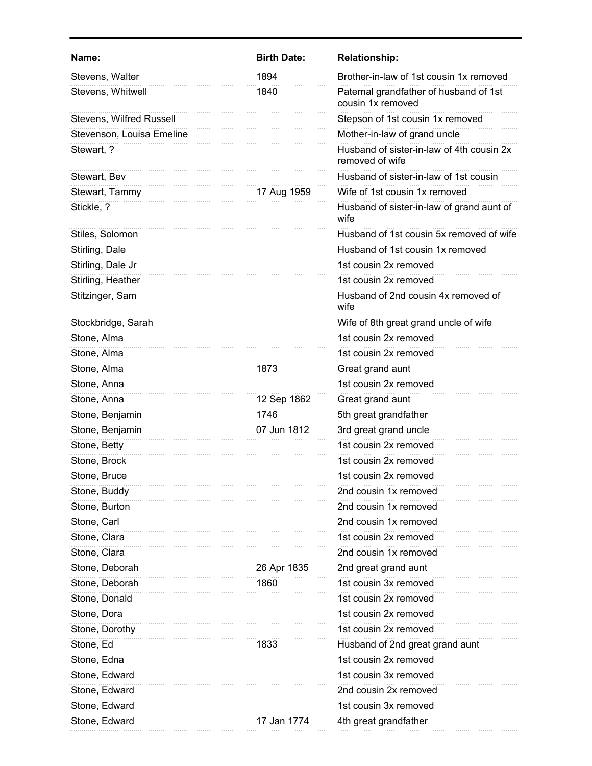| Name:                     | <b>Birth Date:</b> | <b>Relationship:</b>                                         |
|---------------------------|--------------------|--------------------------------------------------------------|
| Stevens, Walter           | 1894               | Brother-in-law of 1st cousin 1x removed                      |
| Stevens, Whitwell         | 1840               | Paternal grandfather of husband of 1st<br>cousin 1x removed  |
| Stevens, Wilfred Russell  |                    | Stepson of 1st cousin 1x removed                             |
| Stevenson, Louisa Emeline |                    | Mother-in-law of grand uncle                                 |
| Stewart, ?                |                    | Husband of sister-in-law of 4th cousin 2x<br>removed of wife |
| Stewart, Bev              |                    | Husband of sister-in-law of 1st cousin                       |
| Stewart, Tammy            | 17 Aug 1959        | Wife of 1st cousin 1x removed                                |
| Stickle, ?                |                    | Husband of sister-in-law of grand aunt of<br>wife            |
| Stiles, Solomon           |                    | Husband of 1st cousin 5x removed of wife                     |
| Stirling, Dale            |                    | Husband of 1st cousin 1x removed                             |
| Stirling, Dale Jr         |                    | 1st cousin 2x removed                                        |
| Stirling, Heather         |                    | 1st cousin 2x removed                                        |
| Stitzinger, Sam           |                    | Husband of 2nd cousin 4x removed of<br>wife                  |
| Stockbridge, Sarah        |                    | Wife of 8th great grand uncle of wife                        |
| Stone, Alma               |                    | 1st cousin 2x removed                                        |
| Stone, Alma               |                    | 1st cousin 2x removed                                        |
| Stone, Alma               | 1873               | Great grand aunt                                             |
| Stone, Anna               |                    | 1st cousin 2x removed                                        |
| Stone, Anna               | 12 Sep 1862        | Great grand aunt                                             |
| Stone, Benjamin           | 1746               | 5th great grandfather                                        |
| Stone, Benjamin           | 07 Jun 1812        | 3rd great grand uncle                                        |
| Stone, Betty              |                    | 1st cousin 2x removed                                        |
| Stone, Brock              |                    | 1st cousin 2x removed                                        |
| Stone, Bruce              |                    | 1st cousin 2x removed                                        |
| Stone, Buddy              |                    | 2nd cousin 1x removed                                        |
| Stone, Burton             |                    | 2nd cousin 1x removed                                        |
| Stone, Carl               |                    | 2nd cousin 1x removed                                        |
| Stone, Clara              |                    | 1st cousin 2x removed                                        |
| Stone, Clara              |                    | 2nd cousin 1x removed                                        |
| Stone, Deborah            | 26 Apr 1835        | 2nd great grand aunt                                         |
| Stone, Deborah            | 1860               | 1st cousin 3x removed                                        |
| Stone, Donald             |                    | 1st cousin 2x removed                                        |
| Stone, Dora               |                    | 1st cousin 2x removed                                        |
| Stone, Dorothy            |                    | 1st cousin 2x removed                                        |
| Stone, Ed                 | 1833               | Husband of 2nd great grand aunt                              |
| Stone, Edna               |                    | 1st cousin 2x removed                                        |
| Stone, Edward             |                    | 1st cousin 3x removed                                        |
| Stone, Edward             |                    | 2nd cousin 2x removed                                        |
| Stone, Edward             |                    | 1st cousin 3x removed                                        |
| Stone, Edward             | 17 Jan 1774        | 4th great grandfather                                        |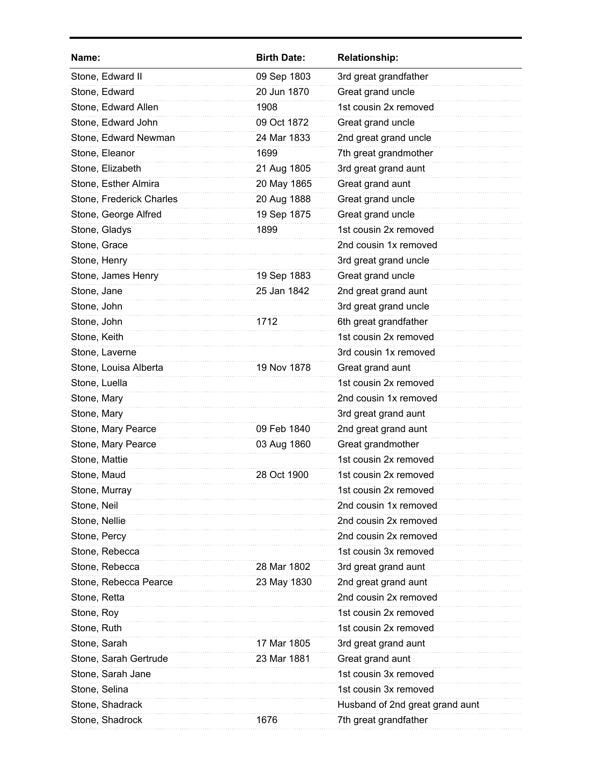| Name:                    | <b>Birth Date:</b> | <b>Relationship:</b>            |
|--------------------------|--------------------|---------------------------------|
| Stone, Edward II         | 09 Sep 1803        | 3rd great grandfather           |
| Stone, Edward            | 20 Jun 1870        | Great grand uncle               |
| Stone, Edward Allen      | 1908               | 1st cousin 2x removed           |
| Stone, Edward John       | 09 Oct 1872        | Great grand uncle               |
| Stone, Edward Newman     | 24 Mar 1833        | 2nd great grand uncle           |
| Stone, Eleanor           | 1699               | 7th great grandmother           |
| Stone, Elizabeth         | 21 Aug 1805        | 3rd great grand aunt            |
| Stone, Esther Almira     | 20 May 1865        | Great grand aunt                |
| Stone, Frederick Charles | 20 Aug 1888        | Great grand uncle               |
| Stone, George Alfred     | 19 Sep 1875        | Great grand uncle               |
| Stone, Gladys            | 1899               | 1st cousin 2x removed           |
| Stone, Grace             |                    | 2nd cousin 1x removed           |
| Stone, Henry             |                    | 3rd great grand uncle           |
| Stone, James Henry       | 19 Sep 1883        | Great grand uncle               |
| Stone, Jane              | 25 Jan 1842        | 2nd great grand aunt            |
| Stone, John              |                    | 3rd great grand uncle           |
| Stone, John              | 1712               | 6th great grandfather           |
| Stone, Keith             |                    | 1st cousin 2x removed           |
| Stone, Laverne           |                    | 3rd cousin 1x removed           |
| Stone, Louisa Alberta    | 19 Nov 1878        | Great grand aunt                |
| Stone, Luella            |                    | 1st cousin 2x removed           |
| Stone, Mary              |                    | 2nd cousin 1x removed           |
| Stone, Mary              |                    | 3rd great grand aunt            |
| Stone, Mary Pearce       | 09 Feb 1840        | 2nd great grand aunt            |
| Stone, Mary Pearce       | 03 Aug 1860        | Great grandmother               |
| Stone, Mattie            |                    | 1st cousin 2x removed           |
| Stone, Maud              | 28 Oct 1900        | 1st cousin 2x removed           |
| Stone, Murray            |                    | 1st cousin 2x removed           |
| Stone, Neil              |                    | 2nd cousin 1x removed           |
| Stone, Nellie            |                    | 2nd cousin 2x removed           |
| Stone, Percy             |                    | 2nd cousin 2x removed           |
| Stone, Rebecca           |                    | 1st cousin 3x removed           |
| Stone, Rebecca           | 28 Mar 1802        | 3rd great grand aunt            |
| Stone, Rebecca Pearce    | 23 May 1830        | 2nd great grand aunt            |
| Stone, Retta             |                    | 2nd cousin 2x removed           |
| Stone, Roy               |                    | 1st cousin 2x removed           |
| Stone, Ruth              |                    | 1st cousin 2x removed           |
| Stone, Sarah             | 17 Mar 1805        | 3rd great grand aunt            |
| Stone, Sarah Gertrude    | 23 Mar 1881        | Great grand aunt                |
| Stone, Sarah Jane        |                    | 1st cousin 3x removed           |
| Stone, Selina            |                    | 1st cousin 3x removed           |
| Stone, Shadrack          |                    | Husband of 2nd great grand aunt |
| Stone, Shadrock          | 1676               | 7th great grandfather           |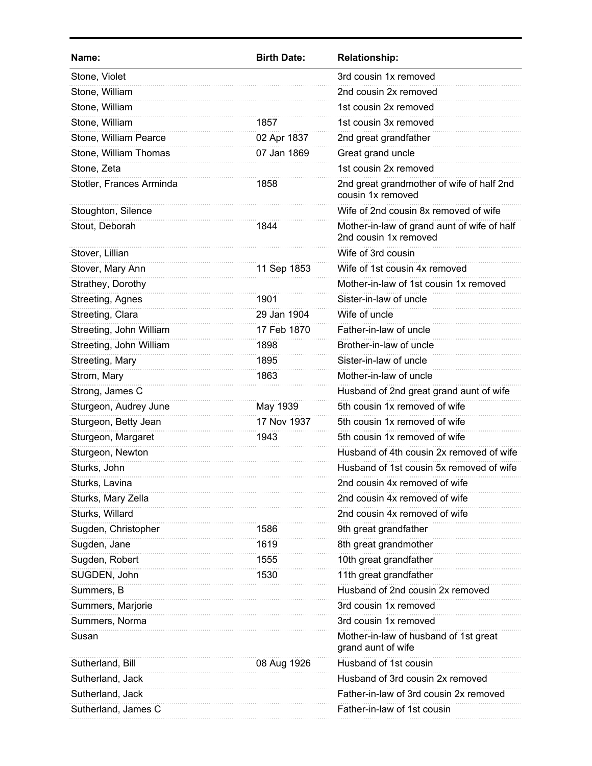| Name:                    | <b>Birth Date:</b> | <b>Relationship:</b>                                                 |
|--------------------------|--------------------|----------------------------------------------------------------------|
| Stone, Violet            |                    | 3rd cousin 1x removed                                                |
| Stone, William           |                    | 2nd cousin 2x removed                                                |
| Stone, William           |                    | 1st cousin 2x removed                                                |
| Stone, William           | 1857               | 1st cousin 3x removed                                                |
| Stone, William Pearce    | 02 Apr 1837        | 2nd great grandfather                                                |
| Stone, William Thomas    | 07 Jan 1869        | Great grand uncle                                                    |
| Stone, Zeta              |                    | 1st cousin 2x removed                                                |
| Stotler, Frances Arminda | 1858               | 2nd great grandmother of wife of half 2nd<br>cousin 1x removed       |
| Stoughton, Silence       |                    | Wife of 2nd cousin 8x removed of wife                                |
| Stout, Deborah           | 1844               | Mother-in-law of grand aunt of wife of half<br>2nd cousin 1x removed |
| Stover, Lillian          |                    | Wife of 3rd cousin                                                   |
| Stover, Mary Ann         | 11 Sep 1853        | Wife of 1st cousin 4x removed                                        |
| Strathey, Dorothy        |                    | Mother-in-law of 1st cousin 1x removed                               |
| Streeting, Agnes         | 1901               | Sister-in-law of uncle                                               |
| Streeting, Clara         | 29 Jan 1904        | Wife of uncle                                                        |
| Streeting, John William  | 17 Feb 1870        | Father-in-law of uncle                                               |
| Streeting, John William  | 1898               | Brother-in-law of uncle                                              |
| Streeting, Mary          | 1895               | Sister-in-law of uncle                                               |
| Strom, Mary              | 1863               | Mother-in-law of uncle                                               |
| Strong, James C          |                    | Husband of 2nd great grand aunt of wife                              |
| Sturgeon, Audrey June    | May 1939           | 5th cousin 1x removed of wife                                        |
| Sturgeon, Betty Jean     | 17 Nov 1937        | 5th cousin 1x removed of wife                                        |
| Sturgeon, Margaret       | 1943               | 5th cousin 1x removed of wife                                        |
| Sturgeon, Newton         |                    | Husband of 4th cousin 2x removed of wife                             |
| Sturks, John             |                    | Husband of 1st cousin 5x removed of wife                             |
| Sturks, Lavina           |                    | 2nd cousin 4x removed of wife                                        |
| Sturks, Mary Zella       |                    | 2nd cousin 4x removed of wife                                        |
| Sturks, Willard          |                    | 2nd cousin 4x removed of wife                                        |
| Sugden, Christopher      | 1586               | 9th great grandfather                                                |
| Sugden, Jane             | 1619               | 8th great grandmother                                                |
| Sugden, Robert           | 1555               | 10th great grandfather                                               |
| SUGDEN, John             | 1530               | 11th great grandfather                                               |
| Summers, B               |                    | Husband of 2nd cousin 2x removed                                     |
| Summers, Marjorie        |                    | 3rd cousin 1x removed                                                |
| Summers, Norma           |                    | 3rd cousin 1x removed                                                |
| Susan                    |                    | Mother-in-law of husband of 1st great<br>grand aunt of wife          |
| Sutherland, Bill         | 08 Aug 1926        | Husband of 1st cousin                                                |
| Sutherland, Jack         |                    | Husband of 3rd cousin 2x removed                                     |
| Sutherland, Jack         |                    | Father-in-law of 3rd cousin 2x removed                               |
| Sutherland, James C      |                    | Father-in-law of 1st cousin                                          |
|                          |                    |                                                                      |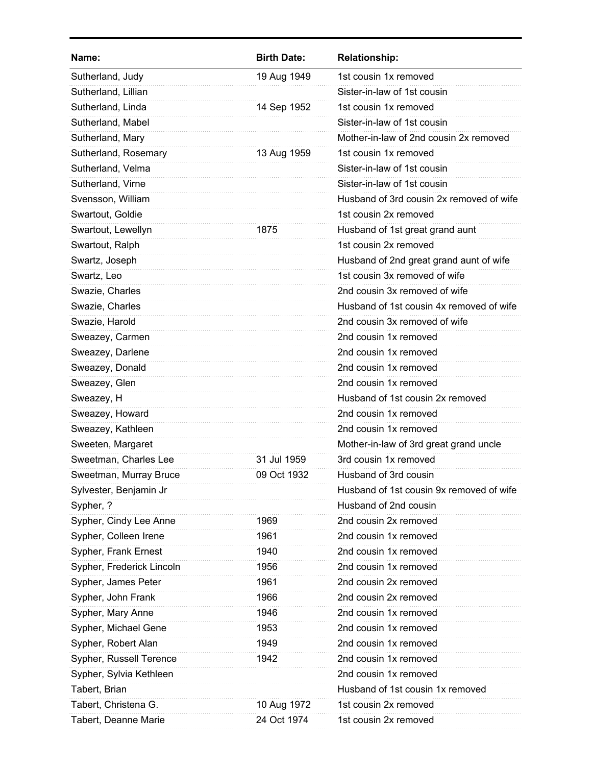| Name:                     | <b>Birth Date:</b> | <b>Relationship:</b>                     |
|---------------------------|--------------------|------------------------------------------|
| Sutherland, Judy          | 19 Aug 1949        | 1st cousin 1x removed                    |
| Sutherland, Lillian       |                    | Sister-in-law of 1st cousin              |
| Sutherland, Linda         | 14 Sep 1952        | 1st cousin 1x removed                    |
| Sutherland, Mabel         |                    | Sister-in-law of 1st cousin              |
| Sutherland, Mary          |                    | Mother-in-law of 2nd cousin 2x removed   |
| Sutherland, Rosemary      | 13 Aug 1959        | 1st cousin 1x removed                    |
| Sutherland, Velma         |                    | Sister-in-law of 1st cousin              |
| Sutherland, Virne         |                    | Sister-in-law of 1st cousin              |
| Svensson, William         |                    | Husband of 3rd cousin 2x removed of wife |
| Swartout, Goldie          |                    | 1st cousin 2x removed                    |
| Swartout, Lewellyn        | 1875               | Husband of 1st great grand aunt          |
| Swartout, Ralph           |                    | 1st cousin 2x removed                    |
| Swartz, Joseph            |                    | Husband of 2nd great grand aunt of wife  |
| Swartz, Leo               |                    | 1st cousin 3x removed of wife            |
| Swazie, Charles           |                    | 2nd cousin 3x removed of wife            |
| Swazie, Charles           |                    | Husband of 1st cousin 4x removed of wife |
| Swazie, Harold            |                    | 2nd cousin 3x removed of wife            |
| Sweazey, Carmen           |                    | 2nd cousin 1x removed                    |
| Sweazey, Darlene          |                    | 2nd cousin 1x removed                    |
| Sweazey, Donald           |                    | 2nd cousin 1x removed                    |
| Sweazey, Glen             |                    | 2nd cousin 1x removed                    |
| Sweazey, H                |                    | Husband of 1st cousin 2x removed         |
| Sweazey, Howard           |                    | 2nd cousin 1x removed                    |
| Sweazey, Kathleen         |                    | 2nd cousin 1x removed                    |
| Sweeten, Margaret         |                    | Mother-in-law of 3rd great grand uncle   |
| Sweetman, Charles Lee     | 31 Jul 1959        | 3rd cousin 1x removed                    |
| Sweetman, Murray Bruce    | 09 Oct 1932        | Husband of 3rd cousin                    |
| Sylvester, Benjamin Jr    |                    | Husband of 1st cousin 9x removed of wife |
| Sypher, ?                 |                    | Husband of 2nd cousin                    |
| Sypher, Cindy Lee Anne    | 1969               | 2nd cousin 2x removed                    |
| Sypher, Colleen Irene     | 1961               | 2nd cousin 1x removed                    |
| Sypher, Frank Ernest      | 1940               | 2nd cousin 1x removed                    |
| Sypher, Frederick Lincoln | 1956               | 2nd cousin 1x removed                    |
| Sypher, James Peter       | 1961               | 2nd cousin 2x removed                    |
| Sypher, John Frank        | 1966               | 2nd cousin 2x removed                    |
| Sypher, Mary Anne         | 1946               | 2nd cousin 1x removed                    |
| Sypher, Michael Gene      | 1953               | 2nd cousin 1x removed                    |
| Sypher, Robert Alan       | 1949               | 2nd cousin 1x removed                    |
| Sypher, Russell Terence   | 1942               | 2nd cousin 1x removed                    |
| Sypher, Sylvia Kethleen   |                    | 2nd cousin 1x removed                    |
| Tabert, Brian             |                    | Husband of 1st cousin 1x removed         |
| Tabert, Christena G.      | 10 Aug 1972        | 1st cousin 2x removed                    |
| Tabert, Deanne Marie      | 24 Oct 1974        | 1st cousin 2x removed                    |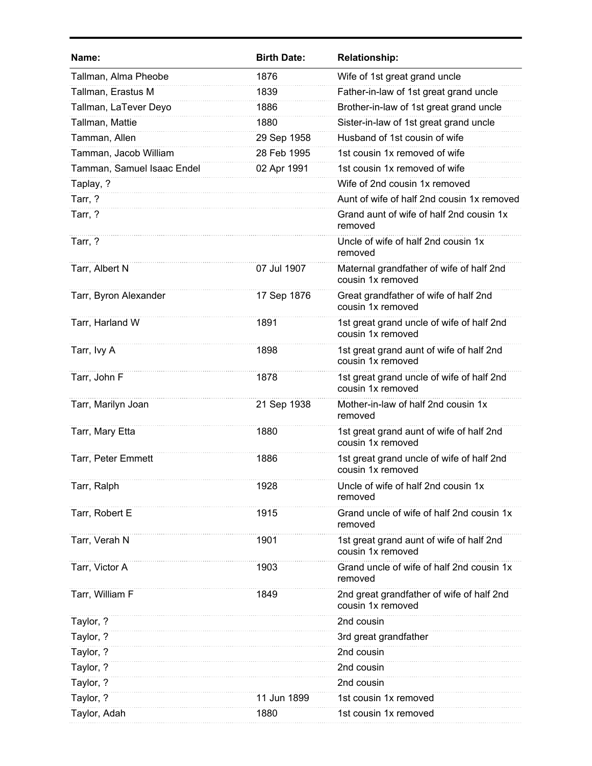| Name:                      | <b>Birth Date:</b> | <b>Relationship:</b>                                           |
|----------------------------|--------------------|----------------------------------------------------------------|
| Tallman, Alma Pheobe       | 1876               | Wife of 1st great grand uncle                                  |
| Tallman, Erastus M         | 1839               | Father-in-law of 1st great grand uncle                         |
| Tallman, LaTever Deyo      | 1886               | Brother-in-law of 1st great grand uncle                        |
| Tallman, Mattie            | 1880               | Sister-in-law of 1st great grand uncle                         |
| Tamman, Allen              | 29 Sep 1958        | Husband of 1st cousin of wife                                  |
| Tamman, Jacob William      | 28 Feb 1995        | 1st cousin 1x removed of wife                                  |
| Tamman, Samuel Isaac Endel | 02 Apr 1991        | 1st cousin 1x removed of wife                                  |
| Taplay, ?                  |                    | Wife of 2nd cousin 1x removed                                  |
| Tarr, ?                    |                    | Aunt of wife of half 2nd cousin 1x removed                     |
| Tarr, ?                    |                    | Grand aunt of wife of half 2nd cousin 1x<br>removed            |
| Tarr, ?                    |                    | Uncle of wife of half 2nd cousin 1x<br>removed                 |
| Tarr, Albert N             | 07 Jul 1907        | Maternal grandfather of wife of half 2nd<br>cousin 1x removed  |
| Tarr, Byron Alexander      | 17 Sep 1876        | Great grandfather of wife of half 2nd<br>cousin 1x removed     |
| Tarr, Harland W            | 1891               | 1st great grand uncle of wife of half 2nd<br>cousin 1x removed |
| Tarr, Ivy A                | 1898               | 1st great grand aunt of wife of half 2nd<br>cousin 1x removed  |
| Tarr, John F               | 1878               | 1st great grand uncle of wife of half 2nd<br>cousin 1x removed |
| Tarr, Marilyn Joan         | 21 Sep 1938        | Mother-in-law of half 2nd cousin 1x<br>removed                 |
| Tarr, Mary Etta            | 1880               | 1st great grand aunt of wife of half 2nd<br>cousin 1x removed  |
| Tarr, Peter Emmett         | 1886               | 1st great grand uncle of wife of half 2nd<br>cousin 1x removed |
| Tarr, Ralph                | 1928               | Uncle of wife of half 2nd cousin 1x<br>removed                 |
| Tarr, Robert E             | 1915               | Grand uncle of wife of half 2nd cousin 1x<br>removed           |
| Tarr, Verah N              | 1901               | 1st great grand aunt of wife of half 2nd<br>cousin 1x removed  |
| Tarr, Victor A             | 1903               | Grand uncle of wife of half 2nd cousin 1x<br>removed           |
| Tarr, William F            | 1849               | 2nd great grandfather of wife of half 2nd<br>cousin 1x removed |
| Taylor, ?                  |                    | 2nd cousin                                                     |
| Taylor, ?                  |                    | 3rd great grandfather                                          |
| Taylor, ?                  |                    | 2nd cousin                                                     |
| Taylor, ?                  |                    | 2nd cousin                                                     |
| Taylor, ?                  |                    | 2nd cousin                                                     |
| Taylor, ?                  | 11 Jun 1899        | 1st cousin 1x removed                                          |
| Taylor, Adah               | 1880               | 1st cousin 1x removed                                          |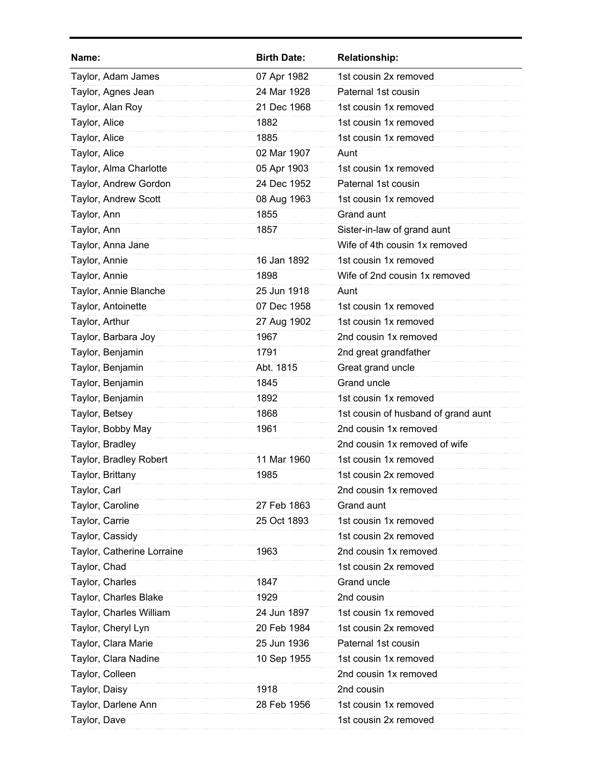| Name:                      | <b>Birth Date:</b> | <b>Relationship:</b>                |
|----------------------------|--------------------|-------------------------------------|
| Taylor, Adam James         | 07 Apr 1982        | 1st cousin 2x removed               |
| Taylor, Agnes Jean         | 24 Mar 1928        | Paternal 1st cousin                 |
| Taylor, Alan Roy           | 21 Dec 1968        | 1st cousin 1x removed               |
| Taylor, Alice              | 1882               | 1st cousin 1x removed               |
| Taylor, Alice              | 1885               | 1st cousin 1x removed               |
| Taylor, Alice              | 02 Mar 1907        | Aunt                                |
| Taylor, Alma Charlotte     | 05 Apr 1903        | 1st cousin 1x removed               |
| Taylor, Andrew Gordon      | 24 Dec 1952        | Paternal 1st cousin                 |
| Taylor, Andrew Scott       | 08 Aug 1963        | 1st cousin 1x removed               |
| Taylor, Ann                | 1855               | Grand aunt                          |
| Taylor, Ann                | 1857               | Sister-in-law of grand aunt         |
| Taylor, Anna Jane          |                    | Wife of 4th cousin 1x removed       |
| Taylor, Annie              | 16 Jan 1892        | 1st cousin 1x removed               |
| Taylor, Annie              | 1898               | Wife of 2nd cousin 1x removed       |
| Taylor, Annie Blanche      | 25 Jun 1918        | Aunt                                |
| Taylor, Antoinette         | 07 Dec 1958        | 1st cousin 1x removed               |
| Taylor, Arthur             | 27 Aug 1902        | 1st cousin 1x removed               |
| Taylor, Barbara Joy        | 1967               | 2nd cousin 1x removed               |
| Taylor, Benjamin           | 1791               | 2nd great grandfather               |
| Taylor, Benjamin           | Abt. 1815          | Great grand uncle                   |
| Taylor, Benjamin           | 1845               | Grand uncle                         |
| Taylor, Benjamin           | 1892               | 1st cousin 1x removed               |
| Taylor, Betsey             | 1868               | 1st cousin of husband of grand aunt |
| Taylor, Bobby May          | 1961               | 2nd cousin 1x removed               |
| Taylor, Bradley            |                    | 2nd cousin 1x removed of wife       |
| Taylor, Bradley Robert     | 11 Mar 1960        | 1st cousin 1x removed               |
| Taylor, Brittany           | 1985               | 1st cousin 2x removed               |
| Taylor, Carl               |                    | 2nd cousin 1x removed               |
| Taylor, Caroline           | 27 Feb 1863        | Grand aunt                          |
| Taylor, Carrie             | 25 Oct 1893        | 1st cousin 1x removed               |
| Taylor, Cassidy            |                    | 1st cousin 2x removed               |
| Taylor, Catherine Lorraine | 1963               | 2nd cousin 1x removed               |
| Taylor, Chad               |                    | 1st cousin 2x removed               |
| Taylor, Charles            | 1847               | Grand uncle                         |
| Taylor, Charles Blake      | 1929               | 2nd cousin                          |
| Taylor, Charles William    | 24 Jun 1897        | 1st cousin 1x removed               |
| Taylor, Cheryl Lyn         | 20 Feb 1984        | 1st cousin 2x removed               |
| Taylor, Clara Marie        | 25 Jun 1936        | Paternal 1st cousin                 |
| Taylor, Clara Nadine       | 10 Sep 1955        | 1st cousin 1x removed               |
| Taylor, Colleen            |                    | 2nd cousin 1x removed               |
| Taylor, Daisy              | 1918               | 2nd cousin                          |
| Taylor, Darlene Ann        | 28 Feb 1956        | 1st cousin 1x removed               |
| Taylor, Dave               |                    | 1st cousin 2x removed               |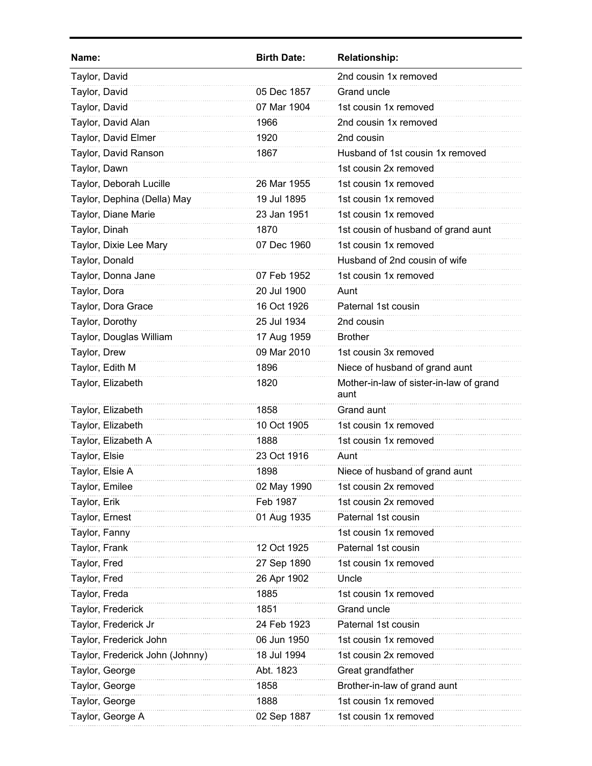| Name:                           | <b>Birth Date:</b> | <b>Relationship:</b>                            |
|---------------------------------|--------------------|-------------------------------------------------|
| Taylor, David                   |                    | 2nd cousin 1x removed                           |
| Taylor, David                   | 05 Dec 1857        | Grand uncle                                     |
| Taylor, David                   | 07 Mar 1904        | 1st cousin 1x removed                           |
| Taylor, David Alan              | 1966               | 2nd cousin 1x removed                           |
| Taylor, David Elmer             | 1920               | 2nd cousin                                      |
| Taylor, David Ranson            | 1867               | Husband of 1st cousin 1x removed                |
| Taylor, Dawn                    |                    | 1st cousin 2x removed                           |
| Taylor, Deborah Lucille         | 26 Mar 1955        | 1st cousin 1x removed                           |
| Taylor, Dephina (Della) May     | 19 Jul 1895        | 1st cousin 1x removed                           |
| Taylor, Diane Marie             | 23 Jan 1951        | 1st cousin 1x removed                           |
| Taylor, Dinah                   | 1870               | 1st cousin of husband of grand aunt             |
| Taylor, Dixie Lee Mary          | 07 Dec 1960        | 1st cousin 1x removed                           |
| Taylor, Donald                  |                    | Husband of 2nd cousin of wife                   |
| Taylor, Donna Jane              | 07 Feb 1952        | 1st cousin 1x removed                           |
| Taylor, Dora                    | 20 Jul 1900        | Aunt                                            |
| Taylor, Dora Grace              | 16 Oct 1926        | Paternal 1st cousin                             |
| Taylor, Dorothy                 | 25 Jul 1934        | 2nd cousin                                      |
| Taylor, Douglas William         | 17 Aug 1959        | <b>Brother</b>                                  |
| Taylor, Drew                    | 09 Mar 2010        | 1st cousin 3x removed                           |
| Taylor, Edith M                 | 1896               | Niece of husband of grand aunt                  |
| Taylor, Elizabeth               | 1820               | Mother-in-law of sister-in-law of grand<br>aunt |
| Taylor, Elizabeth               | 1858               | Grand aunt                                      |
| Taylor, Elizabeth               | 10 Oct 1905        | 1st cousin 1x removed                           |
| Taylor, Elizabeth A             | 1888               | 1st cousin 1x removed                           |
| Taylor, Elsie                   | 23 Oct 1916        | Aunt                                            |
| Taylor, Elsie A                 | 1898               | Niece of husband of grand aunt                  |
| Taylor, Emilee                  | 02 May 1990        | 1st cousin 2x removed                           |
| Taylor, Erik                    | Feb 1987           | 1st cousin 2x removed                           |
| Taylor, Ernest                  | 01 Aug 1935        | Paternal 1st cousin                             |
| Taylor, Fanny                   |                    | 1st cousin 1x removed                           |
| Taylor, Frank                   | 12 Oct 1925        | Paternal 1st cousin                             |
| Taylor, Fred                    | 27 Sep 1890        | 1st cousin 1x removed                           |
| Taylor, Fred                    | 26 Apr 1902        | Uncle                                           |
| Taylor, Freda                   | 1885               | 1st cousin 1x removed                           |
| Taylor, Frederick               | 1851               | Grand uncle                                     |
| Taylor, Frederick Jr            | 24 Feb 1923        | Paternal 1st cousin                             |
| Taylor, Frederick John          | 06 Jun 1950        | 1st cousin 1x removed                           |
| Taylor, Frederick John (Johnny) | 18 Jul 1994        | 1st cousin 2x removed                           |
| Taylor, George                  | Abt. 1823          | Great grandfather                               |
| Taylor, George                  | 1858               | Brother-in-law of grand aunt                    |
| Taylor, George                  | 1888               | 1st cousin 1x removed                           |
| Taylor, George A                | 02 Sep 1887        | 1st cousin 1x removed                           |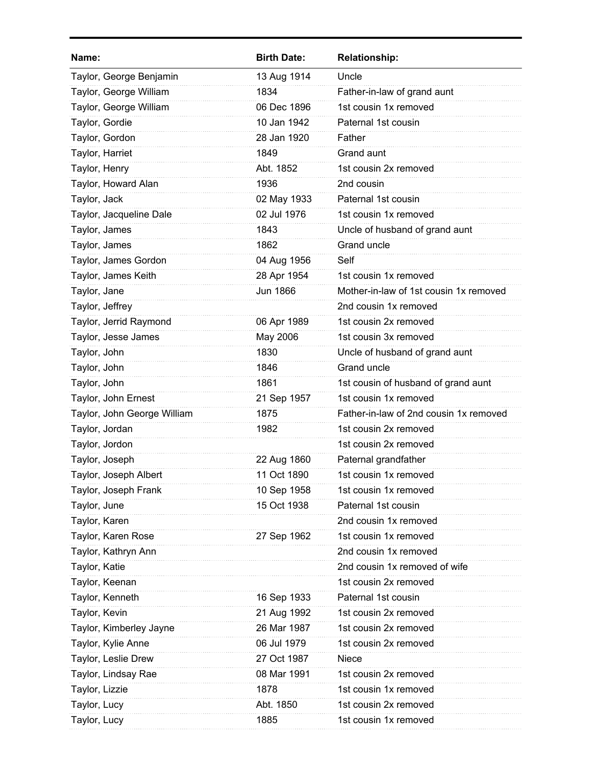| Name:                       | <b>Birth Date:</b> | <b>Relationship:</b>                   |
|-----------------------------|--------------------|----------------------------------------|
| Taylor, George Benjamin     | 13 Aug 1914        | Uncle                                  |
| Taylor, George William      | 1834               | Father-in-law of grand aunt            |
| Taylor, George William      | 06 Dec 1896        | 1st cousin 1x removed                  |
| Taylor, Gordie              | 10 Jan 1942        | Paternal 1st cousin                    |
| Taylor, Gordon              | 28 Jan 1920        | Father                                 |
| Taylor, Harriet             | 1849               | Grand aunt                             |
| Taylor, Henry               | Abt. 1852          | 1st cousin 2x removed                  |
| Taylor, Howard Alan         | 1936               | 2nd cousin                             |
| Taylor, Jack                | 02 May 1933        | Paternal 1st cousin                    |
| Taylor, Jacqueline Dale     | 02 Jul 1976        | 1st cousin 1x removed                  |
| Taylor, James               | 1843               | Uncle of husband of grand aunt         |
| Taylor, James               | 1862               | Grand uncle                            |
| Taylor, James Gordon        | 04 Aug 1956        | Self                                   |
| Taylor, James Keith         | 28 Apr 1954        | 1st cousin 1x removed                  |
| Taylor, Jane                | <b>Jun 1866</b>    | Mother-in-law of 1st cousin 1x removed |
| Taylor, Jeffrey             |                    | 2nd cousin 1x removed                  |
| Taylor, Jerrid Raymond      | 06 Apr 1989        | 1st cousin 2x removed                  |
| Taylor, Jesse James         | May 2006           | 1st cousin 3x removed                  |
| Taylor, John                | 1830               | Uncle of husband of grand aunt         |
| Taylor, John                | 1846               | Grand uncle                            |
| Taylor, John                | 1861               | 1st cousin of husband of grand aunt    |
| Taylor, John Ernest         | 21 Sep 1957        | 1st cousin 1x removed                  |
| Taylor, John George William | 1875               | Father-in-law of 2nd cousin 1x removed |
| Taylor, Jordan              | 1982               | 1st cousin 2x removed                  |
| Taylor, Jordon              |                    | 1st cousin 2x removed                  |
| Taylor, Joseph              | 22 Aug 1860        | Paternal grandfather                   |
| Taylor, Joseph Albert       | 11 Oct 1890        | 1st cousin 1x removed                  |
| Taylor, Joseph Frank        | 10 Sep 1958        | 1st cousin 1x removed                  |
| Taylor, June                | 15 Oct 1938        | Paternal 1st cousin                    |
| Taylor, Karen               |                    | 2nd cousin 1x removed                  |
| Taylor, Karen Rose          | 27 Sep 1962        | 1st cousin 1x removed                  |
| Taylor, Kathryn Ann         |                    | 2nd cousin 1x removed                  |
| Taylor, Katie               |                    | 2nd cousin 1x removed of wife          |
| Taylor, Keenan              |                    | 1st cousin 2x removed                  |
| Taylor, Kenneth             | 16 Sep 1933        | Paternal 1st cousin                    |
| Taylor, Kevin               | 21 Aug 1992        | 1st cousin 2x removed                  |
| Taylor, Kimberley Jayne     | 26 Mar 1987        | 1st cousin 2x removed                  |
| Taylor, Kylie Anne          | 06 Jul 1979        | 1st cousin 2x removed                  |
| Taylor, Leslie Drew         | 27 Oct 1987        | Niece                                  |
| Taylor, Lindsay Rae         | 08 Mar 1991        | 1st cousin 2x removed                  |
| Taylor, Lizzie              | 1878               | 1st cousin 1x removed                  |
| Taylor, Lucy                | Abt. 1850          | 1st cousin 2x removed                  |
| Taylor, Lucy                | 1885               | 1st cousin 1x removed                  |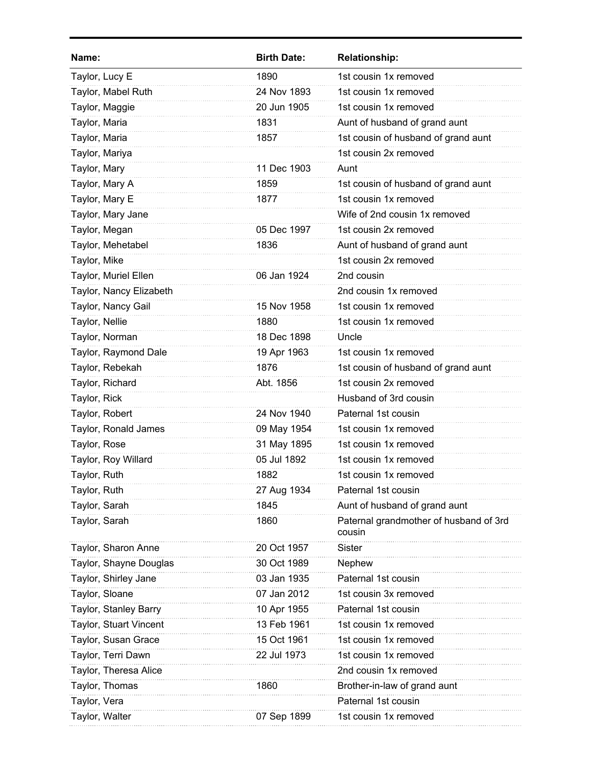| Name:                   | <b>Birth Date:</b> | <b>Relationship:</b>                             |
|-------------------------|--------------------|--------------------------------------------------|
| Taylor, Lucy E          | 1890               | 1st cousin 1x removed                            |
| Taylor, Mabel Ruth      | 24 Nov 1893        | 1st cousin 1x removed                            |
| Taylor, Maggie          | 20 Jun 1905        | 1st cousin 1x removed                            |
| Taylor, Maria           | 1831               | Aunt of husband of grand aunt                    |
| Taylor, Maria           | 1857               | 1st cousin of husband of grand aunt              |
| Taylor, Mariya          |                    | 1st cousin 2x removed                            |
| Taylor, Mary            | 11 Dec 1903        | Aunt                                             |
| Taylor, Mary A          | 1859               | 1st cousin of husband of grand aunt              |
| Taylor, Mary E          | 1877               | 1st cousin 1x removed                            |
| Taylor, Mary Jane       |                    | Wife of 2nd cousin 1x removed                    |
| Taylor, Megan           | 05 Dec 1997        | 1st cousin 2x removed                            |
| Taylor, Mehetabel       | 1836               | Aunt of husband of grand aunt                    |
| Taylor, Mike            |                    | 1st cousin 2x removed                            |
| Taylor, Muriel Ellen    | 06 Jan 1924        | 2nd cousin                                       |
| Taylor, Nancy Elizabeth |                    | 2nd cousin 1x removed                            |
| Taylor, Nancy Gail      | 15 Nov 1958        | 1st cousin 1x removed                            |
| Taylor, Nellie          | 1880               | 1st cousin 1x removed                            |
| Taylor, Norman          | 18 Dec 1898        | Uncle                                            |
| Taylor, Raymond Dale    | 19 Apr 1963        | 1st cousin 1x removed                            |
| Taylor, Rebekah         | 1876               | 1st cousin of husband of grand aunt              |
| Taylor, Richard         | Abt. 1856          | 1st cousin 2x removed                            |
| Taylor, Rick            |                    | Husband of 3rd cousin                            |
| Taylor, Robert          | 24 Nov 1940        | Paternal 1st cousin                              |
| Taylor, Ronald James    | 09 May 1954        | 1st cousin 1x removed                            |
| Taylor, Rose            | 31 May 1895        | 1st cousin 1x removed                            |
| Taylor, Roy Willard     | 05 Jul 1892        | 1st cousin 1x removed                            |
| Taylor, Ruth            | 1882               | 1st cousin 1x removed                            |
| Taylor, Ruth            | 27 Aug 1934        | Paternal 1st cousin                              |
| Taylor, Sarah           | 1845               | Aunt of husband of grand aunt                    |
| Taylor, Sarah           | 1860               | Paternal grandmother of husband of 3rd<br>cousin |
| Taylor, Sharon Anne     | 20 Oct 1957        | <b>Sister</b>                                    |
| Taylor, Shayne Douglas  | 30 Oct 1989        | Nephew                                           |
| Taylor, Shirley Jane    | 03 Jan 1935        | Paternal 1st cousin                              |
| Taylor, Sloane          | 07 Jan 2012        | 1st cousin 3x removed                            |
| Taylor, Stanley Barry   | 10 Apr 1955        | Paternal 1st cousin                              |
| Taylor, Stuart Vincent  | 13 Feb 1961        | 1st cousin 1x removed                            |
| Taylor, Susan Grace     | 15 Oct 1961        | 1st cousin 1x removed                            |
| Taylor, Terri Dawn      | 22 Jul 1973        | 1st cousin 1x removed                            |
| Taylor, Theresa Alice   |                    | 2nd cousin 1x removed                            |
| Taylor, Thomas          | 1860               | Brother-in-law of grand aunt                     |
| Taylor, Vera            |                    | Paternal 1st cousin                              |
| Taylor, Walter          | 07 Sep 1899        | 1st cousin 1x removed                            |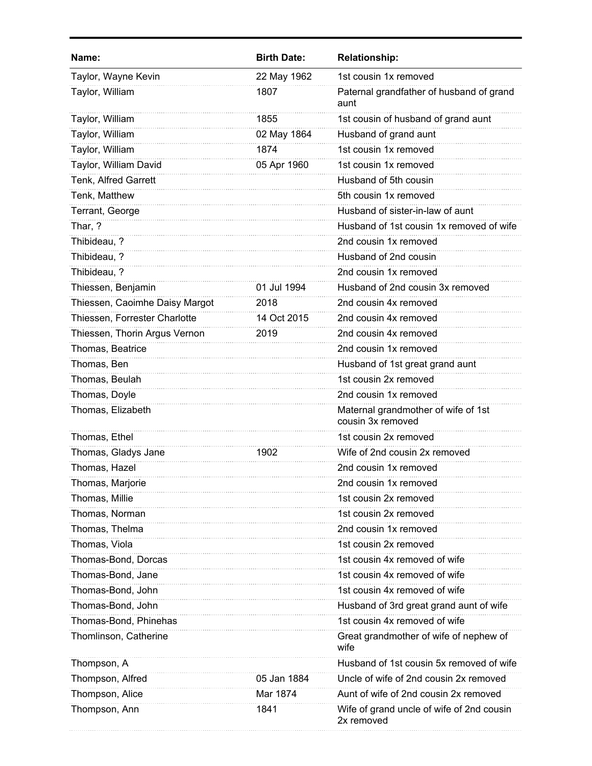| Name:                          | <b>Birth Date:</b> | <b>Relationship:</b>                                     |
|--------------------------------|--------------------|----------------------------------------------------------|
| Taylor, Wayne Kevin            | 22 May 1962        | 1st cousin 1x removed                                    |
| Taylor, William                | 1807               | Paternal grandfather of husband of grand<br>aunt         |
| Taylor, William                | 1855               | 1st cousin of husband of grand aunt                      |
| Taylor, William                | 02 May 1864        | Husband of grand aunt                                    |
| Taylor, William                | 1874               | 1st cousin 1x removed                                    |
| Taylor, William David          | 05 Apr 1960        | 1st cousin 1x removed                                    |
| Tenk, Alfred Garrett           |                    | Husband of 5th cousin                                    |
| Tenk, Matthew                  |                    | 5th cousin 1x removed                                    |
| Terrant, George                |                    | Husband of sister-in-law of aunt                         |
| Thar, ?                        |                    | Husband of 1st cousin 1x removed of wife                 |
| Thibideau, ?                   |                    | 2nd cousin 1x removed                                    |
| Thibideau, ?                   |                    | Husband of 2nd cousin                                    |
| Thibideau, ?                   |                    | 2nd cousin 1x removed                                    |
| Thiessen, Benjamin             | 01 Jul 1994        | Husband of 2nd cousin 3x removed                         |
| Thiessen, Caoimhe Daisy Margot | 2018               | 2nd cousin 4x removed                                    |
| Thiessen, Forrester Charlotte  | 14 Oct 2015        | 2nd cousin 4x removed                                    |
| Thiessen, Thorin Argus Vernon  | 2019               | 2nd cousin 4x removed                                    |
| Thomas, Beatrice               |                    | 2nd cousin 1x removed                                    |
| Thomas, Ben                    |                    | Husband of 1st great grand aunt                          |
| Thomas, Beulah                 |                    | 1st cousin 2x removed                                    |
| Thomas, Doyle                  |                    | 2nd cousin 1x removed                                    |
| Thomas, Elizabeth              |                    | Maternal grandmother of wife of 1st<br>cousin 3x removed |
| Thomas, Ethel                  |                    | 1st cousin 2x removed                                    |
| Thomas, Gladys Jane            | 1902               | Wife of 2nd cousin 2x removed                            |
| Thomas, Hazel                  |                    | 2nd cousin 1x removed                                    |
| Thomas, Marjorie               |                    | 2nd cousin 1x removed                                    |
| Thomas, Millie                 |                    | 1st cousin 2x removed                                    |
| Thomas, Norman                 |                    | 1st cousin 2x removed                                    |
| Thomas, Thelma                 |                    | 2nd cousin 1x removed                                    |
| Thomas, Viola                  |                    | 1st cousin 2x removed                                    |
| Thomas-Bond, Dorcas            |                    | 1st cousin 4x removed of wife                            |
| Thomas-Bond, Jane              |                    | 1st cousin 4x removed of wife                            |
| Thomas-Bond, John              |                    | 1st cousin 4x removed of wife                            |
| Thomas-Bond, John              |                    | Husband of 3rd great grand aunt of wife                  |
| Thomas-Bond, Phinehas          |                    | 1st cousin 4x removed of wife                            |
| Thomlinson, Catherine          |                    | Great grandmother of wife of nephew of<br>wife           |
| Thompson, A                    |                    | Husband of 1st cousin 5x removed of wife                 |
| Thompson, Alfred               | 05 Jan 1884        | Uncle of wife of 2nd cousin 2x removed                   |
| Thompson, Alice                | Mar 1874           | Aunt of wife of 2nd cousin 2x removed                    |
| Thompson, Ann                  | 1841               | Wife of grand uncle of wife of 2nd cousin<br>2x removed  |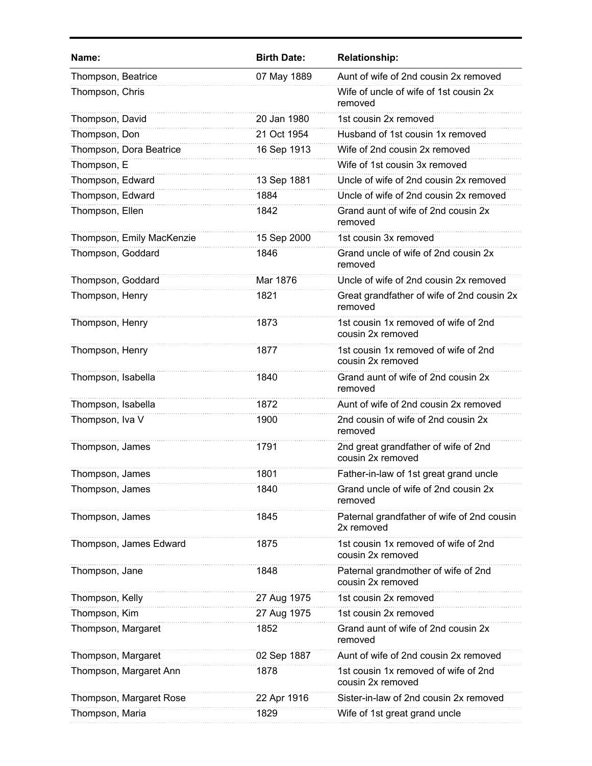| Name:                     | <b>Birth Date:</b> | <b>Relationship:</b>                                      |
|---------------------------|--------------------|-----------------------------------------------------------|
| Thompson, Beatrice        | 07 May 1889        | Aunt of wife of 2nd cousin 2x removed                     |
| Thompson, Chris           |                    | Wife of uncle of wife of 1st cousin 2x<br>removed         |
| Thompson, David           | 20 Jan 1980        | 1st cousin 2x removed                                     |
| Thompson, Don             | 21 Oct 1954        | Husband of 1st cousin 1x removed                          |
| Thompson, Dora Beatrice   | 16 Sep 1913        | Wife of 2nd cousin 2x removed                             |
| Thompson, E               |                    | Wife of 1st cousin 3x removed                             |
| Thompson, Edward          | 13 Sep 1881        | Uncle of wife of 2nd cousin 2x removed                    |
| Thompson, Edward          | 1884               | Uncle of wife of 2nd cousin 2x removed                    |
| Thompson, Ellen           | 1842               | Grand aunt of wife of 2nd cousin 2x<br>removed            |
| Thompson, Emily MacKenzie | 15 Sep 2000        | 1st cousin 3x removed                                     |
| Thompson, Goddard         | 1846               | Grand uncle of wife of 2nd cousin 2x<br>removed           |
| Thompson, Goddard         | Mar 1876           | Uncle of wife of 2nd cousin 2x removed                    |
| Thompson, Henry           | 1821               | Great grandfather of wife of 2nd cousin 2x<br>removed     |
| Thompson, Henry           | 1873               | 1st cousin 1x removed of wife of 2nd<br>cousin 2x removed |
| Thompson, Henry           | 1877               | 1st cousin 1x removed of wife of 2nd<br>cousin 2x removed |
| Thompson, Isabella        | 1840               | Grand aunt of wife of 2nd cousin 2x<br>removed            |
| Thompson, Isabella        | 1872               | Aunt of wife of 2nd cousin 2x removed                     |
| Thompson, Iva V           | 1900               | 2nd cousin of wife of 2nd cousin 2x<br>removed            |
| Thompson, James           | 1791               | 2nd great grandfather of wife of 2nd<br>cousin 2x removed |
| Thompson, James           | 1801               | Father-in-law of 1st great grand uncle                    |
| Thompson, James           | 1840               | Grand uncle of wife of 2nd cousin 2x<br>removed           |
| Thompson, James           | 1845               | Paternal grandfather of wife of 2nd cousin<br>2x removed  |
| Thompson, James Edward    | 1875               | 1st cousin 1x removed of wife of 2nd<br>cousin 2x removed |
| Thompson, Jane            | 1848               | Paternal grandmother of wife of 2nd<br>cousin 2x removed  |
| Thompson, Kelly           | 27 Aug 1975        | 1st cousin 2x removed                                     |
| Thompson, Kim             | 27 Aug 1975        | 1st cousin 2x removed                                     |
| Thompson, Margaret        | 1852               | Grand aunt of wife of 2nd cousin 2x<br>removed            |
| Thompson, Margaret        | 02 Sep 1887        | Aunt of wife of 2nd cousin 2x removed                     |
| Thompson, Margaret Ann    | 1878               | 1st cousin 1x removed of wife of 2nd<br>cousin 2x removed |
| Thompson, Margaret Rose   | 22 Apr 1916        | Sister-in-law of 2nd cousin 2x removed                    |
| Thompson, Maria           | 1829               | Wife of 1st great grand uncle                             |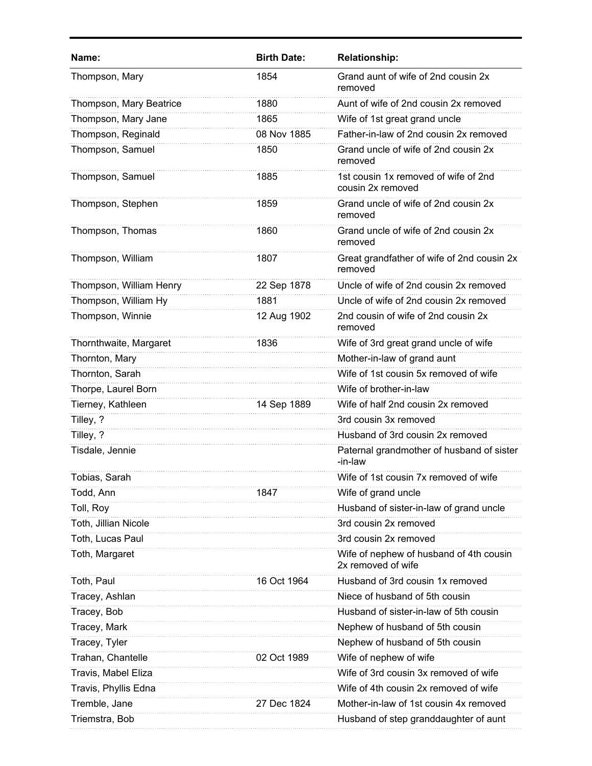| Name:                   | <b>Birth Date:</b> | <b>Relationship:</b>                                          |
|-------------------------|--------------------|---------------------------------------------------------------|
| Thompson, Mary          | 1854               | Grand aunt of wife of 2nd cousin 2x<br>removed                |
| Thompson, Mary Beatrice | 1880               | Aunt of wife of 2nd cousin 2x removed                         |
| Thompson, Mary Jane     | 1865               | Wife of 1st great grand uncle                                 |
| Thompson, Reginald      | 08 Nov 1885        | Father-in-law of 2nd cousin 2x removed                        |
| Thompson, Samuel        | 1850               | Grand uncle of wife of 2nd cousin 2x<br>removed               |
| Thompson, Samuel        | 1885               | 1st cousin 1x removed of wife of 2nd<br>cousin 2x removed     |
| Thompson, Stephen       | 1859               | Grand uncle of wife of 2nd cousin 2x<br>removed               |
| Thompson, Thomas        | 1860               | Grand uncle of wife of 2nd cousin 2x<br>removed               |
| Thompson, William       | 1807               | Great grandfather of wife of 2nd cousin 2x<br>removed         |
| Thompson, William Henry | 22 Sep 1878        | Uncle of wife of 2nd cousin 2x removed                        |
| Thompson, William Hy    | 1881               | Uncle of wife of 2nd cousin 2x removed                        |
| Thompson, Winnie        | 12 Aug 1902        | 2nd cousin of wife of 2nd cousin 2x<br>removed                |
| Thornthwaite, Margaret  | 1836               | Wife of 3rd great grand uncle of wife                         |
| Thornton, Mary          |                    | Mother-in-law of grand aunt                                   |
| Thornton, Sarah         |                    | Wife of 1st cousin 5x removed of wife                         |
| Thorpe, Laurel Born     |                    | Wife of brother-in-law                                        |
| Tierney, Kathleen       | 14 Sep 1889        | Wife of half 2nd cousin 2x removed                            |
| Tilley, ?               |                    | 3rd cousin 3x removed                                         |
| Tilley, ?               |                    | Husband of 3rd cousin 2x removed                              |
| Tisdale, Jennie         |                    | Paternal grandmother of husband of sister<br>-in-law          |
| Tobias, Sarah           |                    | Wife of 1st cousin 7x removed of wife                         |
| Todd, Ann               | 1847               | Wife of grand uncle                                           |
| Toll, Roy               |                    | Husband of sister-in-law of grand uncle                       |
| Toth, Jillian Nicole    |                    | 3rd cousin 2x removed                                         |
| Toth, Lucas Paul        |                    | 3rd cousin 2x removed                                         |
| Toth, Margaret          |                    | Wife of nephew of husband of 4th cousin<br>2x removed of wife |
| Toth, Paul              | 16 Oct 1964        | Husband of 3rd cousin 1x removed                              |
| Tracey, Ashlan          |                    | Niece of husband of 5th cousin                                |
| Tracey, Bob             |                    | Husband of sister-in-law of 5th cousin                        |
| Tracey, Mark            |                    | Nephew of husband of 5th cousin                               |
| Tracey, Tyler           |                    | Nephew of husband of 5th cousin                               |
| Trahan, Chantelle       | 02 Oct 1989        | Wife of nephew of wife                                        |
| Travis, Mabel Eliza     |                    | Wife of 3rd cousin 3x removed of wife                         |
| Travis, Phyllis Edna    |                    | Wife of 4th cousin 2x removed of wife                         |
| Tremble, Jane           | 27 Dec 1824        | Mother-in-law of 1st cousin 4x removed                        |
| Triemstra, Bob          |                    | Husband of step granddaughter of aunt                         |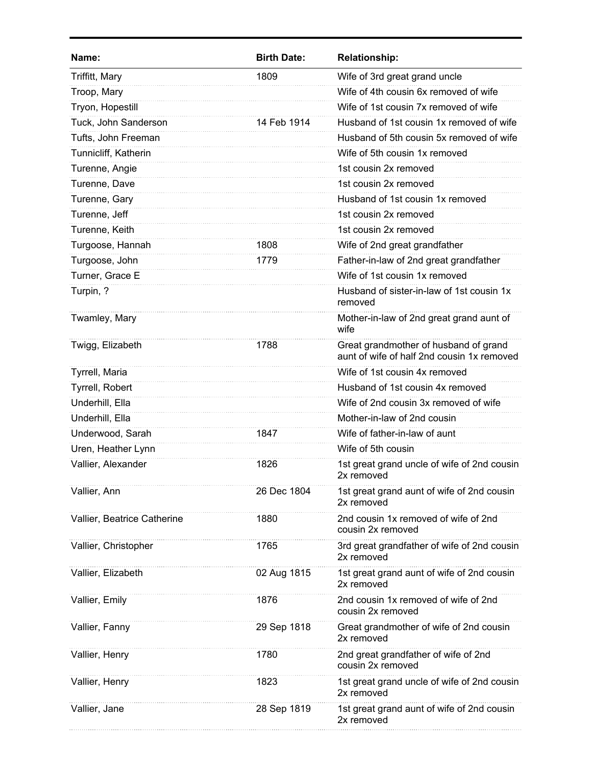| Name:                       | <b>Birth Date:</b> | <b>Relationship:</b>                                                                |
|-----------------------------|--------------------|-------------------------------------------------------------------------------------|
| Triffitt, Mary              | 1809               | Wife of 3rd great grand uncle                                                       |
| Troop, Mary                 |                    | Wife of 4th cousin 6x removed of wife                                               |
| Tryon, Hopestill            |                    | Wife of 1st cousin 7x removed of wife                                               |
| Tuck, John Sanderson        | 14 Feb 1914        | Husband of 1st cousin 1x removed of wife                                            |
| Tufts, John Freeman         |                    | Husband of 5th cousin 5x removed of wife                                            |
| Tunnicliff, Katherin        |                    | Wife of 5th cousin 1x removed                                                       |
| Turenne, Angie              |                    | 1st cousin 2x removed                                                               |
| Turenne, Dave               |                    | 1st cousin 2x removed                                                               |
| Turenne, Gary               |                    | Husband of 1st cousin 1x removed                                                    |
| Turenne, Jeff               |                    | 1st cousin 2x removed                                                               |
| Turenne, Keith              |                    | 1st cousin 2x removed                                                               |
| Turgoose, Hannah            | 1808               | Wife of 2nd great grandfather                                                       |
| Turgoose, John              | 1779               | Father-in-law of 2nd great grandfather                                              |
| Turner, Grace E             |                    | Wife of 1st cousin 1x removed                                                       |
| Turpin, ?                   |                    | Husband of sister-in-law of 1st cousin 1x<br>removed                                |
| Twamley, Mary               |                    | Mother-in-law of 2nd great grand aunt of<br>wife                                    |
| Twigg, Elizabeth            | 1788               | Great grandmother of husband of grand<br>aunt of wife of half 2nd cousin 1x removed |
| Tyrrell, Maria              |                    | Wife of 1st cousin 4x removed                                                       |
| Tyrrell, Robert             |                    | Husband of 1st cousin 4x removed                                                    |
| Underhill, Ella             |                    | Wife of 2nd cousin 3x removed of wife                                               |
| Underhill, Ella             |                    | Mother-in-law of 2nd cousin                                                         |
| Underwood, Sarah            | 1847               | Wife of father-in-law of aunt                                                       |
| Uren, Heather Lynn          |                    | Wife of 5th cousin                                                                  |
| Vallier, Alexander          | 1826               | 1st great grand uncle of wife of 2nd cousin<br>2x removed                           |
| Vallier, Ann                | 26 Dec 1804        | 1st great grand aunt of wife of 2nd cousin<br>2x removed                            |
| Vallier, Beatrice Catherine | 1880               | 2nd cousin 1x removed of wife of 2nd<br>cousin 2x removed                           |
| Vallier, Christopher        | 1765               | 3rd great grandfather of wife of 2nd cousin<br>2x removed                           |
| Vallier, Elizabeth          | 02 Aug 1815        | 1st great grand aunt of wife of 2nd cousin<br>2x removed                            |
| Vallier, Emily              | 1876               | 2nd cousin 1x removed of wife of 2nd<br>cousin 2x removed                           |
| Vallier, Fanny              | 29 Sep 1818        | Great grandmother of wife of 2nd cousin<br>2x removed                               |
| Vallier, Henry              | 1780               | 2nd great grandfather of wife of 2nd<br>cousin 2x removed                           |
| Vallier, Henry              | 1823               | 1st great grand uncle of wife of 2nd cousin<br>2x removed                           |
| Vallier, Jane               | 28 Sep 1819        | 1st great grand aunt of wife of 2nd cousin<br>2x removed                            |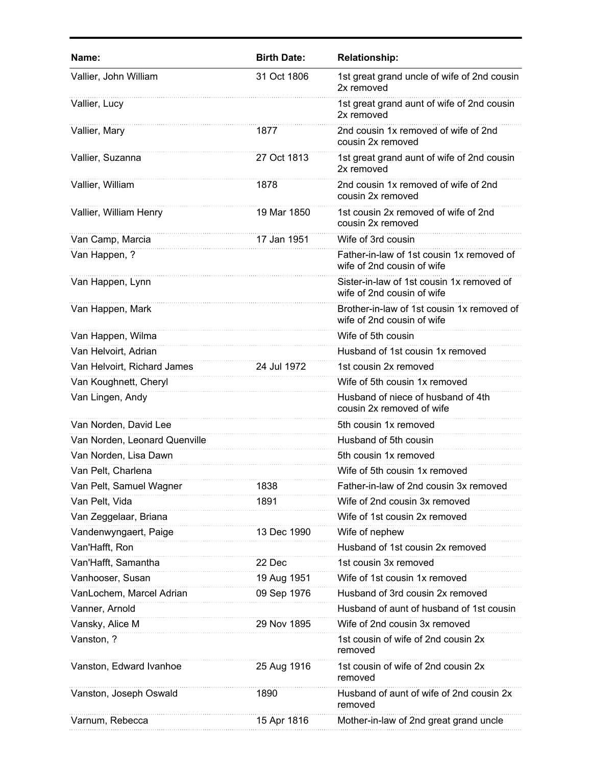| Name:                         | <b>Birth Date:</b> | <b>Relationship:</b>                                                     |
|-------------------------------|--------------------|--------------------------------------------------------------------------|
| Vallier, John William         | 31 Oct 1806        | 1st great grand uncle of wife of 2nd cousin<br>2x removed                |
| Vallier, Lucy                 |                    | 1st great grand aunt of wife of 2nd cousin<br>2x removed                 |
| Vallier, Mary                 | 1877               | 2nd cousin 1x removed of wife of 2nd<br>cousin 2x removed                |
| Vallier, Suzanna              | 27 Oct 1813        | 1st great grand aunt of wife of 2nd cousin<br>2x removed                 |
| Vallier, William              | 1878               | 2nd cousin 1x removed of wife of 2nd<br>cousin 2x removed                |
| Vallier, William Henry        | 19 Mar 1850        | 1st cousin 2x removed of wife of 2nd<br>cousin 2x removed                |
| Van Camp, Marcia              | 17 Jan 1951        | Wife of 3rd cousin                                                       |
| Van Happen, ?                 |                    | Father-in-law of 1st cousin 1x removed of<br>wife of 2nd cousin of wife  |
| Van Happen, Lynn              |                    | Sister-in-law of 1st cousin 1x removed of<br>wife of 2nd cousin of wife  |
| Van Happen, Mark              |                    | Brother-in-law of 1st cousin 1x removed of<br>wife of 2nd cousin of wife |
| Van Happen, Wilma             |                    | Wife of 5th cousin                                                       |
| Van Helvoirt, Adrian          |                    | Husband of 1st cousin 1x removed                                         |
| Van Helvoirt, Richard James   | 24 Jul 1972        | 1st cousin 2x removed                                                    |
| Van Koughnett, Cheryl         |                    | Wife of 5th cousin 1x removed                                            |
| Van Lingen, Andy              |                    | Husband of niece of husband of 4th<br>cousin 2x removed of wife          |
| Van Norden, David Lee         |                    | 5th cousin 1x removed                                                    |
| Van Norden, Leonard Quenville |                    | Husband of 5th cousin                                                    |
| Van Norden, Lisa Dawn         |                    | 5th cousin 1x removed                                                    |
| Van Pelt, Charlena            |                    | Wife of 5th cousin 1x removed                                            |
| Van Pelt, Samuel Wagner       | 1838               | Father-in-law of 2nd cousin 3x removed                                   |
| Van Pelt, Vida                | 1891               | Wife of 2nd cousin 3x removed                                            |
| Van Zeggelaar, Briana         |                    | Wife of 1st cousin 2x removed                                            |
| Vandenwyngaert, Paige         | 13 Dec 1990        | Wife of nephew                                                           |
| Van'Hafft, Ron                |                    | Husband of 1st cousin 2x removed                                         |
| Van'Hafft, Samantha           | 22 Dec             | 1st cousin 3x removed                                                    |
| Vanhooser, Susan              | 19 Aug 1951        | Wife of 1st cousin 1x removed                                            |
| VanLochem, Marcel Adrian      | 09 Sep 1976        | Husband of 3rd cousin 2x removed                                         |
| Vanner, Arnold                |                    | Husband of aunt of husband of 1st cousin                                 |
| Vansky, Alice M               | 29 Nov 1895        | Wife of 2nd cousin 3x removed                                            |
| Vanston, ?                    |                    | 1st cousin of wife of 2nd cousin 2x<br>removed                           |
| Vanston, Edward Ivanhoe       | 25 Aug 1916        | 1st cousin of wife of 2nd cousin 2x<br>removed                           |
| Vanston, Joseph Oswald        | 1890               | Husband of aunt of wife of 2nd cousin 2x<br>removed                      |
| Varnum, Rebecca               | 15 Apr 1816        | Mother-in-law of 2nd great grand uncle                                   |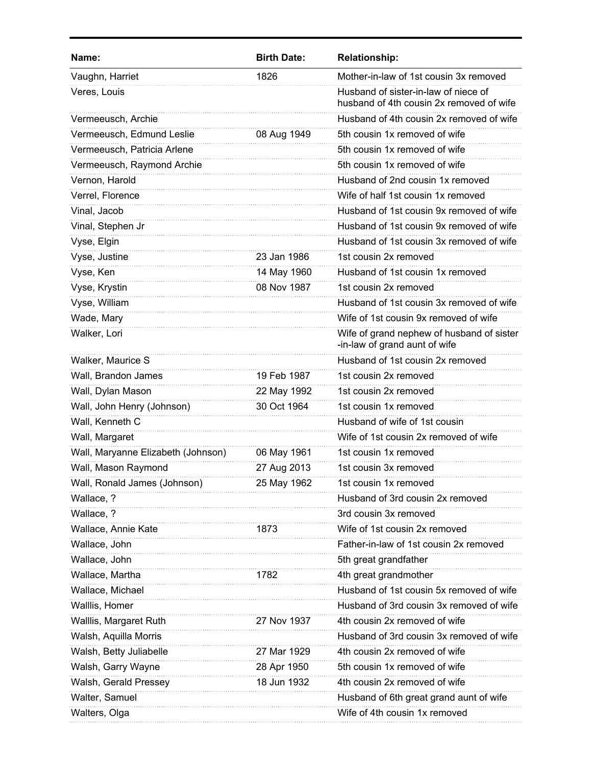| Vaughn, Harriet<br>Mother-in-law of 1st cousin 3x removed<br>1826<br>Veres, Louis<br>Husband of sister-in-law of niece of<br>husband of 4th cousin 2x removed of wife<br>Vermeeusch, Archie<br>Husband of 4th cousin 2x removed of wife<br>Vermeeusch, Edmund Leslie<br>5th cousin 1x removed of wife<br>08 Aug 1949<br>Vermeeusch, Patricia Arlene<br>5th cousin 1x removed of wife<br>Vermeeusch, Raymond Archie<br>5th cousin 1x removed of wife<br>Vernon, Harold<br>Husband of 2nd cousin 1x removed<br>Verrel, Florence<br>Wife of half 1st cousin 1x removed<br>Vinal, Jacob<br>Husband of 1st cousin 9x removed of wife | Name: | <b>Birth Date:</b> | <b>Relationship:</b> |
|---------------------------------------------------------------------------------------------------------------------------------------------------------------------------------------------------------------------------------------------------------------------------------------------------------------------------------------------------------------------------------------------------------------------------------------------------------------------------------------------------------------------------------------------------------------------------------------------------------------------------------|-------|--------------------|----------------------|
|                                                                                                                                                                                                                                                                                                                                                                                                                                                                                                                                                                                                                                 |       |                    |                      |
|                                                                                                                                                                                                                                                                                                                                                                                                                                                                                                                                                                                                                                 |       |                    |                      |
|                                                                                                                                                                                                                                                                                                                                                                                                                                                                                                                                                                                                                                 |       |                    |                      |
|                                                                                                                                                                                                                                                                                                                                                                                                                                                                                                                                                                                                                                 |       |                    |                      |
|                                                                                                                                                                                                                                                                                                                                                                                                                                                                                                                                                                                                                                 |       |                    |                      |
|                                                                                                                                                                                                                                                                                                                                                                                                                                                                                                                                                                                                                                 |       |                    |                      |
|                                                                                                                                                                                                                                                                                                                                                                                                                                                                                                                                                                                                                                 |       |                    |                      |
|                                                                                                                                                                                                                                                                                                                                                                                                                                                                                                                                                                                                                                 |       |                    |                      |
|                                                                                                                                                                                                                                                                                                                                                                                                                                                                                                                                                                                                                                 |       |                    |                      |
| Vinal, Stephen Jr<br>Husband of 1st cousin 9x removed of wife                                                                                                                                                                                                                                                                                                                                                                                                                                                                                                                                                                   |       |                    |                      |
| Vyse, Elgin<br>Husband of 1st cousin 3x removed of wife                                                                                                                                                                                                                                                                                                                                                                                                                                                                                                                                                                         |       |                    |                      |
| Vyse, Justine<br>23 Jan 1986<br>1st cousin 2x removed                                                                                                                                                                                                                                                                                                                                                                                                                                                                                                                                                                           |       |                    |                      |
| Vyse, Ken<br>14 May 1960<br>Husband of 1st cousin 1x removed                                                                                                                                                                                                                                                                                                                                                                                                                                                                                                                                                                    |       |                    |                      |
| Vyse, Krystin<br>08 Nov 1987<br>1st cousin 2x removed                                                                                                                                                                                                                                                                                                                                                                                                                                                                                                                                                                           |       |                    |                      |
| Vyse, William<br>Husband of 1st cousin 3x removed of wife                                                                                                                                                                                                                                                                                                                                                                                                                                                                                                                                                                       |       |                    |                      |
| Wade, Mary<br>Wife of 1st cousin 9x removed of wife                                                                                                                                                                                                                                                                                                                                                                                                                                                                                                                                                                             |       |                    |                      |
| Walker, Lori<br>Wife of grand nephew of husband of sister<br>-in-law of grand aunt of wife                                                                                                                                                                                                                                                                                                                                                                                                                                                                                                                                      |       |                    |                      |
| Walker, Maurice S<br>Husband of 1st cousin 2x removed                                                                                                                                                                                                                                                                                                                                                                                                                                                                                                                                                                           |       |                    |                      |
| Wall, Brandon James<br>19 Feb 1987<br>1st cousin 2x removed                                                                                                                                                                                                                                                                                                                                                                                                                                                                                                                                                                     |       |                    |                      |
| 1st cousin 2x removed<br>Wall, Dylan Mason<br>22 May 1992                                                                                                                                                                                                                                                                                                                                                                                                                                                                                                                                                                       |       |                    |                      |
| Wall, John Henry (Johnson)<br>30 Oct 1964<br>1st cousin 1x removed                                                                                                                                                                                                                                                                                                                                                                                                                                                                                                                                                              |       |                    |                      |
| Wall, Kenneth C<br>Husband of wife of 1st cousin                                                                                                                                                                                                                                                                                                                                                                                                                                                                                                                                                                                |       |                    |                      |
| Wall, Margaret<br>Wife of 1st cousin 2x removed of wife                                                                                                                                                                                                                                                                                                                                                                                                                                                                                                                                                                         |       |                    |                      |
| Wall, Maryanne Elizabeth (Johnson)<br>1st cousin 1x removed<br>06 May 1961                                                                                                                                                                                                                                                                                                                                                                                                                                                                                                                                                      |       |                    |                      |
| Wall, Mason Raymond<br>1st cousin 3x removed<br>27 Aug 2013                                                                                                                                                                                                                                                                                                                                                                                                                                                                                                                                                                     |       |                    |                      |
| Wall, Ronald James (Johnson)<br>25 May 1962<br>1st cousin 1x removed                                                                                                                                                                                                                                                                                                                                                                                                                                                                                                                                                            |       |                    |                      |
| Wallace, ?<br>Husband of 3rd cousin 2x removed                                                                                                                                                                                                                                                                                                                                                                                                                                                                                                                                                                                  |       |                    |                      |
| Wallace, ?<br>3rd cousin 3x removed                                                                                                                                                                                                                                                                                                                                                                                                                                                                                                                                                                                             |       |                    |                      |
| Wife of 1st cousin 2x removed<br>Wallace, Annie Kate<br>1873                                                                                                                                                                                                                                                                                                                                                                                                                                                                                                                                                                    |       |                    |                      |
| Father-in-law of 1st cousin 2x removed<br>Wallace, John                                                                                                                                                                                                                                                                                                                                                                                                                                                                                                                                                                         |       |                    |                      |
| Wallace, John<br>5th great grandfather                                                                                                                                                                                                                                                                                                                                                                                                                                                                                                                                                                                          |       |                    |                      |
| Wallace, Martha<br>4th great grandmother<br>1782                                                                                                                                                                                                                                                                                                                                                                                                                                                                                                                                                                                |       |                    |                      |
| Husband of 1st cousin 5x removed of wife<br>Wallace, Michael                                                                                                                                                                                                                                                                                                                                                                                                                                                                                                                                                                    |       |                    |                      |
| Walllis, Homer<br>Husband of 3rd cousin 3x removed of wife                                                                                                                                                                                                                                                                                                                                                                                                                                                                                                                                                                      |       |                    |                      |
| Walllis, Margaret Ruth<br>4th cousin 2x removed of wife<br>27 Nov 1937                                                                                                                                                                                                                                                                                                                                                                                                                                                                                                                                                          |       |                    |                      |
| Husband of 3rd cousin 3x removed of wife<br>Walsh, Aquilla Morris                                                                                                                                                                                                                                                                                                                                                                                                                                                                                                                                                               |       |                    |                      |
| Walsh, Betty Juliabelle<br>27 Mar 1929<br>4th cousin 2x removed of wife                                                                                                                                                                                                                                                                                                                                                                                                                                                                                                                                                         |       |                    |                      |
| 28 Apr 1950<br>Walsh, Garry Wayne<br>5th cousin 1x removed of wife                                                                                                                                                                                                                                                                                                                                                                                                                                                                                                                                                              |       |                    |                      |
| Walsh, Gerald Pressey<br>18 Jun 1932<br>4th cousin 2x removed of wife                                                                                                                                                                                                                                                                                                                                                                                                                                                                                                                                                           |       |                    |                      |
| Walter, Samuel<br>Husband of 6th great grand aunt of wife                                                                                                                                                                                                                                                                                                                                                                                                                                                                                                                                                                       |       |                    |                      |
| Wife of 4th cousin 1x removed<br>Walters, Olga                                                                                                                                                                                                                                                                                                                                                                                                                                                                                                                                                                                  |       |                    |                      |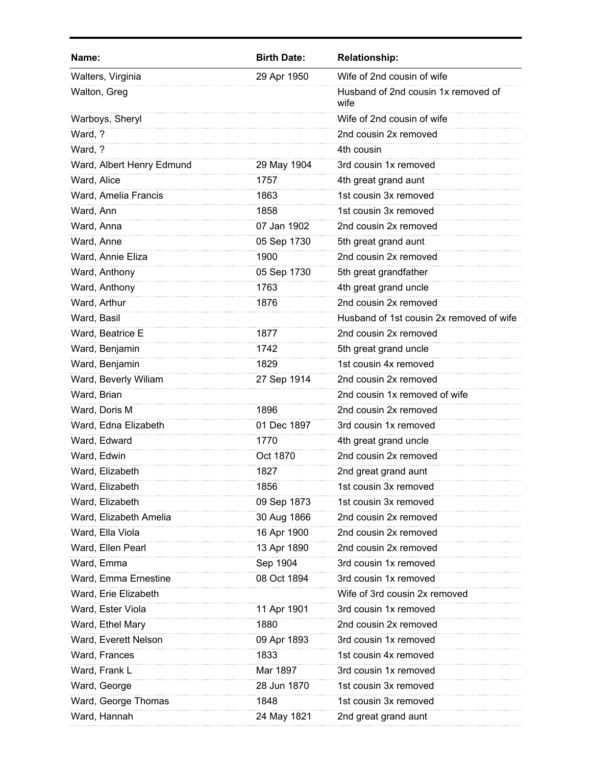| Name:                     | <b>Birth Date:</b> | <b>Relationship:</b>                        |
|---------------------------|--------------------|---------------------------------------------|
| Walters, Virginia         | 29 Apr 1950        | Wife of 2nd cousin of wife                  |
| Walton, Greg              |                    | Husband of 2nd cousin 1x removed of<br>wife |
| Warboys, Sheryl           |                    | Wife of 2nd cousin of wife                  |
| Ward, ?                   |                    | 2nd cousin 2x removed                       |
| Ward, ?                   |                    | 4th cousin                                  |
| Ward, Albert Henry Edmund | 29 May 1904        | 3rd cousin 1x removed                       |
| Ward, Alice               | 1757               | 4th great grand aunt                        |
| Ward, Amelia Francis      | 1863               | 1st cousin 3x removed                       |
| Ward, Ann                 | 1858               | 1st cousin 3x removed                       |
| Ward, Anna                | 07 Jan 1902        | 2nd cousin 2x removed                       |
| Ward, Anne                | 05 Sep 1730        | 5th great grand aunt                        |
| Ward, Annie Eliza         | 1900               | 2nd cousin 2x removed                       |
| Ward, Anthony             | 05 Sep 1730        | 5th great grandfather                       |
| Ward, Anthony             | 1763               | 4th great grand uncle                       |
| Ward, Arthur              | 1876               | 2nd cousin 2x removed                       |
| Ward, Basil               |                    | Husband of 1st cousin 2x removed of wife    |
| Ward, Beatrice E          | 1877               | 2nd cousin 2x removed                       |
| Ward, Benjamin            | 1742               | 5th great grand uncle                       |
| Ward, Benjamin            | 1829               | 1st cousin 4x removed                       |
| Ward, Beverly Wiliam      | 27 Sep 1914        | 2nd cousin 2x removed                       |
| Ward, Brian               |                    | 2nd cousin 1x removed of wife               |
| Ward, Doris M             | 1896               | 2nd cousin 2x removed                       |
| Ward, Edna Elizabeth      | 01 Dec 1897        | 3rd cousin 1x removed                       |
| Ward, Edward              | 1770               | 4th great grand uncle                       |
| Ward, Edwin               | Oct 1870           | 2nd cousin 2x removed                       |
| Ward, Elizabeth           | 1827               | 2nd great grand aunt                        |
| Ward, Elizabeth           | 1856               | 1st cousin 3x removed                       |
| Ward, Elizabeth           | 09 Sep 1873        | 1st cousin 3x removed                       |
| Ward, Elizabeth Amelia    | 30 Aug 1866        | 2nd cousin 2x removed                       |
| Ward, Ella Viola          | 16 Apr 1900        | 2nd cousin 2x removed                       |
| Ward, Ellen Pearl         | 13 Apr 1890        | 2nd cousin 2x removed                       |
| Ward, Emma                | Sep 1904           | 3rd cousin 1x removed                       |
| Ward, Emma Ernestine      | 08 Oct 1894        | 3rd cousin 1x removed                       |
| Ward, Erie Elizabeth      |                    | Wife of 3rd cousin 2x removed               |
| Ward, Ester Viola         | 11 Apr 1901        | 3rd cousin 1x removed                       |
| Ward, Ethel Mary          | 1880               | 2nd cousin 2x removed                       |
| Ward, Everett Nelson      | 09 Apr 1893        | 3rd cousin 1x removed                       |
| Ward, Frances             | 1833               | 1st cousin 4x removed                       |
| Ward, Frank L             | Mar 1897           | 3rd cousin 1x removed                       |
| Ward, George              | 28 Jun 1870        | 1st cousin 3x removed                       |
| Ward, George Thomas       | 1848               | 1st cousin 3x removed                       |
| Ward, Hannah              | 24 May 1821        | 2nd great grand aunt                        |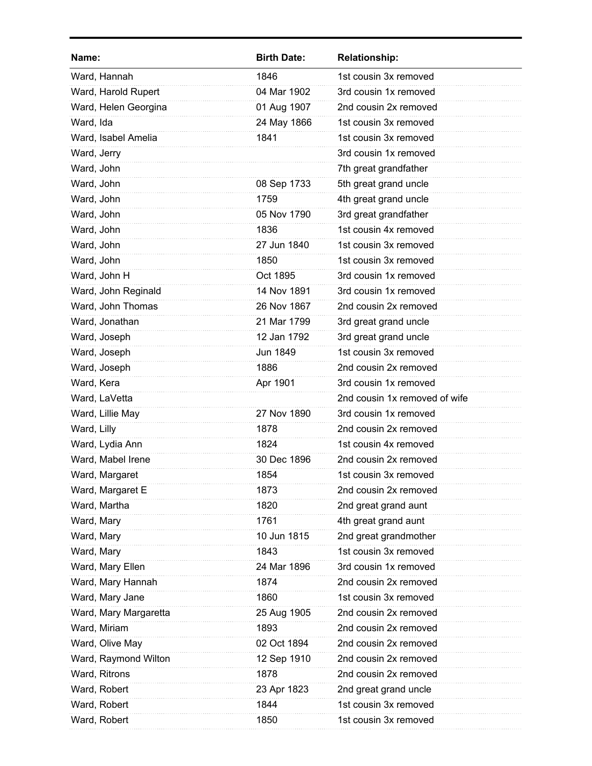| Name:                 | <b>Birth Date:</b> | <b>Relationship:</b>          |
|-----------------------|--------------------|-------------------------------|
| Ward, Hannah          | 1846               | 1st cousin 3x removed         |
| Ward, Harold Rupert   | 04 Mar 1902        | 3rd cousin 1x removed         |
| Ward, Helen Georgina  | 01 Aug 1907        | 2nd cousin 2x removed         |
| Ward, Ida             | 24 May 1866        | 1st cousin 3x removed         |
| Ward, Isabel Amelia   | 1841               | 1st cousin 3x removed         |
| Ward, Jerry           |                    | 3rd cousin 1x removed         |
| Ward, John            |                    | 7th great grandfather         |
| Ward, John            | 08 Sep 1733        | 5th great grand uncle         |
| Ward, John            | 1759               | 4th great grand uncle         |
| Ward, John            | 05 Nov 1790        | 3rd great grandfather         |
| Ward, John            | 1836               | 1st cousin 4x removed         |
| Ward, John            | 27 Jun 1840        | 1st cousin 3x removed         |
| Ward, John            | 1850               | 1st cousin 3x removed         |
| Ward, John H          | Oct 1895           | 3rd cousin 1x removed         |
| Ward, John Reginald   | 14 Nov 1891        | 3rd cousin 1x removed         |
| Ward, John Thomas     | 26 Nov 1867        | 2nd cousin 2x removed         |
| Ward, Jonathan        | 21 Mar 1799        | 3rd great grand uncle         |
| Ward, Joseph          | 12 Jan 1792        | 3rd great grand uncle         |
| Ward, Joseph          | Jun 1849           | 1st cousin 3x removed         |
| Ward, Joseph          | 1886               | 2nd cousin 2x removed         |
| Ward, Kera            | Apr 1901           | 3rd cousin 1x removed         |
| Ward, LaVetta         |                    | 2nd cousin 1x removed of wife |
| Ward, Lillie May      | 27 Nov 1890        | 3rd cousin 1x removed         |
| Ward, Lilly           | 1878               | 2nd cousin 2x removed         |
| Ward, Lydia Ann       | 1824               | 1st cousin 4x removed         |
| Ward, Mabel Irene     | 30 Dec 1896        | 2nd cousin 2x removed         |
| Ward, Margaret        | 1854               | 1st cousin 3x removed         |
| Ward, Margaret E      | 1873               | 2nd cousin 2x removed         |
| Ward, Martha          | 1820               | 2nd great grand aunt          |
| Ward, Mary            | 1761               | 4th great grand aunt          |
| Ward, Mary            | 10 Jun 1815        | 2nd great grandmother         |
| Ward, Mary            | 1843               | 1st cousin 3x removed         |
| Ward, Mary Ellen      | 24 Mar 1896        | 3rd cousin 1x removed         |
| Ward, Mary Hannah     | 1874               | 2nd cousin 2x removed         |
| Ward, Mary Jane       | 1860               | 1st cousin 3x removed         |
| Ward, Mary Margaretta | 25 Aug 1905        | 2nd cousin 2x removed         |
| Ward, Miriam          | 1893               | 2nd cousin 2x removed         |
| Ward, Olive May       | 02 Oct 1894        | 2nd cousin 2x removed         |
| Ward, Raymond Wilton  | 12 Sep 1910        | 2nd cousin 2x removed         |
| Ward, Ritrons         | 1878               | 2nd cousin 2x removed         |
| Ward, Robert          | 23 Apr 1823        | 2nd great grand uncle         |
| Ward, Robert          | 1844               | 1st cousin 3x removed         |
| Ward, Robert          | 1850               | 1st cousin 3x removed         |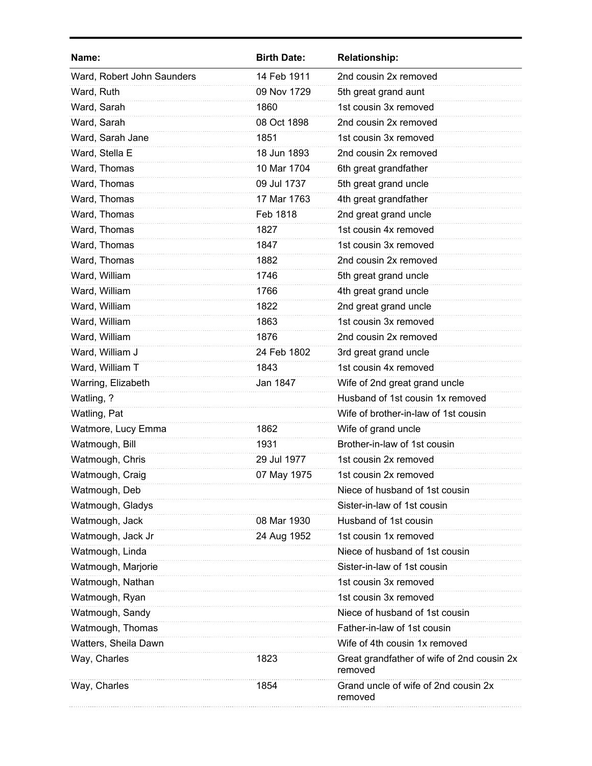| <b>Birth Date:</b> | <b>Relationship:</b>                                  |
|--------------------|-------------------------------------------------------|
| 14 Feb 1911        | 2nd cousin 2x removed                                 |
| 09 Nov 1729        | 5th great grand aunt                                  |
| 1860               | 1st cousin 3x removed                                 |
| 08 Oct 1898        | 2nd cousin 2x removed                                 |
| 1851               | 1st cousin 3x removed                                 |
| 18 Jun 1893        | 2nd cousin 2x removed                                 |
| 10 Mar 1704        | 6th great grandfather                                 |
| 09 Jul 1737        | 5th great grand uncle                                 |
| 17 Mar 1763        | 4th great grandfather                                 |
| Feb 1818           | 2nd great grand uncle                                 |
| 1827               | 1st cousin 4x removed                                 |
| 1847               | 1st cousin 3x removed                                 |
| 1882               | 2nd cousin 2x removed                                 |
| 1746               | 5th great grand uncle                                 |
| 1766               | 4th great grand uncle                                 |
| 1822               | 2nd great grand uncle                                 |
| 1863               | 1st cousin 3x removed                                 |
| 1876               | 2nd cousin 2x removed                                 |
| 24 Feb 1802        | 3rd great grand uncle                                 |
| 1843               | 1st cousin 4x removed                                 |
| Jan 1847           | Wife of 2nd great grand uncle                         |
|                    | Husband of 1st cousin 1x removed                      |
|                    | Wife of brother-in-law of 1st cousin                  |
| 1862               | Wife of grand uncle                                   |
| 1931               | Brother-in-law of 1st cousin                          |
| 29 Jul 1977        | 1st cousin 2x removed                                 |
| 07 May 1975        | 1st cousin 2x removed                                 |
|                    | Niece of husband of 1st cousin                        |
|                    | Sister-in-law of 1st cousin                           |
| 08 Mar 1930        | Husband of 1st cousin                                 |
| 24 Aug 1952        | 1st cousin 1x removed                                 |
|                    | Niece of husband of 1st cousin                        |
|                    | Sister-in-law of 1st cousin                           |
|                    | 1st cousin 3x removed                                 |
|                    | 1st cousin 3x removed                                 |
|                    | Niece of husband of 1st cousin                        |
|                    | Father-in-law of 1st cousin                           |
|                    | Wife of 4th cousin 1x removed                         |
| 1823               | Great grandfather of wife of 2nd cousin 2x<br>removed |
| 1854               | Grand uncle of wife of 2nd cousin 2x<br>removed       |
|                    |                                                       |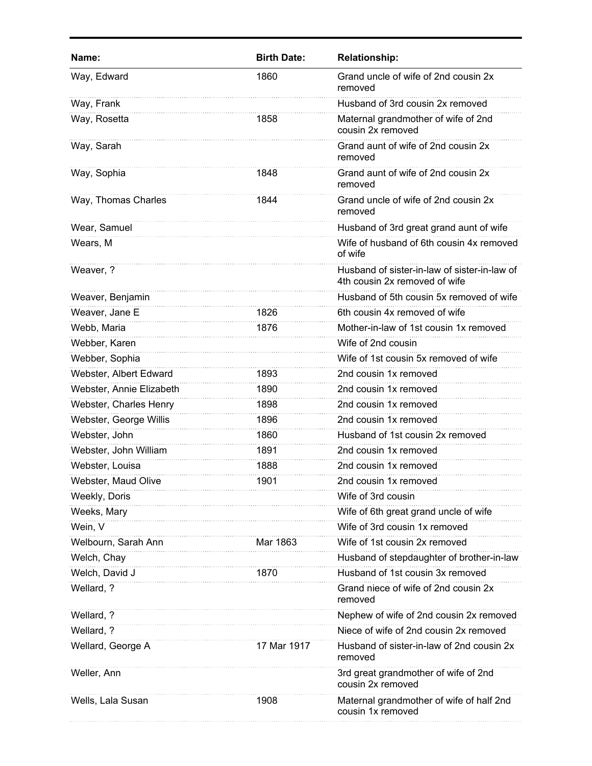| Name:                    | <b>Birth Date:</b> | <b>Relationship:</b>                                                          |
|--------------------------|--------------------|-------------------------------------------------------------------------------|
| Way, Edward              | 1860               | Grand uncle of wife of 2nd cousin 2x<br>removed                               |
| Way, Frank               |                    | Husband of 3rd cousin 2x removed                                              |
| Way, Rosetta             | 1858               | Maternal grandmother of wife of 2nd<br>cousin 2x removed                      |
| Way, Sarah               |                    | Grand aunt of wife of 2nd cousin 2x<br>removed                                |
| Way, Sophia              | 1848               | Grand aunt of wife of 2nd cousin 2x<br>removed                                |
| Way, Thomas Charles      | 1844               | Grand uncle of wife of 2nd cousin 2x<br>removed                               |
| Wear, Samuel             |                    | Husband of 3rd great grand aunt of wife                                       |
| Wears, M                 |                    | Wife of husband of 6th cousin 4x removed<br>of wife                           |
| Weaver, ?                |                    | Husband of sister-in-law of sister-in-law of<br>4th cousin 2x removed of wife |
| Weaver, Benjamin         |                    | Husband of 5th cousin 5x removed of wife                                      |
| Weaver, Jane E           | 1826               | 6th cousin 4x removed of wife                                                 |
| Webb, Maria              | 1876               | Mother-in-law of 1st cousin 1x removed                                        |
| Webber, Karen            |                    | Wife of 2nd cousin                                                            |
| Webber, Sophia           |                    | Wife of 1st cousin 5x removed of wife                                         |
| Webster, Albert Edward   | 1893               | 2nd cousin 1x removed                                                         |
| Webster, Annie Elizabeth | 1890               | 2nd cousin 1x removed                                                         |
| Webster, Charles Henry   | 1898               | 2nd cousin 1x removed                                                         |
| Webster, George Willis   | 1896               | 2nd cousin 1x removed                                                         |
| Webster, John            | 1860               | Husband of 1st cousin 2x removed                                              |
| Webster, John William    | 1891               | 2nd cousin 1x removed                                                         |
| Webster, Louisa          | 1888               | 2nd cousin 1x removed                                                         |
| Webster, Maud Olive      | 1901               | 2nd cousin 1x removed                                                         |
| Weekly, Doris            |                    | Wife of 3rd cousin                                                            |
| Weeks, Mary              |                    | Wife of 6th great grand uncle of wife                                         |
| Wein, V                  |                    | Wife of 3rd cousin 1x removed                                                 |
| Welbourn, Sarah Ann      | Mar 1863           | Wife of 1st cousin 2x removed                                                 |
| Welch, Chay              |                    | Husband of stepdaughter of brother-in-law                                     |
| Welch, David J           | 1870               | Husband of 1st cousin 3x removed                                              |
| Wellard, ?               |                    | Grand niece of wife of 2nd cousin 2x<br>removed                               |
| Wellard, ?               |                    | Nephew of wife of 2nd cousin 2x removed                                       |
| Wellard, ?               |                    | Niece of wife of 2nd cousin 2x removed                                        |
| Wellard, George A        | 17 Mar 1917        | Husband of sister-in-law of 2nd cousin 2x<br>removed                          |
| Weller, Ann              |                    | 3rd great grandmother of wife of 2nd<br>cousin 2x removed                     |
| Wells, Lala Susan        | 1908               | Maternal grandmother of wife of half 2nd<br>cousin 1x removed                 |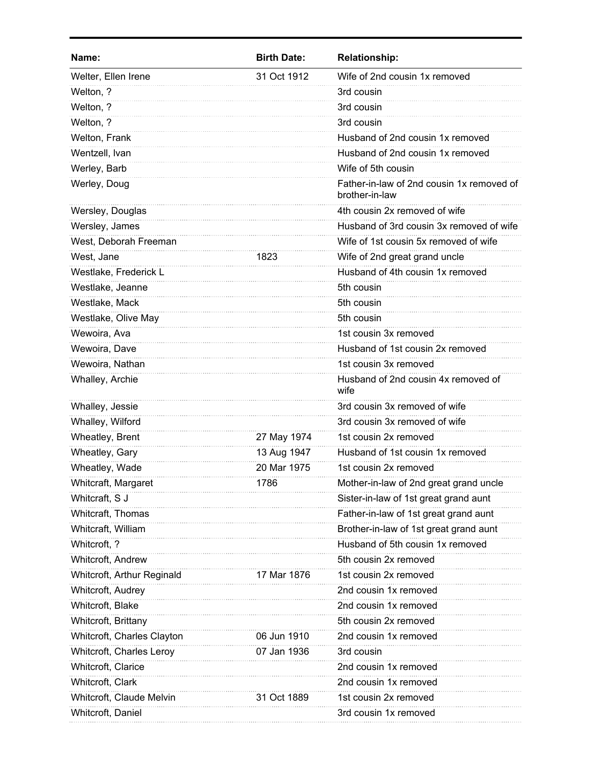| Name:                      | <b>Birth Date:</b> | <b>Relationship:</b>                                        |
|----------------------------|--------------------|-------------------------------------------------------------|
| Welter, Ellen Irene        | 31 Oct 1912        | Wife of 2nd cousin 1x removed                               |
| Welton, ?                  |                    | 3rd cousin                                                  |
| Welton, ?                  |                    | 3rd cousin                                                  |
| Welton, ?                  |                    | 3rd cousin                                                  |
| Welton, Frank              |                    | Husband of 2nd cousin 1x removed                            |
| Wentzell, Ivan             |                    | Husband of 2nd cousin 1x removed                            |
| Werley, Barb               |                    | Wife of 5th cousin                                          |
| Werley, Doug               |                    | Father-in-law of 2nd cousin 1x removed of<br>brother-in-law |
| Wersley, Douglas           |                    | 4th cousin 2x removed of wife                               |
| Wersley, James             |                    | Husband of 3rd cousin 3x removed of wife                    |
| West, Deborah Freeman      |                    | Wife of 1st cousin 5x removed of wife                       |
| West, Jane                 | 1823               | Wife of 2nd great grand uncle                               |
| Westlake, Frederick L      |                    | Husband of 4th cousin 1x removed                            |
| Westlake, Jeanne           |                    | 5th cousin                                                  |
| Westlake, Mack             |                    | 5th cousin                                                  |
| Westlake, Olive May        |                    | 5th cousin                                                  |
| Wewoira, Ava               |                    | 1st cousin 3x removed                                       |
| Wewoira, Dave              |                    | Husband of 1st cousin 2x removed                            |
| Wewoira, Nathan            |                    | 1st cousin 3x removed                                       |
| Whalley, Archie            |                    | Husband of 2nd cousin 4x removed of<br>wife                 |
| Whalley, Jessie            |                    | 3rd cousin 3x removed of wife                               |
| Whalley, Wilford           |                    | 3rd cousin 3x removed of wife                               |
| Wheatley, Brent            | 27 May 1974        | 1st cousin 2x removed                                       |
| Wheatley, Gary             | 13 Aug 1947        | Husband of 1st cousin 1x removed                            |
| Wheatley, Wade             | 20 Mar 1975        | 1st cousin 2x removed                                       |
| Whitcraft, Margaret        | 1786               | Mother-in-law of 2nd great grand uncle                      |
| Whitcraft, S J             |                    | Sister-in-law of 1st great grand aunt                       |
| Whitcraft, Thomas          |                    | Father-in-law of 1st great grand aunt                       |
| Whitcraft, William         |                    | Brother-in-law of 1st great grand aunt                      |
| Whitcroft, ?               |                    | Husband of 5th cousin 1x removed                            |
| Whitcroft, Andrew          |                    | 5th cousin 2x removed                                       |
| Whitcroft, Arthur Reginald | 17 Mar 1876        | 1st cousin 2x removed                                       |
| Whitcroft, Audrey          |                    | 2nd cousin 1x removed                                       |
| Whitcroft, Blake           |                    | 2nd cousin 1x removed                                       |
| Whitcroft, Brittany        |                    | 5th cousin 2x removed                                       |
| Whitcroft, Charles Clayton | 06 Jun 1910        | 2nd cousin 1x removed                                       |
| Whitcroft, Charles Leroy   | 07 Jan 1936        | 3rd cousin                                                  |
| Whitcroft, Clarice         |                    | 2nd cousin 1x removed                                       |
| Whitcroft, Clark           |                    | 2nd cousin 1x removed                                       |
| Whitcroft, Claude Melvin   | 31 Oct 1889        | 1st cousin 2x removed                                       |
| Whitcroft, Daniel          |                    | 3rd cousin 1x removed                                       |
|                            |                    |                                                             |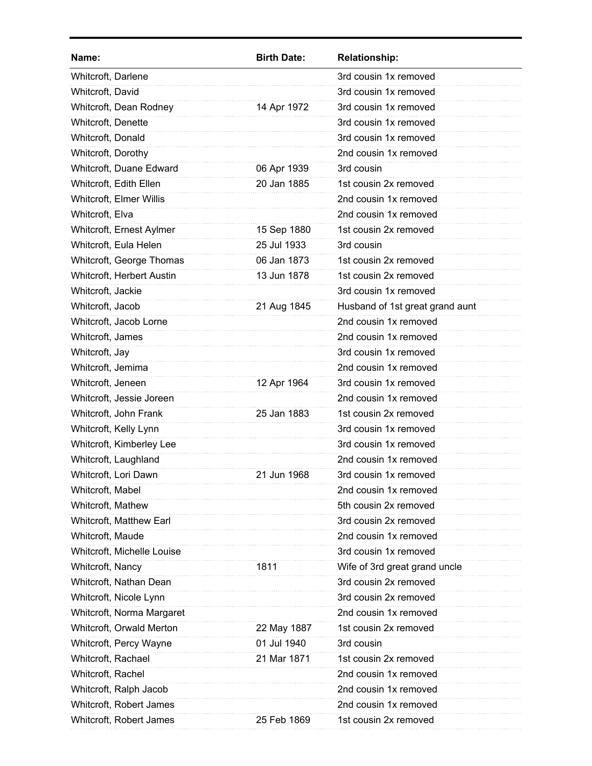| Name:                      | <b>Birth Date:</b> | <b>Relationship:</b>            |
|----------------------------|--------------------|---------------------------------|
| Whitcroft, Darlene         |                    | 3rd cousin 1x removed           |
| Whitcroft, David           |                    | 3rd cousin 1x removed           |
| Whitcroft, Dean Rodney     | 14 Apr 1972        | 3rd cousin 1x removed           |
| Whitcroft, Denette         |                    | 3rd cousin 1x removed           |
| Whitcroft, Donald          |                    | 3rd cousin 1x removed           |
| Whitcroft, Dorothy         |                    | 2nd cousin 1x removed           |
| Whitcroft, Duane Edward    | 06 Apr 1939        | 3rd cousin                      |
| Whitcroft, Edith Ellen     | 20 Jan 1885        | 1st cousin 2x removed           |
| Whitcroft, Elmer Willis    |                    | 2nd cousin 1x removed           |
| Whitcroft, Elva            |                    | 2nd cousin 1x removed           |
| Whitcroft, Ernest Aylmer   | 15 Sep 1880        | 1st cousin 2x removed           |
| Whitcroft, Eula Helen      | 25 Jul 1933        | 3rd cousin                      |
| Whitcroft, George Thomas   | 06 Jan 1873        | 1st cousin 2x removed           |
| Whitcroft, Herbert Austin  | 13 Jun 1878        | 1st cousin 2x removed           |
| Whitcroft, Jackie          |                    | 3rd cousin 1x removed           |
| Whitcroft, Jacob           | 21 Aug 1845        | Husband of 1st great grand aunt |
| Whitcroft, Jacob Lorne     |                    | 2nd cousin 1x removed           |
| Whitcroft, James           |                    | 2nd cousin 1x removed           |
| Whitcroft, Jay             |                    | 3rd cousin 1x removed           |
| Whitcroft, Jemima          |                    | 2nd cousin 1x removed           |
| Whitcroft, Jeneen          | 12 Apr 1964        | 3rd cousin 1x removed           |
| Whitcroft, Jessie Joreen   |                    | 2nd cousin 1x removed           |
| Whitcroft, John Frank      | 25 Jan 1883        | 1st cousin 2x removed           |
| Whitcroft, Kelly Lynn      |                    | 3rd cousin 1x removed           |
| Whitcroft, Kimberley Lee   |                    | 3rd cousin 1x removed           |
| Whitcroft, Laughland       |                    | 2nd cousin 1x removed           |
| Whitcroft, Lori Dawn       | 21 Jun 1968        | 3rd cousin 1x removed           |
| Whitcroft, Mabel           |                    | 2nd cousin 1x removed           |
| Whitcroft, Mathew          |                    | 5th cousin 2x removed           |
| Whitcroft, Matthew Earl    |                    | 3rd cousin 2x removed           |
| Whitcroft, Maude           |                    | 2nd cousin 1x removed           |
| Whitcroft, Michelle Louise |                    | 3rd cousin 1x removed           |
| Whitcroft, Nancy           | 1811               | Wife of 3rd great grand uncle   |
| Whitcroft, Nathan Dean     |                    | 3rd cousin 2x removed           |
| Whitcroft, Nicole Lynn     |                    | 3rd cousin 2x removed           |
| Whitcroft, Norma Margaret  |                    | 2nd cousin 1x removed           |
| Whitcroft, Orwald Merton   | 22 May 1887        | 1st cousin 2x removed           |
| Whitcroft, Percy Wayne     | 01 Jul 1940        | 3rd cousin                      |
| Whitcroft, Rachael         | 21 Mar 1871        | 1st cousin 2x removed           |
| Whitcroft, Rachel          |                    | 2nd cousin 1x removed           |
| Whitcroft, Ralph Jacob     |                    | 2nd cousin 1x removed           |
| Whitcroft, Robert James    |                    | 2nd cousin 1x removed           |
| Whitcroft, Robert James    | 25 Feb 1869        | 1st cousin 2x removed           |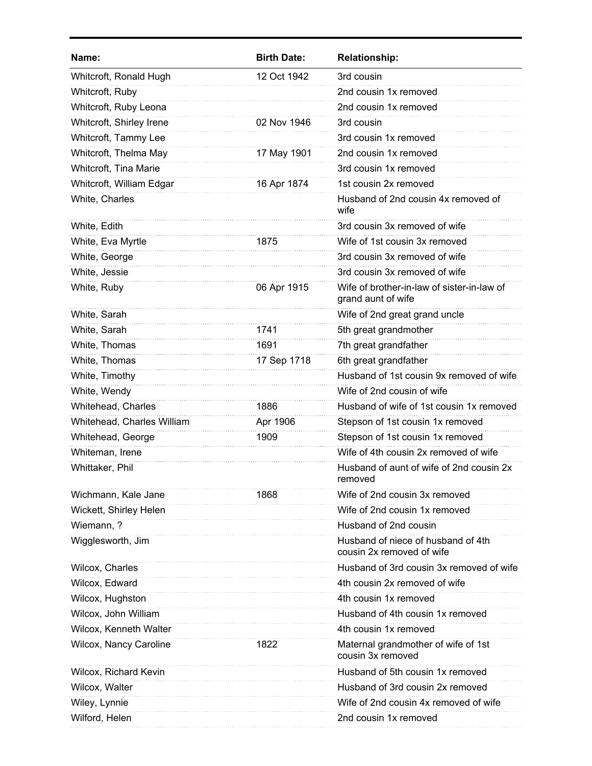| Name:                      | <b>Birth Date:</b> | <b>Relationship:</b>                                             |
|----------------------------|--------------------|------------------------------------------------------------------|
| Whitcroft, Ronald Hugh     | 12 Oct 1942        | 3rd cousin                                                       |
| Whitcroft, Ruby            |                    | 2nd cousin 1x removed                                            |
| Whitcroft, Ruby Leona      |                    | 2nd cousin 1x removed                                            |
| Whitcroft, Shirley Irene   | 02 Nov 1946        | 3rd cousin                                                       |
| Whitcroft, Tammy Lee       |                    | 3rd cousin 1x removed                                            |
| Whitcroft, Thelma May      | 17 May 1901        | 2nd cousin 1x removed                                            |
| Whitcroft, Tina Marie      |                    | 3rd cousin 1x removed                                            |
| Whitcroft, William Edgar   | 16 Apr 1874        | 1st cousin 2x removed                                            |
| White, Charles             |                    | Husband of 2nd cousin 4x removed of<br>wife                      |
| White, Edith               |                    | 3rd cousin 3x removed of wife                                    |
| White, Eva Myrtle          | 1875               | Wife of 1st cousin 3x removed                                    |
| White, George              |                    | 3rd cousin 3x removed of wife                                    |
| White, Jessie              |                    | 3rd cousin 3x removed of wife                                    |
| White, Ruby                | 06 Apr 1915        | Wife of brother-in-law of sister-in-law of<br>grand aunt of wife |
| White, Sarah               |                    | Wife of 2nd great grand uncle                                    |
| White, Sarah               | 1741               | 5th great grandmother                                            |
| White, Thomas              | 1691               | 7th great grandfather                                            |
| White, Thomas              | 17 Sep 1718        | 6th great grandfather                                            |
| White, Timothy             |                    | Husband of 1st cousin 9x removed of wife                         |
| White, Wendy               |                    | Wife of 2nd cousin of wife                                       |
| Whitehead, Charles         | 1886               | Husband of wife of 1st cousin 1x removed                         |
| Whitehead, Charles William | Apr 1906           | Stepson of 1st cousin 1x removed                                 |
| Whitehead, George          | 1909               | Stepson of 1st cousin 1x removed                                 |
| Whiteman, Irene            |                    | Wife of 4th cousin 2x removed of wife                            |
| Whittaker, Phil            |                    | Husband of aunt of wife of 2nd cousin 2x<br>removed              |
| Wichmann, Kale Jane        | 1868               | Wife of 2nd cousin 3x removed                                    |
| Wickett, Shirley Helen     |                    | Wife of 2nd cousin 1x removed                                    |
| Wiemann, ?                 |                    | Husband of 2nd cousin                                            |
| Wigglesworth, Jim          |                    | Husband of niece of husband of 4th<br>cousin 2x removed of wife  |
| Wilcox, Charles            |                    | Husband of 3rd cousin 3x removed of wife                         |
| Wilcox, Edward             |                    | 4th cousin 2x removed of wife                                    |
| Wilcox, Hughston           |                    | 4th cousin 1x removed                                            |
| Wilcox, John William       |                    | Husband of 4th cousin 1x removed                                 |
| Wilcox, Kenneth Walter     |                    | 4th cousin 1x removed                                            |
| Wilcox, Nancy Caroline     | 1822               | Maternal grandmother of wife of 1st<br>cousin 3x removed         |
| Wilcox, Richard Kevin      |                    | Husband of 5th cousin 1x removed                                 |
| Wilcox, Walter             |                    | Husband of 3rd cousin 2x removed                                 |
| Wiley, Lynnie              |                    | Wife of 2nd cousin 4x removed of wife                            |
| Wilford, Helen             |                    | 2nd cousin 1x removed                                            |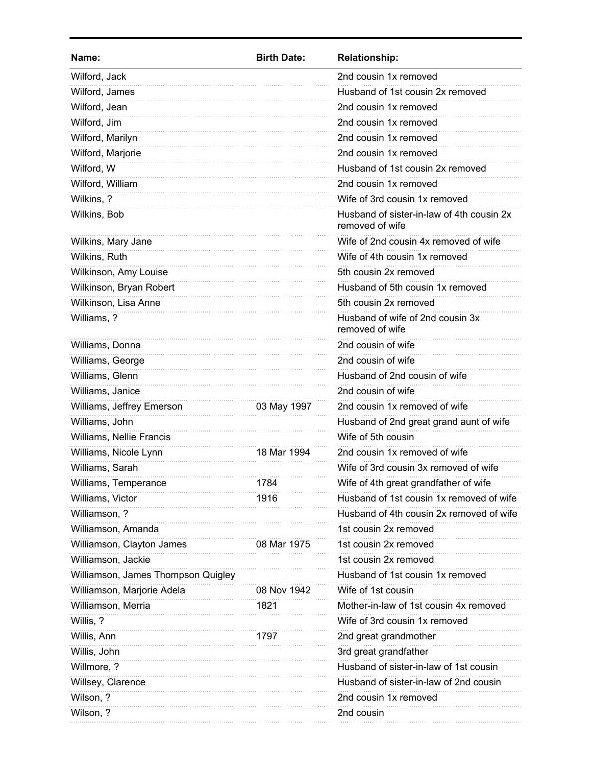| Name:                              | <b>Birth Date:</b> | <b>Relationship:</b>                                         |
|------------------------------------|--------------------|--------------------------------------------------------------|
| Wilford, Jack                      |                    | 2nd cousin 1x removed                                        |
| Wilford, James                     |                    | Husband of 1st cousin 2x removed                             |
| Wilford, Jean                      |                    | 2nd cousin 1x removed                                        |
| Wilford, Jim                       |                    | 2nd cousin 1x removed                                        |
| Wilford, Marilyn                   |                    | 2nd cousin 1x removed                                        |
| Wilford, Marjorie                  |                    | 2nd cousin 1x removed                                        |
| Wilford, W                         |                    | Husband of 1st cousin 2x removed                             |
| Wilford, William                   |                    | 2nd cousin 1x removed                                        |
| Wilkins, ?                         |                    | Wife of 3rd cousin 1x removed                                |
| Wilkins, Bob                       |                    | Husband of sister-in-law of 4th cousin 2x<br>removed of wife |
| Wilkins, Mary Jane                 |                    | Wife of 2nd cousin 4x removed of wife                        |
| Wilkins, Ruth                      |                    | Wife of 4th cousin 1x removed                                |
| Wilkinson, Amy Louise              |                    | 5th cousin 2x removed                                        |
| Wilkinson, Bryan Robert            |                    | Husband of 5th cousin 1x removed                             |
| Wilkinson, Lisa Anne               |                    | 5th cousin 2x removed                                        |
| Williams, ?                        |                    | Husband of wife of 2nd cousin 3x<br>removed of wife          |
| Williams, Donna                    |                    | 2nd cousin of wife                                           |
| Williams, George                   |                    | 2nd cousin of wife                                           |
| Williams, Glenn                    |                    | Husband of 2nd cousin of wife                                |
| Williams, Janice                   |                    | 2nd cousin of wife                                           |
| Williams, Jeffrey Emerson          | 03 May 1997        | 2nd cousin 1x removed of wife                                |
| Williams, John                     |                    | Husband of 2nd great grand aunt of wife                      |
| Williams, Nellie Francis           |                    | Wife of 5th cousin                                           |
| Williams, Nicole Lynn              | 18 Mar 1994        | 2nd cousin 1x removed of wife                                |
| Williams, Sarah                    |                    | Wife of 3rd cousin 3x removed of wife                        |
| Williams, Temperance               | 1784               | Wife of 4th great grandfather of wife                        |
| Williams, Victor                   | 1916               | Husband of 1st cousin 1x removed of wife                     |
| Williamson, ?                      |                    | Husband of 4th cousin 2x removed of wife                     |
| Williamson, Amanda                 |                    | 1st cousin 2x removed                                        |
| Williamson, Clayton James          | 08 Mar 1975        | 1st cousin 2x removed                                        |
| Williamson, Jackie                 |                    | 1st cousin 2x removed                                        |
| Williamson, James Thompson Quigley |                    | Husband of 1st cousin 1x removed                             |
| Williamson, Marjorie Adela         | 08 Nov 1942        | Wife of 1st cousin                                           |
| Williamson, Merria                 | 1821               | Mother-in-law of 1st cousin 4x removed                       |
| Willis, ?                          |                    | Wife of 3rd cousin 1x removed                                |
| Willis, Ann                        | 1797               | 2nd great grandmother                                        |
| Willis, John                       |                    | 3rd great grandfather                                        |
| Willmore, ?                        |                    | Husband of sister-in-law of 1st cousin                       |
| Willsey, Clarence                  |                    | Husband of sister-in-law of 2nd cousin                       |
| Wilson, ?                          |                    | 2nd cousin 1x removed                                        |
| Wilson, ?                          |                    | 2nd cousin                                                   |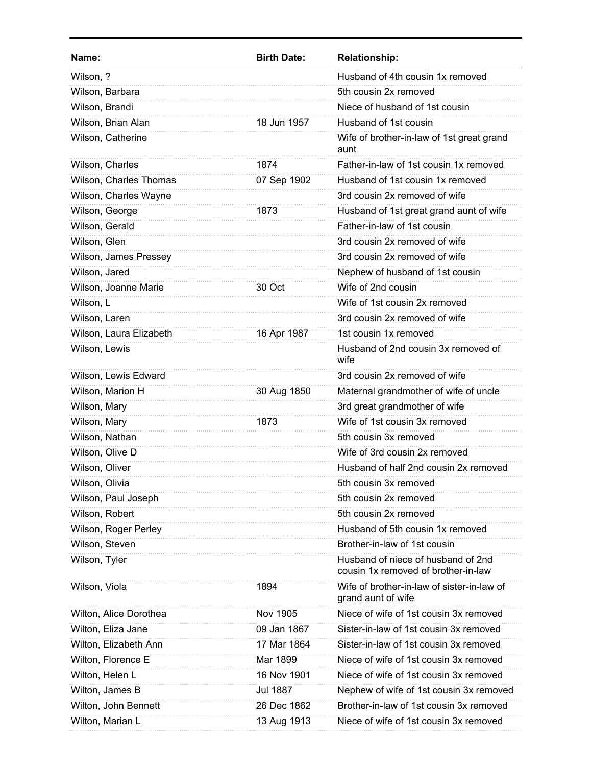| Name:                   | <b>Birth Date:</b> | <b>Relationship:</b>                                                      |
|-------------------------|--------------------|---------------------------------------------------------------------------|
| Wilson, ?               |                    | Husband of 4th cousin 1x removed                                          |
| Wilson, Barbara         |                    | 5th cousin 2x removed                                                     |
| Wilson, Brandi          |                    | Niece of husband of 1st cousin                                            |
| Wilson, Brian Alan      | 18 Jun 1957        | Husband of 1st cousin                                                     |
| Wilson, Catherine       |                    | Wife of brother-in-law of 1st great grand<br>aunt                         |
| Wilson, Charles         | 1874               | Father-in-law of 1st cousin 1x removed                                    |
| Wilson, Charles Thomas  | 07 Sep 1902        | Husband of 1st cousin 1x removed                                          |
| Wilson, Charles Wayne   |                    | 3rd cousin 2x removed of wife                                             |
| Wilson, George          | 1873               | Husband of 1st great grand aunt of wife                                   |
| Wilson, Gerald          |                    | Father-in-law of 1st cousin                                               |
| Wilson, Glen            |                    | 3rd cousin 2x removed of wife                                             |
| Wilson, James Pressey   |                    | 3rd cousin 2x removed of wife                                             |
| Wilson, Jared           |                    | Nephew of husband of 1st cousin                                           |
| Wilson, Joanne Marie    | 30 Oct             | Wife of 2nd cousin                                                        |
| Wilson, L               |                    | Wife of 1st cousin 2x removed                                             |
| Wilson, Laren           |                    | 3rd cousin 2x removed of wife                                             |
| Wilson, Laura Elizabeth | 16 Apr 1987        | 1st cousin 1x removed                                                     |
| Wilson, Lewis           |                    | Husband of 2nd cousin 3x removed of<br>wife                               |
| Wilson, Lewis Edward    |                    | 3rd cousin 2x removed of wife                                             |
| Wilson, Marion H        | 30 Aug 1850        | Maternal grandmother of wife of uncle                                     |
| Wilson, Mary            |                    | 3rd great grandmother of wife                                             |
| Wilson, Mary            | 1873               | Wife of 1st cousin 3x removed                                             |
| Wilson, Nathan          |                    | 5th cousin 3x removed                                                     |
| Wilson, Olive D         |                    | Wife of 3rd cousin 2x removed                                             |
| Wilson, Oliver          |                    | Husband of half 2nd cousin 2x removed                                     |
| Wilson, Olivia          |                    | 5th cousin 3x removed                                                     |
| Wilson, Paul Joseph     |                    | 5th cousin 2x removed                                                     |
| Wilson, Robert          |                    | 5th cousin 2x removed                                                     |
| Wilson, Roger Perley    |                    | Husband of 5th cousin 1x removed                                          |
| Wilson, Steven          |                    | Brother-in-law of 1st cousin                                              |
| Wilson, Tyler           |                    | Husband of niece of husband of 2nd<br>cousin 1x removed of brother-in-law |
| Wilson, Viola           | 1894               | Wife of brother-in-law of sister-in-law of<br>grand aunt of wife          |
| Wilton, Alice Dorothea  | Nov 1905           | Niece of wife of 1st cousin 3x removed                                    |
| Wilton, Eliza Jane      | 09 Jan 1867        | Sister-in-law of 1st cousin 3x removed                                    |
| Wilton, Elizabeth Ann   | 17 Mar 1864        | Sister-in-law of 1st cousin 3x removed                                    |
| Wilton, Florence E      | Mar 1899           | Niece of wife of 1st cousin 3x removed                                    |
| Wilton, Helen L         | 16 Nov 1901        | Niece of wife of 1st cousin 3x removed                                    |
| Wilton, James B         | <b>Jul 1887</b>    | Nephew of wife of 1st cousin 3x removed                                   |
| Wilton, John Bennett    | 26 Dec 1862        | Brother-in-law of 1st cousin 3x removed                                   |
| Wilton, Marian L        | 13 Aug 1913        | Niece of wife of 1st cousin 3x removed                                    |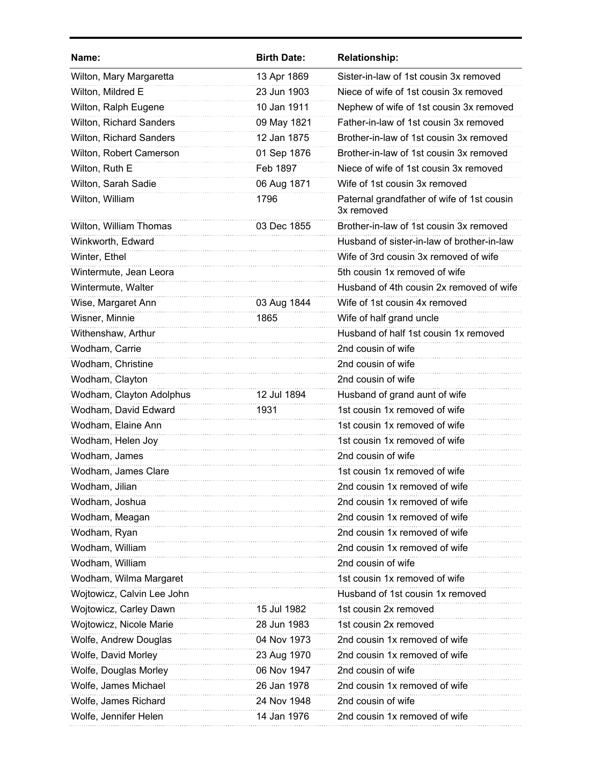| Name:                          | <b>Birth Date:</b> | <b>Relationship:</b>                                     |
|--------------------------------|--------------------|----------------------------------------------------------|
| Wilton, Mary Margaretta        | 13 Apr 1869        | Sister-in-law of 1st cousin 3x removed                   |
| Wilton, Mildred E              | 23 Jun 1903        | Niece of wife of 1st cousin 3x removed                   |
| Wilton, Ralph Eugene           | 10 Jan 1911        | Nephew of wife of 1st cousin 3x removed                  |
| Wilton, Richard Sanders        | 09 May 1821        | Father-in-law of 1st cousin 3x removed                   |
| <b>Wilton, Richard Sanders</b> | 12 Jan 1875        | Brother-in-law of 1st cousin 3x removed                  |
| Wilton, Robert Camerson        | 01 Sep 1876        | Brother-in-law of 1st cousin 3x removed                  |
| Wilton, Ruth E                 | Feb 1897           | Niece of wife of 1st cousin 3x removed                   |
| Wilton, Sarah Sadie            | 06 Aug 1871        | Wife of 1st cousin 3x removed                            |
| Wilton, William                | 1796               | Paternal grandfather of wife of 1st cousin<br>3x removed |
| Wilton, William Thomas         | 03 Dec 1855        | Brother-in-law of 1st cousin 3x removed                  |
| Winkworth, Edward              |                    | Husband of sister-in-law of brother-in-law               |
| Winter, Ethel                  |                    | Wife of 3rd cousin 3x removed of wife                    |
| Wintermute, Jean Leora         |                    | 5th cousin 1x removed of wife                            |
| Wintermute, Walter             |                    | Husband of 4th cousin 2x removed of wife                 |
| Wise, Margaret Ann             | 03 Aug 1844        | Wife of 1st cousin 4x removed                            |
| Wisner, Minnie                 | 1865               | Wife of half grand uncle                                 |
| Withenshaw, Arthur             |                    | Husband of half 1st cousin 1x removed                    |
| Wodham, Carrie                 |                    | 2nd cousin of wife                                       |
| Wodham, Christine              |                    | 2nd cousin of wife                                       |
| Wodham, Clayton                |                    | 2nd cousin of wife                                       |
| Wodham, Clayton Adolphus       | 12 Jul 1894        | Husband of grand aunt of wife                            |
| Wodham, David Edward           | 1931               | 1st cousin 1x removed of wife                            |
| Wodham, Elaine Ann             |                    | 1st cousin 1x removed of wife                            |
| Wodham, Helen Joy              |                    | 1st cousin 1x removed of wife                            |
| Wodham, James                  |                    | 2nd cousin of wife                                       |
| Wodham, James Clare            |                    | 1st cousin 1x removed of wife                            |
| Wodham, Jilian                 |                    | 2nd cousin 1x removed of wife                            |
| Wodham, Joshua                 |                    | 2nd cousin 1x removed of wife                            |
| Wodham, Meagan                 |                    | 2nd cousin 1x removed of wife                            |
| Wodham, Ryan                   |                    | 2nd cousin 1x removed of wife                            |
| Wodham, William                |                    | 2nd cousin 1x removed of wife                            |
| Wodham, William                |                    | 2nd cousin of wife                                       |
| Wodham, Wilma Margaret         |                    | 1st cousin 1x removed of wife                            |
| Wojtowicz, Calvin Lee John     |                    | Husband of 1st cousin 1x removed                         |
| Wojtowicz, Carley Dawn         | 15 Jul 1982        | 1st cousin 2x removed                                    |
| Wojtowicz, Nicole Marie        | 28 Jun 1983        | 1st cousin 2x removed                                    |
| Wolfe, Andrew Douglas          | 04 Nov 1973        | 2nd cousin 1x removed of wife                            |
| Wolfe, David Morley            | 23 Aug 1970        | 2nd cousin 1x removed of wife                            |
| Wolfe, Douglas Morley          | 06 Nov 1947        | 2nd cousin of wife                                       |
| Wolfe, James Michael           | 26 Jan 1978        | 2nd cousin 1x removed of wife                            |
| Wolfe, James Richard           | 24 Nov 1948        | 2nd cousin of wife                                       |
| Wolfe, Jennifer Helen          | 14 Jan 1976        | 2nd cousin 1x removed of wife                            |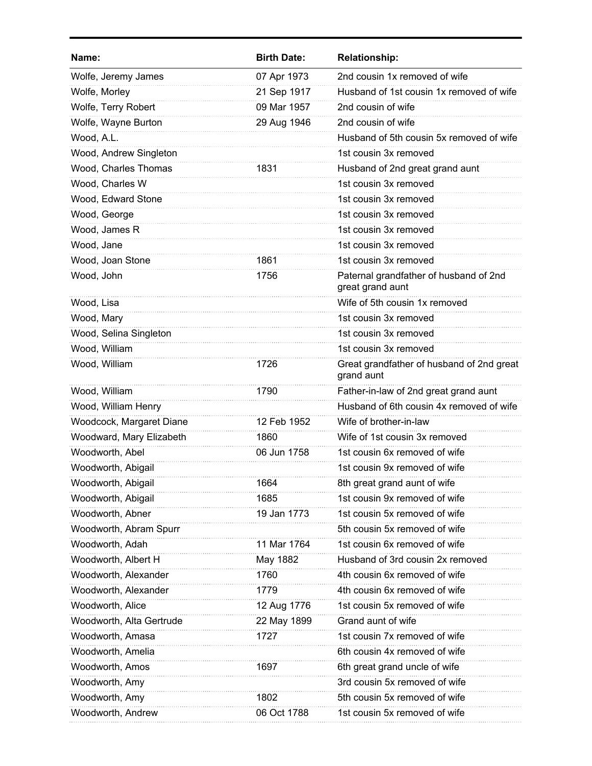| Name:                    | <b>Birth Date:</b> | <b>Relationship:</b>                                       |
|--------------------------|--------------------|------------------------------------------------------------|
| Wolfe, Jeremy James      | 07 Apr 1973        | 2nd cousin 1x removed of wife                              |
| Wolfe, Morley            | 21 Sep 1917        | Husband of 1st cousin 1x removed of wife                   |
| Wolfe, Terry Robert      | 09 Mar 1957        | 2nd cousin of wife                                         |
| Wolfe, Wayne Burton      | 29 Aug 1946        | 2nd cousin of wife                                         |
| Wood, A.L.               |                    | Husband of 5th cousin 5x removed of wife                   |
| Wood, Andrew Singleton   |                    | 1st cousin 3x removed                                      |
| Wood, Charles Thomas     | 1831               | Husband of 2nd great grand aunt                            |
| Wood, Charles W          |                    | 1st cousin 3x removed                                      |
| Wood, Edward Stone       |                    | 1st cousin 3x removed                                      |
| Wood, George             |                    | 1st cousin 3x removed                                      |
| Wood, James R            |                    | 1st cousin 3x removed                                      |
| Wood, Jane               |                    | 1st cousin 3x removed                                      |
| Wood, Joan Stone         | 1861               | 1st cousin 3x removed                                      |
| Wood, John               | 1756               | Paternal grandfather of husband of 2nd<br>great grand aunt |
| Wood, Lisa               |                    | Wife of 5th cousin 1x removed                              |
| Wood, Mary               |                    | 1st cousin 3x removed                                      |
| Wood, Selina Singleton   |                    | 1st cousin 3x removed                                      |
| Wood, William            |                    | 1st cousin 3x removed                                      |
| Wood, William            | 1726               | Great grandfather of husband of 2nd great<br>grand aunt    |
| Wood, William            | 1790               | Father-in-law of 2nd great grand aunt                      |
| Wood, William Henry      |                    | Husband of 6th cousin 4x removed of wife                   |
| Woodcock, Margaret Diane | 12 Feb 1952        | Wife of brother-in-law                                     |
| Woodward, Mary Elizabeth | 1860               | Wife of 1st cousin 3x removed                              |
| Woodworth, Abel          | 06 Jun 1758        | 1st cousin 6x removed of wife                              |
| Woodworth, Abigail       |                    | 1st cousin 9x removed of wife                              |
| Woodworth, Abigail       | 1664               | 8th great grand aunt of wife                               |
| Woodworth, Abigail       | 1685               | 1st cousin 9x removed of wife                              |
| Woodworth, Abner         | 19 Jan 1773        | 1st cousin 5x removed of wife                              |
| Woodworth, Abram Spurr   |                    | 5th cousin 5x removed of wife                              |
| Woodworth, Adah          | 11 Mar 1764        | 1st cousin 6x removed of wife                              |
| Woodworth, Albert H      | May 1882           | Husband of 3rd cousin 2x removed                           |
| Woodworth, Alexander     | 1760               | 4th cousin 6x removed of wife                              |
| Woodworth, Alexander     | 1779               | 4th cousin 6x removed of wife                              |
| Woodworth, Alice         | 12 Aug 1776        | 1st cousin 5x removed of wife                              |
| Woodworth, Alta Gertrude | 22 May 1899        | Grand aunt of wife                                         |
| Woodworth, Amasa         | 1727               | 1st cousin 7x removed of wife                              |
| Woodworth, Amelia        |                    | 6th cousin 4x removed of wife                              |
| Woodworth, Amos          | 1697               | 6th great grand uncle of wife                              |
| Woodworth, Amy           |                    | 3rd cousin 5x removed of wife                              |
| Woodworth, Amy           | 1802               | 5th cousin 5x removed of wife                              |
| Woodworth, Andrew        | 06 Oct 1788        | 1st cousin 5x removed of wife                              |
|                          |                    |                                                            |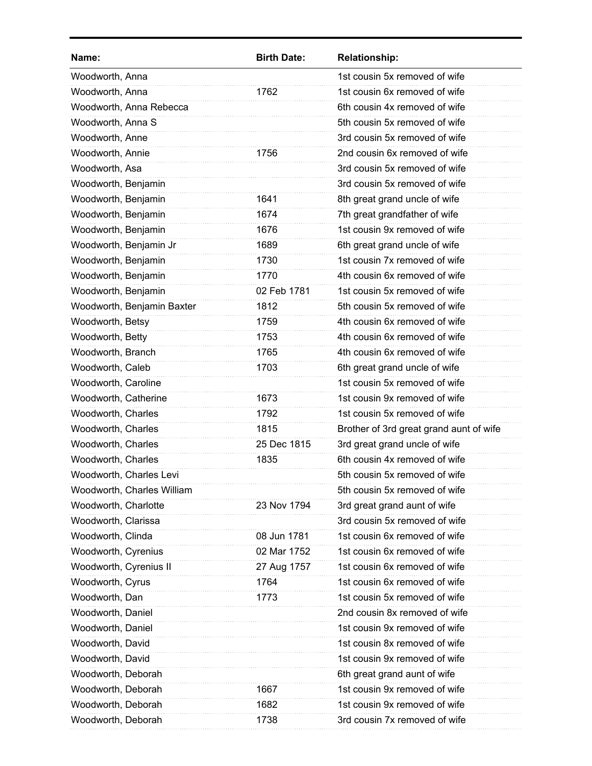| Name:                      | <b>Birth Date:</b> | <b>Relationship:</b>                    |
|----------------------------|--------------------|-----------------------------------------|
| Woodworth, Anna            |                    | 1st cousin 5x removed of wife           |
| Woodworth, Anna            | 1762               | 1st cousin 6x removed of wife           |
| Woodworth, Anna Rebecca    |                    | 6th cousin 4x removed of wife           |
| Woodworth, Anna S          |                    | 5th cousin 5x removed of wife           |
| Woodworth, Anne            |                    | 3rd cousin 5x removed of wife           |
| Woodworth, Annie           | 1756               | 2nd cousin 6x removed of wife           |
| Woodworth, Asa             |                    | 3rd cousin 5x removed of wife           |
| Woodworth, Benjamin        |                    | 3rd cousin 5x removed of wife           |
| Woodworth, Benjamin        | 1641               | 8th great grand uncle of wife           |
| Woodworth, Benjamin        | 1674               | 7th great grandfather of wife           |
| Woodworth, Benjamin        | 1676               | 1st cousin 9x removed of wife           |
| Woodworth, Benjamin Jr     | 1689               | 6th great grand uncle of wife           |
| Woodworth, Benjamin        | 1730               | 1st cousin 7x removed of wife           |
| Woodworth, Benjamin        | 1770               | 4th cousin 6x removed of wife           |
| Woodworth, Benjamin        | 02 Feb 1781        | 1st cousin 5x removed of wife           |
| Woodworth, Benjamin Baxter | 1812               | 5th cousin 5x removed of wife           |
| Woodworth, Betsy           | 1759               | 4th cousin 6x removed of wife           |
| Woodworth, Betty           | 1753               | 4th cousin 6x removed of wife           |
| Woodworth, Branch          | 1765               | 4th cousin 6x removed of wife           |
| Woodworth, Caleb           | 1703               | 6th great grand uncle of wife           |
| Woodworth, Caroline        |                    | 1st cousin 5x removed of wife           |
| Woodworth, Catherine       | 1673               | 1st cousin 9x removed of wife           |
| Woodworth, Charles         | 1792               | 1st cousin 5x removed of wife           |
| Woodworth, Charles         | 1815               | Brother of 3rd great grand aunt of wife |
| Woodworth, Charles         | 25 Dec 1815        | 3rd great grand uncle of wife           |
| Woodworth, Charles         | 1835               | 6th cousin 4x removed of wife           |
| Woodworth, Charles Levi    |                    | 5th cousin 5x removed of wife           |
| Woodworth, Charles William |                    | 5th cousin 5x removed of wife           |
| Woodworth, Charlotte       | 23 Nov 1794        | 3rd great grand aunt of wife            |
| Woodworth, Clarissa        |                    | 3rd cousin 5x removed of wife           |
| Woodworth, Clinda          | 08 Jun 1781        | 1st cousin 6x removed of wife           |
| Woodworth, Cyrenius        | 02 Mar 1752        | 1st cousin 6x removed of wife           |
| Woodworth, Cyrenius II     | 27 Aug 1757        | 1st cousin 6x removed of wife           |
| Woodworth, Cyrus           | 1764               | 1st cousin 6x removed of wife           |
| Woodworth, Dan             | 1773               | 1st cousin 5x removed of wife           |
| Woodworth, Daniel          |                    | 2nd cousin 8x removed of wife           |
| Woodworth, Daniel          |                    | 1st cousin 9x removed of wife           |
| Woodworth, David           |                    | 1st cousin 8x removed of wife           |
| Woodworth, David           |                    | 1st cousin 9x removed of wife           |
| Woodworth, Deborah         |                    | 6th great grand aunt of wife            |
| Woodworth, Deborah         | 1667               | 1st cousin 9x removed of wife           |
| Woodworth, Deborah         | 1682               | 1st cousin 9x removed of wife           |
| Woodworth, Deborah         | 1738               | 3rd cousin 7x removed of wife           |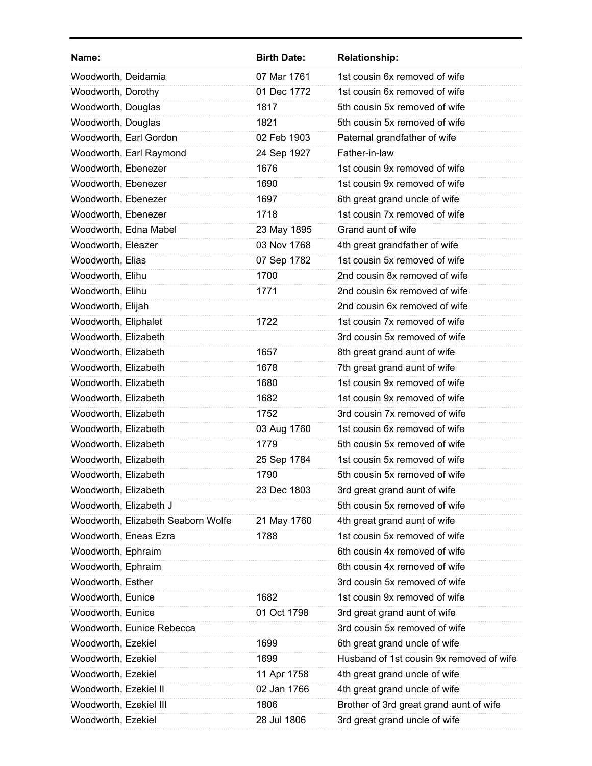| Name:                              | <b>Birth Date:</b> | <b>Relationship:</b>                     |
|------------------------------------|--------------------|------------------------------------------|
| Woodworth, Deidamia                | 07 Mar 1761        | 1st cousin 6x removed of wife            |
| Woodworth, Dorothy                 | 01 Dec 1772        | 1st cousin 6x removed of wife            |
| Woodworth, Douglas                 | 1817               | 5th cousin 5x removed of wife            |
| Woodworth, Douglas                 | 1821               | 5th cousin 5x removed of wife            |
| Woodworth, Earl Gordon             | 02 Feb 1903        | Paternal grandfather of wife             |
| Woodworth, Earl Raymond            | 24 Sep 1927        | Father-in-law                            |
| Woodworth, Ebenezer                | 1676               | 1st cousin 9x removed of wife            |
| Woodworth, Ebenezer                | 1690               | 1st cousin 9x removed of wife            |
| Woodworth, Ebenezer                | 1697               | 6th great grand uncle of wife            |
| Woodworth, Ebenezer                | 1718               | 1st cousin 7x removed of wife            |
| Woodworth, Edna Mabel              | 23 May 1895        | Grand aunt of wife                       |
| Woodworth, Eleazer                 | 03 Nov 1768        | 4th great grandfather of wife            |
| Woodworth, Elias                   | 07 Sep 1782        | 1st cousin 5x removed of wife            |
| Woodworth, Elihu                   | 1700               | 2nd cousin 8x removed of wife            |
| Woodworth, Elihu                   | 1771               | 2nd cousin 6x removed of wife            |
| Woodworth, Elijah                  |                    | 2nd cousin 6x removed of wife            |
| Woodworth, Eliphalet               | 1722               | 1st cousin 7x removed of wife            |
| Woodworth, Elizabeth               |                    | 3rd cousin 5x removed of wife            |
| Woodworth, Elizabeth               | 1657               | 8th great grand aunt of wife             |
| Woodworth, Elizabeth               | 1678               | 7th great grand aunt of wife             |
| Woodworth, Elizabeth               | 1680               | 1st cousin 9x removed of wife            |
| Woodworth, Elizabeth               | 1682               | 1st cousin 9x removed of wife            |
| Woodworth, Elizabeth               | 1752               | 3rd cousin 7x removed of wife            |
| Woodworth, Elizabeth               | 03 Aug 1760        | 1st cousin 6x removed of wife            |
| Woodworth, Elizabeth               | 1779               | 5th cousin 5x removed of wife            |
| Woodworth, Elizabeth               | 25 Sep 1784        | 1st cousin 5x removed of wife            |
| Woodworth, Elizabeth               | 1790               | 5th cousin 5x removed of wife            |
| Woodworth, Elizabeth               | 23 Dec 1803        | 3rd great grand aunt of wife             |
| Woodworth, Elizabeth J             |                    | 5th cousin 5x removed of wife            |
| Woodworth, Elizabeth Seaborn Wolfe | 21 May 1760        | 4th great grand aunt of wife             |
| Woodworth, Eneas Ezra              | 1788               | 1st cousin 5x removed of wife            |
| Woodworth, Ephraim                 |                    | 6th cousin 4x removed of wife            |
| Woodworth, Ephraim                 |                    | 6th cousin 4x removed of wife            |
| Woodworth, Esther                  |                    | 3rd cousin 5x removed of wife            |
| Woodworth, Eunice                  | 1682               | 1st cousin 9x removed of wife            |
| Woodworth, Eunice                  | 01 Oct 1798        | 3rd great grand aunt of wife             |
| Woodworth, Eunice Rebecca          |                    | 3rd cousin 5x removed of wife            |
| Woodworth, Ezekiel                 | 1699               | 6th great grand uncle of wife            |
| Woodworth, Ezekiel                 | 1699               | Husband of 1st cousin 9x removed of wife |
| Woodworth, Ezekiel                 | 11 Apr 1758        | 4th great grand uncle of wife            |
| Woodworth, Ezekiel II              | 02 Jan 1766        | 4th great grand uncle of wife            |
| Woodworth, Ezekiel III             | 1806               | Brother of 3rd great grand aunt of wife  |
| Woodworth, Ezekiel                 | 28 Jul 1806        | 3rd great grand uncle of wife            |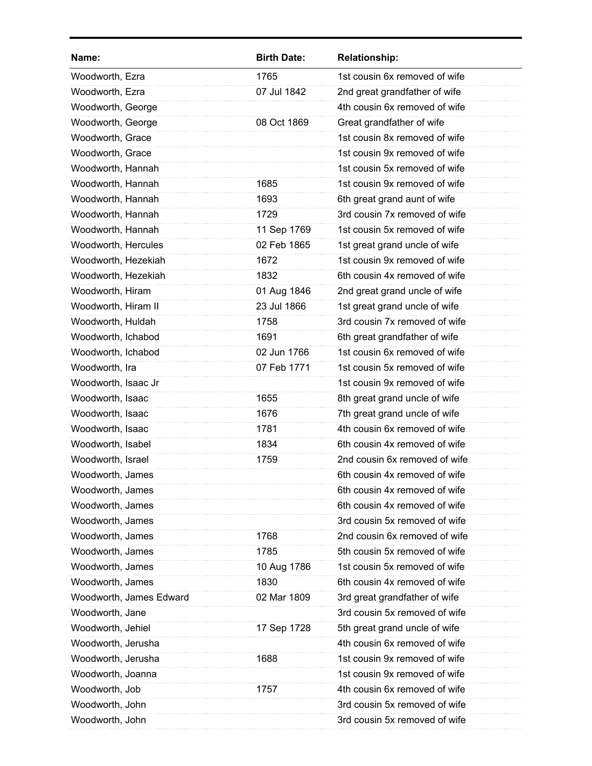| Name:                   | <b>Birth Date:</b> | <b>Relationship:</b>          |
|-------------------------|--------------------|-------------------------------|
| Woodworth, Ezra         | 1765               | 1st cousin 6x removed of wife |
| Woodworth, Ezra         | 07 Jul 1842        | 2nd great grandfather of wife |
| Woodworth, George       |                    | 4th cousin 6x removed of wife |
| Woodworth, George       | 08 Oct 1869        | Great grandfather of wife     |
| Woodworth, Grace        |                    | 1st cousin 8x removed of wife |
| Woodworth, Grace        |                    | 1st cousin 9x removed of wife |
| Woodworth, Hannah       |                    | 1st cousin 5x removed of wife |
| Woodworth, Hannah       | 1685               | 1st cousin 9x removed of wife |
| Woodworth, Hannah       | 1693               | 6th great grand aunt of wife  |
| Woodworth, Hannah       | 1729               | 3rd cousin 7x removed of wife |
| Woodworth, Hannah       | 11 Sep 1769        | 1st cousin 5x removed of wife |
| Woodworth, Hercules     | 02 Feb 1865        | 1st great grand uncle of wife |
| Woodworth, Hezekiah     | 1672               | 1st cousin 9x removed of wife |
| Woodworth, Hezekiah     | 1832               | 6th cousin 4x removed of wife |
| Woodworth, Hiram        | 01 Aug 1846        | 2nd great grand uncle of wife |
| Woodworth, Hiram II     | 23 Jul 1866        | 1st great grand uncle of wife |
| Woodworth, Huldah       | 1758               | 3rd cousin 7x removed of wife |
| Woodworth, Ichabod      | 1691               | 6th great grandfather of wife |
| Woodworth, Ichabod      | 02 Jun 1766        | 1st cousin 6x removed of wife |
| Woodworth, Ira          | 07 Feb 1771        | 1st cousin 5x removed of wife |
| Woodworth, Isaac Jr     |                    | 1st cousin 9x removed of wife |
| Woodworth, Isaac        | 1655               | 8th great grand uncle of wife |
| Woodworth, Isaac        | 1676               | 7th great grand uncle of wife |
| Woodworth, Isaac        | 1781               | 4th cousin 6x removed of wife |
| Woodworth, Isabel       | 1834               | 6th cousin 4x removed of wife |
| Woodworth, Israel       | 1759               | 2nd cousin 6x removed of wife |
| Woodworth, James        |                    | 6th cousin 4x removed of wife |
| Woodworth, James        |                    | 6th cousin 4x removed of wife |
| Woodworth, James        |                    | 6th cousin 4x removed of wife |
| Woodworth, James        |                    | 3rd cousin 5x removed of wife |
| Woodworth, James        | 1768               | 2nd cousin 6x removed of wife |
| Woodworth, James        | 1785               | 5th cousin 5x removed of wife |
| Woodworth, James        | 10 Aug 1786        | 1st cousin 5x removed of wife |
| Woodworth, James        | 1830               | 6th cousin 4x removed of wife |
| Woodworth, James Edward | 02 Mar 1809        | 3rd great grandfather of wife |
| Woodworth, Jane         |                    | 3rd cousin 5x removed of wife |
| Woodworth, Jehiel       | 17 Sep 1728        | 5th great grand uncle of wife |
| Woodworth, Jerusha      |                    | 4th cousin 6x removed of wife |
| Woodworth, Jerusha      | 1688               | 1st cousin 9x removed of wife |
| Woodworth, Joanna       |                    | 1st cousin 9x removed of wife |
| Woodworth, Job          | 1757               | 4th cousin 6x removed of wife |
| Woodworth, John         |                    | 3rd cousin 5x removed of wife |
| Woodworth, John         |                    | 3rd cousin 5x removed of wife |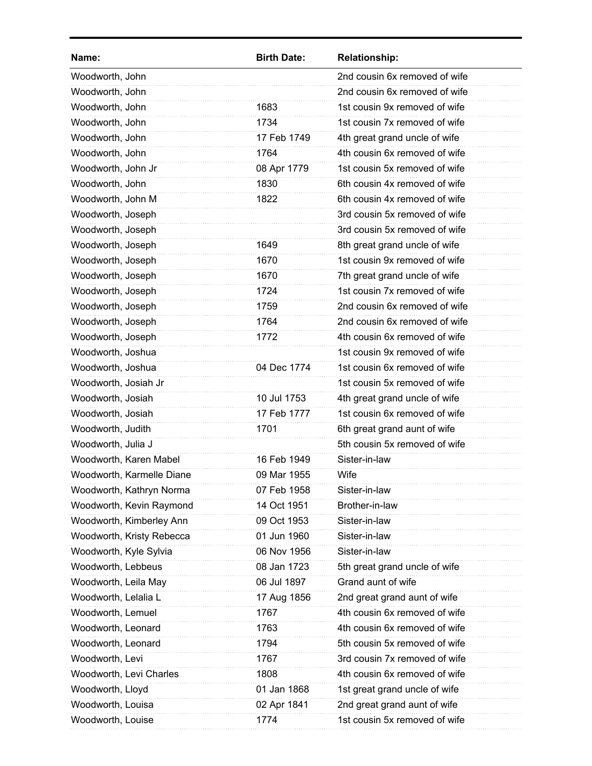| Name:                     | <b>Birth Date:</b> | <b>Relationship:</b>          |
|---------------------------|--------------------|-------------------------------|
| Woodworth, John           |                    | 2nd cousin 6x removed of wife |
| Woodworth, John           |                    | 2nd cousin 6x removed of wife |
| Woodworth, John           | 1683               | 1st cousin 9x removed of wife |
| Woodworth, John           | 1734               | 1st cousin 7x removed of wife |
| Woodworth, John           | 17 Feb 1749        | 4th great grand uncle of wife |
| Woodworth, John           | 1764               | 4th cousin 6x removed of wife |
| Woodworth, John Jr        | 08 Apr 1779        | 1st cousin 5x removed of wife |
| Woodworth, John           | 1830               | 6th cousin 4x removed of wife |
| Woodworth, John M         | 1822               | 6th cousin 4x removed of wife |
| Woodworth, Joseph         |                    | 3rd cousin 5x removed of wife |
| Woodworth, Joseph         |                    | 3rd cousin 5x removed of wife |
| Woodworth, Joseph         | 1649               | 8th great grand uncle of wife |
| Woodworth, Joseph         | 1670               | 1st cousin 9x removed of wife |
| Woodworth, Joseph         | 1670               | 7th great grand uncle of wife |
| Woodworth, Joseph         | 1724               | 1st cousin 7x removed of wife |
| Woodworth, Joseph         | 1759               | 2nd cousin 6x removed of wife |
| Woodworth, Joseph         | 1764               | 2nd cousin 6x removed of wife |
| Woodworth, Joseph         | 1772               | 4th cousin 6x removed of wife |
| Woodworth, Joshua         |                    | 1st cousin 9x removed of wife |
| Woodworth, Joshua         | 04 Dec 1774        | 1st cousin 6x removed of wife |
| Woodworth, Josiah Jr      |                    | 1st cousin 5x removed of wife |
| Woodworth, Josiah         | 10 Jul 1753        | 4th great grand uncle of wife |
| Woodworth, Josiah         | 17 Feb 1777        | 1st cousin 6x removed of wife |
| Woodworth, Judith         | 1701               | 6th great grand aunt of wife  |
| Woodworth, Julia J        |                    | 5th cousin 5x removed of wife |
| Woodworth, Karen Mabel    | 16 Feb 1949        | Sister-in-law                 |
| Woodworth, Karmelle Diane | 09 Mar 1955        | Wife                          |
| Woodworth, Kathryn Norma  | 07 Feb 1958        | Sister-in-law                 |
| Woodworth, Kevin Raymond  | 14 Oct 1951        | Brother-in-law                |
| Woodworth, Kimberley Ann  | 09 Oct 1953        | Sister-in-law                 |
| Woodworth, Kristy Rebecca | 01 Jun 1960        | Sister-in-law                 |
| Woodworth, Kyle Sylvia    | 06 Nov 1956        | Sister-in-law                 |
| Woodworth, Lebbeus        | 08 Jan 1723        | 5th great grand uncle of wife |
| Woodworth, Leila May      | 06 Jul 1897        | Grand aunt of wife            |
| Woodworth, Lelalia L      | 17 Aug 1856        | 2nd great grand aunt of wife  |
| Woodworth, Lemuel         | 1767               | 4th cousin 6x removed of wife |
| Woodworth, Leonard        | 1763               | 4th cousin 6x removed of wife |
| Woodworth, Leonard        | 1794               | 5th cousin 5x removed of wife |
| Woodworth, Levi           | 1767               | 3rd cousin 7x removed of wife |
| Woodworth, Levi Charles   | 1808               | 4th cousin 6x removed of wife |
| Woodworth, Lloyd          | 01 Jan 1868        | 1st great grand uncle of wife |
| Woodworth, Louisa         | 02 Apr 1841        | 2nd great grand aunt of wife  |
| Woodworth, Louise         | 1774               | 1st cousin 5x removed of wife |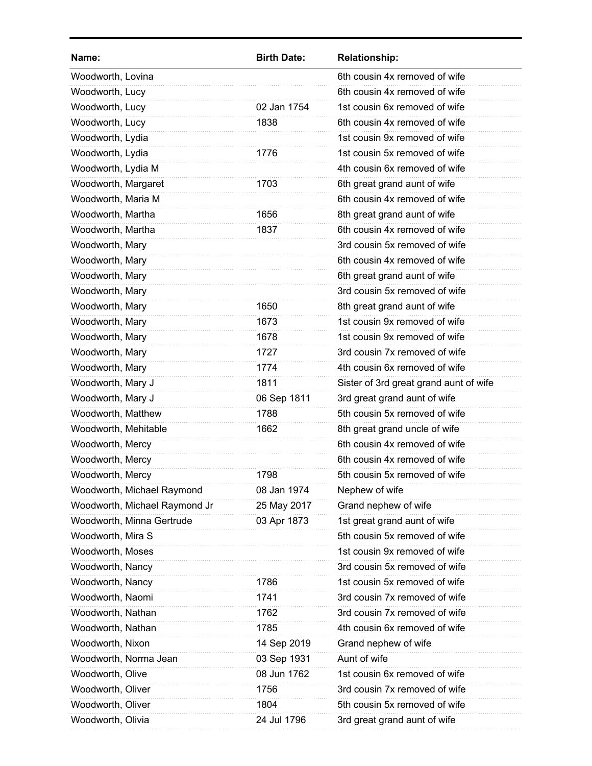| Name:                         | <b>Birth Date:</b> | <b>Relationship:</b>                   |
|-------------------------------|--------------------|----------------------------------------|
| Woodworth, Lovina             |                    | 6th cousin 4x removed of wife          |
| Woodworth, Lucy               |                    | 6th cousin 4x removed of wife          |
| Woodworth, Lucy               | 02 Jan 1754        | 1st cousin 6x removed of wife          |
| Woodworth, Lucy               | 1838               | 6th cousin 4x removed of wife          |
| Woodworth, Lydia              |                    | 1st cousin 9x removed of wife          |
| Woodworth, Lydia              | 1776               | 1st cousin 5x removed of wife          |
| Woodworth, Lydia M            |                    | 4th cousin 6x removed of wife          |
| Woodworth, Margaret           | 1703               | 6th great grand aunt of wife           |
| Woodworth, Maria M            |                    | 6th cousin 4x removed of wife          |
| Woodworth, Martha             | 1656               | 8th great grand aunt of wife           |
| Woodworth, Martha             | 1837               | 6th cousin 4x removed of wife          |
| Woodworth, Mary               |                    | 3rd cousin 5x removed of wife          |
| Woodworth, Mary               |                    | 6th cousin 4x removed of wife          |
| Woodworth, Mary               |                    | 6th great grand aunt of wife           |
| Woodworth, Mary               |                    | 3rd cousin 5x removed of wife          |
| Woodworth, Mary               | 1650               | 8th great grand aunt of wife           |
| Woodworth, Mary               | 1673               | 1st cousin 9x removed of wife          |
| Woodworth, Mary               | 1678               | 1st cousin 9x removed of wife          |
| Woodworth, Mary               | 1727               | 3rd cousin 7x removed of wife          |
| Woodworth, Mary               | 1774               | 4th cousin 6x removed of wife          |
| Woodworth, Mary J             | 1811               | Sister of 3rd great grand aunt of wife |
| Woodworth, Mary J             | 06 Sep 1811        | 3rd great grand aunt of wife           |
| Woodworth, Matthew            | 1788               | 5th cousin 5x removed of wife          |
| Woodworth, Mehitable          | 1662               | 8th great grand uncle of wife          |
| Woodworth, Mercy              |                    | 6th cousin 4x removed of wife          |
| Woodworth, Mercy              |                    | 6th cousin 4x removed of wife          |
| Woodworth, Mercy              | 1798               | 5th cousin 5x removed of wife          |
| Woodworth, Michael Raymond    | 08 Jan 1974        | Nephew of wife                         |
| Woodworth, Michael Raymond Jr | 25 May 2017        | Grand nephew of wife                   |
| Woodworth, Minna Gertrude     | 03 Apr 1873        | 1st great grand aunt of wife           |
| Woodworth, Mira S             |                    | 5th cousin 5x removed of wife          |
| Woodworth, Moses              |                    | 1st cousin 9x removed of wife          |
| Woodworth, Nancy              |                    | 3rd cousin 5x removed of wife          |
| Woodworth, Nancy              | 1786               | 1st cousin 5x removed of wife          |
| Woodworth, Naomi              | 1741               | 3rd cousin 7x removed of wife          |
| Woodworth, Nathan             | 1762               | 3rd cousin 7x removed of wife          |
| Woodworth, Nathan             | 1785               | 4th cousin 6x removed of wife          |
| Woodworth, Nixon              | 14 Sep 2019        | Grand nephew of wife                   |
| Woodworth, Norma Jean         | 03 Sep 1931        | Aunt of wife                           |
| Woodworth, Olive              | 08 Jun 1762        | 1st cousin 6x removed of wife          |
| Woodworth, Oliver             | 1756               | 3rd cousin 7x removed of wife          |
| Woodworth, Oliver             | 1804               | 5th cousin 5x removed of wife          |
| Woodworth, Olivia             | 24 Jul 1796        | 3rd great grand aunt of wife           |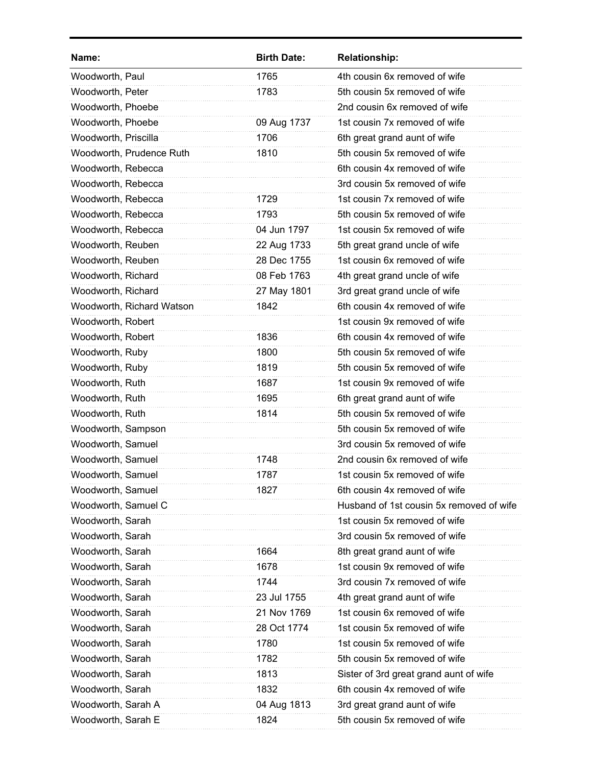| Name:                     | <b>Birth Date:</b> | <b>Relationship:</b>                     |
|---------------------------|--------------------|------------------------------------------|
| Woodworth, Paul           | 1765               | 4th cousin 6x removed of wife            |
| Woodworth, Peter          | 1783               | 5th cousin 5x removed of wife            |
| Woodworth, Phoebe         |                    | 2nd cousin 6x removed of wife            |
| Woodworth, Phoebe         | 09 Aug 1737        | 1st cousin 7x removed of wife            |
| Woodworth, Priscilla      | 1706               | 6th great grand aunt of wife             |
| Woodworth, Prudence Ruth  | 1810               | 5th cousin 5x removed of wife            |
| Woodworth, Rebecca        |                    | 6th cousin 4x removed of wife            |
| Woodworth, Rebecca        |                    | 3rd cousin 5x removed of wife            |
| Woodworth, Rebecca        | 1729               | 1st cousin 7x removed of wife            |
| Woodworth, Rebecca        | 1793               | 5th cousin 5x removed of wife            |
| Woodworth, Rebecca        | 04 Jun 1797        | 1st cousin 5x removed of wife            |
| Woodworth, Reuben         | 22 Aug 1733        | 5th great grand uncle of wife            |
| Woodworth, Reuben         | 28 Dec 1755        | 1st cousin 6x removed of wife            |
| Woodworth, Richard        | 08 Feb 1763        | 4th great grand uncle of wife            |
| Woodworth, Richard        | 27 May 1801        | 3rd great grand uncle of wife            |
| Woodworth, Richard Watson | 1842               | 6th cousin 4x removed of wife            |
| Woodworth, Robert         |                    | 1st cousin 9x removed of wife            |
| Woodworth, Robert         | 1836               | 6th cousin 4x removed of wife            |
| Woodworth, Ruby           | 1800               | 5th cousin 5x removed of wife            |
| Woodworth, Ruby           | 1819               | 5th cousin 5x removed of wife            |
| Woodworth, Ruth           | 1687               | 1st cousin 9x removed of wife            |
| Woodworth, Ruth           | 1695               | 6th great grand aunt of wife             |
| Woodworth, Ruth           | 1814               | 5th cousin 5x removed of wife            |
| Woodworth, Sampson        |                    | 5th cousin 5x removed of wife            |
| Woodworth, Samuel         |                    | 3rd cousin 5x removed of wife            |
| Woodworth, Samuel         | 1748               | 2nd cousin 6x removed of wife            |
| Woodworth, Samuel         | 1787               | 1st cousin 5x removed of wife            |
| Woodworth, Samuel         | 1827               | 6th cousin 4x removed of wife            |
| Woodworth, Samuel C       |                    | Husband of 1st cousin 5x removed of wife |
| Woodworth, Sarah          |                    | 1st cousin 5x removed of wife            |
| Woodworth, Sarah          |                    | 3rd cousin 5x removed of wife            |
| Woodworth, Sarah          | 1664               | 8th great grand aunt of wife             |
| Woodworth, Sarah          | 1678               | 1st cousin 9x removed of wife            |
| Woodworth, Sarah          | 1744               | 3rd cousin 7x removed of wife            |
| Woodworth, Sarah          | 23 Jul 1755        | 4th great grand aunt of wife             |
| Woodworth, Sarah          | 21 Nov 1769        | 1st cousin 6x removed of wife            |
| Woodworth, Sarah          | 28 Oct 1774        | 1st cousin 5x removed of wife            |
| Woodworth, Sarah          | 1780               | 1st cousin 5x removed of wife            |
| Woodworth, Sarah          | 1782               | 5th cousin 5x removed of wife            |
| Woodworth, Sarah          | 1813               | Sister of 3rd great grand aunt of wife   |
| Woodworth, Sarah          | 1832               | 6th cousin 4x removed of wife            |
| Woodworth, Sarah A        | 04 Aug 1813        | 3rd great grand aunt of wife             |
| Woodworth, Sarah E        | 1824               | 5th cousin 5x removed of wife            |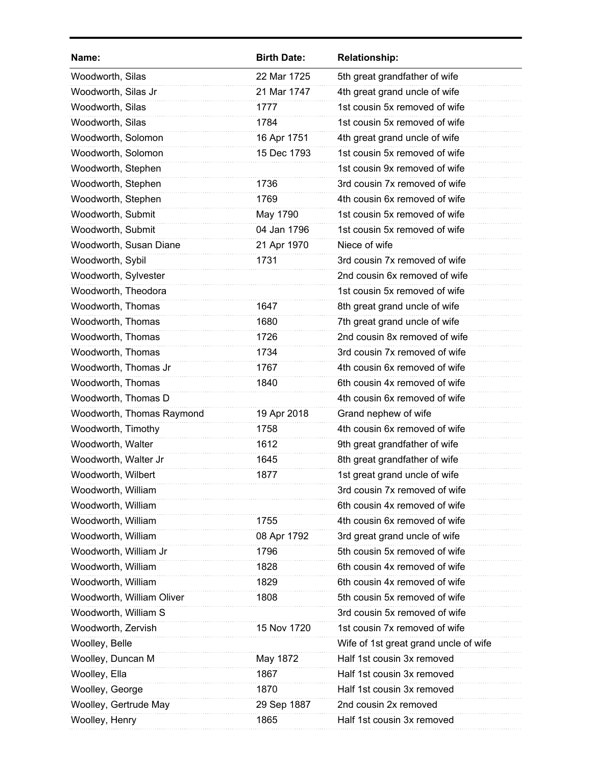| Name:                     | <b>Birth Date:</b> | <b>Relationship:</b>                  |
|---------------------------|--------------------|---------------------------------------|
| Woodworth, Silas          | 22 Mar 1725        | 5th great grandfather of wife         |
| Woodworth, Silas Jr       | 21 Mar 1747        | 4th great grand uncle of wife         |
| Woodworth, Silas          | 1777               | 1st cousin 5x removed of wife         |
| Woodworth, Silas          | 1784               | 1st cousin 5x removed of wife         |
| Woodworth, Solomon        | 16 Apr 1751        | 4th great grand uncle of wife         |
| Woodworth, Solomon        | 15 Dec 1793        | 1st cousin 5x removed of wife         |
| Woodworth, Stephen        |                    | 1st cousin 9x removed of wife         |
| Woodworth, Stephen        | 1736               | 3rd cousin 7x removed of wife         |
| Woodworth, Stephen        | 1769               | 4th cousin 6x removed of wife         |
| Woodworth, Submit         | May 1790           | 1st cousin 5x removed of wife         |
| Woodworth, Submit         | 04 Jan 1796        | 1st cousin 5x removed of wife         |
| Woodworth, Susan Diane    | 21 Apr 1970        | Niece of wife                         |
| Woodworth, Sybil          | 1731               | 3rd cousin 7x removed of wife         |
| Woodworth, Sylvester      |                    | 2nd cousin 6x removed of wife         |
| Woodworth, Theodora       |                    | 1st cousin 5x removed of wife         |
| Woodworth, Thomas         | 1647               | 8th great grand uncle of wife         |
| Woodworth, Thomas         | 1680               | 7th great grand uncle of wife         |
| Woodworth, Thomas         | 1726               | 2nd cousin 8x removed of wife         |
| Woodworth, Thomas         | 1734               | 3rd cousin 7x removed of wife         |
| Woodworth, Thomas Jr      | 1767               | 4th cousin 6x removed of wife         |
| Woodworth, Thomas         | 1840               | 6th cousin 4x removed of wife         |
| Woodworth, Thomas D       |                    | 4th cousin 6x removed of wife         |
| Woodworth, Thomas Raymond | 19 Apr 2018        | Grand nephew of wife                  |
| Woodworth, Timothy        | 1758               | 4th cousin 6x removed of wife         |
| Woodworth, Walter         | 1612               | 9th great grandfather of wife         |
| Woodworth, Walter Jr      | 1645               | 8th great grandfather of wife         |
| Woodworth, Wilbert        | 1877               | 1st great grand uncle of wife         |
| Woodworth, William        |                    | 3rd cousin 7x removed of wife         |
| Woodworth, William        |                    | 6th cousin 4x removed of wife         |
| Woodworth, William        | 1755               | 4th cousin 6x removed of wife         |
| Woodworth, William        | 08 Apr 1792        | 3rd great grand uncle of wife         |
| Woodworth, William Jr     | 1796               | 5th cousin 5x removed of wife         |
| Woodworth, William        | 1828               | 6th cousin 4x removed of wife         |
| Woodworth, William        | 1829               | 6th cousin 4x removed of wife         |
| Woodworth, William Oliver | 1808               | 5th cousin 5x removed of wife         |
| Woodworth, William S      |                    | 3rd cousin 5x removed of wife         |
| Woodworth, Zervish        | 15 Nov 1720        | 1st cousin 7x removed of wife         |
| Woolley, Belle            |                    | Wife of 1st great grand uncle of wife |
| Woolley, Duncan M         | May 1872           | Half 1st cousin 3x removed            |
| Woolley, Ella             | 1867               | Half 1st cousin 3x removed            |
| Woolley, George           | 1870               | Half 1st cousin 3x removed            |
| Woolley, Gertrude May     | 29 Sep 1887        | 2nd cousin 2x removed                 |
| Woolley, Henry            | 1865               | Half 1st cousin 3x removed            |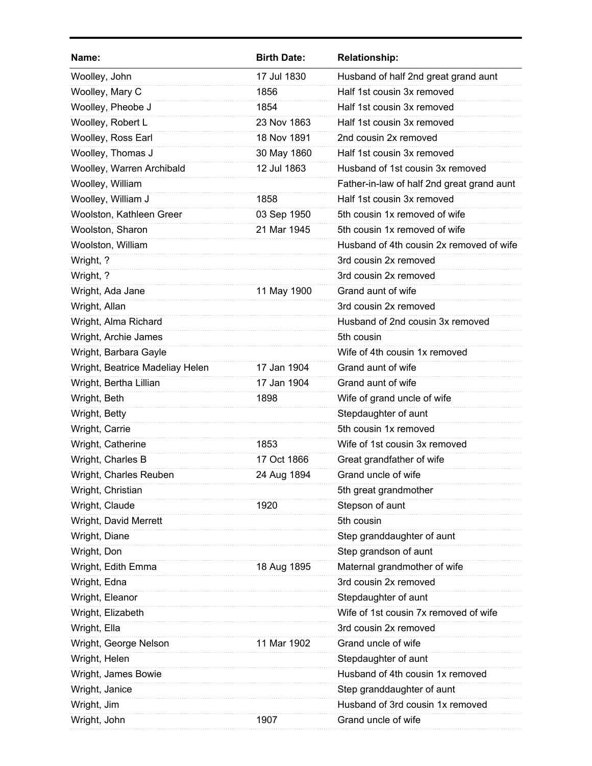| Name:                           | <b>Birth Date:</b> | <b>Relationship:</b>                       |
|---------------------------------|--------------------|--------------------------------------------|
| Woolley, John                   | 17 Jul 1830        | Husband of half 2nd great grand aunt       |
| Woolley, Mary C                 | 1856               | Half 1st cousin 3x removed                 |
| Woolley, Pheobe J               | 1854               | Half 1st cousin 3x removed                 |
| Woolley, Robert L               | 23 Nov 1863        | Half 1st cousin 3x removed                 |
| Woolley, Ross Earl              | 18 Nov 1891        | 2nd cousin 2x removed                      |
| Woolley, Thomas J               | 30 May 1860        | Half 1st cousin 3x removed                 |
| Woolley, Warren Archibald       | 12 Jul 1863        | Husband of 1st cousin 3x removed           |
| Woolley, William                |                    | Father-in-law of half 2nd great grand aunt |
| Woolley, William J              | 1858               | Half 1st cousin 3x removed                 |
| Woolston, Kathleen Greer        | 03 Sep 1950        | 5th cousin 1x removed of wife              |
| Woolston, Sharon                | 21 Mar 1945        | 5th cousin 1x removed of wife              |
| Woolston, William               |                    | Husband of 4th cousin 2x removed of wife   |
| Wright, ?                       |                    | 3rd cousin 2x removed                      |
| Wright, ?                       |                    | 3rd cousin 2x removed                      |
| Wright, Ada Jane                | 11 May 1900        | Grand aunt of wife                         |
| Wright, Allan                   |                    | 3rd cousin 2x removed                      |
| Wright, Alma Richard            |                    | Husband of 2nd cousin 3x removed           |
| Wright, Archie James            |                    | 5th cousin                                 |
| Wright, Barbara Gayle           |                    | Wife of 4th cousin 1x removed              |
| Wright, Beatrice Madeliay Helen | 17 Jan 1904        | Grand aunt of wife                         |
| Wright, Bertha Lillian          | 17 Jan 1904        | Grand aunt of wife                         |
| Wright, Beth                    | 1898               | Wife of grand uncle of wife                |
| Wright, Betty                   |                    | Stepdaughter of aunt                       |
| Wright, Carrie                  |                    | 5th cousin 1x removed                      |
| Wright, Catherine               | 1853               | Wife of 1st cousin 3x removed              |
| Wright, Charles B               | 17 Oct 1866        | Great grandfather of wife                  |
| Wright, Charles Reuben          | 24 Aug 1894        | Grand uncle of wife                        |
| Wright, Christian               |                    | 5th great grandmother                      |
| Wright, Claude                  | 1920               | Stepson of aunt                            |
| Wright, David Merrett           |                    | 5th cousin                                 |
| Wright, Diane                   |                    | Step granddaughter of aunt                 |
| Wright, Don                     |                    | Step grandson of aunt                      |
| Wright, Edith Emma              | 18 Aug 1895        | Maternal grandmother of wife               |
| Wright, Edna                    |                    | 3rd cousin 2x removed                      |
| Wright, Eleanor                 |                    | Stepdaughter of aunt                       |
| Wright, Elizabeth               |                    | Wife of 1st cousin 7x removed of wife      |
| Wright, Ella                    |                    | 3rd cousin 2x removed                      |
| Wright, George Nelson           | 11 Mar 1902        | Grand uncle of wife                        |
| Wright, Helen                   |                    | Stepdaughter of aunt                       |
| Wright, James Bowie             |                    | Husband of 4th cousin 1x removed           |
| Wright, Janice                  |                    | Step granddaughter of aunt                 |
| Wright, Jim                     |                    | Husband of 3rd cousin 1x removed           |
| Wright, John                    | 1907               | Grand uncle of wife                        |
|                                 |                    |                                            |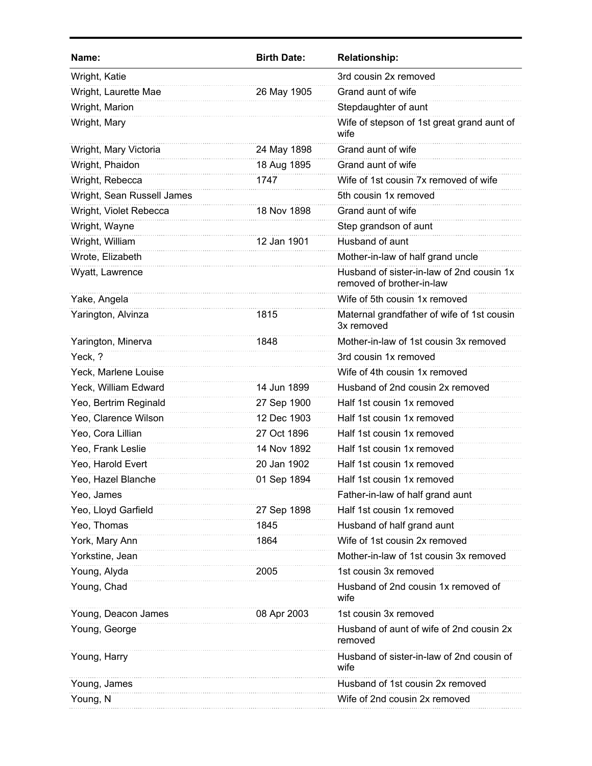| 3rd cousin 2x removed<br>Wright, Katie<br>Wright, Laurette Mae<br>Grand aunt of wife<br>26 May 1905<br>Wright, Marion<br>Stepdaughter of aunt<br>Wright, Mary<br>Wife of stepson of 1st great grand aunt of<br>wife<br>Grand aunt of wife<br>Wright, Mary Victoria<br>24 May 1898<br>Wright, Phaidon<br>Grand aunt of wife<br>18 Aug 1895<br>1747<br>Wife of 1st cousin 7x removed of wife<br>Wright, Rebecca<br>Wright, Sean Russell James<br>5th cousin 1x removed<br>Wright, Violet Rebecca<br>Grand aunt of wife<br>18 Nov 1898<br>Wright, Wayne<br>Step grandson of aunt<br>Wright, William<br>Husband of aunt<br>12 Jan 1901<br>Wrote, Elizabeth<br>Mother-in-law of half grand uncle<br>Husband of sister-in-law of 2nd cousin 1x<br>Wyatt, Lawrence<br>removed of brother-in-law<br>Yake, Angela<br>Wife of 5th cousin 1x removed<br>Yarington, Alvinza<br>Maternal grandfather of wife of 1st cousin<br>1815<br>3x removed<br>Mother-in-law of 1st cousin 3x removed<br>Yarington, Minerva<br>1848<br>Yeck, ?<br>3rd cousin 1x removed<br>Wife of 4th cousin 1x removed<br>Yeck, Marlene Louise<br>Yeck, William Edward<br>14 Jun 1899<br>Husband of 2nd cousin 2x removed<br>Half 1st cousin 1x removed<br>Yeo, Bertrim Reginald<br>27 Sep 1900<br>Yeo, Clarence Wilson<br>12 Dec 1903<br>Half 1st cousin 1x removed<br>Yeo, Cora Lillian<br>Half 1st cousin 1x removed<br>27 Oct 1896<br>Yeo, Frank Leslie<br>Half 1st cousin 1x removed<br>14 Nov 1892<br>Yeo, Harold Evert<br>20 Jan 1902<br>Half 1st cousin 1x removed<br>Yeo, Hazel Blanche<br>01 Sep 1894<br>Half 1st cousin 1x removed<br>Father-in-law of half grand aunt<br>Yeo, James<br>Half 1st cousin 1x removed<br>Yeo, Lloyd Garfield<br>27 Sep 1898<br>Yeo, Thomas<br>1845<br>Husband of half grand aunt<br>Wife of 1st cousin 2x removed<br>York, Mary Ann<br>1864<br>Yorkstine, Jean<br>Mother-in-law of 1st cousin 3x removed<br>Young, Alyda<br>1st cousin 3x removed<br>2005<br>Husband of 2nd cousin 1x removed of<br>Young, Chad<br>wife<br>Young, Deacon James<br>1st cousin 3x removed<br>08 Apr 2003<br>Young, George<br>Husband of aunt of wife of 2nd cousin 2x<br>removed<br>Husband of sister-in-law of 2nd cousin of<br>Young, Harry<br>wife<br>Husband of 1st cousin 2x removed<br>Young, James<br>Young, N<br>Wife of 2nd cousin 2x removed | Name: | <b>Birth Date:</b> | <b>Relationship:</b> |
|----------------------------------------------------------------------------------------------------------------------------------------------------------------------------------------------------------------------------------------------------------------------------------------------------------------------------------------------------------------------------------------------------------------------------------------------------------------------------------------------------------------------------------------------------------------------------------------------------------------------------------------------------------------------------------------------------------------------------------------------------------------------------------------------------------------------------------------------------------------------------------------------------------------------------------------------------------------------------------------------------------------------------------------------------------------------------------------------------------------------------------------------------------------------------------------------------------------------------------------------------------------------------------------------------------------------------------------------------------------------------------------------------------------------------------------------------------------------------------------------------------------------------------------------------------------------------------------------------------------------------------------------------------------------------------------------------------------------------------------------------------------------------------------------------------------------------------------------------------------------------------------------------------------------------------------------------------------------------------------------------------------------------------------------------------------------------------------------------------------------------------------------------------------------------------------------------------------------------------------------------------------------------------------------------------------------------------------|-------|--------------------|----------------------|
|                                                                                                                                                                                                                                                                                                                                                                                                                                                                                                                                                                                                                                                                                                                                                                                                                                                                                                                                                                                                                                                                                                                                                                                                                                                                                                                                                                                                                                                                                                                                                                                                                                                                                                                                                                                                                                                                                                                                                                                                                                                                                                                                                                                                                                                                                                                                        |       |                    |                      |
|                                                                                                                                                                                                                                                                                                                                                                                                                                                                                                                                                                                                                                                                                                                                                                                                                                                                                                                                                                                                                                                                                                                                                                                                                                                                                                                                                                                                                                                                                                                                                                                                                                                                                                                                                                                                                                                                                                                                                                                                                                                                                                                                                                                                                                                                                                                                        |       |                    |                      |
|                                                                                                                                                                                                                                                                                                                                                                                                                                                                                                                                                                                                                                                                                                                                                                                                                                                                                                                                                                                                                                                                                                                                                                                                                                                                                                                                                                                                                                                                                                                                                                                                                                                                                                                                                                                                                                                                                                                                                                                                                                                                                                                                                                                                                                                                                                                                        |       |                    |                      |
|                                                                                                                                                                                                                                                                                                                                                                                                                                                                                                                                                                                                                                                                                                                                                                                                                                                                                                                                                                                                                                                                                                                                                                                                                                                                                                                                                                                                                                                                                                                                                                                                                                                                                                                                                                                                                                                                                                                                                                                                                                                                                                                                                                                                                                                                                                                                        |       |                    |                      |
|                                                                                                                                                                                                                                                                                                                                                                                                                                                                                                                                                                                                                                                                                                                                                                                                                                                                                                                                                                                                                                                                                                                                                                                                                                                                                                                                                                                                                                                                                                                                                                                                                                                                                                                                                                                                                                                                                                                                                                                                                                                                                                                                                                                                                                                                                                                                        |       |                    |                      |
|                                                                                                                                                                                                                                                                                                                                                                                                                                                                                                                                                                                                                                                                                                                                                                                                                                                                                                                                                                                                                                                                                                                                                                                                                                                                                                                                                                                                                                                                                                                                                                                                                                                                                                                                                                                                                                                                                                                                                                                                                                                                                                                                                                                                                                                                                                                                        |       |                    |                      |
|                                                                                                                                                                                                                                                                                                                                                                                                                                                                                                                                                                                                                                                                                                                                                                                                                                                                                                                                                                                                                                                                                                                                                                                                                                                                                                                                                                                                                                                                                                                                                                                                                                                                                                                                                                                                                                                                                                                                                                                                                                                                                                                                                                                                                                                                                                                                        |       |                    |                      |
|                                                                                                                                                                                                                                                                                                                                                                                                                                                                                                                                                                                                                                                                                                                                                                                                                                                                                                                                                                                                                                                                                                                                                                                                                                                                                                                                                                                                                                                                                                                                                                                                                                                                                                                                                                                                                                                                                                                                                                                                                                                                                                                                                                                                                                                                                                                                        |       |                    |                      |
|                                                                                                                                                                                                                                                                                                                                                                                                                                                                                                                                                                                                                                                                                                                                                                                                                                                                                                                                                                                                                                                                                                                                                                                                                                                                                                                                                                                                                                                                                                                                                                                                                                                                                                                                                                                                                                                                                                                                                                                                                                                                                                                                                                                                                                                                                                                                        |       |                    |                      |
|                                                                                                                                                                                                                                                                                                                                                                                                                                                                                                                                                                                                                                                                                                                                                                                                                                                                                                                                                                                                                                                                                                                                                                                                                                                                                                                                                                                                                                                                                                                                                                                                                                                                                                                                                                                                                                                                                                                                                                                                                                                                                                                                                                                                                                                                                                                                        |       |                    |                      |
|                                                                                                                                                                                                                                                                                                                                                                                                                                                                                                                                                                                                                                                                                                                                                                                                                                                                                                                                                                                                                                                                                                                                                                                                                                                                                                                                                                                                                                                                                                                                                                                                                                                                                                                                                                                                                                                                                                                                                                                                                                                                                                                                                                                                                                                                                                                                        |       |                    |                      |
|                                                                                                                                                                                                                                                                                                                                                                                                                                                                                                                                                                                                                                                                                                                                                                                                                                                                                                                                                                                                                                                                                                                                                                                                                                                                                                                                                                                                                                                                                                                                                                                                                                                                                                                                                                                                                                                                                                                                                                                                                                                                                                                                                                                                                                                                                                                                        |       |                    |                      |
|                                                                                                                                                                                                                                                                                                                                                                                                                                                                                                                                                                                                                                                                                                                                                                                                                                                                                                                                                                                                                                                                                                                                                                                                                                                                                                                                                                                                                                                                                                                                                                                                                                                                                                                                                                                                                                                                                                                                                                                                                                                                                                                                                                                                                                                                                                                                        |       |                    |                      |
|                                                                                                                                                                                                                                                                                                                                                                                                                                                                                                                                                                                                                                                                                                                                                                                                                                                                                                                                                                                                                                                                                                                                                                                                                                                                                                                                                                                                                                                                                                                                                                                                                                                                                                                                                                                                                                                                                                                                                                                                                                                                                                                                                                                                                                                                                                                                        |       |                    |                      |
|                                                                                                                                                                                                                                                                                                                                                                                                                                                                                                                                                                                                                                                                                                                                                                                                                                                                                                                                                                                                                                                                                                                                                                                                                                                                                                                                                                                                                                                                                                                                                                                                                                                                                                                                                                                                                                                                                                                                                                                                                                                                                                                                                                                                                                                                                                                                        |       |                    |                      |
|                                                                                                                                                                                                                                                                                                                                                                                                                                                                                                                                                                                                                                                                                                                                                                                                                                                                                                                                                                                                                                                                                                                                                                                                                                                                                                                                                                                                                                                                                                                                                                                                                                                                                                                                                                                                                                                                                                                                                                                                                                                                                                                                                                                                                                                                                                                                        |       |                    |                      |
|                                                                                                                                                                                                                                                                                                                                                                                                                                                                                                                                                                                                                                                                                                                                                                                                                                                                                                                                                                                                                                                                                                                                                                                                                                                                                                                                                                                                                                                                                                                                                                                                                                                                                                                                                                                                                                                                                                                                                                                                                                                                                                                                                                                                                                                                                                                                        |       |                    |                      |
|                                                                                                                                                                                                                                                                                                                                                                                                                                                                                                                                                                                                                                                                                                                                                                                                                                                                                                                                                                                                                                                                                                                                                                                                                                                                                                                                                                                                                                                                                                                                                                                                                                                                                                                                                                                                                                                                                                                                                                                                                                                                                                                                                                                                                                                                                                                                        |       |                    |                      |
|                                                                                                                                                                                                                                                                                                                                                                                                                                                                                                                                                                                                                                                                                                                                                                                                                                                                                                                                                                                                                                                                                                                                                                                                                                                                                                                                                                                                                                                                                                                                                                                                                                                                                                                                                                                                                                                                                                                                                                                                                                                                                                                                                                                                                                                                                                                                        |       |                    |                      |
|                                                                                                                                                                                                                                                                                                                                                                                                                                                                                                                                                                                                                                                                                                                                                                                                                                                                                                                                                                                                                                                                                                                                                                                                                                                                                                                                                                                                                                                                                                                                                                                                                                                                                                                                                                                                                                                                                                                                                                                                                                                                                                                                                                                                                                                                                                                                        |       |                    |                      |
|                                                                                                                                                                                                                                                                                                                                                                                                                                                                                                                                                                                                                                                                                                                                                                                                                                                                                                                                                                                                                                                                                                                                                                                                                                                                                                                                                                                                                                                                                                                                                                                                                                                                                                                                                                                                                                                                                                                                                                                                                                                                                                                                                                                                                                                                                                                                        |       |                    |                      |
|                                                                                                                                                                                                                                                                                                                                                                                                                                                                                                                                                                                                                                                                                                                                                                                                                                                                                                                                                                                                                                                                                                                                                                                                                                                                                                                                                                                                                                                                                                                                                                                                                                                                                                                                                                                                                                                                                                                                                                                                                                                                                                                                                                                                                                                                                                                                        |       |                    |                      |
|                                                                                                                                                                                                                                                                                                                                                                                                                                                                                                                                                                                                                                                                                                                                                                                                                                                                                                                                                                                                                                                                                                                                                                                                                                                                                                                                                                                                                                                                                                                                                                                                                                                                                                                                                                                                                                                                                                                                                                                                                                                                                                                                                                                                                                                                                                                                        |       |                    |                      |
|                                                                                                                                                                                                                                                                                                                                                                                                                                                                                                                                                                                                                                                                                                                                                                                                                                                                                                                                                                                                                                                                                                                                                                                                                                                                                                                                                                                                                                                                                                                                                                                                                                                                                                                                                                                                                                                                                                                                                                                                                                                                                                                                                                                                                                                                                                                                        |       |                    |                      |
|                                                                                                                                                                                                                                                                                                                                                                                                                                                                                                                                                                                                                                                                                                                                                                                                                                                                                                                                                                                                                                                                                                                                                                                                                                                                                                                                                                                                                                                                                                                                                                                                                                                                                                                                                                                                                                                                                                                                                                                                                                                                                                                                                                                                                                                                                                                                        |       |                    |                      |
|                                                                                                                                                                                                                                                                                                                                                                                                                                                                                                                                                                                                                                                                                                                                                                                                                                                                                                                                                                                                                                                                                                                                                                                                                                                                                                                                                                                                                                                                                                                                                                                                                                                                                                                                                                                                                                                                                                                                                                                                                                                                                                                                                                                                                                                                                                                                        |       |                    |                      |
|                                                                                                                                                                                                                                                                                                                                                                                                                                                                                                                                                                                                                                                                                                                                                                                                                                                                                                                                                                                                                                                                                                                                                                                                                                                                                                                                                                                                                                                                                                                                                                                                                                                                                                                                                                                                                                                                                                                                                                                                                                                                                                                                                                                                                                                                                                                                        |       |                    |                      |
|                                                                                                                                                                                                                                                                                                                                                                                                                                                                                                                                                                                                                                                                                                                                                                                                                                                                                                                                                                                                                                                                                                                                                                                                                                                                                                                                                                                                                                                                                                                                                                                                                                                                                                                                                                                                                                                                                                                                                                                                                                                                                                                                                                                                                                                                                                                                        |       |                    |                      |
|                                                                                                                                                                                                                                                                                                                                                                                                                                                                                                                                                                                                                                                                                                                                                                                                                                                                                                                                                                                                                                                                                                                                                                                                                                                                                                                                                                                                                                                                                                                                                                                                                                                                                                                                                                                                                                                                                                                                                                                                                                                                                                                                                                                                                                                                                                                                        |       |                    |                      |
|                                                                                                                                                                                                                                                                                                                                                                                                                                                                                                                                                                                                                                                                                                                                                                                                                                                                                                                                                                                                                                                                                                                                                                                                                                                                                                                                                                                                                                                                                                                                                                                                                                                                                                                                                                                                                                                                                                                                                                                                                                                                                                                                                                                                                                                                                                                                        |       |                    |                      |
|                                                                                                                                                                                                                                                                                                                                                                                                                                                                                                                                                                                                                                                                                                                                                                                                                                                                                                                                                                                                                                                                                                                                                                                                                                                                                                                                                                                                                                                                                                                                                                                                                                                                                                                                                                                                                                                                                                                                                                                                                                                                                                                                                                                                                                                                                                                                        |       |                    |                      |
|                                                                                                                                                                                                                                                                                                                                                                                                                                                                                                                                                                                                                                                                                                                                                                                                                                                                                                                                                                                                                                                                                                                                                                                                                                                                                                                                                                                                                                                                                                                                                                                                                                                                                                                                                                                                                                                                                                                                                                                                                                                                                                                                                                                                                                                                                                                                        |       |                    |                      |
|                                                                                                                                                                                                                                                                                                                                                                                                                                                                                                                                                                                                                                                                                                                                                                                                                                                                                                                                                                                                                                                                                                                                                                                                                                                                                                                                                                                                                                                                                                                                                                                                                                                                                                                                                                                                                                                                                                                                                                                                                                                                                                                                                                                                                                                                                                                                        |       |                    |                      |
|                                                                                                                                                                                                                                                                                                                                                                                                                                                                                                                                                                                                                                                                                                                                                                                                                                                                                                                                                                                                                                                                                                                                                                                                                                                                                                                                                                                                                                                                                                                                                                                                                                                                                                                                                                                                                                                                                                                                                                                                                                                                                                                                                                                                                                                                                                                                        |       |                    |                      |
|                                                                                                                                                                                                                                                                                                                                                                                                                                                                                                                                                                                                                                                                                                                                                                                                                                                                                                                                                                                                                                                                                                                                                                                                                                                                                                                                                                                                                                                                                                                                                                                                                                                                                                                                                                                                                                                                                                                                                                                                                                                                                                                                                                                                                                                                                                                                        |       |                    |                      |
|                                                                                                                                                                                                                                                                                                                                                                                                                                                                                                                                                                                                                                                                                                                                                                                                                                                                                                                                                                                                                                                                                                                                                                                                                                                                                                                                                                                                                                                                                                                                                                                                                                                                                                                                                                                                                                                                                                                                                                                                                                                                                                                                                                                                                                                                                                                                        |       |                    |                      |
|                                                                                                                                                                                                                                                                                                                                                                                                                                                                                                                                                                                                                                                                                                                                                                                                                                                                                                                                                                                                                                                                                                                                                                                                                                                                                                                                                                                                                                                                                                                                                                                                                                                                                                                                                                                                                                                                                                                                                                                                                                                                                                                                                                                                                                                                                                                                        |       |                    |                      |